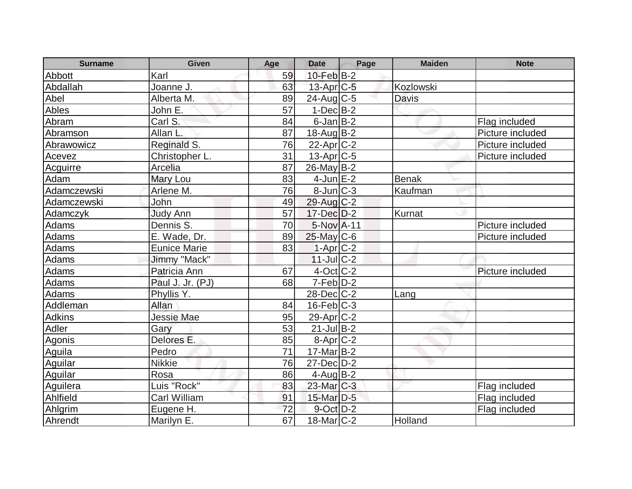| <b>Surname</b> | <b>Given</b>        | Age | <b>Date</b>       | Page | <b>Maiden</b> | <b>Note</b>      |
|----------------|---------------------|-----|-------------------|------|---------------|------------------|
| Abbott         | Karl                | 59  | 10-Feb B-2        |      |               |                  |
| Abdallah       | Joanne J.           | 63  | $13$ -Apr $C$ -5  |      | Kozlowski     |                  |
| Abel           | Alberta M.          | 89  | $24$ -Aug C-5     |      | <b>Davis</b>  |                  |
| Ables          | John E.             | 57  | $1-Dec$ B-2       |      |               |                  |
| Abram          | Carl S.             | 84  | $6$ -Jan $B-2$    |      |               | Flag included    |
| Abramson       | Allan L.            | 87  | $18$ -Aug $B-2$   |      |               | Picture included |
| Abrawowicz     | Reginald S.         | 76  | $22$ -Apr $C-2$   |      |               | Picture included |
| Acevez         | Christopher L.      | 31  | $13$ -Apr $C$ -5  |      |               | Picture included |
| Acguirre       | Arcelia             | 87  | $26$ -May B-2     |      |               |                  |
| Adam           | Mary Lou            | 83  | $4$ -Jun $E-2$    |      | <b>Benak</b>  |                  |
| Adamczewski    | Arlene M.           | 76  | $8$ -Jun $ C-3 $  |      | Kaufman       |                  |
| Adamczewski    | John                | 49  | 29-Aug C-2        |      |               |                  |
| Adamczyk       | <b>Judy Ann</b>     | 57  | $17$ -Dec $D-2$   |      | Kurnat        |                  |
| Adams          | Dennis S.           | 70  | 5-Nov A-11        |      |               | Picture included |
| <b>Adams</b>   | E. Wade, Dr.        | 89  | $25$ -May C-6     |      |               | Picture included |
| Adams          | <b>Eunice Marie</b> | 83  | $1-Apr$ $C-2$     |      |               |                  |
| Adams          | Jimmy "Mack"        |     | $11$ -JulC-2      |      |               |                  |
| Adams          | Patricia Ann        | 67  | $4$ -Oct C-2      |      |               | Picture included |
| Adams          | Paul J. Jr. (PJ)    | 68  | $7-Feb D-2$       |      |               |                  |
| Adams          | Phyllis Y.          |     | $28$ -Dec $C-2$   |      | Lang          |                  |
| Addleman       | Allan               | 84  | $16$ -Feb $ C-3 $ |      |               |                  |
| <b>Adkins</b>  | <b>Jessie Mae</b>   | 95  | $29$ -Apr $C-2$   |      |               |                  |
| Adler          | Gary                | 53  | $21$ -Jul B-2     |      |               |                  |
| <b>Agonis</b>  | Delores E.          | 85  | $8-Apr$ $C-2$     |      |               |                  |
| Aguila         | Pedro               | 71  | $17$ -Mar $ B-2 $ |      |               |                  |
| Aguilar        | <b>Nikkie</b>       | 76  | 27-Dec D-2        |      |               |                  |
| Aguilar        | Rosa                | 86  | $4$ -Aug $B-2$    |      |               |                  |
| Aguilera       | Luis "Rock"         | 83  | $23$ -Mar $C-3$   |      |               | Flag included    |
| Ahlfield       | Carl William        | 91  | $15$ -Mar $D-5$   |      |               | Flag included    |
| Ahlgrim        | Eugene H.           | 72  | $9$ -Oct $D-2$    |      |               | Flag included    |
| Ahrendt        | Marilyn E.          | 67  | $18$ -Mar $ C-2 $ |      | Holland       |                  |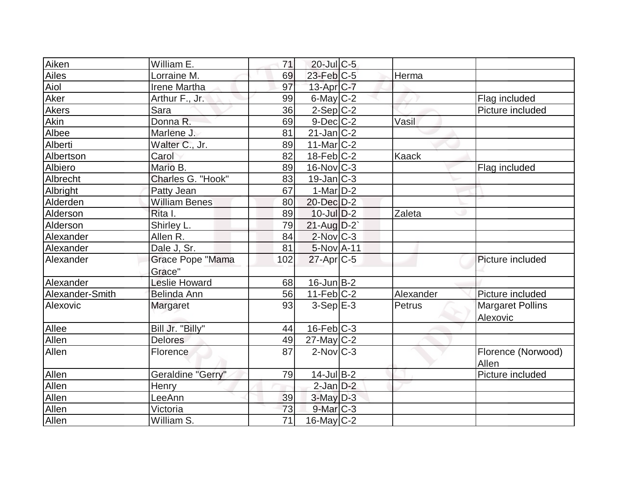| Aiken                | William E.              | 71              | $20$ -Jul $C$ -5  |              |                         |
|----------------------|-------------------------|-----------------|-------------------|--------------|-------------------------|
| Ailes                | Lorraine M.             | 69              | $23$ -Feb $C-5$   | Herma        |                         |
| Aiol                 | Irene Martha            | 97              | $13$ -Apr $C$ -7  |              |                         |
| Aker                 | Arthur F., Jr.          | 99              | $6$ -May $C$ -2   |              | Flag included           |
| <b>Akers</b><br>Sara |                         | 36              | $2-Sep$ C-2       |              | Picture included        |
| Akin                 | Donna R.                | 69              | $9$ -Dec $C$ -2   | Vasil        |                         |
| Albee                | Marlene J.              | 81              | $21$ -Jan $ C-2 $ |              |                         |
| Alberti              | Walter C., Jr.          | 89              | $11$ -Mar $ C-2 $ |              |                         |
| Albertson            | Carol                   | 82              | $18$ -Feb $ C-2 $ | <b>Kaack</b> |                         |
| Albiero              | Mario B.                | 89              | $16$ -Nov $ C-3 $ |              | Flag included           |
| Albrecht             | Charles G. "Hook"       | 83              | $19$ -Jan $ C-3 $ |              |                         |
| Albright             | Patty Jean              | 67              | $1-Mar$ D-2       |              |                         |
| Alderden             | <b>William Benes</b>    | 80              | 20-Dec D-2        |              |                         |
| Alderson             | Rita I.                 | 89              | $10$ -Jul $D-2$   | Zaleta       |                         |
| Alderson             | Shirley L.              | 79              | $21$ -Aug $D-2$   |              |                         |
| Alexander            | Allen R.                | 84              | $2$ -Nov $C-3$    |              |                         |
| Alexander            | Dale J, Sr.             | 81              | $5-NovA-11$       |              |                         |
| Alexander            | <b>Grace Pope "Mama</b> | 102             | $27$ -Apr $C$ -5  |              | Picture included        |
|                      | Grace"                  |                 |                   |              |                         |
| Alexander            | <b>Leslie Howard</b>    | 68              | $16$ -Jun $B-2$   |              |                         |
| Alexander-Smith      | Belinda Ann             | 56              | $11-Feb$ C-2      | Alexander    | Picture included        |
| Alexovic             | Margaret                | 93              | $3-Sep$ $E-3$     | Petrus       | <b>Margaret Pollins</b> |
|                      |                         |                 |                   |              | Alexovic                |
| Allee                | Bill Jr. "Billy"        | 44              | $16$ -Feb $C-3$   |              |                         |
| Allen                | <b>Delores</b>          | 49              | $27$ -May C-2     |              |                         |
| Allen                | Florence                | 87              | $2$ -Nov $C-3$    |              | Florence (Norwood)      |
|                      |                         |                 |                   |              | Allen                   |
| Allen                | Geraldine "Gerry"       | 79              | $14$ -Jul B-2     |              | Picture included        |
| Allen                | Henry                   |                 | $2$ -Jan $D-2$    |              |                         |
| Allen                | LeeAnn                  | 39              | $3$ -May $D-3$    |              |                         |
| Allen                | Victoria                | 73              | $9$ -Mar $C-3$    |              |                         |
| <b>Allen</b>         | William S.              | $\overline{71}$ | $16$ -May C-2     |              |                         |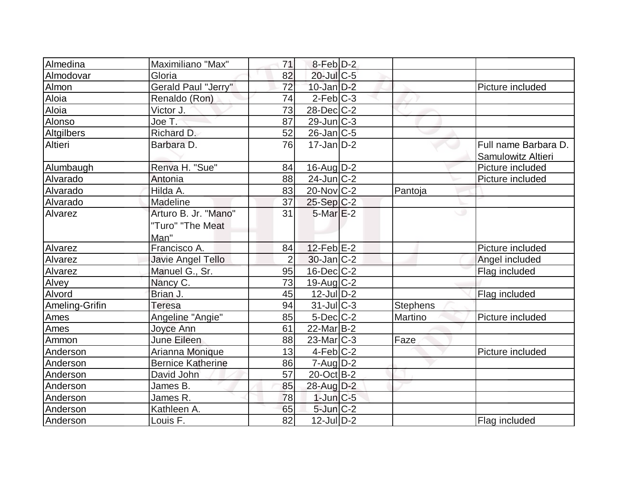| Almedina       | Maximiliano "Max"          | 71             | 8-Feb D-2         |                 |                      |
|----------------|----------------------------|----------------|-------------------|-----------------|----------------------|
| Almodovar      | Gloria                     | 82             | $20$ -JulC-5      |                 |                      |
| Almon          | <b>Gerald Paul "Jerry"</b> | 72             | $10$ -Jan $D-2$   |                 | Picture included     |
| Aloia          | Renaldo (Ron)              | 74             | $2$ -Feb $ C-3 $  |                 |                      |
| Aloia          | Victor J.                  | 73             | 28-Dec C-2        |                 |                      |
| Alonso         | Joe T.                     | 87             | $29$ -Jun $C-3$   |                 |                      |
| Altgilbers     | Richard D.                 | 52             | $26$ -Jan $ C$ -5 |                 |                      |
| Altieri        | Barbara D.                 | 76             | $17$ -Jan $ D-2 $ |                 | Full name Barbara D. |
|                |                            |                |                   |                 | Samulowitz Altieri   |
| Alumbaugh      | Renva H. "Sue"             | 84             | $16$ -Aug $D-2$   |                 | Picture included     |
| Alvarado       | Antonia                    | 88             | $24$ -Jun $C-2$   |                 | Picture included     |
| Alvarado       | Hilda A.                   | 83             | $20$ -Nov $ C-2 $ | Pantoja         |                      |
| Alvarado       | Madeline                   | 37             | $25-Sep C-2$      |                 |                      |
| Alvarez        | Arturo B. Jr. "Mano"       | 31             | $5$ -Mar $E-2$    |                 |                      |
|                | "Turo" "The Meat           |                |                   |                 |                      |
|                | Man"                       |                |                   |                 |                      |
| Alvarez        | Francisco A.               | 84             | $12$ -Feb $ E-2 $ |                 | Picture included     |
| Alvarez        | Javie Angel Tello          | $\overline{2}$ | $30$ -Jan $ C-2 $ |                 | Angel included       |
| Alvarez        | Manuel G., Sr.             | 95             | $16$ -Dec $C$ -2  |                 | Flag included        |
| Alvey          | Nancy C.                   | 73             | $19$ -Aug C-2     |                 |                      |
| Alvord         | Brian J.                   | 45             | $12$ -Jul $D-2$   |                 | Flag included        |
| Ameling-Grifin | <b>Teresa</b>              | 94             | $31$ -JulC-3      | <b>Stephens</b> |                      |
| Ames           | Angeline "Angie"           | 85             | $5$ -Dec $C$ -2   | Martino         | Picture included     |
| Ames           | Joyce Ann                  | 61             | $22$ -Mar $B-2$   |                 |                      |
| Ammon          | June Eileen                | 88             | $23$ -Mar $C-3$   | Faze            |                      |
| Anderson       | Arianna Monique            | 13             | $4-Feb$ C-2       |                 | Picture included     |
| Anderson       | <b>Bernice Katherine</b>   | 86             | $7 - Aug   D-2$   |                 |                      |
| Anderson       | David John                 | 57             | 20-Oct B-2        |                 |                      |
| Anderson       | James B.                   | 85             | 28-Aug D-2        |                 |                      |
| Anderson       | James R.                   | 78             | $1$ -Jun $C$ -5   |                 |                      |
| Anderson       | Kathleen A.                | 65             | $5$ -Jun $C-2$    |                 |                      |
| Anderson       | Louis F.                   | 82             | $12$ -JulD-2      |                 | Flag included        |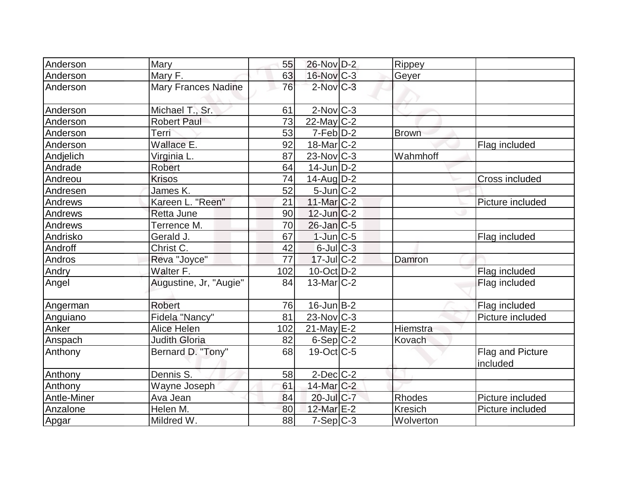| Anderson    | Mary                       | 55  | 26-Nov D-2        | Rippey         |                              |
|-------------|----------------------------|-----|-------------------|----------------|------------------------------|
| Anderson    | Mary F.                    | 63  | 16-Nov C-3        | Geyer          |                              |
| Anderson    | <b>Mary Frances Nadine</b> | 76  | $2$ -Nov $C-3$    |                |                              |
| Anderson    | Michael T., Sr.            | 61  | $2$ -Nov $ C-3 $  |                |                              |
| Anderson    | <b>Robert Paul</b>         | 73  | $22$ -May C-2     |                |                              |
| Anderson    | Terri                      | 53  | $7-Feb$ $D-2$     | <b>Brown</b>   |                              |
| Anderson    | Wallace E.                 | 92  | $18$ -Mar $ C-2 $ |                | Flag included                |
| Andjelich   | Virginia L.                | 87  | $23$ -Nov $ C-3 $ | Wahmhoff       |                              |
| Andrade     | <b>Robert</b>              | 64  | $14$ -Jun $D-2$   |                |                              |
| Andreou     | <b>Krisos</b>              | 74  | 14-Aug D-2        |                | <b>Cross included</b>        |
| Andresen    | James K.                   | 52  | $5$ -Jun $C$ -2   |                |                              |
| Andrews     | Kareen L. "Reen"           | 21  | $11$ -Mar $ C-2 $ |                | Picture included             |
| Andrews     | <b>Retta June</b>          | 90  | $12$ -Jun $C-2$   |                |                              |
| Andrews     | Terrence M.                | 70  | $26$ -Jan $ C$ -5 |                |                              |
| Andrisko    | Gerald J.                  | 67  | $1$ -Jun $C-5$    |                | <b>Flag included</b>         |
| Androff     | Christ C.                  | 42  | $6$ -Jul $C$ -3   |                |                              |
| Andros      | Reva "Joyce"               | 77  | $17$ -JulC-2      | Damron         |                              |
| Andry       | Walter F.                  | 102 | $10$ -Oct $D-2$   |                | Flag included                |
| Angel       | Augustine, Jr, "Augie"     | 84  | 13-Mar C-2        |                | Flag included                |
| Angerman    | <b>Robert</b>              | 76  | $16$ -Jun $B-2$   |                | Flag included                |
| Anguiano    | Fidela "Nancy"             | 81  | $23$ -Nov $ C-3 $ |                | Picture included             |
| Anker       | Alice Helen                | 102 | $21$ -May $E-2$   | Hiemstra       |                              |
| Anspach     | <b>Judith Gloria</b>       | 82  | $6-Sep C-2$       | Kovach         |                              |
| Anthony     | Bernard D. "Tony"          | 68  | $19$ -Oct $ C-5 $ |                | Flag and Picture<br>included |
| Anthony     | Dennis S.                  | 58  | $2$ -Dec $C-2$    |                |                              |
| Anthony     | Wayne Joseph               | 61  | 14-Mar C-2        |                |                              |
| Antle-Miner | Ava Jean                   | 84  | $20$ -Jul $C$ -7  | Rhodes         | Picture included             |
| Anzalone    | Helen M.                   | 80  | 12-Mar E-2        | <b>Kresich</b> | Picture included             |
| Apgar       | Mildred W.                 | 88  | $7-Sep C-3$       | Wolverton      |                              |
|             |                            |     |                   |                |                              |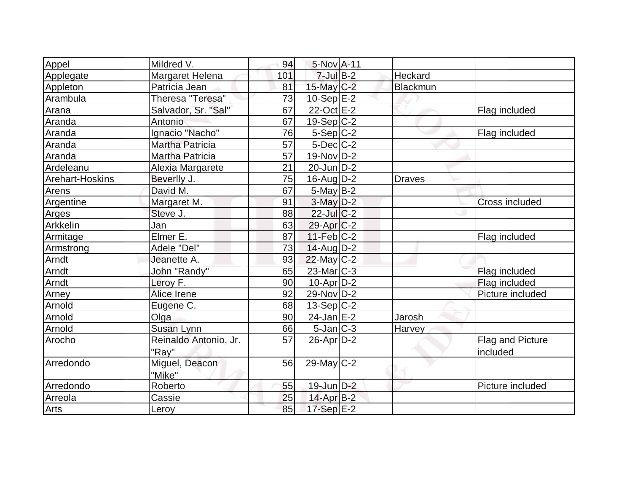| Appel                  | Mildred V.             | 94  | 5-Nov A-11       |               |                       |
|------------------------|------------------------|-----|------------------|---------------|-----------------------|
| Applegate              | Margaret Helena        | 101 | $7$ -Jul $B-2$   | Heckard       |                       |
| Appleton               | Patricia Jean          | 81  | $15$ -May C-2    | Blackmun      |                       |
| Arambula               | Theresa "Teresa"       | 73  | $10-Sep$ $E-2$   |               |                       |
| Arana                  | Salvador, Sr. "Sal"    | 67  | 22-Oct E-2       |               | Flag included         |
| Aranda                 | Antonio                | 67  | $19-Sep C-2$     |               |                       |
| Aranda                 | Ignacio "Nacho"        | 76  | $5-Sep C-2$      |               | Flag included         |
| Aranda                 | <b>Martha Patricia</b> | 57  | $5$ -Dec $C$ -2  |               |                       |
| Aranda                 | Martha Patricia        | 57  | 19-Nov D-2       |               |                       |
| Ardeleanu              | Alexia Margarete       | 21  | $20$ -Jun $D-2$  |               |                       |
| <b>Arehart-Hoskins</b> | Beverlly J.            | 75  | $16$ -Aug $D-2$  | <b>Draves</b> |                       |
| Arens                  | David M.               | 67  | $5$ -May B-2     |               |                       |
| Argentine              | Margaret M.            | 91  | $3-May$ $D-2$    |               | <b>Cross included</b> |
| Arges                  | Steve J.               | 88  | $22$ -Jul $C-2$  |               |                       |
| Arkkelin               | Jan                    | 63  | $29$ -Apr $C-2$  |               |                       |
| Armitage               | Elmer E.               | 87  | 11-Feb C-2       |               | Flag included         |
| Armstrong              | Adele "Del"            | 73  | $14$ -Aug $D-2$  |               |                       |
| Arndt                  | Jeanette A.            | 93  | $22$ -May C-2    |               |                       |
| Arndt                  | John "Randy"           | 65  | $23$ -Mar $C-3$  |               | Flag included         |
| Arndt                  | Leroy F.               | 90  | $10$ -Apr $D-2$  |               | Flag included         |
| Arney                  | Alice Irene            | 92  | 29-Nov D-2       |               | Picture included      |
| Arnold                 | Eugene C.              | 68  | $13-Sep C-2$     |               |                       |
| Arnold                 | Olga                   | 90  | $24$ -Jan $E-2$  | Jarosh        |                       |
| Arnold                 | Susan Lynn             | 66  | $5$ -Jan $ C-3 $ | Harvey        |                       |
| Arocho                 | Reinaldo Antonio, Jr.  | 57  | $26$ -Apr $D-2$  |               | Flag and Picture      |
|                        | "Ray"                  |     |                  |               | included              |
| Arredondo              | Miguel, Deacon         | 56  | $29$ -May C-2    |               |                       |
|                        | "Mike"                 |     |                  |               |                       |
| Arredondo              | Roberto                | 55  | 19-Jun D-2       |               | Picture included      |
| Arreola                | Cassie                 | 25  | $14$ -Apr $B-2$  |               |                       |
| Arts                   | Leroy                  | 85  | 17-Sep E-2       |               |                       |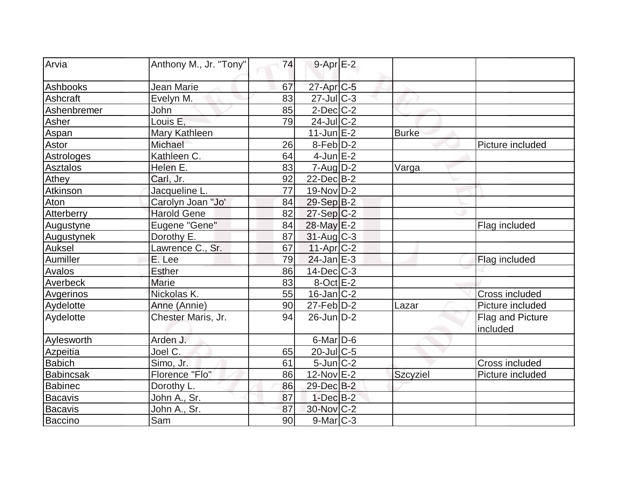| Arvia          | Anthony M., Jr. "Tony" | 74 | $9 - Apr$ E-2     |                 |                       |
|----------------|------------------------|----|-------------------|-----------------|-----------------------|
|                |                        |    |                   |                 |                       |
| Ashbooks       | Jean Marie             | 67 | $27$ -Apr $C$ -5  |                 |                       |
| Ashcraft       | Evelyn M.              | 83 | $27$ -Jul C-3     |                 |                       |
| Ashenbremer    | John                   | 85 | $2$ -Dec $C$ -2   |                 |                       |
| Asher          | Louis E,               | 79 | $24$ -Jul C-2     |                 |                       |
| Aspan          | Mary Kathleen          |    | $11$ -Jun $E-2$   | <b>Burke</b>    |                       |
| <b>Astor</b>   | Michael                | 26 | $8-Feb D-2$       |                 | Picture included      |
| Astrologes     | Kathleen C.            | 64 | $4$ -Jun $E-2$    |                 |                       |
| Asztalos       | Helen E.               | 83 | $7 - Aug   D-2$   | Varga           |                       |
| Athey          | Carl, Jr.              | 92 | $22$ -Dec $B-2$   |                 |                       |
| Atkinson       | Jacqueline L.          | 77 | $19-Nov D-2$      |                 |                       |
| Aton           | Carolyn Joan "Jo'      | 84 | 29-Sep B-2        |                 |                       |
| Atterberry     | <b>Harold Gene</b>     | 82 | $27-Sep C-2$      |                 |                       |
| Augustyne      | Eugene "Gene"          | 84 | 28-May E-2        |                 | Flag included         |
| Augustynek     | Dorothy E.             | 87 | $31$ -Aug C-3     |                 |                       |
| Auksel         | Lawrence C., Sr.       | 67 | $11-Apr$ $C-2$    |                 |                       |
| Aumiller       | E. Lee                 | 79 | $24$ -Jan $E-3$   |                 | Flag included         |
| Avalos         | Esther                 | 86 | 14-Dec C-3        |                 |                       |
| Averbeck       | <b>Marie</b>           | 83 | $8$ -Oct $E-2$    |                 |                       |
| Avgerinos      | Nickolas K.            | 55 | $16$ -Jan $ C-2 $ |                 | <b>Cross included</b> |
| Aydelotte      | Anne (Annie)           | 90 | $27$ -Feb $ D-2$  | Lazar           | Picture included      |
| Aydelotte      | Chester Maris, Jr.     | 94 | 26-Jun D-2        |                 | Flag and Picture      |
|                |                        |    |                   |                 | included              |
| Aylesworth     | Arden J.               |    | $6$ -Mar $D$ -6   |                 |                       |
| Azpeitia       | Joel C.                | 65 | 20-Jul C-5        |                 |                       |
| <b>Babich</b>  | Simo, Jr.              | 61 | $5$ -Jun $C-2$    |                 | Cross included        |
| Babincsak      | Florence "Flo"         | 86 | 12-Nov E-2        | <b>Szcyziel</b> | Picture included      |
| <b>Babinec</b> | Dorothy L.             | 86 | 29-Dec B-2        |                 |                       |
| <b>Bacavis</b> | John A., Sr.           | 87 | $1-Dec$ B-2       |                 |                       |
| <b>Bacavis</b> | John A., Sr.           | 87 | 30-Nov C-2        |                 |                       |
| Baccino        | Sam                    | 90 | $9$ -Mar $ C-3 $  |                 |                       |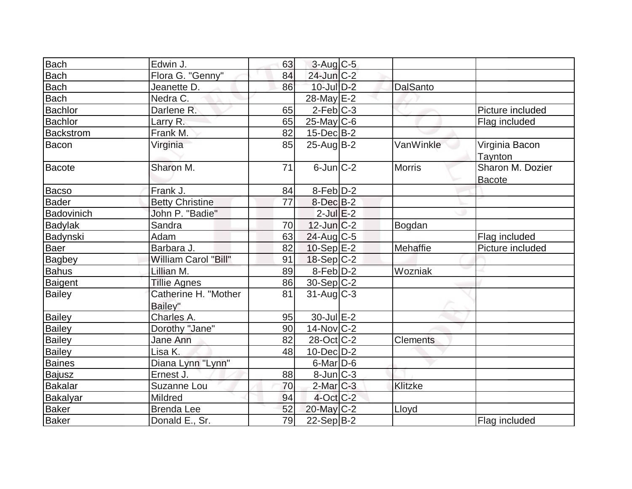| <b>Bach</b>      | Edwin J.                        | 63 | 3-Aug C-5                |                 |                                   |
|------------------|---------------------------------|----|--------------------------|-----------------|-----------------------------------|
| <b>Bach</b>      | Flora G. "Genny"                | 84 | $24$ -Jun $C-2$          |                 |                                   |
| <b>Bach</b>      | Jeanette D.                     | 86 | $10$ -Jul $D-2$          | <b>DalSanto</b> |                                   |
| <b>Bach</b>      | Nedra C.                        |    | 28-May E-2               |                 |                                   |
| <b>Bachlor</b>   | Darlene R.                      | 65 | $2-Feb C-3$              |                 | Picture included                  |
| <b>Bachlor</b>   | Larry R.                        | 65 | $25$ -May C-6            |                 | Flag included                     |
| <b>Backstrom</b> | Frank M.                        | 82 | $15$ -Dec $B$ -2         |                 |                                   |
| Bacon            | Virginia                        | 85 | $25$ -Aug $B$ -2         | VanWinkle       | Virginia Bacon<br>Taynton         |
| <b>Bacote</b>    | Sharon M.                       | 71 | $6$ -Jun $C-2$           | <b>Morris</b>   | Sharon M. Dozier<br><b>Bacote</b> |
| Bacso            | Frank J.                        | 84 | $8$ -Feb $D-2$           |                 |                                   |
| <b>Bader</b>     | <b>Betty Christine</b>          | 77 | $8$ -Dec $B-2$           |                 |                                   |
| Badovinich       | John P. "Badie"                 |    | $2$ -Jul $E-2$           |                 |                                   |
| <b>Badylak</b>   | Sandra                          | 70 | $12$ -Jun $ C-2 $        | Bogdan          |                                   |
| Badynski         | Adam                            | 63 | 24-Aug C-5               |                 | Flag included                     |
| Baer             | Barbara J.                      | 82 | $10-Sep$ $E-2$           | Mehaffie        | Picture included                  |
| <b>Bagbey</b>    | William Carol "Bill"            | 91 | $18-Sep C-2$             |                 |                                   |
| <b>Bahus</b>     | Lillian M.                      | 89 | $8-Feb D-2$              | Wozniak         |                                   |
| Baigent          | <b>Tillie Agnes</b>             | 86 | $30-Sep C-2$             |                 |                                   |
| <b>Bailey</b>    | Catherine H. "Mother<br>Bailey" | 81 | $31$ -Aug $C-3$          |                 |                                   |
| <b>Bailey</b>    | Charles A.                      | 95 | $30 -$ Jul $E-2$         |                 |                                   |
| <b>Bailey</b>    | Dorothy "Jane"                  | 90 | $14$ -Nov $ C-2 $        |                 |                                   |
| <b>Bailey</b>    | <b>Jane Ann</b>                 | 82 | $28-Oct$ <sub>C</sub> -2 | <b>Clements</b> |                                   |
| <b>Bailey</b>    | Lisa K.                         | 48 | $10$ -Dec $ D-2 $        |                 |                                   |
| Baines           | Diana Lynn "Lynn"               |    | $6$ -Mar $D$ -6          |                 |                                   |
| <b>Bajusz</b>    | Ernest J.                       | 88 | $8$ -Jun $ C-3 $         |                 |                                   |
| <b>Bakalar</b>   | Suzanne Lou                     | 70 | $2$ -Mar $C-3$           | <b>Klitzke</b>  |                                   |
| <b>Bakalyar</b>  | Mildred                         | 94 | $4$ -Oct $C-2$           |                 |                                   |
| <b>Baker</b>     | <b>Brenda Lee</b>               | 52 | 20-May C-2               | Lloyd           |                                   |
| <b>Baker</b>     | Donald E., Sr.                  | 79 | 22-Sep B-2               |                 | Flag included                     |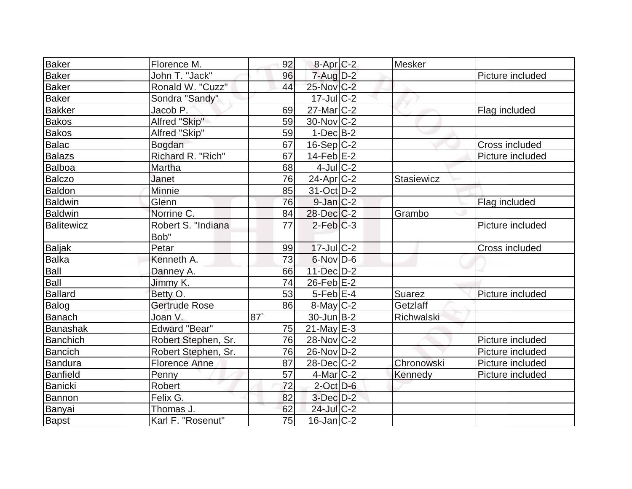| Baker          | Florence M.          | 92 | $8-Apr$ <sub>C-2</sub> | <b>Mesker</b> |                  |
|----------------|----------------------|----|------------------------|---------------|------------------|
| <b>Baker</b>   | John T. "Jack"       | 96 | $7 - Aug$ $D-2$        |               | Picture included |
| <b>Baker</b>   | Ronald W. "Cuzz"     | 44 | 25-Nov C-2             |               |                  |
| <b>Baker</b>   | Sondra "Sandy"       |    | $17$ -Jul $C-2$        |               |                  |
| <b>Bakker</b>  | Jacob P.             | 69 | $27$ -Mar $ C-2 $      |               | Flag included    |
| <b>Bakos</b>   | Alfred "Skip"        | 59 | $30$ -Nov $ C-2 $      |               |                  |
| <b>Bakos</b>   | Alfred "Skip"        | 59 | $1-DecIB-2$            |               |                  |
| <b>Balac</b>   | Bogdan               | 67 | $16-Sep C-2$           |               | Cross included   |
| <b>Balazs</b>  | Richard R. "Rich"    | 67 | $14$ -Feb $ E-2 $      |               | Picture included |
| Balboa         | Martha               | 68 | $4$ -Jul $C-2$         |               |                  |
| <b>Balczo</b>  | Janet                | 76 | $24$ -Apr $ C-2 $      | Stasiewicz    |                  |
| Baldon         | Minnie               | 85 | $31-Oct$ D-2           |               |                  |
| <b>Baldwin</b> | Glenn                | 76 | $9$ -Jan $C-2$         |               | Flag included    |
| <b>Baldwin</b> | Norrine C.           | 84 | $28$ -Dec $C-2$        | Grambo        |                  |
| Balitewicz     | Robert S. "Indiana   | 77 | $2$ -Feb $ C-3 $       |               | Picture included |
|                | Bob"                 |    |                        |               |                  |
| <b>Baljak</b>  | Petar                | 99 | $17$ -Jul $C-2$        |               | Cross included   |
| <b>Balka</b>   | Kenneth A.           | 73 | $6$ -Nov $D$ -6        |               |                  |
| Ball           | Danney A.            | 66 | $11$ -Dec $D-2$        |               |                  |
| Ball           | Jimmy K.             | 74 | $26$ -Feb $E-2$        |               |                  |
| <b>Ballard</b> | Betty O.             | 53 | $5$ -Feb $E-4$         | <b>Suarez</b> | Picture included |
| Balog          | <b>Gertrude Rose</b> | 86 | $8$ -May $C$ -2        | Getzlaff      |                  |
| Banach         | Joan V.              | 87 | $30$ -Jun $ B-2 $      | Richwalski    |                  |
| Banashak       | <b>Edward "Bear"</b> | 75 | $21$ -May E-3          |               |                  |
| Banchich       | Robert Stephen, Sr.  | 76 | $28-Nov$ C-2           |               | Picture included |
| <b>Bancich</b> | Robert Stephen, Sr.  | 76 | 26-Nov D-2             |               | Picture included |
| Bandura        | <b>Florence Anne</b> | 87 | $28$ -Dec $C-2$        | Chronowski    | Picture included |
| Banfield       | Penny                | 57 | $4$ -Mar $ C-2 $       | Kennedy       | Picture included |
| <b>Banicki</b> | Robert               | 72 | $2$ -Oct $D-6$         |               |                  |
| Bannon         | Felix G.             | 82 | $3$ -Dec $D-2$         |               |                  |
| Banyai         | Thomas J.            | 62 | 24-Jul C-2             |               |                  |
| Bapst          | Karl F. "Rosenut"    | 75 | $16$ -Jan $ C-2 $      |               |                  |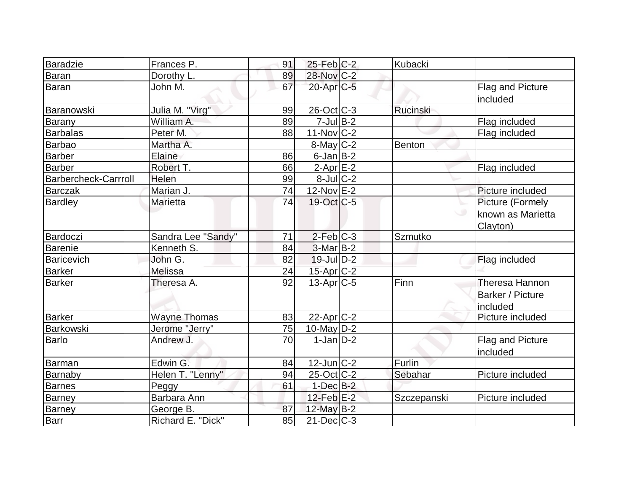| <b>Baradzie</b>             | Frances P.          | 91 | $25$ -Feb $ C-2 $     | Kubacki     |                                                    |
|-----------------------------|---------------------|----|-----------------------|-------------|----------------------------------------------------|
| <b>Baran</b>                | Dorothy L.          | 89 | 28-Nov C-2            |             |                                                    |
| <b>Baran</b>                | John M.             | 67 | $20$ -Apr $C$ -5      |             | Flag and Picture<br>included                       |
| Baranowski                  | Julia M. "Virg"     | 99 | $26$ -Oct $ C-3 $     | Rucinski    |                                                    |
| Barany                      | William A.          | 89 | $7$ -Jul B-2          |             | Flag included                                      |
| <b>Barbalas</b>             | Peter M.            | 88 | $11-Nov$ C-2          |             | Flag included                                      |
| <b>Barbao</b>               | Martha A.           |    | $8$ -May $C-2$        | Benton      |                                                    |
| <b>Barber</b>               | Elaine              | 86 | $6$ -Jan $B$ -2       |             |                                                    |
| <b>Barber</b>               | Robert T.           | 66 | $2$ -Apr $E-2$        |             | Flag included                                      |
| <b>Barbercheck-Carrroll</b> | Helen               | 99 | $8$ -Jul $C-2$        |             |                                                    |
| <b>Barczak</b>              | Marian J.           | 74 | $12$ -Nov $E-2$       |             | Picture included                                   |
| <b>Bardley</b>              | Marietta            | 74 | $19-Oct$ $C-5$        |             | Picture (Formely<br>Iknown as Marietta<br>Clayton) |
| Bardoczi                    | Sandra Lee "Sandy"  | 71 | $2-Feb$ $C-3$         | Szmutko     |                                                    |
| <b>Barenie</b>              | Kenneth S.          | 84 | $3-MarB-2$            |             |                                                    |
| <b>Baricevich</b>           | John G.             | 82 | $19$ -Jul $D-2$       |             | Flag included                                      |
| <b>Barker</b>               | Melissa             | 24 | 15-Apr <sub>C-2</sub> |             |                                                    |
| <b>Barker</b>               | Theresa A.          | 92 | $13$ -Apr $ C-5 $     | Finn        | Theresa Hannon<br>Barker / Picture<br>included     |
| <b>Barker</b>               | <b>Wayne Thomas</b> | 83 | $22$ -Apr $C-2$       |             | Picture included                                   |
| <b>Barkowski</b>            | Jerome "Jerry"      | 75 | 10-May $D-2$          |             |                                                    |
| <b>Barlo</b>                | Andrew J.           | 70 | $1-Jan D-2$           |             | Flag and Picture<br>included                       |
| <b>Barman</b>               | Edwin G.            | 84 | $12$ -Jun $ C-2 $     | Furlin      |                                                    |
| Barnaby                     | Helen T. "Lenny"    | 94 | $25$ -Oct C-2         | Sebahar     | Picture included                                   |
| <b>Barnes</b>               | Peggy               | 61 | $1$ -Dec $B-2$        |             |                                                    |
| <b>Barney</b>               | Barbara Ann         |    | $12$ -Feb $E-2$       | Szczepanski | Picture included                                   |
| <b>Barney</b>               | George B.           | 87 | $12$ -May B-2         |             |                                                    |
| Barr                        | Richard E. "Dick"   | 85 | $21$ -Dec $ C-3 $     |             |                                                    |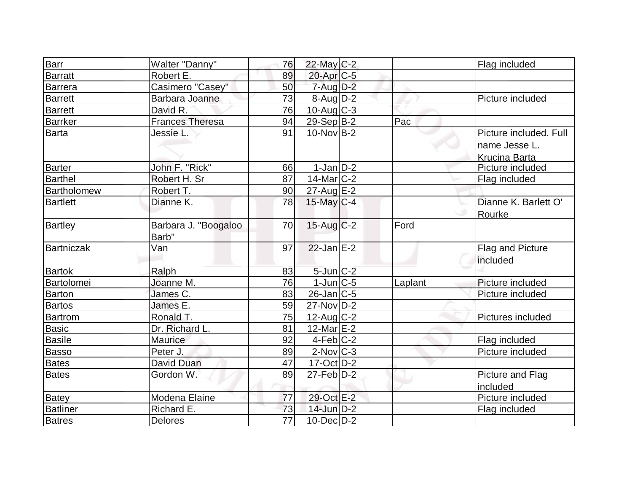| Barr              | Walter "Danny"         | 76              | 22-May C-2                  |         | Flag included          |
|-------------------|------------------------|-----------------|-----------------------------|---------|------------------------|
| Barratt           | Robert E.              | 89              | 20-Apr C-5                  |         |                        |
| Barrera           | Casimero "Casey"       | 50              | $7 - Aug$ $D-2$             |         |                        |
| Barrett           | Barbara Joanne         | 73              | $8$ -Aug $D-2$              |         | Picture included       |
| Barrett           | David R.               | 76              | $10$ -Aug C-3               |         |                        |
| <b>Barrker</b>    | <b>Frances Theresa</b> | 94              | 29-Sep B-2                  | Pac     |                        |
| <b>Barta</b>      | Jessie L.              | 91              | $10$ -Nov $B-2$             |         | Picture included. Full |
|                   |                        |                 |                             |         | name Jesse L.          |
|                   |                        |                 |                             |         | <b>Krucina Barta</b>   |
| <b>Barter</b>     | John F. "Rick"         | 66              | $1-Jan$ D-2                 |         | Picture included       |
| <b>Barthel</b>    | Robert H. Sr           | 87              | $14$ -Mar $ C-2 $           |         | Flag included          |
| Bartholomew       | Robert T.              | 90              | $27$ -Aug $E-2$             |         |                        |
| <b>Bartlett</b>   | Dianne K.              | 78              | 15-May C-4                  |         | Dianne K. Barlett O'   |
|                   |                        |                 |                             |         | Rourke                 |
| <b>Bartley</b>    | Barbara J. "Boogaloo   | 70              | $15$ -Aug C-2               | Ford    |                        |
|                   | Barb"                  |                 |                             |         |                        |
| <b>Bartniczak</b> | Van                    | 97              | $22$ -Jan E-2               |         | Flag and Picture       |
|                   |                        |                 |                             |         | included               |
| <b>Bartok</b>     | Ralph                  | 83              | $5$ -Jun $C-2$              |         |                        |
| Bartolomei        | Joanne M.              | 76              | $1$ -Jun $ C-5 $            | Laplant | Picture included       |
| Barton            | James C.               | 83              | $26$ -Jan $ C-5 $           |         | Picture included       |
| <b>Bartos</b>     | James E.               | 59              | $27$ -Nov $ D-2 $           |         |                        |
| <b>Bartrom</b>    | Ronald T.              | 75              | $12$ -Aug C-2               |         | Pictures included      |
| <b>Basic</b>      | Dr. Richard L.         | 81              | $12$ -Mar $E-2$             |         |                        |
| <b>Basile</b>     | Maurice                | 92              | $4$ -Feb $ C-2$             |         | Flag included          |
| Basso             | Peter J.               | 89              | $2$ -Nov $C-3$              |         | Picture included       |
| <b>Bates</b>      | David Duan             | 47              | $17-Oct$ D-2                |         |                        |
| <b>Bates</b>      | Gordon W.              | 89              | $27$ -Feb $\overline{D}$ -2 |         | Picture and Flag       |
|                   |                        |                 |                             |         | included               |
| <b>Batey</b>      | Modena Elaine          | 77              | 29-Oct E-2                  |         | Picture included       |
| <b>Batliner</b>   | Richard E.             | 73              | $14$ -Jun $D-2$             |         | Flag included          |
| <b>Batres</b>     | <b>Delores</b>         | $\overline{77}$ | $10$ -Dec $D-2$             |         |                        |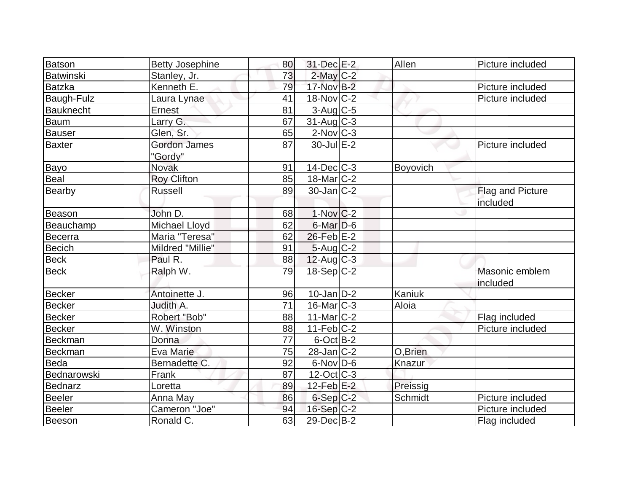| <b>Batson</b>    | <b>Betty Josephine</b>         | 80              | 31-Dec E-2        | Allen    | Picture included           |
|------------------|--------------------------------|-----------------|-------------------|----------|----------------------------|
| <b>Batwinski</b> | Stanley, Jr.                   | 73              | $2$ -May $C-2$    |          |                            |
| <b>Batzka</b>    | Kenneth E.                     | 79              | 17-Nov B-2        |          | Picture included           |
| Baugh-Fulz       | Laura Lynae                    | 41              | $18-Nov$ C-2      |          | Picture included           |
| <b>Bauknecht</b> | Ernest                         | 81              | 3-Aug C-5         |          |                            |
| <b>Baum</b>      | Larry G.                       | 67              | $31-Aug$ C-3      |          |                            |
| <b>Bauser</b>    | Glen, Sr.                      | 65              | $2$ -Nov $C-3$    |          |                            |
| <b>Baxter</b>    | <b>Gordon James</b><br>"Gordy" | 87              | 30-Jul E-2        |          | Picture included           |
| Bayo             | <b>Novak</b>                   | 91              | $14$ -Dec $C-3$   | Boyovich |                            |
| <b>Beal</b>      | <b>Roy Clifton</b>             | 85              | $18$ -Mar $ C-2 $ |          |                            |
| Bearby           | <b>Russell</b>                 | 89              | $30$ -Jan $ C-2 $ |          | Flag and Picture           |
|                  |                                |                 |                   |          | included                   |
| Beason           | John D.                        | 68              | $1-Nov C-2$       |          |                            |
| Beauchamp        | Michael Lloyd                  | 62              | $6$ -Mar $D-6$    |          |                            |
| <b>Becerra</b>   | Maria "Teresa"                 | 62              | $26$ -Feb $E-2$   |          |                            |
| <b>Becich</b>    | Mildred "Millie"               | 91              | $5$ -Aug $C-2$    |          |                            |
| <b>Beck</b>      | Paul R.                        | 88              | $12$ -Aug C-3     |          |                            |
| <b>Beck</b>      | Ralph W.                       | 79              | $18-Sep C-2$      |          | Masonic emblem<br>included |
| <b>Becker</b>    | Antoinette J.                  | 96              | $10$ -Jan $D-2$   | Kaniuk   |                            |
| <b>Becker</b>    | Judith A.                      | 71              | $16$ -Mar $ C-3 $ | Aloia    |                            |
| <b>Becker</b>    | Robert "Bob"                   | 88              | $11$ -Mar $ C-2 $ |          | Flag included              |
| <b>Becker</b>    | W. Winston                     | 88              | $11-Feb$ C-2      |          | Picture included           |
| <b>Beckman</b>   | Donna                          | $\overline{77}$ | $6$ -Oct $B-2$    |          |                            |
| <b>Beckman</b>   | Eva Marie                      | 75              | $28$ -Jan $ C-2 $ | O,Brien  |                            |
| Beda             | Bernadette C.                  | 92              | $6$ -Nov $D$ -6   | Knazur   |                            |
| Bednarowski      | Frank                          | 87              | $12$ -Oct $ C-3 $ |          |                            |
| <b>Bednarz</b>   | Loretta                        | 89              | $12$ -Feb $E-2$   | Preissig |                            |
| <b>Beeler</b>    | Anna May                       | 86              | $6-Sep C-2$       | Schmidt  | Picture included           |
| <b>Beeler</b>    | Cameron "Joe"                  | 94              | $16-Sep C-2$      |          | Picture included           |
| Beeson           | Ronald C.                      | 63              | 29-Dec B-2        |          | Flag included              |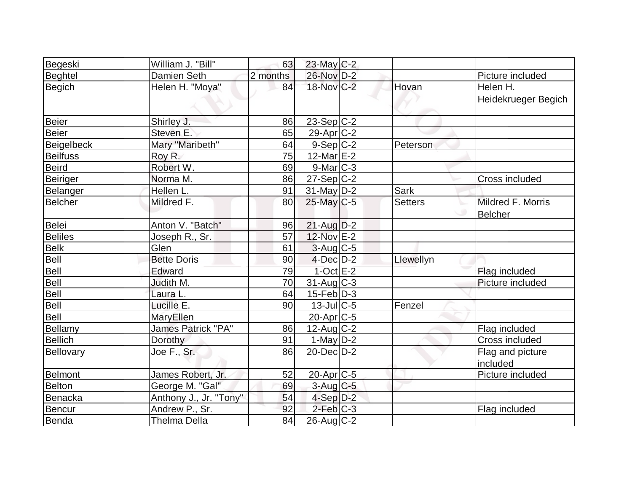| Begeski           | William J. "Bill"         | 63              | 23-May C-2            |                |                                     |
|-------------------|---------------------------|-----------------|-----------------------|----------------|-------------------------------------|
| <b>Beghtel</b>    | <b>Damien Seth</b>        | 2 months        | 26-Nov D-2            |                | Picture included                    |
| <b>Begich</b>     | Helen H. "Moya"           | 84              | 18-Nov C-2            | Hovan          | Helen H.<br>Heidekrueger Begich     |
| <b>Beier</b>      | Shirley J.                | 86              | $23-Sep C-2$          |                |                                     |
| <b>Beier</b>      | Steven E.                 | 65              | 29-Apr <sub>C-2</sub> |                |                                     |
| <b>Beigelbeck</b> | Mary "Maribeth"           | 64              | $9-Sep C-2$           | Peterson       |                                     |
| <b>Beilfuss</b>   | Roy R.                    | 75              | 12-Mar $E-2$          |                |                                     |
| <b>Beird</b>      | Robert W.                 | 69              | $9$ -Mar $C-3$        |                |                                     |
| <b>Beiriger</b>   | Norma M.                  | 86              | 27-Sep C-2            |                | Cross included                      |
| Belanger          | Hellen L.                 | 91              | $31$ -May $ D-2 $     | <b>Sark</b>    |                                     |
| <b>Belcher</b>    | Mildred F.                | 80              | 25-May C-5            | <b>Setters</b> | Mildred F. Morris<br><b>Belcher</b> |
| <b>Belei</b>      | Anton V. "Batch"          | 96              | $21$ -Aug $D-2$       |                |                                     |
| <b>Beliles</b>    | Joseph R., Sr.            | 57              | 12-Nov E-2            |                |                                     |
| <b>Belk</b>       | Glen                      | 61              | $3-Aug$ $C-5$         |                |                                     |
| <b>Bell</b>       | <b>Bette Doris</b>        | 90 <sup>°</sup> | $4$ -Dec $D-2$        | Llewellyn      |                                     |
| <b>Bell</b>       | Edward                    | 79              | $1-Oct$ $E-2$         |                | Flag included                       |
| <b>Bell</b>       | Judith M.                 | 70              | $31$ -Aug C-3         |                | Picture included                    |
| <b>Bell</b>       | Laura L.                  | 64              | $15$ -Feb $ D-3 $     |                |                                     |
| <b>Bell</b>       | Lucille E.                | 90              | $13$ -JulC-5          | Fenzel         |                                     |
| <b>Bell</b>       | MaryEllen                 |                 | 20-Apr <sub>C-5</sub> |                |                                     |
| <b>Bellamy</b>    | <b>James Patrick "PA"</b> | 86              | $12$ -Aug $C$ -2      |                | Flag included                       |
| <b>Bellich</b>    | Dorothy                   | 91              | $1-May$ D-2           |                | <b>Cross included</b>               |
| <b>Bellovary</b>  | Joe F., Sr.               | 86              | $20$ -Dec $D-2$       |                | Flag and picture<br>lincluded       |
| <b>Belmont</b>    | James Robert, Jr.         | 52              | 20-Apr C-5            |                | Picture included                    |
| <b>Belton</b>     | George M. "Gal"           | 69              | $3$ -Aug $C$ -5       |                |                                     |
| <b>Benacka</b>    | Anthony J., Jr. "Tony"    | 54              | $4-Sep D-2$           |                |                                     |
| <b>Bencur</b>     | Andrew P., Sr.            | 92              | $2$ -Feb $C-3$        |                | Flag included                       |
| Benda             | <b>Thelma Della</b>       | 84              | 26-Aug C-2            |                |                                     |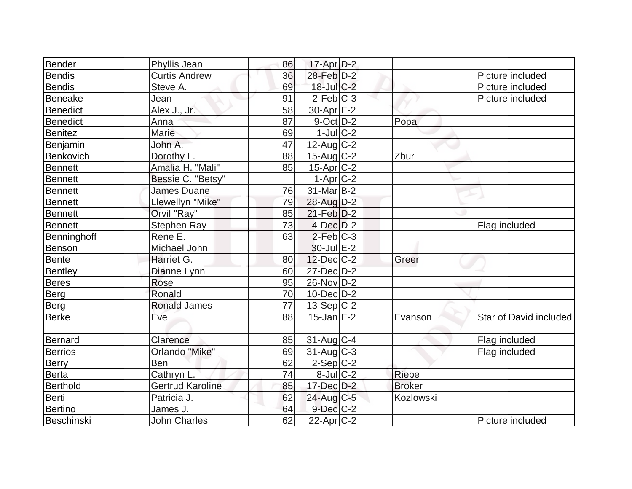| Bender          | Phyllis Jean            | 86 | 17-Apr D-2        |               |                        |
|-----------------|-------------------------|----|-------------------|---------------|------------------------|
| <b>Bendis</b>   | <b>Curtis Andrew</b>    | 36 | 28-Feb D-2        |               | Picture included       |
| Bendis          | Steve A.                | 69 | 18-Jul C-2        |               | Picture included       |
| Beneake         | Jean                    | 91 | $2$ -Feb $ C-3 $  |               | Picture included       |
| Benedict        | Alex J., Jr.            | 58 | $30$ -Apr $E-2$   |               |                        |
| <b>Benedict</b> | Anna                    | 87 | 9-Oct D-2         | Popa          |                        |
| <b>Benitez</b>  | Marie                   | 69 | $1$ -Jul $C-2$    |               |                        |
| Benjamin        | John A.                 | 47 | $12$ -Aug C-2     |               |                        |
| Benkovich       | Dorothy L.              | 88 | $15$ -Aug C-2     | Zbur          |                        |
| <b>Bennett</b>  | Amalia H. "Mali"        | 85 | $15$ -Apr $ C-2 $ |               |                        |
| Bennett         | Bessie C. "Betsy"       |    | $1-Apr$ $C-2$     |               |                        |
| Bennett         | James Duane             | 76 | 31-Mar B-2        |               |                        |
| <b>Bennett</b>  | Llewellyn "Mike"        | 79 | 28-Aug D-2        |               |                        |
| <b>Bennett</b>  | Orvil "Ray"             | 85 | $21$ -Feb $D-2$   |               |                        |
| Bennett         | <b>Stephen Ray</b>      | 73 | $4$ -Dec $D-2$    |               | Flag included          |
| Benninghoff     | Rene E.                 | 63 | $2$ -Feb $ C-3$   |               |                        |
| Benson          | Michael John            |    | $30$ -Jul $E-2$   |               |                        |
| Bente           | Harriet G.              | 80 | $12$ -Dec $C$ -2  | Greer         |                        |
| Bentley         | Dianne Lynn             | 60 | 27-Dec D-2        |               |                        |
| <b>Beres</b>    | Rose                    | 95 | 26-Nov D-2        |               |                        |
| Berg            | Ronald                  | 70 | $10$ -Dec $D-2$   |               |                        |
| Berg            | <b>Ronald James</b>     | 77 | $13-Sep C-2$      |               |                        |
| <b>Berke</b>    | Eve                     | 88 | $15$ -Jan $E-2$   | Evanson       | Star of David included |
| Bernard         | Clarence                | 85 | $31$ -Aug C-4     |               | Flag included          |
| <b>Berrios</b>  | Orlando "Mike"          | 69 | $31$ -Aug C-3     |               | Flag included          |
| <b>Berry</b>    | Ben                     | 62 | $2-Sep C-2$       |               |                        |
| Berta           | Cathryn L.              | 74 | $8$ -Jul $C-2$    | Riebe         |                        |
| Berthold        | <b>Gertrud Karoline</b> | 85 | 17-Dec D-2        | <b>Broker</b> |                        |
| Berti           | Patricia J.             | 62 | $24$ -Aug $C-5$   | Kozlowski     |                        |
| <b>Bertino</b>  | James J.                | 64 | $9$ -Dec $C-2$    |               |                        |
| Beschinski      | <b>John Charles</b>     | 62 | $22$ -Apr $ C-2 $ |               | Picture included       |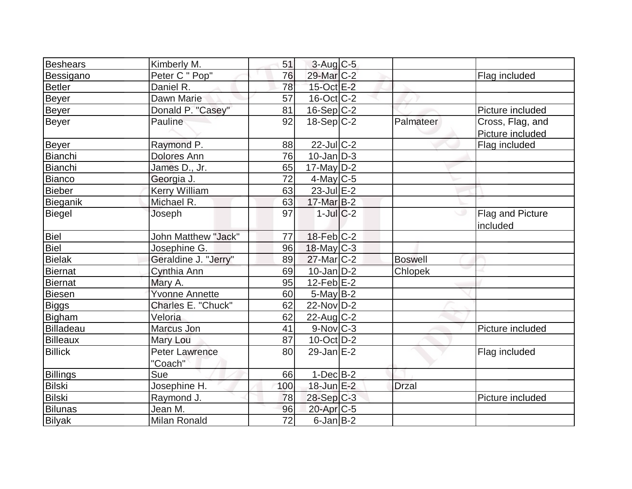| <b>Beshears</b> | Kimberly M.                      | 51  | $3-Aug$ <sub>C-5</sub> |                |                                      |
|-----------------|----------------------------------|-----|------------------------|----------------|--------------------------------------|
| Bessigano       | Peter C " Pop"                   | 76  | 29-Mar <sub>C-2</sub>  |                | Flag included                        |
| <b>Betler</b>   | Daniel R.                        | 78  | 15-Oct E-2             |                |                                      |
| Beyer           | Dawn Marie                       | 57  | $16$ -Oct $ C-2 $      |                |                                      |
| Beyer           | Donald P. "Casey"                | 81  | $16-Sep$ $C-2$         |                | Picture included                     |
| <b>Beyer</b>    | Pauline                          | 92  | 18-Sep C-2             | Palmateer      | Cross, Flag, and<br>Picture included |
| Beyer           | Raymond P.                       | 88  | 22-Jul C-2             |                | Flag included                        |
| Bianchi         | <b>Dolores Ann</b>               | 76  | $10$ -Jan $ D-3 $      |                |                                      |
| Bianchi         | James D., Jr.                    | 65  | $17$ -May D-2          |                |                                      |
| <b>Bianco</b>   | Georgia J.                       | 72  | $4$ -May C-5           |                |                                      |
| <b>Bieber</b>   | <b>Kerry William</b>             | 63  | $23$ -Jul $E-2$        |                |                                      |
| Bieganik        | Michael R.                       | 63  | 17-Mar B-2             |                |                                      |
| Biegel          | Joseph                           | 97  | $1$ -Jul $C$ -2        |                | Flag and Picture<br>included         |
| Biel            | <b>John Matthew "Jack"</b>       | 77  | 18-Feb C-2             |                |                                      |
| Biel            | Josephine G.                     | 96  | 18-May C-3             |                |                                      |
| <b>Bielak</b>   | Geraldine J. "Jerry"             | 89  | $27$ -Mar $C-2$        | <b>Boswell</b> |                                      |
| <b>Biernat</b>  | Cynthia Ann                      | 69  | $10$ -Jan $D-2$        | Chlopek        |                                      |
| Biernat         | Mary A.                          | 95  | $12$ -Feb $E-2$        |                |                                      |
| Biesen          | <b>Yvonne Annette</b>            | 60  | $5$ -May B-2           |                |                                      |
| Biggs           | Charles E. "Chuck"               | 62  | $22$ -Nov $D-2$        |                |                                      |
| Bigham          | Veloria                          | 62  | $22$ -Aug C-2          |                |                                      |
| Billadeau       | Marcus Jon                       | 41  | $9-Nov$ <sub>C-3</sub> |                | Picture included                     |
| Billeaux        | Mary Lou                         | 87  | $10$ -Oct $ D-2 $      |                |                                      |
| <b>Billick</b>  | <b>Peter Lawrence</b><br>"Coach" | 80  | $29$ -Jan $E-2$        |                | Flag included                        |
| <b>Billings</b> | Sue                              | 66  | $1-Dec B-2$            |                |                                      |
| <b>Bilski</b>   | Josephine H.                     | 100 | 18-Jun E-2             | <b>Drzal</b>   |                                      |
| Bilski          | Raymond J.                       | 78  | 28-Sep C-3             |                | Picture included                     |
| <b>Bilunas</b>  | Jean M.                          | 96  | 20-Apr <sub>IC-5</sub> |                |                                      |
| <b>Bilyak</b>   | <b>Milan Ronald</b>              | 72  | $6$ -Jan $B$ -2        |                |                                      |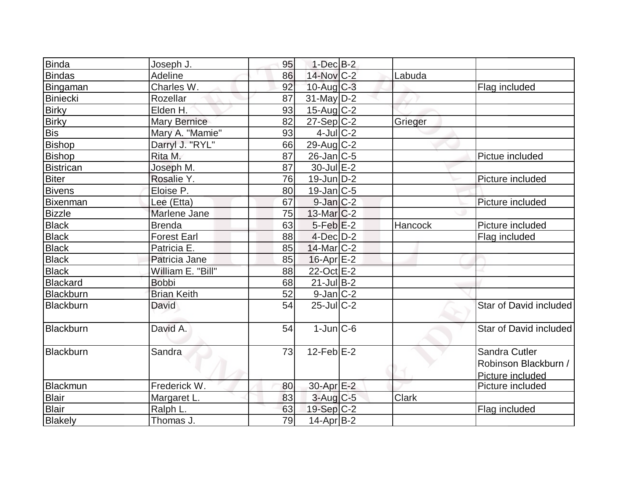| <b>Binda</b>     | Joseph J.           | 95 | $1-Dec$ B-2       |              |                        |
|------------------|---------------------|----|-------------------|--------------|------------------------|
| <b>Bindas</b>    | <b>Adeline</b>      | 86 | $14$ -Nov $ C-2 $ | Labuda       |                        |
| Bingaman         | Charles W.          | 92 | $10$ -Aug $C-3$   |              | Flag included          |
| Biniecki         | Rozellar            | 87 | $31$ -May D-2     |              |                        |
| <b>Birky</b>     | Elden H.            | 93 | $15$ -Aug C-2     |              |                        |
| <b>Birky</b>     | <b>Mary Bernice</b> | 82 | $27-Sep C-2$      | Grieger      |                        |
| <b>Bis</b>       | Mary A. "Mamie"     | 93 | $4$ -Jul $C-2$    |              |                        |
| <b>Bishop</b>    | Darryl J. "RYL"     | 66 | $29$ -Aug C-2     |              |                        |
| Bishop           | Rita M.             | 87 | $26$ -Jan $ C-5 $ |              | Pictue included        |
| <b>Bistrican</b> | Joseph M.           | 87 | $30$ -Jul $E-2$   |              |                        |
| <b>Biter</b>     | Rosalie Y.          | 76 | $19$ -Jun $ D-2 $ |              | Picture included       |
| <b>Bivens</b>    | Eloise P.           | 80 | $19$ -Jan $ C-5$  |              |                        |
| Bixenman         | Lee (Etta)          | 67 | $9$ -Jan $ C-2 $  |              | Picture included       |
| <b>Bizzle</b>    | Marlene Jane        | 75 | $13$ -Mar $ C-2 $ |              |                        |
| <b>Black</b>     | <b>Brenda</b>       | 63 | $5$ -Feb $E-2$    | Hancock      | Picture included       |
| <b>Black</b>     | <b>Forest Earl</b>  | 88 | $4$ -Dec $D-2$    |              | Flag included          |
| <b>Black</b>     | Patricia E.         | 85 | 14-Mar C-2        |              |                        |
| <b>Black</b>     | Patricia Jane       | 85 | $16$ -Apr $E-2$   |              |                        |
| <b>Black</b>     | William E. "Bill"   | 88 | 22-Oct E-2        |              |                        |
| <b>Blackard</b>  | <b>Bobbi</b>        | 68 | $21$ -Jul B-2     |              |                        |
| Blackburn        | <b>Brian Keith</b>  | 52 | $9$ -Jan $ C-2 $  |              |                        |
| Blackburn        | David               | 54 | $25$ -Jul $C-2$   |              | Star of David included |
| Blackburn        | David A.            | 54 | $1$ -Jun $C$ -6   |              | Star of David included |
| Blackburn        | Sandra              | 73 | $12$ -Feb $E-2$   |              | Sandra Cutler          |
|                  |                     |    |                   |              | Robinson Blackburn /   |
|                  |                     |    |                   |              | Picture included       |
| <b>Blackmun</b>  | Frederick W.        | 80 | 30-Apr E-2        |              | Picture included       |
| <b>Blair</b>     | Margaret L.         | 83 | $3$ -Aug C-5      | <b>Clark</b> |                        |
| <b>Blair</b>     | Ralph L.            | 63 | $19-Sep C-2$      |              | Flag included          |
| Blakely          | Thomas J.           | 79 | 14-Apr B-2        |              |                        |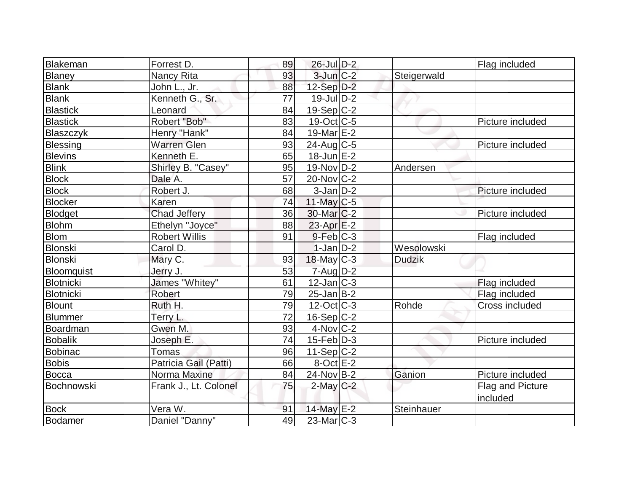| Blakeman        | Forrest D.            | 89 | 26-Jul D-2               |               | Flag included    |
|-----------------|-----------------------|----|--------------------------|---------------|------------------|
| Blaney          | Nancy Rita            | 93 | $3$ -Jun $C-2$           | Steigerwald   |                  |
| <b>Blank</b>    | John L., Jr.          | 88 | $12-Sep D-2$             |               |                  |
| <b>Blank</b>    | Kenneth G., Sr.       | 77 | $19$ -Jul $D-2$          |               |                  |
| <b>Blastick</b> | Leonard               | 84 | $19-Sep C-2$             |               |                  |
| <b>Blastick</b> | Robert "Bob"          | 83 | $19-Oct$ $C-5$           |               | Picture included |
| Blaszczyk       | Henry "Hank"          | 84 | 19-Mar E-2               |               |                  |
| Blessing        | <b>Warren Glen</b>    | 93 | $24$ -Aug C-5            |               | Picture included |
| <b>Blevins</b>  | Kenneth E.            | 65 | $18$ -Jun $E-2$          |               |                  |
| <b>Blink</b>    | Shirley B. "Casey"    | 95 | $19-Nov D-2$             | Andersen      |                  |
| <b>Block</b>    | Dale A.               | 57 | 20-Nov C-2               |               |                  |
| <b>Block</b>    | Robert J.             | 68 | $3$ -Jan $D-2$           |               | Picture included |
| <b>Blocker</b>  | Karen                 | 74 | $11$ -May C-5            |               |                  |
| Blodget         | <b>Chad Jeffery</b>   | 36 | 30-Mar <sub>IC</sub> -2  |               | Picture included |
| <b>Blohm</b>    | Ethelyn "Joyce"       | 88 | $23$ -Apr $E-2$          |               |                  |
| <b>Blom</b>     | <b>Robert Willis</b>  | 91 | $9$ -Feb $C-3$           |               | Flag included    |
| <b>Blonski</b>  | Carol D.              |    | $1-Jan D-2$              | Wesolowski    |                  |
| Blonski         | Mary C.               | 93 | $18$ -May C-3            | <b>Dudzik</b> |                  |
| Bloomquist      | Jerry J.              | 53 | $7 - Aug$ $D-2$          |               |                  |
| Blotnicki       | James "Whitey"        | 61 | $12$ -Jan $ C-3 $        |               | Flag included    |
| Blotnicki       | <b>Robert</b>         | 79 | $25$ -Jan B-2            |               | Flag included    |
| Blount          | Ruth H.               | 79 | $12-Oct$ <sub>C</sub> -3 | Rohde         | Cross included   |
| Blummer         | Terry L.              | 72 | $16-Sep C-2$             |               |                  |
| Boardman        | Gwen M.               | 93 | $4$ -Nov $ C-2 $         |               |                  |
| <b>Bobalik</b>  | Joseph E.             | 74 | $15$ -Feb $ D-3 $        |               | Picture included |
| <b>Bobinac</b>  | Tomas                 | 96 | 11-Sep C-2               |               |                  |
| <b>Bobis</b>    | Patricia Gail (Patti) | 66 | $8$ -Oct $E-2$           |               |                  |
| <b>Bocca</b>    | Norma Maxine          | 84 | $24$ -Nov B-2            | Ganion        | Picture included |
| Bochnowski      | Frank J., Lt. Colonel | 75 | $2$ -May $C-2$           |               | Flag and Picture |
|                 |                       |    |                          |               | included         |
| <b>Bock</b>     | Vera W.               | 91 | 14-May E-2               | Steinhauer    |                  |
| Bodamer         | Daniel "Danny"        | 49 | $23$ -Mar $C-3$          |               |                  |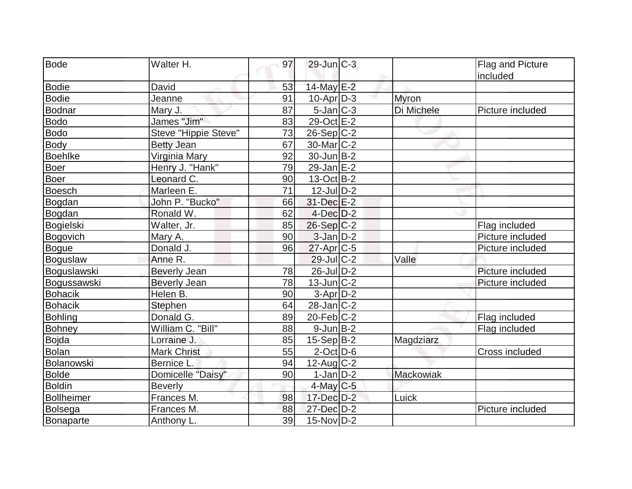| <b>Bode</b>       | Walter H.            | 97 | $29$ -Jun $C-3$   |              | Flag and Picture |
|-------------------|----------------------|----|-------------------|--------------|------------------|
|                   |                      |    |                   |              | included         |
| <b>Bodie</b>      | David                | 53 | 14-May E-2        |              |                  |
| <b>Bodie</b>      | Jeanne               | 91 | $10$ -Apr $ D-3 $ | <b>Myron</b> |                  |
| <b>Bodnar</b>     | Mary J.              | 87 | $5$ -Jan $C-3$    | Di Michele   | Picture included |
| <b>Bodo</b>       | James "Jim"          | 83 | 29-Oct E-2        |              |                  |
| <b>Bodo</b>       | Steve "Hippie Steve" | 73 | $26-Sep C-2$      |              |                  |
| Body              | <b>Betty Jean</b>    | 67 | $30$ -Mar $ C-2 $ |              |                  |
| <b>Boehlke</b>    | Virginia Mary        | 92 | $30$ -Jun $ B-2 $ |              |                  |
| Boer              | Henry J. "Hank"      | 79 | $29$ -Jan $E-2$   |              |                  |
| <b>Boer</b>       | Leonard C.           | 90 | $13-Oct$ B-2      |              |                  |
| <b>Boesch</b>     | Marleen E.           | 71 | $12$ -Jul $D-2$   |              |                  |
| Bogdan            | John P. "Bucko"      | 66 | 31-Dec E-2        |              |                  |
| Bogdan            | Ronald W.            | 62 | $4$ -Dec $D-2$    |              |                  |
| Bogielski         | Walter, Jr.          | 85 | $26-Sep C-2$      |              | Flag included    |
| <b>Bogovich</b>   | Mary A.              | 90 | $3$ -Jan $D-2$    |              | Picture included |
| <b>Bogue</b>      | Donald J.            | 96 | $27$ -Apr $ C$ -5 |              | Picture included |
| Boguslaw          | Anne R.              |    | $29$ -Jul $C-2$   | Valle        |                  |
| Boguslawski       | <b>Beverly Jean</b>  | 78 | 26-Jul D-2        |              | Picture included |
| Bogussawski       | <b>Beverly Jean</b>  | 78 | $13$ -Jun $C-2$   |              | Picture included |
| <b>Bohacik</b>    | Helen B.             | 90 | $3-Apr D-2$       |              |                  |
| <b>Bohacik</b>    | <b>Stephen</b>       | 64 | $28$ -Jan $C-2$   |              |                  |
| <b>Bohling</b>    | Donald G.            | 89 | $20$ -Feb $ C-2 $ |              | Flag included    |
| <b>Bohney</b>     | William C. "Bill"    | 88 | $9$ -Jun $B-2$    |              | Flag included    |
| <b>Bojda</b>      | Lorraine J.          | 85 | $15-Sep B-2$      | Magdziarz    |                  |
| <b>Bolan</b>      | <b>Mark Christ</b>   | 55 | $2$ -Oct $D$ -6   |              | Cross included   |
| Bolanowski        | Bernice L.           | 94 | $12$ -Aug $C-2$   |              |                  |
| <b>Bolde</b>      | Domicelle "Daisy"    | 90 | $1-Jan D-2$       | Mackowiak    |                  |
| <b>Boldin</b>     | <b>Beverly</b>       |    | $4$ -May C-5      |              |                  |
| <b>Bollheimer</b> | Frances M.           | 98 | 17-Dec D-2        | Luick        |                  |
| Bolsega           | Frances M.           | 88 | 27-Dec D-2        |              | Picture included |
| Bonaparte         | Anthony L.           | 39 | $15$ -Nov $ D-2 $ |              |                  |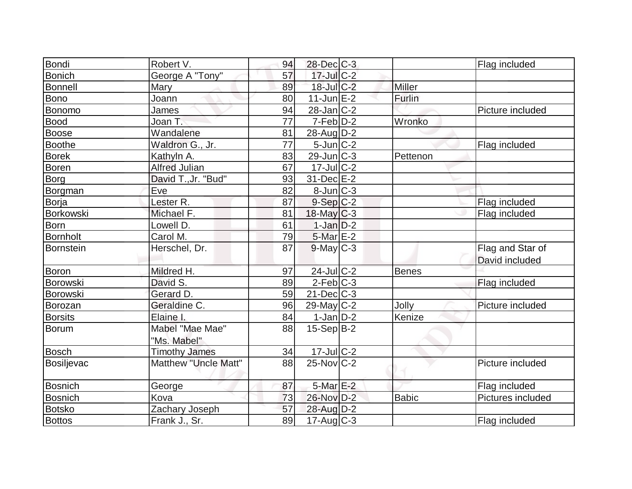| Bondi           | Robert V.                   | 94              | 28-Dec C-3        |               | Flag included     |
|-----------------|-----------------------------|-----------------|-------------------|---------------|-------------------|
| Bonich          | <b>George A "Tony"</b>      | 57              | $17$ -Jul $C-2$   |               |                   |
| <b>Bonnell</b>  | Mary                        | 89              | 18-Jul C-2        | <b>Miller</b> |                   |
| Bono            | Joann                       | 80              | $11$ -Jun $E-2$   | Furlin        |                   |
| Bonomo          | <b>James</b>                | 94              | $28$ -Jan $ C-2 $ |               | Picture included  |
| Bood            | Joan T.                     | 77              | $7-Feb$ D-2       | Wronko        |                   |
| Boose           | Wandalene                   | 81              | 28-Aug D-2        |               |                   |
| Boothe          | Waldron G., Jr.             | $\overline{77}$ | $5$ -Jun $C-2$    |               | Flag included     |
| <b>Borek</b>    | Kathyln A.                  | 83              | $29$ -Jun $C-3$   | Pettenon      |                   |
| <b>Boren</b>    | <b>Alfred Julian</b>        | 67              | $17$ -Jul $C-2$   |               |                   |
| Borg            | David T., Jr. "Bud"         | 93              | 31-Dec E-2        |               |                   |
| Borgman         | Eve                         | 82              | $8$ -Jun $C-3$    |               |                   |
| Borja           | Lester R.                   | 87              | $9-Sep C-2$       |               | Flag included     |
| Borkowski       | Michael F.                  | 81              | $18$ -May C-3     |               | Flag included     |
| Born            | Lowell D.                   | 61              | $1-Jan$ $D-2$     |               |                   |
| <b>Bornholt</b> | Carol M.                    | 79              | $5$ -Mar $E-2$    |               |                   |
| Bornstein       | Herschel, Dr.               | 87              | $9$ -May $C-3$    |               | Flag and Star of  |
|                 |                             |                 |                   |               | David included    |
| Boron           | Mildred H.                  | 97              | 24-Jul C-2        | <b>Benes</b>  |                   |
| Borowski        | David S.                    | 89              | $2-Feb$ $C-3$     |               | Flag included     |
| Borowski        | Gerard D.                   | 59              | $21$ -Dec $C-3$   |               |                   |
| Borozan         | Geraldine C.                | 96              | 29-May C-2        | Jolly         | Picture included  |
| <b>Borsits</b>  | Elaine I.                   | 84              | $1-Jan$ D-2       | Kenize        |                   |
| Borum           | Mabel "Mae Mae"             | 88              | $15-Sep B-2$      |               |                   |
|                 | "Ms. Mabel"                 |                 |                   |               |                   |
| <b>Bosch</b>    | <b>Timothy James</b>        | 34              | 17-Jul C-2        |               |                   |
| Bosiljevac      | <b>Matthew "Uncle Matt"</b> | 88              | $25$ -Nov $C-2$   |               | Picture included  |
|                 |                             |                 |                   |               |                   |
| <b>Bosnich</b>  | George                      | 87              | $5-MarE-2$        |               | Flag included     |
| <b>Bosnich</b>  | Kova                        | 73              | 26-Nov D-2        | <b>Babic</b>  | Pictures included |
| <b>Botsko</b>   | Zachary Joseph              | 57              | 28-Aug D-2        |               |                   |
| <b>Bottos</b>   | Frank J., Sr.               | 89              | $17$ -Aug C-3     |               | Flag included     |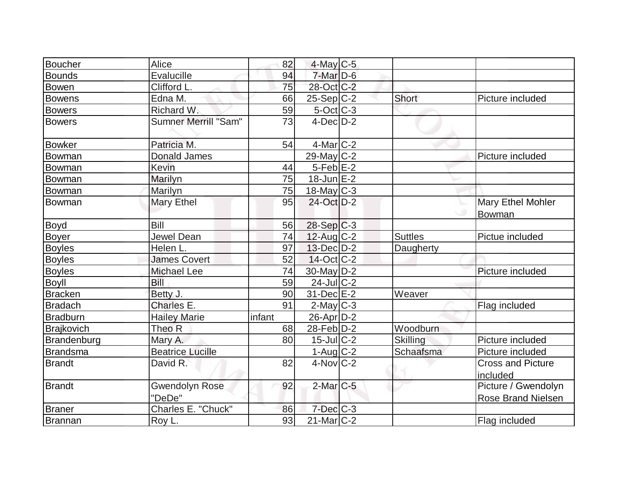| Boucher         | Alice                           | 82     | $4$ -May C-5     |                 |                                                  |
|-----------------|---------------------------------|--------|------------------|-----------------|--------------------------------------------------|
| <b>Bounds</b>   | Evalucille                      | 94     | $7$ -Mar $D-6$   |                 |                                                  |
| <b>Bowen</b>    | Clifford L.                     | 75     | 28-Oct C-2       |                 |                                                  |
| Bowens          | Edna M.                         | 66     | $25-Sep C-2$     | Short           | Picture included                                 |
| <b>Bowers</b>   | Richard W.                      | 59     | $5$ -Oct $C$ -3  |                 |                                                  |
| <b>Bowers</b>   | Sumner Merrill "Sam"            | 73     | $4$ -Dec $D-2$   |                 |                                                  |
| Bowker          | Patricia M.                     | 54     | $4$ -Mar $ C-2$  |                 |                                                  |
| Bowman          | <b>Donald James</b>             |        | 29-May C-2       |                 | Picture included                                 |
| Bowman          | Kevin                           | 44     | $5-Feb$ $E-2$    |                 |                                                  |
| Bowman          | Marilyn                         | 75     | $18$ -Jun $E-2$  |                 |                                                  |
| Bowman          | Marilyn                         | 75     | $18$ -May C-3    |                 |                                                  |
| Bowman          | Mary Ethel                      | 95     | 24-Oct D-2       |                 | Mary Ethel Mohler<br>Bowman                      |
| Boyd            | Bill                            | 56     | 28-Sep C-3       |                 |                                                  |
| Boyer           | Jewel Dean                      | 74     | $12$ -Aug C-2    | <b>Suttles</b>  | Pictue included                                  |
| <b>Boyles</b>   | Helen L.                        | 97     | $13$ -Dec $D-2$  | Daugherty       |                                                  |
| <b>Boyles</b>   | <b>James Covert</b>             | 52     | $14$ -Oct C-2    |                 |                                                  |
| <b>Boyles</b>   | Michael Lee                     | 74     | 30-May D-2       |                 | Picture included                                 |
| <b>Boyll</b>    | Bill                            | 59     | $24$ -Jul $C-2$  |                 |                                                  |
| <b>Bracken</b>  | Betty J.                        | 90     | 31-Dec E-2       | Weaver          |                                                  |
| <b>Bradach</b>  | Charles E.                      | 91     | $2$ -May $C-3$   |                 | Flag included                                    |
| <b>Bradburn</b> | <b>Hailey Marie</b>             | infant | $26$ -Apr $D-2$  |                 |                                                  |
| Brajkovich      | Theo R                          | 68     | $28$ -Feb $D-2$  | Woodburn        |                                                  |
| Brandenburg     | Mary A.                         | 80     | $15$ -Jul $C-2$  | <b>Skilling</b> | Picture included                                 |
| <b>Brandsma</b> | <b>Beatrice Lucille</b>         |        | $1-Aug$ $C-2$    | Schaafsma       | Picture included                                 |
| <b>Brandt</b>   | David R.                        | 82     | $4$ -Nov $ C-2 $ |                 | <b>Cross and Picture</b><br>included             |
| Brandt          | <b>Gwendolyn Rose</b><br>"DeDe" | 92     | $2$ -Mar $C$ -5  |                 | Picture / Gwendolyn<br><b>Rose Brand Nielsen</b> |
| <b>Braner</b>   | Charles E. "Chuck"              | 86     | $7$ -Dec $C$ -3  |                 |                                                  |
| Brannan         | Roy L.                          | 93     | $21$ -Mar $C-2$  |                 | Flag included                                    |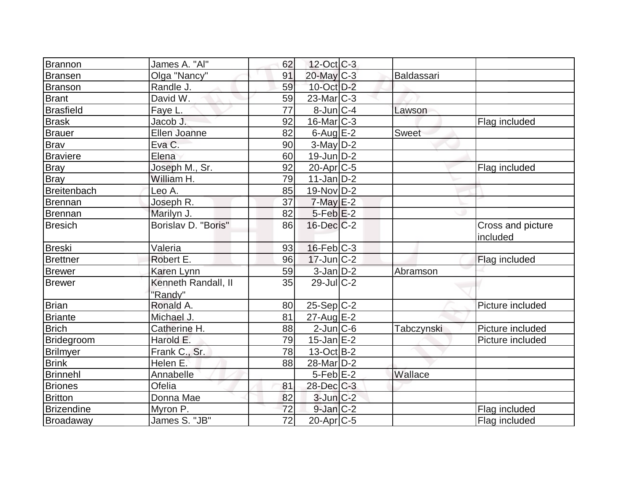| Brannon          | James A. "Al"                  | 62              | 12-Oct C-3        |            |                               |
|------------------|--------------------------------|-----------------|-------------------|------------|-------------------------------|
| Bransen          | Olga "Nancy"                   | 91              | $20$ -May C-3     | Baldassari |                               |
| Branson          | Randle J.                      | 59              | 10-Oct D-2        |            |                               |
| <b>Brant</b>     | David W.                       | 59              | $23$ -Mar $ C-3 $ |            |                               |
| <b>Brasfield</b> | Faye L.                        | 77              | 8-Jun C-4         | Lawson     |                               |
| <b>Brask</b>     | Jacob J.                       | 92              | $16$ -Mar $C-3$   |            | Flag included                 |
| <b>Brauer</b>    | Ellen Joanne                   | 82              | $6$ -Aug $E-2$    | Sweet      |                               |
| Brav             | Eva C.                         | 90              | $3$ -May $D-2$    |            |                               |
| <b>Braviere</b>  | Elena                          | 60              | $19$ -Jun $D-2$   |            |                               |
| <b>Bray</b>      | Joseph M., Sr.                 | 92              | $20$ -Apr $C$ -5  |            | Flag included                 |
| <b>Bray</b>      | William H.                     | 79              | $11$ -Jan D-2     |            |                               |
| Breitenbach      | Leo A.                         | 85              | $19-Nov D-2$      |            |                               |
| Brennan          | Joseph R.                      | 37              | $7$ -May $E-2$    |            |                               |
| Brennan          | Marilyn J.                     | 82              | $5-Feb$ $E-2$     |            |                               |
| <b>Bresich</b>   | Borislav D. "Boris"            | 86              | $16$ -Dec $C-2$   |            | Cross and picture<br>included |
| <b>Breski</b>    | Valeria                        | 93              | $16$ -Feb $ C-3 $ |            |                               |
| <b>Brettner</b>  | Robert E.                      | 96              | $17$ -Jun $ C-2 $ |            | Flag included                 |
| <b>Brewer</b>    | Karen Lynn                     | 59              | $3$ -Jan $D-2$    | Abramson   |                               |
| <b>Brewer</b>    | Kenneth Randall, II<br>"Randy" | 35              | $29$ -Jul C-2     |            |                               |
| <b>Brian</b>     | Ronald A.                      | 80              | $25-Sep C-2$      |            | Picture included              |
| <b>Briante</b>   | Michael J.                     | 81              | $27$ -Aug $E-2$   |            |                               |
| <b>Brich</b>     | Catherine H.                   | 88              | $2$ -Jun $ C$ -6  | Tabczynski | Picture included              |
| Bridegroom       | Harold E.                      | 79              | $15$ -Jan $E-2$   |            | Picture included              |
| <b>Brilmyer</b>  | Frank C., Sr.                  | 78              | $13-Oct$ B-2      |            |                               |
| <b>Brink</b>     | Helen E.                       | 88              | $28$ -Mar $D-2$   |            |                               |
| <b>Brinnehl</b>  | Annabelle                      |                 | $5$ -Feb $E-2$    | Wallace    |                               |
| <b>Briones</b>   | Ofelia                         | 81              | 28-Dec C-3        |            |                               |
| <b>Britton</b>   | Donna Mae                      | 82              | $3$ -Jun $C-2$    |            |                               |
| Brizendine       | Myron P.                       | 72              | $9$ -Jan $C-2$    |            | Flag included                 |
| Broadaway        | James S. "JB"                  | $\overline{72}$ | $20$ -Apr $ C$ -5 |            | Flag included                 |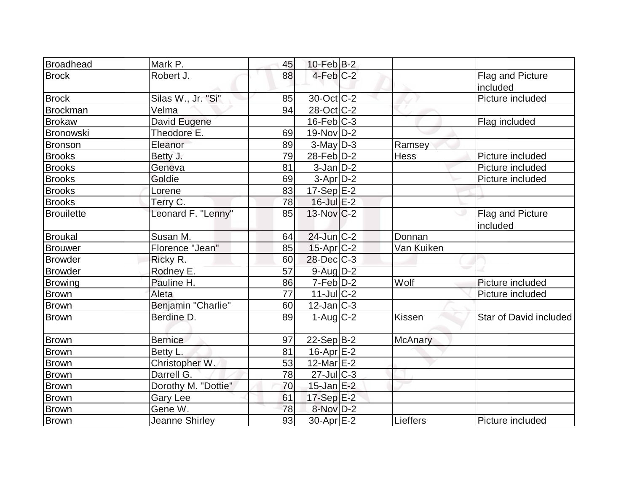| <b>Broadhead</b>  | Mark P.             | 45 | $10$ -Feb $B-2$          |                |                              |
|-------------------|---------------------|----|--------------------------|----------------|------------------------------|
| <b>Brock</b>      | Robert J.           | 88 | $4$ -Feb $C-2$           |                | Flag and Picture<br>included |
| <b>Brock</b>      | Silas W., Jr. "Si"  | 85 | 30-Oct C-2               |                | Picture included             |
| <b>Brockman</b>   | Velma               | 94 | 28-Oct C-2               |                |                              |
| <b>Brokaw</b>     | David Eugene        |    | $16$ -Feb $ C-3 $        |                | Flag included                |
| Bronowski         | Theodore E.         | 69 | $19-Nov D-2$             |                |                              |
| <b>Bronson</b>    | Eleanor             | 89 | $3$ -May $D-3$           | Ramsey         |                              |
| <b>Brooks</b>     | Betty J.            | 79 | 28-Feb D-2               | <b>Hess</b>    | Picture included             |
| <b>Brooks</b>     | Geneva              | 81 | $3-Jan$ D-2              |                | Picture included             |
| <b>Brooks</b>     | Goldie              | 69 | $3-Apr D-2$              |                | Picture included             |
| <b>Brooks</b>     | Lorene              | 83 | $17-Sep$ $E-2$           |                |                              |
| <b>Brooks</b>     | Terry C.            | 78 | 16-Jul E-2               |                |                              |
| <b>Brouilette</b> | Leonard F. "Lenny"  | 85 | $13-Nov$ <sub>C</sub> -2 |                | Flag and Picture<br>included |
| <b>Broukal</b>    | Susan M.            | 64 | 24-Jun C-2               | Donnan         |                              |
| <b>Brouwer</b>    | Florence "Jean"     | 85 | $15$ -Apr $ C-2 $        | Van Kuiken     |                              |
| <b>Browder</b>    | Ricky R.            | 60 | $28$ -Dec $C-3$          |                |                              |
| <b>Browder</b>    | Rodney E.           | 57 | $9$ -Aug $D-2$           |                |                              |
| <b>Browing</b>    | Pauline H.          | 86 | $7-Feb$ D-2              | Wolf           | Picture included             |
| Brown             | Aleta               | 77 | $11$ -Jul $C-2$          |                | Picture included             |
| Brown             | Benjamin "Charlie"  | 60 | $12$ -Jan $C-3$          |                |                              |
| <b>Brown</b>      | Berdine D.          | 89 | $1-Aug$ $C-2$            | <b>Kissen</b>  | Star of David included       |
| Brown             | <b>Bernice</b>      | 97 | $22-Sep B-2$             | <b>McAnary</b> |                              |
| <b>Brown</b>      | Betty L.            | 81 | $16$ -Apr $E-2$          |                |                              |
| <b>Brown</b>      | Christopher W.      | 53 | 12-Mar $E-2$             |                |                              |
| <b>Brown</b>      | Darrell G.          | 78 | $27$ -Jul $C-3$          |                |                              |
| <b>Brown</b>      | Dorothy M. "Dottie" | 70 | $15$ -Jan $E-2$          |                |                              |
| <b>Brown</b>      | Gary Lee            | 61 | $17-Sep$ $E-2$           |                |                              |
| <b>Brown</b>      | Gene W.             | 78 | 8-Nov D-2                |                |                              |
| <b>Brown</b>      | Jeanne Shirley      | 93 | $30$ -Apr $E-2$          | Lieffers       | Picture included             |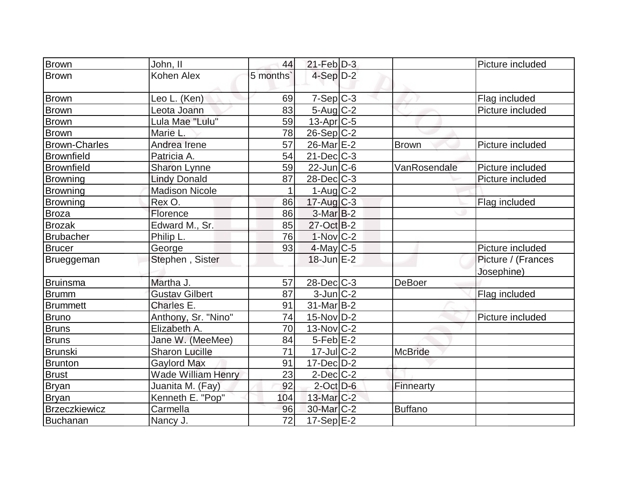| <b>Brown</b>         | John, II                  | 44       | $21$ -Feb $D-3$        |                | Picture included   |
|----------------------|---------------------------|----------|------------------------|----------------|--------------------|
| <b>Brown</b>         | Kohen Alex                | 5 months | $4-Sep$ D-2            |                |                    |
|                      |                           |          |                        |                |                    |
| <b>Brown</b>         | Leo L. (Ken)              | 69       | $7-Sep C-3$            |                | Flag included      |
| Brown                | Leota Joann               | 83       | $5 - Aug$ $C-2$        |                | Picture included   |
| Brown                | Lula Mae "Lulu"           | 59       | $13-Apr$ $C-5$         |                |                    |
| <b>Brown</b>         | Marie L.                  | 78       | $26-Sep C-2$           |                |                    |
| <b>Brown-Charles</b> | Andrea Irene              | 57       | 26-Mar E-2             | <b>Brown</b>   | Picture included   |
| <b>Brownfield</b>    | Patricia A.               | 54       | $21$ -Dec $C$ -3       |                |                    |
| <b>Brownfield</b>    | Sharon Lynne              | 59       | $22$ -Jun $C$ -6       | VanRosendale   | Picture included   |
| Browning             | <b>Lindy Donald</b>       | 87       | $28$ -Dec $C-3$        |                | Picture included   |
| Browning             | <b>Madison Nicole</b>     | 1        | $1-Aug$ $C-2$          |                |                    |
| Browning             | Rex O.                    | 86       | $17$ -Aug C-3          |                | Flag included      |
| <b>Broza</b>         | Florence                  | 86       | $3-Mar$ B-2            |                |                    |
| <b>Brozak</b>        | Edward M., Sr.            | 85       | 27-Oct B-2             |                |                    |
| <b>Brubacher</b>     | Philip L.                 | 76       | $1-Nov$ $C-2$          |                |                    |
| <b>Brucer</b>        | George                    | 93       | $4$ -May C-5           |                | Picture included   |
| Brueggeman           | Stephen, Sister           |          | $18$ -Jun $E-2$        |                | Picture / (Frances |
|                      |                           |          |                        |                | Josephine)         |
| Bruinsma             | Martha J.                 | 57       | $28$ -Dec $C-3$        | <b>DeBoer</b>  |                    |
| <b>Brumm</b>         | <b>Gustav Gilbert</b>     | 87       | $3$ -Jun $ C-2 $       |                | Flag included      |
| <b>Brummett</b>      | Charles E.                | 91       | $31$ -Mar $ B-2 $      |                |                    |
| Bruno                | Anthony, Sr. "Nino"       | 74       | $15$ -Nov $ D-2 $      |                | Picture included   |
| <b>Bruns</b>         | Elizabeth A.              | 70       | $13-Nov$ C-2           |                |                    |
| <b>Bruns</b>         | Jane W. (MeeMee)          | 84       | $5$ -Feb $E-2$         |                |                    |
| <b>Brunski</b>       | <b>Sharon Lucille</b>     | 71       | $17$ -Jul $ C-2 $      | <b>McBride</b> |                    |
| Brunton              | <b>Gaylord Max</b>        | 91       | $17$ -Dec $D-2$        |                |                    |
| <b>Brust</b>         | <b>Wade William Henry</b> | 23       | $2$ -Dec $C-2$         |                |                    |
| <b>Bryan</b>         | Juanita M. (Fay)          | 92       | $2$ -Oct $D-6$         | Finnearty      |                    |
| <b>Bryan</b>         | Kenneth E. "Pop"          | 104      | $13$ -Mar $ C-2 $      |                |                    |
| <b>Brzeczkiewicz</b> | Carmella                  | 96       | 30-Mar <sub>IC-2</sub> | <b>Buffano</b> |                    |
| Buchanan             | Nancy J.                  | 72       | $17-Sep$ $E-2$         |                |                    |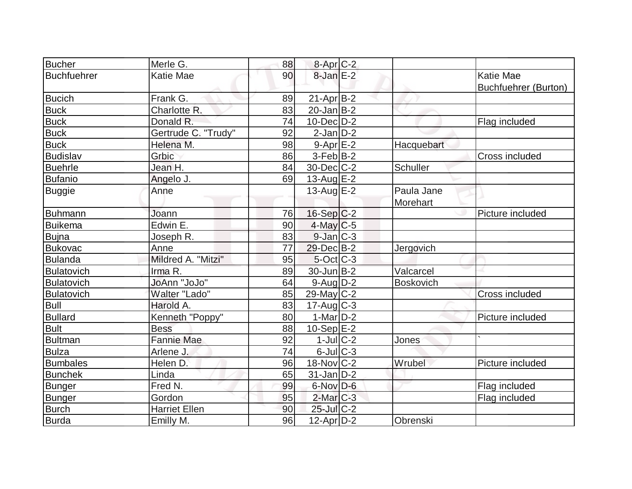| <b>Bucher</b>      | Merle G.             | 88 | $8-Apr$ $C-2$     |                  |                             |
|--------------------|----------------------|----|-------------------|------------------|-----------------------------|
| <b>Buchfuehrer</b> | <b>Katie Mae</b>     | 90 | $8$ -Jan $E-2$    |                  | <b>Katie Mae</b>            |
|                    |                      |    |                   |                  | <b>Buchfuehrer (Burton)</b> |
| <b>Bucich</b>      | Frank G.             | 89 | $21-Apr B-2$      |                  |                             |
| <b>Buck</b>        | Charlotte R.         | 83 | $20$ -Jan $B-2$   |                  |                             |
| <b>Buck</b>        | Donald R.            | 74 | $10$ -Dec $D-2$   |                  | Flag included               |
| <b>Buck</b>        | Gertrude C. "Trudy"  | 92 | $2$ -Jan $D-2$    |                  |                             |
| <b>Buck</b>        | Helena M.            | 98 | $9-Apr$ $E-2$     | Hacquebart       |                             |
| <b>Budislav</b>    | Grbic                | 86 | $3-Feb B-2$       |                  | Cross included              |
| <b>Buehrle</b>     | Jean H.              | 84 | $30$ -Dec $C-2$   | Schuller         |                             |
| <b>Bufanio</b>     | Angelo J.            | 69 | $13$ -Aug $E-2$   |                  |                             |
| <b>Buggie</b>      | Anne                 |    | $13$ -Aug $E-2$   | Paula Jane       |                             |
|                    |                      |    |                   | <b>Morehart</b>  |                             |
| Buhmann            | Joann                | 76 | $16-Sep C-2$      |                  | Picture included            |
| Buikema            | Edwin E.             | 90 | $4$ -May C-5      |                  |                             |
| <b>Bujna</b>       | Joseph R.            | 83 | $9$ -Jan $ C-3 $  |                  |                             |
| <b>Bukovac</b>     | Anne                 | 77 | $29$ -Dec $B-2$   | Jergovich        |                             |
| <b>Bulanda</b>     | Mildred A. "Mitzi"   | 95 | $5$ -Oct C-3      |                  |                             |
| Bulatovich         | Irma R.              | 89 | $30 - Jun$ $B-2$  | Valcarcel        |                             |
| Bulatovich         | <b>JoAnn "JoJo"</b>  | 64 | $9$ -Aug $D-2$    | <b>Boskovich</b> |                             |
| Bulatovich         | Walter "Lado"        | 85 | $29$ -May C-2     |                  | Cross included              |
| <b>Bull</b>        | Harold A.            | 83 | $17$ -Aug $C-3$   |                  |                             |
| <b>Bullard</b>     | Kenneth "Poppy"      | 80 | $1-Mar$ D-2       |                  | Picture included            |
| <b>Bult</b>        | <b>Bess</b>          | 88 | $10-Sep$ $E-2$    |                  |                             |
| <b>Bultman</b>     | <b>Fannie Mae</b>    | 92 | $1$ -Jul $ C-2 $  | Jones            |                             |
| <b>Bulza</b>       | Arlene J.            | 74 | $6$ -Jul $C$ -3   |                  |                             |
| <b>Bumbales</b>    | Helen D.             | 96 | $18-Nov$ C-2      | Wrubel           | Picture included            |
| <b>Bunchek</b>     | Linda                | 65 | $31$ -Jan $ D-2 $ |                  |                             |
| <b>Bunger</b>      | Fred N.              | 99 | $6$ -Nov D-6      |                  | Flag included               |
| <b>Bunger</b>      | Gordon               | 95 | $2$ -Mar $C-3$    |                  | Flag included               |
| <b>Burch</b>       | <b>Harriet Ellen</b> | 90 | $25$ -Jul $C-2$   |                  |                             |
| <b>Burda</b>       | Emilly M.            | 96 | $12$ -Apr $D-2$   | Obrenski         |                             |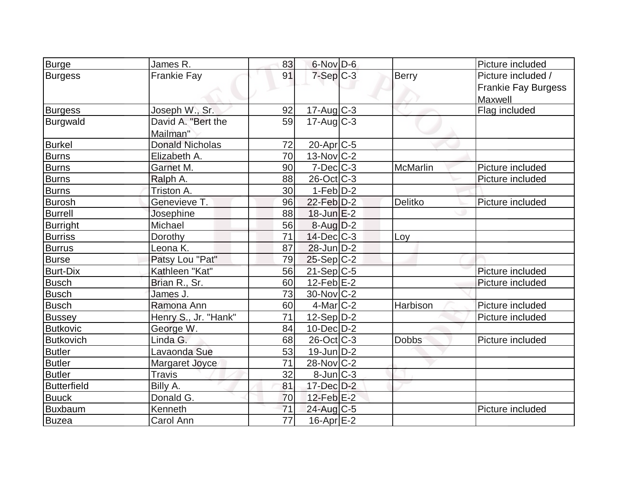| <b>Burge</b>       | James R.               | 83              | 6-Nov D-6             |                 | Picture included           |
|--------------------|------------------------|-----------------|-----------------------|-----------------|----------------------------|
| <b>Burgess</b>     | <b>Frankie Fay</b>     | 91              | $7-Sep C-3$           | <b>Berry</b>    | Picture included /         |
|                    |                        |                 |                       |                 | <b>Frankie Fay Burgess</b> |
|                    |                        |                 |                       |                 | Maxwell                    |
| <b>Burgess</b>     | Joseph W., Sr.         | 92              | $17$ -Aug C-3         |                 | Flag included              |
| Burgwald           | David A. "Bert the     | 59              | $17-Aug$ $C-3$        |                 |                            |
|                    | Mailman"               |                 |                       |                 |                            |
| <b>Burkel</b>      | <b>Donald Nicholas</b> | 72              | 20-Apr <sub>C-5</sub> |                 |                            |
| <b>Burns</b>       | Elizabeth A.           | 70              | 13-Nov C-2            |                 |                            |
| <b>Burns</b>       | Garnet M.              | 90              | $7$ -Dec $ C-3 $      | <b>McMarlin</b> | Picture included           |
| <b>Burns</b>       | Ralph A.               | 88              | $26$ -Oct $ C-3 $     |                 | Picture included           |
| <b>Burns</b>       | Triston A.             | 30              | $1-Feb D-2$           |                 |                            |
| <b>Burosh</b>      | Genevieve T.           | 96              | $22$ -Feb $D-2$       | <b>Delitko</b>  | Picture included           |
| <b>Burrell</b>     | Josephine              | 88              | $18$ -Jun $E-2$       |                 |                            |
| <b>Burright</b>    | Michael                | 56              | $8$ -Aug $D-2$        |                 |                            |
| <b>Burriss</b>     | Dorothy                | 71              | $14$ -Dec $ C-3 $     | Loy             |                            |
| <b>Burrus</b>      | Leona K.               | 87              | $28$ -Jun $D-2$       |                 |                            |
| <b>Burse</b>       | Patsy Lou "Pat"        | 79              | $25-Sep C-2$          |                 |                            |
| <b>Burt-Dix</b>    | Kathleen "Kat"         | 56              | 21-Sep C-5            |                 | Picture included           |
| <b>Busch</b>       | Brian R., Sr.          | 60              | $12 - Feb E - 2$      |                 | Picture included           |
| Busch              | James J.               | 73              | $30$ -Nov $ C-2 $     |                 |                            |
| <b>Busch</b>       | Ramona Ann             | 60              | $4$ -Mar $C-2$        | Harbison        | Picture included           |
| <b>Bussey</b>      | Henry S., Jr. "Hank"   | 71              | $12-Sep D-2$          |                 | Picture included           |
| <b>Butkovic</b>    | George W.              | 84              | $10$ -Dec $D-2$       |                 |                            |
| <b>Butkovich</b>   | Linda G.               | 68              | $26$ -Oct $ C-3 $     | <b>Dobbs</b>    | Picture included           |
| <b>Butler</b>      | Lavaonda Sue           | 53              | $19$ -Jun $D-2$       |                 |                            |
| <b>Butler</b>      | Margaret Joyce         | 71              | $28-Nov$ C-2          |                 |                            |
| <b>Butler</b>      | <b>Travis</b>          | 32              | $8$ -Jun $C-3$        |                 |                            |
| <b>Butterfield</b> | Billy A.               | 81              | $17$ -Dec $D-2$       |                 |                            |
| <b>Buuck</b>       | Donald G.              | 70              | $12$ -Feb $E-2$       |                 |                            |
| <b>Buxbaum</b>     | Kenneth                | 71              | 24-Aug C-5            |                 | Picture included           |
| <b>Buzea</b>       | Carol Ann              | $\overline{77}$ | $16$ -Apr $E-2$       |                 |                            |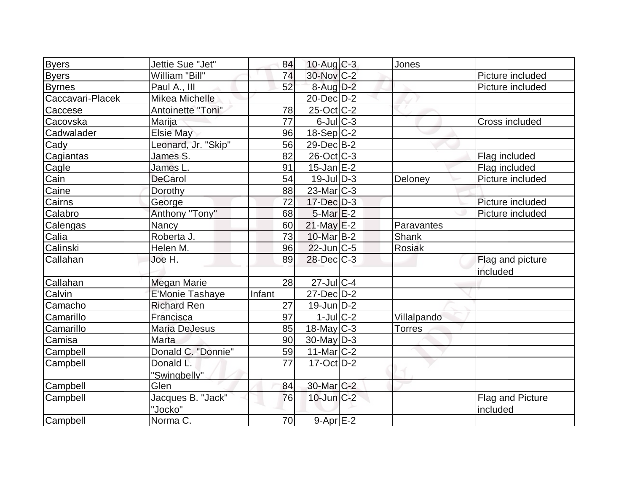| <b>Byers</b>     | Jettie Sue "Jet"     | 84     | $10$ -Aug $C-3$        | Jones         |                  |
|------------------|----------------------|--------|------------------------|---------------|------------------|
| <b>Byers</b>     | William "Bill"       | 74     | $30$ -Nov $ C-2 $      |               | Picture included |
| <b>Byrnes</b>    | Paul A., III         | 52     | $8$ -Aug $D-2$         |               | Picture included |
| Caccavari-Placek | Mikea Michelle       |        | 20-Dec D-2             |               |                  |
| Caccese          | Antoinette "Toni"    | 78     | $25$ -Oct $ C-2 $      |               |                  |
| Cacovska         | Marija               | 77     | $6$ -Jul $C$ -3        |               | Cross included   |
| Cadwalader       | <b>Elsie May</b>     | 96     | $18-Sep C-2$           |               |                  |
| Cady             | Leonard, Jr. "Skip"  | 56     | 29-Dec B-2             |               |                  |
| Cagiantas        | James S.             | 82     | 26-Oct C-3             |               | Flag included    |
| Cagle            | James L.             | 91     | $15$ -Jan $E-2$        |               | Flag included    |
| Cain             | <b>DeCarol</b>       | 54     | $19$ -Jul $D-3$        | Deloney       | Picture included |
| Caine            | Dorothy              | 88     | 23-Mar <sub>C-3</sub>  |               |                  |
| Cairns           | George               | 72     | $17 - Dec$ $D-3$       |               | Picture included |
| Calabro          | Anthony "Tony"       | 68     | $5$ -Mar $E-2$         |               | Picture included |
| Calengas         | Nancy                | 60     | $21$ -May $E-2$        | Paravantes    |                  |
| Calia            | Roberta J.           | 73     | 10-Mar B-2             | Shank         |                  |
| Calinski         | Helen M.             | 96     | $22$ -Jun $ C-5 $      | Rosiak        |                  |
| Callahan         | Joe H.               | 89     | $28$ -Dec $C-3$        |               | Flag and picture |
|                  |                      |        |                        |               | included         |
| Callahan         | <b>Megan Marie</b>   | 28     | $27$ -Jul $C-4$        |               |                  |
| Calvin           | E'Monie Tashaye      | Infant | 27-Dec D-2             |               |                  |
| Camacho          | <b>Richard Ren</b>   | 27     | $19$ -Jun $D-2$        |               |                  |
| Camarillo        | Francisca            | 97     | $1$ -Jul $C-2$         | Villalpando   |                  |
| Camarillo        | <b>Maria DeJesus</b> | 85     | 18-May C-3             | <b>Torres</b> |                  |
| Camisa           | Marta                | 90     | $30$ -May D-3          |               |                  |
| Campbell         | Donald C. "Donnie"   | 59     | 11-Mar C-2             |               |                  |
| Campbell         | Donald L.            | 77     | $17$ -Oct $D-2$        |               |                  |
|                  | "Swingbelly"         |        |                        |               |                  |
| Campbell         | Glen                 | 84     | 30-Mar <sub>C</sub> -2 |               |                  |
| Campbell         | Jacques B. "Jack"    | 76     | $10$ -Jun $C-2$        |               | Flag and Picture |
|                  | "Jocko"              |        |                        |               | included         |
| Campbell         | Norma C.             | 70     | $9 - Apr$ E-2          |               |                  |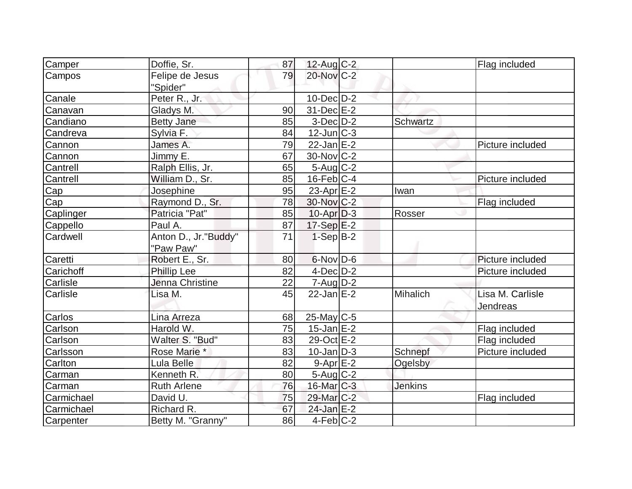| Camper     | Doffie, Sr.                 | 87 | $12$ -Aug C-2           |                | Flag included    |
|------------|-----------------------------|----|-------------------------|----------------|------------------|
| Campos     | Felipe de Jesus<br>"Spider" | 79 | 20-Nov C-2              |                |                  |
| Canale     | Peter R., Jr.               |    | $10$ -Dec $D-2$         |                |                  |
| Canavan    | Gladys M.                   | 90 | $31$ -Dec $E-2$         |                |                  |
| Candiano   | <b>Betty Jane</b>           | 85 | $3-Dec$ $D-2$           | Schwartz       |                  |
| Candreva   | Sylvia F.                   | 84 | $12$ -Jun $ C-3 $       |                |                  |
| Cannon     | James A.                    | 79 | $22$ -Jan $E$ -2        |                | Picture included |
| Cannon     | Jimmy E.                    | 67 | $30$ -Nov $ C-2 $       |                |                  |
| Cantrell   | Ralph Ellis, Jr.            | 65 | $5 - Aug   C-2$         |                |                  |
| Cantrell   | William D., Sr.             | 85 | $16$ -Feb $ C-4$        |                | Picture included |
| Cap        | Josephine                   | 95 | 23-Apr E-2              | Iwan           |                  |
| Cap        | Raymond D., Sr.             | 78 | 30-Nov C-2              |                | Flag included    |
| Caplinger  | Patricia "Pat"              | 85 | $10$ -Apr $D-3$         | Rosser         |                  |
| Cappello   | Paul A.                     | 87 | $17-Sep$ $E-2$          |                |                  |
| Cardwell   | Anton D., Jr."Buddy"        | 71 | $1-Sep B-2$             |                |                  |
|            | "Paw Paw"                   |    |                         |                |                  |
| Caretti    | Robert E., Sr.              | 80 | $6$ -Nov $D$ -6         |                | Picture included |
| Carichoff  | Phillip Lee                 | 82 | $4$ -Dec $D-2$          |                | Picture included |
| Carlisle   | Jenna Christine             | 22 | $7 - Aug   D-2$         |                |                  |
| Carlisle   | Lisa M.                     | 45 | $22$ -Jan $E-2$         | Mihalich       | Lisa M. Carlisle |
|            |                             |    |                         |                | Jendreas         |
| Carlos     | Lina Arreza                 | 68 | $25$ -May C-5           |                |                  |
| Carlson    | Harold W.                   | 75 | $15$ -Jan $E-2$         |                | Flag included    |
| Carlson    | Walter S. "Bud"             | 83 | 29-Oct E-2              |                | Flag included    |
| Carlsson   | Rose Marie *                | 83 | $10$ -Jan $ D-3 $       | Schnepf        | Picture included |
| Carlton    | Lula Belle                  | 82 | $9-Apr$ $E-2$           | Ogelsby        |                  |
| Carman     | Kenneth R.                  | 80 | $5$ -Aug $C-2$          |                |                  |
| Carman     | <b>Ruth Arlene</b>          | 76 | 16-Mar C-3              | <b>Jenkins</b> |                  |
| Carmichael | David U.                    | 75 | 29-Mar <sub>IC</sub> -2 |                | Flag included    |
| Carmichael | Richard R.                  | 67 | $24$ -Jan E-2           |                |                  |
| Carpenter  | Betty M. "Granny"           | 86 | $4-Feb C-2$             |                |                  |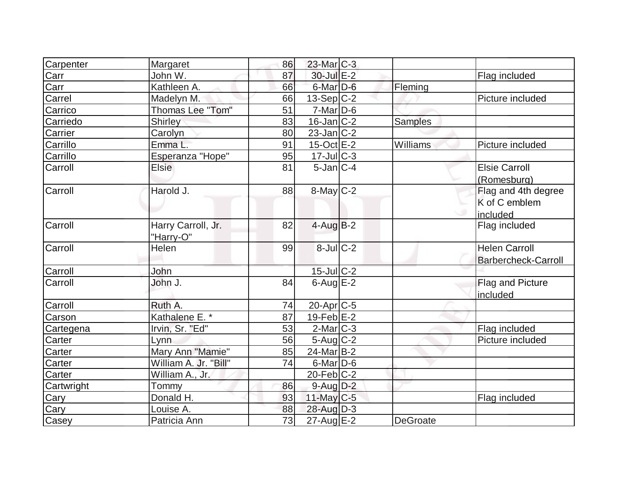|                    | 86                                                                                              |  |                                                                                                                                                                                                                                                                                                                                                                                                                                                                                                        |                            |
|--------------------|-------------------------------------------------------------------------------------------------|--|--------------------------------------------------------------------------------------------------------------------------------------------------------------------------------------------------------------------------------------------------------------------------------------------------------------------------------------------------------------------------------------------------------------------------------------------------------------------------------------------------------|----------------------------|
| John W.            | 87                                                                                              |  |                                                                                                                                                                                                                                                                                                                                                                                                                                                                                                        | Flag included              |
| Kathleen A.        | 66                                                                                              |  |                                                                                                                                                                                                                                                                                                                                                                                                                                                                                                        |                            |
| Madelyn M.         | 66                                                                                              |  |                                                                                                                                                                                                                                                                                                                                                                                                                                                                                                        | Picture included           |
| Thomas Lee "Tom"   | 51                                                                                              |  |                                                                                                                                                                                                                                                                                                                                                                                                                                                                                                        |                            |
| <b>Shirley</b>     | 83                                                                                              |  | <b>Samples</b>                                                                                                                                                                                                                                                                                                                                                                                                                                                                                         |                            |
|                    | 80                                                                                              |  |                                                                                                                                                                                                                                                                                                                                                                                                                                                                                                        |                            |
| Emma L.            | 91                                                                                              |  | Williams                                                                                                                                                                                                                                                                                                                                                                                                                                                                                               | Picture included           |
| Esperanza "Hope"   | 95                                                                                              |  |                                                                                                                                                                                                                                                                                                                                                                                                                                                                                                        |                            |
| <b>Elsie</b>       | 81                                                                                              |  |                                                                                                                                                                                                                                                                                                                                                                                                                                                                                                        | <b>Elsie Carroll</b>       |
|                    |                                                                                                 |  |                                                                                                                                                                                                                                                                                                                                                                                                                                                                                                        | (Romesburg)                |
| Harold J.          | 88                                                                                              |  |                                                                                                                                                                                                                                                                                                                                                                                                                                                                                                        | Flag and 4th degree        |
|                    |                                                                                                 |  |                                                                                                                                                                                                                                                                                                                                                                                                                                                                                                        | K of C emblem              |
|                    |                                                                                                 |  |                                                                                                                                                                                                                                                                                                                                                                                                                                                                                                        | included                   |
| Harry Carroll, Jr. | 82                                                                                              |  |                                                                                                                                                                                                                                                                                                                                                                                                                                                                                                        | Flag included              |
|                    |                                                                                                 |  |                                                                                                                                                                                                                                                                                                                                                                                                                                                                                                        |                            |
| Helen              | 99                                                                                              |  |                                                                                                                                                                                                                                                                                                                                                                                                                                                                                                        | <b>Helen Carroll</b>       |
|                    |                                                                                                 |  |                                                                                                                                                                                                                                                                                                                                                                                                                                                                                                        | <b>Barbercheck-Carroll</b> |
| John               |                                                                                                 |  |                                                                                                                                                                                                                                                                                                                                                                                                                                                                                                        |                            |
| John J.            | 84                                                                                              |  |                                                                                                                                                                                                                                                                                                                                                                                                                                                                                                        | Flag and Picture           |
|                    |                                                                                                 |  |                                                                                                                                                                                                                                                                                                                                                                                                                                                                                                        | included                   |
| Ruth A.            | 74                                                                                              |  |                                                                                                                                                                                                                                                                                                                                                                                                                                                                                                        |                            |
|                    | 87                                                                                              |  |                                                                                                                                                                                                                                                                                                                                                                                                                                                                                                        |                            |
| Irvin, Sr. "Ed"    | 53                                                                                              |  |                                                                                                                                                                                                                                                                                                                                                                                                                                                                                                        | Flag included              |
| Lynn               | 56                                                                                              |  |                                                                                                                                                                                                                                                                                                                                                                                                                                                                                                        | Picture included           |
|                    | 85                                                                                              |  |                                                                                                                                                                                                                                                                                                                                                                                                                                                                                                        |                            |
|                    | 74                                                                                              |  |                                                                                                                                                                                                                                                                                                                                                                                                                                                                                                        |                            |
| William A., Jr.    |                                                                                                 |  |                                                                                                                                                                                                                                                                                                                                                                                                                                                                                                        |                            |
| <b>Tommy</b>       | 86                                                                                              |  |                                                                                                                                                                                                                                                                                                                                                                                                                                                                                                        |                            |
| Donald H.          | 93                                                                                              |  |                                                                                                                                                                                                                                                                                                                                                                                                                                                                                                        | Flag included              |
| Louise A.          | 88                                                                                              |  |                                                                                                                                                                                                                                                                                                                                                                                                                                                                                                        |                            |
| Patricia Ann       | 73                                                                                              |  | <b>DeGroate</b>                                                                                                                                                                                                                                                                                                                                                                                                                                                                                        |                            |
|                    | Margaret<br>Carolyn<br>"Harry-O"<br>Kathalene E. *<br>Mary Ann "Mamie"<br>William A. Jr. "Bill" |  | $23$ -Mar $C-3$<br>30-Jul E-2<br>6-Mar <sub>D-6</sub><br>$13-Sep C-2$<br>$7-Mar$ D-6<br>$16$ -Jan $ C-2 $<br>$23$ -Jan $ C-2 $<br>$15$ -Oct $E$ -2<br>$17 -$ Jul $C - 3$<br>$5$ -Jan $ C-4 $<br>$8$ -May $C$ -2<br>$4$ -Aug B-2<br>$8$ -Jul $C$ -2<br>$15$ -Jul $C-2$<br>$6$ -Aug $E$ -2<br>$20$ -Apr $ C-5 $<br>$19$ -Feb $E-2$<br>$2$ -Mar $C-3$<br>$5 - Aug   C-2$<br>$24$ -Mar $ B-2 $<br>$6$ -Mar $D$ -6<br>$20$ -Feb $ C-2 $<br>$9$ -Aug $D-2$<br>$11$ -May C-5<br>28-Aug D-3<br>$27$ -Aug $E-2$ | Fleming                    |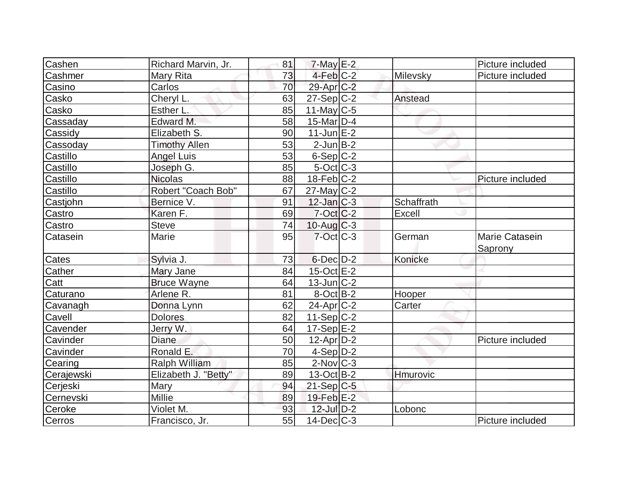| Cashen                   | Richard Marvin, Jr.  | 81 | $7$ -May $E-2$    |            | Picture included          |
|--------------------------|----------------------|----|-------------------|------------|---------------------------|
| Cashmer                  | Mary Rita            | 73 | $4-Feb$ $C-2$     | Milevsky   | Picture included          |
| Casino                   | Carlos               | 70 | $29$ -Apr $C-2$   |            |                           |
| Casko                    | Cheryl L.            | 63 | $27-Sep C-2$      | Anstead    |                           |
| Casko                    | Esther L.            | 85 | 11-May $C-5$      |            |                           |
| Cassaday                 | Edward M.            | 58 | $15$ -Mar $ D-4$  |            |                           |
| Cassidy                  | Elizabeth S.         | 90 | $11$ -Jun $E-2$   |            |                           |
| Cassoday                 | <b>Timothy Allen</b> | 53 | $2$ -Jun $B-2$    |            |                           |
| Castillo                 | <b>Angel Luis</b>    | 53 | $6-Sep C-2$       |            |                           |
| Castillo                 | Joseph G.            | 85 | $5$ -Oct $ C-3 $  |            |                           |
| Castillo                 | <b>Nicolas</b>       | 88 | $18$ -Feb $ C-2 $ |            | Picture included          |
| Castillo                 | Robert "Coach Bob"   | 67 | $27$ -May C-2     |            |                           |
| Castjohn                 | Bernice V.           | 91 | $12$ -Jan $ C-3 $ | Schaffrath |                           |
| Castro                   | Karen F.             | 69 | $7$ -Oct $ C$ -2  | Excell     |                           |
| Castro                   | Steve                | 74 | $10$ -Aug $C-3$   |            |                           |
| Catasein                 | Marie                | 95 | $7$ -Oct $ C-3 $  | German     | Marie Catasein<br>Saprony |
| Cates                    | Sylvia J.            | 73 | $6$ -Dec $D-2$    | Konicke    |                           |
| Cather                   | Mary Jane            | 84 | 15-Oct E-2        |            |                           |
| $\overline{\text{Catt}}$ | <b>Bruce Wayne</b>   | 64 | $13$ -Jun $ C-2 $ |            |                           |
| Caturano                 | Arlene R.            | 81 | $8$ -Oct $B$ -2   | Hooper     |                           |
| Cavanagh                 | Donna Lynn           | 62 | $24$ -Apr $C-2$   | Carter     |                           |
| Cavell                   | <b>Dolores</b>       | 82 | $11-Sep C-2$      |            |                           |
| Cavender                 | Jerry W.             | 64 | $17-Sep$ $E-2$    |            |                           |
| Cavinder                 | <b>Diane</b>         | 50 | $12$ -Apr $D-2$   |            | Picture included          |
| Cavinder                 | Ronald E.            | 70 | $4-Sep D-2$       |            |                           |
| Cearing                  | <b>Ralph William</b> | 85 | $2$ -Nov $ C-3 $  |            |                           |
| Cerajewski               | Elizabeth J. "Betty" | 89 | $13-Oct$ B-2      | Hmurovic   |                           |
| Cerjeski                 | Mary                 | 94 | $21-Sep C-5$      |            |                           |
| Cernevski                | <b>Millie</b>        | 89 | $19$ -Feb $E-2$   |            |                           |
| Ceroke                   | Violet M.            | 93 | 12-Jul D-2        | Lobonc     |                           |
| Cerros                   | Francisco, Jr.       | 55 | $14$ -Dec $C-3$   |            | Picture included          |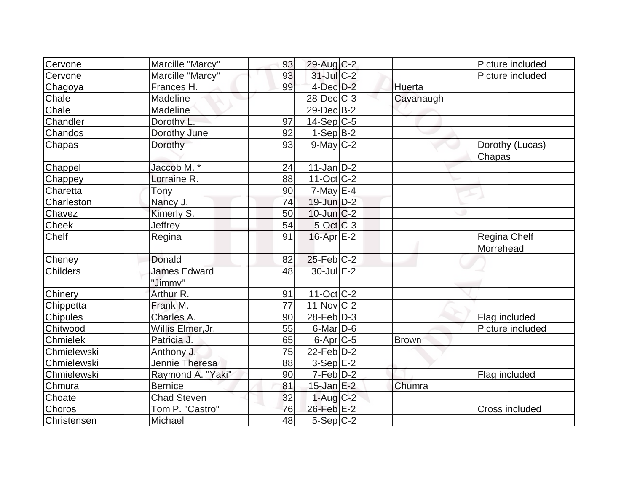| Cervone         | Marcille "Marcy"               | 93              | 29-Aug C-2        |              | Picture included                 |
|-----------------|--------------------------------|-----------------|-------------------|--------------|----------------------------------|
| Cervone         | Marcille "Marcy"               | 93              | 31-Jul C-2        |              | Picture included                 |
| Chagoya         | Frances H.                     | 99              | $4$ -Dec $D-2$    | Huerta       |                                  |
| Chale           | Madeline                       |                 | $28$ -Dec $C-3$   | Cavanaugh    |                                  |
| Chale           | Madeline                       |                 | 29-Dec B-2        |              |                                  |
| Chandler        | Dorothy L.                     | 97              | $14-Sep C-5$      |              |                                  |
| Chandos         | Dorothy June                   | 92              | $1-Sep$ B-2       |              |                                  |
| Chapas          | Dorothy                        | 93              | $9$ -May $C-2$    |              | Dorothy (Lucas)<br>Chapas        |
| Chappel         | Jaccob M. *                    | 24              | $11$ -Jan $ D-2 $ |              |                                  |
| Chappey         | Lorraine R.                    | 88              | $11-Oct$ $C-2$    |              |                                  |
| Charetta        | Tony                           | 90              | $7$ -May $E-4$    |              |                                  |
| Charleston      | Nancy J.                       | 74              | 19-Jun D-2        |              |                                  |
| Chavez          | Kimerly S.                     | 50              | $10$ -Jun $C-2$   |              |                                  |
| <b>Cheek</b>    | Jeffrey                        | 54              | $5-Oct$ $C-3$     |              |                                  |
| <b>Chelf</b>    | Regina                         | 91              | $16$ -Apr $E-2$   |              | <b>Regina Chelf</b><br>Morrehead |
| Cheney          | <b>Donald</b>                  | 82              | $25$ -Feb $C-2$   |              |                                  |
| <b>Childers</b> | <b>James Edward</b><br>"Jimmy" | 48              | 30-Jul E-2        |              |                                  |
| Chinery         | Arthur R.                      | 91              | $11$ -Oct C-2     |              |                                  |
| Chippetta       | Frank M.                       | $\overline{77}$ | $11$ -Nov $ C-2 $ |              |                                  |
| <b>Chipules</b> | Charles A.                     | 90              | $28$ -Feb $ D-3 $ |              | Flag included                    |
| Chitwood        | Willis Elmer, Jr.              | 55              | $6$ -Mar $D$ -6   |              | Picture included                 |
| Chmielek        | Patricia J.                    | 65              | $6$ -Apr $C$ -5   | <b>Brown</b> |                                  |
| Chmielewski     | Anthony J.                     | 75              | $22$ -Feb $ D-2 $ |              |                                  |
| Chmielewski     | Jennie Theresa                 | 88              | $3-Sep$ $E-2$     |              |                                  |
| Chmielewski     | Raymond A. "Yaki"              | 90              | $7-Feb D-2$       |              | Flag included                    |
| Chmura          | <b>Bernice</b>                 | 81              | $15$ -Jan $E-2$   | Chumra       |                                  |
| Choate          | <b>Chad Steven</b>             | 32              | $1-Aug$ $C-2$     |              |                                  |
| Choros          | Tom P. "Castro"                | 76              | $26$ -Feb $E-2$   |              | Cross included                   |
| Christensen     | Michael                        | 48              | 5-Sep C-2         |              |                                  |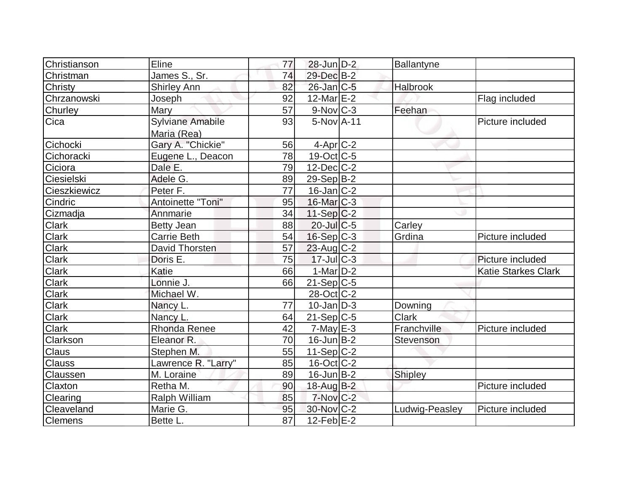| Christianson   | Eline                | 77 | $28$ -Jun $D-2$   | Ballantyne     |                            |
|----------------|----------------------|----|-------------------|----------------|----------------------------|
| Christman      | James S., Sr.        | 74 | 29-Dec B-2        |                |                            |
| <b>Christy</b> | <b>Shirley Ann</b>   | 82 | $26$ -Jan $ C-5 $ | Halbrook       |                            |
| Chrzanowski    | Joseph               | 92 | $12$ -Mar $E-2$   |                | Flag included              |
| Churley        | Mary                 | 57 | $9-Nov$ $C-3$     | Feehan         |                            |
| Cica           | Sylviane Amabile     | 93 | $5-NovA-11$       |                | Picture included           |
|                | Maria (Rea)          |    |                   |                |                            |
| Cichocki       | Gary A. "Chickie"    | 56 | $4$ -Apr $C-2$    |                |                            |
| Cichoracki     | Eugene L., Deacon    | 78 | $19-Oct$ $C-5$    |                |                            |
| Ciciora        | Dale E.              | 79 | $12$ -Dec $C-2$   |                |                            |
| Ciesielski     | Adele G.             | 89 | $29-Sep B-2$      |                |                            |
| Cieszkiewicz   | Peter F.             | 77 | $16$ -Jan $ C-2 $ |                |                            |
| Cindric        | Antoinette "Toni"    | 95 | $16$ -Mar $ C-3 $ |                |                            |
| Cizmadja       | Annmarie             | 34 | $11-Sep C-2$      |                |                            |
| <b>Clark</b>   | <b>Betty Jean</b>    | 88 | $20$ -Jul $C$ -5  | Carley         |                            |
| <b>Clark</b>   | Carrie Beth          | 54 | $16-Sep C-3$      | Grdina         | Picture included           |
| <b>Clark</b>   | David Thorsten       | 57 | $23$ -Aug C-2     |                |                            |
| <b>Clark</b>   | Doris E.             | 75 | $17$ -Jul $C-3$   |                | Picture included           |
| <b>Clark</b>   | Katie                | 66 | $1-Mar$ D-2       |                | <b>Katie Starkes Clark</b> |
| <b>Clark</b>   | Lonnie J.            | 66 | $21-Sep C-5$      |                |                            |
| <b>Clark</b>   | Michael W.           |    | 28-Oct C-2        |                |                            |
| <b>Clark</b>   | Nancy L.             | 77 | $10$ -Jan $ D-3 $ | Downing        |                            |
| <b>Clark</b>   | Nancy L.             | 64 | $21-Sep C-5$      | <b>Clark</b>   |                            |
| <b>Clark</b>   | <b>Rhonda Renee</b>  | 42 | $7$ -May $E-3$    | Franchville    | Picture included           |
| Clarkson       | Eleanor R.           | 70 | $16$ -Jun $B-2$   | Stevenson      |                            |
| <b>Claus</b>   | Stephen M.           | 55 | 11-Sep C-2        |                |                            |
| <b>Clauss</b>  | Lawrence R. "Larry"  | 85 | $16$ -Oct $ C-2 $ |                |                            |
| Claussen       | M. Loraine           | 89 | $16$ -Jun $B-2$   | Shipley        |                            |
| Claxton        | Retha M.             | 90 | 18-Aug B-2        |                | Picture included           |
| Clearing       | <b>Ralph William</b> | 85 | $7-Nov$ $C-2$     |                |                            |
| Cleaveland     | Marie G.             | 95 | 30-Nov C-2        | Ludwig-Peasley | Picture included           |
| <b>Clemens</b> | Bette L.             | 87 | $12$ -Feb $ E-2 $ |                |                            |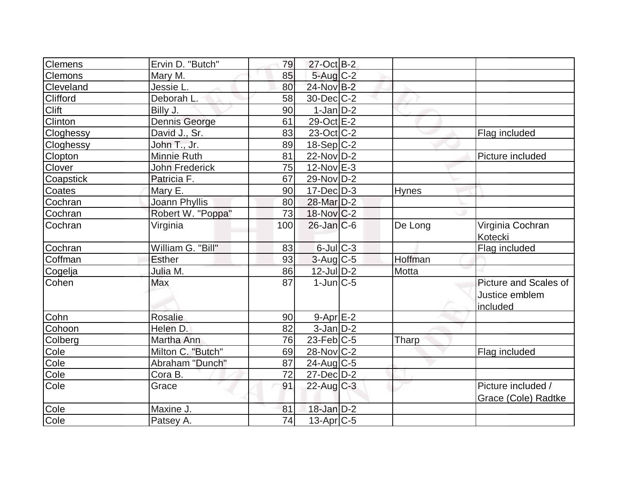| Flag included                             |
|-------------------------------------------|
|                                           |
|                                           |
|                                           |
|                                           |
|                                           |
|                                           |
|                                           |
|                                           |
| Picture included                          |
|                                           |
|                                           |
|                                           |
|                                           |
|                                           |
| Virginia Cochran<br>Kotecki               |
| Flag included                             |
|                                           |
|                                           |
| Picture and Scales of                     |
| Justice emblem                            |
| included                                  |
|                                           |
|                                           |
|                                           |
| Flag included                             |
|                                           |
|                                           |
| Picture included /<br>Grace (Cole) Radtke |
|                                           |
|                                           |
|                                           |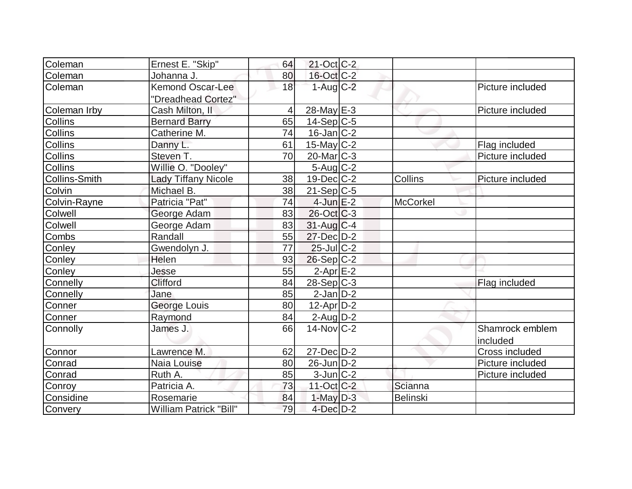| Coleman              | Ernest E. "Skip"              | 64             | $21$ -Oct C-2     |                 |                  |
|----------------------|-------------------------------|----------------|-------------------|-----------------|------------------|
| Coleman              | Johanna J.                    | 80             | 16-Oct C-2        |                 |                  |
| Coleman              | <b>Kemond Oscar-Lee</b>       | 18             | $1-Aug$ $C-2$     |                 | Picture included |
|                      | "Dreadhead Cortez"            |                |                   |                 |                  |
| Coleman Irby         | Cash Milton, II               | $\overline{4}$ | $28$ -May $E-3$   |                 | Picture included |
| <b>Collins</b>       | <b>Bernard Barry</b>          | 65             | $14-Sep C-5$      |                 |                  |
| <b>Collins</b>       | Catherine M.                  | 74             | $16$ -Jan $ C-2 $ |                 |                  |
| Collins              | Danny L.                      | 61             | 15-May $C-2$      |                 | Flag included    |
| <b>Collins</b>       | Steven T.                     | 70             | $20$ -Mar $ C-3 $ |                 | Picture included |
| <b>Collins</b>       | Willie O. "Dooley"            |                | $5 - Aug   C-2$   |                 |                  |
| <b>Collins-Smith</b> | <b>Lady Tiffany Nicole</b>    | 38             | $19$ -Dec $C-2$   | Collins         | Picture included |
| Colvin               | Michael B.                    | 38             | $21-Sep C-5$      |                 |                  |
| Colvin-Rayne         | Patricia "Pat"                | 74             | $4$ -Jun $E-2$    | <b>McCorkel</b> |                  |
| Colwell              | George Adam                   | 83             | $26$ -Oct $ C-3 $ |                 |                  |
| Colwell              | George Adam                   | 83             | $31$ -Aug C-4     |                 |                  |
| Combs                | Randall                       | 55             | 27-Dec D-2        |                 |                  |
| Conley               | Gwendolyn J.                  | 77             | $25$ -Jul $C-2$   |                 |                  |
| Conley               | Helen                         | 93             | $26-Sep C-2$      |                 |                  |
| Conley               | Jesse                         | 55             | $2$ -Apr $E-2$    |                 |                  |
| Connelly             | Clifford                      | 84             | $28-Sep C-3$      |                 | Flag included    |
| <b>Connelly</b>      | Jane                          | 85             | $2$ -Jan $D-2$    |                 |                  |
| Conner               | George Louis                  | 80             | $12$ -Apr $D-2$   |                 |                  |
| Conner               | Raymond                       | 84             | $2$ -Aug $D-2$    |                 |                  |
| Connolly             | James J.                      | 66             | $14$ -Nov $ C-2 $ |                 | Shamrock emblem  |
|                      |                               |                |                   |                 | included         |
| Connor               | Lawrence M.                   | 62             | $27 - Dec$ $D-2$  |                 | Cross included   |
| Conrad               | Naia Louise                   | 80             | 26-Jun D-2        |                 | Picture included |
| Conrad               | Ruth A.                       | 85             | $3$ -Jun $ C-2 $  |                 | Picture included |
| Conroy               | Patricia A.                   | 73             | $11$ -Oct $C-2$   | Scianna         |                  |
| Considine            | Rosemarie                     | 84             | $1$ -May $D-3$    | Belinski        |                  |
| Convery              | <b>William Patrick "Bill"</b> | 79             | $4$ -Dec $D-2$    |                 |                  |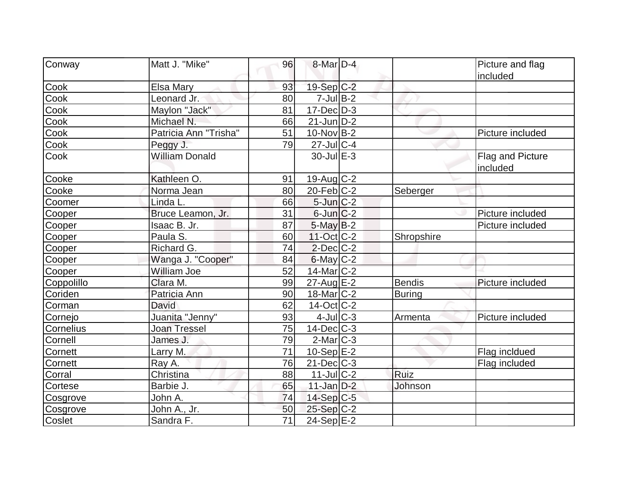| Conway     | Matt J. "Mike"        | 96              | 8-Mar D-4          |               | Picture and flag             |
|------------|-----------------------|-----------------|--------------------|---------------|------------------------------|
|            |                       |                 |                    |               | included                     |
| Cook       | Elsa Mary             | 93              | 19-Sep C-2         |               |                              |
| Cook       | Leonard Jr.           | 80              | $7$ -Jul B-2       |               |                              |
| Cook       | Maylon "Jack"         | 81              | $17 - Dec$ $D-3$   |               |                              |
| Cook       | Michael N.            | 66              | $21$ -Jun $D-2$    |               |                              |
| Cook       | Patricia Ann "Trisha" | 51              | $10$ -Nov B-2      |               | Picture included             |
| Cook       | Peggy J.              | 79              | $27$ -Jul C-4      |               |                              |
| Cook       | <b>William Donald</b> |                 | $30 -$ Jul $E - 3$ |               | Flag and Picture<br>included |
| Cooke      | Kathleen O.           | 91              | 19-Aug C-2         |               |                              |
| Cooke      | Norma Jean            | 80              | $20$ -Feb $ C-2 $  | Seberger      |                              |
| Coomer     | Linda L.              | 66              | $5$ -Jun $C-2$     |               |                              |
| Cooper     | Bruce Leamon, Jr.     | 31              | $6$ -Jun $ C-2 $   |               | Picture included             |
| Cooper     | Isaac B. Jr.          | 87              | $5$ -May $B-2$     |               | Picture included             |
| Cooper     | Paula S.              | 60              | $11-Oct$ $C-2$     | Shropshire    |                              |
| Cooper     | Richard G.            | 74              | $2$ -Dec $C-2$     |               |                              |
| Cooper     | Wanga J. "Cooper"     | 84              | $6$ -May $C-2$     |               |                              |
| Cooper     | <b>William Joe</b>    | 52              | 14-Mar C-2         |               |                              |
| Coppolillo | Clara M.              | 99              | $27$ -Aug $E-2$    | <b>Bendis</b> | Picture included             |
| Coriden    | Patricia Ann          | 90              | $18$ -Mar $ C-2 $  | Buring        |                              |
| Corman     | David                 | 62              | $14$ -Oct C-2      |               |                              |
| Cornejo    | Juanita "Jenny"       | 93              | $4$ -Jul $C-3$     | Armenta       | Picture included             |
| Cornelius  | <b>Joan Tressel</b>   | 75              | $14$ -Dec $C-3$    |               |                              |
| Cornell    | James J.              | 79              | $2$ -Mar $ C-3 $   |               |                              |
| Cornett    | Larry M.              | 71              | 10-Sep $E-2$       |               | Flag incldued                |
| Cornett    | Ray A.                | 76              | $21$ -Dec $C-3$    |               | Flag included                |
| Corral     | Christina             | 88              | $11$ -JulC-2       | Ruiz          |                              |
| Cortese    | Barbie J.             | 65              | $11$ -Jan $D-2$    | Johnson       |                              |
| Cosgrove   | John A.               | 74              | $14-Sep C-5$       |               |                              |
| Cosgrove   | <u>John A., Jr.</u>   | 50              | $25-Sep C-2$       |               |                              |
| Coslet     | Sandra F.             | $\overline{71}$ | $24-Sep$ E-2       |               |                              |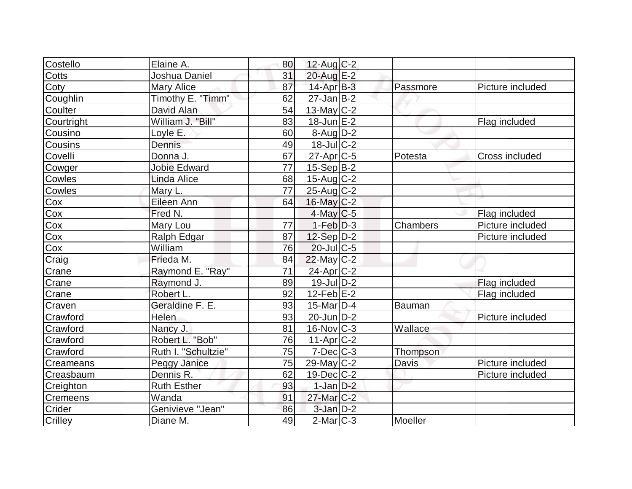| Costello      | Elaine A.           | 80 | $12$ -Aug C-2         |          |                       |
|---------------|---------------------|----|-----------------------|----------|-----------------------|
| Cotts         | Joshua Daniel       | 31 | 20-Aug E-2            |          |                       |
| Coty          | Mary Alice          | 87 | $14$ -Apr $B-3$       | Passmore | Picture included      |
| Coughlin      | Timothy E. "Timm"   | 62 | $27$ -Jan B-2         |          |                       |
| Coulter       | David Alan          | 54 | 13-May $C-2$          |          |                       |
| Courtright    | William J. "Bill"   | 83 | $18$ -Jun $E-2$       |          | Flag included         |
| Cousino       | Loyle E.            | 60 | $8$ -Aug $D-2$        |          |                       |
| Cousins       | Dennis              | 49 | $18$ -JulC-2          |          |                       |
| Covelli       | Donna J.            | 67 | $27$ -Apr $C$ -5      | Potesta  | <b>Cross included</b> |
| Cowger        | <b>Jobie Edward</b> | 77 | $15-Sep B-2$          |          |                       |
| Cowles        | Linda Alice         | 68 | $15$ -Aug C-2         |          |                       |
| Cowles        | Mary L.             | 77 | $25$ -Aug $C-2$       |          |                       |
| Cox           | Eileen Ann          | 64 | 16-May C-2            |          |                       |
| Cox<br>Cox    | Fred N.             |    | $4$ -May C-5          |          | Flag included         |
|               | Mary Lou            | 77 | $1-Feb D-3$           | Chambers | Picture included      |
| Cox           | Ralph Edgar         | 87 | 12-Sep D-2            |          | Picture included      |
| Cox           | William             | 76 | $20$ -JulC-5          |          |                       |
| Craig         | Frieda M.           | 84 | $22$ -May C-2         |          |                       |
| Crane         | Raymond E. "Ray"    | 71 | 24-Apr <sub>C-2</sub> |          |                       |
| Crane         | Raymond J.          | 89 | $19$ -Jul $D-2$       |          | Flag included         |
| Crane         | Robert L.           | 92 | $12$ -Feb $E-2$       |          | Flag included         |
| Craven        | Geraldine F. E.     | 93 | $15$ -Mar $ D-4$      | Bauman   |                       |
| Crawford      | Helen               | 93 | $20$ -Jun $D-2$       |          | Picture included      |
| Crawford      | Nancy J.            | 81 | $16$ -Nov $ C-3 $     | Wallace  |                       |
| Crawford      | Robert L. "Bob"     | 76 | $11-Apr$ $C-2$        |          |                       |
| Crawford      | Ruth I. "Schultzie" | 75 | $7$ -Dec $ C$ -3      | Thompson |                       |
| Creameans     | Peggy Janice        | 75 | $29$ -May C-2         | Davis    | Picture included      |
| Creasbaum     | Dennis R.           | 62 | $19$ -Dec $ C-2 $     |          | Picture included      |
| Creighton     | <b>Ruth Esther</b>  | 93 | $1$ -Jan $D-2$        |          |                       |
| Cremeens      | Wanda               | 91 | $27$ -Mar $C-2$       |          |                       |
| <b>Crider</b> | Genivieve "Jean"    | 86 | $3$ -Jan $D-2$        |          |                       |
| Crilley       | Diane M.            | 49 | $2$ -Mar $ C-3 $      | Moeller  |                       |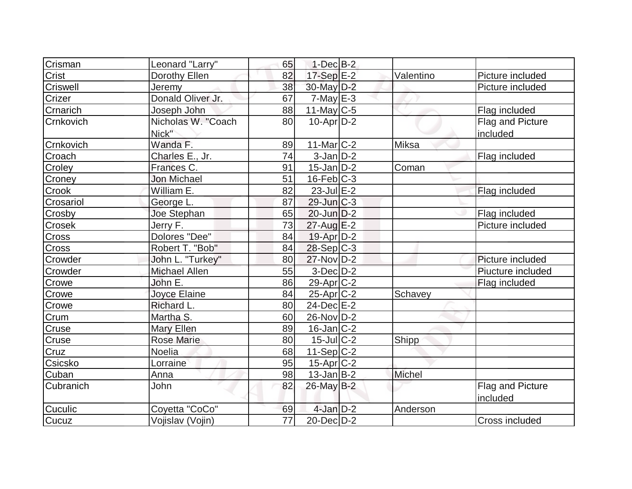| Crisman   | Leonard "Larry"      | 65              | $1-Dec$ B-2              |           |                   |
|-----------|----------------------|-----------------|--------------------------|-----------|-------------------|
| Crist     | Dorothy Ellen        | 82              | $17-Sep$ E-2             | Valentino | Picture included  |
| Criswell  | Jeremy               | 38              | 30-May D-2               |           | Picture included  |
| Crizer    | Donald Oliver Jr.    | 67              | $7$ -May $E-3$           |           |                   |
| Crnarich  | Joseph John          | 88              | $11$ -May C-5            |           | Flag included     |
| Crnkovich | Nicholas W. "Coach   | 80              | $10-Apr\overline{D-2}$   |           | Flag and Picture  |
|           | Nick"                |                 |                          |           | included          |
| Crnkovich | Wanda F.             | 89              | $11$ -Mar $ C-2 $        | Miksa     |                   |
| Croach    | Charles E., Jr.      | 74              | $3$ -Jan $D-2$           |           | Flag included     |
| Croley    | Frances C.           | 91              | $15$ -Jan $ D-2 $        | Coman     |                   |
| Croney    | <b>Jon Michael</b>   | 51              | $16$ -Feb $ C-3 $        |           |                   |
| Crook     | William E.           | 82              | $23$ -Jul $E-2$          |           | Flag included     |
| Crosariol | George L.            | 87              | $29$ -Jun $C-3$          |           |                   |
| Crosby    | Joe Stephan          | 65              | $20$ -Jun $D-2$          |           | Flag included     |
| Crosek    | Jerry F.             | 73              | $27$ -Aug $E-2$          |           | Picture included  |
| Cross     | Dolores "Dee"        | 84              | 19-Apr D-2               |           |                   |
| Cross     | Robert T. "Bob"      | 84              | $28-Sep C-3$             |           |                   |
| Crowder   | John L. "Turkey"     | 80              | $27$ -Nov $D-2$          |           | Picture included  |
| Crowder   | <b>Michael Allen</b> | 55              | $3-Dec$ $D-2$            |           | Piucture included |
| Crowe     | John E.              | 86              | $29$ -Apr $C-2$          |           | Flag included     |
| Crowe     | Joyce Elaine         | 84              | $25$ -Apr $C-2$          | Schavey   |                   |
| Crowe     | Richard L.           | 80              | $24$ -Dec $E$ -2         |           |                   |
| Crum      | Martha S.            | 60              | 26-Nov D-2               |           |                   |
| Cruse     | <b>Mary Ellen</b>    | 89              | $16$ -Jan $ C-2 $        |           |                   |
| Cruse     | <b>Rose Marie</b>    | 80              | $\overline{15}$ -Jul C-2 | Shipp     |                   |
| Cruz      | Noelia               | 68              | 11-Sep C-2               |           |                   |
| Csicsko   | Lorraine             | 95              | $15$ -Apr $C-2$          |           |                   |
| Cuban     | Anna                 | 98              | $13$ -Jan B-2            | Michel    |                   |
| Cubranich | John                 | 82              | $26$ -May B-2            |           | Flag and Picture  |
|           |                      |                 |                          |           | included          |
| Cuculic   | Coyetta "CoCo"       | 69              | $4$ -Jan $D-2$           | Anderson  |                   |
| Cucuz     | Vojislav (Vojin)     | $\overline{77}$ | $20$ -Dec $D-2$          |           | Cross included    |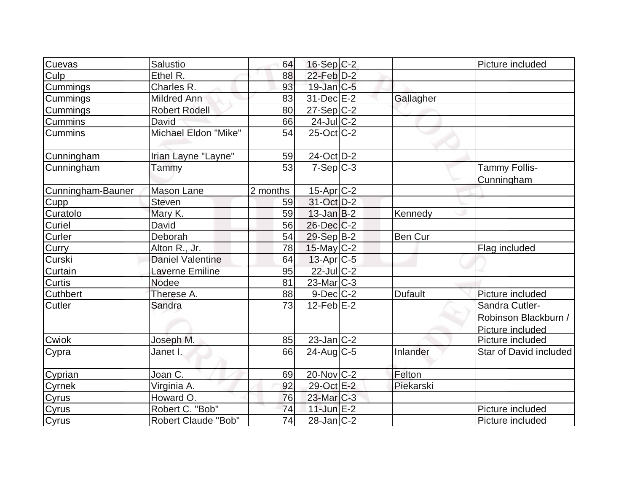| Cuevas            | Salustio                   | 64       | 16-Sep C-2        |                | Picture included       |
|-------------------|----------------------------|----------|-------------------|----------------|------------------------|
| Culp              | Ethel R.                   | 88       | $22$ -Feb $D-2$   |                |                        |
| Cummings          | Charles R.                 | 93       | $19$ -Jan $ C-5 $ |                |                        |
| Cummings          | Mildred Ann                | 83       | $31$ -Dec $E-2$   | Gallagher      |                        |
| Cummings          | <b>Robert Rodell</b>       | 80       | $27-Sep C-2$      |                |                        |
| Cummins           | David                      | 66       | 24-Jul C-2        |                |                        |
| <b>Cummins</b>    | Michael Eldon "Mike"       | 54       | $25$ -Oct $C-2$   |                |                        |
| Cunningham        | Irian Layne "Layne"        | 59       | 24-Oct D-2        |                |                        |
| Cunningham        | Tammy                      | 53       | $7-Sep C-3$       |                | <b>Tammy Follis-</b>   |
|                   |                            |          |                   |                | Cunningham             |
| Cunningham-Bauner | Mason Lane                 | 2 months | $15$ -Apr $C-2$   |                |                        |
| Cupp              | <b>Steven</b>              | 59       | 31-Oct D-2        |                |                        |
| Curatolo          | Mary K.                    | 59       | $13$ -Jan $B-2$   | Kennedy        |                        |
| Curiel            | David                      | 56       | $26$ -Dec $C-2$   |                |                        |
| Curler            | Deborah                    | 54       | 29-Sep B-2        | <b>Ben Cur</b> |                        |
| Curry             | Alton R., Jr.              | 78       | $15$ -May C-2     |                | Flag included          |
| Curski            | <b>Daniel Valentine</b>    | 64       | $13$ -Apr $ C-5 $ |                |                        |
| Curtain           | Laverne Emiline            | 95       | 22-Jul C-2        |                |                        |
| <b>Curtis</b>     | <b>Nodee</b>               | 81       | $23$ -Mar $C-3$   |                |                        |
| <b>Cuthbert</b>   | Therese A.                 | 88       | $9$ -Dec $C$ -2   | <b>Dufault</b> | Picture included       |
| <b>Cutler</b>     | Sandra                     | 73       | $12$ -Feb $E-2$   |                | Sandra Cutler-         |
|                   |                            |          |                   |                | Robinson Blackburn /   |
|                   |                            |          |                   |                | Picture included       |
| Cwiok             | Joseph M.                  | 85       | $23$ -Jan $C-2$   |                | Picture included       |
| Cypra             | Janet I.                   | 66       | $24$ -Aug $C$ -5  | Inlander       | Star of David included |
| Cyprian           | Joan C.                    | 69       | $20$ -Nov $ C-2 $ | Felton         |                        |
| Cyrnek            | Virginia A.                | 92       | 29-Oct E-2        | Piekarski      |                        |
| Cyrus             | Howard O.                  | 76       | $23$ -Mar $C-3$   |                |                        |
| Cyrus             | Robert C. "Bob"            | 74       | $11$ -Jun $E-2$   |                | Picture included       |
| Cyrus             | <b>Robert Claude "Bob"</b> | 74       | $28$ -Jan $ C-2$  |                | Picture included       |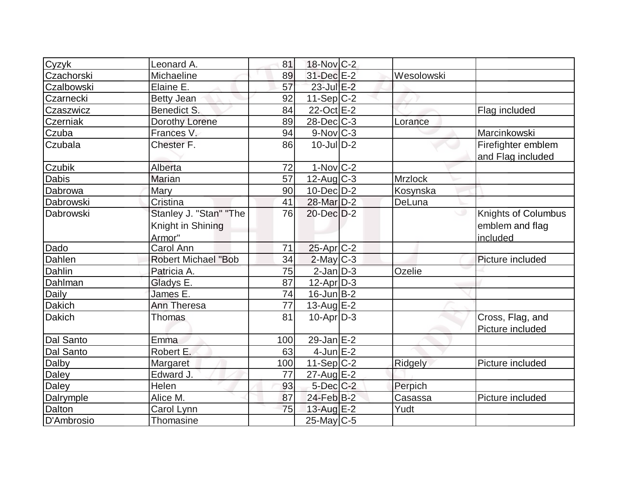| Cyzyk         | Leonard A.                                            | 81  | 18-Nov C-2              |                |                                                           |
|---------------|-------------------------------------------------------|-----|-------------------------|----------------|-----------------------------------------------------------|
| Czachorski    | Michaeline                                            | 89  | 31-Dec E-2              | Wesolowski     |                                                           |
| Czalbowski    | Elaine E.                                             | 57  | 23-Jul E-2              |                |                                                           |
| Czarnecki     | <b>Betty Jean</b>                                     | 92  | $11-Sep C-2$            |                |                                                           |
| Czaszwicz     | Benedict S.                                           | 84  | 22-Oct E-2              |                | Flag included                                             |
| Czerniak      | Dorothy Lorene                                        | 89  | $28$ -Dec $C$ -3        | Lorance        |                                                           |
| Czuba         | Frances V.                                            | 94  | $9-Nov$ <sub>C-3</sub>  |                | Marcinkowski                                              |
| Czubala       | Chester F.                                            | 86  | $10$ -Jul $D-2$         |                | Firefighter emblem                                        |
| Czubik        | Alberta                                               | 72  | $1-Nov$ <sub>C</sub> -2 |                | and Flag included                                         |
| Dabis         | Marian                                                | 57  | $12$ -Aug C-3           | <b>Mrzlock</b> |                                                           |
|               |                                                       |     |                         |                |                                                           |
| Dabrowa       | Mary                                                  | 90  | $10$ -Dec $D-2$         | Kosynska       |                                                           |
| Dabrowski     | Cristina                                              | 41  | 28-Mar D-2              | DeLuna         |                                                           |
| Dabrowski     | Stanley J. "Stan" "The<br>Knight in Shining<br>Armor" | 76  | $20$ -Dec $D-2$         |                | <b>Knights of Columbus</b><br>emblem and flag<br>included |
| Dado          | Carol Ann                                             | 71  | $25$ -Apr $C-2$         |                |                                                           |
| Dahlen        | <b>Robert Michael "Bob</b>                            | 34  | $2$ -May $C-3$          |                | Picture included                                          |
| Dahlin        | Patricia A.                                           | 75  | $2$ -Jan $D-3$          | Ozelie         |                                                           |
| Dahlman       | Gladys E.                                             | 87  | $12$ -Apr $ D-3 $       |                |                                                           |
| Daily         | James E.                                              | 74  | $16$ -Jun $B-2$         |                |                                                           |
| <b>Dakich</b> | Ann Theresa                                           | 77  | 13-Aug $E-2$            |                |                                                           |
| <b>Dakich</b> | <b>Thomas</b>                                         | 81  | $10$ -Apr $D-3$         |                | Cross, Flag, and<br>Picture included                      |
| Dal Santo     | Emma                                                  | 100 | 29-Jan E-2              |                |                                                           |
| Dal Santo     | Robert E.                                             | 63  | $4$ -Jun $E-2$          |                |                                                           |
| Dalby         | Margaret                                              | 100 | $11-Sep C-2$            | Ridgely        | Picture included                                          |
| Daley         | Edward J.                                             | 77  | $27$ -Aug E-2           |                |                                                           |
| Daley         | <b>Helen</b>                                          | 93  | $5$ -Dec $C$ -2         | Perpich        |                                                           |
| Dalrymple     | Alice M.                                              | 87  | 24-Feb B-2              | Casassa        | Picture included                                          |
| Dalton        | Carol Lynn                                            | 75  | $13$ -Aug E-2           | Yudt           |                                                           |
| D'Ambrosio    | Thomasine                                             |     | $25$ -May C-5           |                |                                                           |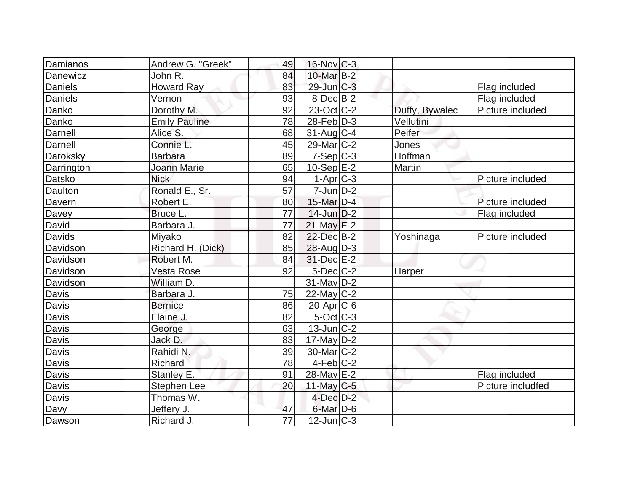| Damianos       | Andrew G. "Greek"    | 49              | $16$ -Nov $ C-3 $ |                |                   |
|----------------|----------------------|-----------------|-------------------|----------------|-------------------|
| Danewicz       | John R.              | 84              | 10-Mar B-2        |                |                   |
| <b>Daniels</b> | <b>Howard Ray</b>    | 83              | $29$ -Jun $ C-3 $ |                | Flag included     |
| Daniels        | Vernon               | 93              | $8$ -Dec $B$ -2   |                | Flag included     |
| Danko          | Dorothy M.           | 92              | $23-Oct$ $C-2$    | Duffy, Bywalec | Picture included  |
| Danko          | <b>Emily Pauline</b> | 78              | $28$ -Feb $ D-3$  | Vellutini      |                   |
| Darnell        | Alice S.             | 68              | $31$ -Aug C-4     | Peifer         |                   |
| Darnell        | Connie L.            | 45              | $29$ -Mar $ C-2 $ | Jones          |                   |
| Daroksky       | <b>Barbara</b>       | 89              | $7-Sep C-3$       | Hoffman        |                   |
| Darrington     | Joann Marie          | 65              | 10-Sep $E-2$      | <b>Martin</b>  |                   |
| Datsko         | <b>Nick</b>          | 94              | $1-Apr$ $C-3$     |                | Picture included  |
| Daulton        | Ronald E., Sr.       | 57              | $7$ -Jun $D-2$    |                |                   |
| Davern         | Robert E.            | 80              | 15-Mar $D-4$      |                | Picture included  |
| Davey          | Bruce L.             | 77              | $14$ -Jun $D-2$   |                | Flag included     |
| David          | Barbara J.           | 77              | $21$ -May $E-2$   |                |                   |
| <b>Davids</b>  | Miyako               | 82              | 22-Dec B-2        | Yoshinaga      | Picture included  |
| Davidson       | Richard H. (Dick)    | 85              | $28$ -Aug $D-3$   |                |                   |
| Davidson       | Robert M.            | 84              | 31-Dec E-2        |                |                   |
| Davidson       | Vesta Rose           | 92              | $5$ -Dec $C$ -2   | Harper         |                   |
| Davidson       | William D.           |                 | $31$ -May D-2     |                |                   |
| <b>Davis</b>   | Barbara J.           | 75              | $22$ -May C-2     |                |                   |
| <b>Davis</b>   | <b>Bernice</b>       | 86              | $20$ -Apr $ C$ -6 |                |                   |
| Davis          | Elaine J.            | 82              | $5-Oct$ $C-3$     |                |                   |
| Davis          | George               | 63              | $13$ -Jun $ C-2 $ |                |                   |
| <b>Davis</b>   | Jack D.              | 83              | $17$ -May D-2     |                |                   |
| Davis          | Rahidi N.            | 39              | $30$ -Mar $ C-2 $ |                |                   |
| Davis          | Richard              | 78              | $4-Feb C-2$       |                |                   |
| <b>Davis</b>   | Stanley E.           | 91              | 28-May E-2        |                | Flag included     |
| Davis          | Stephen Lee          | 20              | 11-May $C-5$      |                | Picture includfed |
| <b>Davis</b>   | Thomas W.            |                 | $4$ -Dec $D-2$    |                |                   |
| Davy           | Jeffery J.           | 47              | $6$ -Mar $D-6$    |                |                   |
| Dawson         | Richard J.           | $\overline{77}$ | $12$ -Jun $ C-3 $ |                |                   |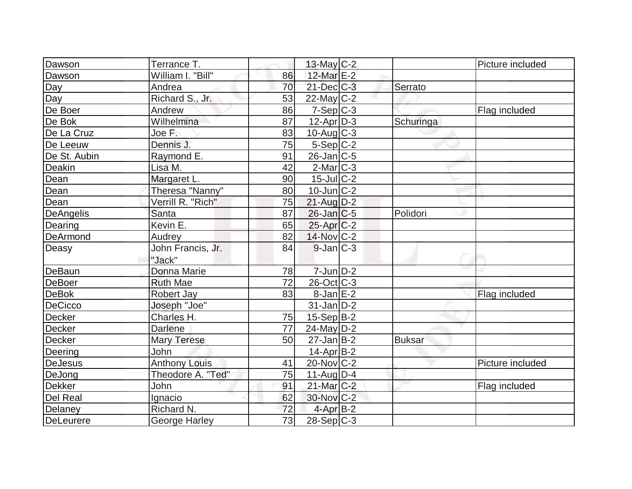| Dawson          | Terrance T.          |                 | $13$ -May C-2     |               | Picture included |
|-----------------|----------------------|-----------------|-------------------|---------------|------------------|
|                 | William I. "Bill"    |                 |                   |               |                  |
| Dawson          |                      | 86              | 12-Mar E-2        |               |                  |
| Day             | Andrea               | 70              | $21$ -Dec $C-3$   | Serrato       |                  |
| Day             | Richard S., Jr.      | 53              | $22$ -May C-2     |               |                  |
| De Boer         | Andrew               | 86              | $7-Sep C-3$       |               | Flag included    |
| De Bok          | Wilhelmina           | 87              | $12$ -Apr $D-3$   | Schuringa     |                  |
| De La Cruz      | Joe F.               | 83              | $10$ -Aug $C-3$   |               |                  |
| De Leeuw        | Dennis J.            | 75              | $5-Sep C-2$       |               |                  |
| De St. Aubin    | Raymond E.           | 91              | $26$ -Jan $C$ -5  |               |                  |
| Deakin          | Lisa M.              | 42              | $2$ -Mar $ C-3 $  |               |                  |
| Dean            | Margaret L.          | 90              | $15$ -Jul $C-2$   |               |                  |
| Dean            | Theresa "Nanny"      | 80              | $10$ -Jun $C-2$   |               |                  |
| Dean            | Verrill R. "Rich"    | 75              | $21$ -Aug $D-2$   |               |                  |
| DeAngelis       | Santa                | 87              | $26$ -Jan $ C$ -5 | Polidori      |                  |
| Dearing         | Kevin E.             | 65              | $25$ -Apr $C-2$   |               |                  |
| <b>DeArmond</b> | Audrey               | 82              | 14-Nov C-2        |               |                  |
| Deasy           | John Francis, Jr.    | 84              | $9$ -Jan $ C-3 $  |               |                  |
|                 | "Jack"               |                 |                   |               |                  |
| <b>DeBaun</b>   | Donna Marie          | 78              | $7$ -Jun $D-2$    |               |                  |
| DeBoer          | <b>Ruth Mae</b>      | $\overline{72}$ | 26-Oct C-3        |               |                  |
| <b>DeBok</b>    | <b>Robert Jay</b>    | 83              | $8$ -Jan $E-2$    |               | Flag included    |
| DeCicco         | Joseph "Joe"         |                 | $31$ -Jan $D-2$   |               |                  |
| Decker          | Charles H.           | 75              | $15-Sep B-2$      |               |                  |
| Decker          | <b>Darlene</b>       | 77              | $24$ -May D-2     |               |                  |
| <b>Decker</b>   | <b>Mary Terese</b>   | 50              | $27$ -Jan B-2     | <b>Buksar</b> |                  |
| Deering         | John                 |                 | $14$ -Apr $B-2$   |               |                  |
| <b>DeJesus</b>  | <b>Anthony Louis</b> | 41              | $20$ -Nov $ C-2 $ |               | Picture included |
| DeJong          | Theodore A. "Ted"    | 75              | $11$ -Aug $D-4$   |               |                  |
| Dekker          | John                 | 91              | $21$ -Mar $C-2$   |               | Flag included    |
| Del Real        | Ignacio              | 62              | 30-Nov C-2        |               |                  |
| Delaney         | Richard N.           | 72              | 4-Apr B-2         |               |                  |
| DeLeurere       | <b>George Harley</b> | 73              | $28-Sep C-3$      |               |                  |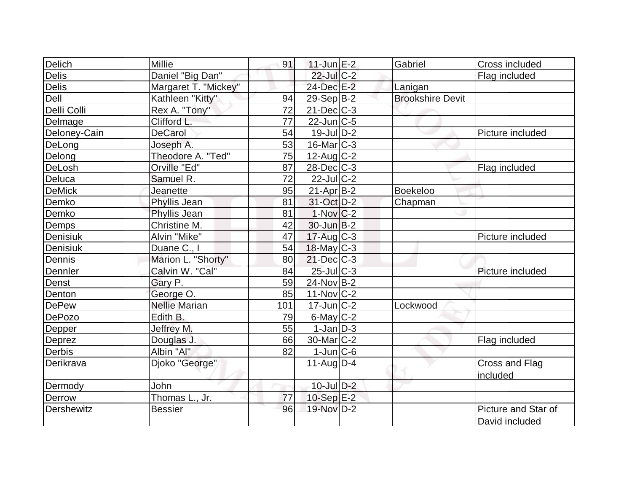|                    | Millie               |     |                         |                         |                     |
|--------------------|----------------------|-----|-------------------------|-------------------------|---------------------|
| Delich             |                      | 91  | $11$ -Jun $E-2$         | Gabriel                 | Cross included      |
| Delis              | Daniel "Big Dan"     |     | 22-Jul C-2              |                         | Flag included       |
| Delis              | Margaret T. "Mickey" |     | 24-Dec E-2              | Lanigan                 |                     |
| Dell               | Kathleen "Kitty"     | 94  | $29-Sep B-2$            | <b>Brookshire Devit</b> |                     |
| Delli Colli        | Rex A. "Tony"        | 72  | $21$ -Dec $C-3$         |                         |                     |
| Delmage            | Clifford L.          | 77  | $22$ -Jun $ C-5$        |                         |                     |
| Deloney-Cain       | <b>DeCarol</b>       | 54  | 19-Jul D-2              |                         | Picture included    |
| DeLong             | Joseph A.            | 53  | $16$ -Mar $ C-3 $       |                         |                     |
| Delong             | Theodore A. "Ted"    | 75  | $12$ -Aug C-2           |                         |                     |
| DeLosh             | Orville "Ed"         | 87  | $28$ -Dec $C-3$         |                         | Flag included       |
| Deluca             | Samuel R.            | 72  | 22-Jul C-2              |                         |                     |
| DeMick             | Jeanette             | 95  | $21-Apr B-2$            | <b>Boekeloo</b>         |                     |
| Demko              | Phyllis Jean         | 81  | 31-Oct D-2              | Chapman                 |                     |
| Demko              | Phyllis Jean         | 81  | $1-Nov$ <sub>C</sub> -2 |                         |                     |
| Demps              | Christine M.         | 42  | $30$ -Jun $B-2$         |                         |                     |
| Denisiuk           | Alvin "Mike"         | 47  | $17$ -Aug C-3           |                         | Picture included    |
| Denisiuk           | Duane C., I          | 54  | $18$ -May C-3           |                         |                     |
| Dennis             | Marion L. "Shorty"   | 80  | $21$ -Dec $C-3$         |                         |                     |
| Dennler            | Calvin W. "Cal"      | 84  | $25$ -Jul $C-3$         |                         | Picture included    |
| Denst              | Gary P.              | 59  | $24$ -Nov B-2           |                         |                     |
| Denton             | George O.            | 85  | $11-Nov$ $C-2$          |                         |                     |
| <b>DePew</b>       | <b>Nellie Marian</b> | 101 | $17$ -Jun $C-2$         | Lockwood                |                     |
| DePozo             | Edith B.             | 79  | $6$ -May $C-2$          |                         |                     |
| Depper             | Jeffrey M.           | 55  | $1-Jan D-3$             |                         |                     |
| Deprez             | Douglas J.           | 66  | 30-Mar <sub>IC-2</sub>  |                         | Flag included       |
| Derbis             | Albin "Al"           | 82  | $1$ -Jun $C$ -6         |                         |                     |
| Derikrava          | Djoko "George"       |     | $11-Aug D-4$            |                         | Cross and Flag      |
|                    |                      |     |                         |                         | included            |
| Dermody            | John                 |     | $10$ -Jul $D-2$         |                         |                     |
| Derrow             | Thomas L., Jr.       | 77  | $10-Sep$ E-2            |                         |                     |
| <b>IDershewitz</b> | <b>Bessier</b>       | 96  | 19-Nov D-2              |                         | Picture and Star of |
|                    |                      |     |                         |                         | David included      |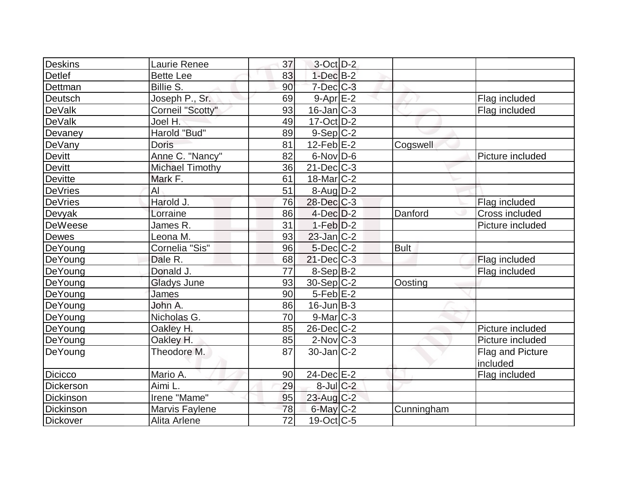| Deskins        | Laurie Renee           | 37 | $3$ -Oct $D-2$          |             |                              |
|----------------|------------------------|----|-------------------------|-------------|------------------------------|
| Detlef         | <b>Bette Lee</b>       | 83 | $1-Dec$ B-2             |             |                              |
| Dettman        | Billie S.              | 90 | $7$ -Dec $C$ -3         |             |                              |
| Deutsch        | Joseph P., Sr.         | 69 | $9-AprE-2$              |             | Flag included                |
| <b>DeValk</b>  | Corneil "Scotty"       | 93 | $16$ -Jan $ C-3 $       |             | Flag included                |
| <b>DeValk</b>  | Joel H.                | 49 | $17$ -Oct $ D-2 $       |             |                              |
| Devaney        | Harold "Bud"           | 89 | $9-Sep C-2$             |             |                              |
| DeVany         | <b>Doris</b>           | 81 | $12$ -Feb $E-2$         | Cogswell    |                              |
| <b>Devitt</b>  | Anne C. "Nancy"        | 82 | $6$ -Nov $D$ -6         |             | Picture included             |
| Devitt         | <b>Michael Timothy</b> | 36 | $21$ -Dec $C$ -3        |             |                              |
| <b>Devitte</b> | Mark F.                | 61 | 18-Mar <sub>IC</sub> -2 |             |                              |
| <b>DeVries</b> | AI                     | 51 | $8-Aug D-2$             |             |                              |
| <b>DeVries</b> | Harold J.              | 76 | 28-Dec C-3              |             | Flag included                |
| Devyak         | Lorraine               | 86 | $4$ -Dec $D-2$          | Danford     | Cross included               |
| <b>DeWeese</b> | James R.               | 31 | $1-Feb$ $D-2$           |             | Picture included             |
| Dewes          | Leona M.               | 93 | $23$ -Jan $ C-2 $       |             |                              |
| DeYoung        | Cornelia "Sis"         | 96 | $5$ -Dec $C$ -2         | <b>Bult</b> |                              |
| DeYoung        | Dale R.                | 68 | $21$ -Dec $C$ -3        |             | Flag included                |
| DeYoung        | Donald J.              | 77 | 8-Sep B-2               |             | Flag included                |
| DeYoung        | <b>Gladys June</b>     | 93 | $30-Sep C-2$            | Oosting     |                              |
| DeYoung        | James                  | 90 | $5$ -Feb $E-2$          |             |                              |
| DeYoung        | John A.                | 86 | $16$ -Jun $B-3$         |             |                              |
| DeYoung        | Nicholas G.            | 70 | $9$ -Mar $ C-3$         |             |                              |
| DeYoung        | Oakley H.              | 85 | $26$ -Dec $C$ -2        |             | Picture included             |
| DeYoung        | Oakley H.              | 85 | $2$ -Nov $ C-3 $        |             | Picture included             |
| DeYoung        | Theodore M.            | 87 | $30$ -Jan $ C-2 $       |             | Flag and Picture<br>included |
| <b>Dicicco</b> | Mario A.               | 90 | $24$ -Dec $E-2$         |             | Flag included                |
| Dickerson      | Aimi L.                | 29 | $8$ -Jul $C$ -2         |             |                              |
| Dickinson      | Irene "Mame"           | 95 | $23$ -Aug $C-2$         |             |                              |
| Dickinson      | Marvis Faylene         | 78 | $6$ -May $C-2$          | Cunningham  |                              |
| Dickover       | Alita Arlene           | 72 | $19-Oct$ $C-5$          |             |                              |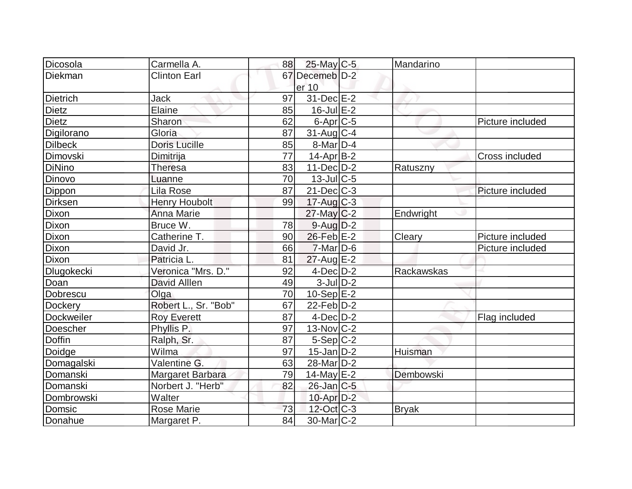| Dicosola        | Carmella A.          | 88 |                          | Mandarino    |                       |
|-----------------|----------------------|----|--------------------------|--------------|-----------------------|
|                 |                      |    | $25$ -May C-5            |              |                       |
| Diekman         | <b>Clinton Earl</b>  | 67 | Decemeb <sup>ID-2</sup>  |              |                       |
|                 |                      |    | er 10                    |              |                       |
| <b>Dietrich</b> | Jack                 | 97 | 31-Dec E-2               |              |                       |
| <b>Dietz</b>    | Elaine               | 85 | $16$ -Jul $E-2$          |              |                       |
| <b>Dietz</b>    | Sharon               | 62 | $6$ -Apr $C$ -5          |              | Picture included      |
| Digilorano      | Gloria               | 87 | $31$ -Aug C-4            |              |                       |
| <b>Dilbeck</b>  | <b>Doris Lucille</b> | 85 | $8$ -Mar $D-4$           |              |                       |
| Dimovski        | Dimitrija            | 77 | $14$ -Apr $ B-2 $        |              | <b>Cross included</b> |
| <b>DiNino</b>   | <b>Theresa</b>       | 83 | $11-Dec$ D-2             | Ratuszny     |                       |
| Dinovo          | Luanne               | 70 | $13$ -JulC-5             |              |                       |
| Dippon          | Lila Rose            | 87 | $21$ -Dec $C$ -3         |              | Picture included      |
| <b>Dirksen</b>  | <b>Henry Houbolt</b> | 99 | $17$ -Aug C-3            |              |                       |
| Dixon           | <b>Anna Marie</b>    |    | $27$ -May C-2            | Endwright    |                       |
| Dixon           | Bruce W.             | 78 | $9$ -Aug $D-2$           |              |                       |
| Dixon           | Catherine T.         | 90 | 26-Feb E-2               | Cleary       | Picture included      |
| Dixon           | David Jr.            | 66 | $7$ -Mar $D-6$           |              | Picture included      |
| Dixon           | Patricia L.          | 81 | $27$ -Aug E-2            |              |                       |
| Dlugokecki      | Veronica "Mrs. D."   | 92 | $4$ -Dec $D-2$           | Rackawskas   |                       |
| Doan            | <b>David Alllen</b>  | 49 | $3$ -JulD-2              |              |                       |
| Dobrescu        | Olga                 | 70 | $10-Sep$ $E-2$           |              |                       |
| Dockery         | Robert L., Sr. "Bob" | 67 | $22$ -Feb $ D-2 $        |              |                       |
| Dockweiler      | <b>Roy Everett</b>   | 87 | $4$ -Dec $D-2$           |              | Flag included         |
| Doescher        | Phyllis P.           | 97 | $13-Nov$ <sub>C</sub> -2 |              |                       |
| <b>Doffin</b>   | Ralph, Sr.           | 87 | $5-Sep C-2$              |              |                       |
| Doidge          | Wilma                | 97 | $15$ -Jan $D-2$          | Huisman      |                       |
| Domagalski      | Valentine G.         | 63 | 28-Mar <sub>D-2</sub>    |              |                       |
| Domanski        | Margaret Barbara     | 79 | 14-May $E-2$             | Dembowski    |                       |
| Domanski        | Norbert J. "Herb"    | 82 | $26$ -Jan $ C-5 $        |              |                       |
| Dombrowski      | Walter               |    | 10-Apr D-2               |              |                       |
| Domsic          | <b>Rose Marie</b>    | 73 | 12-Oct C-3               | <b>Bryak</b> |                       |
| Donahue         | Margaret P.          | 84 | 30-Mar <sub>IC</sub> -2  |              |                       |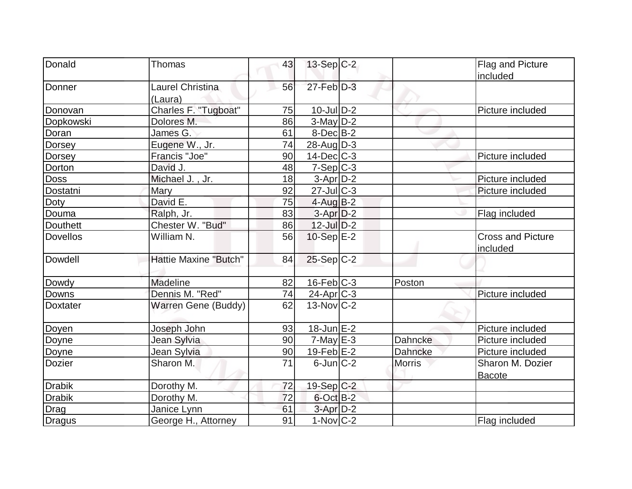| Donald          | <b>Thomas</b>                | 43              | $13-Sep C-2$             |               | Flag and Picture         |
|-----------------|------------------------------|-----------------|--------------------------|---------------|--------------------------|
|                 |                              |                 |                          |               | included                 |
| Donner          | Laurel Christina             | 56              | $27$ -Feb $D-3$          |               |                          |
|                 | (Laura)                      |                 |                          |               |                          |
| Donovan         | Charles F. "Tugboat"         | 75              | $10$ -Jul $D-2$          |               | Picture included         |
| Dopkowski       | Dolores M.                   | 86              | $3$ -May $D-2$           |               |                          |
| Doran           | James G.                     | 61              | $8$ -Dec $B$ -2          |               |                          |
| Dorsey          | Eugene W., Jr.               | $\overline{74}$ | $28$ -Aug $ D-3 $        |               |                          |
| <b>Dorsey</b>   | Francis "Joe"                | 90              | $14$ -Dec $C$ -3         |               | Picture included         |
| Dorton          | David J.                     | 48              | $7-Sep C-3$              |               |                          |
| <b>Doss</b>     | Michael J., Jr.              | 18              | $3-Apr$ $D-2$            |               | Picture included         |
| Dostatni        | <b>Mary</b>                  | 92              | $27$ -Jul $C-3$          |               | Picture included         |
| Doty            | David E.                     | 75              | $4$ -Aug B-2             |               |                          |
| Douma           | Ralph, Jr.                   | 83              | $3-Apr D-2$              |               | Flag included            |
| <b>Douthett</b> | Chester W. "Bud"             | 86              | $12$ -Jul $D-2$          |               |                          |
| <b>Dovellos</b> | William N.                   | 56              | 10-Sep E-2               |               | <b>Cross and Picture</b> |
|                 |                              |                 |                          |               | included                 |
| Dowdell         | <b>Hattie Maxine "Butch"</b> | 84              | $25-Sep C-2$             |               |                          |
|                 |                              |                 |                          |               |                          |
| Dowdy           | <b>Madeline</b>              | 82              | $16$ -Feb $ C-3 $        | Poston        |                          |
| <b>Downs</b>    | Dennis M. "Red"              | 74              | $24$ -Apr $C-3$          |               | Picture included         |
| <b>Doxtater</b> | <b>Warren Gene (Buddy)</b>   | 62              | $13-Nov$ <sub>C</sub> -2 |               |                          |
|                 |                              |                 |                          |               |                          |
| Doyen           | Joseph John                  | 93              | $18$ -Jun $E-2$          |               | Picture included         |
| Doyne           | Jean Sylvia                  | 90              | $7$ -May $E-3$           | Dahncke       | Picture included         |
| Doyne           | Jean Sylvia                  | 90              | $19$ -Feb $E-2$          | Dahncke       | Picture included         |
| <b>Dozier</b>   | Sharon M.                    | 71              | $6$ -Jun $C-2$           | <b>Morris</b> | Sharon M. Dozier         |
|                 |                              |                 |                          |               | <b>Bacote</b>            |
| <b>Drabik</b>   | Dorothy M.                   | 72              | 19-Sep C-2               |               |                          |
| <b>Drabik</b>   | Dorothy M.                   | 72              | $6$ -Oct $B-2$           |               |                          |
| <b>Drag</b>     | Janice Lynn                  | 61              | $3$ -Apr $D-2$           |               |                          |
| Dragus          | George H., Attorney          | 91              | $1-Nov$ <sub>C</sub> -2  |               | Flag included            |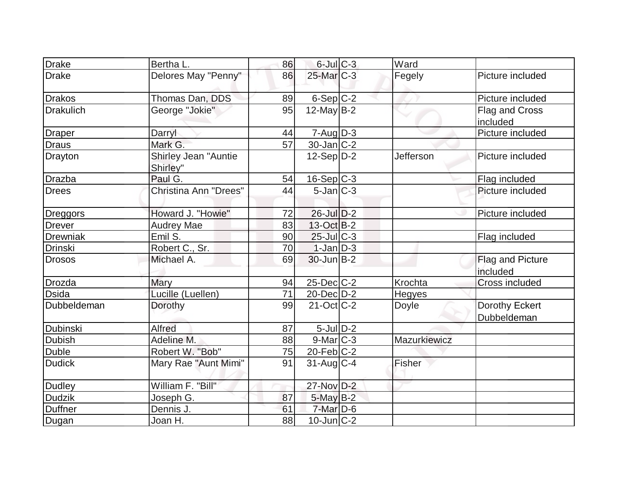| <b>Drake</b>     | Bertha L.                        | 86 | $6$ -Jul $C$ -3          | Ward         |                               |
|------------------|----------------------------------|----|--------------------------|--------------|-------------------------------|
| <b>Drake</b>     | Delores May "Penny"              | 86 | $25$ -Mar $C-3$          | Fegely       | Picture included              |
| Drakos           | Thomas Dan, DDS                  | 89 | $6-Sep C-2$              |              | Picture included              |
| <b>Drakulich</b> | George "Jokie"                   | 95 | $12$ -May B-2            |              | Flag and Cross<br>included    |
| <b>Draper</b>    | Darryl                           | 44 | $7 - Aug$ $D-3$          |              | Picture included              |
| <b>Draus</b>     | Mark G.                          | 57 | $30 - Jan$ $C-2$         |              |                               |
| Drayton          | Shirley Jean "Auntie<br>Shirley" |    | $12-Sep D-2$             | Jefferson    | Picture included              |
| Drazba           | Paul G.                          | 54 | $16-Sep C-3$             |              | Flag included                 |
| <b>Drees</b>     | <b>Christina Ann "Drees"</b>     | 44 | $5$ -Jan $ C-3 $         |              | Picture included              |
| Dreggors         | Howard J. "Howie"                | 72 | $26$ -Jul $D-2$          |              | Picture included              |
| <b>Drever</b>    | <b>Audrey Mae</b>                | 83 | $13-Oct$ B-2             |              |                               |
| Drewniak         | Emil S.                          | 90 | $25$ -Jul $C-3$          |              | Flag included                 |
| <b>Drinski</b>   | Robert C., Sr.                   | 70 | $1-Jan$ D-3              |              |                               |
| <b>Drosos</b>    | Michael A.                       | 69 | $30$ -Jun $B-2$          |              | Flag and Picture<br>included  |
| Drozda           | <b>Mary</b>                      | 94 | $25$ -Dec $C$ -2         | Krochta      | Cross included                |
| <b>Dsida</b>     | Lucille (Luellen)                | 71 | 20-Dec D-2               | Hegyes       |                               |
| Dubbeldeman      | Dorothy                          | 99 | $21-Oct$ <sub>C</sub> -2 | Doyle        | Dorothy Eckert<br>Dubbeldeman |
| Dubinski         | <b>Alfred</b>                    | 87 | $5$ -Jul $D-2$           |              |                               |
| <b>Dubish</b>    | Adeline M.                       | 88 | $9$ -Mar $ C-3 $         | Mazurkiewicz |                               |
| <b>Duble</b>     | Robert W. "Bob"                  | 75 | $20$ -Feb $ C-2 $        |              |                               |
| <b>Dudick</b>    | Mary Rae "Aunt Mimi"             | 91 | $31$ -Aug C-4            | Fisher       |                               |
| <b>Dudley</b>    | William F. "Bill"                |    | 27-Nov D-2               |              |                               |
| <b>Dudzik</b>    | Joseph G.                        | 87 | $5$ -May $B-2$           |              |                               |
| Duffner          | Dennis J.                        | 61 | $7$ -Mar $D-6$           |              |                               |
| Dugan            | Joan H.                          | 88 | $10$ -Jun $C-2$          |              |                               |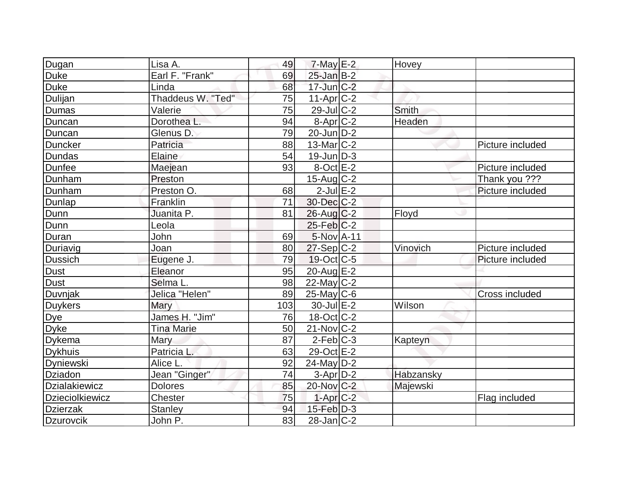| Dugan                  | Lisa A.           | 49  | $7$ -May $E-2$    | Hovey        |                       |
|------------------------|-------------------|-----|-------------------|--------------|-----------------------|
| Duke                   | Earl F. "Frank"   | 69  | $25$ -Jan $B-2$   |              |                       |
| Duke                   | Linda             | 68  | $17$ -Jun $C-2$   |              |                       |
| Dulijan                | Thaddeus W. "Ted" | 75  | $11-Apr$ $C-2$    |              |                       |
| <b>Dumas</b>           | Valerie           | 75  | $29$ -JulC-2      | <b>Smith</b> |                       |
| Duncan                 | Dorothea L.       | 94  | $8-Apr$ $C-2$     | Headen       |                       |
| Duncan                 | Glenus D.         | 79  | $20$ -Jun $D-2$   |              |                       |
| Duncker                | Patricia          | 88  | $13$ -Mar $ C-2 $ |              | Picture included      |
| Dundas                 | Elaine            | 54  | $19$ -Jun $D-3$   |              |                       |
| Dunfee                 | Maejean           | 93  | $8$ -Oct $E-2$    |              | Picture included      |
| Dunham                 | Preston           |     | $15$ -Aug C-2     |              | Thank you ???         |
| Dunham                 | Preston O.        | 68  | $2$ -Jul $E-2$    |              | Picture included      |
| Dunlap                 | Franklin          | 71  | 30-Dec C-2        |              |                       |
| Dunn                   | Juanita P.        | 81  | $26$ -Aug $C-2$   | Floyd        |                       |
| Dunn                   | Leola             |     | $25$ -Feb $ C-2$  |              |                       |
| Duran                  | John              | 69  | $5-NovA-11$       |              |                       |
| Duriavig               | Joan              | 80  | $27-Sep C-2$      | Vinovich     | Picture included      |
| <b>Dussich</b>         | Eugene J.         | 79  | $19-Oct$ $C-5$    |              | Picture included      |
| <b>Dust</b>            | Eleanor           | 95  | $20$ -Aug $E-2$   |              |                       |
| Dust                   | Selma L.          | 98  | $22$ -May C-2     |              |                       |
| Duvnjak                | Jelica "Helen"    | 89  | $25$ -May C-6     |              | <b>Cross included</b> |
| <b>Duykers</b>         | Mary              | 103 | $30$ -Jul $E-2$   | Wilson       |                       |
| Dye<br>Dyke            | James H. "Jim"    | 76  | $18-Oct$ $C-2$    |              |                       |
|                        | <b>Tina Marie</b> | 50  | $21$ -Nov $ C-2 $ |              |                       |
| Dykema                 | Mary              | 87  | $2$ -Feb $ C-3 $  | Kapteyn      |                       |
| <b>Dykhuis</b>         | Patricia L.       | 63  | 29-Oct E-2        |              |                       |
| Dyniewski              | Alice L.          | 92  | $24$ -May D-2     |              |                       |
| Dziadon                | Jean "Ginger"     | 74  | $3-Apr D-2$       | Habzansky    |                       |
| Dzialakiewicz          | <b>Dolores</b>    | 85  | 20-Nov C-2        | Majewski     |                       |
| <b>Dzieciolkiewicz</b> | Chester           | 75  | $1-Apr$ $C-2$     |              | Flag included         |
| <b>Dzierzak</b>        | <b>Stanley</b>    | 94  | $15$ -Feb $D-3$   |              |                       |
| Dzurovcik              | John P.           | 83  | $28$ -Jan $ C-2 $ |              |                       |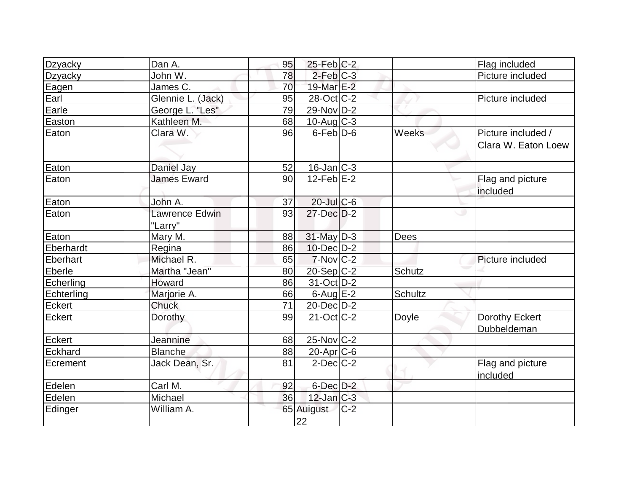| Dzyacky         | Dan A.                           | 95 | $25$ -Feb $C-2$          |       |             | Flag included                             |
|-----------------|----------------------------------|----|--------------------------|-------|-------------|-------------------------------------------|
| Dzyacky         | John W.                          | 78 | $2$ -Feb $C-3$           |       |             | Picture included                          |
| Eagen           | James C.                         | 70 | 19-Mar E-2               |       |             |                                           |
| Earl            | Glennie L. (Jack)                | 95 | $28-Oct$ <sub>C</sub> -2 |       |             | Picture included                          |
| Earle           | George L. "Les"                  | 79 | $29-Nov D-2$             |       |             |                                           |
| Easton          | Kathleen M.                      | 68 | $10$ -Aug $C-3$          |       |             |                                           |
| Eaton           | Clara W.                         | 96 | $6$ -Feb $D-6$           |       | Weeks       | Picture included /<br>Clara W. Eaton Loew |
| Eaton           | Daniel Jay                       | 52 | $16$ -Jan $ C-3 $        |       |             |                                           |
| Eaton           | <b>James Eward</b>               | 90 | $12$ -Feb $E-2$          |       |             | Flag and picture<br>included              |
| Eaton           | John A.                          | 37 | $20$ -Jul $C$ -6         |       |             |                                           |
| Eaton           | <b>Lawrence Edwin</b><br>"Larry" | 93 | 27-Dec D-2               |       |             |                                           |
| Eaton           | Mary M.                          | 88 | $31$ -May $D-3$          |       | <b>Dees</b> |                                           |
| Eberhardt       | Regina                           | 86 | $10$ -Dec $D-2$          |       |             |                                           |
| <b>Eberhart</b> | Michael R.                       | 65 | $7-Nov$ <sub>C-2</sub>   |       |             | Picture included                          |
| Eberle          | Martha "Jean"                    | 80 | 20-Sep C-2               |       | Schutz      |                                           |
| Echerling       | Howard                           | 86 | 31-Oct D-2               |       |             |                                           |
| Echterling      | Marjorie A.                      | 66 | $6$ -Aug $E-2$           |       | Schultz     |                                           |
| Eckert          | Chuck                            | 71 | $20 - Dec$ $D-2$         |       |             |                                           |
| Eckert          | Dorothy                          | 99 | $21$ -Oct $C-2$          |       | Doyle       | Dorothy Eckert<br>Dubbeldeman             |
| <b>Eckert</b>   | Jeannine                         | 68 | $25$ -Nov $ C-2 $        |       |             |                                           |
| Eckhard         | <b>Blanche</b>                   | 88 | 20-Apr C-6               |       |             |                                           |
| Ecrement        | Jack Dean, Sr.                   | 81 | $2$ -Dec $C-2$           |       |             | Flag and picture<br>included              |
| Edelen          | Carl M.                          | 92 | 6-Dec D-2                |       |             |                                           |
| Edelen          | Michael                          | 36 | $12$ -Jan $C-3$          |       |             |                                           |
| Edinger         | William A.                       |    | 65 Auigust<br>22         | $C-2$ |             |                                           |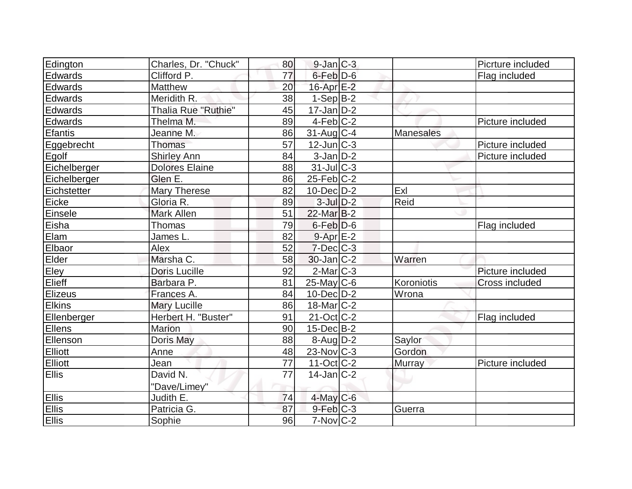| Edington       | Charles, Dr. "Chuck"  | 80 | $9$ -Jan $ C-3 $  |                  | Picrture included     |
|----------------|-----------------------|----|-------------------|------------------|-----------------------|
| Edwards        | Clifford P.           | 77 | $6$ -Feb $D$ -6   |                  | Flag included         |
| Edwards        | Matthew               | 20 | $16$ -Apr $E-2$   |                  |                       |
| Edwards        | Meridith R.           | 38 | $1-Sep B-2$       |                  |                       |
| Edwards        | Thalia Rue "Ruthie"   | 45 | $17 - Jan$ $D-2$  |                  |                       |
| Edwards        | Thelma M.             | 89 | $4-Feb C-2$       |                  | Picture included      |
| <b>Efantis</b> | Jeanne M.             | 86 | $31$ -Aug C-4     | <b>Manesales</b> |                       |
| Eggebrecht     | Thomas                | 57 | $12$ -Jun $ C-3 $ |                  | Picture included      |
| Egolf          | <b>Shirley Ann</b>    | 84 | $3$ -Jan $D-2$    |                  | Picture included      |
| Eichelberger   | <b>Dolores Elaine</b> | 88 | $31$ -JulC-3      |                  |                       |
| Eichelberger   | Glen E.               | 86 | $25$ -Feb $ C-2 $ |                  |                       |
| Eichstetter    | <b>Mary Therese</b>   | 82 | $10$ -Dec $D-2$   | Exl              |                       |
| Eicke          | Gloria R.             | 89 | $3$ -Jul $D-2$    | Reid             |                       |
| Einsele        | Mark Allen            | 51 | $22$ -Mar $B-2$   |                  |                       |
| Eisha          | Thomas                | 79 | $6$ -Feb $D-6$    |                  | Flag included         |
| Elam           | James L.              | 82 | $9-Apr$ $E-2$     |                  |                       |
| Elbaor         | Alex                  | 52 | $7$ -Dec $C-3$    |                  |                       |
| Elder          | Marsha C.             | 58 | 30-Jan C-2        | Warren           |                       |
| Eley           | <b>Doris Lucille</b>  | 92 | $2$ -Mar $ C-3 $  |                  | Picture included      |
| Elieff         | Barbara P.            | 81 | $25$ -May C-6     | Koroniotis       | <b>Cross included</b> |
| Elizeus        | Frances A.            | 84 | $10$ -Dec $D-2$   | Wrona            |                       |
| <b>Elkins</b>  | <b>Mary Lucille</b>   | 86 | $18$ -Mar $ C-2 $ |                  |                       |
| Ellenberger    | Herbert H. "Buster"   | 91 | $21$ -Oct $ C-2 $ |                  | Flag included         |
| Ellens         | <b>Marion</b>         | 90 | 15-Dec B-2        |                  |                       |
| Ellenson       | Doris May             | 88 | $8 - Aug   D-2$   | Saylor           |                       |
| <b>Elliott</b> | Anne                  | 48 | $23$ -Nov $ C-3 $ | Gordon           |                       |
| Elliott        | Jean                  | 77 | $11-Oct$ $C-2$    | Murray           | Picture included      |
| <b>Ellis</b>   | David N.              | 77 | $14$ -Jan $ C-2 $ |                  |                       |
|                | "Dave/Limey"          |    |                   |                  |                       |
| <b>Ellis</b>   | Judith E.             | 74 | $4$ -May C-6      |                  |                       |
| Ellis          | Patricia G.           | 87 | $9$ -Feb $C-3$    | Guerra           |                       |
| <b>Ellis</b>   | Sophie                | 96 | $7-Nov$ $C-2$     |                  |                       |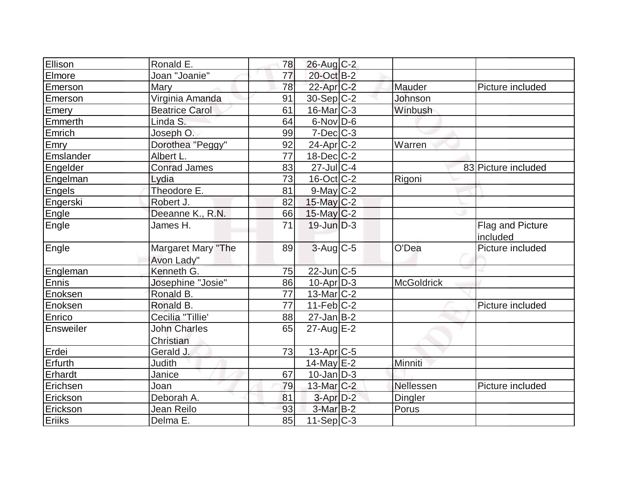| Ellison          | Ronald E.                        | 78              | 26-Aug C-2            |                   |                              |
|------------------|----------------------------------|-----------------|-----------------------|-------------------|------------------------------|
| Elmore           | Joan "Joanie"                    | 77              | 20-Oct B-2            |                   |                              |
| <b>Emerson</b>   | Mary                             | 78              | $22$ -Apr $C-2$       | Mauder            | Picture included             |
| <b>Emerson</b>   | Virginia Amanda                  | 91              | $30-Sep C-2$          | Johnson           |                              |
| Emery            | <b>Beatrice Carol</b>            | 61              | 16-Mar C-3            | Winbush           |                              |
| Emmerth          | Linda S.                         | 64              | $6$ -Nov $D$ -6       |                   |                              |
| Emrich           | Joseph O.                        | 99              | $7$ -Dec $ C-3 $      |                   |                              |
| Emry             | Dorothea "Peggy"                 | 92              | $24$ -Apr $C-2$       | Warren            |                              |
| Emslander        | Albert L.                        | 77              | $18$ -Dec $ C-2 $     |                   |                              |
| Engelder         | <b>Conrad James</b>              | 83              | $27$ -Jul C-4         |                   | 83 Picture included          |
| Engelman         | Lydia                            | 73              | $16$ -Oct $ C-2 $     | Rigoni            |                              |
| Engels           | Theodore E.                      | 81              | $9$ -May $C-2$        |                   |                              |
| Engerski         | Robert J.                        | 82              | $15$ -May C-2         |                   |                              |
| Engle            | Deeanne K., R.N.                 | 66              | $15$ -May C-2         |                   |                              |
| Engle            | James H.                         | 71              | $19$ -Jun $D-3$       |                   | Flag and Picture<br>included |
| Engle            | Margaret Mary "The<br>Avon Lady" | 89              | $3$ -Aug C-5          | O'Dea             | Picture included             |
| Engleman         | Kenneth G.                       | 75              | 22-Jun C-5            |                   |                              |
| Ennis            | Josephine "Josie"                | 86              | $10-Apr$ D-3          | <b>McGoldrick</b> |                              |
| Enoksen          | Ronald B.                        | 77              | 13-Mar $ C-2 $        |                   |                              |
| Enoksen          | Ronald B.                        | $\overline{77}$ | $11-Feb$ C-2          |                   | Picture included             |
| Enrico           | Cecilia "Tillie'                 | 88              | $27$ -Jan $B$ -2      |                   |                              |
| <b>Ensweiler</b> | <b>John Charles</b>              | 65              | $27$ -Aug $E-2$       |                   |                              |
|                  | Christian                        |                 |                       |                   |                              |
| Erdei            | Gerald J.                        | 73              | 13-Apr <sub>C-5</sub> |                   |                              |
| Erfurth          | <b>Judith</b>                    |                 | $14$ -May $E-2$       | Minniti           |                              |
| Erhardt          | Janice                           | 67              | $10$ -Jan D-3         |                   |                              |
| Erichsen         | Joan                             | 79              | 13-Mar $ C-2 $        | Nellessen         | Picture included             |
| Erickson         | Deborah A.                       | 81              | 3-Apr D-2             | Dingler           |                              |
| Erickson         | Jean Reilo                       | 93              | $3-Mar$ B-2           | Porus             |                              |
| Eriiks           | Delma E.                         | 85              | $11-Sep C-3$          |                   |                              |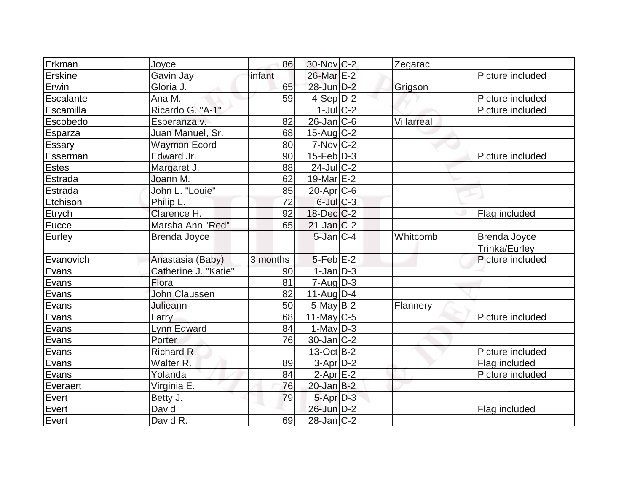| Erkman         | Joyce                | 86       | 30-Nov C-2            | Zegarac    |                                      |
|----------------|----------------------|----------|-----------------------|------------|--------------------------------------|
| Erskine        | Gavin Jay            | infant   | 26-Mar E-2            |            | Picture included                     |
| Erwin          | Gloria J.            | 65       | $28$ -Jun $D-2$       | Grigson    |                                      |
| Escalante      | Ana M.               | 59       | $4-Sep D-2$           |            | Picture included                     |
| Escamilla      | Ricardo G. "A-1"     |          | $1$ -Jul $C-2$        |            | Picture included                     |
| Escobedo       | Esperanza v.         | 82       | $26$ -Jan $ C$ -6     | Villarreal |                                      |
| <b>Esparza</b> | Juan Manuel, Sr.     | 68       | $15$ -Aug C-2         |            |                                      |
| Essary         | <b>Waymon Ecord</b>  | 80       | $7-Nov$ $C-2$         |            |                                      |
| Esserman       | Edward Jr.           | 90       | $15$ -Feb $ D-3 $     |            | Picture included                     |
| <b>Estes</b>   | Margaret J.          | 88       | $24$ -Jul $C-2$       |            |                                      |
| Estrada        | Joann M.             | 62       | 19-Mar E-2            |            |                                      |
| <b>Estrada</b> | John L. "Louie"      | 85       | 20-Apr <sub>C-6</sub> |            |                                      |
| Etchison       | Philip L.            | 72       | $6$ -Jul $C$ -3       |            |                                      |
| Etrych         | Clarence H.          | 92       | $18$ -Dec $C$ -2      |            | Flag included                        |
| Eucce          | Marsha Ann "Red"     | 65       | $21$ -Jan $ C-2 $     |            |                                      |
| Eurley         | Brenda Joyce         |          | $5$ -Jan $C-4$        | Whitcomb   | Brenda Joyce<br><b>Trinka/Eurley</b> |
| Evanovich      | Anastasia (Baby)     | 3 months | $5$ -Feb $E-2$        |            | Picture included                     |
| Evans          | Catherine J. "Katie" | 90       | $1$ -Jan $D-3$        |            |                                      |
| Evans          | Flora                | 81       | $7 - Aug   D-3$       |            |                                      |
| Evans          | <b>John Claussen</b> | 82       | $11$ -Aug $D-4$       |            |                                      |
| Evans          | Julieann             | 50       | $5$ -May B-2          | Flannery   |                                      |
| Evans          | Larry                | 68       | 11-May $C-5$          |            | Picture included                     |
| Evans          | <b>Lynn Edward</b>   | 84       | $1-May D-3$           |            |                                      |
| Evans          | Porter               | 76       | $30 - Jan$ $C-2$      |            |                                      |
| Evans          | Richard R.           |          | $13-Oct$ B-2          |            | Picture included                     |
| Evans          | Walter <sub>R.</sub> | 89       | $3-Apr D-2$           |            | Flag included                        |
| Evans          | Yolanda              | 84       | $2$ -Apr $E-2$        |            | Picture included                     |
| Everaert       | Virginia E.          | 76       | $20$ -Jan B-2         |            |                                      |
| Evert          | Betty J.             | 79       | 5-Apr D-3             |            |                                      |
| Evert          | David                |          | 26-Jun D-2            |            | Flag included                        |
| Evert          | David R.             | 69       | $28$ -Jan $ C-2 $     |            |                                      |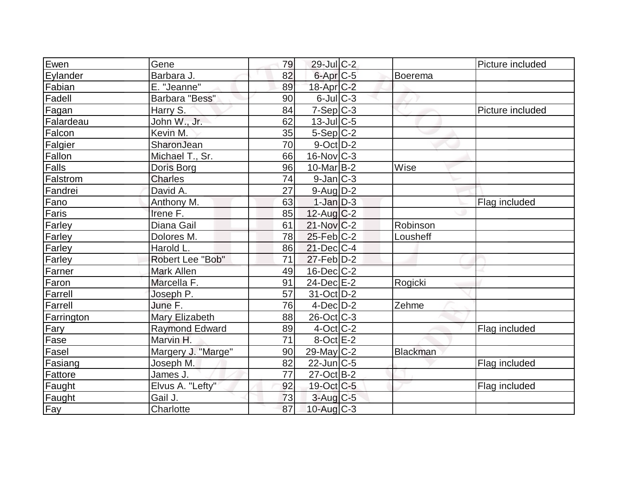| Ewen       | Gene                  | 79 | $29$ -Jul C-2               |                 | Picture included |
|------------|-----------------------|----|-----------------------------|-----------------|------------------|
| Eylander   | Barbara J.            | 82 | $6$ -Apr $C$ -5             | Boerema         |                  |
| Fabian     | E. "Jeanne"           | 89 | 18-Apr <sub>C-2</sub>       |                 |                  |
| Fadell     | Barbara "Bess"        | 90 | $6$ -Jul $C$ -3             |                 |                  |
| Fagan      | Harry S.              | 84 | $7-Sep C-3$                 |                 | Picture included |
| Falardeau  | John W., Jr.          | 62 | $13$ -Jul $C$ -5            |                 |                  |
| Falcon     | Kevin M.              | 35 | $5-Sep C-2$                 |                 |                  |
| Falgier    | SharonJean            | 70 | $9$ -Oct $D-2$              |                 |                  |
| Fallon     | Michael T., Sr.       | 66 | $16$ -Nov $ C-3 $           |                 |                  |
| Falls      | Doris Borg            | 96 | $10$ -Mar $ B-2 $           | Wise            |                  |
| Falstrom   | <b>Charles</b>        | 74 | $9$ -Jan $ C-3 $            |                 |                  |
| Fandrei    | David A.              | 27 | $9$ -Aug $D-2$              |                 |                  |
| Fano       | Anthony M.            | 63 | $1-Jan$ D-3                 |                 | Flag included    |
| Faris      | Irene F.              | 85 | $12$ -Aug $C-2$             |                 |                  |
| Farley     | Diana Gail            | 61 | 21-Nov C-2                  | Robinson        |                  |
| Farley     | Dolores M.            | 78 | $25$ -Feb $ C-2 $           | Lousheff        |                  |
| Farley     | Harold L.             | 86 | $21$ -Dec $ C-4 $           |                 |                  |
| Farley     | Robert Lee "Bob"      | 71 | $27$ -Feb $\overline{D}$ -2 |                 |                  |
| Farner     | Mark Allen            | 49 | $16$ -Dec $C$ -2            |                 |                  |
| Faron      | Marcella F.           | 91 | 24-Dec E-2                  | Rogicki         |                  |
| Farrell    | Joseph P.             | 57 | $31-Oct$ D-2                |                 |                  |
| Farrell    | June F.               | 76 | $4$ -Dec $D-2$              | Zehme           |                  |
| Farrington | Mary Elizabeth        | 88 | $26$ -Oct $ C-3 $           |                 |                  |
| Fary       | <b>Raymond Edward</b> | 89 | $4$ -Oct C-2                |                 | Flag included    |
| Fase       | Marvin H.             | 71 | $8$ -Oct $E-2$              |                 |                  |
| Fasel      | Margery J. "Marge"    | 90 | $29$ -May C-2               | <b>Blackman</b> |                  |
| Fasiang    | Joseph M.             | 82 | $22$ -Jun $C-5$             |                 | Flag included    |
| Fattore    | James J.              | 77 | $27$ -Oct B-2               |                 |                  |
| Faught     | Elvus A. "Lefty"      | 92 | 19-Oct C-5                  |                 | Flag included    |
| Faught     | Gail J.               | 73 | $3$ -Aug $C$ -5             |                 |                  |
| Fay        | Charlotte             | 87 | $10$ -Aug C-3               |                 |                  |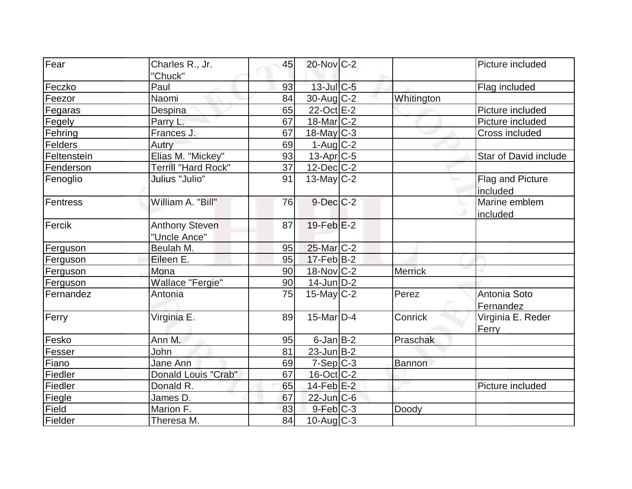| Fear           | Charles R., Jr.       | 45 | $20$ -Nov $C-2$          |                | Picture included        |
|----------------|-----------------------|----|--------------------------|----------------|-------------------------|
|                | "Chuck"               |    |                          |                |                         |
| Feczko         | Paul                  | 93 | $13$ -Jul $C$ -5         |                | Flag included           |
| Feezor         | Naomi                 | 84 | $30$ -Aug $C-2$          | Whitington     |                         |
| Fegaras        | Despina               | 65 | $22$ -Oct $E-2$          |                | Picture included        |
| Fegely         | Parry L.              | 67 | $18$ -Mar $ C-2 $        |                | Picture included        |
| Fehring        | Frances J.            | 67 | $18$ -May C-3            |                | Cross included          |
| <b>Felders</b> | Autry                 | 69 | $1-Auq$ $C-2$            |                |                         |
| Feltenstein    | Elias M. "Mickey"     | 93 | $13$ -Apr $C$ -5         |                | Star of David include   |
| Fenderson      | Terrill "Hard Rock"   | 37 | $12$ -Dec $C$ -2         |                |                         |
| Fenoglio       | Julius "Julio"        | 91 | $13$ -May C-2            |                | <b>Flag and Picture</b> |
|                |                       |    |                          |                | included                |
| Fentress       | William A. "Bill"     | 76 | $9$ -Dec $C-2$           |                | Marine emblem           |
|                |                       |    |                          |                | included                |
| Fercik         | <b>Anthony Steven</b> | 87 | $19$ -Feb $E-2$          |                |                         |
|                | "Uncle Ance"          |    |                          |                |                         |
| Ferguson       | Beulah M.             | 95 | $25$ -Mar $C-2$          |                |                         |
| Ferguson       | Eileen E.             | 95 | $17-Feb$ B-2             |                |                         |
| Ferguson       | Mona                  | 90 | 18-Nov C-2               | <b>Merrick</b> |                         |
| Ferguson       | Wallace "Fergie"      | 90 | $14$ -Jun $D-2$          |                |                         |
| Fernandez      | Antonia               | 75 | $15$ -May C-2            | Perez          | Antonia Soto            |
|                |                       |    |                          |                | Fernandez               |
| Ferry          | Virginia E.           | 89 | 15-Mar $\overline{D}$ -4 | Conrick        | Virginia E. Reder       |
|                |                       |    |                          |                | Ferry                   |
| Fesko          | Ann M.                | 95 | $6$ -Jan $B-2$           | Praschak       |                         |
| Fesser         | John                  | 81 | $23$ -Jun $B-2$          |                |                         |
| Fiano          | Jane Ann              | 69 | $7-Sep C-3$              | Bannon         |                         |
| Fiedler        | Donald Louis "Crab"   | 67 | 16-Oct C-2               |                |                         |
| Fiedler        | Donald R.             | 65 | $14$ -Feb $E-2$          |                | Picture included        |
| Fiegle         | James D.              | 67 | $22$ -Jun $C-6$          |                |                         |
| Field          | Marion F.             | 83 | $9$ -Feb $ C-3$          | Doody          |                         |
| Fielder        | Theresa M.            | 84 | $10$ -Aug $C-3$          |                |                         |
|                |                       |    |                          |                |                         |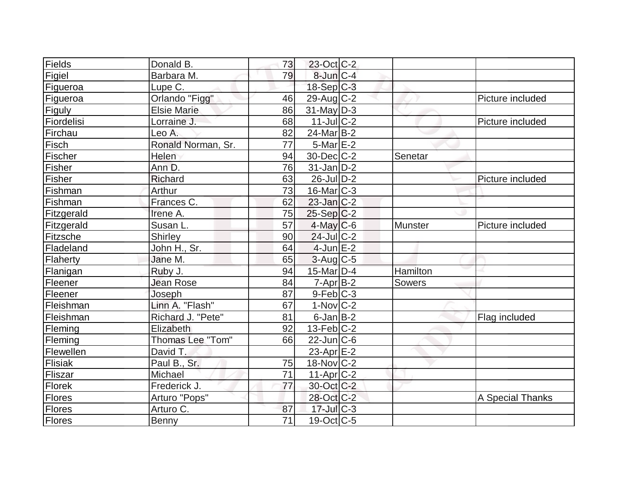| Fields     | Donald B.          | 73              | 23-Oct C-2             |          |                  |
|------------|--------------------|-----------------|------------------------|----------|------------------|
| Figiel     | Barbara M.         | 79              | $8$ -Jun $C-4$         |          |                  |
| Figueroa   | Lupe C.            |                 | $18-Sep C-3$           |          |                  |
| Figueroa   | Orlando "Figg"     | 46              | $29$ -Aug C-2          |          | Picture included |
| Figuly     | <b>Elsie Marie</b> | 86              | $31$ -May $ D-3 $      |          |                  |
| Fiordelisi | Lorraine J.        | 68              | $11$ -Jul $C-2$        |          | Picture included |
| Firchau    | Leo A.             | 82              | 24-Mar B-2             |          |                  |
| Fisch      | Ronald Norman, Sr. | 77              | $5$ -Mar $E-2$         |          |                  |
| Fischer    | Helen              | 94              | $30$ -Dec $ C-2 $      | Senetar  |                  |
| Fisher     | Ann D.             | 76              | $31$ -Jan D-2          |          |                  |
| Fisher     | Richard            | 63              | $26$ -Jul $D-2$        |          | Picture included |
| Fishman    | Arthur             | 73              | $16$ -Mar $ C-3 $      |          |                  |
| Fishman    | Frances C.         | 62              | $23$ -Jan $ C-2 $      |          |                  |
| Fitzgerald | Irene A.           | 75              | $25-Sep C-2$           |          |                  |
| Fitzgerald | Susan L.           | 57              | $4$ -May C-6           | Munster  | Picture included |
| Fitzsche   | Shirley            | 90              | $24$ -Jul C-2          |          |                  |
| Fladeland  | John H., Sr.       | 64              | $4$ -Jun $E-2$         |          |                  |
| Flaherty   | Jane M.            | 65              | $3$ -Aug $C$ -5        |          |                  |
| Flanigan   | Ruby J.            | 94              | $15$ -Mar $ D-4 $      | Hamilton |                  |
| Fleener    | <b>Jean Rose</b>   | 84              | $7 - Apr$ B-2          | Sowers   |                  |
| Fleener    | Joseph             | 87              | $9$ -Feb $ C-3 $       |          |                  |
| Fleishman  | Linn A. "Flash"    | 67              | $1-Nov$ <sub>C-2</sub> |          |                  |
| Fleishman  | Richard J. "Pete"  | 81              | $6$ -Jan $B$ -2        |          | Flag included    |
| Fleming    | Elizabeth          | 92              | $13$ -Feb $ C-2 $      |          |                  |
| Fleming    | Thomas Lee "Tom"   | 66              | $22$ -Jun $ C$ -6      |          |                  |
| Flewellen  | David T.           |                 | 23-Apr E-2             |          |                  |
| Flisiak    | Paul B., Sr.       | 75              | $18-Nov$ C-2           |          |                  |
| Fliszar    | Michael            | 71              | $11-Apr$ $C-2$         |          |                  |
| Florek     | Frederick J.       | 77              | 30-Oct C-2             |          |                  |
| Flores     | Arturo "Pops"      |                 | 28-Oct C-2             |          | A Special Thanks |
| Flores     | Arturo C.          | 87              | $17$ -Jul $C-3$        |          |                  |
| Flores     | Benny              | $\overline{71}$ | $19-Oct$ $C-5$         |          |                  |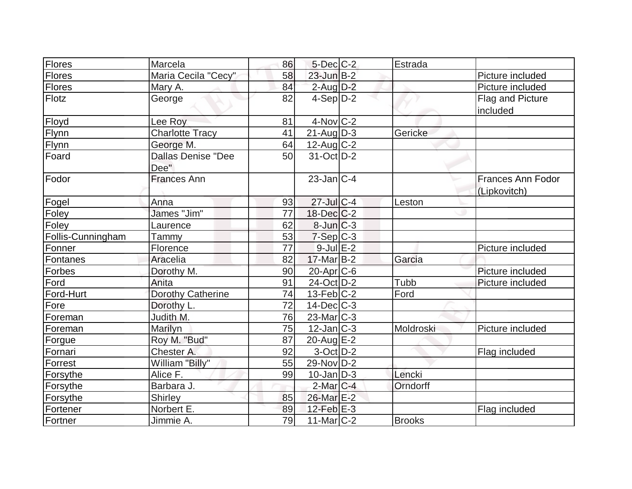| Flores            | Marcela                           | 86 | $5$ -Dec $C$ -2   | Estrada       |                                          |
|-------------------|-----------------------------------|----|-------------------|---------------|------------------------------------------|
| Flores            | Maria Cecila "Cecy"               | 58 | $23$ -Jun $B-2$   |               | Picture included                         |
| <b>Flores</b>     | Mary A.                           | 84 | $2$ -Aug $D-2$    |               | Picture included                         |
| Flotz             | George                            | 82 | $4-Sep D-2$       |               | Flag and Picture<br>included             |
| Floyd             | Lee Roy                           | 81 | $4$ -Nov $ C-2 $  |               |                                          |
| Flynn             | <b>Charlotte Tracy</b>            | 41 | $21$ -Aug $D-3$   | Gericke       |                                          |
| <b>Flynn</b>      | George M.                         | 64 | $12$ -Aug C-2     |               |                                          |
| Foard             | <b>Dallas Denise "Dee</b><br>Dee" | 50 | $31-Oct$ D-2      |               |                                          |
| Fodor             | <b>Frances Ann</b>                |    | $23$ -Jan $ C-4 $ |               | <b>Frances Ann Fodor</b><br>(Lipkovitch) |
| Fogel             | Anna                              | 93 | $27$ -Jul $C-4$   | Leston        |                                          |
| Foley             | James "Jim"                       | 77 | $18$ -Dec $C-2$   |               |                                          |
| Foley             | Laurence                          | 62 | $8$ -Jun $C-3$    |               |                                          |
| Follis-Cunningham | Tammy                             | 53 | $7-Sep$ $C-3$     |               |                                          |
| Fonner            | Florence                          | 77 | $9$ -Jul $E-2$    |               | Picture included                         |
| Fontanes          | Aracelia                          | 82 | $17$ -Mar $B-2$   | Garcia        |                                          |
| Forbes            | Dorothy M.                        | 90 | 20-Apr C-6        |               | Picture included                         |
| Ford              | Anita                             | 91 | 24-Oct D-2        | Tubb          | Picture included                         |
| Ford-Hurt         | Dorothy Catherine                 | 74 | $13$ -Feb $ C-2 $ | Ford          |                                          |
| Fore              | Dorothy L.                        | 72 | $14$ -Dec $ C-3 $ |               |                                          |
| Foreman           | Judith M.                         | 76 | $23$ -Mar $C-3$   |               |                                          |
| Foreman           | Marilyn                           | 75 | $12$ -Jan $ C-3 $ | Moldroski     | Picture included                         |
| Forgue            | Roy M. "Bud"                      | 87 | $20$ -Aug $E-2$   |               |                                          |
| Fornari           | Chester A.                        | 92 | $3-Oct$ $D-2$     |               | Flag included                            |
| Forrest           | William "Billy"                   | 55 | 29-Nov D-2        |               |                                          |
| Forsythe          | Alice F.                          | 99 | $10$ -Jan $ D-3 $ | Lencki        |                                          |
| Forsythe          | Barbara J.                        |    | $2$ -Mar $C-4$    | Orndorff      |                                          |
| Forsythe          | <b>Shirley</b>                    | 85 | 26-Mar E-2        |               |                                          |
| Fortener          | Norbert E.                        | 89 | $12$ -Feb $E-3$   |               | Flag included                            |
| Fortner           | Jimmie A.                         | 79 | $11$ -Mar $ C-2 $ | <b>Brooks</b> |                                          |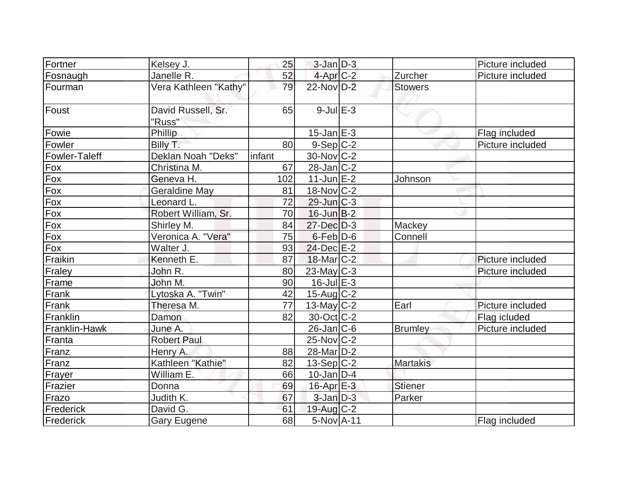| Fortner              | Kelsey J.                    | 25     | $3$ -Jan $D-3$         |                 | Picture included |
|----------------------|------------------------------|--------|------------------------|-----------------|------------------|
| Fosnaugh             | Janelle R.                   | 52     | $4$ -Apr $C-2$         | Zurcher         | Picture included |
| Fourman              | Vera Kathleen "Kathy"        | 79     | 22-Nov D-2             | <b>Stowers</b>  |                  |
| Foust                | David Russell, Sr.<br>"Russ" | 65     | $9$ -Jul $E-3$         |                 |                  |
| Fowie                | Phillip                      |        | $15$ -Jan $E-3$        |                 | Flag included    |
| Fowler               | Billy T.                     | 80     | $9-Sep C-2$            |                 | Picture included |
| <b>Fowler-Taleff</b> | Deklan Noah "Deks"           | infant | $30$ -Nov $ C-2 $      |                 |                  |
| Fox                  | Christina M.                 | 67     | $28$ -Jan $ C-2 $      |                 |                  |
| Fox                  | Geneva H.                    | 102    | $11$ -Jun $E-2$        | Johnson         |                  |
| Fox                  | Geraldine May                | 81     | 18-Nov C-2             |                 |                  |
| Fox                  | Leonard L.                   | 72     | $29$ -Jun $ C-3 $      |                 |                  |
| Fox                  | Robert William, Sr.          | 70     | $16$ -Jun $B-2$        |                 |                  |
| Fox                  | Shirley M.                   | 84     | $27$ -Dec $D-3$        | Mackey          |                  |
| Fox                  | Veronica A. "Vera"           | 75     | $6$ -Feb $D-6$         | Connell         |                  |
| Fox                  | Walter J.                    | 93     | $24$ -Dec $E-2$        |                 |                  |
| Fraikin              | Kenneth E.                   | 87     | $18$ -Mar $ C-2 $      |                 | Picture included |
| Fraley               | John R.                      | 80     | $23$ -May $C-3$        |                 | Picture included |
| Frame                | John M.                      | 90     | $16$ -Jul $E-3$        |                 |                  |
| Frank                | Lytoska A. "Twin"            | 42     | $15$ -Aug C-2          |                 |                  |
| Frank                | Theresa M.                   | 77     | $13$ -May C-2          | Earl            | Picture included |
| Franklin             | Damon                        | 82     | $30$ -Oct C-2          |                 | Flag icluded     |
| Franklin-Hawk        | June A.                      |        | $26$ -Jan $ C$ -6      | <b>Brumley</b>  | Picture included |
| Franta               | <b>Robert Paul</b>           |        | $25$ -Nov $ C-2 $      |                 |                  |
| Franz                | Henry A.                     | 88     | 28-Mar <sub>D</sub> -2 |                 |                  |
| Franz                | Kathleen "Kathie"            | 82     | $13-Sep C-2$           | <b>Martakis</b> |                  |
| Frayer               | William E.                   | 66     | $10$ -Jan $ D-4$       |                 |                  |
| Frazier              | Donna                        | 69     | $16$ -Apr $E-3$        | <b>Stiener</b>  |                  |
| Frazo                | Judith K.                    | 67     | $3$ -Jan $D-3$         | Parker          |                  |
| Frederick            | David G.                     | 61     | $19$ -Aug C-2          |                 |                  |
| Frederick            | Gary Eugene                  | 68     | 5-Nov A-11             |                 | Flag included    |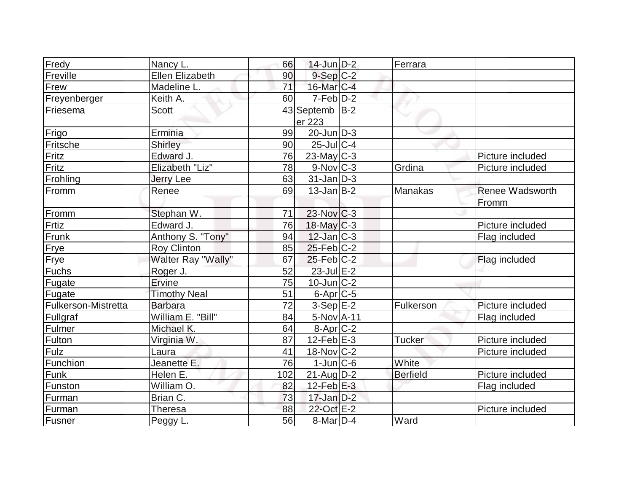| Fredy               | Nancy L.               | 66              | $14$ -Jun $D-2$             | Ferrara         |                                 |
|---------------------|------------------------|-----------------|-----------------------------|-----------------|---------------------------------|
| Freville            | <b>Ellen Elizabeth</b> | 90              | $9-Sep$ $C-2$               |                 |                                 |
| Frew                | Madeline L.            | $\overline{71}$ | 16-Mar C-4                  |                 |                                 |
| Freyenberger        | Keith A.               | 60              | $7-Feb D-2$                 |                 |                                 |
| <b>IFriesema</b>    | <b>Scott</b>           |                 | 43 Septemb B-2              |                 |                                 |
| Frigo               | Erminia                | 99              | er 223<br>$20$ -Jun $ D-3 $ |                 |                                 |
| Fritsche            |                        | 90              | $25$ -JulC-4                |                 |                                 |
|                     | Shirley                |                 |                             |                 |                                 |
| Fritz               | Edward J.              | 76              | $23$ -May C-3               |                 | Picture included                |
| Fritz               | Elizabeth "Liz"        | 78              | $9-Nov$ <sub>C-3</sub>      | Grdina          | Picture included                |
| Frohling            | <b>Jerry Lee</b>       | 63              | $31$ -Jan D-3               |                 |                                 |
| <b>IFromm</b>       | Renee                  | 69              | $13$ -Jan $ B-2 $           | <b>Manakas</b>  | <b>Renee Wadsworth</b><br>Fromm |
| Fromm               | Stephan W.             | 71              | $23$ -Nov $C-3$             |                 |                                 |
| Frtiz               | Edward J.              | 76              | $18$ -May C-3               |                 | Picture included                |
| Frunk               | Anthony S. "Tony"      | 94              | $12$ -Jan $ C-3 $           |                 | Flag included                   |
| Frye                | <b>Roy Clinton</b>     | 85              | $25$ -Feb $C-2$             |                 |                                 |
| Frye                | Walter Ray "Wally"     | 67              | $25$ -Feb $ C-2 $           |                 | Flag included                   |
| Fuchs               | Roger J.               | 52              | 23-Jul E-2                  |                 |                                 |
| Fugate              | Ervine                 | 75              | $10$ -Jun $ C-2 $           |                 |                                 |
| Fugate              | <b>Timothy Neal</b>    | 51              | $6$ -Apr $C$ -5             |                 |                                 |
| Fulkerson-Mistretta | <b>Barbara</b>         | $\overline{72}$ | $3-Sep$ $E-2$               | Fulkerson       | Picture included                |
| Fullgraf            | William E. "Bill"      | 84              | 5-Nov A-11                  |                 | Flag included                   |
| Fulmer              | Michael K.             | 64              | $8-Apr$ $C-2$               |                 |                                 |
| Fulton              | Virginia W.            | 87              | $12$ -Feb $E-3$             | <b>Tucker</b>   | Picture included                |
| Fulz                | Laura                  | 41              | $18-Nov$ C-2                |                 | Picture included                |
| Funchion            | Jeanette E.            | 76              | $1$ -Jun $ C$ -6            | White           |                                 |
| Funk                | Helen E.               | 102             | $21$ -Aug $D-2$             | <b>Berfield</b> | Picture included                |
| Funston             | William O.             | 82              | $12$ -Feb $E-3$             |                 | Flag included                   |
| Furman              | Brian C.               | 73              | $17$ -Jan $D-2$             |                 |                                 |
| Furman              | Theresa                | 88              | 22-Oct E-2                  |                 | Picture included                |
| Fusner              | Peggy L.               | 56              | $8$ -Mar $D-4$              | Ward            |                                 |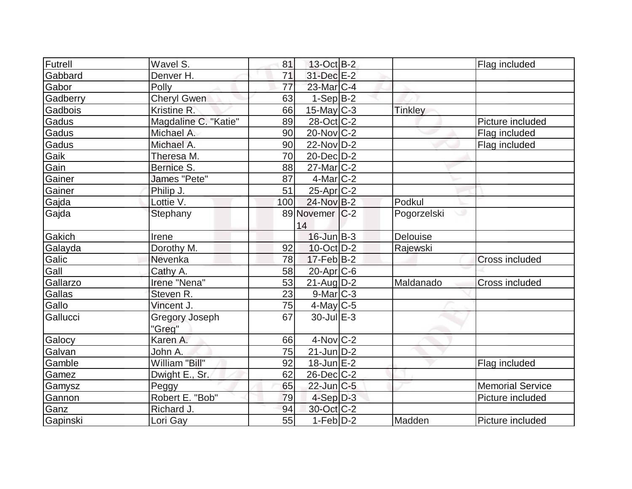| Futrell  | Wavel S.              | 81  | 13-Oct B-2             |                  | Flag included           |
|----------|-----------------------|-----|------------------------|------------------|-------------------------|
| Gabbard  | Denver H.             | 71  | 31-Dec E-2             |                  |                         |
| Gabor    | Polly                 | 77  | 23-Mar <sub>IC-4</sub> |                  |                         |
| Gadberry | <b>Cheryl Gwen</b>    | 63  | $1-Sep B-2$            |                  |                         |
| Gadbois  | Kristine R.           | 66  | $15$ -May C-3          | <b>Tinkley</b>   |                         |
| Gadus    | Magdaline C. "Katie"  | 89  | 28-Oct C-2             |                  | Picture included        |
| Gadus    | Michael A.            | 90  | $20$ -Nov $ C-2 $      |                  | Flag included           |
| Gadus    | Michael A.            | 90  | $22$ -Nov $D-2$        |                  | Flag included           |
| Gaik     | Theresa M.            | 70  | $20$ -Dec $D-2$        |                  |                         |
| Gain     | Bernice S.            | 88  | $27$ -Mar $C-2$        |                  |                         |
| Gainer   | James "Pete"          | 87  | $4$ -Mar $ C-2 $       |                  |                         |
| Gainer   | Philip J.             | 51  | 25-Apr <sub>C</sub> -2 |                  |                         |
| Gajda    | Lottie V.             | 100 | 24-Nov B-2             | Podkul           |                         |
| Gajda    | Stephany              |     | 89 Novemer C-2         | Pogorzelski<br>ت |                         |
|          |                       |     | 14                     |                  |                         |
| Gakich   | Irene                 |     | $16$ -Jun $B-3$        | Delouise         |                         |
| Galayda  | Dorothy M.            | 92  | 10-Oct D-2             | Rajewski         |                         |
| Galic    | Nevenka               | 78  | $17$ -Feb $ B-2 $      |                  | <b>Cross included</b>   |
| Gall     | Cathy A.              | 58  | $20$ -Apr $C$ -6       |                  |                         |
| Gallarzo | Irene "Nena"          | 53  | $21$ -Aug $D-2$        | Maldanado        | Cross included          |
| Gallas   | Steven R.             | 23  | $9$ -Mar $C-3$         |                  |                         |
| Gallo    | Vincent J.            | 75  | $4$ -May C-5           |                  |                         |
| Gallucci | <b>Gregory Joseph</b> | 67  | $30$ -Jul $E-3$        |                  |                         |
|          | "Greg"                |     |                        |                  |                         |
| Galocy   | Karen A.              | 66  | $4$ -Nov $ C-2 $       |                  |                         |
| Galvan   | John A.               | 75  | $21$ -Jun $D-2$        |                  |                         |
| Gamble   | William "Bill"        | 92  | $18$ -Jun $E-2$        |                  | Flag included           |
| Gamez    | Dwight E., Sr.        | 62  | $26$ -Dec $C$ -2       |                  |                         |
| Gamysz   | Peggy                 | 65  | 22-Jun C-5             |                  | <b>Memorial Service</b> |
| Gannon   | Robert E. "Bob"       | 79  | $4-Sep D-3$            |                  | Picture included        |
| Ganz     | Richard J.            | 94  | 30-Oct C-2             |                  |                         |
| Gapinski | Lori Gay              | 55  | $1-Feb D-2$            | Madden           | Picture included        |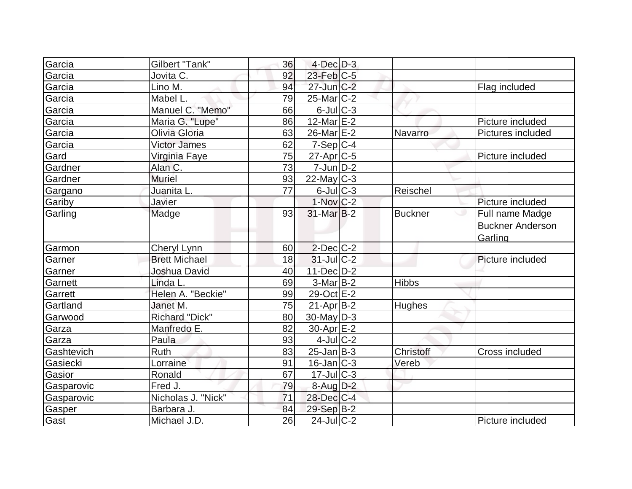| Garcia     | Gilbert "Tank"        | 36 | $4$ -Dec $D-3$          |                  |                                                            |
|------------|-----------------------|----|-------------------------|------------------|------------------------------------------------------------|
| Garcia     | Jovita C.             | 92 | $23$ -Feb $C-5$         |                  |                                                            |
| Garcia     | Lino M.               | 94 | $27$ -Jun $C-2$         |                  | Flag included                                              |
| Garcia     | Mabel L.              | 79 | $25$ -Mar $C-2$         |                  |                                                            |
| Garcia     | Manuel C. "Memo"      | 66 | $6$ -Jul $C$ -3         |                  |                                                            |
| Garcia     | Maria G. "Lupe"       | 86 | 12-Mar $E-2$            |                  | Picture included                                           |
| Garcia     | Olivia Gloria         | 63 | 26-Mar <sub>IE</sub> -2 | Navarro          | Pictures included                                          |
| Garcia     | Victor James          | 62 | $7-Sep C-4$             |                  |                                                            |
| Gard       | Virginia Faye         | 75 | $27$ -Apr $C$ -5        |                  | Picture included                                           |
| Gardner    | Alan C.               | 73 | $7$ -Jun $D-2$          |                  |                                                            |
| Gardner    | <b>Muriel</b>         | 93 | $22$ -May C-3           |                  |                                                            |
| Gargano    | Juanita L.            | 77 | $6$ -Jul $C$ -3         | Reischel         |                                                            |
| Gariby     | Javier                |    | $1-Nov$ <sub>C-2</sub>  |                  | Picture included                                           |
| Garling    | Madge                 | 93 | $31$ -Mar $B-2$         | <b>Buckner</b>   | ت<br>Full name Madge<br><b>Buckner Anderson</b><br>Garling |
| Garmon     | Cheryl Lynn           | 60 | $2$ -Dec $C$ -2         |                  |                                                            |
| Garner     | <b>Brett Michael</b>  | 18 | $31$ -JulC-2            |                  | Picture included                                           |
| Garner     | Joshua David          | 40 | $11$ -Dec $D-2$         |                  |                                                            |
| Garnett    | Linda L.              | 69 | $3-Mar$ B-2             | <b>Hibbs</b>     |                                                            |
| Garrett    | Helen A. "Beckie"     | 99 | 29-Oct E-2              |                  |                                                            |
| Gartland   | Janet M.              | 75 | $21$ -Apr $B-2$         | Hughes           |                                                            |
| Garwood    | <b>Richard "Dick"</b> | 80 | $30$ -May $ D-3 $       |                  |                                                            |
| Garza      | Manfredo E.           | 82 | $30$ -Apr $E-2$         |                  |                                                            |
| Garza      | Paula                 | 93 | $4$ -Jul $ C-2 $        |                  |                                                            |
| Gashtevich | Ruth                  | 83 | $25$ -Jan $B$ -3        | <b>Christoff</b> | Cross included                                             |
| Gasiecki   | Lorraine              | 91 | $16$ -Jan $ C-3 $       | Vereb            |                                                            |
| Gasior     | Ronald                | 67 | $17$ -Jul $C-3$         |                  |                                                            |
| Gasparovic | Fred J.               | 79 | $8$ -Aug $D-2$          |                  |                                                            |
| Gasparovic | Nicholas J. "Nick"    | 71 | 28-Dec C-4              |                  |                                                            |
| Gasper     |                       |    |                         |                  |                                                            |
|            | Barbara J.            | 84 | $29-Sep B-2$            |                  |                                                            |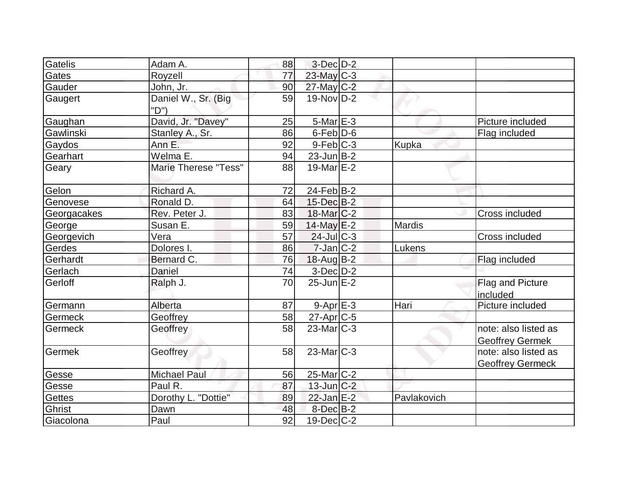| Gatelis        | Adam A.                     | 88 | $3-Dec$ $D-2$     |               |                              |
|----------------|-----------------------------|----|-------------------|---------------|------------------------------|
| Gates          | Royzell                     | 77 | 23-May C-3        |               |                              |
| Gauder         | John, Jr.                   | 90 | 27-May C-2        |               |                              |
| Gaugert        | Daniel W., Sr. (Big<br>"D") | 59 | $19-Nov D-2$      |               |                              |
| Gaughan        | David, Jr. "Davey"          | 25 | $5-Mar$ $E-3$     |               | Picture included             |
| Gawlinski      | Stanley A., Sr.             | 86 | $6$ -Feb $D-6$    |               | Flag included                |
| Gaydos         | Ann E.                      | 92 | $9$ -Feb $C-3$    | <b>Kupka</b>  |                              |
| Gearhart       | Welma E.                    | 94 | $23$ -Jun $B-2$   |               |                              |
| Geary          | <b>Marie Therese "Tess"</b> | 88 | $19$ -Mar $E-2$   |               |                              |
| Gelon          | Richard A.                  | 72 | $24$ -Feb $ B-2 $ |               |                              |
| Genovese       | Ronald D.                   | 64 | $15$ -Dec $B-2$   |               |                              |
| Georgacakes    | Rev. Peter J.               | 83 | $18$ -Mar $C-2$   |               | Cross included               |
| George         | Susan E.                    | 59 | $14$ -May E-2     | Mardis        |                              |
| Georgevich     | Vera                        | 57 | $24$ -Jul C-3     |               | Cross included               |
| Gerdes         | Dolores I.                  | 86 | $7$ -Jan $ C-2 $  | <b>Lukens</b> |                              |
| Gerhardt       | Bernard C.                  | 76 | $18$ -Aug B-2     |               | Flag included                |
| Gerlach        | Daniel                      | 74 | 3-Dec D-2         |               |                              |
| Gerloff        | Ralph J.                    | 70 | $25$ -Jun $E-2$   |               | Flag and Picture<br>included |
| Germann        | Alberta                     | 87 | $9 - Apr$ $E-3$   | Hari          | Picture included             |
| Germeck        | Geoffrey                    | 58 | 27-Apr C-5        |               |                              |
| <b>Germeck</b> | Geoffrey                    | 58 | $23$ -Mar $C-3$   |               | note: also listed as         |
|                |                             |    |                   |               | <b>Geoffrey Germek</b>       |
| Germek         | Geoffrey                    | 58 | $23$ -Mar $ C-3 $ |               | note: also listed as         |
|                |                             |    |                   |               | <b>Geoffrey Germeck</b>      |
| Gesse          | <b>Michael Paul</b>         | 56 | $25$ -Mar $ C-2 $ |               |                              |
| Gesse          | Paul R.                     | 87 | $13$ -Jun $C-2$   |               |                              |
| <b>Gettes</b>  | Dorothy L. "Dottie"         | 89 | $22$ -Jan $E-2$   | Pavlakovich   |                              |
| Ghrist         | Dawn                        | 48 | 8-DecB-2          |               |                              |
| Giacolona      | Paul                        | 92 | $19$ -Dec $C$ -2  |               |                              |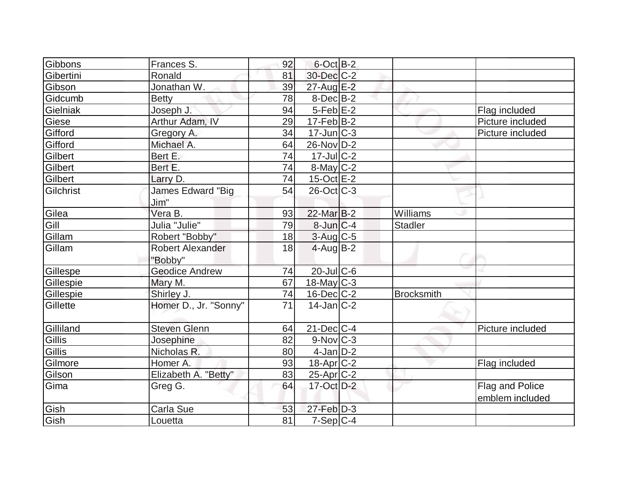| Gibbons   | Frances S.                         | 92 | $6$ -Oct B-2          |                   |                                    |
|-----------|------------------------------------|----|-----------------------|-------------------|------------------------------------|
| Gibertini | Ronald                             | 81 | 30-Dec C-2            |                   |                                    |
| Gibson    | Jonathan W.                        | 39 | 27-Aug E-2            |                   |                                    |
| Gidcumb   | <b>Betty</b>                       | 78 | $8$ -Dec $B$ -2       |                   |                                    |
| Gielniak  | Joseph J.                          | 94 | $5-Feb$ E-2           |                   | Flag included                      |
| Giese     | Arthur Adam, IV                    | 29 | $17-Feb$ B-2          |                   | Picture included                   |
| Gifford   | Gregory A.                         | 34 | $17$ -Jun $ C-3 $     |                   | Picture included                   |
| Gifford   | Michael A.                         | 64 | $26$ -Nov $ D-2 $     |                   |                                    |
| Gilbert   | Bert E.                            | 74 | 17-Jul C-2            |                   |                                    |
| Gilbert   | Bert E.                            | 74 | $8$ -May $C-2$        |                   |                                    |
| Gilbert   | Larry D.                           | 74 | $15$ -Oct $E$ -2      |                   |                                    |
| Gilchrist | James Edward "Big                  | 54 | $26$ -Oct $ C-3 $     |                   |                                    |
|           | Jim"                               |    |                       |                   |                                    |
| Gilea     | Vera B.                            | 93 | 22-Mar B-2            | Williams          |                                    |
| Gill      | Julia "Julie"                      | 79 | $8$ -Jun $C-4$        | Stadler           |                                    |
| Gillam    | Robert "Bobby"                     | 18 | 3-Aug C-5             |                   |                                    |
| Gillam    | <b>Robert Alexander</b><br>"Bobby" | 18 | $4$ -Aug B-2          |                   |                                    |
| Gillespe  | <b>Geodice Andrew</b>              | 74 | 20-Jul C-6            |                   |                                    |
| Gillespie | Mary M.                            | 67 | $18$ -May C-3         |                   |                                    |
| Gillespie | Shirley J.                         | 74 | $16$ -Dec $C$ -2      | <b>Brocksmith</b> |                                    |
| Gillette  | Homer D., Jr. "Sonny"              | 71 | $14$ -Jan $ C-2 $     |                   |                                    |
| Gilliland | <b>Steven Glenn</b>                | 64 | $21$ -Dec $C$ -4      |                   | Picture included                   |
| Gillis    | Josephine                          | 82 | $9-Nov$ $C-3$         |                   |                                    |
| Gillis    | Nicholas R.                        | 80 | $4$ -Jan $D-2$        |                   |                                    |
| Gilmore   | Homer A.                           | 93 | $18-Apr$ $C-2$        |                   | Flag included                      |
| Gilson    | Elizabeth A. "Betty"               | 83 | 25-Apr <sub>C-2</sub> |                   |                                    |
| Gima      | Greg G.                            | 64 | $17-Oct$ D-2          |                   | Flag and Police<br>emblem included |
| Gish      | Carla Sue                          | 53 | $27$ -Feb $D-3$       |                   |                                    |
| Gish      | Louetta                            | 81 | $7-Sep C-4$           |                   |                                    |
|           |                                    |    |                       |                   |                                    |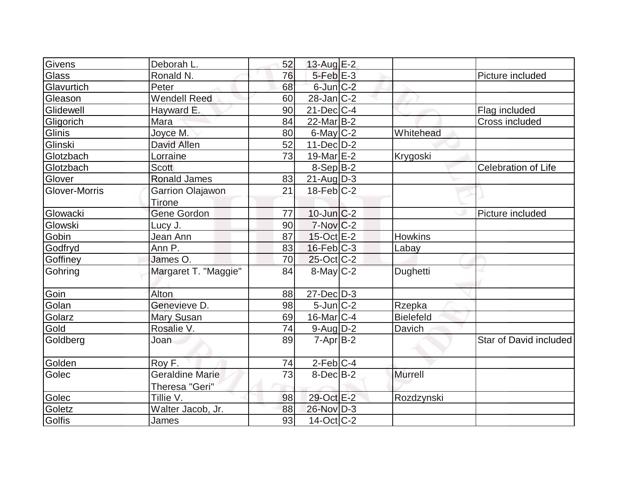|                        | 76                                                      |    |                                                                                                                                                                                                                                                                                                                                                                                                                                                                                                                   | Picture included       |
|------------------------|---------------------------------------------------------|----|-------------------------------------------------------------------------------------------------------------------------------------------------------------------------------------------------------------------------------------------------------------------------------------------------------------------------------------------------------------------------------------------------------------------------------------------------------------------------------------------------------------------|------------------------|
| Peter                  | 68                                                      |    |                                                                                                                                                                                                                                                                                                                                                                                                                                                                                                                   |                        |
| <b>Wendell Reed</b>    | 60                                                      |    |                                                                                                                                                                                                                                                                                                                                                                                                                                                                                                                   |                        |
|                        | 90                                                      |    |                                                                                                                                                                                                                                                                                                                                                                                                                                                                                                                   | Flag included          |
| Mara                   | 84                                                      |    |                                                                                                                                                                                                                                                                                                                                                                                                                                                                                                                   | Cross included         |
| Joyce M.               | 80                                                      |    | Whitehead                                                                                                                                                                                                                                                                                                                                                                                                                                                                                                         |                        |
| <b>David Allen</b>     | 52                                                      |    |                                                                                                                                                                                                                                                                                                                                                                                                                                                                                                                   |                        |
| Lorraine               | 73                                                      |    | Krygoski                                                                                                                                                                                                                                                                                                                                                                                                                                                                                                          |                        |
| <b>Scott</b>           |                                                         |    |                                                                                                                                                                                                                                                                                                                                                                                                                                                                                                                   | Celebration of Life    |
| <b>Ronald James</b>    | 83                                                      |    |                                                                                                                                                                                                                                                                                                                                                                                                                                                                                                                   |                        |
| Garrion Olajawon       | 21                                                      |    |                                                                                                                                                                                                                                                                                                                                                                                                                                                                                                                   |                        |
| <b>Tirone</b>          |                                                         |    |                                                                                                                                                                                                                                                                                                                                                                                                                                                                                                                   |                        |
| Gene Gordon            | 77                                                      |    |                                                                                                                                                                                                                                                                                                                                                                                                                                                                                                                   | Picture included       |
| Lucy J.                | 90                                                      |    |                                                                                                                                                                                                                                                                                                                                                                                                                                                                                                                   |                        |
| Jean Ann               | 87                                                      |    | <b>Howkins</b>                                                                                                                                                                                                                                                                                                                                                                                                                                                                                                    |                        |
| Ann P.                 | 83                                                      |    |                                                                                                                                                                                                                                                                                                                                                                                                                                                                                                                   |                        |
| James O.               | 70                                                      |    |                                                                                                                                                                                                                                                                                                                                                                                                                                                                                                                   |                        |
| Margaret T. "Maggie"   | 84                                                      |    | Dughetti                                                                                                                                                                                                                                                                                                                                                                                                                                                                                                          |                        |
| Alton                  | 88                                                      |    |                                                                                                                                                                                                                                                                                                                                                                                                                                                                                                                   |                        |
| Genevieve D.           | 98                                                      |    |                                                                                                                                                                                                                                                                                                                                                                                                                                                                                                                   |                        |
| <b>Mary Susan</b>      | 69                                                      |    | <b>Bielefeld</b>                                                                                                                                                                                                                                                                                                                                                                                                                                                                                                  |                        |
| Rosalie V.             | 74                                                      |    | Davich                                                                                                                                                                                                                                                                                                                                                                                                                                                                                                            |                        |
| Joan                   | 89                                                      |    |                                                                                                                                                                                                                                                                                                                                                                                                                                                                                                                   | Star of David included |
| Roy F.                 | 74                                                      |    |                                                                                                                                                                                                                                                                                                                                                                                                                                                                                                                   |                        |
| <b>Geraldine Marie</b> | 73                                                      |    | <b>Murrell</b>                                                                                                                                                                                                                                                                                                                                                                                                                                                                                                    |                        |
|                        |                                                         |    |                                                                                                                                                                                                                                                                                                                                                                                                                                                                                                                   |                        |
| Tillie V.              | 98                                                      |    | Rozdzynski                                                                                                                                                                                                                                                                                                                                                                                                                                                                                                        |                        |
| Walter Jacob, Jr.      | 88                                                      |    |                                                                                                                                                                                                                                                                                                                                                                                                                                                                                                                   |                        |
| James                  | 93                                                      |    |                                                                                                                                                                                                                                                                                                                                                                                                                                                                                                                   |                        |
|                        | Deborah L.<br>Ronald N.<br>Hayward E.<br>Theresa "Geri" | 52 | $13$ -Aug E-2<br>$5$ -Feb $E$ -3<br>$6$ -Jun $C-2$<br>$28$ -Jan $ C-2 $<br>$21$ -Dec $C-4$<br>$22$ -Mar $ B-2 $<br>$6$ -May $C-2$<br>$11-Dec$ D-2<br>19-Mar $E-2$<br>$8-Sep B-2$<br>$21$ -Aug $D-3$<br>$18$ -Feb $ C-2 $<br>$10$ -Jun $C-2$<br><b>7-Nov C-2</b><br>15-Oct E-2<br>$16$ -Feb $ C-3 $<br>$25$ -Oct C-2<br>8-May C-2<br>$27 - Dec$ $D-3$<br>$5$ -Jun $C-2$<br>$16$ -Mar $ C-4 $<br>$9$ -Aug $D-2$<br>$7 - Apr$ B-2<br>$2-Feb C-4$<br>$8$ -Dec $B$ -2<br>29-Oct E-2<br>26-Nov D-3<br>$14$ -Oct $ C-2 $ | Labay<br>Rzepka        |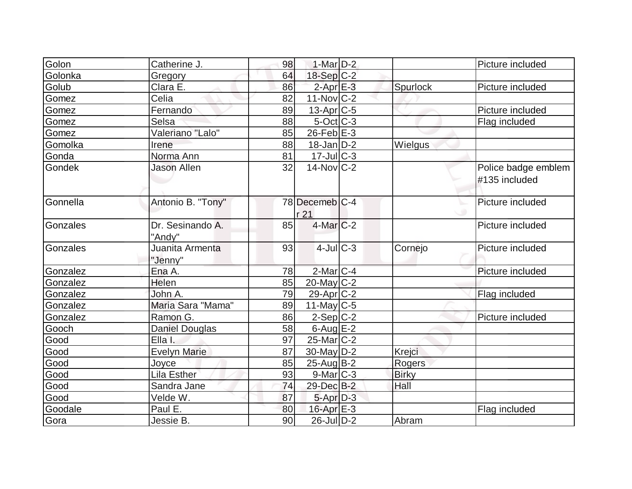| Golon    | Catherine J.               | 98 | 1-Mar $D-2$             |              | Picture included    |
|----------|----------------------------|----|-------------------------|--------------|---------------------|
| Golonka  | Gregory                    | 64 | $18-Sep C-2$            |              |                     |
| Golub    | Clara E.                   | 86 | $2$ -Apr $E-3$          | Spurlock     | Picture included    |
| Gomez    | Celia                      | 82 | $11-Nov$ C-2            |              |                     |
| Gomez    | Fernando                   | 89 | $13$ -Apr $ C-5 $       |              | Picture included    |
| Gomez    | Selsa                      | 88 | $5-Oct$ $C-3$           |              | Flag included       |
| Gomez    | Valeriano "Lalo"           | 85 | $26$ -Feb $E-3$         |              |                     |
| Gomolka  | Irene                      | 88 | $18$ -Jan $D-2$         | Wielgus      |                     |
| Gonda    | Norma Ann                  | 81 | $17 -$ JulC-3           |              |                     |
| Gondek   | <b>Jason Allen</b>         | 32 | $14$ -Nov $ C-2 $       |              | Police badge emblem |
|          |                            |    |                         |              | #135 included       |
| Gonnella | Antonio B. "Tony"          |    | 78 Decemeb C-4          |              | Picture included    |
|          |                            |    | r 21                    |              |                     |
| Gonzales | Dr. Sesinando A.<br>"Andy" | 85 | $4$ -Mar $C-2$          |              | Picture included    |
| Gonzales | Juanita Armenta            | 93 | $4$ -JulC-3             | Cornejo      | Picture included    |
|          | "Jenny"                    |    |                         |              |                     |
| Gonzalez | Ena A.                     | 78 | $2$ -Mar $C$ -4         |              | Picture included    |
| Gonzalez | Helen                      | 85 | $20$ -May C-2           |              |                     |
| Gonzalez | John A.                    | 79 | 29-Apr C-2              |              | Flag included       |
| Gonzalez | Maria Sara "Mama"          | 89 | $11$ -May C-5           |              |                     |
| Gonzalez | Ramon G.                   | 86 | $2-Sep C-2$             |              | Picture included    |
| Gooch    | <b>Daniel Douglas</b>      | 58 | $6$ -Aug $E-2$          |              |                     |
| Good     | Ella I.                    | 97 | 25-Mar <sub>IC</sub> -2 |              |                     |
| Good     | <b>Evelyn Marie</b>        | 87 | 30-May D-2              | Krejci       |                     |
| Good     | Joyce                      | 85 | $25$ -Aug $B$ -2        | Rogers       |                     |
| Good     | Lila Esther                | 93 | $9$ -Mar $ C-3 $        | <b>Birky</b> |                     |
| Good     | Sandra Jane                | 74 | 29-Dec B-2              | Hall         |                     |
| Good     | Velde W.                   | 87 | 5-Apr D-3               |              |                     |
| Goodale  | Paul E.                    | 80 | $16$ -Apr $E-3$         |              | Flag included       |
| Gora     | Jessie B.                  | 90 | $26$ -JulD-2            | Abram        |                     |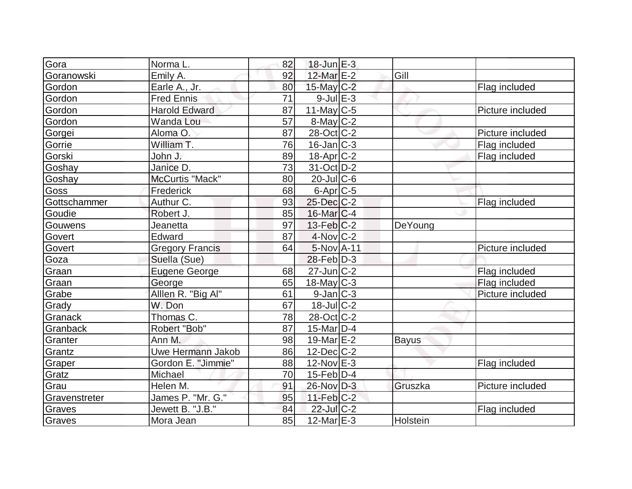| Gora          | Norma L.               | 82 | $18$ -Jun $E-3$   |          |                  |
|---------------|------------------------|----|-------------------|----------|------------------|
| Goranowski    | Emily A.               | 92 | 12-Mar E-2        | Gill     |                  |
| Gordon        | Earle A., Jr.          | 80 | $15$ -May C-2     |          | Flag included    |
| Gordon        | <b>Fred Ennis</b>      | 71 | $9$ -Jul $E-3$    |          |                  |
| Gordon        | <b>Harold Edward</b>   | 87 | $11$ -May C-5     |          | Picture included |
| Gordon        | Wanda Lou              | 57 | $8$ -May $C-2$    |          |                  |
| Gorgei        | Aloma O.               | 87 | $28$ -Oct $C-2$   |          | Picture included |
| Gorrie        | William T.             | 76 | $16$ -Jan $ C-3 $ |          | Flag included    |
| Gorski        | John J.                | 89 | 18-Apr C-2        |          | Flag included    |
| Goshay        | Janice D.              | 73 | $31-Oct$ $D-2$    |          |                  |
| Goshay        | McCurtis "Mack"        | 80 | $20$ -Jul $C$ -6  |          |                  |
| Goss          | Frederick              | 68 | $6$ -Apr $C$ -5   |          |                  |
| Gottschammer  | Authur C.              | 93 | 25-Dec C-2        |          | Flag included    |
| Goudie        | Robert J.              | 85 | $16$ -Mar $C-4$   |          |                  |
| Gouwens       | Jeanetta               | 97 | $13$ -Feb $ C-2 $ | DeYoung  |                  |
| Govert        | Edward                 | 87 | 4-Nov C-2         |          |                  |
| Govert        | <b>Gregory Francis</b> | 64 | $5-NovA-11$       |          | Picture included |
| Goza          | Suella (Sue)           |    | $28$ -Feb $ D-3 $ |          |                  |
| Graan         | <b>Eugene George</b>   | 68 | $27$ -Jun $ C-2 $ |          | Flag included    |
| Graan         | George                 | 65 | $18$ -May C-3     |          | Flag included    |
| Grabe         | Alllen R. "Big Al"     | 61 | $9$ -Jan $ C-3 $  |          | Picture included |
| Grady         | W. Don                 | 67 | $18$ -Jul $C-2$   |          |                  |
| Granack       | Thomas C.              | 78 | 28-Oct C-2        |          |                  |
| Granback      | Robert "Bob"           | 87 | $15$ -Mar $ D-4$  |          |                  |
| Granter       | Ann M.                 | 98 | 19-Mar $E-2$      | Bayus    |                  |
| Grantz        | Uwe Hermann Jakob      | 86 | $12$ -Dec $C-2$   |          |                  |
| Graper        | Gordon E. "Jimmie"     | 88 | $12$ -Nov $E-3$   |          | Flag included    |
| Gratz         | Michael                | 70 | $15$ -Feb $ D-4 $ |          |                  |
| Grau          | Helen M.               | 91 | 26-Nov D-3        | Gruszka  | Picture included |
| Gravenstreter | James P. "Mr. G."      | 95 | $11-Feb$ $C-2$    |          |                  |
| Graves        | Jewett B. "J.B."       | 84 | 22-Jul C-2        |          | Flag included    |
| Graves        | Mora Jean              | 85 | $12$ -Mar $E-3$   | Holstein |                  |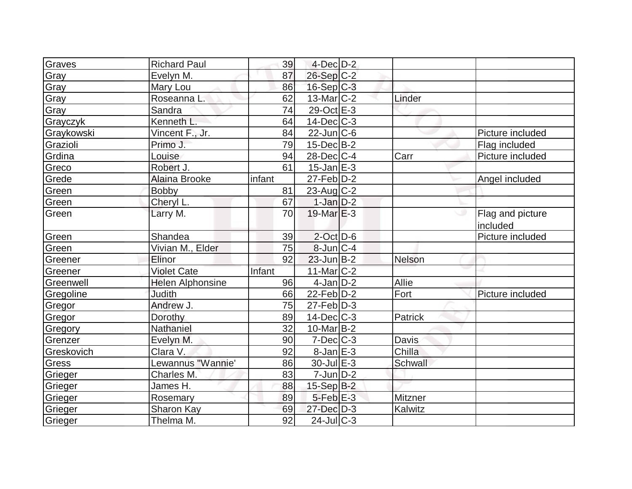| Graves     | <b>Richard Paul</b>     | 39     | $4$ -Dec $D-2$    |         |                              |
|------------|-------------------------|--------|-------------------|---------|------------------------------|
| Gray       | Evelyn M.               | 87     | $26-Sep C-2$      |         |                              |
| Gray       | Mary Lou                | 86     | $16-Sep C-3$      |         |                              |
| Gray       | Roseanna L.             | 62     | $13$ -Mar $ C-2 $ | Linder  |                              |
| Gray       | Sandra                  | 74     | $29-Oct \tE-3$    |         |                              |
| Grayczyk   | Kenneth L.              | 64     | $14$ -Dec $C$ -3  |         |                              |
| Graykowski | Vincent F., Jr.         | 84     | $22$ -Jun $ C$ -6 |         | Picture included             |
| Grazioli   | Primo J.                | 79     | $15$ -Dec $B$ -2  |         | Flag included                |
| Grdina     | Louise                  | 94     | $28$ -Dec $ C-4 $ | Carr    | Picture included             |
| Greco      | Robert J.               | 61     | $15$ -Jan $E-3$   |         |                              |
| Grede      | <b>Alaina Brooke</b>    | infant | $27$ -Feb $D-2$   |         | Angel included               |
| Green      | <b>Bobby</b>            | 81     | $23$ -Aug $C-2$   |         |                              |
| Green      | Cheryl L.               | 67     | $1-Jan$ D-2       |         |                              |
| Green      | Larry M.                | 70     | $19$ -Mar $E-3$   |         | Flag and picture<br>included |
| Green      | Shandea                 | 39     | $2$ -Oct $D$ -6   |         | Picture included             |
| Green      | Vivian M., Elder        | 75     | $8$ -Jun $C-4$    |         |                              |
| Greener    | Elinor                  | 92     | $23$ -Jun $B-2$   | Nelson  |                              |
| Greener    | <b>Violet Cate</b>      | Infant | 11-Mar C-2        |         |                              |
| Greenwell  | <b>Helen Alphonsine</b> | 96     | $4$ -Jan $ D-2 $  | Allie   |                              |
| Gregoline  | <b>Judith</b>           | 66     | $22$ -Feb $D-2$   | Fort    | Picture included             |
| Gregor     | Andrew J.               | 75     | $27$ -Feb $ D-3 $ |         |                              |
| Gregor     | Dorothy                 | 89     | $14$ -Dec $C$ -3  | Patrick |                              |
| Gregory    | Nathaniel               | 32     | $10$ -Mar $ B-2 $ |         |                              |
| Grenzer    | Evelyn M.               | 90     | $7$ -Dec $ C-3 $  | Davis   |                              |
| Greskovich | Clara V.                | 92     | $8$ -Jan $E-3$    | Chilla  |                              |
| Gress      | Lewannus "Wannie'       | 86     | $30$ -Jul $E-3$   | Schwall |                              |
| Grieger    | Charles M.              | 83     | $7$ -Jun $D-2$    |         |                              |
| Grieger    | James H.                | 88     | 15-Sep B-2        |         |                              |
| Grieger    | Rosemary                | 89     | $5$ -Feb $E-3$    | Mitzner |                              |
| Grieger    | Sharon Kay              | 69     | $27 - Dec$ $D-3$  | Kalwitz |                              |
| Grieger    | Thelma M.               | 92     | $24$ -Jul $C-3$   |         |                              |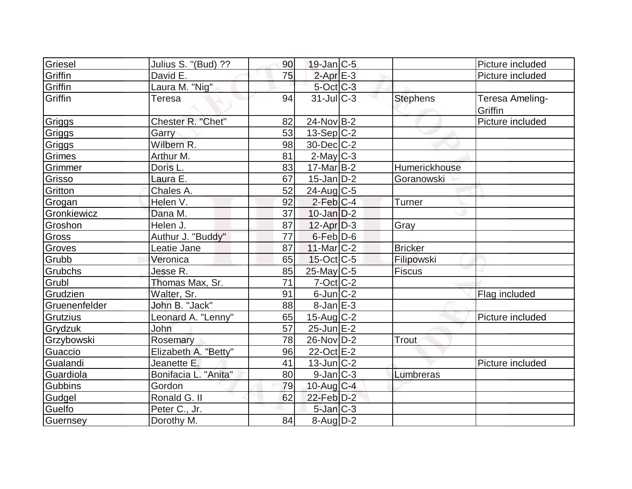| Griesel       | Julius S. "(Bud) ??  | 90              | $19$ -Jan $ C-5$  |                 | Picture included           |
|---------------|----------------------|-----------------|-------------------|-----------------|----------------------------|
| Griffin       | David E.             | 75              | $2$ -Apr $E-3$    |                 | Picture included           |
| Griffin       | Laura M. "Nig"       |                 | $5$ -Oct $C$ -3   |                 |                            |
| Griffin       | <b>Teresa</b>        | 94              | $31$ -JulC-3      | <b>Stephens</b> | Teresa Ameling-<br>Griffin |
| Griggs        | Chester R. "Chet"    | 82              | $24$ -Nov B-2     |                 | Picture included           |
| Griggs        | Garry                | 53              | $13-Sep C-2$      |                 |                            |
| Griggs        | Wilbern R.           | 98              | $30$ -Dec $C-2$   |                 |                            |
| Grimes        | Arthur M.            | 81              | $2$ -May $C-3$    |                 |                            |
| Grimmer       | Doris L.             | 83              | $17$ -Mar $ B-2 $ | Humerickhouse   |                            |
| Grisso        | Laura E.             | 67              | $15$ -Jan $D-2$   | Goranowski      |                            |
| Gritton       | Chales A.            | 52              | $24$ -Aug C-5     |                 |                            |
| Grogan        | Helen V.             | 92              | $2$ -Feb $ C-4 $  | <b>Turner</b>   |                            |
| Gronkiewicz   | Dana M.              | 37              | $10$ -Jan $ D-2 $ |                 |                            |
| Groshon       | Helen J.             | 87              | $12$ -Apr $D-3$   | Gray            |                            |
| Gross         | Authur J. "Buddy"    | 77              | 6-Feb D-6         |                 |                            |
| Groves        | Leatie Jane          | 87              | $11$ -Mar $C-2$   | <b>Bricker</b>  |                            |
| Grubb         | Veronica             | 65              | $15$ -Oct C-5     | Filipowski      |                            |
| Grubchs       | Jesse R.             | 85              | $25$ -May C-5     | <b>Fiscus</b>   |                            |
| Grubl         | Thomas Max, Sr.      | $\overline{71}$ | $7-Cct$ $C-2$     |                 |                            |
| Grudzien      | Walter, Sr.          | 91              | $6$ -Jun $ C-2 $  |                 | Flag included              |
| Gruenenfelder | John B. "Jack"       | 88              | $8$ -Jan $E-3$    |                 |                            |
| Grutzius      | Leonard A. "Lenny"   | 65              | $15$ -Aug C-2     |                 | Picture included           |
| Grydzuk       | John                 | 57              | $25$ -Jun $E-2$   |                 |                            |
| Grzybowski    | Rosemary             | 78              | 26-Nov D-2        | <b>Trout</b>    |                            |
| Guaccio       | Elizabeth A. "Betty" | 96              | 22-Oct E-2        |                 |                            |
| Gualandi      | Jeanette E.          | 41              | $13$ -Jun $ C-2 $ |                 | Picture included           |
| Guardiola     | Bonifacia L. "Anita" | 80              | $9$ -Jan $ C-3 $  | Lumbreras       |                            |
| Gubbins       | Gordon               | 79              | 10-Aug $C-4$      |                 |                            |
| Gudgel        | Ronald G. II         | 62              | 22-Feb D-2        |                 |                            |
| Guelfo        | Peter C., Jr.        |                 | $5$ -Jan $C-3$    |                 |                            |
| Guernsey      | Dorothy M.           | 84              | 8-Aug D-2         |                 |                            |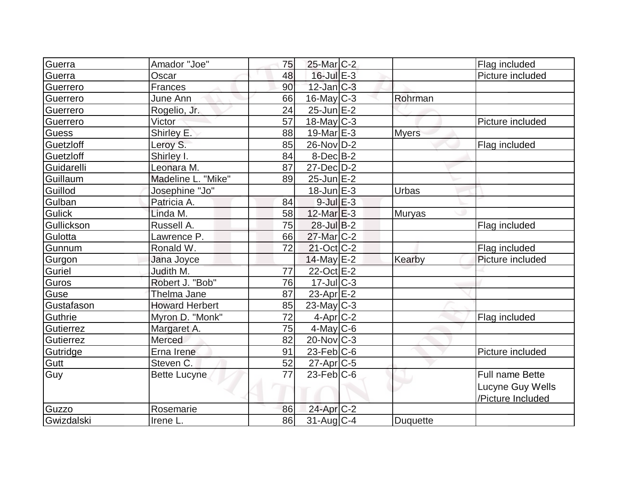| Guerra        | Amador "Joe"          | 75 | 25-Mar <sub>IC-2</sub>   |                 | Flag included     |
|---------------|-----------------------|----|--------------------------|-----------------|-------------------|
| Guerra        | Oscar                 | 48 | $16$ -Jul $E-3$          |                 | Picture included  |
| Guerrero      | Frances               | 90 | $12$ -Jan $ C-3 $        |                 |                   |
| Guerrero      | June Ann              | 66 | $16$ -May C-3            | Rohrman         |                   |
| Guerrero      | Rogelio, Jr.          | 24 | $25$ -Jun $E-2$          |                 |                   |
| Guerrero      | Victor                | 57 | $18$ -May C-3            |                 | Picture included  |
| <b>Guess</b>  | Shirley E.            | 88 | $19$ -Mar $E-3$          | <b>Myers</b>    |                   |
| Guetzloff     | Leroy S.              | 85 | 26-Nov D-2               |                 | Flag included     |
| Guetzloff     | Shirley I.            | 84 | $8$ -Dec $B$ -2          |                 |                   |
| Guidarelli    | Leonara M.            | 87 | $27 - Dec$ $D-2$         |                 |                   |
| Guillaum      | Madeline L. "Mike"    | 89 | $25$ -Jun $E-2$          |                 |                   |
| Guillod       | Josephine "Jo"        |    | $18$ -Jun $E-3$          | Urbas           |                   |
| Gulban        | Patricia A.           | 84 | $9$ -Jul $E-3$           |                 |                   |
| <b>Gulick</b> | Linda M.              | 58 | 12-Mar E-3               | <b>Muryas</b>   |                   |
| Gullickson    | Russell A.            | 75 | $28$ -Jul B-2            |                 | Flag included     |
| Gulotta       | Lawrence P.           | 66 | 27-Mar C-2               |                 |                   |
| Gunnum        | Ronald W.             | 72 | $21-Oct$ <sub>C</sub> -2 |                 | Flag included     |
| Gurgon        | Jana Joyce            |    | 14-May $E-2$             | Kearby          | Picture included  |
| Guriel        | Judith M.             | 77 | 22-Oct E-2               |                 |                   |
| Guros         | Robert J. "Bob"       | 76 | $17 -$ Jul $C - 3$       |                 |                   |
| Guse          | Thelma Jane           | 87 | $23$ -Apr $E-2$          |                 |                   |
| Gustafason    | <b>Howard Herbert</b> | 85 | $23$ -May C-3            |                 |                   |
| Guthrie       | Myron D. "Monk"       | 72 | $4$ -Apr $C-2$           |                 | Flag included     |
| Gutierrez     | Margaret A.           | 75 | $4$ -May C-6             |                 |                   |
| Gutierrez     | Merced                | 82 | $20$ -Nov $ C-3 $        |                 |                   |
| Gutridge      | Erna Irene            | 91 | $23$ -Feb $ C$ -6        |                 | Picture included  |
| Gutt          | Steven C.             | 52 | $27$ -Apr $C$ -5         |                 |                   |
| Guy           | <b>Bette Lucyne</b>   | 77 | $23$ -Feb $ C$ -6        |                 | Full name Bette   |
|               |                       |    |                          |                 | Lucyne Guy Wells  |
|               |                       |    |                          |                 | /Picture Included |
| Guzzo         | Rosemarie             | 86 | 24-Apr C-2               |                 |                   |
| Gwizdalski    | Irene L.              | 86 | 31-Aug C-4               | <b>Duquette</b> |                   |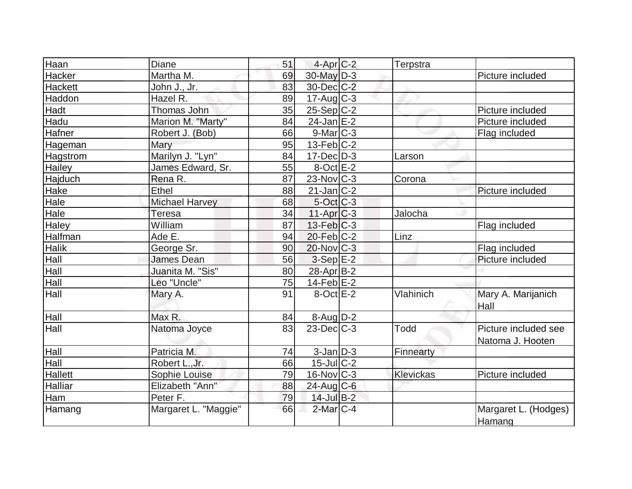| Haan           | Diane                 | 51 | $4-Apr$ $C-2$            | Terpstra    |                                |
|----------------|-----------------------|----|--------------------------|-------------|--------------------------------|
| Hacker         | Martha M.             | 69 | $30$ -May $D-3$          |             | Picture included               |
| <b>Hackett</b> | John J., Jr.          | 83 | 30-Dec C-2               |             |                                |
| Haddon         | Hazel R.              | 89 | $17$ -Aug C-3            |             |                                |
| Hadt           | Thomas John           | 35 | $25-Sep C-2$             |             | Picture included               |
| Hadu           | Marion M. "Marty"     | 84 | $24$ -Jan E-2            |             | Picture included               |
| Hafner         | Robert J. (Bob)       | 66 | $9$ -Mar $ C-3$          |             | Flag included                  |
| Hageman        | Mary                  | 95 | $13-Feb$ <sub>C</sub> -2 |             |                                |
| Hagstrom       | Marilyn J. "Lyn"      | 84 | $17 - Dec$ $D-3$         | Larson      |                                |
| Hailey         | James Edward, Sr.     | 55 | $8$ -Oct $E-2$           |             |                                |
| Hajduch        | Rena R.               | 87 | $23$ -Nov $ C-3 $        | Corona      |                                |
| Hake           | Ethel                 | 88 | $21$ -Jan $ C-2 $        |             | Picture included               |
| Hale           | <b>Michael Harvey</b> | 68 | 5-Oct C-3                |             |                                |
| Hale           | <b>Teresa</b>         | 34 | $11-Apr$ $C-3$           | Jalocha     |                                |
| <b>Haley</b>   | William               | 87 | $13$ -Feb $ C-3 $        |             | Flag included                  |
| Halfman        | Ade E.                | 94 | $20$ -Feb $C-2$          | Linz        |                                |
| <b>Halik</b>   | George Sr.            | 90 | $20$ -Nov $ C-3 $        |             | Flag included                  |
| Hall           | <b>James Dean</b>     | 56 | $3-Sep E-2$              |             | Picture included               |
| Hall           | Juanita M. "Sis"      | 80 | 28-Apr B-2               |             |                                |
| Hall           | Leo "Uncle"           | 75 | $14$ -Feb $E-2$          |             |                                |
| Hall           | Mary A.               | 91 | $8$ -Oct $E-2$           | Vlahinich   | Mary A. Marijanich             |
|                |                       |    |                          |             | Hall                           |
| Hall           | Max R.                | 84 | $8-Aug D-2$              |             |                                |
| Hall           | Natoma Joyce          | 83 | $23$ -Dec $C-3$          | <b>Todd</b> | Picture included see           |
|                |                       |    |                          |             | Natoma J. Hooten               |
| Hall           | Patricia M.           | 74 | $3$ -Jan $D-3$           | Finnearty   |                                |
| Hall           | Robert L., Jr.        | 66 | $15$ -Jul $C-2$          |             |                                |
| Hallett        | Sophie Louise         | 79 | $16$ -Nov $ C-3 $        | Klevickas   | Picture included               |
| <b>Halliar</b> | Elizabeth "Ann"       | 88 | $24$ -Aug C-6            |             |                                |
| Ham            | Peter F.              | 79 | $14$ -Jul $B-2$          |             |                                |
| Hamang         | Margaret L. "Maggie"  | 66 | $2$ -Mar $C-4$           |             | Margaret L. (Hodges)<br>Hamang |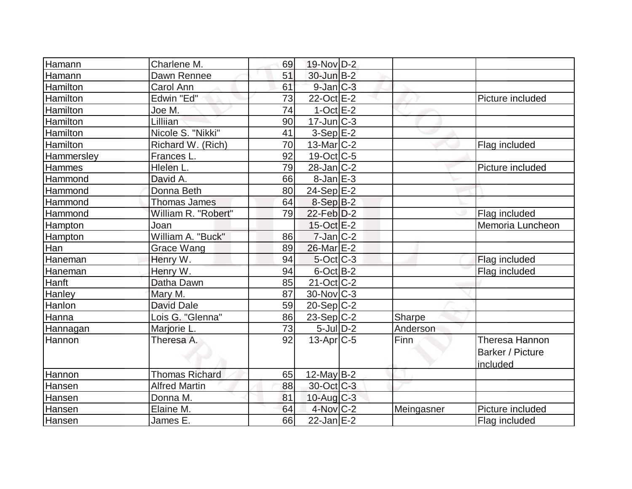| Hamann        | Charlene M.           | 69 | 19-Nov D-2               |            |                                                |
|---------------|-----------------------|----|--------------------------|------------|------------------------------------------------|
| Hamann        | Dawn Rennee           | 51 | $30$ -Jun $B-2$          |            |                                                |
| Hamilton      | Carol Ann             | 61 | $9$ -Jan $C-3$           |            |                                                |
| Hamilton      | Edwin "Ed"            | 73 | $22-Oct$ $E-2$           |            | Picture included                               |
| Hamilton      | Joe M.                | 74 | $1-Oct$ E-2              |            |                                                |
| Hamilton      | Lilliian              | 90 | $17 - Jun$ $C-3$         |            |                                                |
| Hamilton      | Nicole S. "Nikki"     | 41 | $3-Sep E-2$              |            |                                                |
| Hamilton      | Richard W. (Rich)     | 70 | $13$ -Mar $ C-2 $        |            | Flag included                                  |
| Hammersley    | Frances L.            | 92 | 19-Oct C-5               |            |                                                |
| Hammes        | Hlelen L.             | 79 | $28$ -Jan $ C-2 $        |            | Picture included                               |
| Hammond       | David A.              | 66 | $8$ -Jan $E-3$           |            |                                                |
| Hammond       | Donna Beth            | 80 | $24-Sep$ E-2             |            |                                                |
| Hammond       | <b>Thomas James</b>   | 64 | 8-Sep B-2                |            |                                                |
| Hammond       | William R. "Robert"   | 79 | $22$ -Feb $D-2$          |            | Flag included                                  |
| Hampton       | Joan                  |    | $15$ -Oct $E-2$          |            | Memoria Luncheon                               |
| Hampton       | William A. "Buck"     | 86 | $7$ -Jan $C-2$           |            |                                                |
| Han           | <b>Grace Wang</b>     | 89 | 26-Mar E-2               |            |                                                |
| Haneman       | Henry W.              | 94 | $5$ -Oct $ C-3 $         |            | Flag included                                  |
| Haneman       | Henry W.              | 94 | $6$ -Oct $B-2$           |            | Flag included                                  |
| Hanft         | Datha Dawn            | 85 | $21-Oct$ <sub>C</sub> -2 |            |                                                |
| Hanley        | Mary M.               | 87 | $30$ -Nov $ C-3 $        |            |                                                |
| Hanlon        | <b>David Dale</b>     | 59 | $20-Sep C-2$             |            |                                                |
| Hanna         | Lois G. "Glenna"      | 86 | $23-Sep C-2$             | Sharpe     |                                                |
| Hannagan      | Marjorie L.           | 73 | $5$ -Jul $D-2$           | Anderson   |                                                |
| Hannon        | Theresa A.            | 92 | $13$ -Apr $ C-5$         | Finn       | Theresa Hannon<br>Barker / Picture<br>included |
| Hannon        | <b>Thomas Richard</b> | 65 | $12$ -May B-2            |            |                                                |
| <b>Hansen</b> | <b>Alfred Martin</b>  | 88 | 30-Oct C-3               |            |                                                |
| Hansen        | Donna M.              | 81 | $10$ -Aug $C-3$          |            |                                                |
| Hansen        | Elaine M.             | 64 | $4$ -Nov $C-2$           | Meingasner | Picture included                               |
| Hansen        | James E.              | 66 | $22$ -Jan $E-2$          |            | Flag included                                  |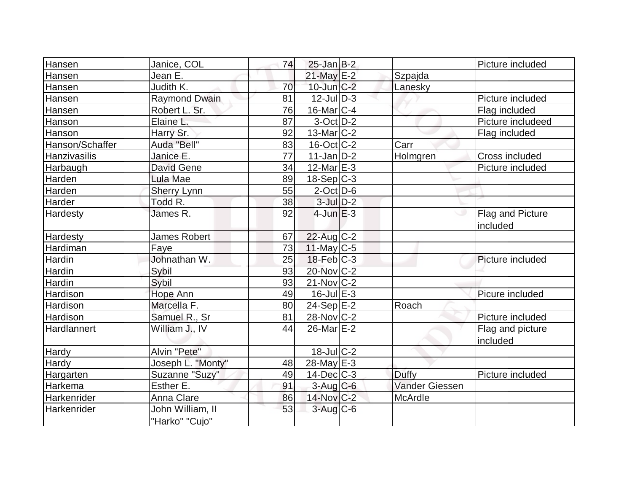| Hansen           | Janice, COL                        | 74 | $25$ -Jan B-2           |                       | Picture included             |
|------------------|------------------------------------|----|-------------------------|-----------------------|------------------------------|
| Hansen           | Jean E.                            |    | $21$ -May E-2           | Szpajda               |                              |
| Hansen           | Judith K.                          | 70 | $10$ -Jun $C-2$         | Lanesky               |                              |
| Hansen           | Raymond Dwain                      | 81 | $12$ -JulD-3            |                       | Picture included             |
| Hansen           | Robert L. Sr.                      | 76 | $16$ -Mar $ C-4 $       |                       | Flag included                |
| Hanson           | Elaine L.                          | 87 | $3-Oct$ $D-2$           |                       | Picture includeed            |
| Hanson           | Harry Sr.                          | 92 | $13$ -Mar $ C-2 $       |                       | Flag included                |
| Hanson/Schaffer  | Auda "Bell"                        | 83 | $16$ -Oct $ C-2 $       | Carr                  |                              |
| Hanzivasilis     | Janice E.                          | 77 | $11$ -Jan $ D-2 $       | Holmgren              | Cross included               |
| Harbaugh         | <b>David Gene</b>                  | 34 | $12$ -Mar $E-3$         |                       | Picture included             |
| Harden           | Lula Mae                           | 89 | $18-Sep C-3$            |                       |                              |
| Harden           | Sherry Lynn                        | 55 | $2$ -Oct $D$ -6         |                       |                              |
| Harder           | Todd R.                            | 38 | $3$ -Jul $D-2$          |                       |                              |
| Hardesty         | James R.                           | 92 | $4$ -Jun $E-3$          |                       | Flag and Picture<br>included |
| Hardesty         | <b>James Robert</b>                | 67 | $22$ -Aug C-2           |                       |                              |
| Hardiman         | Faye                               | 73 | $11$ -May C-5           |                       |                              |
| Hardin           | Johnathan W.                       | 25 | $18$ -Feb $ C-3 $       |                       | Picture included             |
| Hardin           | Sybil                              | 93 | 20-Nov C-2              |                       |                              |
| Hardin           | Sybil                              | 93 | $21$ -Nov $ C-2 $       |                       |                              |
| Hardison         | Hope Ann                           | 49 | $16$ -Jul $E-3$         |                       | Picure included              |
| Hardison         | Marcella F.                        | 80 | $24-Sep \overline{E-2}$ | Roach                 |                              |
| Hardison         | Samuel R., Sr                      | 81 | $28-Nov$ <sub>C-2</sub> |                       | Picture included             |
| Hardlannert      | William J., IV                     | 44 | $26$ -Mar $E-2$         |                       | Flag and picture<br>included |
| Hardy            | Alvin "Pete"                       |    | $18$ -Jul $ C-2 $       |                       |                              |
| Hardy            | Joseph L. "Monty"                  | 48 | $28$ -May $E-3$         |                       |                              |
| <b>Hargarten</b> | Suzanne "Suzy"                     | 49 | $14$ -Dec $C$ -3        | Duffy                 | Picture included             |
| Harkema          | Esther E.                          | 91 | $3$ -Aug C-6            | <b>Vander Giessen</b> |                              |
| Harkenrider      | Anna Clare                         | 86 | $14$ -Nov $C-2$         | McArdle               |                              |
| Harkenrider      | John William, II<br>"Harko" "Cujo" | 53 | $3-Aug$ C-6             |                       |                              |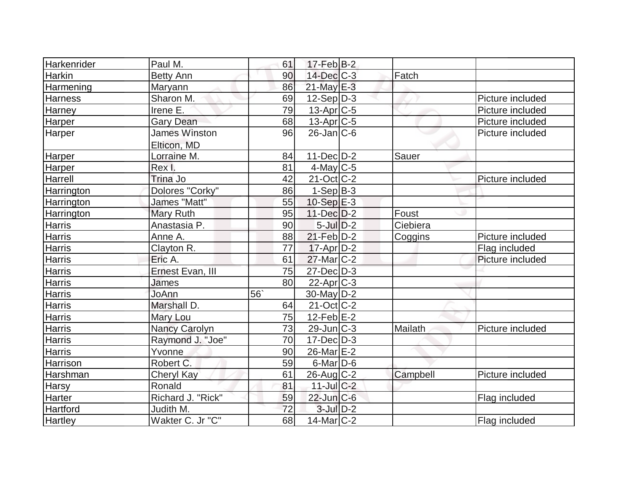| Harkenrider    | Paul M.              | 61 | $17$ -Feb $ B-2 $      |          |                  |
|----------------|----------------------|----|------------------------|----------|------------------|
| Harkin         | <b>Betty Ann</b>     | 90 | $14$ -Dec $C-3$        | Fatch    |                  |
| Harmening      | <b>Maryann</b>       | 86 | 21-May E-3             |          |                  |
| <b>Harness</b> | Sharon M.            | 69 | $12-Sep D-3$           |          | Picture included |
| Harney         | Irene E.             | 79 | $13$ -Apr $ C-5 $      |          | Picture included |
| Harper         | <b>Gary Dean</b>     | 68 | 13-Apr <sub>C-5</sub>  |          | Picture included |
| Harper         | <b>James Winston</b> | 96 | $26$ -Jan $ C$ -6      |          | Picture included |
|                | Elticon, MD          |    |                        |          |                  |
| Harper         | Lorraine M.          | 84 | $11 - Dec$ $D-2$       | Sauer    |                  |
| Harper         | Rex I.               | 81 | $4$ -May C-5           |          |                  |
| Harrell        | Trina Jo             | 42 | $21-Oct$ $C-2$         |          | Picture included |
| Harrington     | Dolores "Corky"      | 86 | $1-Sep$ B-3            |          |                  |
| Harrington     | James "Matt"         | 55 | $10-Sep$ E-3           |          |                  |
| Harrington     | Mary Ruth            | 95 | $11 - Dec$ $D-2$       | Foust    |                  |
| Harris         | Anastasia P.         | 90 | $5$ -Jul $D-2$         | Ciebiera |                  |
| Harris         | Anne A.              | 88 | $21$ -Feb $D-2$        | Coggins  | Picture included |
| Harris         | Clayton R.           | 77 | $17$ -Apr $D-2$        |          | Flag included    |
| Harris         | Eric A.              | 61 | 27-Mar <sub>IC-2</sub> |          | Picture included |
| Harris         | Ernest Evan, III     | 75 | $27$ -Dec $D-3$        |          |                  |
| Harris         | James                | 80 | $22$ -Apr $C-3$        |          |                  |
| <b>Harris</b>  | JoAnn                | 56 | $30$ -May $ D-2 $      |          |                  |
| <b>Harris</b>  | Marshall D.          | 64 | $21-Oct$ $C-2$         |          |                  |
| Harris         | Mary Lou             | 75 | $12$ -Feb $E-2$        |          |                  |
| Harris         | Nancy Carolyn        | 73 | $29$ -Jun $ C-3 $      | Mailath  | Picture included |
| Harris         | Raymond J. "Joe"     | 70 | $17 - Dec$ $D-3$       |          |                  |
| <b>Harris</b>  | Yvonne               | 90 | 26-Mar E-2             |          |                  |
| Harrison       | Robert C.            | 59 | $6$ -Mar $D$ -6        |          |                  |
| Harshman       | Cheryl Kay           | 61 | $26$ -Aug $C$ -2       | Campbell | Picture included |
| <b>Harsy</b>   | Ronald               | 81 | $11$ -Jul C-2          |          |                  |
| Harter         | Richard J. "Rick"    | 59 | $22$ -Jun $C-6$        |          | Flag included    |
| Hartford       | Judith M.            | 72 | $3$ -Jul $D-2$         |          |                  |
| <b>Hartley</b> | Wakter C. Jr "C"     | 68 | $14$ -Mar $ C-2$       |          | Flag included    |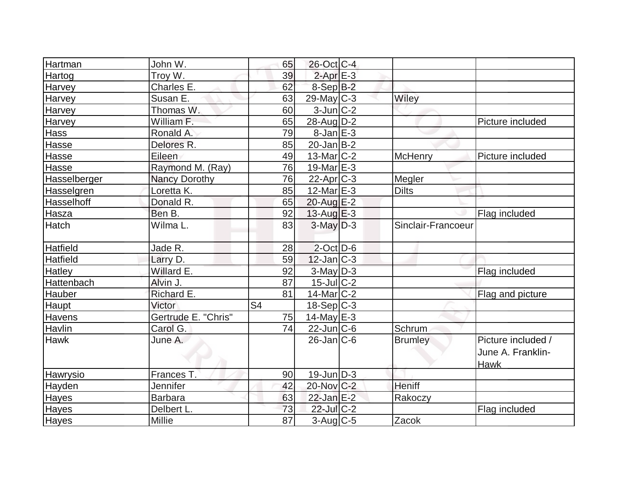| Hartman      | John W.             | 65             | 26-Oct C-4        |                    |                                                        |
|--------------|---------------------|----------------|-------------------|--------------------|--------------------------------------------------------|
| Hartog       | Troy W.             | 39             | $2$ -Apr $E-3$    |                    |                                                        |
| Harvey       | Charles E.          | 62             | $8-Sep$ $B-2$     |                    |                                                        |
| Harvey       | Susan E.            | 63             | $29$ -May C-3     | Wiley              |                                                        |
| Harvey       | Thomas W.           | 60             | $3$ -Jun $C-2$    |                    |                                                        |
| Harvey       | William F.          | 65             | $28$ -AugD-2      |                    | Picture included                                       |
| <b>Hass</b>  | Ronald A.           | 79             | $8$ -Jan $E-3$    |                    |                                                        |
| Hasse        | Delores R.          | 85             | $20$ -Jan B-2     |                    |                                                        |
| Hasse        | Eileen              | 49             | $13$ -Mar $ C-2 $ | <b>McHenry</b>     | Picture included                                       |
| Hasse        | Raymond M. (Ray)    | 76             | 19-Mar $E-3$      |                    |                                                        |
| Hasselberger | Nancy Dorothy       | 76             | $22$ -Apr $ C-3 $ | Megler             |                                                        |
| Hasselgren   | Loretta K.          | 85             | 12-Mar $E-3$      | <b>Dilts</b>       |                                                        |
| Hasselhoff   | Donald R.           | 65             | 20-Aug E-2        |                    |                                                        |
| Hasza        | Ben B.              | 92             | $13$ -Aug $E-3$   |                    | Flag included                                          |
| <b>Hatch</b> | Wilma L.            | 83             | $3-May$ $D-3$     | Sinclair-Francoeur |                                                        |
| Hatfield     | Jade R.             | 28             | $2$ -Oct $D-6$    |                    |                                                        |
| Hatfield     | Larry D.            | 59             | $12$ -Jan $ C-3 $ |                    |                                                        |
| Hatley       | Willard E.          | 92             | $3$ -May $D-3$    |                    | Flag included                                          |
| Hattenbach   | Alvin J.            | 87             | $15$ -Jul $C-2$   |                    |                                                        |
| Hauber       | Richard E.          | 81             | $14$ -Mar $ C-2 $ |                    | Flag and picture                                       |
| Haupt        | Victor              | S <sub>4</sub> | $18-Sep C-3$      |                    |                                                        |
| Havens       | Gertrude E. "Chris" | 75             | $14$ -May E-3     |                    |                                                        |
| Havlin       | Carol G.            | 74             | $22$ -Jun $C$ -6  | Schrum             |                                                        |
| <b>Hawk</b>  | June A.             |                | $26$ -Jan $C$ -6  | <b>Brumley</b>     | Picture included /<br>June A. Franklin-<br><b>Hawk</b> |
| Hawrysio     | Frances T.          | 90             | 19-JunD-3         |                    |                                                        |
| Hayden       | Jennifer            | 42             | 20-Nov C-2        | <b>Heniff</b>      |                                                        |
| Hayes        | <b>Barbara</b>      | 63             | $22$ -Jan E-2     | Rakoczy            |                                                        |
| Hayes        | Delbert L.          | 73             | 22-Jul C-2        |                    | Flag included                                          |
| <b>Hayes</b> | Millie              | 87             | $3$ -Aug $C$ -5   | Zacok              |                                                        |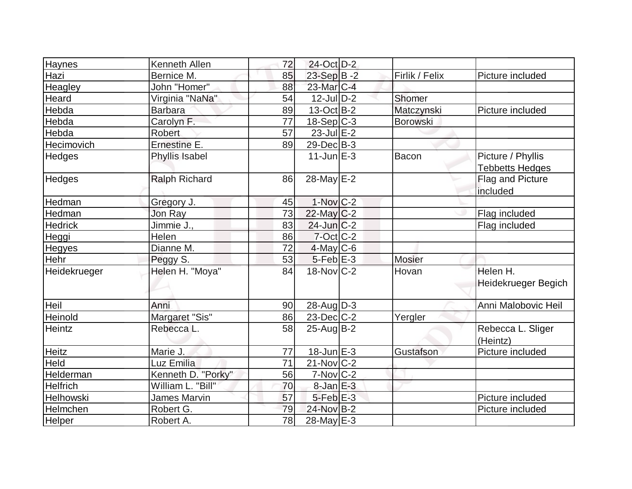| <b>Haynes</b>   | Kenneth Allen        | 72 | 24-Oct D-2             |                 |                        |
|-----------------|----------------------|----|------------------------|-----------------|------------------------|
| Hazi            | Bernice M.           | 85 | 23-Sep $B - 2$         | Firlik / Felix  | Picture included       |
| Heagley         | John "Homer"         | 88 | 23-Mar C-4             |                 |                        |
| Heard           | Virginia "NaNa"      | 54 | $12$ -Jul $D-2$        | Shomer          |                        |
| Hebda           | <b>Barbara</b>       | 89 | $13-Oct$ B-2           | Matczynski      | Picture included       |
| Hebda           | Carolyn F.           | 77 | $18-Sep C-3$           | <b>Borowski</b> |                        |
| Hebda           | <b>Robert</b>        | 57 | $23$ -Jul $E-2$        |                 |                        |
| Hecimovich      | Ernestine E.         | 89 | $29$ -Dec $B-3$        |                 |                        |
| Hedges          | Phyllis Isabel       |    | $11$ -Jun $E-3$        | <b>Bacon</b>    | Picture / Phyllis      |
|                 |                      |    |                        |                 | <b>Tebbetts Hedges</b> |
| <b>Hedges</b>   | <b>Ralph Richard</b> | 86 | 28-May $E-2$           |                 | Flag and Picture       |
|                 |                      |    |                        |                 | included               |
| Hedman          | Gregory J.           | 45 | $1-Nov$ <sub>C-2</sub> |                 |                        |
| Hedman          | Jon Ray              | 73 | $22$ -May C-2          |                 | Flag included          |
| <b>Hedrick</b>  | Jimmie J.,           | 83 | $24$ -Jun $ C-2 $      |                 | Flag included          |
| Heggi           | Helen                | 86 | $7$ -Oct $ C$ -2       |                 |                        |
| <b>Hegyes</b>   | Dianne M.            | 72 | $4$ -May C-6           |                 |                        |
| Hehr            | Peggy S.             | 53 | $5$ -Feb $E-3$         | <b>Mosier</b>   |                        |
| Heidekrueger    | Helen H. "Moya"      | 84 | $18$ -Nov $C-2$        | Hovan           | Helen H.               |
|                 |                      |    |                        |                 | Heidekrueger Begich    |
|                 |                      |    |                        |                 |                        |
| Heil            | Anni                 | 90 | $28$ -Aug $D-3$        |                 | Anni Malobovic Heil    |
| Heinold         | Margaret "Sis"       | 86 | $23$ -Dec $ C-2 $      | Yergler         |                        |
| Heintz          | Rebecca L.           | 58 | $25$ -Aug $B-2$        |                 | Rebecca L. Sliger      |
|                 |                      |    |                        |                 | (Heintz)               |
| <b>Heitz</b>    | Marie J.             | 77 | $18$ -Jun $E-3$        | Gustafson       | Picture included       |
| Held            | Luz Emilia           | 71 | $21-Nov$ C-2           |                 |                        |
| Helderman       | Kenneth D. "Porky"   | 56 | $7-Nov$ C-2            |                 |                        |
| <b>Helfrich</b> | William L. "Bill"    | 70 | $8$ -Jan $E-3$         |                 |                        |
| Helhowski       | James Marvin         | 57 | $5$ -Feb $E-3$         |                 | Picture included       |
| Helmchen        | Robert G.            | 79 | 24-Nov B-2             |                 | Picture included       |
| Helper          | Robert A.            | 78 | 28-May E-3             |                 |                        |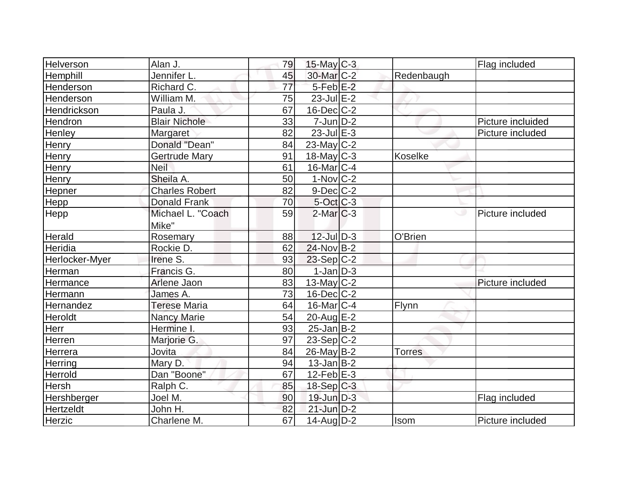| Helverson      | Alan J.               | 79              | $15$ -May C-3           |               | Flag included     |
|----------------|-----------------------|-----------------|-------------------------|---------------|-------------------|
| Hemphill       | Jennifer L.           | 45              | 30-Mar <sub>C-2</sub>   | Redenbaugh    |                   |
| Henderson      | Richard C.            | $\overline{77}$ | 5-Feb <sup>E-2</sup>    |               |                   |
| Henderson      | William M.            | 75              | $23$ -Jul $E-2$         |               |                   |
| Hendrickson    | Paula J.              | 67              | $16$ -Dec $C$ -2        |               |                   |
| Hendron        | <b>Blair Nichole</b>  | 33              | $7$ -Jun $D-2$          |               | Picture incluided |
| Henley         | Margaret              | 82              | $23$ -Jul $E-3$         |               | Picture included  |
| Henry          | Donald "Dean"         | 84              | $23$ -May C-2           |               |                   |
| Henry          | Gertrude Mary         | 91              | $18$ -May C-3           | Koselke       |                   |
| Henry          | <b>Neil</b>           | 61              | $16$ -Mar $ C-4$        |               |                   |
| Henry          | Sheila A.             | 50              | $1-Nov$ <sub>C</sub> -2 |               |                   |
| Hepner         | <b>Charles Robert</b> | 82              | $9$ -Dec $C$ -2         |               |                   |
| Hepp           | <b>Donald Frank</b>   | 70              | $5$ -Oct $C$ -3         |               |                   |
| Hepp           | Michael L. "Coach     | 59              | $2$ -Mar $ C-3 $        |               | Picture included  |
|                | Mike"                 |                 |                         |               |                   |
| Herald         | Rosemary              | 88              | $12$ -Jul $ D-3 $       | O'Brien       |                   |
| Heridia        | Rockie D.             | 62              | $24$ -Nov B-2           |               |                   |
| Herlocker-Myer | Irene S.              | 93              | $23-Sep C-2$            |               |                   |
| Herman         | Francis G             | 80              | $1$ -Jan $D-3$          |               |                   |
| Hermance       | Arlene Jaon           | 83              | $13$ -May C-2           |               | Picture included  |
| Hermann        | James A.              | 73              | $16$ -Dec $C$ -2        |               |                   |
| Hernandez      | <b>Terese Maria</b>   | 64              | $16$ -Mar $ C-4$        | Flynn         |                   |
| Heroldt        | <b>Nancy Marie</b>    | 54              | $20$ -Aug $E-2$         |               |                   |
| Herr           | Hermine I.            | 93              | $25$ -Jan $ B-2 $       |               |                   |
| Herren         | Marjorie G.           | 97              | $23-Sep C-2$            |               |                   |
| Herrera        | Jovita                | 84              | $26$ -May B-2           | <b>Torres</b> |                   |
| Herring        | Mary D.               | 94              | $13$ -Jan $ B-2 $       |               |                   |
| Herrold        | Dan "Boone"           | 67              | $12$ -Feb $ E-3 $       |               |                   |
| Hersh          | Ralph C.              | 85              | $18-Sep C-3$            |               |                   |
| Hershberger    | Joel M.               | 90              | 19-Jun D-3              |               | Flag included     |
| Hertzeldt      | John H.               | 82              | $21$ -Jun $D-2$         |               |                   |
| Herzic         | Charlene M.           | 67              | $14$ -Aug $D-2$         | Isom          | Picture included  |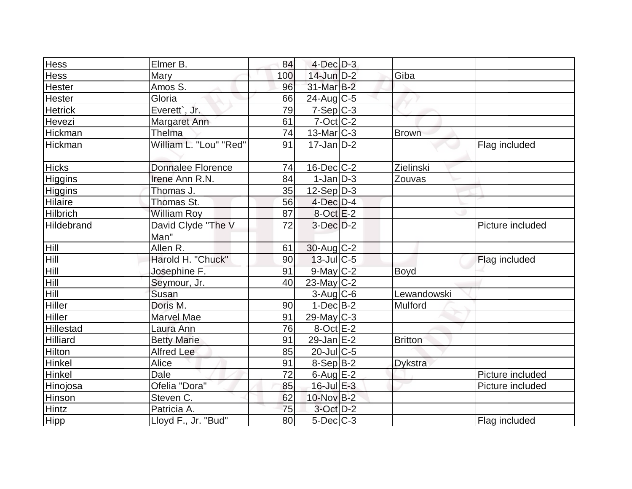| Hess            | Elmer B.                 | 84  | $4$ -Dec $D-3$          |                |                  |
|-----------------|--------------------------|-----|-------------------------|----------------|------------------|
| Hess            | <b>Mary</b>              | 100 | $14$ -Jun $D-2$         | Giba           |                  |
| Hester          | Amos S.                  | 96  | 31-Mar B-2              |                |                  |
| Hester          | Gloria                   | 66  | $24$ -Aug C-5           |                |                  |
| <b>Hetrick</b>  | Everett`, Jr.            | 79  | $7-Sep C-3$             |                |                  |
| Hevezi          | Margaret Ann             | 61  | $7-Oct$ $C-2$           |                |                  |
| Hickman         | <b>Thelma</b>            | 74  | $13$ -Mar $ C-3 $       | <b>Brown</b>   |                  |
| Hickman         | William L. "Lou" "Red"   | 91  | $17 - Jan$ $D-2$        |                | Flag included    |
| <b>Hicks</b>    | <b>Donnalee Florence</b> | 74  | $16$ -Dec $C$ -2        | Zielinski      |                  |
| Higgins         | Irene Ann R.N.           | 84  | $\overline{1}$ -Jan D-3 | Zouvas         |                  |
| Higgins         | Thomas J.                | 35  | $12-Sep D-3$            |                |                  |
| Hilaire         | Thomas St.               | 56  | $4$ -Dec $D-4$          |                |                  |
| <b>Hilbrich</b> | <b>William Roy</b>       | 87  | $8-Oct$ E-2             |                |                  |
| Hildebrand      | David Clyde "The V       | 72  | $3-Dec$ $D-2$           |                | Picture included |
|                 | Man"                     |     |                         |                |                  |
| Hill            | Allen R.                 | 61  | $30$ -Aug C-2           |                |                  |
| Hill            | Harold H. "Chuck"        | 90  | $13$ -Jul $C$ -5        |                | Flag included    |
| Hill            | Josephine F.             | 91  | 9-May C-2               | <b>Boyd</b>    |                  |
| Hill            | Seymour, Jr.             | 40  | $23$ -May C-2           |                |                  |
| Hill            | Susan                    |     | $3$ -Aug C-6            | Lewandowski    |                  |
| <b>Hiller</b>   | Doris M.                 | 90  | $1-Dec$ B-2             | Mulford        |                  |
| Hiller          | <b>Marvel Mae</b>        | 91  | $29$ -May C-3           |                |                  |
| Hillestad       | Laura Ann                | 76  | $8$ -Oct $E-2$          |                |                  |
| Hilliard        | <b>Betty Marie</b>       | 91  | $29$ -Jan $E-2$         | <b>Britton</b> |                  |
| <b>Hilton</b>   | <b>Alfred Lee</b>        | 85  | 20-Jul C-5              |                |                  |
| Hinkel          | Alice                    | 91  | $8-Sep B-2$             | <b>Dykstra</b> |                  |
| Hinkel          | Dale                     | 72  | $6$ -Aug $E-2$          |                | Picture included |
| Hinojosa        | Ofelia "Dora"            | 85  | $16$ -Jul $E-3$         |                | Picture included |
| Hinson          | Steven C.                | 62  | 10-Nov B-2              |                |                  |
| Hintz           | Patricia A.              | 75  | $3$ -Oct $D-2$          |                |                  |
| Hipp            | Lloyd F., Jr. "Bud"      | 80  | $5$ -Dec $C$ -3         |                | Flag included    |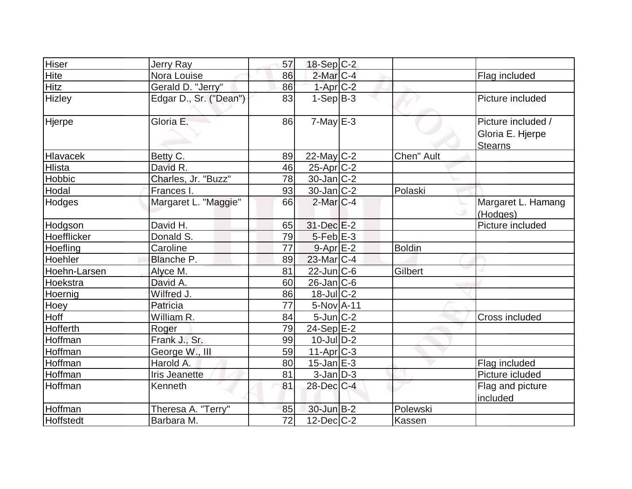| Hiser            | Jerry Ray              | 57 | $18-Sep C-2$            |               |                                                          |
|------------------|------------------------|----|-------------------------|---------------|----------------------------------------------------------|
| Hite             | Nora Louise            | 86 | 2-Mar C-4               |               | Flag included                                            |
| <b>Hitz</b>      | Gerald D. "Jerry"      | 86 | $1-Apr$ $C-2$           |               |                                                          |
| Hizley           | Edgar D., Sr. ("Dean") | 83 | $1-Sep B-3$             |               | Picture included                                         |
| Hjerpe           | Gloria E.              | 86 | $7$ -May $E-3$          |               | Picture included /<br>Gloria E. Hjerpe<br><b>Stearns</b> |
| Hlavacek         | Betty C.               | 89 | $22$ -May C-2           | Chen" Ault    |                                                          |
| Hlista           | David R.               | 46 | $25$ -Apr $ C$ -2       |               |                                                          |
| Hobbic           | Charles, Jr. "Buzz"    | 78 | $30 - Jan$ $C-2$        |               |                                                          |
| Hodal            | Frances I.             | 93 | $30 - Jan$ $C-2$        | Polaski       |                                                          |
| Hodges           | Margaret L. "Maggie"   | 66 | $2$ -Mar $ C-4 $        |               | Margaret L. Hamang<br>(Hodges)                           |
| Hodgson          | David H.               | 65 | 31-Dec E-2              |               | Picture included                                         |
| Hoefflicker      | Donald S.              | 79 | $5$ -Feb $E-3$          |               |                                                          |
| Hoefling         | Caroline               | 77 | $9 - Apr$ $E-2$         | <b>Boldin</b> |                                                          |
| Hoehler          | Blanche P.             | 89 | 23-Mar C-4              |               |                                                          |
| Hoehn-Larsen     | Alyce M.               | 81 | $22$ -Jun $C$ -6        | Gilbert       |                                                          |
| Hoekstra         | David A.               | 60 | $26$ -Jan $ C$ -6       |               |                                                          |
| Hoernig          | Wilfred J.             | 86 | $18$ -Jul $C-2$         |               |                                                          |
| <b>Hoey</b>      | Patricia               | 77 | 5-Nov A-11              |               |                                                          |
| Hoff             | William R.             | 84 | $5$ -Jun $C-2$          |               | Cross included                                           |
| Hofferth         | Roger                  | 79 | $24-Sep$ $E-2$          |               |                                                          |
| Hoffman          | Frank J., Sr.          | 99 | $10$ -Jul $D-2$         |               |                                                          |
| Hoffman          | George W., III         | 59 | $11-Apr$ <sub>C-3</sub> |               |                                                          |
| Hoffman          | Harold A.              | 80 | $15$ -Jan $E-3$         |               | Flag included                                            |
| Hoffman          | <b>Iris Jeanette</b>   | 81 | $3$ -Jan $D-3$          |               | Picture icluded                                          |
| Hoffman          | Kenneth                | 81 | $28$ -Dec $C-4$         |               | Flag and picture<br>included                             |
| Hoffman          | Theresa A. "Terry"     | 85 | $30 - Jun$ B-2          | Polewski      |                                                          |
| <b>Hoffstedt</b> | Barbara M.             | 72 | $12$ -Dec $ C-2 $       | Kassen        |                                                          |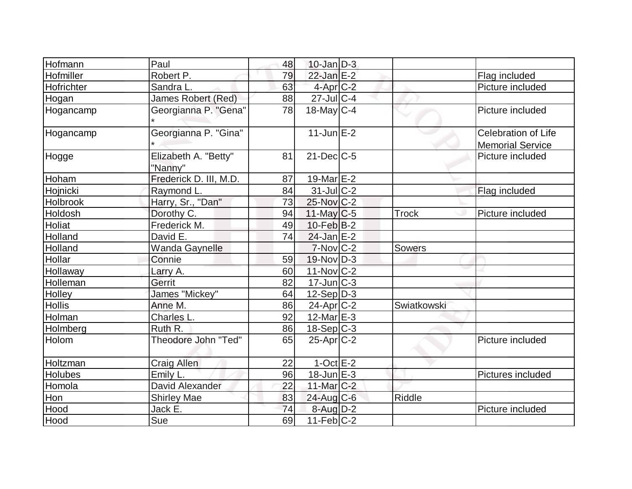| Hofmann       | Paul                            | 48 | $10$ -Jan $ D-3 $           |               |                                                       |
|---------------|---------------------------------|----|-----------------------------|---------------|-------------------------------------------------------|
| Hofmiller     | Robert P.                       | 79 | $22$ -Jan $E-2$             |               | Flag included                                         |
| Hofrichter    | Sandra L.                       | 63 | $4$ -Apr $C-2$              |               | Picture included                                      |
| Hogan         | James Robert (Red)              | 88 | $27$ -JulC-4                |               |                                                       |
| Hogancamp     | Georgianna P. "Gena"            | 78 | $18$ -May C-4               |               | Picture included                                      |
| Hogancamp     | Georgianna P. "Gina"            |    | $11$ -Jun $E-2$             |               | <b>Celebration of Life</b><br><b>Memorial Service</b> |
| Hogge         | Elizabeth A. "Betty"<br>"Nanny" | 81 | $21$ -Dec $C$ -5            |               | Picture included                                      |
| Hoham         | Frederick D. III, M.D.          | 87 | 19-Mar $E-2$                |               |                                                       |
| Hojnicki      | Raymond L.                      | 84 | $31$ -JulC-2                |               | Flag included                                         |
| Holbrook      | Harry, Sr., "Dan"               | 73 | 25-Nov C-2                  |               |                                                       |
| Holdosh       | Dorothy C.                      | 94 | $11$ -May C-5               | <b>Trock</b>  | Picture included                                      |
| Holiat        | Frederick M.                    | 49 | $10$ -Feb $ B-2 $           |               |                                                       |
| Holland       | David E.                        | 74 | $24$ -Jan E-2               |               |                                                       |
| Holland       | Wanda Gaynelle                  |    | $7-Nov$ <sub>C-2</sub>      | <b>Sowers</b> |                                                       |
| Hollar        | Connie                          | 59 | $19-Nov D-3$                |               |                                                       |
| Hollaway      | Larry A.                        | 60 | $11-Nov$ $C-2$              |               |                                                       |
| Holleman      | Gerrit                          | 82 | $17$ -Jun $\overline{C}$ -3 |               |                                                       |
| Holley        | James "Mickey"                  | 64 | $12-Sep D-3$                |               |                                                       |
| <b>Hollis</b> | Anne M.                         | 86 | $24$ -Apr $ C-2 $           | Swiatkowski   |                                                       |
| Holman        | Charles L.                      | 92 | $12$ -Mar $E-3$             |               |                                                       |
| Holmberg      | Ruth R.                         | 86 | $18-Sep C-3$                |               |                                                       |
| Holom         | Theodore John "Ted"             | 65 | $25-Apr$ $C-2$              |               | Picture included                                      |
| Holtzman      | <b>Craig Allen</b>              | 22 | $1$ -Oct E-2                |               |                                                       |
| Holubes       | Emily L.                        | 96 | $18$ -Jun $E-3$             |               | Pictures included                                     |
| Homola        | David Alexander                 | 22 | 11-Mar C-2                  |               |                                                       |
| Hon           | <b>Shirley Mae</b>              | 83 | $24$ -Aug C-6               | Riddle        |                                                       |
| Hood          | Jack E.                         | 74 | $8 - Aug   D-2$             |               | Picture included                                      |
| Hood          | Sue                             | 69 | $11-Feb$ C-2                |               |                                                       |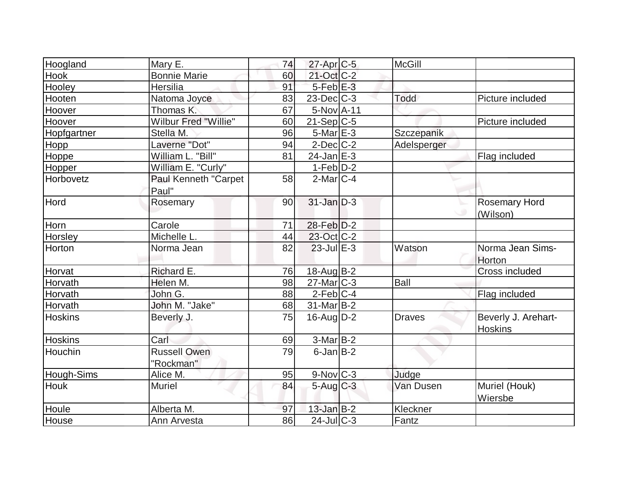| Hoogland       | Mary E.              | 74 | $27$ -Apr $ C$ -5        | <b>McGill</b> |                      |
|----------------|----------------------|----|--------------------------|---------------|----------------------|
| Hook           | <b>Bonnie Marie</b>  | 60 | 21-Oct C-2               |               |                      |
| Hooley         | <b>Hersilia</b>      | 91 | $5-Feb$ E-3              |               |                      |
| Hooten         | Natoma Joyce         | 83 | $23$ -Dec $C$ -3         | Todd          | Picture included     |
| Hoover         | Thomas K.            | 67 | 5-Nov A-11               |               |                      |
| Hoover         | Wilbur Fred "Willie" | 60 | $21-Sep C-5$             |               | Picture included     |
| Hopfgartner    | Stella M.            | 96 | $5$ -Mar $E-3$           | Szczepanik    |                      |
| Hopp           | Laverne "Dot"        | 94 | $2$ -Dec $ C-2 $         | Adelsperger   |                      |
| Hoppe          | William L. "Bill"    | 81 | $24$ -Jan $E-3$          |               | Flag included        |
| Hopper         | William E. "Curly"   |    | $1-Feb D-2$              |               |                      |
| Horbovetz      | Paul Kenneth "Carpet | 58 | $2$ -Mar $ C-4 $         |               |                      |
|                | Paul"                |    |                          |               |                      |
| Hord           | Rosemary             | 90 | $31$ -Jan $D-3$          |               | <b>Rosemary Hord</b> |
|                |                      |    |                          |               | (Wilson)             |
| Horn           | Carole               | 71 | 28-Feb D-2               |               |                      |
| Horsley        | Michelle L.          | 44 | 23-Oct C-2               |               |                      |
| Horton         | Norma Jean           | 82 | $23$ -Jul $E-3$          | Watson        | Norma Jean Sims-     |
|                |                      |    |                          |               | Horton               |
| Horvat         | Richard E.           | 76 | 18-Aug B-2               |               | Cross included       |
| Horvath        | Helen M.             | 98 | $27$ -Mar $C-3$          | <b>Ball</b>   |                      |
| Horvath        | John G.              | 88 | $2$ -Feb $ C-4 $         |               | Flag included        |
| Horvath        | John M. "Jake"       | 68 | $31$ -Mar $ B-2 $        |               |                      |
| <b>Hoskins</b> | Beverly J.           | 75 | $16$ -Aug $D-2$          | <b>Draves</b> | Beverly J. Arehart-  |
|                |                      |    |                          |               | <b>Hoskins</b>       |
| Hoskins        | Carl                 | 69 | $3-MarB-2$               |               |                      |
| Houchin        | <b>Russell Owen</b>  | 79 | $6$ -Jan $B$ -2          |               |                      |
|                | "Rockman"            |    |                          |               |                      |
| Hough-Sims     | Alice M.             | 95 | 9-Nov C-3                | Judge         |                      |
| <b>Houk</b>    | <b>Muriel</b>        | 84 | $5 - Aug$ <sub>C-3</sub> | Van Dusen     | Muriel (Houk)        |
|                |                      |    |                          |               | Wiersbe              |
| Houle          | Alberta M.           | 97 | $13$ -Jan $B-2$          | Kleckner      |                      |
| House          | Ann Arvesta          | 86 | $24$ -Jul C-3            | Fantz         |                      |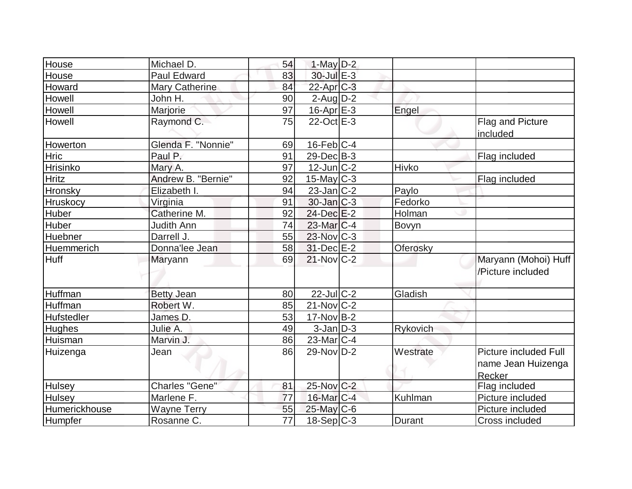| House           | Michael D.         | 54              | 1-May $D-2$       |              |                                                              |
|-----------------|--------------------|-----------------|-------------------|--------------|--------------------------------------------------------------|
| House           | Paul Edward        | 83              | 30-Jul E-3        |              |                                                              |
| Howard          | Mary Catherine     | 84              | $22$ -Apr $C-3$   |              |                                                              |
| Howell          | John H.            | 90              | $2$ -Aug $D-2$    |              |                                                              |
| Howell          | Marjorie           | 97              | $16$ -Apr $E-3$   | Engel        |                                                              |
| <b>Howell</b>   | Raymond C.         | 75              | 22-Oct E-3        |              | Flag and Picture<br>included                                 |
| Howerton        | Glenda F. "Nonnie" | 69              | $16$ -Feb $ C-4 $ |              |                                                              |
| Hric            | Paul P.            | 91              | 29-DecB-3         |              | Flag included                                                |
| Hrisinko        | Mary A.            | 97              | $12$ -Jun $ C-2 $ | Hivko        |                                                              |
| <b>Hritz</b>    | Andrew B. "Bernie" | 92              | $15$ -May C-3     |              | Flag included                                                |
| Hronsky         | Elizabeth I.       | 94              | $23$ -Jan $C-2$   | Paylo        |                                                              |
| <b>Hruskocy</b> | Virginia           | 91              | $30$ -Jan $ C-3 $ | Fedorko      |                                                              |
| <b>Huber</b>    | Catherine M.       | 92              | $24$ -Dec $E-2$   | Holman       |                                                              |
| Huber           | Judith Ann         | 74              | $23$ -Mar $ C-4 $ | <b>Bovyn</b> |                                                              |
| Huebner         | Darrell J.         | 55              | $23$ -Nov $C-3$   |              |                                                              |
| Huemmerich      | Donna'lee Jean     | 58              | $31$ -Dec $E-2$   | Oferosky     |                                                              |
| Huff            | Maryann            | 69              | $21-Nov$ C-2      |              | Maryann (Mohoi) Huff<br>/Picture included                    |
| Huffman         | <b>Betty Jean</b>  | 80              | $22$ -JulC-2      | Gladish      |                                                              |
| Huffman         | Robert W.          | 85              | $21$ -Nov $ C-2 $ |              |                                                              |
| Hufstedler      | James D.           | 53              | $17-Nov B-2$      |              |                                                              |
| Hughes          | Julie A.           | 49              | $3$ -Jan $ D-3 $  | Rykovich     |                                                              |
| Huisman         | Marvin J.          | 86              | $23$ -Mar $ C-4 $ |              |                                                              |
| Huizenga        | Jean               | 86              | $29-Nov D-2$      | Westrate     | <b>Picture included Full</b><br>name Jean Huizenga<br>Recker |
| <b>Hulsey</b>   | Charles "Gene"     | 81              | 25-Nov C-2        |              | Flag included                                                |
| <b>Hulsey</b>   | Marlene F.         | 77              | $16$ -Mar $C-4$   | Kuhlman      | Picture included                                             |
| Humerickhouse   | <b>Wayne Terry</b> | 55              | $25$ -May C-6     |              | Picture included                                             |
| Humpfer         | Rosanne C.         | $\overline{77}$ | $18-Sep C-3$      | Durant       | Cross included                                               |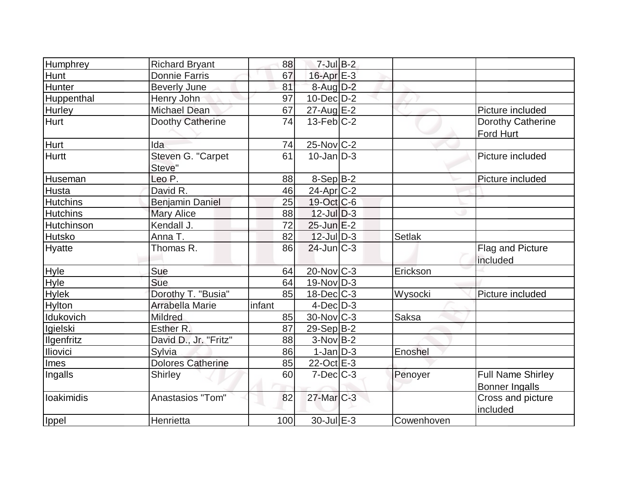| Humphrey          | <b>Richard Bryant</b>    | 88     | $7$ -Jul B-2          |               |                          |
|-------------------|--------------------------|--------|-----------------------|---------------|--------------------------|
| Hunt              | <b>Donnie Farris</b>     | 67     | 16-Apr E-3            |               |                          |
| Hunter            | <b>Beverly June</b>      | 81     | $8$ -Aug $D-2$        |               |                          |
| Huppenthal        | Henry John               | 97     | $10$ -Dec $ D-2 $     |               |                          |
| <b>Hurley</b>     | <b>Michael Dean</b>      | 67     | $27 - AugE-2$         |               | Picture included         |
| Hurt              | Doothy Catherine         | 74     | $13$ -Feb $ C-2 $     |               | Dorothy Catherine        |
|                   |                          |        |                       |               | Ford Hurt                |
| Hurt              | Ida                      | 74     | 25-Nov C-2            |               |                          |
| <b>Hurtt</b>      | Steven G. "Carpet        | 61     | $10$ -Jan $ID-3$      |               | Picture included         |
|                   | Steve"                   |        |                       |               |                          |
| Huseman           | Leo P.                   | 88     | $8-Sep B-2$           |               | Picture included         |
| <b>Husta</b>      | David R.                 | 46     | 24-Apr <sub>C-2</sub> |               |                          |
| <b>Hutchins</b>   | <b>Benjamin Daniel</b>   | 25     | 19-Oct C-6            |               |                          |
| <b>Hutchins</b>   | <b>Mary Alice</b>        | 88     | $12$ -Jul $D-3$       |               |                          |
| <b>Hutchinson</b> | Kendall J.               | 72     | $25$ -Jun $E-2$       |               |                          |
| Hutsko            | Anna T.                  | 82     | $12$ -Jul $D-3$       | <b>Setlak</b> |                          |
| Hyatte            | Thomas R.                | 86     | $24$ -Jun $C-3$       |               | Flag and Picture         |
|                   |                          |        |                       |               | included                 |
| Hyle              | Sue                      | 64     | $20$ -Nov $ C-3 $     | Erickson      |                          |
| Hyle              | Sue                      | 64     | $19-Nov D-3$          |               |                          |
| <b>Hylek</b>      | Dorothy T. "Busia"       | 85     | $18$ -Dec $C$ -3      | Wysocki       | Picture included         |
| Hylton            | Arrabella Marie          | infant | $4$ -Dec $D-3$        |               |                          |
| Idukovich         | Mildred                  | 85     | $30$ -Nov $ C-3 $     | Saksa         |                          |
| Igielski          | Esther R.                | 87     | $29-Sep B-2$          |               |                          |
| <b>Ilgenfritz</b> | David D., Jr. "Fritz"    | 88     | $3-Nov B-2$           |               |                          |
| <b>Iliovici</b>   | Sylvia                   | 86     | $1$ -Jan $D-3$        | Enoshel       |                          |
| Imes              | <b>Dolores Catherine</b> | 85     | $22$ -Oct $E-3$       |               |                          |
| Ingalls           | Shirley                  | 60     | $7$ -Dec $C-3$        | Penoyer       | <b>Full Name Shirley</b> |
|                   |                          |        |                       |               | <b>Bonner Ingalls</b>    |
| loakimidis        | Anastasios "Tom"         | 82     | 27-Mar C-3            |               | Cross and picture        |
|                   |                          |        |                       |               | included                 |
| Ippel             | Henrietta                | 100    | $30$ -Jul $E-3$       | Cowenhoven    |                          |
|                   |                          |        |                       |               |                          |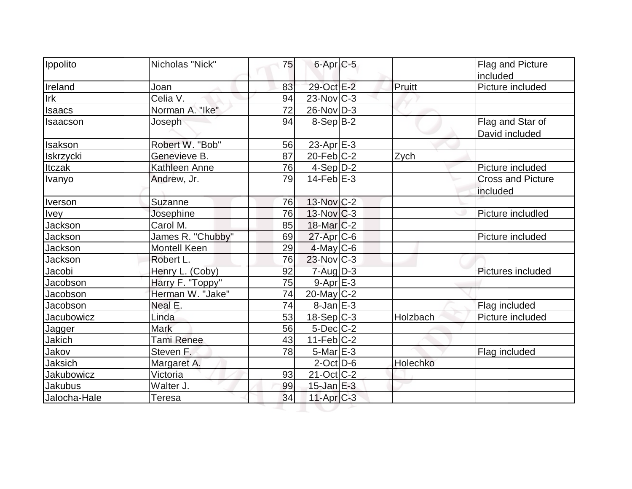| Ippolito          | Nicholas "Nick"     | 75 | $6$ -Apr $C$ -5   |          | <b>Flag and Picture</b><br>included  |
|-------------------|---------------------|----|-------------------|----------|--------------------------------------|
| Ireland           | Joan                | 83 | 29-Oct E-2        | Pruitt   | Picture included                     |
| Irk               | Celia V.            | 94 | $23$ -Nov $ C-3 $ |          |                                      |
| <b>Isaacs</b>     | Norman A. "Ike"     | 72 | $26$ -Nov D-3     |          |                                      |
| Isaacson          | Joseph              | 94 | $8-Sep B-2$       |          | Flag and Star of<br>David included   |
| Isakson           | Robert W. "Bob"     | 56 | $23$ -Apr $E-3$   |          |                                      |
| Iskrzycki         | Genevieve B.        | 87 | $20$ -Feb $ C-2 $ | Zych     |                                      |
| Itczak            | Kathleen Anne       | 76 | $4-Sep$ $D-2$     |          | Picture included                     |
| Ivanyo            | Andrew, Jr.         | 79 | $14$ -Feb $E-3$   |          | <b>Cross and Picture</b><br>included |
| Iverson           | Suzanne             | 76 | 13-Nov C-2        |          |                                      |
| <b>Ivey</b>       | Josephine           | 76 | $13$ -Nov $ C-3 $ |          | Picture includled                    |
| Jackson           | Carol M.            | 85 | $18$ -Mar $ C-2 $ |          |                                      |
| Jackson           | James R. "Chubby"   | 69 | $27$ -Apr $C$ -6  |          | Picture included                     |
| Jackson           | <b>Montell Keen</b> | 29 | 4-May C-6         |          |                                      |
| Jackson           | Robert L.           | 76 | $23$ -Nov $ C-3 $ |          |                                      |
| Jacobi            | Henry L. (Coby)     | 92 | $7 - Aug   D-3$   |          | Pictures included                    |
| Jacobson          | Harry F. "Toppy"    | 75 | $9 - Apr$ $E - 3$ |          |                                      |
| Jacobson          | Herman W. "Jake"    | 74 | $20$ -May C-2     |          |                                      |
| Jacobson          | Neal E.             | 74 | $8$ -Jan $E-3$    |          | Flag included                        |
| Jacubowicz        | Linda               | 53 | $18-Sep C-3$      | Holzbach | Picture included                     |
| Jagger            | <b>Mark</b>         | 56 | $5$ -Dec $C$ -2   |          |                                      |
| Jakich            | <b>Tami Renee</b>   | 43 | $11-Feb$ $C-2$    |          |                                      |
| Jakov             | Steven F.           | 78 | $5$ -Mar $E-3$    |          | Flag included                        |
| Jaksich           | Margaret A.         |    | $2$ -Oct $D$ -6   | Holechko |                                      |
| <b>Jakubowicz</b> | Victoria            | 93 | $21-Oct$ $C-2$    |          |                                      |
| <b>Jakubus</b>    | Walter J.           | 99 | $15$ -Jan $E-3$   |          |                                      |
| Jalocha-Hale      | <b>Teresa</b>       | 34 | $11-Apr$ $C-3$    |          |                                      |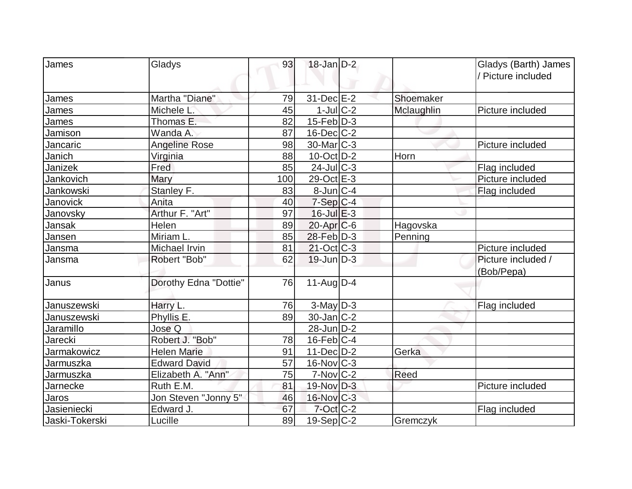| James           | Gladys                | 93  | $18$ -Jan D-2     |            | Gladys (Barth) James<br>/ Picture included |
|-----------------|-----------------------|-----|-------------------|------------|--------------------------------------------|
|                 |                       |     |                   |            |                                            |
| James           | Martha "Diane"        | 79  | 31-Dec E-2        | Shoemaker  |                                            |
| James           | Michele L             | 45  | $1$ -JulC-2       | Mclaughlin | Picture included                           |
| James           | Thomas E.             | 82  | $15$ -Feb $ D-3 $ |            |                                            |
| Jamison         | Wanda A.              | 87  | $16$ -Dec $ C-2 $ |            |                                            |
| Jancaric        | Angeline Rose         | 98  | $30$ -Mar $ C-3 $ |            | Picture included                           |
| Janich          | Virginia              | 88  | $10$ -Oct $ D-2 $ | Horn       |                                            |
| Janizek         | Fred                  | 85  | $24$ -Jul $C-3$   |            | Flag included                              |
| Jankovich       | Mary                  | 100 | 29-Oct $E-3$      |            | Picture included                           |
| Jankowski       | Stanley F.            | 83  | $8$ -Jun $ C-4 $  |            | Flag included                              |
| Janovick        | Anita                 | 40  | $7-Sep C-4$       |            |                                            |
| Janovsky        | Arthur F. "Art"       | 97  | $16$ -Jul $E-3$   |            |                                            |
| Jansak          | Helen                 | 89  | 20-Apr C-6        | Hagovska   |                                            |
| Jansen          | Miriam L.             | 85  | 28-Feb D-3        | Penning    |                                            |
| Jansma          | Michael Irvin         | 81  | $21-Oct$ $C-3$    |            | Picture included                           |
| Jansma          | Robert "Bob"          | 62  | $19$ -Jun $ D-3 $ |            | Picture included /                         |
|                 |                       |     |                   |            | (Bob/Pepa)                                 |
| Janus           | Dorothy Edna "Dottie" | 76  | $11$ -Aug $D-4$   |            |                                            |
|                 |                       |     |                   |            |                                            |
| Januszewski     | Harry L.              | 76  | $3$ -May $D-3$    |            | Flag included                              |
| Januszewski     | Phyllis E.            | 89  | $30 - Jan$ $C-2$  |            |                                            |
| Jaramillo       | Jose Q                |     | 28-Jun D-2        |            |                                            |
| Jarecki         | Robert J. "Bob"       | 78  | $16$ -Feb $ C-4 $ |            |                                            |
| Jarmakowicz     | <b>Helen Marie</b>    | 91  | $11$ -Dec $D-2$   | Gerka      |                                            |
| Jarmuszka       | <b>Edward David</b>   | 57  | $16$ -Nov $ C-3 $ |            |                                            |
| Jarmuszka       | Elizabeth A. "Ann"    | 75  | $7-Nov$ C-2       | Reed       |                                            |
| <b>Jarnecke</b> | Ruth E.M.             | 81  | $19-Nov$ D-3      |            | Picture included                           |
| Jaros           | Jon Steven "Jonny 5"  | 46  | $16$ -Nov $ C-3 $ |            |                                            |
| Jasieniecki     | Edward J.             | 67  | $7$ -Oct $C-2$    |            | Flag included                              |
| Jaski-Tokerski  | Lucille               | 89  | $19-Sep C-2$      | Gremczyk   |                                            |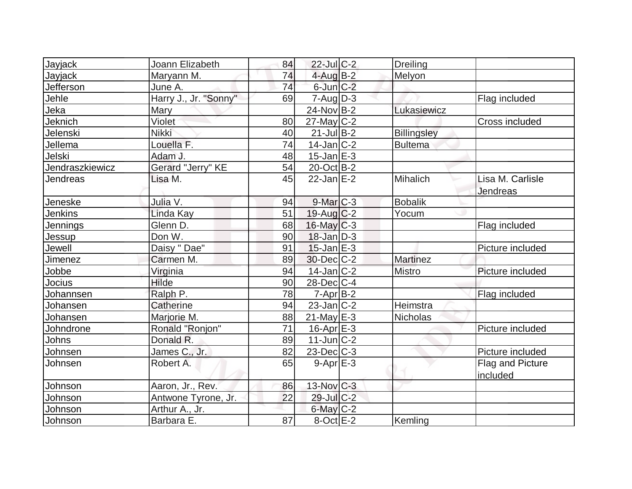|                 |                       |          | $22$ -Jul C-2     |                    |                              |
|-----------------|-----------------------|----------|-------------------|--------------------|------------------------------|
| <b>Jayjack</b>  | Joann Elizabeth       | 84       |                   | <b>Dreiling</b>    |                              |
| Jayjack         | Maryann M.            | 74<br>74 | $4$ -Aug B-2      | Melyon             |                              |
| Jefferson       | June A.               |          | $6$ -Jun $C-2$    |                    |                              |
| Jehle           | Harry J., Jr. "Sonny" | 69       | $7 - Aug   D-3$   |                    | Flag included                |
| Jeka            | <b>Mary</b>           |          | $24$ -Nov $B-2$   | Lukasiewicz        |                              |
| Jeknich         | Violet                | 80       | $27$ -May C-2     |                    | <b>Cross included</b>        |
| Jelenski        | <b>Nikki</b>          | 40       | $21$ -Jul B-2     | <b>Billingsley</b> |                              |
| Jellema         | Louella F.            | 74       | $14$ -Jan $ C-2 $ | <b>Bultema</b>     |                              |
| Jelski          | Adam J.               | 48       | $15$ -Jan $E-3$   |                    |                              |
| Jendraszkiewicz | Gerard "Jerry" KE     | 54       | $20$ -Oct B-2     |                    |                              |
| Jendreas        | Lisa M.               | 45       | $22$ -Jan $E-2$   | Mihalich           | Lisa M. Carlisle<br>Jendreas |
| Jeneske         | Julia V.              | 94       | $9$ -Mar $ C-3 $  | <b>Bobalik</b>     |                              |
| Jenkins         | Linda Kay             | 51       | $19$ -Aug C-2     | Yocum              |                              |
| Jennings        | Glenn D.              | 68       | $16$ -May C-3     |                    | Flag included                |
| Jessup          | Don W.                | 90       | $18$ -Jan $D-3$   |                    |                              |
| Jewell          | Daisy " Dae"          | 91       | $15$ -Jan $E-3$   |                    | Picture included             |
| Jimenez         | Carmen M.             | 89       | 30-Dec C-2        | Martinez           |                              |
| Jobbe           | Virginia              | 94       | $14$ -Jan $C-2$   | <b>Mistro</b>      | Picture included             |
| Jocius          | Hilde                 | 90       | $28$ -Dec $C$ -4  |                    |                              |
| Johannsen       | Ralph P.              | 78       | $7 - Apr$ B-2     |                    | Flag included                |
| Johansen        | Catherine             | 94       | $23$ -Jan $ C-2 $ | Heimstra           |                              |
| Johansen        | Marjorie M.           | 88       | $21$ -May E-3     | <b>Nicholas</b>    |                              |
| Johndrone       | Ronald "Ronjon"       | 71       | $16$ -Apr $E-3$   |                    | Picture included             |
| Johns           | Donald R.             | 89       | $11$ -Jun $C-2$   |                    |                              |
| Johnsen         | James C., Jr.         | 82       | 23-Dec C-3        |                    | Picture included             |
| Johnsen         | Robert A.             | 65       | $9 - Apr$ $E - 3$ |                    | <b>Flag and Picture</b>      |
|                 |                       |          |                   |                    | included                     |
| Johnson         | Aaron, Jr., Rev.      | 86       | $13$ -Nov $ C-3 $ |                    |                              |
| Johnson         | Antwone Tyrone, Jr.   | 22       | 29-Jul C-2        |                    |                              |
| Johnson         | Arthur A., Jr.        |          | $6$ -May $C-2$    |                    |                              |
| Johnson         | Barbara E.            | 87       | $8$ -Oct $E - 2$  | Kemling            |                              |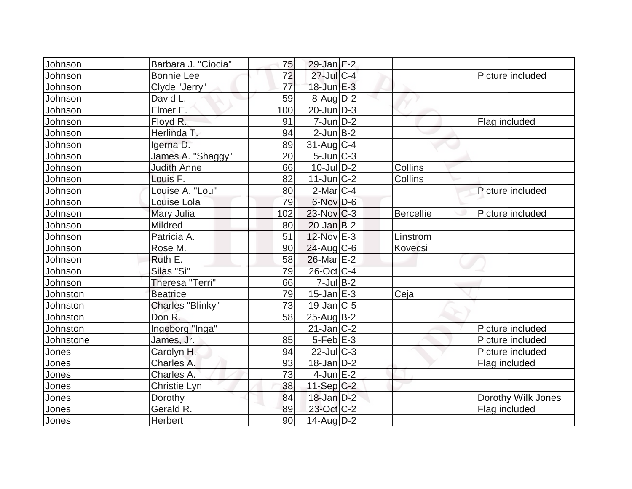| Johnson   | Barbara J. "Ciocia" | 75  | $29$ -Jan $E-2$   |                  |                    |
|-----------|---------------------|-----|-------------------|------------------|--------------------|
| Johnson   | <b>Bonnie Lee</b>   | 72  | 27-Jul C-4        |                  | Picture included   |
| Johnson   | Clyde "Jerry"       | 77  | $18$ -Jun $E-3$   |                  |                    |
| Johnson   | David L.            | 59  | $8-Auq$ D-2       |                  |                    |
| Johnson   | Elmer E.            | 100 | $20$ -Jun $ D-3 $ |                  |                    |
| Johnson   | Floyd R.            | 91  | $7$ -Jun $D-2$    |                  | Flag included      |
| Johnson   | Herlinda T.         | 94  | $2$ -Jun $B-2$    |                  |                    |
| Johnson   | Igerna D.           | 89  | $31$ -Aug C-4     |                  |                    |
| Johnson   | James A. "Shaggy"   | 20  | $5$ -Jun $ C-3 $  |                  |                    |
| Johnson   | <b>Judith Anne</b>  | 66  | $10$ -Jul $D-2$   | Collins          |                    |
| Johnson   | Louis F.            | 82  | $11$ -Jun $ C-2 $ | Collins          |                    |
| Johnson   | Louise A. "Lou"     | 80  | $2$ -Mar $C-4$    |                  | Picture included   |
| Johnson   | Louise Lola         | 79  | 6-Nov D-6         |                  |                    |
| Johnson   | Mary Julia          | 102 | $23$ -Nov $ C-3 $ | <b>Bercellie</b> | Picture included   |
| Johnson   | Mildred             | 80  | $20$ -Jan $B-2$   |                  |                    |
| Johnson   | Patricia A.         | 51  | 12-Nov E-3        | Linstrom         |                    |
| Johnson   | Rose M.             | 90  | $24$ -Aug C-6     | Kovecsi          |                    |
| Johnson   | Ruth E.             | 58  | 26-Mar E-2        |                  |                    |
| Johnson   | Silas "Si"          | 79  | 26-Oct C-4        |                  |                    |
| Johnson   | Theresa "Terri"     | 66  | $7$ -Jul B-2      |                  |                    |
| Johnston  | <b>Beatrice</b>     | 79  | $15$ -Jan $E-3$   | Ceja             |                    |
| Johnston  | Charles "Blinky"    | 73  | $19$ -Jan $ C-5$  |                  |                    |
| Johnston  | Don R.              | 58  | $25$ -Aug $B-2$   |                  |                    |
| Johnston  | Ingeborg "Inga"     |     | $21$ -Jan $ C-2 $ |                  | Picture included   |
| Johnstone | James, Jr.          | 85  | $5$ -Feb $E-3$    |                  | Picture included   |
| Jones     | Carolyn H.          | 94  | $22$ -Jul $C-3$   |                  | Picture included   |
| Jones     | Charles A.          | 93  | $18$ -Jan $ D-2 $ |                  | Flag included      |
| Jones     | Charles A.          | 73  | $4$ -Jun $E-2$    |                  |                    |
| Jones     | Christie Lyn        | 38  | $11-Sep C-2$      |                  |                    |
| Jones     | Dorothy             | 84  | $18$ -Jan $D-2$   |                  | Dorothy Wilk Jones |
| Jones     | Gerald R.           | 89  | 23-Oct C-2        |                  | Flag included      |
| Jones     | Herbert             | 90  | $14$ -Aug $D-2$   |                  |                    |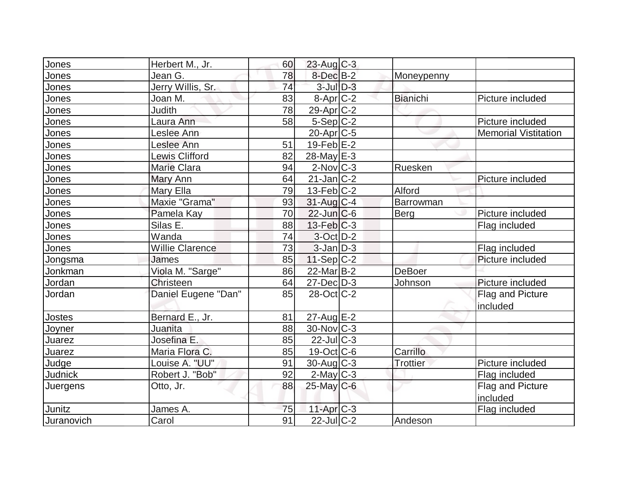| Jones          | Herbert M., Jr.        | 60 | $23$ -Aug C-3        |                 |                             |
|----------------|------------------------|----|----------------------|-----------------|-----------------------------|
| Jones          | Jean G.                | 78 | $8$ -Dec $B-2$       | Moneypenny      |                             |
| Jones          | Jerry Willis, Sr.      | 74 | $3$ -Jul $D-3$       |                 |                             |
| Jones          | Joan M.                | 83 | 8-Apr <sub>C-2</sub> | <b>Bianichi</b> | Picture included            |
| <u>Jones</u>   | <b>Judith</b>          | 78 | 29-Apr C-2           |                 |                             |
| Jones          | Laura Ann              | 58 | $5-Sep C-2$          |                 | Picture included            |
| Jones          | Leslee Ann             |    | $20$ -Apr $ C$ -5    |                 | <b>Memorial Vistitation</b> |
| Jones          | Leslee Ann             | 51 | $19$ -Feb $ E-2 $    |                 |                             |
| <b>Jones</b>   | <b>Lewis Clifford</b>  | 82 | 28-May E-3           |                 |                             |
| Jones          | <b>Marie Clara</b>     | 94 | $2$ -Nov $ C-3 $     | Ruesken         |                             |
| Jones          | Mary Ann               | 64 | $21$ -Jan $ C-2 $    |                 | Picture included            |
| Jones          | Mary Ella              | 79 | $13$ -Feb $ C-2 $    | Alford          |                             |
| Jones          | Maxie "Grama"          | 93 | $31$ -Aug C-4        | Barrowman       |                             |
| Jones          | Pamela Kay             | 70 | $22$ -Jun $C$ -6     | <b>Berg</b>     | Picture included            |
| Jones          | Silas E.               | 88 | $13$ -Feb $ C-3 $    |                 | Flag included               |
| Jones          | Wanda                  | 74 | $3-Oct$ D-2          |                 |                             |
| Jones          | <b>Willie Clarence</b> | 73 | $3$ -Jan $D-3$       |                 | Flag included               |
| Jongsma        | James                  | 85 | $11-Sep C-2$         |                 | Picture included            |
| Jonkman        | Viola M. "Sarge"       | 86 | 22-Mar B-2           | <b>DeBoer</b>   |                             |
| Jordan         | Christeen              | 64 | $27$ -Dec $D-3$      | Johnson         | Picture included            |
| Jordan         | Daniel Eugene "Dan"    | 85 | 28-Oct C-2           |                 | Flag and Picture            |
|                |                        |    |                      |                 | included                    |
| Jostes         | Bernard E., Jr.        | 81 | $27$ -Aug $E-2$      |                 |                             |
| Joyner         | Juanita                | 88 | $30$ -Nov $ C-3 $    |                 |                             |
| Juarez         | Josefina E.            | 85 | $22$ -JulC-3         |                 |                             |
| Juarez         | Maria Flora C.         | 85 | 19-Oct C-6           | Carrillo        |                             |
| Judge          | Louise A. "UU"         | 91 | $30$ -Aug $C-3$      | Trottier        | Picture included            |
| <b>Judnick</b> | Robert J. "Bob"        | 92 | $2$ -May $C-3$       |                 | Flag included               |
| Juergens       | Otto, Jr.              | 88 | $25$ -May C-6        |                 | Flag and Picture            |
|                |                        |    |                      |                 | included                    |
| Junitz         | James A.               | 75 | $11-Apr$ $C-3$       |                 | Flag included               |
| Juranovich     | Carol                  | 91 | $22$ -Jul C-2        | Andeson         |                             |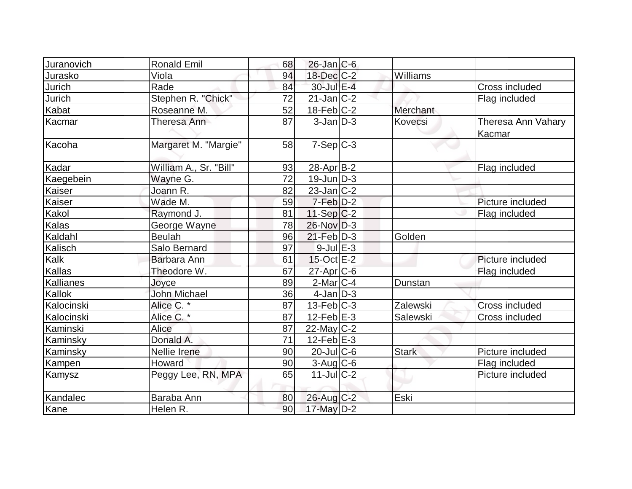| Juranovich | <b>Ronald Emil</b>     | 68 | $26$ -Jan $ C-6 $ |                |                              |
|------------|------------------------|----|-------------------|----------------|------------------------------|
| Jurasko    | Viola                  | 94 | $18$ -Dec $C-2$   | Williams       |                              |
| Jurich     | Rade                   | 84 | 30-Jul E-4        |                | Cross included               |
| Jurich     | Stephen R. "Chick"     | 72 | $21$ -Jan $ C-2 $ |                | Flag included                |
| Kabat      | Roseanne M.            | 52 | $18$ -Feb $ C-2 $ | Merchant       |                              |
| Kacmar     | Theresa Ann            | 87 | $3$ -Jan $D-3$    | <b>Kovecsi</b> | Theresa Ann Vahary<br>Kacmar |
| Kacoha     | Margaret M. "Margie"   | 58 | $7-Sep C-3$       |                |                              |
| Kadar      | William A., Sr. "Bill" | 93 | $28$ -Apr $ B-2 $ |                | Flag included                |
| Kaegebein  | Wayne G.               | 72 | $19$ -Jun $D-3$   |                |                              |
| Kaiser     | Joann R.               | 82 | $23$ -Jan $ C-2 $ |                |                              |
| Kaiser     | Wade M.                | 59 | $7-Feb D-2$       |                | Picture included             |
| Kakol      | Raymond J.             | 81 | $11-Sep C-2$      |                | Flag included                |
| Kalas      | George Wayne           | 78 | $26$ -Nov $ D-3 $ |                |                              |
| Kaldahl    | <b>Beulah</b>          | 96 | $21$ -Feb $D-3$   | Golden         |                              |
| Kalisch    | Salo Bernard           | 97 | $9$ -Jul $E-3$    |                |                              |
| Kalk       | Barbara Ann            | 61 | $15$ -Oct $E-2$   |                | Picture included             |
| Kallas     | Theodore W.            | 67 | $27$ -Apr $ C$ -6 |                | Flag included                |
| Kallianes  | Joyce                  | 89 | $2$ -Mar $ C-4 $  | Dunstan        |                              |
| Kallok     | <b>John Michael</b>    | 36 | $4$ -Jan $ D-3 $  |                |                              |
| Kalocinski | Alice C.*              | 87 | $13$ -Feb $ C-3 $ | Zalewski       | Cross included               |
| Kalocinski | Alice C. *             | 87 | $12$ -Feb $E-3$   | Salewski       | Cross included               |
| Kaminski   | Alice                  | 87 | $22$ -May C-2     |                |                              |
| Kaminsky   | Donald A.              | 71 | $12$ -Feb $E-3$   |                |                              |
| Kaminsky   | Nellie Irene           | 90 | $20$ -JulC-6      | <b>Stark</b>   | Picture included             |
| Kampen     | Howard                 | 90 | $3$ -Aug $C$ -6   |                | Flag included                |
| Kamysz     | Peggy Lee, RN, MPA     | 65 | $11$ -Jul $C-2$   |                | Picture included             |
| Kandalec   | Baraba Ann             | 80 | $26$ -Aug $C-2$   | Eski           |                              |
| Kane       | Helen R.               | 90 | 17-May D-2        |                |                              |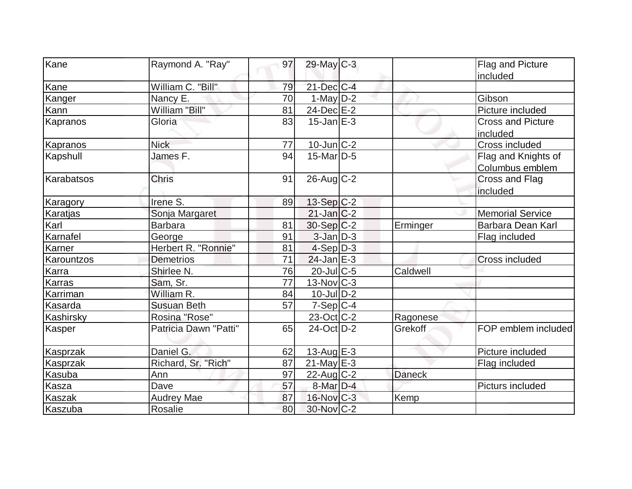| Kane              | Raymond A. "Ray"      | 97 | 29-May C-3        |               | Flag and Picture         |
|-------------------|-----------------------|----|-------------------|---------------|--------------------------|
| Kane              | William C. "Bill"     | 79 | $21$ -Dec $C$ -4  |               | included                 |
|                   | Nancy E.              | 70 | 1-May $D-2$       |               | Gibson                   |
| Kanger<br>Kann    | William "Bill"        | 81 | 24-Dec E-2        |               | Picture included         |
| Kapranos          | Gloria                | 83 | $15$ -Jan $E-3$   |               | <b>Cross and Picture</b> |
|                   |                       |    |                   |               |                          |
|                   |                       |    |                   |               | included                 |
| Kapranos          | <b>Nick</b>           | 77 | $10$ -Jun $C-2$   |               | Cross included           |
| Kapshull          | James F.              | 94 | $15$ -Mar $ D-5$  |               | Flag and Knights of      |
|                   |                       |    |                   |               | Columbus emblem          |
| <b>Karabatsos</b> | <b>Chris</b>          | 91 | $26$ -Aug $C-2$   |               | Cross and Flag           |
|                   |                       |    |                   |               | included                 |
| Karagory          | Irene S.              | 89 | $13-Sep C-2$      |               |                          |
| Karatjas          | Sonja Margaret        |    | $21$ -Jan $ C-2 $ |               | <b>Memorial Service</b>  |
| Karl              | <b>Barbara</b>        | 81 | 30-Sep C-2        | Erminger      | Barbara Dean Karl        |
| Karnafel          | George                | 91 | $3$ -Jan $D-3$    |               | Flag included            |
| Karner            | Herbert R. "Ronnie"   | 81 | $4-Sep D-3$       |               |                          |
| Karountzos        | <b>Demetrios</b>      | 71 | $24$ -Jan $E-3$   |               | Cross included           |
| Karra             | Shirlee N.            | 76 | 20-Jul C-5        | Caldwell      |                          |
| Karras            | Sam, Sr.              | 77 | $13$ -Nov $ C-3 $ |               |                          |
| Karriman          | William R.            | 84 | $10$ -Jul $D-2$   |               |                          |
| Kasarda           | <b>Susuan Beth</b>    | 57 | $7-Sep C-4$       |               |                          |
| Kashirsky         | Rosina "Rose"         |    | $23-Oct$ $C-2$    | Ragonese      |                          |
| Kasper            | Patricia Dawn "Patti" | 65 | 24-Oct D-2        | Grekoff       | FOP emblem included      |
| Kasprzak          | Daniel G.             | 62 | 13-Aug $E-3$      |               | Picture included         |
| Kasprzak          | Richard, Sr. "Rich"   | 87 | $21$ -May $E-3$   |               | Flag included            |
| Kasuba            | Ann                   | 97 | $22$ -Aug C-2     | <b>Daneck</b> |                          |
| <u>Kasza</u>      | Dave                  | 57 | $8$ -Mar $D-4$    |               | Picturs included         |
| Kaszak            | <b>Audrey Mae</b>     | 87 | $16$ -Nov $C-3$   | Kemp          |                          |
| Kaszuba           | Rosalie               | 80 | 30-Nov C-2        |               |                          |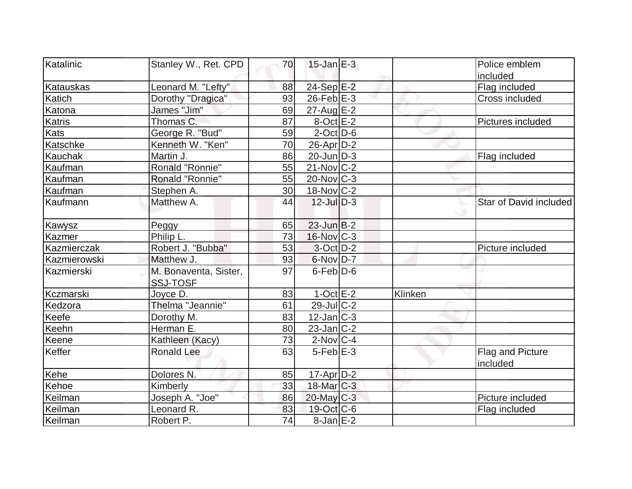| Katalinic<br>Stanley W., Ret. CPD                      |    | $15$ -Jan $E-3$       |         | Police emblem                |
|--------------------------------------------------------|----|-----------------------|---------|------------------------------|
|                                                        | 70 |                       |         |                              |
| Leonard M. "Lefty"<br><b>Katauskas</b>                 | 88 | 24-Sep E-2            |         | included<br>Flag included    |
| Dorothy "Dragica"<br>Katich                            | 93 | $26$ -Feb $E-3$       |         | Cross included               |
| James "Jim"<br>Katona                                  | 69 | $27$ -Aug $E-2$       |         |                              |
| Katris<br>Thomas C.                                    | 87 | $8$ -Oct $E-2$        |         | Pictures included            |
| Kats<br>George R. "Bud"                                | 59 | $2$ -Oct $ D-6$       |         |                              |
| Katschke<br>Kenneth W. "Ken"                           | 70 | $26$ -Apr $D-2$       |         |                              |
| Martin J.                                              | 86 | $20$ -Jun $ D-3 $     |         |                              |
| Kauchak                                                |    |                       |         | Flag included                |
| Ronald "Ronnie"<br>Kaufman                             | 55 | $21$ -Nov $ C-2 $     |         |                              |
| Ronald "Ronnie"<br>Kaufman                             | 55 | $20$ -Nov $ C-3 $     |         |                              |
| Kaufman<br>Stephen A.                                  | 30 | $18-Nov$ C-2          |         |                              |
| Kaufmann<br>Matthew A.                                 | 44 | $12$ -Jul $D-3$       |         | Star of David included       |
| Peggy<br>Kawysz                                        | 65 | $23$ -Jun $B-2$       |         |                              |
| Philip L.<br>Kazmer                                    | 73 | $16$ -Nov $ C-3 $     |         |                              |
| Kazmierczak<br>Robert J. "Bubba"                       | 53 | $3-Oct$ D-2           |         | Picture included             |
| Kazmierowski<br>Matthew J.                             | 93 | $6$ -Nov $D-7$        |         |                              |
| M. Bonaventa, Sister,<br>Kazmierski<br><b>SSJ-TOSF</b> | 97 | $6$ -Feb $D-6$        |         |                              |
| Joyce D.<br>Kczmarski                                  | 83 | $1-Oct$ $E-2$         | Klinken |                              |
| Thelma "Jeannie"<br>Kedzora                            | 61 | $29$ -JulC-2          |         |                              |
| Keefe<br>Dorothy M.                                    | 83 | $12$ -Jan $ C-3 $     |         |                              |
| Herman E.<br>Keehn                                     | 80 | $23$ -Jan $ C-2 $     |         |                              |
| Keene<br>Kathleen (Kacy)                               | 73 | $2$ -Nov $ C-4$       |         |                              |
| <b>Keffer</b><br><b>Ronald Lee</b>                     | 63 | $5$ -Feb $E-3$        |         | Flag and Picture<br>included |
| Kehe<br>Dolores N.                                     | 85 | 17-Apr D-2            |         |                              |
| Kehoe<br>Kimberly                                      | 33 | 18-Mar <sub>C-3</sub> |         |                              |
| Joseph A. "Joe"<br>Keilman                             | 86 | $20$ -May C-3         |         | Picture included             |
| Keilman<br>Leonard R.                                  | 83 | $19$ -Oct C-6         |         | Flag included                |
| Keilman<br>Robert P.                                   | 74 | $8$ -Jan $E-2$        |         |                              |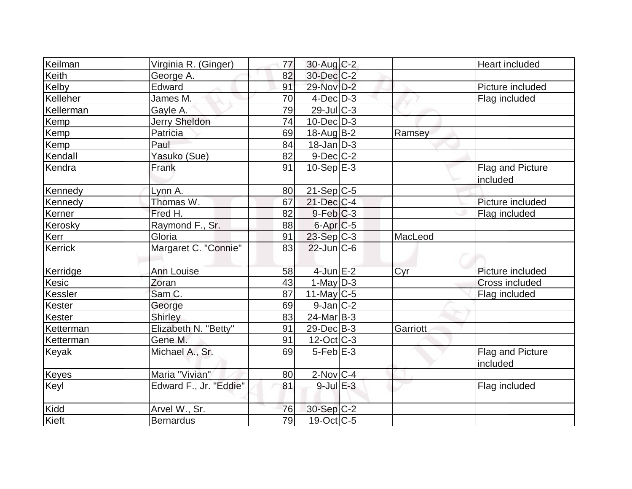| Keilman   | Virginia R. (Ginger)   | 77              | 30-Aug C-2        |          | Heart included               |
|-----------|------------------------|-----------------|-------------------|----------|------------------------------|
| Keith     | George A.              | 82              | 30-Dec C-2        |          |                              |
| Kelby     | Edward                 | 91              | 29-Nov D-2        |          | Picture included             |
| Kelleher  | James M.               | 70              | $4$ -Dec $D-3$    |          | Flag included                |
| Kellerman | Gayle A.               | 79              | $29$ -JulC-3      |          |                              |
| Kemp      | <b>Jerry Sheldon</b>   | 74              | $10$ -Dec $D-3$   |          |                              |
| Kemp      | Patricia               | 69              | 18-Aug B-2        | Ramsey   |                              |
| Kemp      | Paul                   | 84              | $18$ -Jan D-3     |          |                              |
| Kendall   | Yasuko (Sue)           | 82              | $9$ -Dec $C$ -2   |          |                              |
| Kendra    | Frank                  | 91              | $10-Sep$ $E-3$    |          | Flag and Picture             |
|           |                        |                 |                   |          | included                     |
| Kennedy   | Lynn A.                | 80              | $21-Sep C-5$      |          |                              |
| Kennedy   | Thomas W.              | 67              | $21$ -Dec $C$ -4  |          | Picture included             |
| Kerner    | Fred H.                | 82              | $9-Feb$ C-3       |          | Flag included                |
| Kerosky   | Raymond F., Sr.        | 88              | $6$ -Apr $C$ -5   |          |                              |
| Kerr      | Gloria                 | 91              | 23-Sep C-3        | MacLeod  |                              |
| Kerrick   | Margaret C. "Connie"   | 83              | $22$ -Jun $ C-6 $ |          |                              |
| Kerridge  | <b>Ann Louise</b>      | 58              | $4$ -Jun $E-2$    | Cyr      | Picture included             |
| Kesic     | Zoran                  | 43              | $1$ -May $D-3$    |          | <b>Cross included</b>        |
| Kessler   | Sam C.                 | 87              | 11-May C-5        |          | Flag included                |
| Kester    | George                 | 69              | $9$ -Jan $ C-2 $  |          |                              |
| Kester    | <b>Shirley</b>         | 83              | $24$ -Mar $B-3$   |          |                              |
| Ketterman | Elizabeth N. "Betty"   | 91              | $29$ -Dec $B$ -3  | Garriott |                              |
| Ketterman | Gene M.                | 91              | $12$ -Oct C-3     |          |                              |
| Keyak     | Michael A., Sr.        | 69              | $5-Feb$ $E-3$     |          | Flag and Picture<br>included |
| Keyes     | Maria "Vivian"         | 80              | $2$ -Nov $ C-4 $  |          |                              |
| Keyl      | Edward F., Jr. "Eddie" | 81              | $9$ -Jul $E-3$    |          | Flag included                |
| Kidd      | Arvel W., Sr.          | 76              | 30-Sep C-2        |          |                              |
| Kieft     | <b>Bernardus</b>       | $\overline{79}$ | $19-Oct$ $C-5$    |          |                              |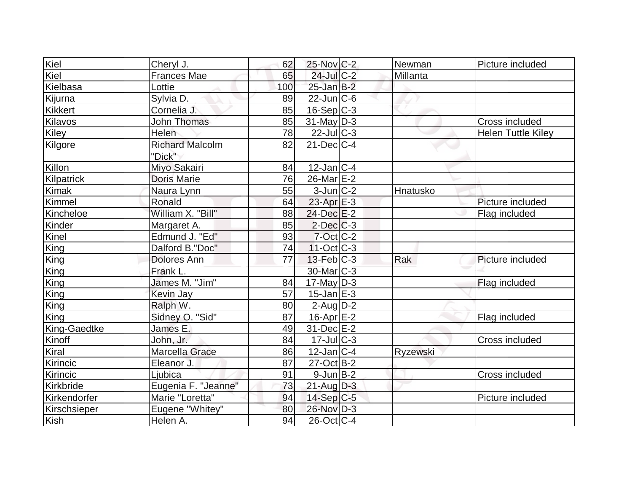| Kiel           | Cheryl J.              | 62  | 25-Nov C-2             | Newman   | Picture included          |
|----------------|------------------------|-----|------------------------|----------|---------------------------|
| Kiel           | <b>Frances Mae</b>     | 65  | $24$ -Jul C-2          | Millanta |                           |
| Kielbasa       | Lottie                 | 100 | $25$ -Jan $B-2$        |          |                           |
| Kijurna        | Sylvia D.              | 89  | $22$ -Jun $C$ -6       |          |                           |
| <b>Kikkert</b> | Cornelia J.            | 85  | $16-Sep C-3$           |          |                           |
| <b>Kilavos</b> | <b>John Thomas</b>     | 85  | $31$ -May D-3          |          | Cross included            |
| Kiley          | Helen                  | 78  | $22$ -JulC-3           |          | <b>Helen Tuttle Kiley</b> |
| Kilgore        | <b>Richard Malcolm</b> | 82  | $21$ -Dec $C-4$        |          |                           |
|                | "Dick"                 |     |                        |          |                           |
| Killon         | Miyo Sakairi           | 84  | $12$ -Jan $ C-4$       |          |                           |
| Kilpatrick     | <b>Doris Marie</b>     | 76  | $26$ -Mar $E-2$        |          |                           |
| Kimak          | Naura Lynn             | 55  | $3$ -Jun $ C-2 $       | Hnatusko |                           |
| Kimmel         | Ronald                 | 64  | $23$ -Apr $E-3$        |          | Picture included          |
| Kincheloe      | William X. "Bill"      | 88  | 24-Dec E-2             |          | Flag included             |
| Kinder         | Margaret A.            | 85  | $2$ -Dec $C$ -3        |          |                           |
| Kinel          | Edmund J. "Ed"         | 93  | $7$ -Oct $ C$ -2       |          |                           |
| King           | Dalford B."Doc"        | 74  | $11-Oct$ $C-3$         |          |                           |
| King           | <b>Dolores Ann</b>     | 77  | $13$ -Feb $ C-3 $      | Rak      | Picture included          |
| King           | Frank L.               |     | 30-Mar <sub>IC-3</sub> |          |                           |
| King           | James M. "Jim"         | 84  | $17$ -May D-3          |          | Flag included             |
| King           | <b>Kevin Jay</b>       | 57  | $15$ -Jan $E-3$        |          |                           |
| King           | Ralph W.               | 80  | $2$ -Aug $D-2$         |          |                           |
| King           | Sidney O. "Sid"        | 87  | 16-Apr <sub>E</sub> -2 |          | Flag included             |
| King-Gaedtke   | James E.               | 49  | $31$ -Dec $E-2$        |          |                           |
| Kinoff         | John, Jr.              | 84  | $17$ -Jul $C-3$        |          | Cross included            |
| Kiral          | Marcella Grace         | 86  | $12$ -Jan $ C-4 $      | Ryzewski |                           |
| Kirincic       | Eleanor J.             | 87  | $27-Oct$ B-2           |          |                           |
| Kirincic       | Ljubica                | 91  | $9$ -Jun $B$ -2        |          | Cross included            |
| Kirkbride      | Eugenia F. "Jeanne"    | 73  | $21$ -Aug $D-3$        |          |                           |
| Kirkendorfer   | Marie "Loretta"        | 94  | $14-Sep C-5$           |          | Picture included          |
| Kirschsieper   | Eugene "Whitey"        | 80  | 26-Nov D-3             |          |                           |
| Kish           | Helen A.               | 94  | $26$ -Oct C-4          |          |                           |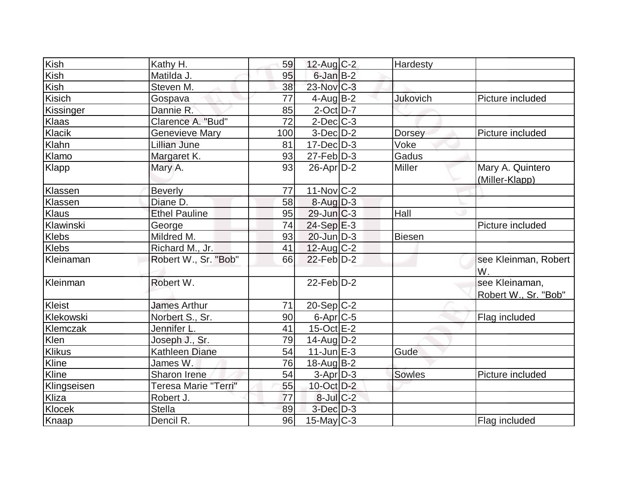| Kish             | Kathy H.              | 59  | $12$ -Aug C-2           | Hardesty      |                      |
|------------------|-----------------------|-----|-------------------------|---------------|----------------------|
| Kish             | Matilda J.            | 95  | $6$ -Jan $B-2$          |               |                      |
| Kish             | Steven M.             | 38  | 23-Nov C-3              |               |                      |
| Kisich           | Gospava               | 77  | $4$ -AugB-2             | Jukovich      | Picture included     |
| Kissinger        | Dannie R.             | 85  | $2$ -Oct $D-7$          |               |                      |
| Klaas            | Clarence A. "Bud"     | 72  | $2$ -Dec $ C-3 $        |               |                      |
| Klacik           | <b>Genevieve Mary</b> | 100 | $3-Dec D-2$             | <b>Dorsey</b> | Picture included     |
| Klahn            | Lillian June          | 81  | $17 - Dec$ $D-3$        | Voke          |                      |
| Klamo            | Margaret K.           | 93  | $27$ -Feb $D-3$         | Gadus         |                      |
| Klapp            | Mary A.               | 93  | $26$ -Apr $D-2$         | Miller        | Mary A. Quintero     |
|                  |                       |     |                         |               | (Miller-Klapp)       |
| Klassen          | <b>Beverly</b>        | 77  | $11$ -Nov $ C-2 $       |               |                      |
| Klassen          | Diane D.              | 58  | $8-Aug$ D-3             |               |                      |
| <b>Klaus</b>     | <b>Ethel Pauline</b>  | 95  | $29$ -Jun $C-3$         | Hall          |                      |
| Klawinski        | George                | 74  | $24-Sep$ $E-3$          |               | Picture included     |
| Klebs            | Mildred M.            | 93  | $20$ -Jun $D-3$         | Biesen        |                      |
| Klebs            | Richard M., Jr.       | 41  | $12$ -Aug C-2           |               |                      |
| <b>Kleinaman</b> | Robert W., Sr. "Bob"  | 66  | $22$ -Feb $D-2$         |               | see Kleinman, Robert |
|                  |                       |     |                         |               | W.                   |
| Kleinman         | Robert W.             |     | $22$ -Feb $D-2$         |               | see Kleinaman,       |
|                  |                       |     |                         |               | Robert W., Sr. "Bob" |
| Kleist           | <b>James Arthur</b>   | 71  | $20-Sep \overline{C-2}$ |               |                      |
| Klekowski        | Norbert S., Sr.       | 90  | $6$ -Apr $C$ -5         |               | Flag included        |
| Klemczak         | Jennifer L.           | 41  | $15$ -Oct $E$ -2        |               |                      |
| Klen             | Joseph J., Sr.        | 79  | $14$ -Aug $D-2$         |               |                      |
| <b>Klikus</b>    | <b>Kathleen Diane</b> | 54  | $11$ -Jun $E-3$         | Gude          |                      |
| Kline            | James W.              | 76  | $18$ -Aug B-2           |               |                      |
| Kline            | Sharon Irene          | 54  | $3-Apr D-3$             | <b>Sowles</b> | Picture included     |
| Klingseisen      | Teresa Marie "Terri"  | 55  | $10$ -Oct $D-2$         |               |                      |
| Kliza            | Robert J.             | 77  | $8$ -Jul $C$ -2         |               |                      |
| Klocek           | <b>Stella</b>         | 89  | $3$ -Dec $D-3$          |               |                      |
| Knaap            | Dencil R.             | 96  | $15$ -May C-3           |               | Flag included        |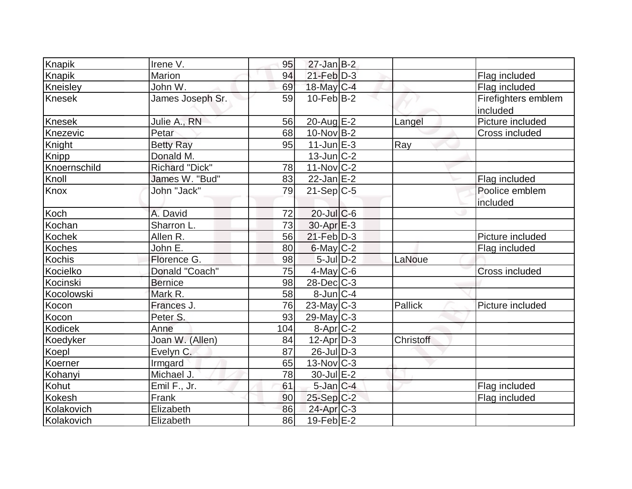| Knapik        | Irene V.              | 95  | $27$ -Jan B-2     |                  |                                 |
|---------------|-----------------------|-----|-------------------|------------------|---------------------------------|
| Knapik        | Marion                | 94  | $21$ -Feb $D-3$   |                  | Flag included                   |
| Kneisley      | John W.               | 69  | 18-May C-4        |                  | Flag included                   |
| Knesek        | James Joseph Sr.      | 59  | $10$ -Feb $ B-2 $ |                  | Firefighters emblem<br>included |
| Knesek        | Julie A., RN          | 56  | $20$ -Aug $E-2$   | Langel           | Picture included                |
| Knezevic      | Petar                 | 68  | $10$ -Nov B-2     |                  | Cross included                  |
| Knight        | <b>Betty Ray</b>      | 95  | $11$ -Jun $E-3$   | Ray              |                                 |
| Knipp         | Donald M.             |     | $13$ -Jun $ C-2 $ |                  |                                 |
| Knoernschild  | <b>Richard "Dick"</b> | 78  | $11-Nov$ C-2      |                  |                                 |
| Knoll         | James W. "Bud"        | 83  | $22$ -Jan $E-2$   |                  | Flag included                   |
| Knox          | John "Jack"           | 79  | $21-Sep C-5$      |                  | Poolice emblem<br>included      |
| Koch          | A. David              | 72  | $20$ -JulC-6      |                  |                                 |
| Kochan        | Sharron L.            | 73  | $30-Apr \nE-3$    |                  |                                 |
| Kochek        | Allen R.              | 56  | $21$ -Feb $D-3$   |                  | Picture included                |
| <b>Koches</b> | John E.               | 80  | $6$ -May $C-2$    |                  | Flag included                   |
| <b>Kochis</b> | Florence G.           | 98  | $5$ -JulD-2       | LaNoue           |                                 |
| Kocielko      | Donald "Coach"        | 75  | $4$ -May C-6      |                  | Cross included                  |
| Kocinski      | <b>Bernice</b>        | 98  | $28$ -Dec $C$ -3  |                  |                                 |
| Kocolowski    | Mark R.               | 58  | $8$ -Jun $C-4$    |                  |                                 |
| Kocon         | Frances J.            | 76  | $23$ -May C-3     | Pallick          | Picture included                |
| Kocon         | Peter S.              | 93  | $29$ -May C-3     |                  |                                 |
| Kodicek       | Anne                  | 104 | $8-Apr$ C-2       |                  |                                 |
| Koedyker      | Joan W. (Allen)       | 84  | $12$ -Apr $D-3$   | <b>Christoff</b> |                                 |
| Koepl         | Evelyn C.             | 87  | $26$ -JulD-3      |                  |                                 |
| Koerner       | Irmgard               | 65  | $13$ -Nov $ C-3 $ |                  |                                 |
| Kohanyi       | Michael J.            | 78  | 30-Jul E-2        |                  |                                 |
| Kohut         | Emil F., Jr.          | 61  | $5$ -Jan $C-4$    |                  | Flag included                   |
| <b>Kokesh</b> | Frank                 | 90  | $25-Sep C-2$      |                  | Flag included                   |
| Kolakovich    | Elizabeth             | 86  | $24$ -Apr $C-3$   |                  |                                 |
| Kolakovich    | Elizabeth             | 86  | 19-Feb $E-2$      |                  |                                 |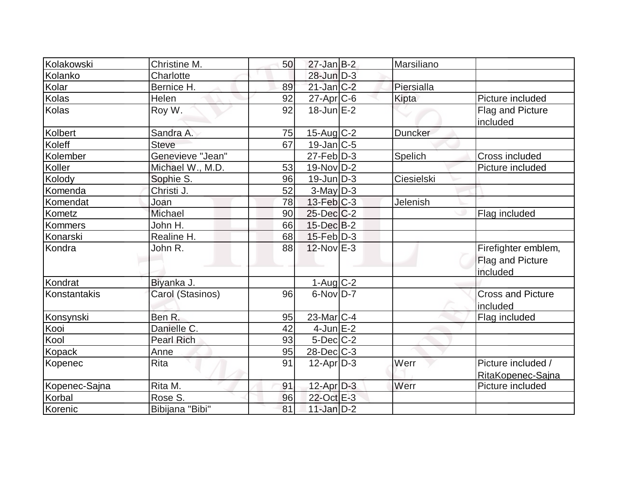| Kolakowski         | Christine M.      | 50 | $27$ -Jan B-2               | Marsiliano |                                                     |
|--------------------|-------------------|----|-----------------------------|------------|-----------------------------------------------------|
| Kolanko            | Charlotte         |    | 28-Jun D-3                  |            |                                                     |
| Kolar              | Bernice H.        | 89 | $21$ -Jan $C-2$             | Piersialla |                                                     |
| Kolas              | <b>Helen</b>      | 92 | 27-Apr C-6                  | Kipta      | Picture included                                    |
| Kolas              | Roy W.            | 92 | $18$ -Jun $E-2$             |            | Flag and Picture<br>included                        |
| Kolbert            | Sandra A.         | 75 | $15$ -Aug C-2               | Duncker    |                                                     |
| Koleff             | <b>Steve</b>      | 67 | $19$ -Jan $ C-5 $           |            |                                                     |
| Kolember           | Genevieve "Jean"  |    | $27$ -Feb $\overline{D}$ -3 | Spelich    | Cross included                                      |
| Koller             | Michael W., M.D.  | 53 | $19-Nov D-2$                |            | Picture included                                    |
| Kolody             | Sophie S.         | 96 | $19$ -Jun $D-3$             | Ciesielski |                                                     |
| Komenda            | Christi J.        | 52 | $3$ -May $D-3$              |            |                                                     |
| Komendat           | Joan              | 78 | $13$ -Feb $ C-3 $           | Jelenish   |                                                     |
| Kometz             | Michael           | 90 | $25$ -Dec $C-2$             |            | Flag included                                       |
| Kommers            | John H.           | 66 | $15$ -Dec $B-2$             |            |                                                     |
| Konarski           | Realine H.        | 68 | $15$ -Feb $ D-3$            |            |                                                     |
| Kondra             | John R.           | 88 | $12$ -Nov $E-3$             |            | Firefighter emblem,<br>Flag and Picture<br>included |
| Kondrat            | Biyanka J.        |    | $1-Aug$ $C-2$               |            |                                                     |
| Konstantakis       | Carol (Stasinos)  | 96 | $6$ -Nov $D-7$              |            | <b>Cross and Picture</b><br>included                |
| Konsynski          | Ben R.            | 95 | $23$ -Mar $ C-4 $           |            | Flag included                                       |
| Kooi               | Danielle C.       | 42 | $4$ -Jun $E-2$              |            |                                                     |
| $\overline{K}$ ool | <b>Pearl Rich</b> | 93 | $5$ -Dec $C-2$              |            |                                                     |
| <b>Kopack</b>      | Anne              | 95 | 28-Dec C-3                  |            |                                                     |
| Kopenec            | Rita              | 91 | $12$ -Apr $D-3$             | Werr       | Picture included /<br>RitaKopenec-Sajna             |
| Kopenec-Sajna      | Rita M.           | 91 | 12-Apr D-3                  | Werr       | Picture included                                    |
| Korbal             | Rose S.           | 96 | 22-Oct E-3                  |            |                                                     |
| Korenic            | Bibijana "Bibi"   | 81 | $11$ -Jan $D-2$             |            |                                                     |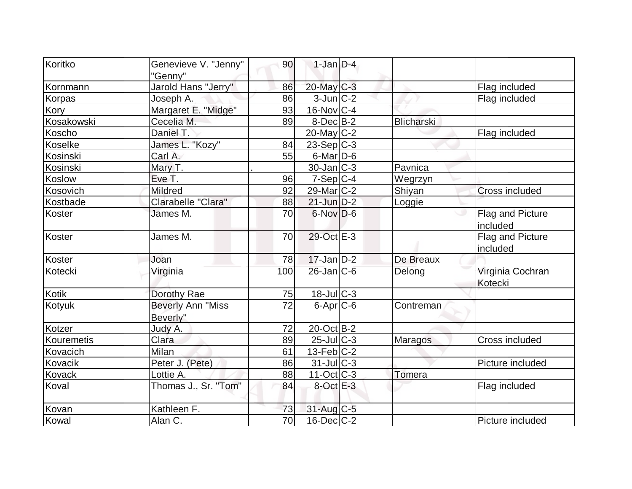| Koritko       | Genevieve V. "Jenny"                 | 90              | $1-Jan$ D-4       |                   |                              |
|---------------|--------------------------------------|-----------------|-------------------|-------------------|------------------------------|
|               | "Genny"                              |                 |                   |                   |                              |
| Kornmann      | Jarold Hans "Jerry"                  | 86              | 20-May C-3        |                   | Flag included                |
| Korpas        | Joseph A.                            | 86              | $3$ -Jun $ C-2 $  |                   | Flag included                |
| Kory          | Margaret E. "Midge"                  | 93              | $16$ -Nov $ C-4 $ |                   |                              |
| Kosakowski    | Cecelia M.                           | 89              | $8$ -Dec $B$ -2   | <b>Blicharski</b> |                              |
| Koscho        | Daniel T.                            |                 | $20$ -May C-2     |                   | Flag included                |
| Koselke       | James L. "Kozy"                      | 84              | $23-Sep C-3$      |                   |                              |
| Kosinski      | Carl A.                              | 55              | $6$ -Mar $D$ -6   |                   |                              |
| Kosinski      | Mary T.                              |                 | $30$ -Jan $ C-3 $ | Pavnica           |                              |
| Koslow        | Eve T.                               | 96              | $7-Sep C-4$       | Wegrzyn           |                              |
| Kosovich      | Mildred                              | 92              | $29$ -Mar $C-2$   | Shiyan            | <b>Cross included</b>        |
| Kostbade      | Clarabelle "Clara"                   | 88              | $21$ -Jun $D-2$   | Loggie            |                              |
| Koster        | James M.                             | 70              | $6$ -Nov $D-6$    |                   | Flag and Picture<br>included |
| Koster        | James M.                             | 70              | 29-Oct E-3        |                   | Flag and Picture<br>included |
| Koster        | Joan                                 | 78              | $17$ -Jan D-2     | De Breaux         |                              |
| Kotecki       | Virginia                             | 100             | $26$ -Jan $ C$ -6 | Delong            | Virginia Cochran<br>Kotecki  |
| Kotik         | Dorothy Rae                          | 75              | 18-Jul C-3        |                   |                              |
| Kotyuk        | <b>Beverly Ann "Miss</b><br>Beverly" | 72              | $6$ -Apr $C$ -6   | Contreman         |                              |
| Kotzer        | Judy A.                              | 72              | $20$ -Oct B-2     |                   |                              |
| Kouremetis    | Clara                                | 89              | $25$ -Jul $C-3$   | <b>Maragos</b>    | Cross included               |
| Kovacich      | Milan                                | 61              | 13-Feb C-2        |                   |                              |
| Kovacik       | Peter J. (Pete)                      | 86              | 31-Jul C-3        |                   | Picture included             |
| <b>Kovack</b> | Lottie A.                            | 88              | $11-Oct$ $C-3$    | Tomera            |                              |
| Koval         | Thomas J., Sr. "Tom"                 | 84              | $8$ -Oct $E-3$    |                   | Flag included                |
| Kovan         | Kathleen F.                          | 73              | $31$ -Aug C-5     |                   |                              |
| Kowal         | Alan C.                              | $\overline{70}$ | $16$ -Dec $ C-2 $ |                   | Picture included             |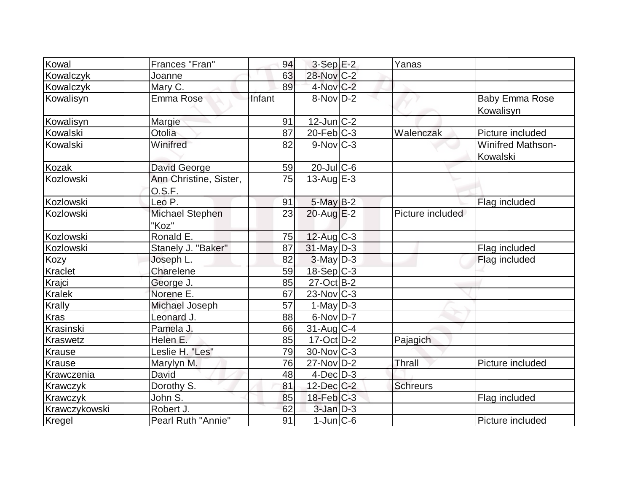| Kowal            | Frances "Fran"                   | 94     | $3-Sep$ $E-2$     | Yanas            |                                      |
|------------------|----------------------------------|--------|-------------------|------------------|--------------------------------------|
| Kowalczyk        | Joanne                           | 63     | 28-Nov C-2        |                  |                                      |
| Kowalczyk        | Mary C.                          | 89     | 4-Nov C-2         |                  |                                      |
| Kowalisyn        | Emma Rose                        | Infant | $8-Nov D-2$       |                  | <b>Baby Emma Rose</b><br>Kowalisyn   |
| Kowalisyn        | Margie                           | 91     | $12$ -Jun $ C-2 $ |                  |                                      |
| Kowalski         | Otolia                           | 87     | $20$ -Feb $ C-3 $ | Walenczak        | Picture included                     |
| Kowalski         | Winifred                         | 82     | $9-Nov$ C-3       |                  | <b>Winifred Mathson-</b><br>Kowalski |
| Kozak            | David George                     | 59     | $20$ -JulC-6      |                  |                                      |
| <b>Kozlowski</b> | Ann Christine, Sister,<br>O.S.F. | 75     | 13-Aug $E-3$      |                  |                                      |
| Kozlowski        | Leo P.                           | 91     | $5$ -May $B-2$    |                  | Flag included                        |
| Kozlowski        | Michael Stephen<br>"Koz"         | 23     | $20$ -Aug $E-2$   | Picture included |                                      |
| Kozlowski        | Ronald E.                        | 75     | $12$ -Aug C-3     |                  |                                      |
| Kozlowski        | Stanely J. "Baker"               | 87     | $31$ -May D-3     |                  | Flag included                        |
| Kozy             | Joseph L.                        | 82     | $3$ -May $D-3$    |                  | Flag included                        |
| Kraclet          | Charelene                        | 59     | 18-Sep C-3        |                  |                                      |
| Krajci           | George J.                        | 85     | $27-Oct$ B-2      |                  |                                      |
| Kralek           | Norene E.                        | 67     | $23$ -Nov $ C-3 $ |                  |                                      |
| Krally           | Michael Joseph                   | 57     | $1-May D-3$       |                  |                                      |
| <b>Kras</b>      | Leonard J.                       | 88     | 6-Nov D-7         |                  |                                      |
| Krasinski        | Pamela J.                        | 66     | $31$ -Aug C-4     |                  |                                      |
| Kraswetz         | Helen E.                         | 85     | $17-Oct$ D-2      | Pajagich         |                                      |
| Krause           | Leslie H. "Les"                  | 79     | 30-Nov C-3        |                  |                                      |
| <b>Krause</b>    | Marylyn M.                       | 76     | $27$ -Nov $D-2$   | Thrall           | Picture included                     |
| Krawczenia       | David                            | 48     | $4$ -Dec $D-3$    |                  |                                      |
| Krawczyk         | Dorothy S.                       | 81     | 12-Dec C-2        | <b>Schreurs</b>  |                                      |
| Krawczyk         | John S.                          | 85     | $18$ -Feb $C-3$   |                  | Flag included                        |
| Krawczykowski    | Robert J.                        | 62     | $3$ -Jan $D-3$    |                  |                                      |
| Kregel           | Pearl Ruth "Annie"               | 91     | $1$ -Jun $ C$ -6  |                  | Picture included                     |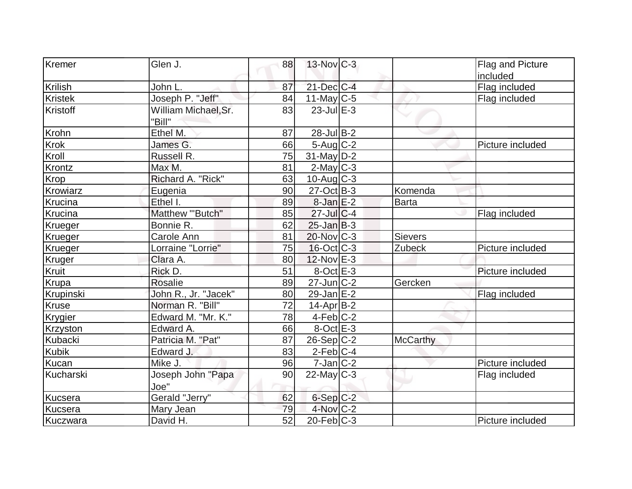| Kremer         | Glen J.                        | 88 | $13$ -Nov $ C-3 $ |                 | Flag and Picture |
|----------------|--------------------------------|----|-------------------|-----------------|------------------|
|                |                                |    |                   |                 | included         |
| Krilish        | John L.                        | 87 | $21$ -Dec $ C-4 $ |                 | Flag included    |
| <b>Kristek</b> | Joseph P. "Jeff"               | 84 | $11$ -May C-5     |                 | Flag included    |
| Kristoff       | William Michael, Sr.<br>"Bill" | 83 | $23$ -Jul $E-3$   |                 |                  |
| Krohn          | Ethel M.                       | 87 | $28$ -Jul B-2     |                 |                  |
| Krok           | James G.                       | 66 | $5$ -Aug $C-2$    |                 | Picture included |
| Kroll          | Russell R.                     | 75 | $31$ -May $D-2$   |                 |                  |
| Krontz         | Max M.                         | 81 | $2$ -May $C-3$    |                 |                  |
| Krop           | Richard A. "Rick"              | 63 | $10$ -Aug $C-3$   |                 |                  |
| Krowiarz       | Eugenia                        | 90 | $27-Oct$ B-3      | Komenda         |                  |
| Krucina        | Ethel I.                       | 89 | $8$ -Jan $E-2$    | Barta           |                  |
| Krucina        | Matthew "'Butch"               | 85 | $27$ -Jul $C$ -4  |                 | Flag included    |
| Krueger        | Bonnie R.                      | 62 | $25$ -Jan B-3     |                 |                  |
| Krueger        | Carole Ann                     | 81 | 20-Nov C-3        | <b>Sievers</b>  |                  |
| Krueger        | Lorraine "Lorrie"              | 75 | $16$ -Oct $C$ -3  | Zubeck          | Picture included |
| Kruger         | Clara A.                       | 80 | 12-Nov E-3        |                 |                  |
| Kruit          | Rick D.                        | 51 | $8$ -Oct $E-3$    |                 | Picture included |
| Krupa          | <b>Rosalie</b>                 | 89 | $27$ -Jun $ C-2 $ | Gercken         |                  |
| Krupinski      | John R., Jr. "Jacek"           | 80 | 29-Jan E-2        |                 | Flag included    |
| Kruse          | Norman R. "Bill"               | 72 | $14$ -Apr $ B-2 $ |                 |                  |
| Krygier        | Edward M. "Mr. K."             | 78 | $4-Feb$ C-2       |                 |                  |
| Krzyston       | Edward A.                      | 66 | $8-Oct$ $E-3$     |                 |                  |
| Kubacki        | Patricia M. "Pat"              | 87 | $26-Sep C-2$      | <b>McCarthy</b> |                  |
| Kubik          | Edward J.                      | 83 | $2$ -Feb $ C-4 $  |                 |                  |
| Kucan          | Mike J.                        | 96 | $7$ -Jan $ C-2 $  |                 | Picture included |
| Kucharski      | Joseph John "Papa<br>Joe"      | 90 | $22$ -May C-3     |                 | Flag included    |
| Kucsera        | Gerald "Jerry"                 | 62 | $6-Sep$ $C-2$     |                 |                  |
| Kucsera        | Mary Jean                      | 79 | $4$ -Nov $C-2$    |                 |                  |
| Kuczwara       | David H.                       | 52 | $20$ -Feb $ C-3 $ |                 | Picture included |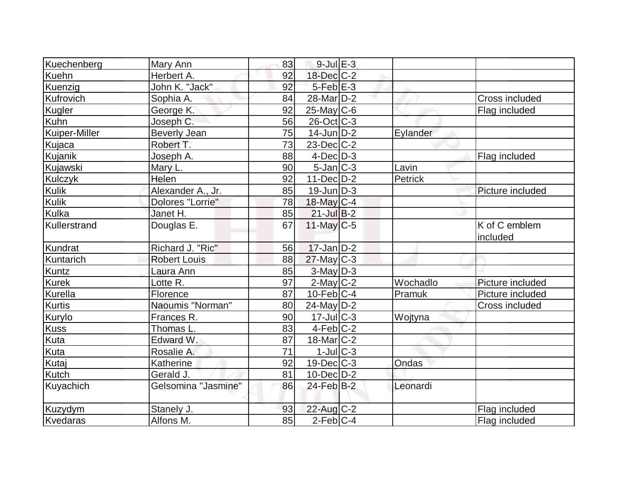| Kuechenberg    | Mary Ann            | 83              | $9$ -Jul $E-3$         |          |                            |
|----------------|---------------------|-----------------|------------------------|----------|----------------------------|
| Kuehn          | Herbert A.          | 92              | $18$ -Dec $C-2$        |          |                            |
| Kuenzig        | John K. "Jack"      | 92              | $5$ -Feb $E-3$         |          |                            |
| Kufrovich      | Sophia A.           | 84              | 28-Mar <sub>D</sub> -2 |          | Cross included             |
| Kugler         | George K.           | 92              | $25$ -May C-6          |          | Flag included              |
| <b>Kuhn</b>    | Joseph C.           | 56              | $26$ -Oct $ C-3 $      |          |                            |
| Kuiper-Miller  | <b>Beverly Jean</b> | 75              | $14$ -Jun $D-2$        | Eylander |                            |
| Kujaca         | Robert T.           | $\overline{73}$ | $23$ -Dec $C$ -2       |          |                            |
| Kujanik        | Joseph A.           | 88              | $4$ -Dec $D-3$         |          | Flag included              |
| Kujawski       | Mary L.             | 90              | $5$ -Jan $ C-3 $       | Lavin    |                            |
| <b>Kulczyk</b> | Helen               | 92              | $11-Dec$ D-2           | Petrick  |                            |
| <b>Kulik</b>   | Alexander A., Jr.   | 85              | $19$ -Jun $ D-3 $      |          | Picture included           |
| <b>Kulik</b>   | Dolores "Lorrie"    | 78              | 18-May C-4             |          |                            |
| Kulka          | Janet H.            | 85              | $21$ -Jul B-2          |          |                            |
| Kullerstrand   | Douglas E.          | 67              | $11$ -May C-5          |          | $\overline{K}$ of C emblem |
|                |                     |                 |                        |          | included                   |
| Kundrat        | Richard J. "Ric"    | 56              | $17$ -Jan D-2          |          |                            |
| Kuntarich      | <b>Robert Louis</b> | 88              | $27$ -May C-3          |          |                            |
| Kuntz          | Laura Ann           | 85              | $3$ -May $D-3$         |          |                            |
| <b>Kurek</b>   | Lotte R.            | 97              | $2$ -May C-2           | Wochadlo | Picture included           |
| Kurella        | Florence            | 87              | $10$ -Feb $ C-4$       | Pramuk   | Picture included           |
| <b>Kurtis</b>  | Naoumis "Norman"    | 80              | $24$ -May D-2          |          | Cross included             |
| Kurylo         | Frances R.          | 90              | $17$ -Jul $ C-3 $      | Wojtyna  |                            |
| <b>Kuss</b>    | Thomas L.           | 83              | $4-Feb C-2$            |          |                            |
| Kuta           | Edward W.           | 87              | $18$ -Mar $ C-2 $      |          |                            |
| Kuta           | Rosalie A.          | 71              | 1-Jul C-3              |          |                            |
| Kutaj          | Katherine           | 92              | $19$ -Dec $C-3$        | Ondas    |                            |
| Kutch          | Gerald J.           | 81              | $10$ -Dec $D$ -2       |          |                            |
| Kuyachich      | Gelsomina "Jasmine" | 86              | $24$ -Feb $B-2$        | Leonardi |                            |
| Kuzydym        | Stanely J.          | 93              | $22$ -Aug C-2          |          | Flag included              |
| Kvedaras       | Alfons M.           | 85              | $2$ -Feb $ C-4$        |          | Flag included              |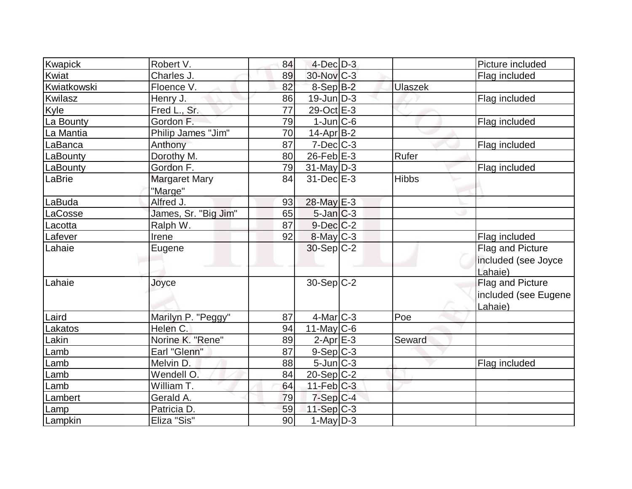| Kwapick     | Robert V.            | 84              | $4$ -Dec $D-3$    |                | Picture included     |
|-------------|----------------------|-----------------|-------------------|----------------|----------------------|
| Kwiat       | Charles J.           | 89              | 30-Nov C-3        |                | Flag included        |
| Kwiatkowski | Floence V.           | 82              | $8-Sep$ $B-2$     | <b>Ulaszek</b> |                      |
| Kwilasz     | Henry J.             | 86              | $19$ -Jun $D-3$   |                | Flag included        |
| Kyle        | Fred L., Sr.         | 77              | 29-Oct E-3        |                |                      |
| La Bounty   | Gordon F.            | 79              | $1$ -Jun $ C$ -6  |                | Flag included        |
| La Mantia   | Philip James "Jim"   | 70              | $14$ -Apr $ B-2 $ |                |                      |
| LaBanca     | Anthony              | $\overline{87}$ | $7$ -Dec $ C-3 $  |                | Flag included        |
| LaBounty    | Dorothy M.           | 80              | $26$ -Feb $E-3$   | Rufer          |                      |
| LaBounty    | Gordon F.            | 79              | $31$ -May D-3     |                | Flag included        |
| LaBrie      | <b>Margaret Mary</b> | 84              | 31-Dec E-3        | <b>Hibbs</b>   |                      |
|             | "Marge"              |                 |                   |                |                      |
| LaBuda      | Alfred J.            | 93              | 28-May E-3        |                |                      |
| LaCosse     | James, Sr. "Big Jim" | 65              | $5$ -Jan $C-3$    |                |                      |
| Lacotta     | Ralph W.             | 87              | $9$ -Dec $C-2$    |                |                      |
| Lafever     | Irene                | 92              | $8$ -May $C-3$    |                | Flag included        |
| Lahaie      | Eugene               |                 | $30-Sep C-2$      |                | Flag and Picture     |
|             |                      |                 |                   |                | included (see Joyce  |
|             |                      |                 |                   |                | Lahaie)              |
| Lahaie      | Joyce                |                 | $30-Sep C-2$      |                | Flag and Picture     |
|             |                      |                 |                   |                | included (see Eugene |
|             |                      |                 |                   |                | Lahaie)              |
| Laird       | Marilyn P. "Peggy"   | 87              | $4$ -Mar $C-3$    | Poe            |                      |
| Lakatos     | Helen C.             | 94              | $11$ -May C-6     |                |                      |
| Lakin       | Norine K. "Rene"     | 89              | $2-Apr$ E-3       | Seward         |                      |
| Lamb        | Earl "Glenn"         | 87              | 9-Sep C-3         |                |                      |
| Lamb        | Melvin D.            | 88              | $5$ -Jun $ C-3 $  |                | Flag included        |
| Lamb        | Wendell O.           | 84              | $20-Sep C-2$      |                |                      |
| Lamb        | William T.           | 64              | $11-Feb$ C-3      |                |                      |
| Lambert     | Gerald A.            | 79              | $7-Sep C-4$       |                |                      |
| Lamp        | Patricia D.          | 59              | $11-Sep C-3$      |                |                      |
| Lampkin     | Eliza "Sis"          | 90              | $1$ -May $D-3$    |                |                      |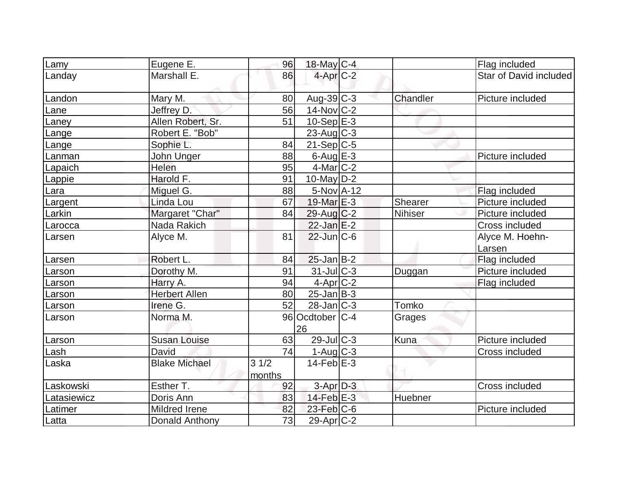| Lamy        | Eugene E.            | 96             | 18-May C-4              |          | Flag included             |
|-------------|----------------------|----------------|-------------------------|----------|---------------------------|
| Landay      | Marshall E.          | 86             | $4$ -Apr $C-2$          |          | Star of David included    |
| Landon      | Mary M.              | 80             | Aug-39 C-3              | Chandler | Picture included          |
| Lane        | Jeffrey D.           | 56             | $14$ -Nov $ C-2 $       |          |                           |
| Laney       | Allen Robert, Sr.    | 51             | $10-Sep$ $E-3$          |          |                           |
| Lange       | Robert E. "Bob"      |                | $23$ -Aug C-3           |          |                           |
| Lange       | Sophie L.            | 84             | $21-Sep C-5$            |          |                           |
| Lanman      | John Unger           | 88             | $6$ -Aug $E$ -3         |          | Picture included          |
| Lapaich     | Helen                | 95             | $4$ -Mar $ C-2 $        |          |                           |
| Lappie      | Harold F.            | 91             | $10$ -May $D-2$         |          |                           |
| Lara        | Miguel G.            | 88             | $5-NovA-12$             |          | Flag included             |
| Largent     | Linda Lou            | 67             | 19-Mar $E-3$            | Shearer  | Picture included          |
| Larkin      | Margaret "Char"      | 84             | $29$ -Aug C-2           | Nihiser  | Picture included          |
| Larocca     | Nada Rakich          |                | $22$ -Jan $E-2$         |          | Cross included            |
| Larsen      | Alyce M.             | 81             | $22$ -Jun $ C-6$        |          | Alyce M. Hoehn-<br>Larsen |
| Larsen      | Robert L.            | 84             | $25$ -Jan $B-2$         |          | Flag included             |
| Larson      | Dorothy M.           | 91             | 31-Jul C-3              | Duggan   | Picture included          |
| Larson      | Harry A.             | 94             | $4-Apr$ <sub>C</sub> -2 |          | Flag included             |
| Larson      | <b>Herbert Allen</b> | 80             | $25$ -Jan B-3           |          |                           |
| Larson      | Irene G.             | 52             | $28$ -Jan $ C-3 $       | Tomko    |                           |
| Larson      | Norma M.             |                | 96 Ocdtober C-4<br>26   | Grages   |                           |
| Larson      | <b>Susan Louise</b>  | 63             | $29$ -JulC-3            | Kuna     | Picture included          |
| Lash        | David                | 74             | $1-Aug$ $C-3$           |          | Cross included            |
| Laska       | <b>Blake Michael</b> | 31/2<br>months | $14$ -Feb $E-3$         |          |                           |
| Laskowski   | Esther T.            | 92             | $3$ -Apr $D-3$          |          | Cross included            |
| Latasiewicz | Doris Ann            | 83             | $14$ -Feb $E-3$         | Huebner  |                           |
| Latimer     | Mildred Irene        | 82             | $23$ -Feb $C$ -6        |          | Picture included          |
| Latta       | Donald Anthony       | 73             | $29$ -Apr $C-2$         |          |                           |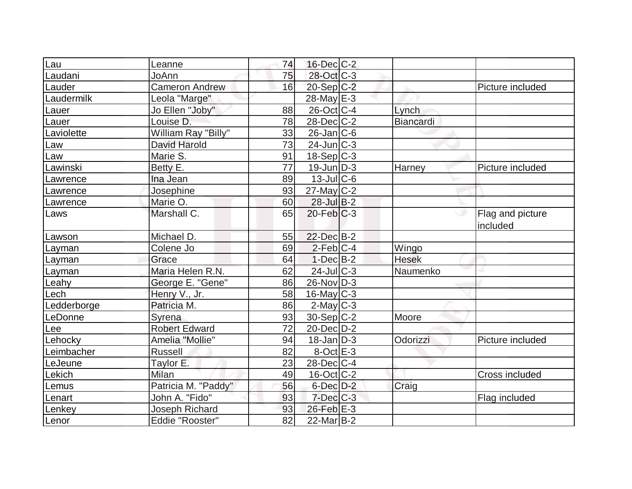| <u>ILau</u>    | Leanne                | 74 | $16$ -Dec $C-2$   |                  |                              |
|----------------|-----------------------|----|-------------------|------------------|------------------------------|
| Laudani        | JoAnn                 | 75 | 28-Oct C-3        |                  |                              |
| Lauder         | <b>Cameron Andrew</b> | 16 | $20-Sep C-2$      |                  | Picture included             |
| Laudermilk     | Leola "Marge"         |    | $28$ -May $E-3$   |                  |                              |
| Lauer          | Jo Ellen "Joby"       | 88 | 26-Oct C-4        | Lynch            |                              |
| Lauer          | Louise D.             | 78 | $28$ -Dec $C-2$   | <b>Biancardi</b> |                              |
| Laviolette     | William Ray "Billy"   | 33 | $26$ -Jan $ C$ -6 |                  |                              |
| Law            | David Harold          | 73 | $24$ -Jun $C-3$   |                  |                              |
| Law            | Marie S.              | 91 | $18-Sep C-3$      |                  |                              |
| Lawinski       | Betty E.              | 77 | $19$ -Jun $ D-3 $ | Harney           | Picture included             |
| Lawrence       | Ina Jean              | 89 | $13$ -JulC-6      |                  |                              |
| Lawrence       | Josephine             | 93 | $27$ -May C-2     |                  |                              |
| Lawrence       | Marie O.              | 60 | $28$ -Jul B-2     |                  |                              |
| Laws           | Marshall C.           | 65 | $20$ -Feb $C-3$   |                  | Flag and picture<br>included |
| Lawson         | Michael D.            | 55 | 22-Dec B-2        |                  |                              |
| Layman         | Colene Jo             | 69 | $2-Feb C-4$       | Wingo            |                              |
| Layman         | Grace                 | 64 | $1-Dec$ B-2       | <b>Hesek</b>     |                              |
| Layman         | Maria Helen R.N.      | 62 | $24$ -Jul $C-3$   | Naumenko         |                              |
| Leahy          | George E. "Gene"      | 86 | $26$ -Nov $ D-3 $ |                  |                              |
| _ech           | Henry V., Jr.         | 58 | $16$ -May C-3     |                  |                              |
| Ledderborge    | Patricia M.           | 86 | $2$ -May $C-3$    |                  |                              |
| LeDonne        | Syrena                | 93 | $30-Sep C-2$      | Moore            |                              |
| -ee            | <b>Robert Edward</b>  | 72 | 20-Dec D-2        |                  |                              |
| Lehocky        | Amelia "Mollie"       | 94 | $18$ -Jan D-3     | Odorizzi         | Picture included             |
| Leimbacher     | <b>Russell</b>        | 82 | $8-Oct$ $E-3$     |                  |                              |
| <b>LeJeune</b> | Taylor E.             | 23 | $28$ -Dec $ C-4 $ |                  |                              |
| Lekich         | Milan                 | 49 | 16-Oct C-2        |                  | <b>Cross included</b>        |
| Lemus          | Patricia M. "Paddy"   | 56 | $6$ -Dec $D-2$    | Craig            |                              |
| Lenart         | John A. "Fido"        | 93 | $7$ -Dec $C$ -3   |                  | Flag included                |
| Lenkey         | Joseph Richard        | 93 | 26-Feb E-3        |                  |                              |
| Lenor          | Eddie "Rooster"       | 82 | $22$ -Mar $B-2$   |                  |                              |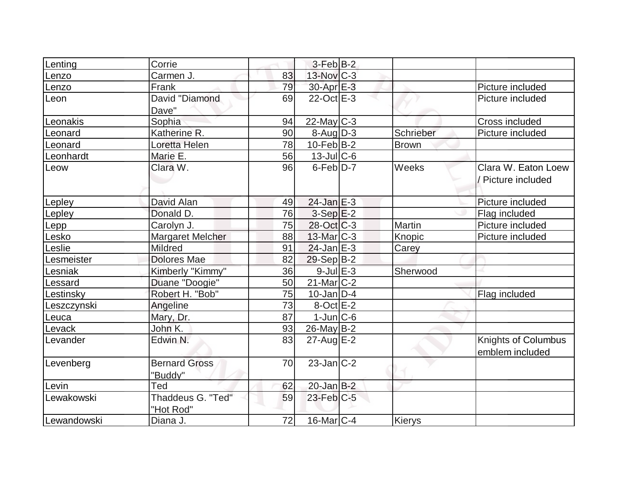| Lenting     | Corrie                         |    | $3-Feb B-2$       |           |                     |
|-------------|--------------------------------|----|-------------------|-----------|---------------------|
| Lenzo       | Carmen J.                      | 83 | 13-Nov C-3        |           |                     |
| Lenzo       | Frank                          | 79 | $30$ -Apr $E-3$   |           | Picture included    |
| Leon        | David "Diamond<br>Dave"        | 69 | $22$ -Oct $E-3$   |           | Picture included    |
| Leonakis    | Sophia                         | 94 | $22$ -May C-3     |           | Cross included      |
| Leonard     | Katherine R.                   | 90 | $8$ -Aug $D-3$    | Schrieber | Picture included    |
| Leonard     | Loretta Helen                  | 78 | $10$ -Feb $ B-2 $ | Brown     |                     |
| Leonhardt   | Marie E.                       | 56 | 13-Jul C-6        |           |                     |
| Leow        | Clara W.                       | 96 | $6$ -Feb $D-7$    | Weeks     | Clara W. Eaton Loew |
|             |                                |    |                   |           | / Picture included  |
| Lepley      | David Alan                     | 49 | $24$ -Jan $E-3$   |           | Picture included    |
| Lepley      | Donald D.                      | 76 | $3-Sep$ $E-2$     |           | Flag included       |
| Lepp        | Carolyn J.                     | 75 | $28-Oct$ $C-3$    | Martin    | Picture included    |
| Lesko       | <b>Margaret Melcher</b>        | 88 | $13$ -Mar $ C-3 $ | Knopic    | Picture included    |
| Leslie      | Mildred                        | 91 | $24$ -Jan $E-3$   | Carey     |                     |
| Lesmeister  | <b>Dolores Mae</b>             | 82 | $29-Sep B-2$      |           |                     |
| Lesniak     | Kimberly "Kimmy"               | 36 | $9$ -Jul $E-3$    | Sherwood  |                     |
| Lessard     | Duane "Doogie"                 | 50 | $21$ -Mar $C-2$   |           |                     |
| Lestinsky   | Robert H. "Bob"                | 75 | $10$ -Jan D-4     |           | Flag included       |
| Leszczynski | Angeline                       | 73 | $8$ -Oct $E-2$    |           |                     |
| Leuca       | Mary, Dr.                      | 87 | $1$ -Jun $ C$ -6  |           |                     |
| Levack      | John K.                        | 93 | $26$ -May B-2     |           |                     |
| Levander    | Edwin N.                       | 83 | $27$ -Aug E-2     |           | Knights of Columbus |
|             |                                |    |                   |           | emblem included     |
| Levenberg   | <b>Bernard Gross</b>           | 70 | $23$ -Jan $C-2$   |           |                     |
|             | "Buddy"                        |    |                   |           |                     |
| Levin       | Ted                            | 62 | $20$ -Jan $B-2$   |           |                     |
| Lewakowski  | Thaddeus G. "Ted"<br>"Hot Rod" | 59 | $23$ -Feb $ C-5 $ |           |                     |
| Lewandowski | Diana J.                       | 72 | $16$ -Mar $ C-4$  | Kierys    |                     |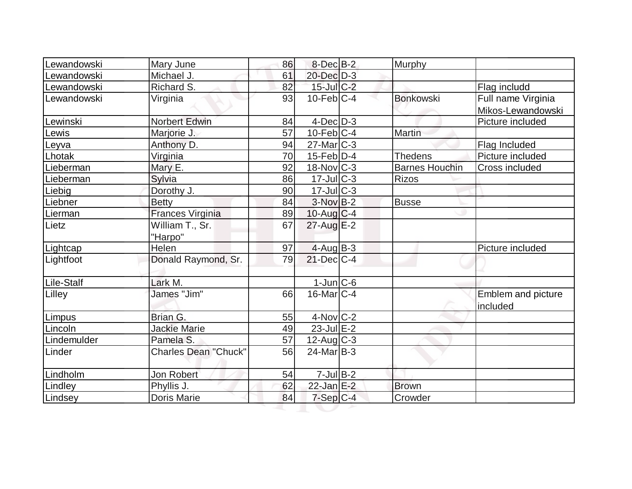| Lewandowski | Mary June                   | 86              | $8$ -Dec $B-2$           | Murphy                |                                         |
|-------------|-----------------------------|-----------------|--------------------------|-----------------------|-----------------------------------------|
| Lewandowski | Michael J.                  | 61              | 20-Dec D-3               |                       |                                         |
| Lewandowski | Richard S.                  | 82              | $15$ -Jul $C-2$          |                       | Flag includd                            |
| Lewandowski | Virginia                    | 93              | $10$ -Feb $C-4$          | <b>Bonkowski</b>      | Full name Virginia<br>Mikos-Lewandowski |
| Lewinski    | <b>Norbert Edwin</b>        | 84              | $4$ -Dec $D-3$           |                       | Picture included                        |
| Lewis       | Marjorie J.                 | 57              | $10$ -Feb $ C-4 $        | <b>Martin</b>         |                                         |
| Leyva       | Anthony D.                  | 94              | $27$ -Mar $ C-3 $        |                       | Flag Included                           |
| Lhotak      | Virginia                    | 70              | $15$ -Feb $ D-4$         | <b>Thedens</b>        | Picture included                        |
| Lieberman   | Mary E.                     | 92              | $18-Nov$ <sub>C</sub> -3 | <b>Barnes Houchin</b> | Cross included                          |
| Lieberman   | Sylvia                      | 86              | $17$ -Jul $ C-3 $        | <b>Rizos</b>          |                                         |
| Liebig      | Dorothy J.                  | 90              | $17$ -Jul $C-3$          |                       |                                         |
| Liebner     | <b>Betty</b>                | 84              | $3-NovB-2$               | <b>Busse</b>          |                                         |
| Lierman     | Frances Virginia            | 89              | $10$ -Aug C-4            |                       |                                         |
| Lietz       | William T., Sr.<br>"Harpo"  | 67              | 27-Aug E-2               |                       |                                         |
| Lightcap    | Helen                       | 97              | $4$ -Aug B-3             |                       | Picture included                        |
| Lightfoot   | Donald Raymond, Sr.         | 79              | $21$ -Dec $C-4$          |                       |                                         |
| Lile-Stalf  | Lark M.                     |                 | $1$ -Jun $ C$ -6         |                       |                                         |
| Lilley      | James "Jim"                 | 66              | $16$ -Mar $ C-4 $        |                       | Emblem and picture<br>included          |
| Limpus      | Brian G.                    | 55              | $4$ -Nov $ C-2 $         |                       |                                         |
| Lincoln     | <b>Jackie Marie</b>         | 49              | $23$ -Jul $E-2$          |                       |                                         |
| Lindemulder | Pamela S.                   | $\overline{57}$ | $12$ -Aug $ C-3 $        |                       |                                         |
| Linder      | <b>Charles Dean "Chuck"</b> | 56              | $24$ -Mar $ B-3 $        |                       |                                         |
| Lindholm    | Jon Robert                  | 54              | $7$ -Jul B-2             |                       |                                         |
| Lindley     | Phyllis J.                  | 62              | $22$ -Jan E-2            | <b>Brown</b>          |                                         |
| Lindsey     | <b>Doris Marie</b>          | 84              | $7-Sep C-4$              | Crowder               |                                         |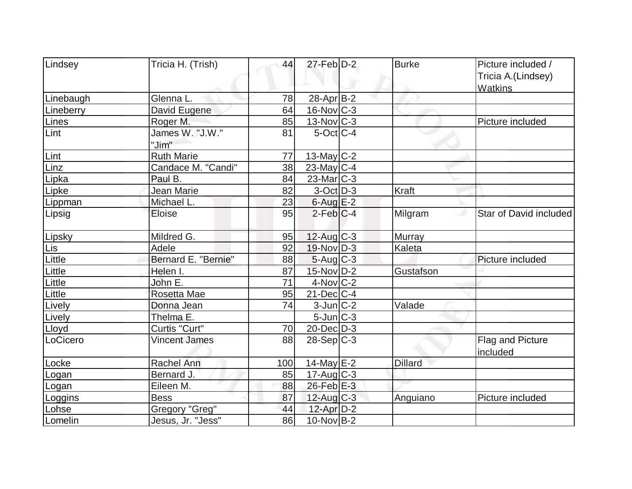| Lindsey   | Tricia H. (Trish)        | 44  | $27$ -Feb $D-2$         | <b>Burke</b>   | Picture included /                   |
|-----------|--------------------------|-----|-------------------------|----------------|--------------------------------------|
|           |                          |     |                         |                | Tricia A.(Lindsey)<br><b>Watkins</b> |
| Linebaugh | Glenna L.                | 78  | $28$ -Apr $ B-2 $       |                |                                      |
| Lineberry | David Eugene             | 64  | $16$ -Nov $ C-3 $       |                |                                      |
| Lines     | Roger M.                 | 85  | $13-Nov$ <sub>C-3</sub> |                | Picture included                     |
| Lint      | James W. "J.W."<br>"Jim" | 81  | $5$ -Oct $ C-4 $        |                |                                      |
| Lint      | <b>Ruth Marie</b>        | 77  | 13-May $C-2$            |                |                                      |
| Linz      | Candace M. "Candi"       | 38  | $23$ -May C-4           |                |                                      |
| Lipka     | Paul B.                  | 84  | $23$ -Mar $ C-3 $       |                |                                      |
| Lipke     | Jean Marie               | 82  | $3-Oct$ D-3             | Kraft          |                                      |
| Lippman   | Michael L.               | 23  | $6$ -Aug $E-2$          |                |                                      |
| Lipsig    | Eloise                   | 95  | $2$ -Feb $ C-4 $        | Milgram        | Star of David included<br>ت          |
| Lipsky    | Mildred G.               | 95  | 12-Aug C-3              | <b>Murray</b>  |                                      |
| Lis       | Adele                    | 92  | $19-Nov D-3$            | Kaleta         |                                      |
| Little    | Bernard E. "Bernie"      | 88  | $5$ -Aug $C$ -3         |                | Picture included                     |
| Little    | Helen I.                 | 87  | $15$ -Nov $D-2$         | Gustafson      |                                      |
| Little    | John E.                  | 71  | $4$ -Nov $ C-2 $        |                |                                      |
| Little    | Rosetta Mae              | 95  | $21$ -Dec $ C-4 $       |                |                                      |
| Lively    | Donna Jean               | 74  | $3$ -Jun $ C-2 $        | Valade         |                                      |
| Lively    | Thelma E.                |     | $5$ -Jun $C-3$          |                |                                      |
| Lloyd     | Curtis "Curt"            | 70  | $20$ -Dec $D-3$         |                |                                      |
| LoCicero  | <b>Vincent James</b>     | 88  | $28-Sep C-3$            |                | Flag and Picture<br>included         |
| Locke     | <b>Rachel Ann</b>        | 100 | $14$ -May E-2           | <b>Dillard</b> |                                      |
| Logan     | Bernard J.               | 85  | $17$ -Aug C-3           |                |                                      |
| Logan     | Eileen M.                | 88  | 26-Feb E-3              |                |                                      |
| Loggins   | <b>Bess</b>              | 87  | 12-Aug C-3              | Anguiano       | Picture included                     |
| Lohse     | Gregory "Greg"           | 44  | $12$ -Apr $D-2$         |                |                                      |
| Lomelin   | Jesus, Jr. "Jess"        | 86  | $10$ -Nov B-2           |                |                                      |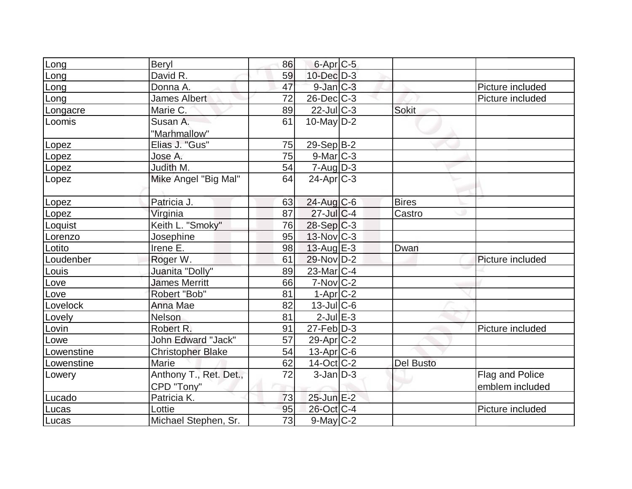| Long       | Beryl                     | 86 | 6-Apr <sub>C-5</sub> |                  |                  |
|------------|---------------------------|----|----------------------|------------------|------------------|
| Long       | David R.                  | 59 | 10-Dec D-3           |                  |                  |
| Long       | Donna A.                  | 47 | $9$ -Jan $C-3$       |                  | Picture included |
| Long       | <b>James Albert</b>       | 72 | $26$ -Dec $C$ -3     |                  | Picture included |
| Longacre   | Marie C.                  | 89 | $22$ -Jul C-3        | <b>Sokit</b>     |                  |
| Loomis     | Susan A.                  | 61 | 10-May $D-2$         |                  |                  |
|            | "Marhmallow"              |    |                      |                  |                  |
| Lopez      | Elias J. "Gus"            | 75 | 29-Sep B-2           |                  |                  |
| Lopez      | Jose A.                   | 75 | $9$ -Mar $ C-3 $     |                  |                  |
| Lopez      | Judith M.                 | 54 | $7 - Aug   D-3$      |                  |                  |
| Lopez      | Mike Angel "Big Mal"      | 64 | $24$ -Apr $ C-3 $    |                  |                  |
|            |                           |    |                      |                  |                  |
| Lopez      | Patricia J.               | 63 | $24$ -Aug $C$ -6     | <b>Bires</b>     |                  |
| Lopez      | Virginia                  | 87 | $27$ -Jul C-4        | Castro           |                  |
| Loquist    | Keith L. "Smoky"          | 76 | $28-Sep C-3$         |                  |                  |
| Lorenzo    | Josephine                 | 95 | 13-Nov C-3           |                  |                  |
| Lotito     | Irene E.                  | 98 | $13$ -Aug E-3        | Dwan             |                  |
| Loudenber  | Roger W.                  | 61 | 29-Nov D-2           |                  | Picture included |
| Louis      | Juanita "Dolly"           | 89 | $23$ -Mar $C-4$      |                  |                  |
| Love       | <b>James Merritt</b>      | 66 | $7-Nov$ $C-2$        |                  |                  |
| Love       | Robert "Bob"              | 81 | $1-Apr$ $C-2$        |                  |                  |
| Lovelock   | Anna Mae                  | 82 | $13$ -JulC-6         |                  |                  |
| Lovely     | <b>Nelson</b>             | 81 | $2$ -Jul $E-3$       |                  |                  |
| Lovin      | Robert R.                 | 91 | $27$ -Feb $ D-3 $    |                  | Picture included |
| Lowe       | <b>John Edward "Jack"</b> | 57 | $29$ -Apr $C-2$      |                  |                  |
| Lowenstine | <b>Christopher Blake</b>  | 54 | $13$ -Apr $ C$ -6    |                  |                  |
| Lowenstine | Marie                     | 62 | $14$ -Oct $C$ -2     | <b>Del Busto</b> |                  |
| Lowery     | Anthony T., Ret. Det.,    | 72 | $3$ -Jan $D-3$       |                  | Flag and Police  |
|            | CPD "Tony"                |    |                      |                  | emblem included  |
| Lucado     | Patricia K.               | 73 | 25-Jun E-2           |                  |                  |
| Lucas      | Lottie                    | 95 | 26-Oct C-4           |                  | Picture included |
| Lucas      | Michael Stephen, Sr.      | 73 | 9-May C-2            |                  |                  |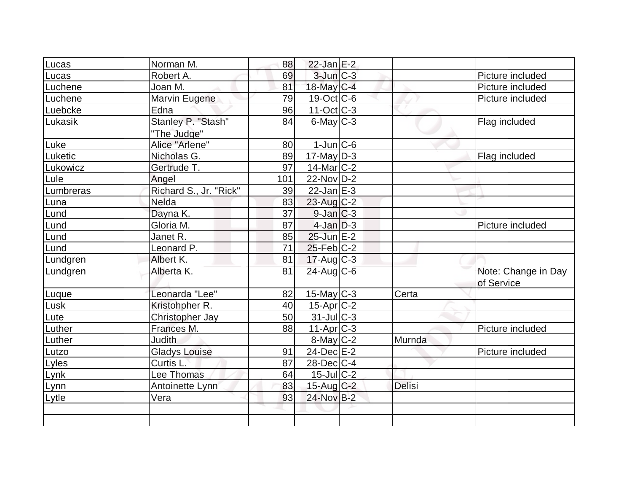| Lucas     | Norman M.              | 88  | $22$ -Jan $E-2$            |               |                                   |
|-----------|------------------------|-----|----------------------------|---------------|-----------------------------------|
| Lucas     | Robert A.              | 69  | $3$ -Jun $C-3$             |               | Picture included                  |
| Luchene   | Joan M.                | 81  | 18-May C-4                 |               | Picture included                  |
| Luchene   | Marvin Eugene          | 79  | $19-Oct$ $C-6$             |               | Picture included                  |
| Luebcke   | Edna                   | 96  | $11-Oct$ $C-3$             |               |                                   |
| Lukasik   | Stanley P. "Stash"     | 84  | $6$ -May $\overline{C}$ -3 |               | Flag included                     |
|           | "The Judge"            |     |                            |               |                                   |
| Luke      | Alice "Arlene"         | 80  | $1$ -Jun $ C$ -6           |               |                                   |
| Luketic   | Nicholas G.            | 89  | $17$ -May D-3              |               | Flag included                     |
| Lukowicz  | Gertrude T.            | 97  | $14$ -Mar $ C-2 $          |               |                                   |
| Lule      | Angel                  | 101 | $22$ -Nov $D-2$            |               |                                   |
| Lumbreras | Richard S., Jr. "Rick" | 39  | $22$ -Jan $E-3$            |               |                                   |
| Luna      | Nelda                  | 83  | 23-Aug C-2                 |               |                                   |
| _und      | Dayna K.               | 37  | $9$ -Jan $ C-3 $           |               |                                   |
| Lund      | Gloria M.              | 87  | $4$ -Jan $D-3$             |               | Picture included                  |
| Lund      | Janet R.               | 85  | $25$ -Jun $E-2$            |               |                                   |
| Lund      | Leonard P.             | 71  | $25$ -Feb $ C-2 $          |               |                                   |
| Lundgren  | Albert K.              | 81  | $17-Aug$ C-3               |               |                                   |
| Lundgren  | Alberta K.             | 81  | $24$ -Aug C-6              |               | Note: Change in Day<br>of Service |
| Luque     | Leonarda "Lee"         | 82  | $15$ -May C-3              | Certa         |                                   |
| Lusk      | Kristohpher R.         | 40  | $15$ -Apr $C-2$            |               |                                   |
| Lute      | Christopher Jay        | 50  | $31$ -JulC-3               |               |                                   |
| Luther    | Frances M.             | 88  | $11-Apr$ $C-3$             |               | Picture included                  |
| Luther    | <b>Judith</b>          |     | 8-May C-2                  | Murnda        |                                   |
| Lutzo     | <b>Gladys Louise</b>   | 91  | $24$ -Dec $E-2$            |               | Picture included                  |
| Lyles     | Curtis L.              | 87  | $28$ -Dec $C$ -4           |               |                                   |
| Lynk      | Lee Thomas             | 64  | $15$ -Jul $C-2$            |               |                                   |
| Lynn      | Antoinette Lynn        | 83  | $15$ -Aug C-2              | <b>Delisi</b> |                                   |
| Lytle     | Vera                   | 93  | 24-Nov B-2                 |               |                                   |
|           |                        |     |                            |               |                                   |
|           |                        |     |                            |               |                                   |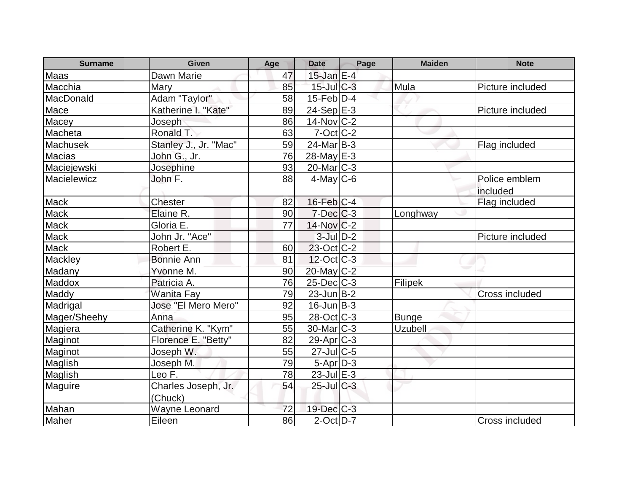| <b>Surname</b> | Given                 | Age | <b>Date</b>                 | Page | <b>Maiden</b>  | <b>Note</b>           |
|----------------|-----------------------|-----|-----------------------------|------|----------------|-----------------------|
| Maas           | Dawn Marie            | 47  | $15$ -Jan $E-4$             |      |                |                       |
| Macchia        | Mary                  | 85  | $15$ -Jul $C-3$             |      | Mula           | Picture included      |
| MacDonald      | Adam "Taylor"         | 58  | $15$ -Feb $\overline{D}$ -4 |      |                |                       |
| Mace           | Katherine I. "Kate"   | 89  | $24-Sep \overline{E-3}$     |      |                | Picture included      |
| Macey          | Joseph                | 86  | $14$ -Nov $ C-2 $           |      |                |                       |
| Macheta        | Ronald T.             | 63  | $7$ -Oct $ C$ -2            |      |                |                       |
| Machusek       | Stanley J., Jr. "Mac" | 59  | $24$ -Mar $ B-3 $           |      |                | Flag included         |
| Macias         | John G., Jr.          | 76  | $28$ -May E-3               |      |                |                       |
| Maciejewski    | Josephine             | 93  | $20$ -Mar $C-3$             |      |                |                       |
| Macielewicz    | John F.               | 88  | $4$ -May C-6                |      |                | Police emblem         |
|                |                       |     |                             |      |                | included              |
| <b>Mack</b>    | <b>Chester</b>        | 82  | $16$ -Feb $ C-4 $           |      |                | Flag included         |
| <b>Mack</b>    | Elaine R.             | 90  | $7$ -Dec $ C-3 $            |      | Longhway       |                       |
| Mack           | Gloria E.             | 77  | $14$ -Nov $ C-2 $           |      |                |                       |
| <b>Mack</b>    | John Jr. "Ace"        |     | $3$ -Jul $D-2$              |      |                | Picture included      |
| <b>Mack</b>    | Robert E.             | 60  | $23$ -Oct C-2               |      |                |                       |
| Mackley        | <b>Bonnie Ann</b>     | 81  | $12$ -Oct C-3               |      |                |                       |
| Madany         | Yvonne M.             | 90  | 20-May C-2                  |      |                |                       |
| Maddox         | Patricia A.           | 76  | $25$ -Dec $C$ -3            |      | <b>Filipek</b> |                       |
| Maddy          | <b>Wanita Fay</b>     | 79  | $23$ -Jun $B-2$             |      |                | <b>Cross included</b> |
| Madrigal       | Jose "El Mero Mero"   | 92  | $16$ -Jun $B-3$             |      |                |                       |
| Mager/Sheehy   | Anna                  | 95  | $28-Oct$ $C-3$              |      | Bunge          |                       |
| Magiera        | Catherine K. "Kym"    | 55  | $30$ -Mar $C-3$             |      | <b>Uzubell</b> |                       |
| Maginot        | Florence E. "Betty"   | 82  | $29$ -Apr $ C-3 $           |      |                |                       |
| Maginot        | Joseph W.             | 55  | $27$ -Jul C-5               |      |                |                       |
| Maglish        | Joseph M.             | 79  | $5-Apr$ $D-3$               |      |                |                       |
| Maglish        | Leo F.                | 78  | $23$ -Jul $E-3$             |      |                |                       |
| Maguire        | Charles Joseph, Jr.   | 54  | $25$ -Jul $C-3$             |      |                |                       |
|                | (Chuck)               |     |                             |      |                |                       |
| Mahan          | Wayne Leonard         | 72  | 19-Dec C-3                  |      |                |                       |
| Maher          | Eileen                | 86  | $2$ -Oct $D-7$              |      |                | Cross included        |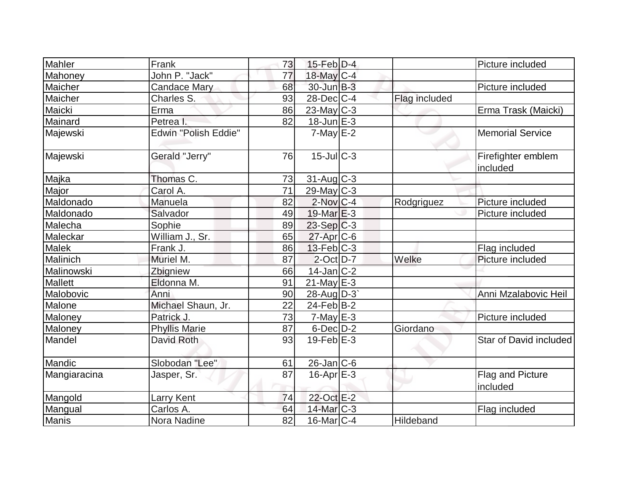| Mahler         | Frank                       | 73 | $15$ -Feb $ D-4$  |               | Picture included               |
|----------------|-----------------------------|----|-------------------|---------------|--------------------------------|
| Mahoney        | John P. "Jack"              | 77 | 18-May C-4        |               |                                |
| Maicher        | Candace Mary                | 68 | $30$ -Jun $B-3$   |               | Picture included               |
| Maicher        | Charles S.                  | 93 | $28$ -Dec $C-4$   | Flag included |                                |
| Maicki         | Erma                        | 86 | $23$ -May C-3     |               | Erma Trask (Maicki)            |
| Mainard        | Petrea I.                   | 82 | $18$ -Jun $E-3$   |               |                                |
| Majewski       | <b>Edwin "Polish Eddie"</b> |    | $7$ -May $E-2$    |               | <b>Memorial Service</b>        |
| Majewski       | Gerald "Jerry"              | 76 | 15-Jul C-3        |               | Firefighter emblem<br>included |
| Majka          | Thomas C.                   | 73 | $31$ -Aug C-3     |               |                                |
| Major          | Carol A.                    | 71 | $29$ -May C-3     |               |                                |
| Maldonado      | Manuela                     | 82 | $2$ -Nov $C-4$    | Rodgriguez    | Picture included               |
| Maldonado      | Salvador                    | 49 | $19$ -Mar $E-3$   |               | Picture included               |
| Malecha        | Sophie                      | 89 | $23-Sep C-3$      |               |                                |
| Maleckar       | William J., Sr.             | 65 | $27$ -Apr $C$ -6  |               |                                |
| Malek          | Frank J.                    | 86 | $13$ -Feb $ C-3 $ |               | Flag included                  |
| Malinich       | Muriel M.                   | 87 | $2$ -Oct $D-7$    | Welke         | Picture included               |
| Malinowski     | Zbigniew                    | 66 | $14$ -Jan $ C-2 $ |               |                                |
| <b>Mallett</b> | Eldonna M.                  | 91 | $21$ -May E-3     |               |                                |
| Malobovic      | Anni                        | 90 | 28-Aug $D-3$      |               | Anni Mzalabovic Heil           |
| Malone         | Michael Shaun, Jr.          | 22 | $24$ -Feb $ B-2 $ |               |                                |
| Maloney        | Patrick J.                  | 73 | $7$ -May $E-3$    |               | Picture included               |
| Maloney        | <b>Phyllis Marie</b>        | 87 | $6$ -Dec $D-2$    | Giordano      |                                |
| Mandel         | <b>David Roth</b>           | 93 | $19$ -Feb $E-3$   |               | Star of David included         |
| Mandic         | Slobodan "Lee"              | 61 | $26$ -Jan $ C$ -6 |               |                                |
| Mangiaracina   | Jasper, Sr.                 | 87 | $16$ -Apr $E-3$   |               | Flag and Picture<br>included   |
| Mangold        | Larry Kent                  | 74 | 22-Oct E-2        |               |                                |
| Mangual        | Carlos A.                   | 64 | 14-Mar C-3        |               | Flag included                  |
| Manis          | Nora Nadine                 | 82 | $16$ -Mar $ C-4 $ | Hildeband     |                                |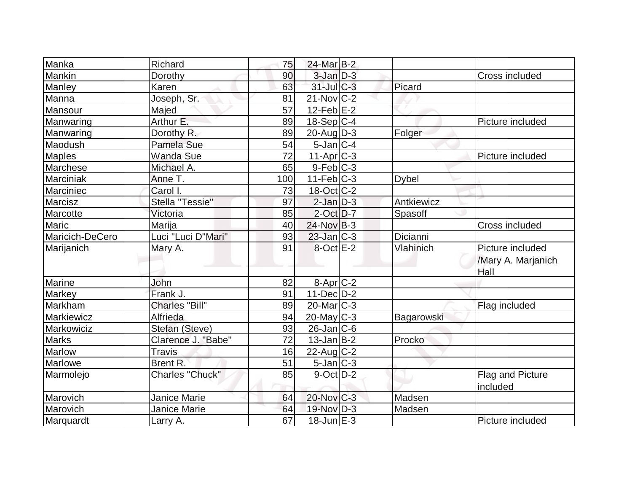| Manka             | Richard                | 75  | 24-Mar B-2              |              |                                                |
|-------------------|------------------------|-----|-------------------------|--------------|------------------------------------------------|
| Mankin            | Dorothy                | 90  | $3$ -Jan $D-3$          |              | Cross included                                 |
| Manley            | Karen                  | 63  | $31$ -JulC-3            | Picard       |                                                |
| Manna             | Joseph, Sr.            | 81  | $21-Nov$ C-2            |              |                                                |
| Mansour           | Majed                  | 57  | $12$ -Feb $E-2$         |              |                                                |
| Manwaring         | Arthur E.              | 89  | $18-Sep C-4$            |              | Picture included                               |
| Manwaring         | Dorothy R.             | 89  | $20$ -Aug $D-3$         | Folger       |                                                |
| Maodush           | Pamela Sue             | 54  | $5$ -Jan $ C-4$         |              |                                                |
| <b>Maples</b>     | <b>Wanda Sue</b>       | 72  | $11-Apr$ <sub>C-3</sub> |              | Picture included                               |
| Marchese          | Michael A.             | 65  | $9$ -Feb $ C-3$         |              |                                                |
| Marciniak         | Anne T.                | 100 | $11-Feb$ $C-3$          | <b>Dybel</b> |                                                |
| Marciniec         | Carol I.               | 73  | 18-Oct C-2              |              |                                                |
| Marcisz           | Stella "Tessie"        | 97  | $2$ -Jan $D-3$          | Antkiewicz   |                                                |
| Marcotte          | Victoria               | 85  | $2$ -Oct $D-7$          | Spasoff      |                                                |
| <b>Maric</b>      | Marija                 | 40  | $24$ -Nov B-3           |              | Cross included                                 |
| Maricich-DeCero   | Luci "Luci D"Mari"     | 93  | $23$ -Jan $C-3$         | Dicianni     |                                                |
| Marijanich        | Mary A.                | 91  | 8-Oct E-2               | Vlahinich    | Picture included<br>/Mary A. Marjanich<br>Hall |
| Marine            | John                   | 82  | $8-Apr$ $C-2$           |              |                                                |
| Markey            | Frank J.               | 91  | $11 - Dec$ $D-2$        |              |                                                |
| Markham           | <b>Charles "Bill"</b>  | 89  | $20$ -Mar $C-3$         |              | Flag included                                  |
| <b>Markiewicz</b> | Alfrieda               | 94  | $20$ -May C-3           | Bagarowski   |                                                |
| Markowiciz        | Stefan (Steve)         | 93  | $26$ -Jan $ C$ -6       |              |                                                |
| <b>Marks</b>      | Clarence J. "Babe"     | 72  | $13$ -Jan $ B-2 $       | Procko       |                                                |
| Marlow            | <b>Travis</b>          | 16  | 22-Aug C-2              |              |                                                |
| Marlowe           | Brent R.               | 51  | $5$ -Jan $ C-3 $        |              |                                                |
| Marmolejo         | <b>Charles "Chuck"</b> | 85  | $9$ -Oct $ D-2 $        |              | Flag and Picture<br>included                   |
| Marovich          | <b>Janice Marie</b>    | 64  | 20-Nov C-3              | Madsen       |                                                |
| Marovich          | <b>Janice Marie</b>    | 64  | 19-Nov D-3              | Madsen       |                                                |
| Marquardt         | Larry A.               | 67  | $18$ -Jun $E-3$         |              | Picture included                               |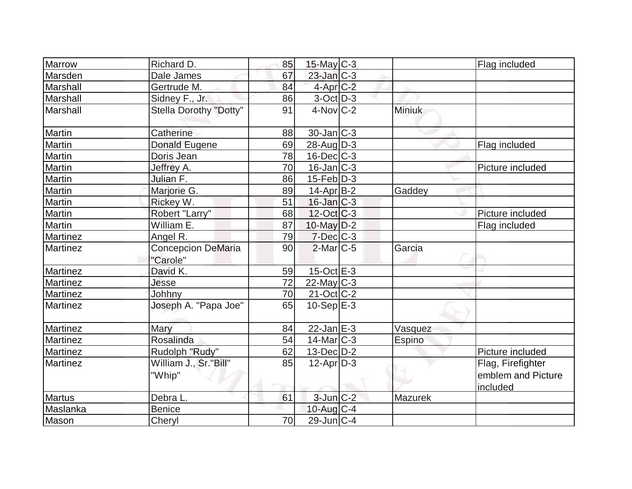| Marrow          | Richard D.                            | 85 | $15$ -May C-3            |         | Flag included      |
|-----------------|---------------------------------------|----|--------------------------|---------|--------------------|
| Marsden         | Dale James                            | 67 | 23-Jan C-3               |         |                    |
| Marshall        | Gertrude M.                           | 84 | $4$ -Apr $C-2$           |         |                    |
| Marshall        | Sidney F., Jr.                        | 86 | $3$ -Oct $D-3$           |         |                    |
| Marshall        | <b>Stella Dorothy "Dotty"</b>         | 91 | $4-Nov$ <sub>C-2</sub>   | Miniuk  |                    |
| Martin          | Catherine                             | 88 | $30$ -Jan $ C-3 $        |         |                    |
| Martin          | Donald Eugene                         | 69 | $28$ -AugD-3             |         | Flag included      |
| Martin          | Doris Jean                            | 78 | $16$ -Dec $C$ -3         |         |                    |
| Martin          | Jeffrey A.                            | 70 | $16$ -Jan $ C-3 $        |         | Picture included   |
| Martin          | Julian F.                             | 86 | $15$ -Feb $ D-3 $        |         |                    |
| Martin          | Marjorie G.                           | 89 | $14$ -Apr $B-2$          | Gaddey  |                    |
| Martin          | Rickey W.                             | 51 | $16$ -Jan $C-3$          |         |                    |
| Martin          | Robert "Larry"                        | 68 | $12-Oct$ $C-3$           |         | Picture included   |
| Martin          | William E.                            | 87 | $10$ -May $D-2$          |         | Flag included      |
| <b>Martinez</b> | Angel R.                              | 79 | $7$ -Dec $C$ -3          |         |                    |
| <b>Martinez</b> | <b>Concepcion DeMaria</b><br>"Carole" | 90 | $2$ -Mar $ C-5 $         | Garcia  |                    |
| Martinez        | David K.                              | 59 | 15-Oct E-3               |         |                    |
| <b>Martinez</b> | Jesse                                 | 72 | $22$ -May C-3            |         |                    |
| <b>Martinez</b> | Johhny                                | 70 | 21-Oct C-2               |         |                    |
| <b>Martinez</b> | Joseph A. "Papa Joe"                  | 65 | $\overline{10}$ -Sep E-3 |         |                    |
| <b>Martinez</b> | Mary                                  | 84 | $22$ -Jan $E-3$          | Vasquez |                    |
| Martinez        | Rosalinda                             | 54 | $14$ -Mar $ C-3 $        | Espino  |                    |
| Martinez        | Rudolph "Rudy"                        | 62 | 13-Dec D-2               |         | Picture included   |
| <b>Martinez</b> | William J., Sr."Bill"                 | 85 | $12$ -Apr $D-3$          |         | Flag, Firefighter  |
|                 | "Whip"                                |    |                          |         | emblem and Picture |
| <b>Martus</b>   | Debra L.                              | 61 | $3$ -Jun $C-2$           | Mazurek | included           |
| Maslanka        | <b>Benice</b>                         |    | $10$ -Aug $C-4$          |         |                    |
| Mason           | Cheryl                                | 70 | $29$ -Jun $ C-4 $        |         |                    |
|                 |                                       |    |                          |         |                    |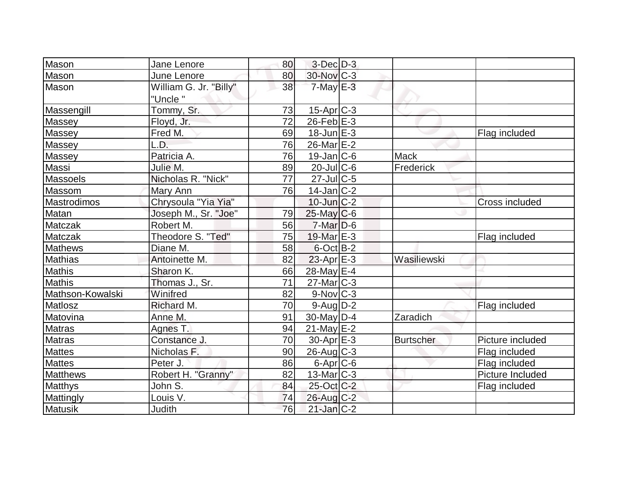| Mason              | Jane Lenore            | 80 | $3-Dec$ $D-3$          |                  |                       |
|--------------------|------------------------|----|------------------------|------------------|-----------------------|
| Mason              | June Lenore            | 80 | 30-Nov C-3             |                  |                       |
| Mason              | William G. Jr. "Billy" | 38 | $7$ -May $E-3$         |                  |                       |
|                    | "Uncle "               |    |                        |                  |                       |
| Massengill         | Tommy, Sr.             | 73 | $15$ -Apr $ C-3 $      |                  |                       |
| Massey             | Floyd, Jr.             | 72 | $26$ -Feb $E-3$        |                  |                       |
| Massey             | Fred M.                | 69 | $18$ -Jun $E-3$        |                  | Flag included         |
| Massey             | L.D.                   | 76 | 26-Mar E-2             |                  |                       |
| Massey             | Patricia A.            | 76 | $19$ -Jan $ C$ -6      | <b>Mack</b>      |                       |
| Massi              | Julie M.               | 89 | $20$ -JulC-6           | Frederick        |                       |
| <b>Massoels</b>    | Nicholas R. "Nick"     | 77 | $27$ -JulC-5           |                  |                       |
| Massom             | Mary Ann               | 76 | $14$ -Jan $ C-2 $      |                  |                       |
| <b>Mastrodimos</b> | Chrysoula "Yia Yia"    |    | $10$ -Jun $C-2$        |                  | <b>Cross included</b> |
| Matan              | Joseph M., Sr. "Joe"   | 79 | $25$ -May C-6          |                  |                       |
| Matczak            | Robert M.              | 56 | $7$ -Mar $D-6$         |                  |                       |
| <b>Matczak</b>     | Theodore S. "Ted"      | 75 | 19-Mar E-3             |                  | Flag included         |
| <b>Mathews</b>     | Diane M.               | 58 | $6$ -Oct B-2           |                  |                       |
| Mathias            | Antoinette M.          | 82 | $23$ -Apr $E-3$        | Wasiliewski      |                       |
| <b>Mathis</b>      | Sharon K.              | 66 | 28-May E-4             |                  |                       |
| <b>Mathis</b>      | Thomas J., Sr.         | 71 | $27$ -Mar $C-3$        |                  |                       |
| Mathson-Kowalski   | Winifred               | 82 | $9-Nov$ <sub>C-3</sub> |                  |                       |
| Matlosz            | Richard M.             | 70 | $9$ -Aug $D-2$         |                  | Flag included         |
| Matovina           | Anne M.                | 91 | $30$ -May $ D-4$       | Zaradich         |                       |
| <b>Matras</b>      | Agnes T.               | 94 | $21$ -May E-2          |                  |                       |
| Matras             | Constance J.           | 70 | $30$ -Apr $E-3$        | <b>Burtscher</b> | Picture included      |
| <b>Mattes</b>      | Nicholas F.            | 90 | $26$ -Aug $C-3$        |                  | Flag included         |
| <b>Mattes</b>      | Peter J.               | 86 | $6$ -Apr $C$ -6        |                  | Flag included         |
| <b>Matthews</b>    | Robert H. "Granny"     | 82 | $13$ -Mar $ C-3 $      |                  | Picture Included      |
| Matthys            | John S.                | 84 | 25-Oct C-2             |                  | Flag included         |
| Mattingly          | Louis V.               | 74 | $26$ -Aug C-2          |                  |                       |
| Matusik            | <b>Judith</b>          | 76 | $21$ -Jan $ C-2 $      |                  |                       |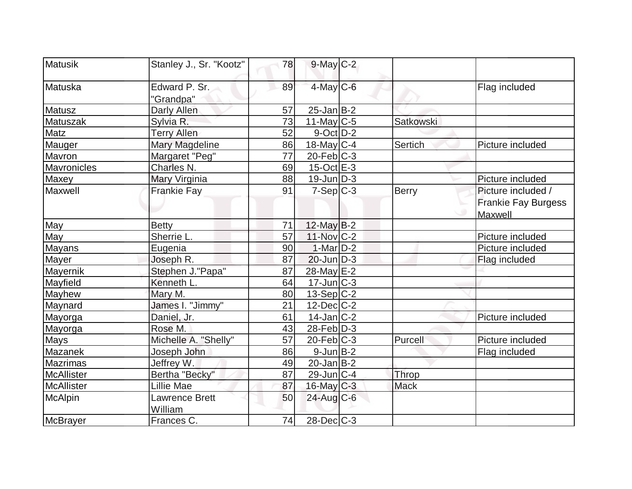| <b>Matusik</b>    | Stanley J., Sr. "Kootz"          | 78 | $9$ -May $C-2$               |                  |                                                             |
|-------------------|----------------------------------|----|------------------------------|------------------|-------------------------------------------------------------|
| Matuska           | Edward P. Sr.<br>"Grandpa"       | 89 | 4-May C-6                    |                  | Flag included                                               |
| Matusz            | Darly Allen                      | 57 | $25$ -Jan $B-2$              |                  |                                                             |
| Matuszak          | Sylvia R.                        | 73 | 11-May $C-5$                 | <b>Satkowski</b> |                                                             |
| Matz              | <b>Terry Allen</b>               | 52 | $9$ -Oct $ D-2 $             |                  |                                                             |
| Mauger            | <b>Mary Magdeline</b>            | 86 | 18-May $C-4$                 | Sertich          | Picture included                                            |
| Mavron            | Margaret "Peg"                   | 77 | $20$ -Feb $ C-3 $            |                  |                                                             |
| Mavronicles       | Charles N.                       | 69 | $15$ -Oct $E-3$              |                  |                                                             |
| Maxey             | Mary Virginia                    | 88 | $19$ -Jun $ D-3 $            |                  | Picture included                                            |
| Maxwell           | <b>Frankie Fay</b>               | 91 | $7-Sep C-3$                  | Berry            | Picture included /<br><b>Frankie Fay Burgess</b><br>Maxwell |
| May               | <b>Betty</b>                     | 71 | 12-May B-2                   |                  |                                                             |
| May               | Sherrie L.                       | 57 | $11-Nov$ <sub>C-2</sub>      |                  | Picture included                                            |
| <b>Mayans</b>     | Eugenia                          | 90 | $1-Mar$ D-2                  |                  | Picture included                                            |
| Mayer             | Joseph R.                        | 87 | $20$ -Jun $D-3$              |                  | Flag included                                               |
| <b>Mayernik</b>   | Stephen J."Papa"                 | 87 | 28-May E-2                   |                  |                                                             |
| Mayfield          | Kenneth L.                       | 64 | $17$ -Jun $\overline{C}$ -3  |                  |                                                             |
| Mayhew            | Mary M.                          | 80 | $13-Sep C-2$                 |                  |                                                             |
| Maynard           | James I. "Jimmy"                 | 21 | $12$ -Dec $ C-2 $            |                  |                                                             |
| Mayorga           | Daniel, Jr.                      | 61 | $14$ -Jan $ C-2 $            |                  | Picture included                                            |
| Mayorga           | Rose M.                          | 43 | $28$ -Feb $D-3$              |                  |                                                             |
| <b>Mays</b>       | Michelle A. "Shelly"             | 57 | $\overline{20}$ -Feb $ C-3 $ | Purcell          | Picture included                                            |
| Mazanek           | Joseph John                      | 86 | $9$ -Jun $B$ -2              |                  | Flag included                                               |
| Mazrimas          | Jeffrey W.                       | 49 | $20$ -Jan B-2                |                  |                                                             |
| <b>McAllister</b> | Bertha "Becky"                   | 87 | $29$ -Jun $ C-4 $            | Throp            |                                                             |
| McAllister        | Lillie Mae                       | 87 | 16-May C-3                   | <b>Mack</b>      |                                                             |
| McAlpin           | <b>Lawrence Brett</b><br>William | 50 | $24$ -Aug $C$ -6             |                  |                                                             |
| <b>McBrayer</b>   | Frances C.                       | 74 | $28$ -Dec $ C-3 $            |                  |                                                             |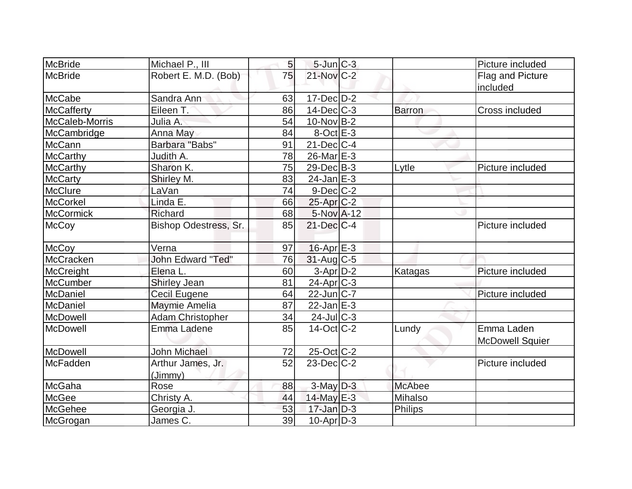| McBride          | Michael P., III          | 5 <sup>1</sup> | $5$ -Jun $C-3$    |                | Picture included       |
|------------------|--------------------------|----------------|-------------------|----------------|------------------------|
| <b>McBride</b>   | Robert E. M.D. (Bob)     | 75             | 21-Nov C-2        |                | Flag and Picture       |
|                  |                          |                |                   |                | included               |
| McCabe           | Sandra Ann               | 63             | $17 - Dec$ $D-2$  |                |                        |
| McCafferty       | Eileen T.                | 86             | $14$ -Dec $ C-3 $ | <b>Barron</b>  | Cross included         |
| McCaleb-Morris   | Julia A.                 | 54             | $10$ -Nov B-2     |                |                        |
| McCambridge      | Anna May                 | 84             | $8$ -Oct $E-3$    |                |                        |
| McCann           | Barbara "Babs"           | 91             | $21$ -Dec $ C-4$  |                |                        |
| <b>McCarthy</b>  | Judith A.                | 78             | $26$ -Mar $E-3$   |                |                        |
| <b>McCarthy</b>  | Sharon K.                | 75             | $29$ -Dec $B$ -3  | Lytle          | Picture included       |
| <b>McCarty</b>   | Shirley M.               | 83             | $24$ -Jan $E-3$   |                |                        |
| <b>McClure</b>   | LaVan                    | 74             | $9$ -Dec $C$ -2   |                |                        |
| McCorkel         | Linda E.                 | 66             | $25$ -Apr $C-2$   |                |                        |
| <b>McCormick</b> | Richard                  | 68             | 5-Nov A-12        |                |                        |
| <b>McCoy</b>     | Bishop Odestress, Sr.    | 85             | $21$ -Dec $C$ -4  |                | Picture included       |
| <b>McCoy</b>     | Verna                    | 97             | $16$ -Apr $E-3$   |                |                        |
| McCracken        | <b>John Edward "Ted"</b> | 76             | $31$ -Aug C-5     |                |                        |
| <b>McCreight</b> | Elena L.                 | 60             | $3-Apr$ $D-2$     | Katagas        | Picture included       |
| <b>McCumber</b>  | <b>Shirley Jean</b>      | 81             | $24$ -Apr $C-3$   |                |                        |
| McDaniel         | Cecil Eugene             | 64             | $22$ -Jun $ C-7 $ |                | Picture included       |
| McDaniel         | Maymie Amelia            | 87             | $22$ -Jan $E-3$   |                |                        |
| McDowell         | <b>Adam Christopher</b>  | 34             | $24$ -Jul C-3     |                |                        |
| McDowell         | Emma Ladene              | 85             | $14$ -Oct $ C-2 $ | Lundy          | Emma Laden             |
|                  |                          |                |                   |                | <b>McDowell Squier</b> |
| McDowell         | <b>John Michael</b>      | 72             | 25-Oct C-2        |                |                        |
| McFadden         | Arthur James, Jr.        | 52             | $23$ -Dec $C-2$   |                | Picture included       |
|                  | (Jimmy)                  |                |                   |                |                        |
| McGaha           | Rose                     | 88             | $3$ -May $D-3$    | <b>McAbee</b>  |                        |
| <b>McGee</b>     | Christy A.               | 44             | $14$ -May E-3     | Mihalso        |                        |
| <b>McGehee</b>   | Georgia J                | 53             | $17$ -Jan D-3     | <b>Philips</b> |                        |
| McGrogan         | James C.                 | 39             | $10$ -Apr $ D-3$  |                |                        |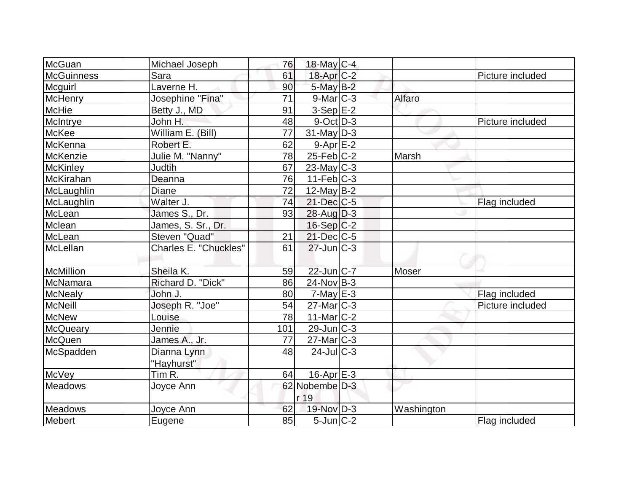| McGuan         | Michael Joseph               | 76  | 18-May $C-4$           |              |                  |
|----------------|------------------------------|-----|------------------------|--------------|------------------|
| McGuinness     | Sara                         | 61  | 18-Apr C-2             |              | Picture included |
| Mcguirl        | Laverne H.                   | 90  | $5$ -May $B-2$         |              |                  |
| McHenry        | Josephine "Fina"             | 71  | $9$ -Mar $C-3$         | Alfaro       |                  |
| <b>McHie</b>   | Betty J., MD                 | 91  | $3-Sep$ $E-2$          |              |                  |
| McIntrye       | John H.                      | 48  | $9$ -Oct $ D-3 $       |              | Picture included |
| McKee          | William E. (Bill)            | 77  | $31$ -May D-3          |              |                  |
| McKenna        | Robert E.                    | 62  | $9 - Apr$ $E - 2$      |              |                  |
| McKenzie       | Julie M. "Nanny"             | 78  | $25$ -Feb $ C-2 $      | Marsh        |                  |
| McKinley       | <b>Judtih</b>                | 67  | $23$ -May $C-3$        |              |                  |
| McKirahan      | Deanna                       | 76  | $11-Feb$ $C-3$         |              |                  |
| McLaughlin     | Diane                        | 72  | $12$ -May B-2          |              |                  |
| McLaughlin     | Walter J.                    | 74  | $21$ -Dec $C$ -5       |              | Flag included    |
| McLean         | James S., Dr.                | 93  | $28$ -Aug $D-3$        |              |                  |
| Mclean         | James, S. Sr., Dr.           |     | $16-Sep C-2$           |              |                  |
| McLean         | Steven "Quad"                | 21  | $21$ -Dec $C$ -5       |              |                  |
| McLellan       | <b>Charles E. "Chuckles"</b> | 61  | $27$ -Jun $C-3$        |              |                  |
| McMillion      | Sheila K.                    | 59  | $22$ -Jun $ C-7 $      | <b>Moser</b> |                  |
| McNamara       | Richard D. "Dick"            | 86  | $24$ -Nov B-3          |              |                  |
| <b>McNealy</b> | John J.                      | 80  | $7$ -May $E-3$         |              | Flag included    |
| McNeill        | Joseph R. "Joe"              | 54  | $27$ -Mar $ C-3 $      |              | Picture included |
| <b>McNew</b>   | Louise                       | 78  | 11-Mar $ C-2 $         |              |                  |
| McQueary       | Jennie                       | 101 | $29$ -Jun $ C-3 $      |              |                  |
| McQuen         | James A., Jr.                | 77  | $27$ -Mar $C-3$        |              |                  |
| McSpadden      | Dianna Lynn<br>"Hayhurst"    | 48  | $24$ -JulC-3           |              |                  |
| McVey          | Tim <sub>R</sub> .           | 64  | $16$ -Apr $E-3$        |              |                  |
| <b>Meadows</b> | Joyce Ann                    |     | 62 Nobembe D-3<br>r 19 |              |                  |
| Meadows        | Joyce Ann                    | 62  | 19-Nov D-3             | Washington   |                  |
| Mebert         | Eugene                       | 85  | $5$ -Jun $C-2$         |              | Flag included    |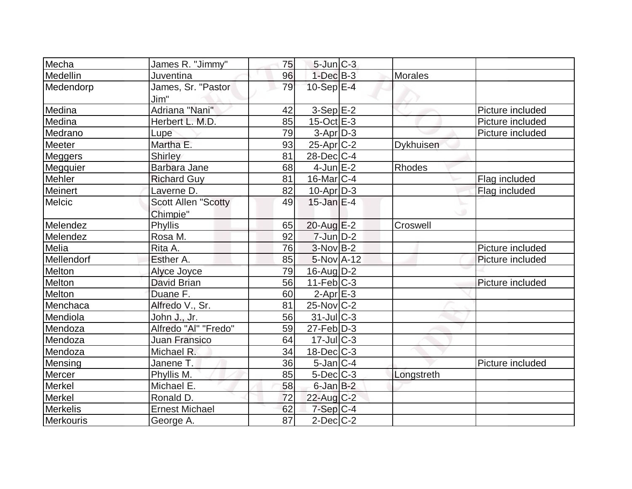| Mecha           | James R. "Jimmy"                       | 75 | $5$ -Jun $C-3$           |                |                  |
|-----------------|----------------------------------------|----|--------------------------|----------------|------------------|
| Medellin        | Juventina                              | 96 | $1-Dec$ B-3              | <b>Morales</b> |                  |
| Medendorp       | James, Sr. "Pastor<br>Jim"             | 79 | 10-Sep $E-4$             |                |                  |
| Medina          | Adriana "Nani"                         | 42 | $3-Sep$ $E-2$            |                | Picture included |
| Medina          | Herbert L. M.D.                        | 85 | $15$ -Oct $E - 3$        |                | Picture included |
| Medrano         | Lupe                                   | 79 | $3-Apr D-3$              |                | Picture included |
| Meeter          | Martha E.                              | 93 | $25$ -Apr $C-2$          | Dykhuisen      |                  |
| Meggers         | <b>Shirley</b>                         | 81 | $28$ -Dec $C-4$          |                |                  |
| Megquier        | Barbara Jane                           | 68 | $4$ -Jun $E-2$           | Rhodes         |                  |
| Mehler          | <b>Richard Guy</b>                     | 81 | $16$ -Mar $ C-4$         |                | Flag included    |
| Meinert         | Laverne D.                             | 82 | $10$ -Apr $D-3$          |                | Flag included    |
| <b>Melcic</b>   | <b>Scott Allen "Scotty</b><br>Chimpie" | 49 | $15$ -Jan $E-4$          |                |                  |
| Melendez        | Phyllis                                | 65 | $20$ -Aug $E-2$          | Croswell       |                  |
| Melendez        | Rosa M.                                | 92 | $7$ -Jun $D-2$           |                |                  |
| Melia           | Rita A.                                | 76 | $3-Nov B-2$              |                | Picture included |
| Mellendorf      | Esther A.                              | 85 | 5-Nov A-12               |                | Picture included |
| Melton          | Alyce Joyce                            | 79 | 16-Aug D-2               |                |                  |
| Melton          | David Brian                            | 56 | $11-Feb$ <sub>C</sub> -3 |                | Picture included |
| Melton          | Duane F.                               | 60 | $2-AprE-3$               |                |                  |
| Menchaca        | Alfredo V., Sr.                        | 81 | $25$ -Nov $ C-2 $        |                |                  |
| Mendiola        | John J., Jr.                           | 56 | $31$ -JulC-3             |                |                  |
| Mendoza         | Alfredo "Al" "Fredo"                   | 59 | $27$ -Feb $ D-3$         |                |                  |
| Mendoza         | <b>Juan Fransico</b>                   | 64 | $17 -$ JulC-3            |                |                  |
| Mendoza         | Michael R.                             | 34 | $18$ -Dec $ C-3 $        |                |                  |
| Mensing         | Janene T.                              | 36 | $5$ -Jan $ C-4$          |                | Picture included |
| Mercer          | Phyllis M.                             | 85 | $5$ -Dec $C$ -3          | Longstreth     |                  |
| Merkel          | Michael E.                             | 58 | $6$ -Jan $B-2$           |                |                  |
| Merkel          | Ronald D.                              | 72 | $22$ -Aug C-2            |                |                  |
| <b>Merkelis</b> | <b>Ernest Michael</b>                  | 62 | $7-Sep C-4$              |                |                  |
| Merkouris       | George A.                              | 87 | $2$ -Dec $C-2$           |                |                  |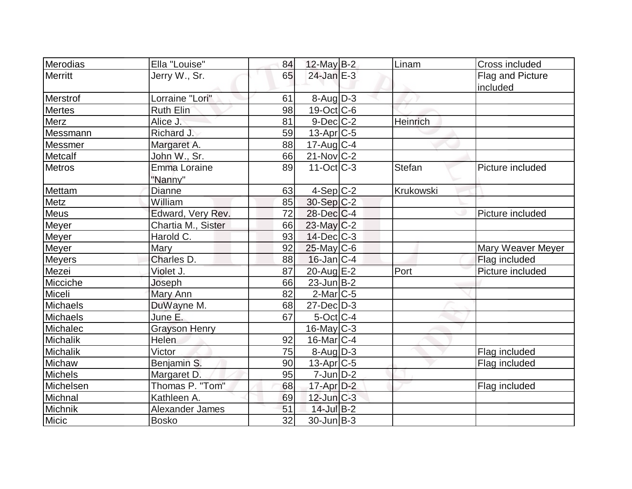| Merodias        | Ella "Louise"        | 84 | 12-May B-2               | Linam           | Cross included    |
|-----------------|----------------------|----|--------------------------|-----------------|-------------------|
| Merritt         | Jerry W., Sr.        | 65 | $24$ -Jan $E-3$          |                 | Flag and Picture  |
|                 |                      |    |                          |                 | included          |
| Merstrof        | Lorraine "Lori"      | 61 | $8 - \text{Aug}$ D-3     |                 |                   |
| Mertes          | Ruth Elin            | 98 | $19-Oct$ $C-6$           |                 |                   |
| Merz            | Alice J.             | 81 | $9$ -Dec $C$ -2          | <b>Heinrich</b> |                   |
| Messmann        | Richard J.           | 59 | $13$ -Apr $ C-5$         |                 |                   |
| Messmer         | Margaret A.          | 88 | $17$ -Aug C-4            |                 |                   |
| Metcalf         | John W., Sr.         | 66 | $21$ -Nov $ C-2 $        |                 |                   |
| <b>Metros</b>   | <b>Emma Loraine</b>  | 89 | $11-Oct$ <sub>C</sub> -3 | <b>Stefan</b>   | Picture included  |
|                 | "Nanny"              |    |                          |                 |                   |
| Mettam          | Dianne               | 63 | $4-Sep C-2$              | Krukowski       |                   |
| Metz            | William              | 85 | $30-Sep C-2$             |                 |                   |
| Meus            | Edward, Very Rev.    | 72 | $28$ -Dec $C$ -4         |                 | Picture included  |
| Meyer           | Chartia M., Sister   | 66 | $23$ -May $C-2$          |                 |                   |
| Meyer           | Harold C.            | 93 | $14$ -Dec $ C-3 $        |                 |                   |
| Meyer           | Mary                 | 92 | $25$ -May C-6            |                 | Mary Weaver Meyer |
| <b>Meyers</b>   | Charles D.           | 88 | $16$ -Jan $ C-4$         |                 | Flag included     |
| Mezei           | Violet J.            | 87 | 20-Aug E-2               | Port            | Picture included  |
| Micciche        | Joseph               | 66 | $23$ -Jun $ B-2 $        |                 |                   |
| Miceli          | Mary Ann             | 82 | $2$ -Mar $ C-5$          |                 |                   |
| Michaels        | DuWayne M.           | 68 | $27$ -Dec $D-3$          |                 |                   |
| <b>Michaels</b> | June E.              | 67 | $5$ -Oct $ C-4 $         |                 |                   |
| Michalec        | <b>Grayson Henry</b> |    | $16$ -May $C-3$          |                 |                   |
| Michalik        | <b>Helen</b>         | 92 | $16$ -Mar $ C-4$         |                 |                   |
| Michalik        | Victor               | 75 | $8-Aug$ D-3              |                 | Flag included     |
| Michaw          | Benjamin S.          | 90 | $13$ -Apr $ C-5$         |                 | Flag included     |
| Michels         | Margaret D.          | 95 | $7$ -Jun $D-2$           |                 |                   |
| Michelsen       | Thomas P. "Tom"      | 68 | $17$ -Apr $D-2$          |                 | Flag included     |
| Michnal         | Kathleen A.          | 69 | $12$ -Jun $C-3$          |                 |                   |
| Michnik         | Alexander James      | 51 | 14-Jul B-2               |                 |                   |
| Micic           | <b>Bosko</b>         | 32 | $30$ -Jun $ B-3 $        |                 |                   |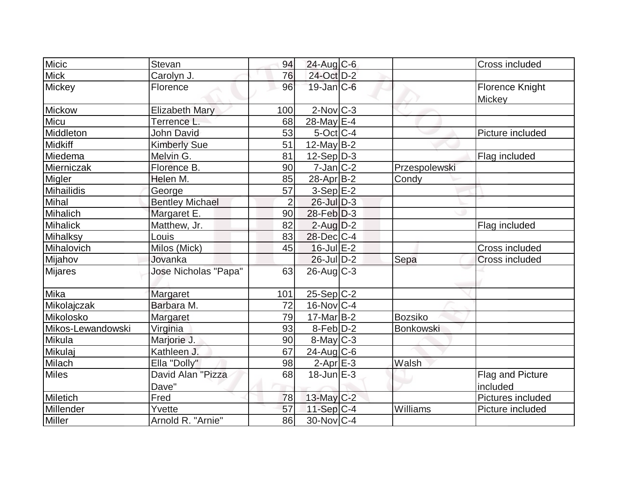| <b>Micic</b>      |                        |                |                   |                |                   |
|-------------------|------------------------|----------------|-------------------|----------------|-------------------|
|                   | <b>Stevan</b>          | 94             | 24-Aug C-6        |                | Cross included    |
| <b>Mick</b>       | Carolyn J.             | 76             | 24-Oct D-2        |                |                   |
| Mickey            | Florence               | 96             | $19$ -Jan $C$ -6  |                | Florence Knight   |
|                   |                        |                |                   |                | Mickey            |
| Mickow            | <b>Elizabeth Mary</b>  | 100            | $2$ -Nov $C-3$    |                |                   |
| Micu              | Terrence L.            | 68             | 28-May E-4        |                |                   |
| Middleton         | <b>John David</b>      | 53             | $5$ -Oct $ C-4$   |                | Picture included  |
| Midkiff           | <b>Kimberly Sue</b>    | 51             | 12-May $B-2$      |                |                   |
| Miedema           | Melvin G.              | 81             | $12-Sep D-3$      |                | Flag included     |
| Mierniczak        | Florence B.            | 90             | $7$ -Jan $ C-2 $  | Przespolewski  |                   |
| Migler            | Helen M.               | 85             | $28$ -Apr $ B-2 $ | Condy          |                   |
| Mihailidis        | George                 | 57             | $3-Sep$ $E-2$     |                |                   |
| Mihal             | <b>Bentley Michael</b> | $\overline{2}$ | $26$ -Jul $D-3$   |                |                   |
| Mihalich          | Margaret E.            | 90             | $28$ -Feb $ D-3 $ |                |                   |
| <b>Mihalick</b>   | Matthew, Jr.           | 82             | $2$ -Aug $D-2$    |                | Flag included     |
| Mihalksy          | Louis                  | 83             | 28-Dec C-4        |                |                   |
| Mihalovich        | Milos (Mick)           | 45             | $16$ -Jul $E-2$   |                | Cross included    |
| Mijahov           | Jovanka                |                | $26$ -Jul $D-2$   | Sepa           | Cross included    |
| <b>Mijares</b>    | Jose Nicholas "Papa"   | 63             | $26$ -Aug $C-3$   |                |                   |
|                   |                        |                |                   |                |                   |
| Mika              | Margaret               | 101            | $25-Sep C-2$      |                |                   |
| Mikolajczak       | Barbara M.             | 72             | $16$ -Nov $C-4$   |                |                   |
| Mikolosko         | Margaret               | 79             | $17$ -Mar $ B-2 $ | <b>Bozsiko</b> |                   |
| Mikos-Lewandowski | Virginia               | 93             | $8-Feb$ $D-2$     | Bonkowski      |                   |
| Mikula            | Marjorie J.            | 90             | $8$ -May $C-3$    |                |                   |
| Mikulaj           | Kathleen J.            | 67             | 24-Aug C-6        |                |                   |
| Milach            | Ella "Dolly"           | 98             | $2-Apr$ E-3       | Walsh          |                   |
| <b>Miles</b>      | David Alan "Pizza      | 68             | $18$ -Jun $E-3$   |                | Flag and Picture  |
|                   | Dave"                  |                |                   |                | included          |
| Miletich          | Fred                   | 78             | 13-May C-2        |                | Pictures included |
| Millender         | Yvette                 | 57             | $11-Sep C-4$      | Williams       | Picture included  |
| Miller            | Arnold R. "Arnie"      | 86             | $30$ -Nov $ C-4$  |                |                   |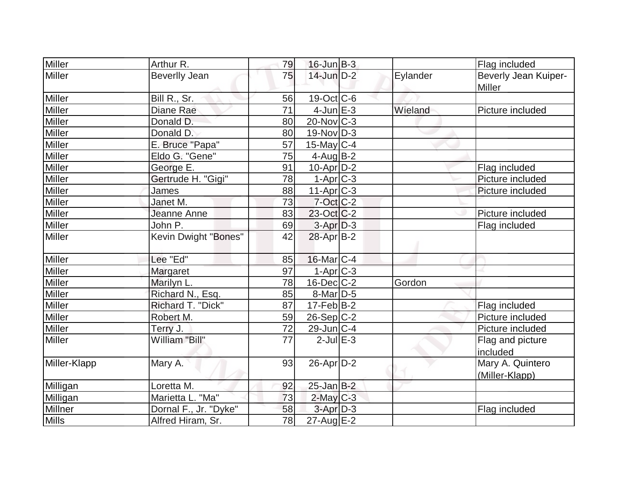| Miller         | Arthur R.             | 79              | $16$ -Jun $B-3$   |          | Flag included                      |
|----------------|-----------------------|-----------------|-------------------|----------|------------------------------------|
| Miller         | <b>Beverlly Jean</b>  | 75              | $14$ -Jun $D-2$   | Eylander | Beverly Jean Kuiper-<br>Miller     |
| <b>Miller</b>  | Bill R., Sr.          | 56              | 19-Oct C-6        |          |                                    |
| <b>Miller</b>  | Diane Rae             | 71              | $4$ -Jun $E-3$    | Wieland  | Picture included                   |
| <b>Miller</b>  | Donald D.             | 80              | $20$ -Nov $ C-3 $ |          |                                    |
| Miller         | Donald D.             | 80              | $19-Nov D-3$      |          |                                    |
| Miller         | E. Bruce "Papa"       | 57              | $15$ -May C-4     |          |                                    |
| Miller         | Eldo G. "Gene"        | 75              | $4$ -Aug $B-2$    |          |                                    |
| <b>Miller</b>  | George E.             | 91              | $10$ -Apr $D-2$   |          | Flag included                      |
| Miller         | Gertrude H. "Gigi"    | 78              | $1-Apr$ $C-3$     |          | Picture included                   |
| Miller         | James                 | 88              | $11-Apr$ $C-3$    |          | Picture included                   |
| <b>Miller</b>  | Janet M.              | 73              | $7$ -Oct C-2      |          |                                    |
| Miller         | Jeanne Anne           | 83              | $23-Oct$ $C-2$    |          | Picture included                   |
| Miller         | John P.               | 69              | $3-Apr D-3$       |          | Flag included                      |
| <b>Miller</b>  | Kevin Dwight "Bones"  | 42              | 28-Apr B-2        |          |                                    |
| <b>Miller</b>  | Lee "Ed"              | 85              | $16$ -Mar $ C-4$  |          |                                    |
| Miller         | Margaret              | 97              | $1-Apr$ $C-3$     |          |                                    |
| <b>Miller</b>  | Marilyn L.            | 78              | $16$ -Dec $C$ -2  | Gordon   |                                    |
| Miller         | Richard N., Esq.      | 85              | $8$ -Mar $D-5$    |          |                                    |
| Miller         | Richard T. "Dick"     | 87              | $17-Feb B-2$      |          | Flag included                      |
| Miller         | Robert M.             | 59              | $26-Sep C-2$      |          | Picture included                   |
| Miller         | Terry J.              | 72              | $29$ -Jun $ C-4 $ |          | Picture included                   |
| <b>Miller</b>  | William "Bill"        | 77              | $2$ -Jul $E-3$    |          | Flag and picture<br>included       |
| Miller-Klapp   | Mary A.               | 93              | $26$ -Apr $D-2$   |          | Mary A. Quintero<br>(Miller-Klapp) |
| Milligan       | Loretta M.            | 92              | $25$ -Jan B-2     |          |                                    |
| Milligan       | Marietta L. "Ma"      | 73              | $2$ -May $C-3$    |          |                                    |
| <b>Millner</b> | Dornal F., Jr. "Dyke" | 58              | $3$ -Apr $D-3$    |          | Flag included                      |
| <b>Mills</b>   | Alfred Hiram, Sr.     | $\overline{78}$ | $27 - Aug$ E-2    |          |                                    |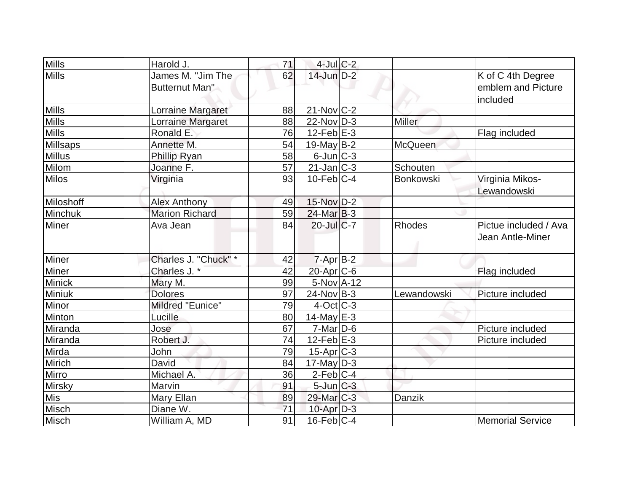| <b>Mills</b>  | Harold J.                                  | 71 | $4$ -Jul $C-2$        |               |                                                     |
|---------------|--------------------------------------------|----|-----------------------|---------------|-----------------------------------------------------|
| <b>Mills</b>  | James M. "Jim The<br><b>Butternut Man"</b> | 62 | 14-Jun D-2            |               | K of C 4th Degree<br>emblem and Picture<br>included |
| <b>Mills</b>  | Lorraine Margaret                          | 88 | $21-Nov$ $C-2$        |               |                                                     |
| <b>Mills</b>  | Lorraine Margaret                          | 88 | $22-Nov D-3$          | <b>Miller</b> |                                                     |
| <b>Mills</b>  | Ronald E.                                  | 76 | $12$ -Feb $E-3$       |               | Flag included                                       |
| Millsaps      | Annette M.                                 | 54 | 19-May $B-2$          | McQueen       |                                                     |
| <b>Millus</b> | Phillip Ryan                               | 58 | $6$ -Jun $C-3$        |               |                                                     |
| <b>Milom</b>  | Joanne F.                                  | 57 | $21$ -Jan $ C-3 $     | Schouten      |                                                     |
| <b>Milos</b>  | Virginia                                   | 93 | $10$ -Feb $ C-4 $     | Bonkowski     | Virginia Mikos-<br>Lewandowski                      |
| Miloshoff     | <b>Alex Anthony</b>                        | 49 | 15-Nov D-2            |               |                                                     |
| Minchuk       | <b>Marion Richard</b>                      | 59 | $24$ -Mar $B-3$       |               |                                                     |
| <b>Miner</b>  | Ava Jean                                   | 84 | $20$ -Jul $C$ -7      | <b>Rhodes</b> | Pictue included / Ava<br>Jean Antle-Miner           |
| <b>Miner</b>  | Charles J. "Chuck" *                       | 42 | $7 - Apr$ B-2         |               |                                                     |
| Miner         | Charles J.*                                | 42 | 20-Apr C-6            |               | Flag included                                       |
| <b>Minick</b> | Mary M.                                    | 99 | 5-Nov A-12            |               |                                                     |
| Miniuk        | <b>Dolores</b>                             | 97 | $24$ -Nov B-3         | Lewandowski   | Picture included                                    |
| Minor         | Mildred "Eunice"                           | 79 | $4$ -Oct $ C-3 $      |               |                                                     |
| Minton        | Lucille                                    | 80 | $14$ -May E-3         |               |                                                     |
| Miranda       | Jose                                       | 67 | $7$ -Mar $ D-6$       |               | Picture included                                    |
| Miranda       | Robert J.                                  | 74 | 12-Feb $E-3$          |               | Picture included                                    |
| Mirda         | John                                       | 79 | $15$ -Apr $C-3$       |               |                                                     |
| Mirich        | David                                      | 84 | $17$ -May D-3         |               |                                                     |
| Mirro         | Michael A.                                 | 36 | $2$ -Feb $ C-4$       |               |                                                     |
| <b>Mirsky</b> | Marvin                                     | 91 | $5$ -Jun $C-3$        |               |                                                     |
| <b>Mis</b>    | Mary Ellan                                 | 89 | 29-Mar <sub>C-3</sub> | Danzik        |                                                     |
| Misch         | Diane W.                                   | 71 | 10-Apr D-3            |               |                                                     |
| Misch         | William A, MD                              | 91 | $16$ -Feb $ C-4$      |               | <b>Memorial Service</b>                             |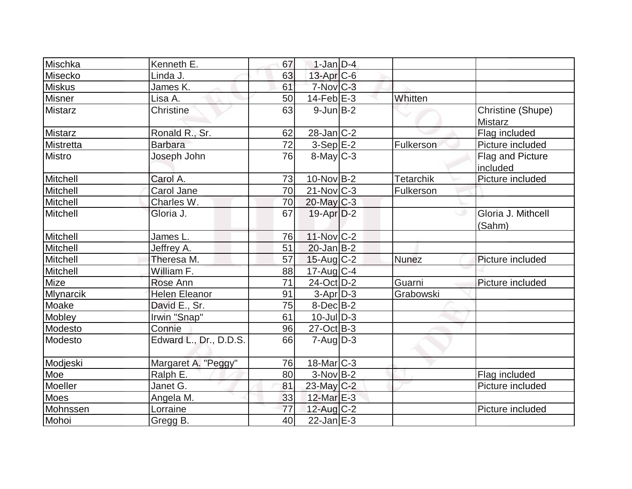| Mischka        | Kenneth E.             | 67              | $1-Jan$ D-4            |                  |                                     |
|----------------|------------------------|-----------------|------------------------|------------------|-------------------------------------|
| Misecko        | Linda J.               | 63              | 13-Apr C-6             |                  |                                     |
| <b>Miskus</b>  | James K.               | 61              | $7-Nov$ <sub>C-3</sub> |                  |                                     |
| Misner         | Lisa A.                | 50              | $14$ -Feb $ E-3 $      | Whitten          |                                     |
| <b>Mistarz</b> | Christine              | 63              | $9$ -Jun $B-2$         |                  | Christine (Shupe)<br><b>Mistarz</b> |
| <b>Mistarz</b> | Ronald R., Sr.         | 62              | $28$ -Jan $ C-2 $      |                  | Flag included                       |
| Mistretta      | <b>Barbara</b>         | 72              | $3-Sep$ $E-2$          | Fulkerson        | Picture included                    |
| <b>Mistro</b>  | Joseph John            | 76              | $8$ -May $C$ -3        |                  | Flag and Picture<br>included        |
| Mitchell       | Carol A.               | 73              | $10$ -Nov B-2          | <b>Tetarchik</b> | Picture included                    |
| Mitchell       | Carol Jane             | 70              | $21$ -Nov $ C-3 $      | <b>Fulkerson</b> |                                     |
| Mitchell       | Charles W.             | 70              | $20$ -May C-3          |                  |                                     |
| Mitchell       | Gloria J.              | 67              | $19$ -Apr $D-2$        |                  | Gloria J. Mithcell<br>(Sahm)        |
| Mitchell       | James L.               | 76              | 11-Nov C-2             |                  |                                     |
| Mitchell       | Jeffrey A.             | 51              | $20$ -Jan $ B-2 $      |                  |                                     |
| Mitchell       | Theresa M.             | 57              | $15$ -Aug C-2          | <b>Nunez</b>     | Picture included                    |
| Mitchell       | William F.             | 88              | $17$ -Aug C-4          |                  |                                     |
| Mize           | Rose Ann               | $\overline{71}$ | 24-Oct D-2             | Guarni           | Picture included                    |
| Mlynarcik      | <b>Helen Eleanor</b>   | 91              | $3-Apr D-3$            | Grabowski        |                                     |
| Moake          | David E., Sr.          | 75              | $8-Dec$ $B-2$          |                  |                                     |
| Mobley         | Irwin "Snap"           | 61              | $10$ -Jul $D-3$        |                  |                                     |
| Modesto        | Connie                 | 96              | $27-Oct$ B-3           |                  |                                     |
| Modesto        | Edward L., Dr., D.D.S. | 66              | $7 - Aug   D-3$        |                  |                                     |
| Modjeski       | Margaret A. "Peggy"    | 76              | $18$ -Mar $ C-3 $      |                  |                                     |
| Moe            | Ralph E.               | 80              | $3-Nov B-2$            |                  | Flag included                       |
| Moeller        | Janet G.               | 81              | $23$ -May C-2          |                  | Picture included                    |
| Moes           | Angela M.              | 33              | 12-Mar $E-3$           |                  |                                     |
| Mohnssen       | Lorraine               | 77              | 12-Aug C-2             |                  | Picture included                    |
| Mohoi          | Gregg B.               | 40              | $22$ -Jan $E-3$        |                  |                                     |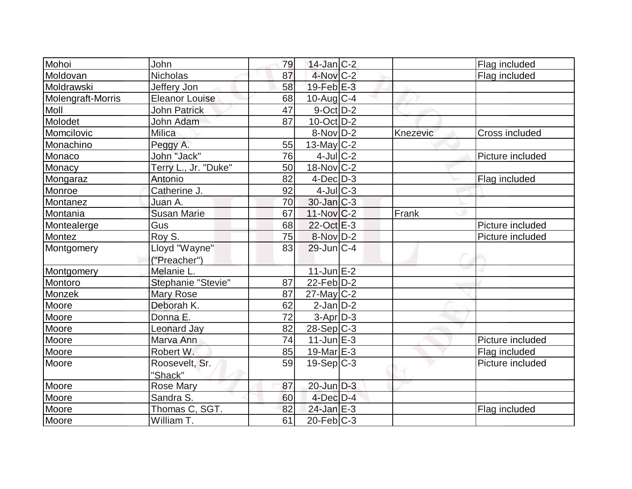| Mohoi             | John                  | 79 | $14$ -Jan C-2                |          | Flag included    |
|-------------------|-----------------------|----|------------------------------|----------|------------------|
| Moldovan          | <b>Nicholas</b>       | 87 | 4-Nov C-2                    |          | Flag included    |
| Moldrawski        | Jeffery Jon           | 58 | $19$ -Feb $E-3$              |          |                  |
| Molengraft-Morris | <b>Eleanor Louise</b> | 68 | $10$ -Aug $C-4$              |          |                  |
| Moll              | <b>John Patrick</b>   | 47 | $9$ -Oct $D-2$               |          |                  |
| Molodet           | John Adam             | 87 | $10$ -Oct $ D-2 $            |          |                  |
| Momcilovic        | Milica                |    | $8-Nov D-2$                  | Knezevic | Cross included   |
| Monachino         | Peggy A.              | 55 | $13$ -May C-2                |          |                  |
| Monaco            | John "Jack"           | 76 | $4$ -Jul $C-2$               |          | Picture included |
| Monacy            | Terry L., Jr. "Duke"  | 50 | $18-Nov$ C-2                 |          |                  |
| Mongaraz          | Antonio               | 82 | $4$ -Dec $D-3$               |          | Flag included    |
| Monroe            | Catherine J.          | 92 | $4$ -Jul $C-3$               |          |                  |
| Montanez          | Juan A.               | 70 | $30$ -Jan $ C-3 $            |          |                  |
| Montania          | <b>Susan Marie</b>    | 67 | 11-Nov C-2                   | Frank    |                  |
| Montealerge       | Gus                   | 68 | $22$ -Oct $E-3$              |          | Picture included |
| Montez            | Roy S.                | 75 | $8-Nov D-2$                  |          | Picture included |
| Montgomery        | Lloyd "Wayne"         | 83 | $29$ -Jun $C-4$              |          |                  |
|                   | ("Preacher")          |    |                              |          |                  |
| Montgomery        | Melanie L.            |    | $11$ -Jun $E$ -2             |          |                  |
| Montoro           | Stephanie "Stevie"    | 87 | $22-Feb\overline{D-2}$       |          |                  |
| Monzek            | <b>Mary Rose</b>      | 87 | $27$ -May C-2                |          |                  |
| Moore             | Deborah K.            | 62 | $2$ -Jan $D-2$               |          |                  |
| Moore             | Donna E.              | 72 | $3-Apr$ $D-3$                |          |                  |
| Moore             | <b>Leonard Jay</b>    | 82 | $28-Sep C-3$                 |          |                  |
| Moore             | Marva Ann             | 74 | $11$ -Jun $E-3$              |          | Picture included |
| Moore             | Robert W.             | 85 | 19-Mar $E-3$                 |          | Flag included    |
| Moore             | Roosevelt, Sr.        | 59 | $19-Sep C-3$                 |          | Picture included |
|                   | "Shack"               |    |                              |          |                  |
| Moore             | Rose Mary             | 87 | $20$ -Jun $D-3$              |          |                  |
| Moore             | Sandra S.             | 60 | $4$ -Dec $D-4$               |          |                  |
| Moore             | Thomas C, SGT.        | 82 | $24$ -Jan $E-3$              |          | Flag included    |
| Moore             | William T.            | 61 | $\overline{20}$ -Feb $ C-3 $ |          |                  |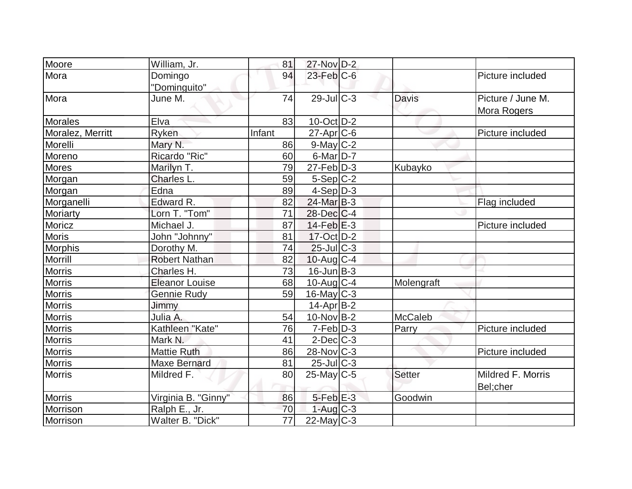| Moore            | William, Jr.          | 81              | $27$ -Nov $D-2$             |                |                   |
|------------------|-----------------------|-----------------|-----------------------------|----------------|-------------------|
| Mora             | Domingo               | 94              | $23$ -Feb $C$ -6            |                | Picture included  |
|                  | "Dominguito"          |                 |                             |                |                   |
| Mora             | June M.               | 74              | $29$ -JulC-3                | <b>Davis</b>   | Picture / June M. |
|                  |                       |                 |                             |                | Mora Rogers       |
| <b>Morales</b>   | Elva                  | 83              | $10$ -Oct $ D-2 $           |                |                   |
| Moralez, Merritt | Ryken                 | Infant          | $27$ -Apr $ C$ -6           |                | Picture included  |
| Morelli          | Mary N.               | 86              | $9$ -May $C-2$              |                |                   |
| Moreno           | Ricardo "Ric"         | 60              | $6$ -Mar $D-7$              |                |                   |
| <b>Mores</b>     | Marilyn T.            | 79              | $27$ -Feb $\overline{D}$ -3 | Kubayko        |                   |
| Morgan           | Charles L.            | 59              | $5-Sep C-2$                 |                |                   |
| Morgan           | Edna                  | 89              | $4-Sep D-3$                 |                |                   |
| Morganelli       | Edward R.             | 82              | $24$ -Mar $B-3$             |                | Flag included     |
| <b>Moriarty</b>  | Lorn T. "Tom"         | 71              | $28$ -Dec $C-4$             |                |                   |
| Moricz           | Michael J.            | 87              | $14$ -Feb $E-3$             |                | Picture included  |
| <b>Moris</b>     | John "Johnny"         | 81              | 17-Oct D-2                  |                |                   |
| <b>Morphis</b>   | Dorothy M.            | 74              | $25$ -JulC-3                |                |                   |
| Morrill          | <b>Robert Nathan</b>  | 82              | $10$ -Aug $C-4$             |                |                   |
| <b>Morris</b>    | Charles H.            | 73              | $16$ -Jun $B-3$             |                |                   |
| <b>Morris</b>    | <b>Eleanor Louise</b> | 68              | $10$ -Aug $C-4$             | Molengraft     |                   |
| <b>Morris</b>    | <b>Gennie Rudy</b>    | 59              | $16$ -May C-3               |                |                   |
| <b>Morris</b>    | Jimmy                 |                 | $14$ -Apr $ B-2 $           |                |                   |
| <b>Morris</b>    | Julia A.              | 54              | $10$ -Nov B-2               | <b>McCaleb</b> |                   |
| <b>Morris</b>    | Kathleen "Kate"       | 76              | $7-Feb D-3$                 | Parry          | Picture included  |
| <b>Morris</b>    | Mark N.               | 41              | $2$ -Dec $C-3$              |                |                   |
| <b>Morris</b>    | <b>Mattie Ruth</b>    | 86              | $28-Nov$ <sub>C-3</sub>     |                | Picture included  |
| <b>Morris</b>    | <b>Maxe Bernard</b>   | 81              | $25$ -Jul $C-3$             |                |                   |
| <b>Morris</b>    | Mildred F.            | 80              | $25$ -May C-5               | <b>Setter</b>  | Mildred F. Morris |
|                  |                       |                 |                             |                | Bel;cher          |
| <b>Morris</b>    | Virginia B. "Ginny"   | 86              | $5-Feb$ $E-3$               | Goodwin        |                   |
| Morrison         | Ralph E., Jr.         | 70              | $1-Aug$ $C-3$               |                |                   |
| Morrison         | Walter B. "Dick"      | $\overline{77}$ | $22$ -May C-3               |                |                   |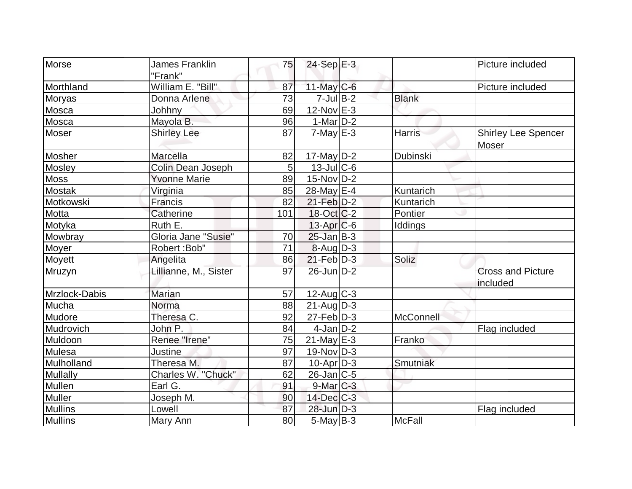| Morse           | <b>James Franklin</b> |     |                          |               | Picture included                     |
|-----------------|-----------------------|-----|--------------------------|---------------|--------------------------------------|
|                 | "Frank"               | 75  | $24-Sep$ E-3             |               |                                      |
| Morthland       | William E. "Bill"     | 87  | $11$ -May C-6            |               | Picture included                     |
| Moryas          | Donna Arlene          | 73  | $7$ -Jul B-2             | <b>Blank</b>  |                                      |
| Mosca           | Johhny                | 69  | $12$ -Nov $E-3$          |               |                                      |
| Mosca           | Mayola B.             | 96  | $1-Mar$ D-2              |               |                                      |
| Moser           | <b>Shirley Lee</b>    | 87  | $7$ -May $E-3$           | <b>Harris</b> | <b>Shirley Lee Spencer</b><br>Moser  |
| Mosher          | Marcella              | 82  | 17-May $D-2$             | Dubinski      |                                      |
| Mosley          | Colin Dean Joseph     | 5   | $13$ -JulC-6             |               |                                      |
| <b>Moss</b>     | <b>Yvonne Marie</b>   | 89  | $15$ -Nov $ D-2 $        |               |                                      |
| <b>Mostak</b>   | Virginia              | 85  | 28-May E-4               | Kuntarich     |                                      |
| Motkowski       | Francis               | 82  | $21$ -Feb $D-2$          | Kuntarich     |                                      |
| Motta           | Catherine             | 101 | $18-Oct$ <sub>C</sub> -2 | Pontier       |                                      |
| Motyka          | Ruth E.               |     | $13$ -Apr $C$ -6         | Iddings       |                                      |
| Mowbray         | Gloria Jane "Susie"   | 70  | $25$ -Jan B-3            |               |                                      |
| Moyer           | Robert: Bob"          | 71  | $8$ -Aug $D-3$           |               |                                      |
| Moyett          | Angelita              | 86  | $21$ -Feb $ D-3 $        | Soliz         |                                      |
| Mruzyn          | Lillianne, M., Sister | 97  | $26$ -Jun $D-2$          |               | <b>Cross and Picture</b><br>included |
| Mrzlock-Dabis   | <b>Marian</b>         | 57  | 12-Aug C-3               |               |                                      |
| Mucha           | Norma                 | 88  | $21$ -AugD-3             |               |                                      |
| Mudore          | Theresa C.            | 92  | $27$ -Feb $ D-3$         | McConnell     |                                      |
| Mudrovich       | John P.               | 84  | $4$ -Jan $ D-2 $         |               | Flag included                        |
| Muldoon         | Renee "Irene"         | 75  | $21$ -May E-3            | Franko        |                                      |
| Mulesa          | Justine               | 97  | 19-Nov D-3               |               |                                      |
| Mulholland      | Theresa M.            | 87  | $10$ -Apr $D-3$          | Smutniak      |                                      |
| <b>Mullally</b> | Charles W. "Chuck"    | 62  | $26$ -Jan $ C$ -5        |               |                                      |
| Mullen          | Earl G.               | 91  | $9$ -Mar $C-3$           |               |                                      |
| <b>Muller</b>   | Joseph M.             | 90  | $14$ -Dec $C$ -3         |               |                                      |
| <b>Mullins</b>  | Lowell                | 87  | $28$ -Jun $D-3$          |               | Flag included                        |
| Mullins         | Mary Ann              | 80  | $5$ -May $B-3$           | McFall        |                                      |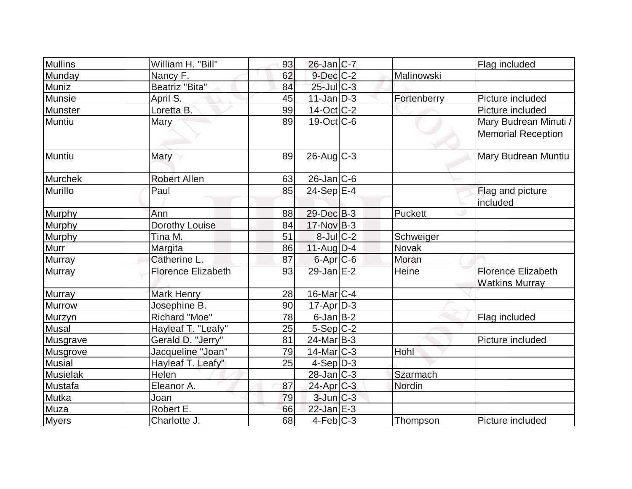| <b>Mullins</b>  | William H. "Bill"         | 93 | $26$ -Jan $ C-7 $        |             | Flag included             |
|-----------------|---------------------------|----|--------------------------|-------------|---------------------------|
| Munday          | Nancy F.                  | 62 | $9$ -Dec $C$ -2          | Malinowski  |                           |
| Muniz           | Beatriz "Bita"            | 84 | $25$ -Jul $C-3$          |             |                           |
| Munsie          | April S.                  | 45 | $11$ -Jan $ D-3 $        | Fortenberry | Picture included          |
| Munster         | Loretta B.                | 99 | $14$ -Oct C-2            |             | Picture included          |
| Muntiu          | <b>Mary</b>               | 89 | $19-Oct$ <sub>C</sub> -6 |             | Mary Budrean Minuti /     |
|                 |                           |    |                          |             | <b>Memorial Reception</b> |
| Muntiu          | Mary                      | 89 | $26$ -Aug C-3            |             | Mary Budrean Muntiu       |
| Murchek         | <b>Robert Allen</b>       | 63 | $26$ -Jan $ C-6 $        |             |                           |
| Murillo         | Paul                      | 85 | $24-Sep$ $E-4$           |             | Flag and picture          |
|                 |                           |    |                          |             | included                  |
| <b>Murphy</b>   | Ann                       | 88 | 29-Dec B-3               | Puckett     |                           |
| Murphy          | Dorothy Louise            | 84 | $17$ -Nov B-3            |             |                           |
| <b>Murphy</b>   | Tina M.                   | 51 | $8$ -Jul $C-2$           | Schweiger   |                           |
| Murr            | Margita                   | 86 | $11-Auq$ D-4             | Novak       |                           |
| Murray          | Catherine L.              | 87 | $6$ -Apr $C$ -6          | Moran       |                           |
| Murray          | <b>Florence Elizabeth</b> | 93 | 29-Jan $E-2$             | Heine       | Florence Elizabeth        |
|                 |                           |    |                          |             | <b>Watkins Murray</b>     |
| <b>Murray</b>   | <b>Mark Henry</b>         | 28 | $16$ -Mar $ C-4 $        |             |                           |
| <b>Murrow</b>   | Josephine B.              | 90 | $17$ -Apr $D-3$          |             |                           |
| Murzyn          | Richard "Moe"             | 78 | $6$ -Jan $B$ -2          |             | Flag included             |
| <b>Musal</b>    | Hayleaf T. "Leafy"        | 25 | $5-Sep C-2$              |             |                           |
| Musgrave        | Gerald D. "Jerry"         | 81 | $24$ -Mar $ B-3 $        |             | Picture included          |
| Musgrove        | Jacqueline "Joan"         | 79 | $14$ -Mar $ C-3 $        | Hohl        |                           |
| <b>Musial</b>   | Hayleaf T. Leafy"         | 25 | $4-Sep D-3$              |             |                           |
| <b>Musielak</b> | Helen                     |    | 28-Jan C-3               | Szarmach    |                           |
| Mustafa         | Eleanor A.                | 87 | 24-Apr C-3               | Nordin      |                           |
| Mutka           | Joan                      | 79 | $3$ -Jun $C-3$           |             |                           |
| Muza            | Robert E.                 | 66 | $22$ -Jan E-3            |             |                           |
| <b>Myers</b>    | Charlotte J.              | 68 | $4-Feb C-3$              | Thompson    | Picture included          |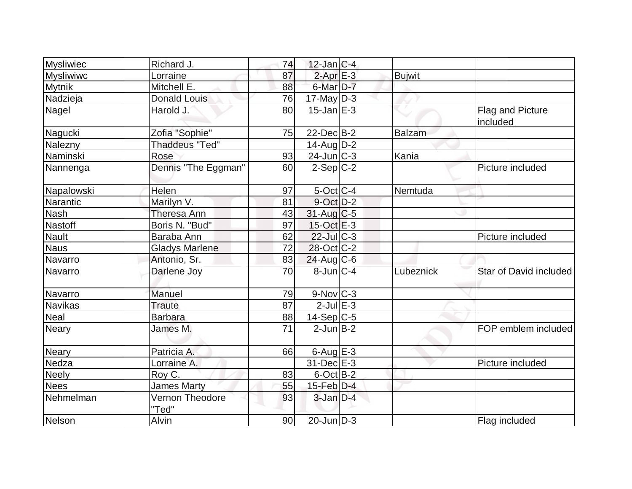| <b>Mysliwiec</b> | Richard J.               | 74 | $12$ -Jan C-4          |               |                              |
|------------------|--------------------------|----|------------------------|---------------|------------------------------|
| <b>Mysliwiwc</b> | Lorraine                 | 87 | $2$ -Apr $E-3$         | <b>Bujwit</b> |                              |
| <b>Mytnik</b>    | Mitchell E.              | 88 | 6-Mar <sub>D-7</sub>   |               |                              |
| Nadzieja         | <b>Donald Louis</b>      | 76 | $17$ -May D-3          |               |                              |
| Nagel            | Harold J.                | 80 | $15$ -Jan $E-3$        |               | Flag and Picture<br>included |
| Nagucki          | Zofia "Sophie"           | 75 | 22-Dec B-2             | Balzam        |                              |
| Nalezny          | <b>Thaddeus "Ted"</b>    |    | $14$ -Aug $D-2$        |               |                              |
| Naminski         | Rose                     | 93 | $24$ -Jun $C-3$        | Kania         |                              |
| Nannenga         | Dennis "The Eggman"      | 60 | $2-Sep C-2$            |               | Picture included             |
| Napalowski       | Helen                    | 97 | $5$ -Oct $C$ -4        | Nemtuda       |                              |
| Narantic         | Marilyn V.               | 81 | $9$ -Oct $D-2$         |               |                              |
| <b>Nash</b>      | Theresa Ann              | 43 | $31$ -Aug C-5          |               |                              |
| <b>Nastoff</b>   | Boris N. "Bud"           | 97 | $15-Oct$ $E-3$         |               |                              |
| <b>Nault</b>     | Baraba Ann               | 62 | $22$ -Jul $C-3$        |               | Picture included             |
| <b>Naus</b>      | <b>Gladys Marlene</b>    | 72 | $28$ -Oct C-2          |               |                              |
| Navarro          | Antonio, Sr.             | 83 | $24$ -Aug C-6          |               |                              |
| Navarro          | Darlene Joy              | 70 | $8$ -Jun $C-4$         | Lubeznick     | Star of David included       |
| Navarro          | Manuel                   | 79 | $9-Nov$ <sub>C-3</sub> |               |                              |
| <b>Navikas</b>   | <b>Traute</b>            | 87 | $2$ -Jul $E-3$         |               |                              |
| <b>Neal</b>      | <b>Barbara</b>           | 88 | $14-Sep C-5$           |               |                              |
| <b>Neary</b>     | James M.                 | 71 | $2$ -Jun $B-2$         |               | FOP emblem included          |
| <b>Neary</b>     | Patricia A.              | 66 | $6$ -Aug $E-3$         |               |                              |
| Nedza            | Lorraine A.              |    | $31$ -Dec $E-3$        |               | Picture included             |
| <b>Neely</b>     | Roy C.                   | 83 | $6$ -Oct $B$ -2        |               |                              |
| <b>Nees</b>      | <b>James Marty</b>       | 55 | $15$ -Feb $D-4$        |               |                              |
| Nehmelman        | Vernon Theodore<br>"Ted" | 93 | $3$ -Jan $D-4$         |               |                              |
| Nelson           | Alvin                    | 90 | $20$ -Jun $D-3$        |               | Flag included                |
|                  |                          |    |                        |               |                              |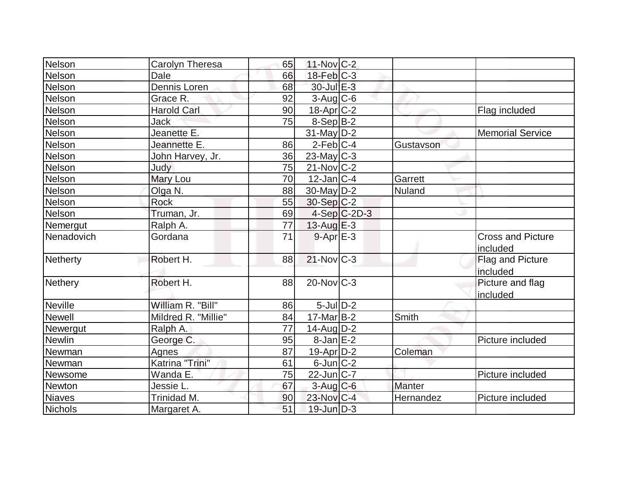| Nelson         | Carolyn Theresa     | 65 | $11-Nov$ C-2      |                |               |                                      |
|----------------|---------------------|----|-------------------|----------------|---------------|--------------------------------------|
| Nelson         | Dale                | 66 | $18$ -Feb $ C-3 $ |                |               |                                      |
| Nelson         | Dennis Loren        | 68 | 30-Jul E-3        |                |               |                                      |
| Nelson         | Grace R.            | 92 | $3$ -Aug C-6      |                |               |                                      |
| Nelson         | <b>Harold Carl</b>  | 90 | $18-Apr$ $C-2$    |                |               | Flag included                        |
| Nelson         | Jack                | 75 | $8-Sep B-2$       |                |               |                                      |
| Nelson         | Jeanette E.         |    | $31$ -May $D-2$   |                |               | <b>Memorial Service</b>              |
| Nelson         | Jeannette E.        | 86 | $2$ -Feb $ C-4 $  |                | Gustavson     |                                      |
| Nelson         | John Harvey, Jr.    | 36 | $23$ -May C-3     |                |               |                                      |
| Nelson         | Judy                | 75 | $21$ -Nov $ C-2 $ |                |               |                                      |
| Nelson         | Mary Lou            | 70 | $12$ -Jan $ C-4 $ |                | Garrett       |                                      |
| Nelson         | Olga N.             | 88 | $30$ -May D-2     |                | Nuland        |                                      |
| Nelson         | <b>Rock</b>         | 55 | $30-Sep C-2$      |                |               |                                      |
| Nelson         | Truman, Jr.         | 69 |                   | $4-Sep C-2D-3$ |               |                                      |
| Nemergut       | Ralph A.            | 77 | 13-Aug $E-3$      |                |               |                                      |
| Nenadovich     | Gordana             | 71 | $9 - Apr$ E-3     |                |               | <b>Cross and Picture</b><br>included |
| Netherty       | Robert H.           | 88 | $21$ -Nov $ C-3 $ |                |               | Flag and Picture<br>included         |
| Nethery        | Robert H.           | 88 | $20$ -Nov $ C-3 $ |                |               | Picture and flag<br>included         |
| <b>Neville</b> | William R. "Bill"   | 86 | $5$ -JulD-2       |                |               |                                      |
| <b>Newell</b>  | Mildred R. "Millie" | 84 | $17$ -Mar B-2     |                | Smith         |                                      |
| Newergut       | Ralph A.            | 77 | $14$ -Aug $D-2$   |                |               |                                      |
| Newlin         | George C.           | 95 | $8$ -Jan $E-2$    |                |               | Picture included                     |
| Newman         | <b>Agnes</b>        | 87 | 19-Apr D-2        |                | Coleman       |                                      |
| Newman         | Katrina "Trini"     | 61 | $6$ -Jun $C-2$    |                |               |                                      |
| Newsome        | Wanda E.            | 75 | $22$ -Jun $ C-7 $ |                |               | Picture included                     |
| Newton         | Jessie L.           | 67 | $3$ -Aug C-6      |                | <b>Manter</b> |                                      |
| <b>Niaves</b>  | Trinidad M.         | 90 | 23-Nov C-4        |                | Hernandez     | Picture included                     |
| Nichols        | Margaret A.         | 51 | $19$ -Jun $D-3$   |                |               |                                      |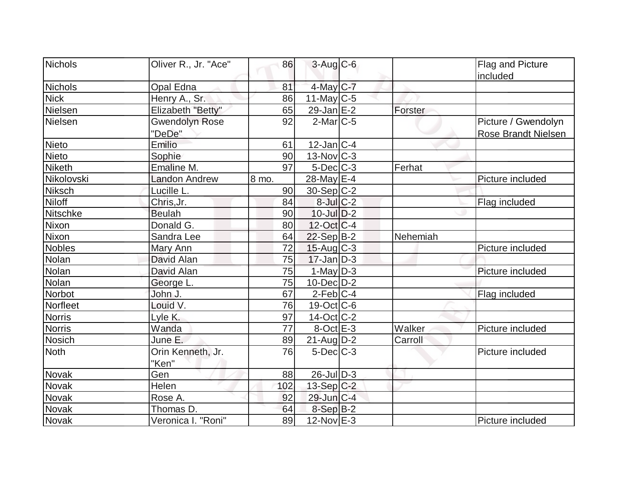| Nichols       | Oliver R., Jr. "Ace"  | 86    | $3-Aug$ $C-6$            |          | Flag and Picture           |
|---------------|-----------------------|-------|--------------------------|----------|----------------------------|
|               |                       |       |                          |          | included                   |
| Nichols       | <b>Opal Edna</b>      | 81    | 4-May C-7                |          |                            |
| <b>Nick</b>   | Henry A., Sr.         | 86    | 11-May C-5               |          |                            |
| Nielsen       | Elizabeth "Betty"     | 65    | $29$ -Jan $E-2$          | Forster  |                            |
| Nielsen       | <b>Gwendolyn Rose</b> | 92    | $2$ -Mar $ C-5 $         |          | Picture / Gwendolyn        |
|               | "DeDe"                |       |                          |          | <b>Rose Brandt Nielsen</b> |
| Nieto         | Emilio                | 61    | $12$ -Jan $ C-4 $        |          |                            |
| Nieto         | Sophie                | 90    | $13$ -Nov $ C-3 $        |          |                            |
| <b>Niketh</b> | Emaline M.            | 97    | $5$ -Dec $C$ -3          | Ferhat   |                            |
| Nikolovski    | <b>Landon Andrew</b>  | 8 mo. | $28$ -May E-4            |          | Picture included           |
| <b>Niksch</b> | Lucille L.            | 90    | $30-Sep C-2$             |          |                            |
| <b>Niloff</b> | Chris, Jr.            | 84    | $8$ -Jul $C-2$           |          | Flag included              |
| Nitschke      | <b>Beulah</b>         | 90    | $10$ -Jul $D-2$          |          |                            |
| Nixon         | Donald G.             | 80    | $12-Oct$ <sub>C</sub> -4 |          |                            |
| Nixon         | Sandra Lee            | 64    | $22-Sep$ B-2             | Nehemiah |                            |
| <b>Nobles</b> | Mary Ann              | 72    | $15$ -Aug C-3            |          | Picture included           |
| Nolan         | David Alan            | 75    | $17$ -Jan D-3            |          |                            |
| Nolan         | David Alan            | 75    | $1$ -May $D-3$           |          | Picture included           |
| Nolan         | George L.             | 75    | $10$ -Dec $ D-2 $        |          |                            |
| Norbot        | John J.               | 67    | $2$ -Feb $ C-4$          |          | Flag included              |
| Norfleet      | Louid V.              | 76    | $19-Oct$ $C-6$           |          |                            |
| <b>Norris</b> | Lyle K.               | 97    | $14$ -Oct $ C-2 $        |          |                            |
| <b>Norris</b> | Wanda                 | 77    | $8$ -Oct $E - 3$         | Walker   | Picture included           |
| Nosich        | June E.               | 89    | $21$ -Aug $D-2$          | Carroll  |                            |
| Noth          | Orin Kenneth, Jr.     | 76    | $5$ -Dec $C$ -3          |          | Picture included           |
|               | "Ken"                 |       |                          |          |                            |
| Novak         | Gen                   | 88    | $26$ -JulD-3             |          |                            |
| Novak         | Helen                 | 102   | $13-Sep C-2$             |          |                            |
| Novak         | Rose A.               | 92    | 29-Jun C-4               |          |                            |
| <b>Novak</b>  | Thomas D.             | 64    | $8-Sep B-2$              |          |                            |
| Novak         | Veronica I. "Roni"    | 89    | $12$ -Nov $E-3$          |          | Picture included           |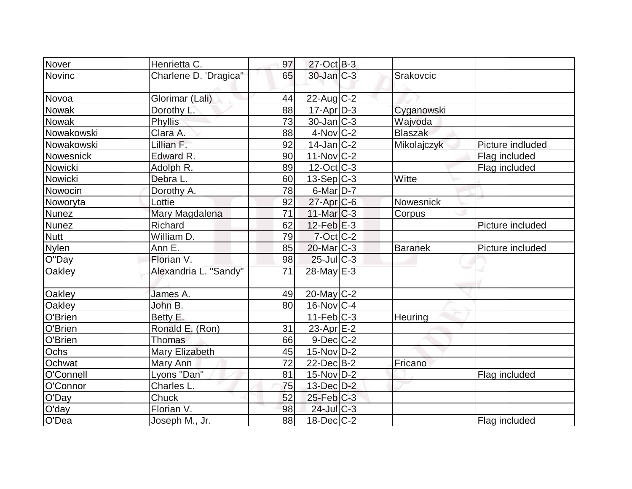| Nover         | Henrietta C.          | 97 | $27$ -Oct B-3     |                |                  |
|---------------|-----------------------|----|-------------------|----------------|------------------|
| <b>Novinc</b> | Charlene D. 'Dragica" | 65 | $30$ -Jan $ C-3 $ | Srakovcic      |                  |
|               |                       |    |                   |                |                  |
| <b>Novoa</b>  | Glorimar (Lali)       | 44 | $22$ -Aug C-2     |                |                  |
| Nowak         | Dorothy L.            | 88 | $17$ -Apr $ D-3 $ | Cyganowski     |                  |
| Nowak         | <b>Phyllis</b>        | 73 | $30 - Jan$ $C-3$  | Wajvoda        |                  |
| Nowakowski    | Clara A.              | 88 | $4$ -Nov $ C-2 $  | <b>Blaszak</b> |                  |
| Nowakowski    | Lillian F.            | 92 | $14$ -Jan $ C-2 $ | Mikolajczyk    | Picture indluded |
| Nowesnick     | Edward R.             | 90 | $11-Nov$ C-2      |                | Flag included    |
| Nowicki       | Adolph R.             | 89 | $12$ -Oct $ C-3 $ |                | Flag included    |
| Nowicki       | Debra L.              | 60 | $13-Sep C-3$      | Witte          |                  |
| Nowocin       | Dorothy A.            | 78 | $6$ -Mar $D-7$    |                |                  |
| Noworyta      | Lottie                | 92 | $27$ -Apr $C$ -6  | Nowesnick      |                  |
| Nunez         | Mary Magdalena        | 71 | $11$ -Mar $C-3$   | Corpus         |                  |
| <b>Nunez</b>  | Richard               | 62 | $12$ -Feb $E-3$   |                | Picture included |
| <b>Nutt</b>   | William D.            | 79 | $7$ -Oct C-2      |                |                  |
| Nylen         | Ann E.                | 85 | $20$ -Mar $C-3$   | <b>Baranek</b> | Picture included |
| O"Day         | Florian V.            | 98 | $25$ -Jul $C-3$   |                |                  |
| Oakley        | Alexandria L. "Sandy" | 71 | 28-May E-3        |                |                  |
|               |                       |    |                   |                |                  |
| <b>Oakley</b> | James A.              | 49 | 20-May C-2        |                |                  |
| <b>Oakley</b> | John B.               | 80 | $16$ -Nov $ C-4$  |                |                  |
| O'Brien       | Betty E.              |    | $11-Feb$ C-3      | Heuring        |                  |
| O'Brien       | Ronald E. (Ron)       | 31 | $23$ -Apr $E-2$   |                |                  |
| O'Brien       | Thomas                | 66 | $9$ -Dec $C$ -2   |                |                  |
| Ochs          | <b>Mary Elizabeth</b> | 45 | $15$ -Nov $D-2$   |                |                  |
| Ochwat        | Mary Ann              | 72 | $22$ -Dec $B-2$   | Fricano        |                  |
| O'Connell     | Lyons "Dan"           | 81 | $15$ -Nov $ D-2 $ |                | Flag included    |
| O'Connor      | Charles L.            | 75 | $13$ -Dec $D-2$   |                |                  |
| O'Day         | Chuck                 | 52 | $25$ -Feb $C-3$   |                |                  |
| O'day         | Florian V.            | 98 | 24-Jul C-3        |                |                  |
| O'Dea         | Joseph M., Jr.        | 88 | $18$ -Dec $ C-2 $ |                | Flag included    |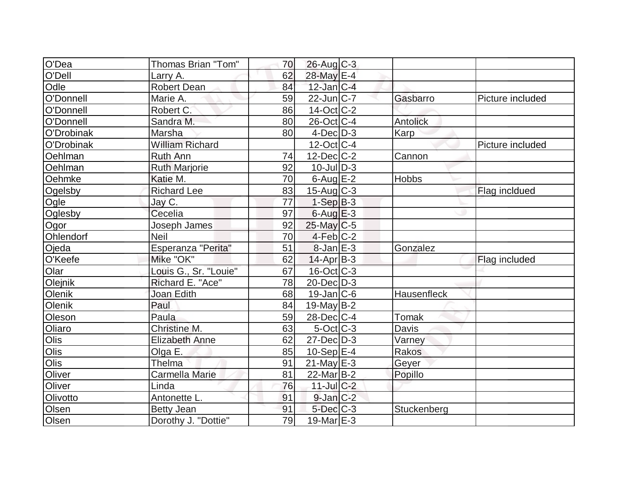| O'Dea      | <b>Thomas Brian "Tom"</b> | 70 | $26$ -Aug C-3          |                    |                  |
|------------|---------------------------|----|------------------------|--------------------|------------------|
| O'Dell     | Larry A.                  | 62 | 28-May E-4             |                    |                  |
| Odle       | <b>Robert Dean</b>        | 84 | $12$ -Jan $ C-4 $      |                    |                  |
| O'Donnell  | Marie A.                  | 59 | $22$ -Jun $ C-7 $      | Gasbarro           | Picture included |
| O'Donnell  | Robert C.                 | 86 | $14-Oct$ $C-2$         |                    |                  |
| O'Donnell  | Sandra M.                 | 80 | 26-Oct C-4             | <b>Antolick</b>    |                  |
| O'Drobinak | Marsha                    | 80 | $4$ -Dec $D-3$         | Karp               |                  |
| O'Drobinak | <b>William Richard</b>    |    | $12$ -Oct C-4          |                    | Picture included |
| Oehlman    | Ruth Ann                  | 74 | $12$ -Dec $ C-2 $      | Cannon             |                  |
| Oehlman    | <b>Ruth Marjorie</b>      | 92 | $10$ -JulD-3           |                    |                  |
| Oehmke     | Katie M.                  | 70 | $6$ -Aug $E-2$         | <b>Hobbs</b>       |                  |
| Ogelsby    | <b>Richard Lee</b>        | 83 | $15$ -Aug C-3          |                    | Flag incldued    |
| Ogle       | Jay C.                    | 77 | $1-SepB-3$             |                    |                  |
| Oglesby    | Cecelia                   | 97 | $6$ -AuglE-3           |                    |                  |
| Ogor       | Joseph James              | 92 | $25$ -May C-5          |                    |                  |
| Ohlendorf  | <b>Neil</b>               | 70 | $4-Feb$ <sub>C-2</sub> |                    |                  |
| Ojeda      | Esperanza "Perita"        | 51 | $8$ -Jan $E-3$         | Gonzalez           |                  |
| O'Keefe    | Mike "OK"                 | 62 | $14-Apr B-3$           |                    | Flag included    |
| Olar       | Louis G., Sr. "Louie"     | 67 | $16$ -Oct $ C-3 $      |                    |                  |
| Olejnik    | Richard E. "Ace"          | 78 | $20$ -Dec $D-3$        |                    |                  |
| Olenik     | Joan Edith                | 68 | $19$ -Jan $ C$ -6      | <b>Hausenfleck</b> |                  |
| Olenik     | Paul                      | 84 | $19$ -May B-2          |                    |                  |
| Oleson     | Paula                     | 59 | $28$ -Dec $C$ -4       | Tomak              |                  |
| Oliaro     | Christine M.              | 63 | $5$ -Oct $ C-3 $       | Davis              |                  |
| Olis       | <b>Elizabeth Anne</b>     | 62 | $27 - Dec$ $D-3$       | Varney             |                  |
| Olis       | Olga E.                   | 85 | $10-Sep$ $E-4$         | Rakos              |                  |
| Olis       | Thelma                    | 91 | $21$ -May $E-3$        | Geyer              |                  |
| Oliver     | Carmella Marie            | 81 | $22$ -Mar $B-2$        | Popillo            |                  |
| Oliver     | Linda                     | 76 | $11$ -Jul C-2          |                    |                  |
| Olivotto   | Antonette L.              | 91 | $9$ -Jan $ C-2 $       |                    |                  |
| Olsen      | <b>Betty Jean</b>         | 91 | $5$ -Dec $C$ -3        | Stuckenberg        |                  |
| Olsen      | Dorothy J. "Dottie"       | 79 | $19$ -Mar $E-3$        |                    |                  |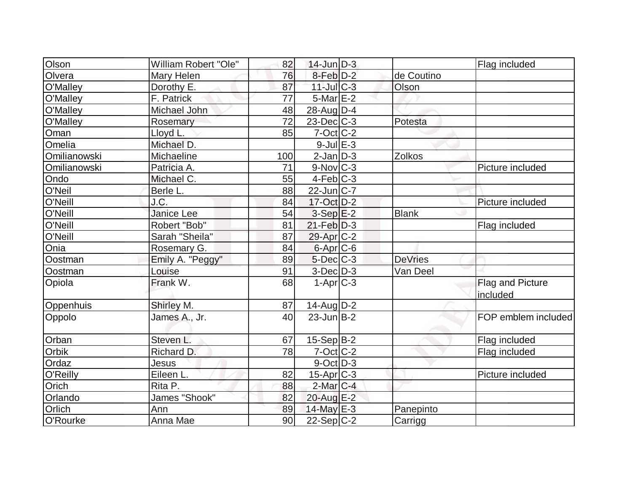| Olson        | <b>William Robert "Ole"</b> | 82  | $14$ -Jun $D-3$        |                | Flag included       |
|--------------|-----------------------------|-----|------------------------|----------------|---------------------|
| Olvera       | Mary Helen                  | 76  | $8$ -Feb $D-2$         | de Coutino     |                     |
| O'Malley     | Dorothy E.                  | 87  | $11$ -Jul $C-3$        | Olson          |                     |
| O'Malley     | F. Patrick                  | 77  | $5-Mar$ $E-2$          |                |                     |
| O'Malley     | Michael John                | 48  | $28$ -AugD-4           |                |                     |
| O'Malley     | Rosemary                    | 72  | $23$ -Dec $ C-3 $      | Potesta        |                     |
| Oman         | Lloyd L.                    | 85  | $7$ -Oct $ C$ -2       |                |                     |
| Omelia       | Michael D.                  |     | $9$ -Jul $E-3$         |                |                     |
| Omilianowski | Michaeline                  | 100 | $2$ -Jan $D-3$         | Zolkos         |                     |
| Omilianowski | Patricia A.                 | 71  | $9-Nov$ <sub>C-3</sub> |                | Picture included    |
| Ondo         | Michael C.                  | 55  | $4-Feb C-3$            |                |                     |
| O'Neil       | Berle L.                    | 88  | $22$ -Jun $ C-7 $      |                |                     |
| O'Neill      | J.C.                        | 84  | 17-Oct D-2             |                | Picture included    |
| O'Neill      | <b>Janice Lee</b>           | 54  | $3-Sep$ $E-2$          | <b>Blank</b>   |                     |
| O'Neill      | Robert "Bob"                | 81  | $21$ -Feb $D-3$        |                | Flag included       |
| O'Neill      | Sarah "Sheila"              | 87  | 29-Apr C-2             |                |                     |
| Onia         | Rosemary G.                 | 84  | $6$ -Apr $C$ -6        |                |                     |
| Oostman      | Emily A. "Peggy"            | 89  | $5$ -Dec $C$ -3        | <b>DeVries</b> |                     |
| Oostman      | Louise                      | 91  | $3$ -Dec $D-3$         | Van Deel       |                     |
| Opiola       | Frank W.                    | 68  | $1-Apr$ $C-3$          |                | Flag and Picture    |
|              |                             |     |                        |                | included            |
| Oppenhuis    | Shirley M.                  | 87  | $14$ -Aug $D-2$        |                |                     |
| Oppolo       | James A., Jr.               | 40  | $23$ -Jun $B-2$        |                | FOP emblem included |
| Orban        | Steven L.                   | 67  | $15-Sep B-2$           |                | Flag included       |
| Orbik        | Richard D.                  | 78  | $7$ -Oct $C$ -2        |                | Flag included       |
| Ordaz        | Jesus                       |     | $9$ -Oct $D-3$         |                |                     |
| O'Reilly     | Eileen L.                   | 82  | $15$ -Apr $ C-3 $      |                | Picture included    |
| Orich        | Rita P.                     | 88  | $2$ -Mar $C-4$         |                |                     |
| Orlando      | James "Shook"               | 82  | 20-Aug E-2             |                |                     |
| Orlich       | Ann                         | 89  | $14$ -May E-3          | Panepinto      |                     |
| O'Rourke     | Anna Mae                    | 90  | 22-Sep C-2             | Carrigg        |                     |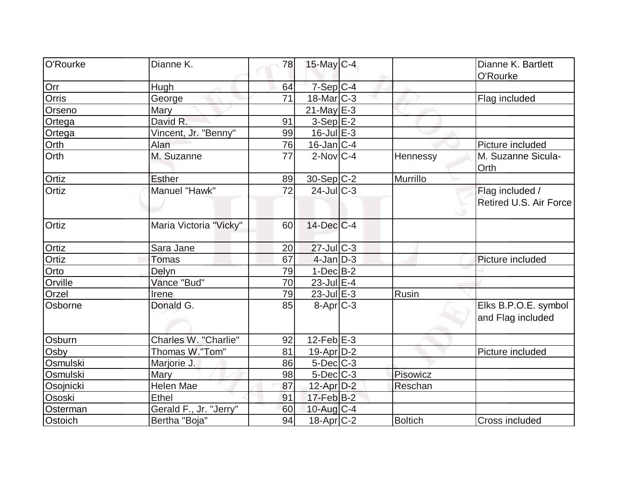| O'Rourke     | Dianne K.              | 78 | $15$ -May C-4     |          | Dianne K. Bartlett         |
|--------------|------------------------|----|-------------------|----------|----------------------------|
|              |                        |    |                   |          | O'Rourke                   |
| Orr          | Hugh                   | 64 | $7-Sep$ $C-4$     |          |                            |
| <b>Orris</b> | George                 | 71 | $18$ -Mar $ C-3 $ |          | Flag included              |
| Orseno       | Mary                   |    | $21$ -May E-3     |          |                            |
| Ortega       | David R.               | 91 | $3-Sep$ $E-2$     |          |                            |
| Ortega       | Vincent, Jr. "Benny"   | 99 | $16$ -Jul $E-3$   |          |                            |
| Orth         | Alan                   | 76 | $16$ -Jan $ C-4 $ |          | Picture included           |
| Orth         | M. Suzanne             | 77 | $2$ -Nov $ C-4 $  | Hennessy | M. Suzanne Sicula-<br>Orth |
| Ortiz        | <b>Esther</b>          | 89 | $30-Sep C-2$      | Murrillo |                            |
| Ortiz        | Manuel "Hawk"          | 72 | $24$ -JulC-3      |          | Flag included /            |
|              |                        |    |                   |          | Retired U.S. Air Force     |
| Ortiz        | Maria Victoria "Vicky" | 60 | $14$ -Dec $C-4$   |          |                            |
| Ortiz        | Sara Jane              | 20 | $27$ -JulC-3      |          |                            |
| Ortiz        | <b>Tomas</b>           | 67 | $4$ -Jan $D-3$    |          | Picture included           |
| Orto         | Delyn                  | 79 | $1-Dec$ B-2       |          |                            |
| Orville      | Vance "Bud"            | 70 | $23$ -Jul $E-4$   |          |                            |
| Orzel        | Irene                  | 79 | $23$ -Jul $E-3$   | Rusin    |                            |
| Osborne      | Donald G.              | 85 | $8-Apr$ $C-3$     |          | Elks B.P.O.E. symbol       |
|              |                        |    |                   |          | and Flag included          |
| Osburn       | Charles W. "Charlie"   | 92 | $12$ -Feb $E-3$   |          |                            |
| Osby         | Thomas W."Tom"         | 81 | 19-Apr D-2        |          | Picture included           |
| Osmulski     | Marjorie J.            | 86 | $5$ -Dec $C$ -3   |          |                            |
| Osmulski     | Mary                   | 98 | $5$ -Dec $C$ -3   | Pisowicz |                            |
| Osojnicki    | Helen Mae              | 87 | $12$ -Apr $D-2$   | Reschan  |                            |
| Ososki       | Ethel                  | 91 | $17$ -Feb $ B-2 $ |          |                            |
| Osterman     | Gerald F., Jr. "Jerry" | 60 | 10-Aug C-4        |          |                            |
| Ostoich      | Bertha "Boja"          | 94 | $18$ -Apr $ C-2 $ | Boltich  | Cross included             |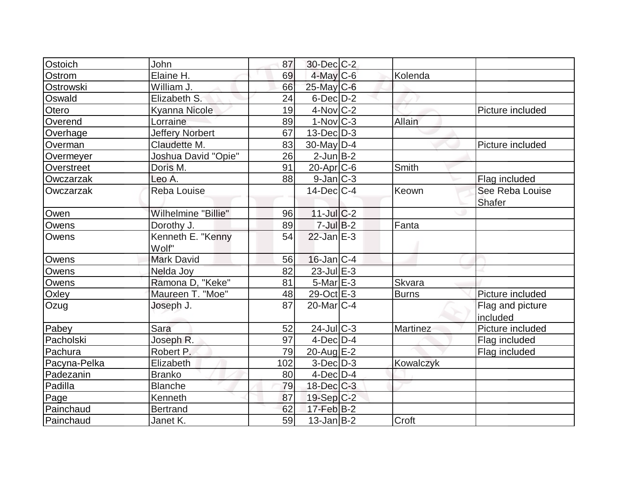| Ostoich      | John                   | 87  | 30-Dec C-2             |              |                  |
|--------------|------------------------|-----|------------------------|--------------|------------------|
| Ostrom       | Elaine H.              | 69  | $4$ -May C-6           | Kolenda      |                  |
| Ostrowski    | William J.             | 66  | 25-May C-6             |              |                  |
| Oswald       | Elizabeth S.           | 24  | $6$ -Dec $D-2$         |              |                  |
| Otero        | Kyanna Nicole          | 19  | $4$ -Nov $ C-2 $       |              | Picture included |
| Overend      | Lorraine               | 89  | $1-Nov$ <sub>C-3</sub> | Allain       |                  |
| Overhage     | <b>Jeffery Norbert</b> | 67  | $13$ -Dec $D-3$        |              |                  |
| Overman      | Claudette M.           | 83  | $30$ -May D-4          |              | Picture included |
| Overmeyer    | Joshua David "Opie"    | 26  | $2$ -Jun $B-2$         |              |                  |
| Overstreet   | Doris M.               | 91  | $20$ -Apr $C$ -6       | Smith        |                  |
| Owczarzak    | Leo A.                 | 88  | $9$ -Jan $ C-3 $       |              | Flag included    |
| Owczarzak    | <b>Reba Louise</b>     |     | $14$ -Dec $C-4$        | Keown        | See Reba Louise  |
|              |                        |     |                        |              | Shafer           |
| Owen         | Wilhelmine "Billie"    | 96  | $11$ -Jul $C-2$        |              |                  |
| Owens        | Dorothy J.             | 89  | $7$ -Jul B-2           | Fanta        |                  |
| Owens        | Kenneth E. "Kenny      | 54  | $22$ -Jan $E-3$        |              |                  |
|              | Wolf"                  |     |                        |              |                  |
| Owens        | <b>Mark David</b>      | 56  | $16$ -Jan $ C-4 $      |              |                  |
| Owens        | Nelda Joy              | 82  | $23$ -Jul $E-3$        |              |                  |
| Owens        | Ramona D, "Keke"       | 81  | $5$ -Mar $E-3$         | Skvara       |                  |
| Oxley        | Maureen T. "Moe"       | 48  | 29-Oct E-3             | <b>Burns</b> | Picture included |
| Ozug         | Joseph J.              | 87  | $20$ -Mar $C-4$        |              | Flag and picture |
|              |                        |     |                        |              | included         |
| Pabey        | Sara                   | 52  | $24$ -Jul $C-3$        | Martinez     | Picture included |
| Pacholski    | Joseph R.              | 97  | $4$ -Dec $D-4$         |              | Flag included    |
| Pachura      | Robert P.              | 79  | 20-Aug E-2             |              | Flag included    |
| Pacyna-Pelka | Elizabeth              | 102 | $3-Dec D-3$            | Kowalczyk    |                  |
| Padezanin    | <b>Branko</b>          | 80  | $4$ -Dec $ D-4$        |              |                  |
| Padilla      | <b>Blanche</b>         | 79  | $18$ -Dec $C-3$        |              |                  |
| Page         | Kenneth                | 87  | $19-Sep C-2$           |              |                  |
| Painchaud    | <b>Bertrand</b>        | 62  | $17$ -Feb $B$ -2       |              |                  |
| Painchaud    | Janet K.               | 59  | $13$ -Jan $ B-2 $      | Croft        |                  |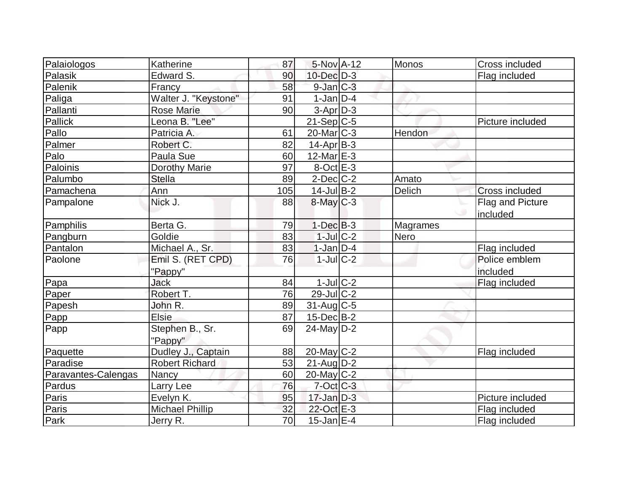| Palaiologos         | Katherine              | 87  | 5-Nov A-12        | Monos    | Cross included   |
|---------------------|------------------------|-----|-------------------|----------|------------------|
| Palasik             | Edward S.              | 90  | $10$ -Dec $D-3$   |          | Flag included    |
| Palenik             | Francy                 | 58  | $9$ -Jan $C-3$    |          |                  |
| Paliga              | Walter J. "Keystone"   | 91  | $1-Jan D-4$       |          |                  |
| Pallanti            | <b>Rose Marie</b>      | 90  | $3-Apr D-3$       |          |                  |
| Pallick             | Leona B. "Lee"         |     | $21-Sep C-5$      |          | Picture included |
| Pallo               | Patricia A.            | 61  | $20$ -Mar $ C-3 $ | Hendon   |                  |
| Palmer              | Robert C.              | 82  | $14$ -Apr $ B-3 $ |          |                  |
| Palo                | Paula Sue              | 60  | 12-Mar $E-3$      |          |                  |
| Paloinis            | <b>Dorothy Marie</b>   | 97  | $8$ -Oct $E-3$    |          |                  |
| Palumbo             | <b>Stella</b>          | 89  | $2$ -Dec $C$ -2   | Amato    |                  |
| Pamachena           | Ann                    | 105 | $14$ -Jul B-2     | Delich   | Cross included   |
| Pampalone           | Nick J.                | 88  | $8$ -May $C-3$    |          | Flag and Picture |
|                     |                        |     |                   |          | included         |
| Pamphilis           | Berta G.               | 79  | $1-Dec$ $B-3$     | Magrames |                  |
| Pangburn            | Goldie                 | 83  | $1$ -Jul $C-2$    | Nero     |                  |
| Pantalon            | Michael A., Sr.        | 83  | $1-Jan$ D-4       |          | Flag included    |
| Paolone             | Emil S. (RET CPD)      | 76  | $1$ -JulC-2       |          | Police emblem    |
|                     | "Pappy"                |     |                   |          | included         |
| Papa                | Jack                   | 84  | $1$ -Jul $C-2$    |          | Flag included    |
| Paper               | Robert T.              | 76  | $29$ -Jul $C-2$   |          |                  |
| Papesh              | John R.                | 89  | $31$ -Aug $C$ -5  |          |                  |
| Papp                | <b>Elsie</b>           | 87  | $15$ -Dec $B$ -2  |          |                  |
| Papp                | Stephen B., Sr.        | 69  | $24$ -May D-2     |          |                  |
|                     | "Pappy"                |     |                   |          |                  |
| Paquette            | Dudley J., Captain     | 88  | 20-May C-2        |          | Flag included    |
| Paradise            | <b>Robert Richard</b>  | 53  | $21$ -Aug $D-2$   |          |                  |
| Paravantes-Calengas | Nancy                  | 60  | 20-May C-2        |          |                  |
| Pardus              | Larry Lee              | 76  | $7$ -Oct C-3      |          |                  |
| Paris               | Evelyn K.              | 95  | $17$ -Jan $D-3$   |          | Picture included |
| Paris               | <b>Michael Phillip</b> | 32  | 22-Oct E-3        |          | Flag included    |
| Park                | Jerry R.               | 70  | $15$ -Jan $E-4$   |          | Flag included    |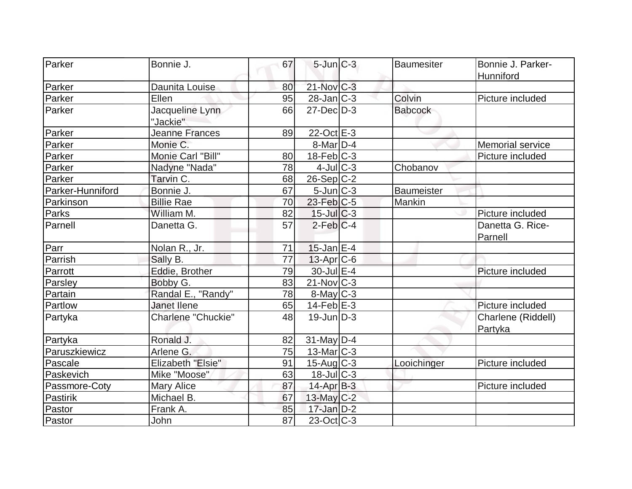| Parker           | Bonnie J.                 | 67 | $5$ -Jun $C-3$           | <b>Baumesiter</b> | Bonnie J. Parker-  |
|------------------|---------------------------|----|--------------------------|-------------------|--------------------|
|                  |                           |    |                          |                   | Hunniford          |
| Parker           | Daunita Louise            | 80 | $21-Nov$ <sub>C-3</sub>  |                   |                    |
| Parker           | Ellen                     | 95 | $28$ -Jan $ C-3 $        | Colvin            | Picture included   |
| Parker           | Jacqueline Lynn           | 66 | $27$ -Dec $D-3$          | <b>Babcock</b>    |                    |
|                  | "Jackie"                  |    |                          |                   |                    |
| Parker           | <b>Jeanne Frances</b>     | 89 | 22-Oct E-3               |                   |                    |
| Parker           | Monie C.                  |    | $8$ -Mar $D-4$           |                   | Memorial service   |
| Parker           | Monie Carl "Bill"         | 80 | $18$ -Feb $ C-3 $        |                   | Picture included   |
| Parker           | Nadyne "Nada"             | 78 | $4$ -Jul $C-3$           | Chobanov          |                    |
| Parker           | Tarvin C.                 | 68 | $26-Sep C-2$             |                   |                    |
| Parker-Hunniford | Bonnie J.                 | 67 | $5$ -Jun $C-3$           | <b>Baumeister</b> |                    |
| Parkinson        | <b>Billie Rae</b>         | 70 | $23$ -Feb $ C-5$         | Mankin            |                    |
| Parks            | William M.                | 82 | $15$ -Jul $C-3$          |                   | Picture included   |
| Parnell          | Danetta G.                | 57 | $2$ -Feb $ C-4 $         |                   | Danetta G. Rice-   |
|                  |                           |    |                          |                   | Parnell            |
| Parr             | Nolan R., Jr.             | 71 | $15$ -Jan $E-4$          |                   |                    |
| Parrish          | Sally B.                  | 77 | $13$ -Apr $ C$ -6        |                   |                    |
| Parrott          | Eddie, Brother            | 79 | $30$ -Jul $E-4$          |                   | Picture included   |
| Parsley          | Bobby G.                  | 83 | $21$ -Nov $ C-3 $        |                   |                    |
| Partain          | Randal E., "Randy"        | 78 | $8$ -May $C$ -3          |                   |                    |
| Partlow          | <b>Janet Ilene</b>        | 65 | $14$ -Feb $E-3$          |                   | Picture included   |
| Partyka          | <b>Charlene "Chuckie"</b> | 48 | $19$ -Jun $D-3$          |                   | Charlene (Riddell) |
|                  |                           |    |                          |                   | Partyka            |
| Partyka          | Ronald J.                 | 82 | $31$ -May D-4            |                   |                    |
| Paruszkiewicz    | Arlene G.                 | 75 | 13-Mar C-3               |                   |                    |
| Pascale          | <b>Elizabeth "Elsie"</b>  | 91 | $15$ -Aug C-3            | Looichinger       | Picture included   |
| Paskevich        | Mike "Moose"              | 63 | $18$ -Jul $ C-3 $        |                   |                    |
| Passmore-Coty    | <b>Mary Alice</b>         | 87 | $14$ -Apr $B-3$          |                   | Picture included   |
| Pastirik         | Michael B.                | 67 | 13-May C-2               |                   |                    |
| Pastor           | Frank A.                  | 85 | $17$ -Jan D-2            |                   |                    |
| Pastor           | John                      | 87 | $23-Oct$ <sub>C</sub> -3 |                   |                    |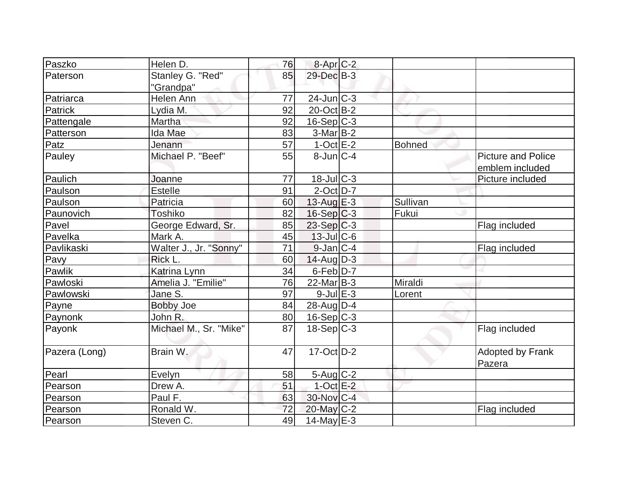| Paszko        | Helen D.               | 76 | 8-Apr <sub>IC</sub> -2 |          |                           |
|---------------|------------------------|----|------------------------|----------|---------------------------|
| Paterson      | Stanley G. "Red"       | 85 | 29-Dec B-3             |          |                           |
|               | "Grandpa"              |    |                        |          |                           |
| Patriarca     | Helen Ann              | 77 | $24$ -Jun $ C-3 $      |          |                           |
| Patrick       | Lydia M.               | 92 | 20-Oct B-2             |          |                           |
| Pattengale    | Martha                 | 92 | $16-Sep C-3$           |          |                           |
| Patterson     | Ida Mae                | 83 | $3-Mar$ B-2            |          |                           |
| Patz          | Jenann                 | 57 | $1-Oct$ E-2            | Bohned   |                           |
| Pauley        | Michael P. "Beef"      | 55 | $8$ -Jun $C-4$         |          | <b>Picture and Police</b> |
|               |                        |    |                        |          | emblem included           |
| Paulich       | Joanne                 | 77 | $18$ -Jul $C-3$        |          | Picture included          |
| Paulson       | Estelle                | 91 | $2$ -Oct $D-7$         |          |                           |
| Paulson       | Patricia               | 60 | 13-Aug $E-3$           | Sullivan |                           |
| Paunovich     | Toshiko                | 82 | $16-Sep C-3$           | Fukui    |                           |
| Pavel         | George Edward, Sr.     | 85 | $23-Sep C-3$           |          | Flag included             |
| Pavelka       | Mark A.                | 45 | $13$ -JulC-6           |          |                           |
| Pavlikaski    | Walter J., Jr. "Sonny" | 71 | $9$ -Jan $ C-4 $       |          | Flag included             |
| Pavy          | Rick L.                | 60 | $14$ -Aug $D-3$        |          |                           |
| Pawlik        | Katrina Lynn           | 34 | 6-Feb D-7              |          |                           |
| Pawloski      | Amelia J. "Emilie"     | 76 | $22$ -Mar $B-3$        | Miraldi  |                           |
| Pawlowski     | Jane S.                | 97 | $9$ -Jul $E-3$         | Lorent   |                           |
| Payne         | <b>Bobby Joe</b>       | 84 | 28-Aug $D-4$           |          |                           |
| Paynonk       | John R.                | 80 | $16-Sep$ C-3           |          |                           |
| Payonk        | Michael M., Sr. "Mike" | 87 | $18-Sep C-3$           |          | Flag included             |
|               |                        |    |                        |          |                           |
| Pazera (Long) | Brain W.               | 47 | $17-Oct$ D-2           |          | Adopted by Frank          |
|               |                        |    |                        |          | Pazera                    |
| Pearl         | Evelyn                 | 58 | $5 - Aug   C-2$        |          |                           |
| Pearson       | Drew A.                | 51 | $1$ -Oct E-2           |          |                           |
| Pearson       | Paul F.                | 63 | 30-Nov C-4             |          |                           |
| Pearson       | Ronald W.              | 72 | 20-May C-2             |          | Flag included             |
| Pearson       | Steven C.              | 49 | 14-May $E-3$           |          |                           |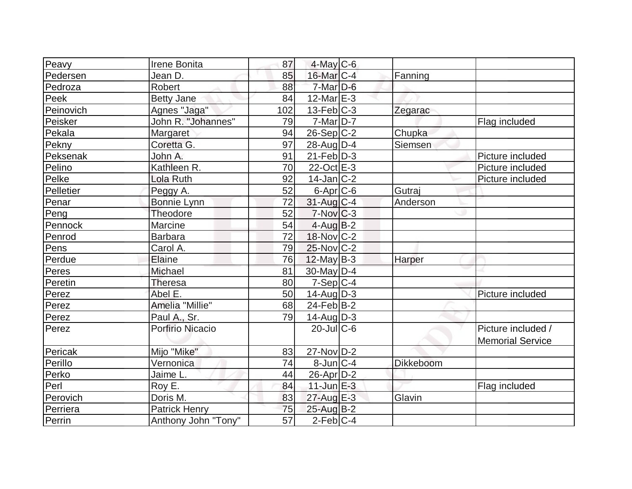| Peavy     | Irene Bonita         | 87  | $4$ -May C-6            |           |                         |
|-----------|----------------------|-----|-------------------------|-----------|-------------------------|
| Pedersen  | Jean D.              | 85  | $16$ -Mar $ C-4 $       | Fanning   |                         |
| Pedroza   | Robert               | 88  | $7$ -Mar $D-6$          |           |                         |
| Peek      | <b>Betty Jane</b>    | 84  | $12$ -Mar $E-3$         |           |                         |
| Peinovich | Agnes "Jaga"         | 102 | $13$ -Feb $C-3$         | Zegarac   |                         |
| Peisker   | John R. "Johannes"   | 79  | $7-Mar$ D-7             |           | Flag included           |
| Pekala    | Margaret             | 94  | $26-Sep C-2$            | Chupka    |                         |
| Pekny     | Coretta G.           | 97  | $28$ -AugD-4            | Siemsen   |                         |
| Peksenak  | John A.              | 91  | $21$ -Feb $ D-3$        |           | Picture included        |
| Pelino    | Kathleen R.          | 70  | $22$ -Oct $E-3$         |           | Picture included        |
| Pelke     | Lola Ruth            | 92  | $14$ -Jan $ C-2 $       |           | Picture included        |
| Pelletier | Peggy A.             | 52  | $6 - Apr$ $C - 6$       | Gutraj    |                         |
| Penar     | Bonnie Lynn          | 72  | $31$ -Aug C-4           | Anderson  |                         |
| Peng      | Theodore             | 52  | $7-Nov$ <sub>C</sub> -3 |           |                         |
| Pennock   | Marcine              | 54  | $4$ -Aug $B-2$          |           |                         |
| Penrod    | <b>Barbara</b>       | 72  | 18-Nov C-2              |           |                         |
| Pens      | Carol A.             | 79  | 25-Nov C-2              |           |                         |
| Perdue    | Elaine               | 76  | $12$ -May B-3           | Harper    |                         |
| Peres     | Michael              | 81  | 30-May D-4              |           |                         |
| Peretin   | <b>Theresa</b>       | 80  | $7-Sep C-4$             |           |                         |
| Perez     | Abel E.              | 50  | $14$ -Aug $D-3$         |           | Picture included        |
| Perez     | Amelia "Millie"      | 68  | $24$ -Feb $ B-2 $       |           |                         |
| Perez     | Paul A., Sr.         | 79  | $14$ -Aug $ D-3 $       |           |                         |
| Perez     | Porfirio Nicacio     |     | $20$ -JulC-6            |           | Picture included /      |
|           |                      |     |                         |           | <b>Memorial Service</b> |
| Pericak   | Mijo "Mike"          | 83  | $27$ -Nov $ D-2 $       |           |                         |
| Perillo   | Vernonica            | 74  | $8$ -Jun $C-4$          | Dikkeboom |                         |
| Perko     | Jaime L.             | 44  | $26$ -Apr $ D-2 $       |           |                         |
| Perl      | Roy E.               | 84  | $11$ -Jun $E-3$         |           | Flag included           |
| Perovich  | Doris M.             | 83  | $27$ -Aug $E-3$         | Glavin    |                         |
| Perriera  | <b>Patrick Henry</b> | 75  | 25-Aug B-2              |           |                         |
| Perrin    | Anthony John "Tony"  | 57  | $2$ -Feb $ C-4$         |           |                         |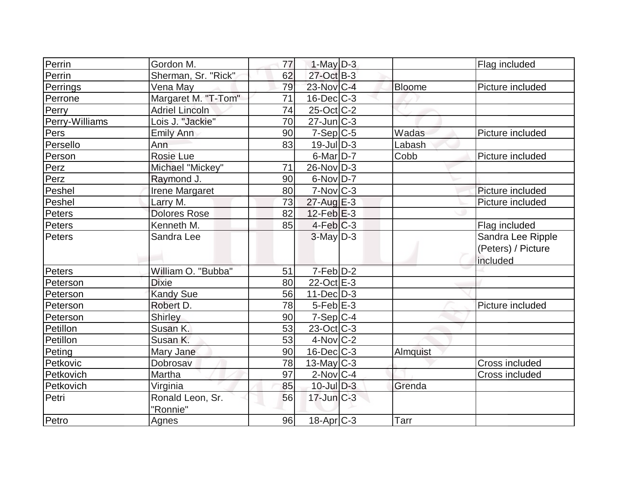| Perrin         | Gordon M.             | 77 | $1$ -May $D-3$    |               | Flag included      |
|----------------|-----------------------|----|-------------------|---------------|--------------------|
| Perrin         | Sherman, Sr. "Rick"   | 62 | $27$ -Oct B-3     |               |                    |
| Perrings       | Vena May              | 79 | 23-Nov C-4        | <b>Bloome</b> | Picture included   |
| Perrone        | Margaret M. "T-Tom"   | 71 | $16$ -Dec $C$ -3  |               |                    |
| Perry          | <b>Adriel Lincoln</b> | 74 | $25$ -Oct $ C-2 $ |               |                    |
| Perry-Williams | Lois J. "Jackie"      | 70 | $27$ -Jun $C-3$   |               |                    |
| Pers           | <b>Emily Ann</b>      | 90 | $7-Sep C-5$       | Wadas         | Picture included   |
| Persello       | Ann                   | 83 | $19$ -Jul $D-3$   | Labash        |                    |
| Person         | <b>Rosie Lue</b>      |    | $6$ -Mar $D-7$    | Cobb          | Picture included   |
| Perz           | Michael "Mickey"      | 71 | $26$ -Nov $ D-3 $ |               |                    |
| Perz           | Raymond J.            | 90 | $6$ -Nov $D-7$    |               |                    |
| Peshel         | Irene Margaret        | 80 | $7-Nov$ $C-3$     |               | Picture included   |
| Peshel         | Larry M.              | 73 | 27-Aug E-3        |               | Picture included   |
| Peters         | <b>Dolores Rose</b>   | 82 | $12$ -Feb $E-3$   |               |                    |
| Peters         | Kenneth M.            | 85 | $4-Feb$ $C-3$     |               | Flag included      |
| Peters         | Sandra Lee            |    | $3$ -May $D-3$    |               | Sandra Lee Ripple  |
|                |                       |    |                   |               | (Peters) / Picture |
|                |                       |    |                   |               | included           |
| Peters         | William O. "Bubba"    | 51 | $7-Feb$ $D-2$     |               |                    |
| Peterson       | <b>Dixie</b>          | 80 | 22-Oct E-3        |               |                    |
| Peterson       | <b>Kandy Sue</b>      | 56 | $11$ -Dec $D-3$   |               |                    |
| Peterson       | Robert D.             | 78 | $5-Feb$ $E-3$     |               | Picture included   |
| Peterson       | Shirley               | 90 | $7-Sep C-4$       |               |                    |
| Petillon       | Susan K.              | 53 | $23$ -Oct C-3     |               |                    |
| Petillon       | Susan K.              | 53 | $4$ -Nov $ C-2 $  |               |                    |
| Peting         | Mary Jane             | 90 | $16$ -Dec $C$ -3  | Almquist      |                    |
| Petkovic       | Dobrosav              | 78 | $13$ -May C-3     |               | Cross included     |
| Petkovich      | Martha                | 97 | $2$ -Nov $ C-4 $  |               | Cross included     |
| Petkovich      | Virginia              | 85 | $10$ -Jul $D-3$   | Grenda        |                    |
| Petri          | Ronald Leon, Sr.      | 56 | $17$ -Jun $C-3$   |               |                    |
|                | "Ronnie"              |    |                   |               |                    |
| Petro          | Agnes                 | 96 | $18$ -Apr $ C-3 $ | Tarr          |                    |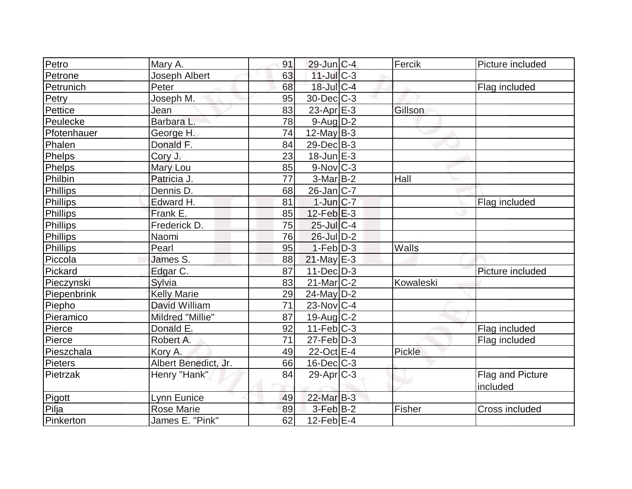| Petro       | Mary A.              | 91 | $29$ -Jun $ C-4 $      | Fercik    | Picture included |
|-------------|----------------------|----|------------------------|-----------|------------------|
| Petrone     | Joseph Albert        | 63 | $11$ -Jul $C-3$        |           |                  |
| Petrunich   | Peter                | 68 | 18-Jul C-4             |           | Flag included    |
| Petry       | Joseph M.            | 95 | $30$ -Dec $C-3$        |           |                  |
| Pettice     | Jean                 | 83 | $23$ -Apr $E-3$        | Gillson   |                  |
| Peulecke    | Barbara L.           | 78 | $9$ -Aug $D-2$         |           |                  |
| Pfotenhauer | George H.            | 74 | $12$ -May B-3          |           |                  |
| Phalen      | Donald F.            | 84 | $29$ -Dec $B-3$        |           |                  |
| Phelps      | Cory J.              | 23 | $18$ -Jun $E-3$        |           |                  |
| Phelps      | Mary Lou             | 85 | $9-Nov$ <sub>C-3</sub> |           |                  |
| Philbin     | Patricia J.          | 77 | $3-Mar$ B-2            | Hall      |                  |
| Phillips    | Dennis D.            | 68 | $26$ -Jan $ C-7 $      |           |                  |
| Phillips    | Edward H.            | 81 | $1$ -Jun $ C-7 $       |           | Flag included    |
| Phillips    | Frank E.             | 85 | $12$ -Feb $E-3$        |           |                  |
| Phillips    | Frederick D.         | 75 | 25-Jul C-4             |           |                  |
| Phillips    | Naomi                | 76 | $26$ -Jul $D-2$        |           |                  |
| Phillips    | Pearl                | 95 | $1-Feb$ $D-3$          | Walls     |                  |
| Piccola     | James S.             | 88 | $21$ -May $E-3$        |           |                  |
| Pickard     | Edgar C.             | 87 | $11 - Dec$ $D-3$       |           | Picture included |
| Pieczynski  | Sylvia               | 83 | $21$ -Mar $ C-2 $      | Kowaleski |                  |
| Piepenbrink | <b>Kelly Marie</b>   | 29 | 24-May D-2             |           |                  |
| Piepho      | David William        | 71 | 23-Nov C-4             |           |                  |
| Pieramico   | Mildred "Millie"     | 87 | 19-Aug $ C-2 $         |           |                  |
| Pierce      | Donald E.            | 92 | $11-Feb$ C-3           |           | Flag included    |
| Pierce      | Robert A.            | 71 | $27$ -Feb $ D-3$       |           | Flag included    |
| Pieszchala  | Kory A.              | 49 | $22$ -Oct $E-4$        | Pickle    |                  |
| Pieters     | Albert Benedict, Jr. | 66 | $16$ -Dec $C$ -3       |           |                  |
| Pietrzak    | Henry "Hank"         | 84 | $29$ -Apr $ C-3 $      |           | Flag and Picture |
|             |                      |    |                        |           | included         |
| Pigott      | Lynn Eunice          | 49 | 22-Mar B-3             |           |                  |
| Pilja       | <b>Rose Marie</b>    | 89 | $3-Feb$ B-2            | Fisher    | Cross included   |
| Pinkerton   | James E. "Pink"      | 62 | $12$ -Feb $ E-4 $      |           |                  |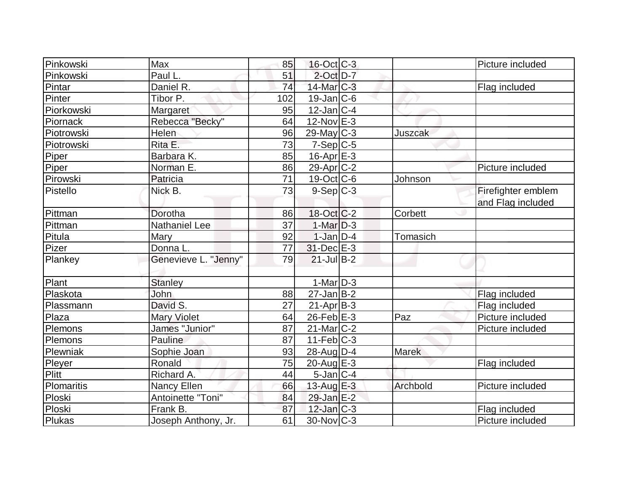| Pinkowski  | Max                  | 85  | $16$ -Oct $C-3$   |                | Picture included   |
|------------|----------------------|-----|-------------------|----------------|--------------------|
| Pinkowski  | Paul L.              | 51  | $2$ -Oct $D-7$    |                |                    |
| Pintar     | Daniel R.            | 74  | $14$ -Mar $ C-3 $ |                | Flag included      |
| Pinter     | Tibor P.             | 102 | $19$ -Jan $ C$ -6 |                |                    |
| Piorkowski | Margaret             | 95  | $12$ -Jan $ C-4 $ |                |                    |
| Piornack   | Rebecca "Becky"      | 64  | $12$ -Nov $E-3$   |                |                    |
| Piotrowski | Helen                | 96  | 29-May C-3        | <b>Juszcak</b> |                    |
| Piotrowski | Rita E.              | 73  | $7-Sep C-5$       |                |                    |
| Piper      | Barbara K.           | 85  | $16$ -Apr $E-3$   |                |                    |
| Piper      | Norman E.            | 86  | $29$ -Apr $C-2$   |                | Picture included   |
| Pirowski   | Patricia             | 71  | $19-Oct$ $C-6$    | Johnson        |                    |
| Pistello   | Nick B.              | 73  | $9-Sep C-3$       |                | Firefighter emblem |
|            |                      |     |                   |                | and Flag included  |
| Pittman    | Dorotha              | 86  | $18-Oct$ $C-2$    | Corbett        |                    |
| Pittman    | <b>Nathaniel Lee</b> | 37  | $1-Mar$ D-3       |                |                    |
| Pitula     | Mary                 | 92  | $1$ -Jan $D-4$    | Tomasich       |                    |
| Pizer      | Donna L.             | 77  | $31$ -Dec $E-3$   |                |                    |
| Plankey    | Genevieve L. "Jenny" | 79  | $21$ -Jul B-2     |                |                    |
|            |                      |     |                   |                |                    |
| Plant      | <b>Stanley</b>       |     | $1-Mar$ D-3       |                |                    |
| Plaskota   | John                 | 88  | $27$ -Jan B-2     |                | Flag included      |
| Plassmann  | David S.             | 27  | $21-Apr B-3$      |                | Flag included      |
| Plaza      | <b>Mary Violet</b>   | 64  | $26$ -Feb $E-3$   | Paz            | Picture included   |
| Plemons    | James "Junior"       | 87  | $21$ -Mar $ C-2 $ |                | Picture included   |
| Plemons    | Pauline              | 87  | $11-Feb$ $C-3$    |                |                    |
| Plewniak   | Sophie Joan          | 93  | $28$ -AugD-4      | <b>Marek</b>   |                    |
| Pleyer     | Ronald               | 75  | 20-Aug $E-3$      |                | Flag included      |
| Plitt      | Richard A.           | 44  | $5$ -Jan $ C-4 $  |                |                    |
| Plomaritis | Nancy Ellen          | 66  | 13-Aug $E-3$      | Archbold       | Picture included   |
| Ploski     | Antoinette "Toni"    | 84  | 29-Jan E-2        |                |                    |
| Ploski     | Frank B.             | 87  | $12$ -Jan $ C-3 $ |                | Flag included      |
| Plukas     | Joseph Anthony, Jr.  | 61  | 30-Nov C-3        |                | Picture included   |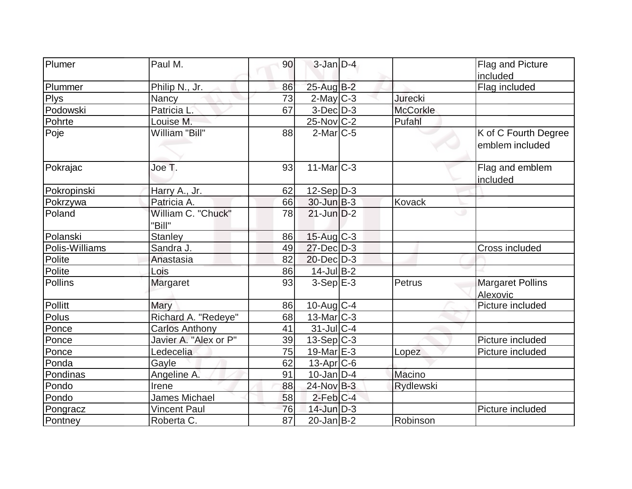| Plumer         | Paul M.               | 90              | $3$ -Jan $D-4$    |                  | <b>Flag and Picture</b> |
|----------------|-----------------------|-----------------|-------------------|------------------|-------------------------|
|                |                       |                 |                   |                  | included                |
| Plummer        | Philip N., Jr.        | 86              | 25-Aug B-2        |                  | Flag included           |
| <b>Plys</b>    | <b>Nancy</b>          | 73              | $2$ -May C-3      | <b>Jurecki</b>   |                         |
| Podowski       | Patricia L.           | 67              | $3$ -Dec $D-3$    | <b>McCorkle</b>  |                         |
| Pohrte         | Louise M.             |                 | $25$ -Nov $ C-2 $ | Pufahl           |                         |
| Poje           | William "Bill"        | 88              | $2$ -Mar $ C-5 $  |                  | K of C Fourth Degree    |
|                |                       |                 |                   |                  | emblem included         |
|                |                       |                 |                   |                  |                         |
| Pokrajac       | Joe T.                | 93              | $11$ -Mar $C-3$   |                  | Flag and emblem         |
|                |                       |                 |                   |                  | included                |
| Pokropinski    | Harry A., Jr.         | 62              | $12-Sep D-3$      |                  |                         |
| Pokrzywa       | Patricia A.           | 66              | $30$ -Jun $B-3$   | Kovack           |                         |
| Poland         | William C. "Chuck"    | 78              | $21$ -Jun $D-2$   |                  |                         |
|                | "Bill"                |                 |                   |                  |                         |
| Polanski       | <b>Stanley</b>        | 86              | $15$ -Aug C-3     |                  |                         |
| Polis-Williams | Sandra J.             | 49              | $27$ -Dec $D-3$   |                  | <b>Cross included</b>   |
| Polite         | Anastasia             | 82              | $20$ -Dec $D-3$   |                  |                         |
| Polite         | Lois                  | 86              | 14-Jul B-2        |                  |                         |
| Pollins        | Margaret              | 93              | $3-Sep$ $E-3$     | Petrus           | <b>Margaret Pollins</b> |
|                |                       |                 |                   |                  | Alexovic                |
| Pollitt        | Mary                  | 86              | $10$ -Aug $C-4$   |                  | Picture included        |
| Polus          | Richard A. "Redeye"   | 68              | $13$ -Mar $ C-3 $ |                  |                         |
| Ponce          | <b>Carlos Anthony</b> | 41              | $31$ -JulC-4      |                  |                         |
| Ponce          | Javier A. "Alex or P" | 39              | $13-Sep C-3$      |                  | Picture included        |
| Ponce          | Ledecelia             | 75              | 19-Mar E-3        | Lopez            | Picture included        |
| Ponda          | Gayle                 | 62              | $13$ -Apr $ C$ -6 |                  |                         |
| Pondinas       | Angeline A.           | 91              | $10$ -Jan $D-4$   | Macino           |                         |
| Pondo          | Irene                 | 88              | 24-Nov B-3        | <b>Rydlewski</b> |                         |
| Pondo          | James Michael         | 58              | $2$ -Feb $ C-4 $  |                  |                         |
| Pongracz       | <b>Vincent Paul</b>   | 76              | 14-Jun D-3        |                  | Picture included        |
| Pontney        | Roberta C.            | $\overline{87}$ | $20$ -Jan $ B-2 $ | Robinson         |                         |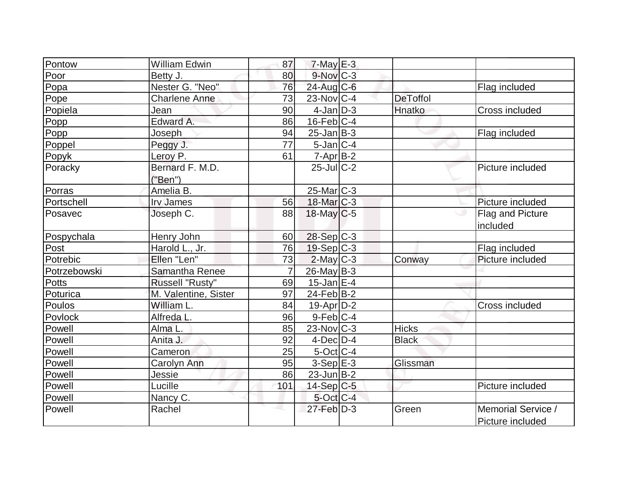| Pontow       | William Edwin              | 87              | $7$ -May $E-3$    |                 |                                        |
|--------------|----------------------------|-----------------|-------------------|-----------------|----------------------------------------|
| Poor         | Betty J.                   | 80              | $9-Nov$ $C-3$     |                 |                                        |
| Popa         | Nester G. "Neo"            | 76              | $24$ -Aug C-6     |                 | Flag included                          |
| Pope         | <b>Charlene Anne</b>       | 73              | $23$ -Nov $ C-4 $ | <b>DeToffol</b> |                                        |
| Popiela      | Jean                       | 90              | $4$ -Jan $D-3$    | Hnatko          | Cross included                         |
| Popp         | Edward A.                  | 86              | $16$ -Feb $C-4$   |                 |                                        |
| Popp         | Joseph                     | 94              | $25$ -Jan B-3     |                 | Flag included                          |
| Poppel       | Peggy J.                   | $\overline{77}$ | $5$ -Jan $ C-4 $  |                 |                                        |
| Popyk        | Leroy P.                   | 61              | $7$ -Apr $B-2$    |                 |                                        |
| Poracky      | Bernard F. M.D.<br>("Ben") |                 | $25$ -Jul $C-2$   |                 | Picture included                       |
| Porras       | Amelia B.                  |                 | $25$ -Mar $ C-3 $ |                 |                                        |
| Portschell   | <b>Irv James</b>           | 56              | 18-Mar C-3        |                 | Picture included                       |
| Posavec      | Joseph C.                  | 88              | $18$ -May C-5     |                 | Flag and Picture<br>included           |
| Pospychala   | Henry John                 | 60              | 28-Sep C-3        |                 |                                        |
| Post         | Harold L., Jr.             | 76              | $19-Sep C-3$      |                 | Flag included                          |
| Potrebic     | Ellen "Len"                | 73              | $2$ -May $C-3$    | Conway          | Picture included                       |
| Potrzebowski | Samantha Renee             | $\overline{7}$  | 26-May B-3        |                 |                                        |
| <b>Potts</b> | Russell "Rusty"            | 69              | $15$ -Jan $ E-4 $ |                 |                                        |
| Poturica     | M. Valentine, Sister       | 97              | $24$ -Feb $ B-2 $ |                 |                                        |
| Poulos       | William L.                 | 84              | $19$ -Apr $D-2$   |                 | Cross included                         |
| Povlock      | Alfreda L.                 | 96              | $9$ -Feb $C-4$    |                 |                                        |
| Powell       | Alma L.                    | 85              | $23$ -Nov $ C-3 $ | <b>Hicks</b>    |                                        |
| Powell       | Anita J.                   | 92              | $4$ -Dec $D-4$    | <b>Black</b>    |                                        |
| Powell       | Cameron                    | 25              | $5$ -Oct C-4      |                 |                                        |
| Powell       | Carolyn Ann                | 95              | $3-Sep$ $E-3$     | Glissman        |                                        |
| Powell       | Jessie                     | 86              | $23$ -Jun $ B-2 $ |                 |                                        |
| Powell       | Lucille                    | 101             | $14-Sep C-5$      |                 | Picture included                       |
| Powell       | Nancy C.                   |                 | $5$ -Oct $ C-4 $  |                 |                                        |
| Powell       | Rachel                     |                 | $27$ -Feb $D-3$   | Green           | Memorial Service /<br>Picture included |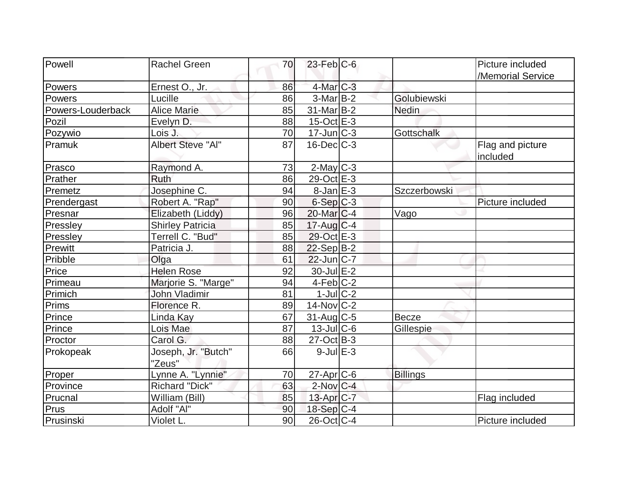| Powell            | <b>Rachel Green</b>           | 70 | $23$ -Feb $ C$ -6           |                 | Picture included             |
|-------------------|-------------------------------|----|-----------------------------|-----------------|------------------------------|
|                   |                               |    |                             |                 | /Memorial Service            |
| Powers            | Ernest O., Jr.                | 86 | $4$ -Mar $C-3$              |                 |                              |
| Powers            | Lucille                       | 86 | $3-MarB-2$                  | Golubiewski     |                              |
| Powers-Louderback | <b>Alice Marie</b>            | 85 | $31$ -Mar $ B-2 $           | Nedin           |                              |
| Pozil             | Evelyn D.                     | 88 | $15$ -Oct $E-3$             |                 |                              |
| Pozywio           | Lois J.                       | 70 | $17$ -Jun $\overline{C}$ -3 | Gottschalk      |                              |
| Pramuk            | <b>Albert Steve "Al"</b>      | 87 | $16$ -Dec $C-3$             |                 | Flag and picture<br>included |
| Prasco            | Raymond A.                    | 73 | $2$ -May C-3                |                 |                              |
| Prather           | Ruth                          | 86 | 29-Oct E-3                  |                 |                              |
| Premetz           | Josephine C.                  | 94 | $8$ -Jan $E-3$              | Szczerbowski    |                              |
| Prendergast       | Robert A. "Rap"               | 90 | $6-Sep C-3$                 |                 | Picture included             |
| Presnar           | Elizabeth (Liddy)             | 96 | $20$ -Mar $ C-4 $           | Vago            |                              |
| Pressley          | <b>Shirley Patricia</b>       | 85 | $17$ -Aug C-4               |                 |                              |
| Pressley          | Terrell C. "Bud"              | 85 | 29-Oct E-3                  |                 |                              |
| Prewitt           | Patricia J.                   | 88 | $22-Sep B-2$                |                 |                              |
| Pribble           | Olga                          | 61 | $22$ -Jun $ C-7 $           |                 |                              |
| Price             | <b>Helen Rose</b>             | 92 | 30-Jul E-2                  |                 |                              |
| Primeau           | Marjorie S. "Marge"           | 94 | $4-Feb$ C-2                 |                 |                              |
| Primich           | <b>John Vladimir</b>          | 81 | $1$ -Jul $C-2$              |                 |                              |
| Prims             | Florence R.                   | 89 | $14$ -Nov $ C-2 $           |                 |                              |
| Prince            | Linda Kay                     | 67 | $31$ -Aug C-5               | Becze           |                              |
| Prince            | Lois Mae                      | 87 | $13$ -Jul $C$ -6            | Gillespie       |                              |
| Proctor           | Carol G.                      | 88 | $27-Oct$ B-3                |                 |                              |
| Prokopeak         | Joseph, Jr. "Butch"<br>"Zeus" | 66 | $9$ -Jul $E-3$              |                 |                              |
| Proper            | Lynne A. "Lynnie"             | 70 | 27-Apr C-6                  | <b>Billings</b> |                              |
| Province          | Richard "Dick"                | 63 | $2$ -Nov $ C-4 $            |                 |                              |
| Prucnal           | William (Bill)                | 85 | $13$ -Apr $ C-7 $           |                 | Flag included                |
| Prus              | Adolf "Al"                    | 90 | $18-Sep C-4$                |                 |                              |
| Prusinski         | Violet L.                     | 90 | $26$ -Oct $ C-4 $           |                 | Picture included             |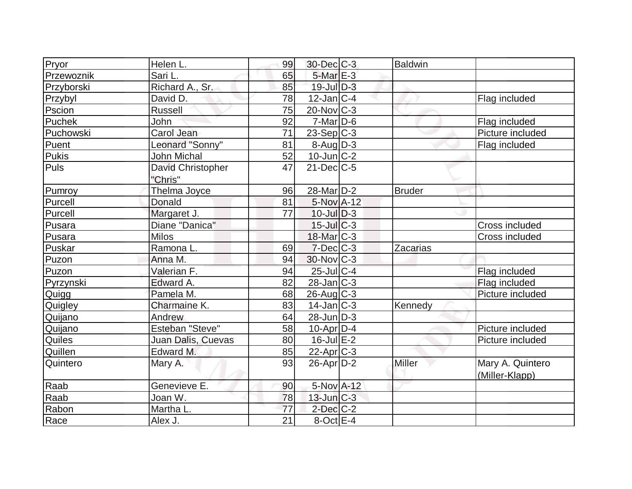| Pryor      | Helen L.                     | 99              | $30$ -Dec $C-3$        | <b>Baldwin</b>  |                                    |
|------------|------------------------------|-----------------|------------------------|-----------------|------------------------------------|
| Przewoznik | Sari L.                      | 65              | 5-Mar E-3              |                 |                                    |
| Przyborski | Richard A., Sr.              | 85              | $19$ -Jul $D-3$        |                 |                                    |
| Przybyl    | David D.                     | 78              | $12$ -Jan $ C-4 $      |                 | Flag included                      |
| Pscion     | <b>Russell</b>               | 75              | $20$ -Nov $C-3$        |                 |                                    |
| Puchek     | John                         | 92              | $7-Mar$ D-6            |                 | Flag included                      |
| Puchowski  | Carol Jean                   | 71              | $23-Sep C-3$           |                 | Picture included                   |
| Puent      | Leonard "Sonny"              | 81              | $8 - \text{Aug}$ D-3   |                 | Flag included                      |
| Pukis      | <b>John Michal</b>           | 52              | $10$ -Jun $C-2$        |                 |                                    |
| Puls       | David Christopher<br>"Chris" | 47              | $21$ -Dec $C$ -5       |                 |                                    |
| Pumroy     | Thelma Joyce                 | 96              | 28-Mar <sub>D</sub> -2 | <b>Bruder</b>   |                                    |
| Purcell    | Donald                       | 81              | 5-Nov A-12             |                 |                                    |
| Purcell    | Margaret J.                  | 77              | $10$ -Jul $D-3$        |                 |                                    |
| Pusara     | Diane "Danica"               |                 | $15$ -Jul C-3          |                 | Cross included                     |
| Pusara     | <b>Milos</b>                 |                 | $18$ -Mar $ C-3 $      |                 | Cross included                     |
| Puskar     | Ramona L.                    | 69              | $7$ -Dec $ C-3 $       | <b>Zacarias</b> |                                    |
| Puzon      | Anna M.                      | 94              | $30$ -Nov $ C-3 $      |                 |                                    |
| Puzon      | Valerian F.                  | 94              | 25-Jul C-4             |                 | Flag included                      |
| Pyrzynski  | Edward A.                    | 82              | $28$ -Jan $ C-3 $      |                 | Flag included                      |
| Quigg      | Pamela M.                    | 68              | $26$ -Aug $C-3$        |                 | Picture included                   |
| Quigley    | Charmaine K.                 | 83              | $14$ -Jan $C-3$        | Kennedy         |                                    |
| Quijano    | Andrew                       | 64              | $28$ -Jun $ D-3 $      |                 |                                    |
| Quijano    | <b>Esteban "Steve"</b>       | 58              | $10$ -Apr $ D-4$       |                 | Picture included                   |
| Quiles     | Juan Dalis, Cuevas           | 80              | $16$ -Jul $E-2$        |                 | Picture included                   |
| Quillen    | Edward M.                    | 85              | 22-Apr <sub>C-3</sub>  |                 |                                    |
| Quintero   | Mary A.                      | 93              | $26$ -Apr $D-2$        | Miller          | Mary A. Quintero<br>(Miller-Klapp) |
| Raab       | Genevieve E.                 | 90              | 5-Nov A-12             |                 |                                    |
| Raab       | Joan W.                      | 78              | $13$ -Jun $C-3$        |                 |                                    |
| Rabon      | Martha L.                    | 77              | $2$ -Dec $C-2$         |                 |                                    |
| Race       | Alex J.                      | $\overline{21}$ | $8$ -Oct $E-4$         |                 |                                    |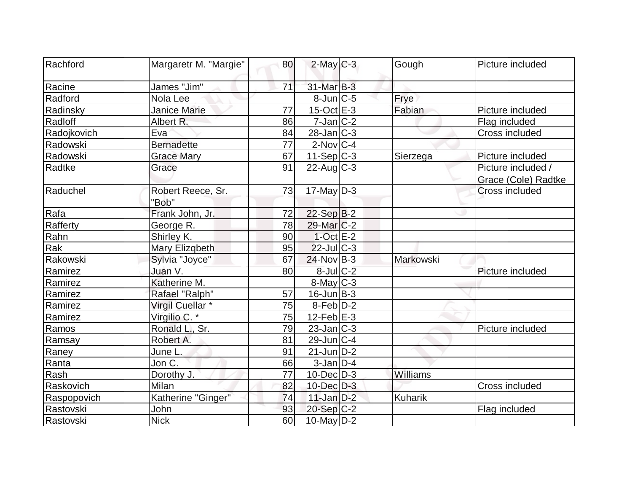| Rachford    | Margaretr M. "Margie"       | 80 | $2$ -May $C-3$    | Gough     | Picture included      |
|-------------|-----------------------------|----|-------------------|-----------|-----------------------|
| Racine      | James "Jim"                 | 71 | 31-Mar B-3        |           |                       |
| Radford     | Nola Lee                    |    | $8$ -Jun $ C-5 $  | Frye      |                       |
| Radinsky    | <b>Janice Marie</b>         | 77 | $15$ -Oct $E-3$   | Fabian    | Picture included      |
| Radloff     | Albert R.                   | 86 | $7$ -Jan $ C-2 $  |           | Flag included         |
| Radojkovich | Eva                         | 84 | $28$ -Jan $ C-3 $ |           | Cross included        |
| Radowski    | <b>Bernadette</b>           | 77 | $2$ -Nov $ C-4 $  |           |                       |
| Radowski    | <b>Grace Mary</b>           | 67 | $11-Sep C-3$      | Sierzega  | Picture included      |
| Radtke      | Grace                       | 91 | $22$ -Aug $C-3$   |           | Picture included /    |
|             |                             |    |                   |           | Grace (Cole) Radtke   |
| Raduchel    | Robert Reece, Sr.<br>"Bob"  | 73 | $17$ -May D-3     |           | <b>Cross included</b> |
| Rafa        | Frank John, Jr.             | 72 | $22-Sep B-2$      |           |                       |
| Rafferty    | George R.                   | 78 | $29$ -Mar $C-2$   |           |                       |
| Rahn        | Shirley K.                  | 90 | $1$ -Oct $E-2$    |           |                       |
| Rak         | Mary Elizgbeth              | 95 | $22$ -Jul $C-3$   |           |                       |
| Rakowski    | Sylvia "Joyce"              | 67 | $24$ -Nov $ B-3 $ | Markowski |                       |
| Ramirez     | Juan V.                     | 80 | $8$ -Jul $C-2$    |           | Picture included      |
| Ramirez     | Katherine M.                |    | $8$ -May $C-3$    |           |                       |
| Ramirez     | Rafael "Ralph"              | 57 | $16$ -Jun $ B-3 $ |           |                       |
| Ramirez     | Virgil Cuellar <sup>*</sup> | 75 | $8$ -Feb $D-2$    |           |                       |
| Ramirez     | Virgilio C. *               | 75 | $12$ -Feb $E-3$   |           |                       |
| Ramos       | Ronald L., Sr.              | 79 | $23$ -Jan $ C-3 $ |           | Picture included      |
| Ramsay      | Robert A.                   | 81 | $29$ -Jun $ C-4$  |           |                       |
| Raney       | June L.                     | 91 | $21$ -Jun D-2     |           |                       |
| Ranta       | Jon C.                      | 66 | $3$ -Jan $D-4$    |           |                       |
| Rash        | Dorothy J.                  | 77 | $10$ -Dec $D-3$   | Williams  |                       |
| Raskovich   | Milan                       | 82 | $10$ -Dec $D-3$   |           | Cross included        |
| Raspopovich | Katherine "Ginger"          | 74 | $11$ -Jan $D-2$   | Kuharik   |                       |
| Rastovski   | John                        | 93 | $20-Sep C-2$      |           | Flag included         |
| Rastovski   | <b>Nick</b>                 | 60 | 10-May D-2        |           |                       |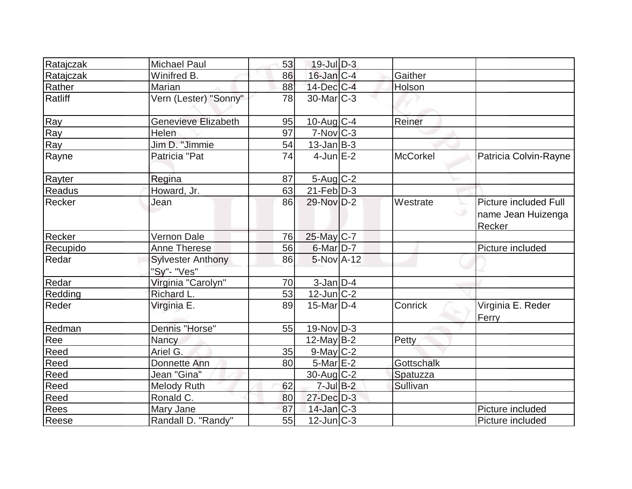| Ratajczak   | <b>Michael Paul</b>                     | 53 | $19$ -Jul $D-3$   |                   |                                                       |
|-------------|-----------------------------------------|----|-------------------|-------------------|-------------------------------------------------------|
| Ratajczak   | Winifred B.                             | 86 | $16$ -Jan $C-4$   | Gaither           |                                                       |
| Rather      | Marian                                  | 88 | $14$ -Dec $ C-4 $ | Holson            |                                                       |
| Ratliff     | Vern (Lester) "Sonny"                   | 78 | $30$ -Mar $C-3$   |                   |                                                       |
| Ray         | <b>Genevieve Elizabeth</b>              | 95 | $10$ -Aug $C-4$   | Reiner            |                                                       |
| Ray         | Helen                                   | 97 | $7-Nov$ $C-3$     |                   |                                                       |
| Ray         | Jim D. "Jimmie                          | 54 | $13$ -Jan $B-3$   |                   |                                                       |
| Rayne       | Patricia "Pat                           | 74 | $4$ -Jun $E-2$    | <b>McCorkel</b>   | Patricia Colvin-Rayne                                 |
| Rayter      | Regina                                  | 87 | $5 - Aug   C-2$   |                   |                                                       |
| Readus      | Howard, Jr.                             | 63 | $21$ -Feb $ D-3 $ |                   |                                                       |
| Recker      | Jean                                    | 86 | 29-Nov D-2        | Westrate          | Picture included Full<br>name Jean Huizenga<br>Recker |
| Recker      | Vernon Dale                             | 76 | 25-May C-7        |                   |                                                       |
| Recupido    | <b>Anne Therese</b>                     | 56 | $6$ -Mar $D-7$    |                   | Picture included                                      |
| Redar       | <b>Sylvester Anthony</b><br>"Sy"- "Ves" | 86 | $5-NovA-12$       |                   |                                                       |
| Redar       | Virginia "Carolyn"                      | 70 | $3$ -Jan $D-4$    |                   |                                                       |
| Redding     | Richard L.                              | 53 | $12$ -Jun $ C-2 $ |                   |                                                       |
| Reder       | Virginia E.                             | 89 | 15-Mar $D-4$      | Conrick           | Virginia E. Reder<br>Ferry                            |
| Redman      | Dennis "Horse"                          | 55 | $19-Nov D-3$      |                   |                                                       |
| Ree         | Nancy                                   |    | $12$ -May B-2     | Petty             |                                                       |
| Reed        | Ariel G.                                | 35 | $9$ -May $C-2$    |                   |                                                       |
| Reed        | Donnette Ann                            | 80 | $5$ -Mar $E-2$    | <b>Gottschalk</b> |                                                       |
| Reed        | Jean "Gina"                             |    | $30$ -Aug $C-2$   | Spatuzza          |                                                       |
| Reed        | <b>Melody Ruth</b>                      | 62 | $7$ -Jul $B-2$    | Sullivan          |                                                       |
| Reed        | Ronald C.                               | 80 | 27-Dec D-3        |                   |                                                       |
| <b>Rees</b> | Mary Jane                               | 87 | $14$ -Jan $ C-3 $ |                   | Picture included                                      |
| Reese       | Randall D. "Randy"                      | 55 | $12$ -Jun $ C-3 $ |                   | Picture included                                      |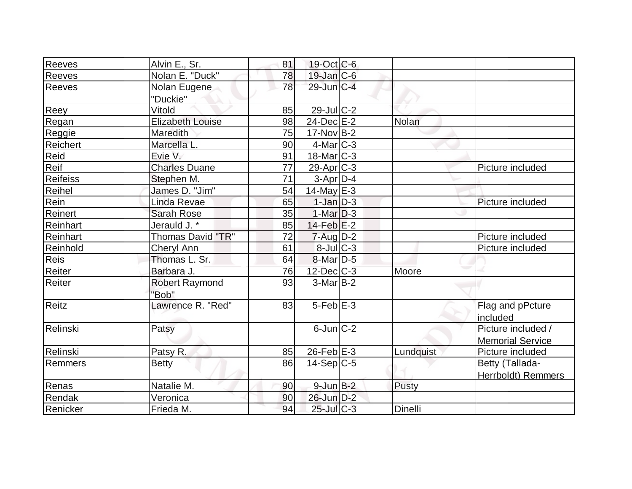| Reeves          | Alvin E., Sr.            | 81 | $19$ -Oct C-6         |              |                            |
|-----------------|--------------------------|----|-----------------------|--------------|----------------------------|
| Reeves          | Nolan E. "Duck"          | 78 | 19-Jan C-6            |              |                            |
| <b>Reeves</b>   | Nolan Eugene             | 78 | 29-Jun C-4            |              |                            |
|                 | "Duckie"                 |    |                       |              |                            |
| Reey            | Vitold                   | 85 | 29-Jul C-2            |              |                            |
| Regan           | <b>Elizabeth Louise</b>  | 98 | $24$ -Dec $E-2$       | <b>Nolan</b> |                            |
| Reggie          | Maredith                 | 75 | $17$ -Nov B-2         |              |                            |
| Reichert        | Marcella L.              | 90 | $4$ -Mar $ C-3 $      |              |                            |
| Reid            | Evie V.                  | 91 | $18$ -Mar $ C-3 $     |              |                            |
| Reif            | <b>Charles Duane</b>     | 77 | 29-Apr <sub>C-3</sub> |              | Picture included           |
| <b>Reifeiss</b> | Stephen M.               | 71 | $3-Apr$ D-4           |              |                            |
| Reihel          | James D. "Jim"           | 54 | $14$ -May E-3         |              |                            |
| Rein            | Linda Revae              | 65 | $1-Jan$ $D-3$         |              | Picture included           |
| Reinert         | Sarah Rose               | 35 | $1-Mar$ D-3           |              |                            |
| Reinhart        | Jerauld J.*              | 85 | $14$ -Feb $E-2$       |              |                            |
| Reinhart        | <b>Thomas David "TR"</b> | 72 | $7 - Aug   D-2$       |              | Picture included           |
| Reinhold        | Cheryl Ann               | 61 | $8$ -Jul $C-3$        |              | Picture included           |
| Reis            | Thomas L. Sr.            | 64 | 8-Mar D-5             |              |                            |
| Reiter          | Barbara J.               | 76 | $12$ -Dec $ C-3 $     | Moore        |                            |
| Reiter          | <b>Robert Raymond</b>    | 93 | $3-MarB-2$            |              |                            |
|                 | "Bob"                    |    |                       |              |                            |
| <b>Reitz</b>    | Lawrence R. "Red"        | 83 | $5-Feb$ E-3           |              | Flag and pPcture           |
|                 |                          |    |                       |              | included                   |
| Relinski        | Patsy                    |    | $6$ -Jun $ C-2 $      |              | Picture included /         |
|                 |                          |    |                       |              | <b>Memorial Service</b>    |
| Relinski        | Patsy R.                 | 85 | $26$ -Feb $E-3$       | Lundquist    | Picture included           |
| Remmers         | <b>Betty</b>             | 86 | $14-Sep C-5$          |              | Betty (Tallada-            |
|                 |                          |    |                       |              | <b>Herrboldt</b> ) Remmers |
| Renas           | Natalie M.               | 90 | $9$ -Jun $B-2$        | Pusty        |                            |
| Rendak          | Veronica                 | 90 | $26$ -Jun $D-2$       |              |                            |
| Renicker        | Frieda M.                | 94 | $25$ -Jul $C-3$       | Dinelli      |                            |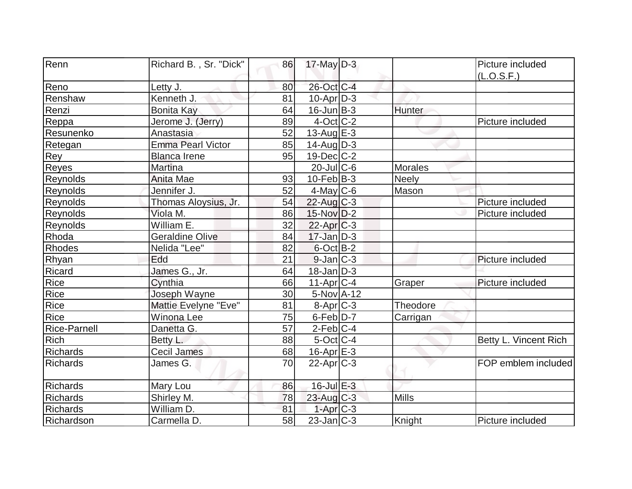| Renn                | Richard B., Sr. "Dick"   | 86 | $17$ -May D-3     |                | Picture included      |
|---------------------|--------------------------|----|-------------------|----------------|-----------------------|
|                     |                          |    |                   |                | (L.O.S.F.)            |
| Reno                | Letty J.                 | 80 | 26-Oct C-4        |                |                       |
| Renshaw             | Kenneth J.               | 81 | $10$ -Apr $D-3$   |                |                       |
| Renzi               | Bonita Kay               | 64 | $16$ -Jun $B-3$   | Hunter         |                       |
| Reppa               | Jerome J. (Jerry)        | 89 | $4$ -Oct C-2      |                | Picture included      |
| Resunenko           | Anastasia                | 52 | $13$ -AuglE-3     |                |                       |
| Retegan             | <b>Emma Pearl Victor</b> | 85 | $14$ -AugD-3      |                |                       |
| <b>Rey</b>          | <b>Blanca Irene</b>      | 95 | $19$ -Dec $C-2$   |                |                       |
| Reyes               | <b>Martina</b>           |    | $20$ -JulC-6      | <b>Morales</b> |                       |
| Reynolds            | Anita Mae                | 93 | $10$ -Feb $ B-3 $ | Neely          |                       |
| Reynolds            | Jennifer J.              | 52 | $4$ -May C-6      | Mason          |                       |
| Reynolds            | Thomas Aloysius, Jr.     | 54 | $22$ -Aug $C-3$   |                | Picture included      |
| Reynolds            | Viola M.                 | 86 | $15$ -Nov $D-2$   |                | Picture included      |
| Reynolds            | William E.               | 32 | $22$ -Apr $ C-3 $ |                |                       |
| Rhoda               | <b>Geraldine Olive</b>   | 84 | $17$ -Jan $D-3$   |                |                       |
| Rhodes              | Nelida "Lee"             | 82 | $6$ -Oct $B$ -2   |                |                       |
| Rhyan               | Edd                      | 21 | $9$ -Jan $C-3$    |                | Picture included      |
| Ricard              | James G., Jr.            | 64 | $18$ -Jan $D-3$   |                |                       |
| Rice                | Cynthia                  | 66 | $11-Apr$ $C-4$    | Graper         | Picture included      |
| <b>Rice</b>         | Joseph Wayne             | 30 | 5-Nov A-12        |                |                       |
| Rice                | Mattie Evelyne "Eve"     | 81 | $8-Apr$ $C-3$     | Theodore       |                       |
| Rice                | Winona Lee               | 75 | $6$ -Feb $D-7$    | Carrigan       |                       |
| <b>Rice-Parnell</b> | Danetta G.               | 57 | $2$ -Feb $ C-4 $  |                |                       |
| <b>Rich</b>         | Betty L.                 | 88 | $5$ -Oct $C$ -4   |                | Betty L. Vincent Rich |
| <b>Richards</b>     | Cecil James              | 68 | 16-Apr E-3        |                |                       |
| <b>Richards</b>     | James G.                 | 70 | $22$ -Apr $ C-3 $ |                | FOP emblem included   |
| <b>Richards</b>     | Mary Lou                 | 86 | $16$ -Jul $E-3$   |                |                       |
| <b>Richards</b>     | Shirley M.               | 78 | $23$ -Aug C-3     | <b>Mills</b>   |                       |
| <b>Richards</b>     | William D.               | 81 | $1-Apr$ $C-3$     |                |                       |
| Richardson          | Carmella D.              | 58 | $23$ -Jan $ C-3 $ | Knight         | Picture included      |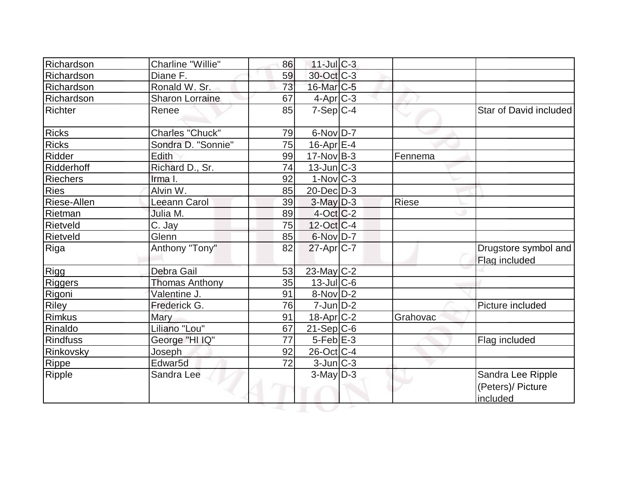| Richardson      | Charline "Willie"      | 86 | $11$ -Jul C-3          |          |                                                    |
|-----------------|------------------------|----|------------------------|----------|----------------------------------------------------|
| Richardson      | Diane F.               | 59 | 30-Oct C-3             |          |                                                    |
| Richardson      | Ronald W. Sr.          | 73 | 16-Mar <sub>C-5</sub>  |          |                                                    |
| Richardson      | <b>Sharon Lorraine</b> | 67 | $4-Apr$ <sub>C-3</sub> |          |                                                    |
| Richter         | Renee                  | 85 | $7-Sep C-4$            |          | Star of David included                             |
| <b>Ricks</b>    | Charles "Chuck"        | 79 | 6-Nov D-7              |          |                                                    |
| <b>Ricks</b>    | Sondra D. "Sonnie"     | 75 | $16$ -Apr $E$ -4       |          |                                                    |
| Ridder          | Edith                  | 99 | $17$ -Nov B-3          | Fennema  |                                                    |
| Ridderhoff      | Richard D., Sr.        | 74 | $13$ -Jun $ C-3 $      |          |                                                    |
| <b>Riechers</b> | Irma I.                | 92 | $1-Nov C-3$            |          |                                                    |
| Ries            | Alvin W.               | 85 | $20$ -Dec $D-3$        |          |                                                    |
| Riese-Allen     | <b>Leeann Carol</b>    | 39 | $3$ -May $D-3$         | Riese    |                                                    |
| Rietman         | Julia M.               | 89 | $4-Oct$ $C-2$          |          |                                                    |
| Rietveld        | C. Jay                 | 75 | $12$ -Oct $ C-4 $      |          |                                                    |
| Rietveld        | Glenn                  | 85 | 6-Nov D-7              |          |                                                    |
| Riga            | Anthony "Tony"         | 82 | $27$ -Apr $ C-7 $      |          | Drugstore symbol and<br>Flag included              |
| Rigg            | Debra Gail             | 53 | 23-May C-2             |          |                                                    |
| <b>Riggers</b>  | <b>Thomas Anthony</b>  | 35 | $13$ -Jul $C$ -6       |          |                                                    |
| Rigoni          | Valentine J.           | 91 | $8-Nov D-2$            |          |                                                    |
| Riley           | Frederick G.           | 76 | $7$ -Jun $D-2$         |          | Picture included                                   |
| Rimkus          | Mary                   | 91 | $18$ -Apr $ C-2 $      | Grahovac |                                                    |
| Rinaldo         | Liliano "Lou"          | 67 | $21-Sep C-6$           |          |                                                    |
| <b>Rindfuss</b> | George "HI IQ"         | 77 | $5-Feb$ $E-3$          |          | Flag included                                      |
| Rinkovsky       | Joseph                 | 92 | $26$ -Oct $ C-4 $      |          |                                                    |
| <b>Rippe</b>    | Edwar <sub>5d</sub>    | 72 | $3$ -Jun $C-3$         |          |                                                    |
| Ripple          | Sandra Lee             |    | $3$ -May $D-3$         |          | Sandra Lee Ripple<br>(Peters)/ Picture<br>included |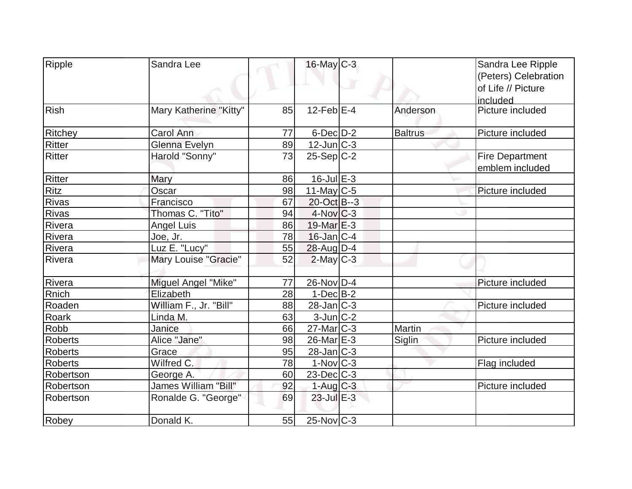| Ripple         | Sandra Lee             |    | $16$ -May C-3           |                | Sandra Lee Ripple      |
|----------------|------------------------|----|-------------------------|----------------|------------------------|
|                |                        |    |                         |                | (Peters) Celebration   |
|                |                        |    |                         |                | of Life // Picture     |
|                |                        |    |                         |                | included               |
| Rish           | Mary Katherine "Kitty" | 85 | $12$ -Feb $E-4$         | Anderson       | Picture included       |
| <b>Ritchey</b> | <b>Carol Ann</b>       | 77 | $6$ -Dec $D-2$          | <b>Baltrus</b> | Picture included       |
| Ritter         | Glenna Evelyn          | 89 | $12$ -Jun $C-3$         |                |                        |
| <b>Ritter</b>  | Harold "Sonny"         | 73 | $25-Sep C-2$            |                | <b>Fire Department</b> |
|                |                        |    |                         |                | emblem included        |
| Ritter         | Mary                   | 86 | $16$ -Jul $E-3$         |                |                        |
| Ritz           | Oscar                  | 98 | 11-May $C-5$            |                | Picture included       |
| Rivas          | Francisco              | 67 | 20-Oct B--3             |                |                        |
| <b>Rivas</b>   | Thomas C. "Tito"       | 94 | $4$ -Nov $ C-3 $        |                |                        |
| Rivera         | <b>Angel Luis</b>      | 86 | $19$ -Mar $E-3$         |                |                        |
| Rivera         | Joe, Jr.               | 78 | $16$ -Jan $ C-4 $       |                |                        |
| Rivera         | Luz E. "Lucy"          | 55 | $28$ -Aug $D-4$         |                |                        |
| Rivera         | Mary Louise "Gracie"   | 52 | $2$ -May $C-3$          |                |                        |
|                |                        |    |                         |                |                        |
| Rivera         | Miguel Angel "Mike"    | 77 | $26$ -Nov $ D-4 $       |                | Picture included       |
| Rnich          | Elizabeth              | 28 | $1-Dec$ B-2             |                |                        |
| Roaden         | William F., Jr. "Bill" | 88 | $28$ -Jan $ C-3 $       |                | Picture included       |
| Roark          | Linda M.               | 63 | $3$ -Jun $ C-2 $        |                |                        |
| Robb           | Janice                 | 66 | $27$ -Mar $ C-3 $       | Martin         |                        |
| <b>Roberts</b> | Alice "Jane"           | 98 | $26$ -Mar $E-3$         | Siglin         | Picture included       |
| <b>Roberts</b> | Grace                  | 95 | 28-Jan C-3              |                |                        |
| <b>Roberts</b> | Wilfred C.             | 78 | $1-Nov$ <sub>C</sub> -3 |                | Flag included          |
| Robertson      | George A.              | 60 | $23$ -Dec $C$ -3        |                |                        |
| Robertson      | James William "Bill"   | 92 | $1-Aug$ $C-3$           |                | Picture included       |
| Robertson      | Ronalde G. "George"    | 69 | 23-Jul E-3              |                |                        |
| Robey          | Donald K.              | 55 | $25$ -Nov $ C-3 $       |                |                        |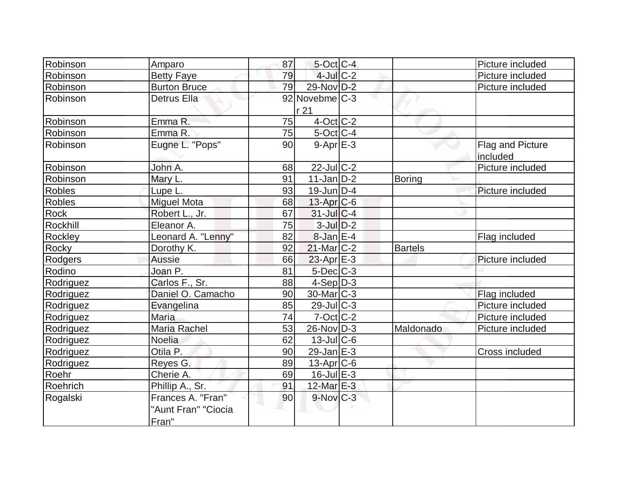| Robinson      | Amparo              | 87 | $5$ -Oct C-4            |                | Picture included |
|---------------|---------------------|----|-------------------------|----------------|------------------|
| Robinson      | <b>Betty Faye</b>   | 79 | $4$ -Jul $C-2$          |                | Picture included |
| Robinson      | <b>Burton Bruce</b> | 79 | 29-Nov D-2              |                | Picture included |
| Robinson      | <b>Detrus Ella</b>  |    | 92 Novebme C-3          |                |                  |
|               |                     |    | r 21                    |                |                  |
| Robinson      | Emma R.             | 75 | $4$ -Oct C-2            |                |                  |
| Robinson      | Emma R.             | 75 | $5$ -Oct C-4            |                |                  |
| Robinson      | Eugne L. "Pops"     | 90 | $9 - Apr$ $E - 3$       |                | Flag and Picture |
|               |                     |    |                         |                | included         |
| Robinson      | John A.             | 68 | $22$ -Jul $C-2$         |                | Picture included |
| Robinson      | Mary L.             | 91 | $11$ -Jan $ D-2 $       | Boring         |                  |
| <b>Robles</b> | Lupe L.             | 93 | $19$ -Jun $ D-4$        |                | Picture included |
| <b>Robles</b> | <b>Miguel Mota</b>  | 68 | $13$ -Apr $ C$ -6       |                |                  |
| <b>Rock</b>   | Robert L., Jr.      | 67 | $31$ -Jul $C-4$         |                |                  |
| Rockhill      | Eleanor A.          | 75 | $3$ -Jul $D-2$          |                |                  |
| Rockley       | Leonard A. "Lenny"  | 82 | $8$ -Jan $E-4$          |                | Flag included    |
| Rocky         | Dorothy K.          | 92 | $21$ -Mar $C-2$         | <b>Bartels</b> |                  |
| Rodgers       | <b>Aussie</b>       | 66 | $23$ -Apr $E-3$         |                | Picture included |
| Rodino        | Joan P.             | 81 | $5$ -Dec $C$ -3         |                |                  |
| Rodriguez     | Carlos F., Sr.      | 88 | $4-Sep D-3$             |                |                  |
| Rodriguez     | Daniel O. Camacho   | 90 | 30-Mar <sub>IC</sub> -3 |                | Flag included    |
| Rodriguez     | Evangelina          | 85 | $29$ -Jul $C-3$         |                | Picture included |
| Rodriguez     | <b>Maria</b>        | 74 | $7$ -Oct $ C$ -2        |                | Picture included |
| Rodriguez     | Maria Rachel        | 53 | 26-Nov D-3              | Maldonado      | Picture included |
| Rodriguez     | Noelia              | 62 | $13$ -JulC-6            |                |                  |
| Rodriguez     | Otila P.            | 90 | $29$ -Jan $E-3$         |                | Cross included   |
| Rodriguez     | Reyes G.            | 89 | $13$ -Apr $ C$ -6       |                |                  |
| Roehr         | Cherie A.           | 69 | $16$ -Jul $E-3$         |                |                  |
| Roehrich      | Phillip A., Sr.     | 91 | 12-Mar E-3              |                |                  |
| Rogalski      | Frances A. "Fran"   | 90 | $9-Nov$ <sub>C-3</sub>  |                |                  |
|               | "Aunt Fran" "Ciocia |    |                         |                |                  |
|               | Fran"               |    |                         |                |                  |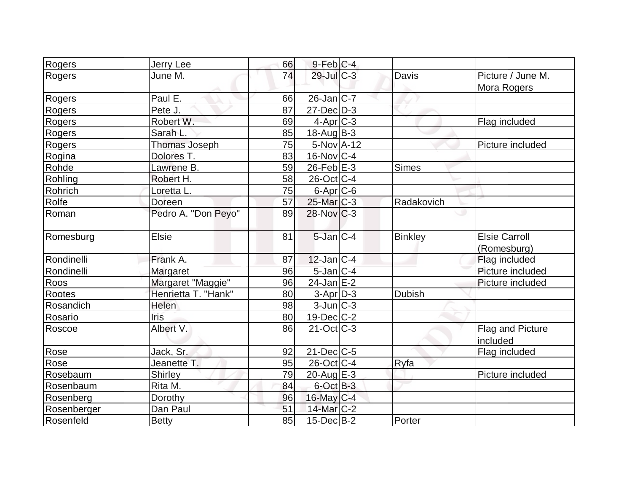| Rogers        | Jerry Lee           | 66 | $9$ -Feb $C-4$          |                |                                     |
|---------------|---------------------|----|-------------------------|----------------|-------------------------------------|
| Rogers        | June M.             | 74 | $29$ -Jul $C-3$         | Davis          | Picture / June M.<br>Mora Rogers    |
| Rogers        | Paul E.             | 66 | $26$ -Jan $ C-7 $       |                |                                     |
| Rogers        | Pete J.             | 87 | $27$ -Dec $D-3$         |                |                                     |
| Rogers        | Robert W.           | 69 | $4$ -Apr $ C-3 $        |                | Flag included                       |
| Rogers        | Sarah L.            | 85 | $18$ -Aug B-3           |                |                                     |
| Rogers        | Thomas Joseph       | 75 | $5-Nov$ A-12            |                | Picture included                    |
| Rogina        | Dolores T.          | 83 | $16$ -Nov $ C-4 $       |                |                                     |
| Rohde         | Lawrene B.          | 59 | $26$ -Feb $E-3$         | Simes          |                                     |
| Rohling       | Robert H.           | 58 | 26-Oct C-4              |                |                                     |
| Rohrich       | Loretta L.          | 75 | 6-Apr <sub>C-6</sub>    |                |                                     |
| Rolfe         | Doreen              | 57 | 25-Mar C-3              | Radakovich     |                                     |
| Roman         | Pedro A. "Don Peyo" | 89 | $28-Nov$ <sub>C-3</sub> |                | ٠                                   |
| Romesburg     | <b>Elsie</b>        | 81 | $5$ -Jan $C-4$          | <b>Binkley</b> | <b>Elsie Carroll</b><br>(Romesburg) |
| Rondinelli    | Frank A.            | 87 | $12$ -Jan $ C-4 $       |                | Flag included                       |
| Rondinelli    | <b>Margaret</b>     | 96 | $5$ -Jan $ C-4$         |                | Picture included                    |
| Roos          | Margaret "Maggie"   | 96 | $24$ -Jan $E-2$         |                | Picture included                    |
| <b>Rootes</b> | Henrietta T. "Hank" | 80 | $3-Apr$ D-3             | <b>Dubish</b>  |                                     |
| Rosandich     | Helen               | 98 | $3$ -Jun $ C-3 $        |                |                                     |
| Rosario       | Iris                | 80 | $19$ -Dec $C-2$         |                |                                     |
| Roscoe        | Albert V.           | 86 | $21-Oct$ $C-3$          |                | Flag and Picture<br>included        |
| Rose          | Jack, Sr.           | 92 | $21$ -Dec $C$ -5        |                | Flag included                       |
| Rose          | Jeanette T.         | 95 | 26-Oct C-4              | Ryfa           |                                     |
| Rosebaum      | <b>Shirley</b>      | 79 | $20$ -Aug $E-3$         |                | Picture included                    |
| Rosenbaum     | Rita M.             | 84 | $6$ -Oct $B-3$          |                |                                     |
| Rosenberg     | Dorothy             | 96 | 16-May C-4              |                |                                     |
| Rosenberger   | Dan Paul            | 51 | 14-Mar C-2              |                |                                     |
| Rosenfeld     | <b>Betty</b>        | 85 | $15$ -Dec $B$ -2        | Porter         |                                     |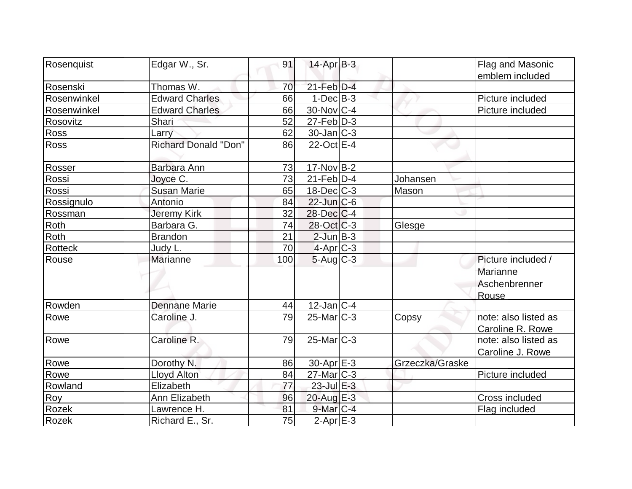| Rosenquist  | Edgar W., Sr.               | 91  | $14$ -Apr $B-3$             |                 | Flag and Masonic     |
|-------------|-----------------------------|-----|-----------------------------|-----------------|----------------------|
|             |                             |     |                             |                 | emblem included      |
| Rosenski    | Thomas W.                   | 70  | $21$ -Feb $D-4$             |                 |                      |
| Rosenwinkel | <b>Edward Charles</b>       | 66  | $1-Dec B-3$                 |                 | Picture included     |
| Rosenwinkel | <b>Edward Charles</b>       | 66  | 30-Nov C-4                  |                 | Picture included     |
| Rosovitz    | Shari                       | 52  | $27$ -Feb $\overline{D}$ -3 |                 |                      |
| Ross        | Larry                       | 62  | $30$ -Jan $ C-3 $           |                 |                      |
| <b>Ross</b> | <b>Richard Donald "Don"</b> | 86  | $22$ -Oct $E-4$             |                 |                      |
| Rosser      | Barbara Ann                 | 73  | $17$ -Nov B-2               |                 |                      |
| Rossi       | Joyce C.                    | 73  | $21$ -Feb $ D-4$            | Johansen        |                      |
| Rossi       | <b>Susan Marie</b>          | 65  | $18$ -Dec $C$ -3            | Mason           |                      |
| Rossignulo  | Antonio                     | 84  | $22$ -Jun $C$ -6            |                 |                      |
| Rossman     | Jeremy Kirk                 | 32  | 28-Dec C-4                  |                 |                      |
| Roth        | Barbara G.                  | 74  | 28-Oct C-3                  | Glesge          |                      |
| Roth        | <b>Brandon</b>              | 21  | $2$ -Jun $B-3$              |                 |                      |
| Rotteck     | Judy L.                     | 70  | $4$ -Apr $C$ -3             |                 |                      |
| Rouse       | Marianne                    | 100 | $5$ -Aug $C$ -3             |                 | Picture included /   |
|             |                             |     |                             |                 | Marianne             |
|             |                             |     |                             |                 | Aschenbrenner        |
|             |                             |     |                             |                 | Rouse                |
| Rowden      | <b>Dennane Marie</b>        | 44  | $12$ -Jan C-4               |                 |                      |
| Rowe        | Caroline J.                 | 79  | $25$ -Mar $C-3$             | Copsy           | note: also listed as |
|             |                             |     |                             |                 | Caroline R. Rowe     |
| Rowe        | Caroline R.                 | 79  | $25$ -Mar $ C-3 $           |                 | note: also listed as |
|             |                             |     |                             |                 | Caroline J. Rowe     |
| Rowe        | Dorothy N.                  | 86  | $30$ -Apr $E-3$             | Grzeczka/Graske |                      |
| Rowe        | Lloyd Alton                 | 84  | $27$ -Mar $ C-3 $           |                 | Picture included     |
| Rowland     | Elizabeth                   | 77  | $23$ -Jul $E-3$             |                 |                      |
| Roy         | Ann Elizabeth               | 96  | $20$ -Aug $E-3$             |                 | Cross included       |
| Rozek       | Lawrence H.                 | 81  | $9$ -Mar $C-4$              |                 | Flag included        |
| Rozek       | Richard E., Sr.             | 75  | $2-Apr$ E-3                 |                 |                      |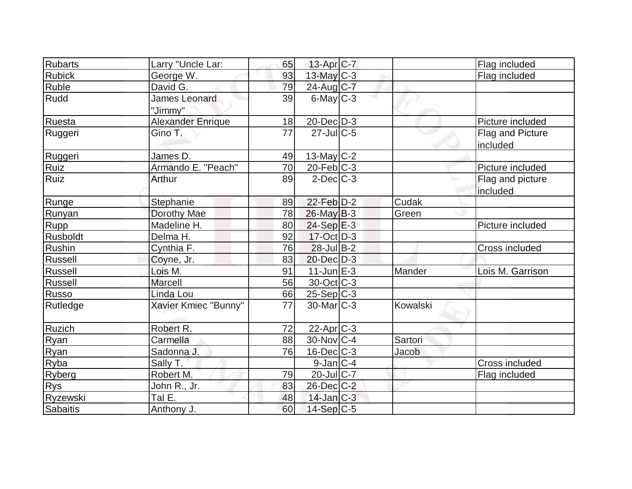| Rubarts         | Larry "Uncle Lar:               | 65 | 13-Apr C-7            |          | Flag included                |
|-----------------|---------------------------------|----|-----------------------|----------|------------------------------|
| <b>Rubick</b>   | George W.                       | 93 | 13-May C-3            |          | Flag included                |
| Ruble           | David G.                        | 79 | 24-Aug C-7            |          |                              |
| Rudd            | <b>James Leonard</b><br>"Jimmy" | 39 | $6$ -May $C$ -3       |          |                              |
| Ruesta          | <b>Alexander Enrique</b>        | 18 | $20$ -Dec $D-3$       |          | Picture included             |
| Ruggeri         | Gino T.                         | 77 | $27$ -JulC-5          |          | Flag and Picture<br>included |
| Ruggeri         | James D.                        | 49 | $13$ -May C-2         |          |                              |
| Ruiz            | Armando E. "Peach"              | 70 | $20$ -Feb $C-3$       |          | Picture included             |
| Ruiz            | Arthur                          | 89 | $2$ -Dec $C-3$        |          | Flag and picture             |
|                 |                                 |    |                       |          | included                     |
| Runge           | Stephanie                       | 89 | 22-Feb D-2            | Cudak    |                              |
| Runyan          | Dorothy Mae                     | 78 | 26-May B-3            | Green    |                              |
| Rupp            | Madeline H.                     | 80 | $24-Sep \nE-3$        |          | Picture included             |
| Rusboldt        | Delma H.                        | 92 | 17-Oct D-3            |          |                              |
| Rushin          | Cynthia F.                      | 76 | $28$ -Jul B-2         |          | Cross included               |
| Russell         | Coyne, Jr.                      | 83 | $20$ -Dec $D-3$       |          |                              |
| Russell         | Lois M.                         | 91 | $11$ -Jun $E-3$       | Mander   | Lois M. Garrison             |
| Russell         | <b>Marcell</b>                  | 56 | $30$ -Oct $ C-3 $     |          |                              |
| Russo           | Linda Lou                       | 66 | $25-Sep C-3$          |          |                              |
| Rutledge        | Xavier Kmiec "Bunny"            | 77 | $30$ -Mar $ C-3 $     | Kowalski |                              |
| Ruzich          | Robert R.                       | 72 | 22-Apr <sub>C-3</sub> |          |                              |
| Ryan            | Carmella                        | 88 | $30$ -Nov $ C-4 $     | Sartori  |                              |
| Ryan            | Sadonna J.                      | 76 | 16-Dec C-3            | Jacob    |                              |
| Ryba            | Sally T.                        |    | $9$ -Jan $ C-4 $      |          | Cross included               |
| Ryberg          | Robert M.                       | 79 | $20$ -Jul $C$ -7      |          | Flag included                |
| <b>Rys</b>      | John R., Jr.                    | 83 | 26-Dec C-2            |          |                              |
| Ryzewski        | Tal E.                          | 48 | $14$ -Jan $ C-3 $     |          |                              |
| <b>Sabaitis</b> | Anthony J.                      | 60 | 14-Sep C-5            |          |                              |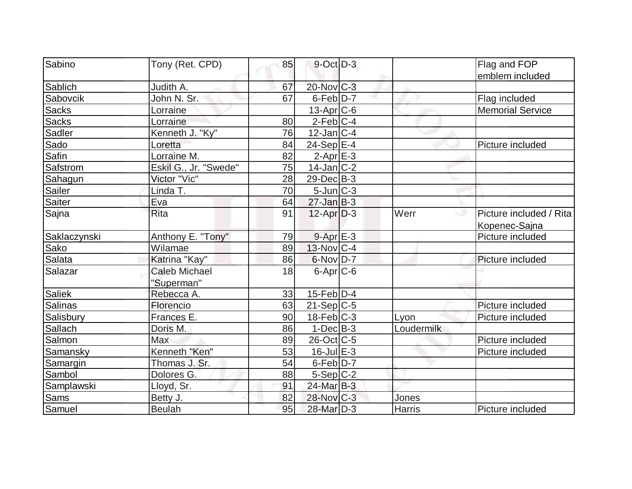| Sabino        | Tony (Ret. CPD)       | 85 | $9$ -Oct $D-3$    |            | Flag and FOP            |
|---------------|-----------------------|----|-------------------|------------|-------------------------|
|               |                       |    |                   |            | emblem included         |
| Sablich       | Judith A.             | 67 | 20-Nov C-3        |            |                         |
| Sabovcik      | John N. Sr.           | 67 | $6$ -Feb $D-7$    |            | Flag included           |
| Sacks         | Lorraine              |    | $13$ -Apr $C$ -6  |            | <b>Memorial Service</b> |
| <b>Sacks</b>  | Lorraine              | 80 | $2-Feb C-4$       |            |                         |
| Sadler        | Kenneth J. "Ky"       | 76 | $12$ -Jan $ C-4 $ |            |                         |
| Sado          | Loretta               | 84 | $24-Sep$ E-4      |            | Picture included        |
| Safin         | Lorraine M.           | 82 | $2$ -Apr $E-3$    |            |                         |
| Safstrom      | Eskil G., Jr. "Swede" | 75 | $14$ -Jan $ C-2 $ |            |                         |
| Sahagun       | Victor "Vic"          | 28 | $29$ -Dec $B$ -3  |            |                         |
| <b>Sailer</b> | Linda T.              | 70 | $5$ -Jun $ C-3 $  |            |                         |
| <b>Saiter</b> | Eva                   | 64 | $27 - Jan$ B-3    |            |                         |
| Sajna         | <b>Rita</b>           | 91 | $12$ -Apr $D-3$   | Werr       | Picture included / Rita |
|               |                       |    |                   |            | Kopenec-Sajna           |
| Saklaczynski  | Anthony E. "Tony"     | 79 | $9 - Apr$ E-3     |            | Picture included        |
| Sako          | Wilamae               | 89 | $13-Nov$ C-4      |            |                         |
| Salata        | Katrina "Kay"         | 86 | $6$ -Nov $D-7$    |            | Picture included        |
| Salazar       | <b>Caleb Michael</b>  | 18 | $6$ -Apr $C$ -6   |            |                         |
|               | "Superman"            |    |                   |            |                         |
| Saliek        | Rebecca A.            | 33 | $15$ -Feb $ D-4$  |            |                         |
| Salinas       | Florencio             | 63 | $21-Sep C-5$      |            | Picture included        |
| Salisbury     | Frances E.            | 90 | $18$ -Feb $ C-3 $ | Lyon       | Picture included        |
| Sallach       | Doris M.              | 86 | $1-DecIB-3$       | Loudermilk |                         |
| Salmon        | Max                   | 89 | $26$ -Oct $ C$ -5 |            | Picture included        |
| Samansky      | Kenneth "Ken"         | 53 | $16$ -Jul $E-3$   |            | Picture included        |
| Samargin      | Thomas J. Sr.         | 54 | 6-Feb D-7         |            |                         |
| Sambol        | Dolores G.            | 88 | $5-Sep C-2$       |            |                         |
| Samplawski    | Lloyd, Sr.            | 91 | 24-Mar B-3        |            |                         |
| <b>Sams</b>   | Betty J.              | 82 | 28-Nov C-3        | Jones      |                         |
| Samuel        | <b>Beulah</b>         | 95 | 28-Mar D-3        | Harris     | Picture included        |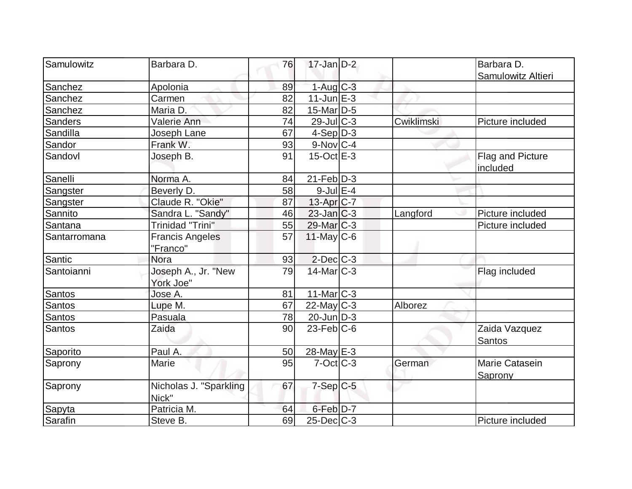| Samulowitz     | Barbara D.              | 76 | $17$ -Jan D-2          |            | Barbara D.         |
|----------------|-------------------------|----|------------------------|------------|--------------------|
|                |                         |    |                        |            | Samulowitz Altieri |
| Sanchez        | Apolonia                | 89 | $1-Aug$ $C-3$          |            |                    |
| Sanchez        | Carmen                  | 82 | $11$ -Jun $E-3$        |            |                    |
| Sanchez        | Maria D.                | 82 | $15$ -Mar $D$ -5       |            |                    |
| <b>Sanders</b> | Valerie Ann             | 74 | 29-Jul C-3             | Cwiklimski | Picture included   |
| Sandilla       | Joseph Lane             | 67 | $4-Sep D-3$            |            |                    |
| Sandor         | Frank W.                | 93 | $9-Nov$ <sub>C-4</sub> |            |                    |
| Sandovl        | Joseph B.               | 91 | $15$ -Oct $E - 3$      |            | Flag and Picture   |
|                |                         |    |                        |            | included           |
| Sanelli        | Norma A.                | 84 | $21$ -Feb $ D-3 $      |            |                    |
| Sangster       | Beverly D.              | 58 | $9$ -Jul $E-4$         |            |                    |
| Sangster       | Claude R. "Okie"        | 87 | $13$ -Apr $ C-7 $      |            |                    |
| Sannito        | Sandra L. "Sandy"       | 46 | 23-Jan C-3             | Langford   | Picture included   |
| Santana        | <b>Trinidad "Trini"</b> | 55 | $29$ -Mar $C-3$        |            | Picture included   |
| Santarromana   | <b>Francis Angeles</b>  | 57 | $11$ -May C-6          |            |                    |
|                | "Franco"                |    |                        |            |                    |
| Santic         | <b>Nora</b>             | 93 | $2$ -Dec $C-3$         |            |                    |
| Santoianni     | Joseph A., Jr. "New     | 79 | $14$ -Mar $ C-3 $      |            | Flag included      |
|                | York Joe"               |    |                        |            |                    |
| <b>Santos</b>  | Jose A.                 | 81 | $11$ -Mar $ C-3 $      |            |                    |
| <b>Santos</b>  | Lupe M.                 | 67 | $22$ -May C-3          | Alborez    |                    |
| Santos         | Pasuala                 | 78 | $20$ -Jun $ D-3 $      |            |                    |
| Santos         | Zaida                   | 90 | $23$ -Feb $ C$ -6      |            | Zaida Vazquez      |
|                |                         |    |                        |            | Santos             |
| Saporito       | Paul A.                 | 50 | 28-May E-3             |            |                    |
| Saprony        | <b>Marie</b>            | 95 | $7$ -Oct $ C-3 $       | German     | Marie Catasein     |
|                |                         |    |                        |            | Saprony            |
| Saprony        | Nicholas J. "Sparkling  | 67 | $7-Sep C-5$            |            |                    |
|                | Nick"                   |    |                        |            |                    |
| Sapyta         | Patricia M.             | 64 | $6$ -Feb $D-7$         |            |                    |
| Sarafin        | Steve B.                | 69 | $25$ -Dec $C$ -3       |            | Picture included   |
|                |                         |    |                        |            |                    |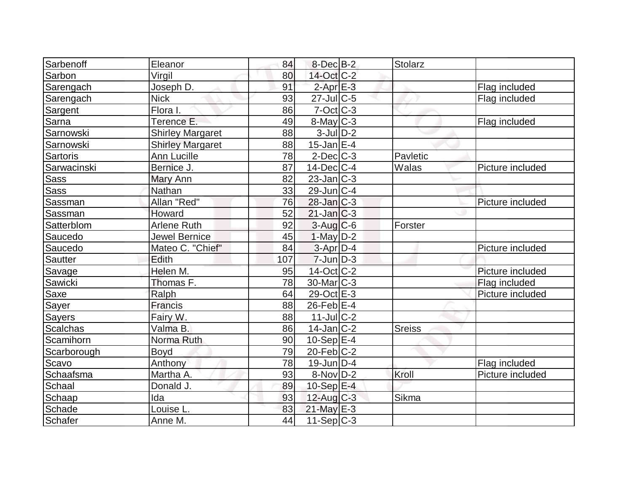| Sarbenoff       | Eleanor                 | 84  | $8$ -Dec $B-2$         | <b>Stolarz</b> |                  |
|-----------------|-------------------------|-----|------------------------|----------------|------------------|
| Sarbon          | Virgil                  | 80  | 14-Oct C-2             |                |                  |
| Sarengach       | Joseph D.               | 91  | $2$ -Apr $E-3$         |                | Flag included    |
| Sarengach       | <b>Nick</b>             | 93  | $27$ -JulC-5           |                | Flag included    |
| Sargent         | Flora I.                | 86  | $7-Oct$ $C-3$          |                |                  |
| Sarna           | Terence E.              | 49  | $8$ -May $C-3$         |                | Flag included    |
| Sarnowski       | <b>Shirley Margaret</b> | 88  | $3$ -Jul $D-2$         |                |                  |
| Sarnowski       | <b>Shirley Margaret</b> | 88  | $15$ -Jan $ E-4 $      |                |                  |
| <b>Sartoris</b> | <b>Ann Lucille</b>      | 78  | $2$ -Dec $C$ -3        | Pavletic       |                  |
| Sarwacinski     | Bernice J.              | 87  | $14$ -Dec $C$ -4       | Walas          | Picture included |
| <b>Sass</b>     | Mary Ann                | 82  | $23$ -Jan $ C-3 $      |                |                  |
| Sass            | Nathan                  | 33  | $29$ -Jun $C$ -4       |                |                  |
| Sassman         | Allan "Red"             | 76  | $28$ -Jan $ C-3 $      |                | Picture included |
| Sassman         | Howard                  | 52  | $21$ -Jan $ C-3 $      |                |                  |
| Satterblom      | <b>Arlene Ruth</b>      | 92  | $3$ -Aug C-6           | Forster        |                  |
| Saucedo         | <b>Jewel Bernice</b>    | 45  | $1-May$ D-2            |                |                  |
| Saucedo         | Mateo C. "Chief"        | 84  | $3-Apr D-4$            |                | Picture included |
| <b>Sautter</b>  | Edith                   | 107 | $7$ -Jun $D-3$         |                |                  |
| Savage          | Helen M.                | 95  | 14-Oct C-2             |                | Picture included |
| Sawicki         | Thomas F.               | 78  | 30-Mar <sub>IC-3</sub> |                | Flag included    |
| Saxe            | Ralph                   | 64  | 29-Oct E-3             |                | Picture included |
| Sayer           | Francis                 | 88  | $26$ -Feb $E-4$        |                |                  |
| <b>Sayers</b>   | Fairy W.                | 88  | $11$ -Jul C-2          |                |                  |
| <b>Scalchas</b> | Valma B.                | 86  | $14$ -Jan $ C-2 $      | <b>Sreiss</b>  |                  |
| Scamihorn       | Norma Ruth              | 90  | $10-Sep$ E-4           |                |                  |
| Scarborough     | Boyd                    | 79  | $20$ -Feb $C-2$        |                |                  |
| Scavo           | Anthony                 | 78  | $19$ -Jun $ D-4$       |                | Flag included    |
| Schaafsma       | Martha A.               | 93  | $8-Nov D-2$            | Kroll          | Picture included |
| Schaal          | Donald J.               | 89  | 10-Sep $E-4$           |                |                  |
| Schaap          | Ida                     | 93  | $12$ -Aug C-3          | Sikma          |                  |
| Schade          | Louise L                | 83  | $21$ -May E-3          |                |                  |
| Schafer         | Anne M.                 | 44  | $11-Sep C-3$           |                |                  |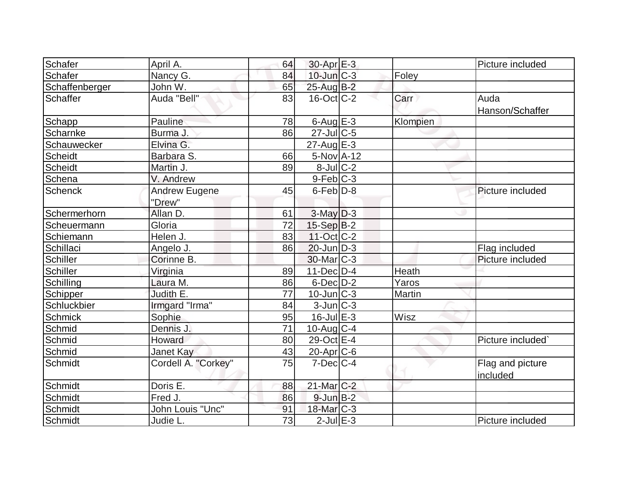| Schafer         | April A.            | 64              | $30$ -Apr $E-3$         |          | Picture included  |
|-----------------|---------------------|-----------------|-------------------------|----------|-------------------|
| Schafer         | Nancy G.            | 84              | 10-Jun C-3              | Foley    |                   |
| Schaffenberger  | John W.             | 65              | 25-Aug B-2              |          |                   |
| <b>Schaffer</b> | Auda "Bell"         | 83              | $16$ -Oct $ C-2 $       | Carr     | Auda              |
|                 |                     |                 |                         |          | Hanson/Schaffer   |
| Schapp          | Pauline             | 78              | 6-Aug $E-3$             | Klompien |                   |
| Scharnke        | Burma J             | 86              | $27$ -Jul $C$ -5        |          |                   |
| Schauwecker     | Elvina G.           |                 | $27 - Aug \, E - 3$     |          |                   |
| Scheidt         | Barbara S.          | 66              | 5-Nov A-12              |          |                   |
| <b>Scheidt</b>  | Martin J.           | 89              | $8$ -Jul $C-2$          |          |                   |
| Schena          | V. Andrew           |                 | $9-Feb$ $C-3$           |          |                   |
| <b>Schenck</b>  | Andrew Eugene       | 45              | $6$ -Feb $D-8$          |          | Picture included  |
|                 | "Drew"              |                 |                         |          |                   |
| Schermerhorn    | Allan D.            | 61              | $3$ -May $D-3$          |          |                   |
| Scheuermann     | Gloria              | $\overline{72}$ | $15-Sep B-2$            |          |                   |
| Schiemann       | Helen J.            | 83              | $11-Oct$ $C-2$          |          |                   |
| Schillaci       | Angelo J.           | 86              | $20$ -Jun $D-3$         |          | Flag included     |
| Schiller        | Corinne B.          |                 | 30-Mar <sub>IC</sub> -3 |          | Picture included  |
| Schiller        | Virginia            | 89              | $11$ -Dec $D-4$         | Heath    |                   |
| Schilling       | Laura M.            | 86              | $6$ -Dec $D$ -2         | Yaros    |                   |
| Schipper        | Judith E.           | 77              | $10$ -Jun $ C-3 $       | Martin   |                   |
| Schluckbier     | Irmgard "Irma"      | 84              | $3$ -Jun $C-3$          |          |                   |
| Schmick         | Sophie              | 95              | $16$ -Jul $E-3$         | Wisz     |                   |
| Schmid          | Dennis J.           | 71              | $10$ -Aug $C-4$         |          |                   |
| Schmid          | Howard              | 80              | 29-Oct E-4              |          | Picture included` |
| Schmid          | Janet Kay           | 43              | 20-Apr <sub>C-6</sub>   |          |                   |
| Schmidt         | Cordell A. "Corkey" | 75              | $7$ -Dec $ C-4$         |          | Flag and picture  |
|                 |                     |                 |                         |          | included          |
| Schmidt         | Doris E.            | 88              | 21-Mar C-2              |          |                   |
| Schmidt         | Fred J.             | 86              | $9$ -Jun $B-2$          |          |                   |
| Schmidt         | John Louis "Unc"    | 91              | 18-Mar C-3              |          |                   |
| Schmidt         | Judie L.            | $\overline{73}$ | $2$ -Jul $E-3$          |          | Picture included  |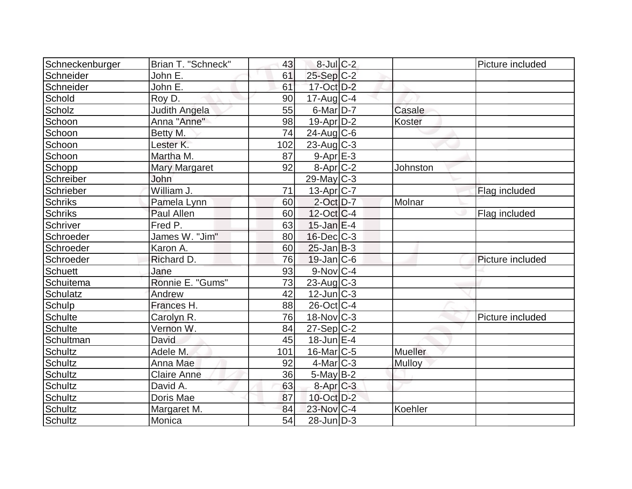| Schneckenburger | Brian T. "Schneck"    | 43  | $8$ -Jul $C$ -2          |               | Picture included |
|-----------------|-----------------------|-----|--------------------------|---------------|------------------|
| Schneider       | John E.               | 61  | $25-Sep C-2$             |               |                  |
| Schneider       | John E.               | 61  | 17-Oct D-2               |               |                  |
| Schold          | Roy D.                | 90  | $17$ -Aug $C-4$          |               |                  |
| Scholz          | Judith Angela         | 55  | $6$ -Mar $D-7$           | Casale        |                  |
| Schoon          | Anna "Anne"           | 98  | $19-Apr D-2$             | Koster        |                  |
| Schoon          | Betty M.              | 74  | $24$ -Aug C-6            |               |                  |
| Schoon          | Lester K.             | 102 | $23$ -Aug C-3            |               |                  |
| Schoon          | Martha M.             | 87  | $9 - Apr$ $E-3$          |               |                  |
| Schopp          | <b>Mary Margaret</b>  | 92  | $8-Apr$ $C-2$            | Johnston      |                  |
| Schreiber       | <b>John</b>           |     | $29$ -May C-3            |               |                  |
| Schrieber       | William J.            | 71  | $13-Apr$ <sub>C</sub> -7 |               | Flag included    |
| <b>Schriks</b>  | Pamela Lynn           | 60  | $2$ -Oct $D-7$           | Molnar        |                  |
| <b>Schriks</b>  | Paul Allen            | 60  | $12$ -Oct $ C-4 $        |               | Flag included    |
| Schriver        | Fred P.               | 63  | $15$ -Jan $E-4$          |               |                  |
| Schroeder       | James W. "Jim"        | 80  | $16$ -Dec $C$ -3         |               |                  |
| Schroeder       | Karon A.              | 60  | $25$ -Jan $ B-3 $        |               |                  |
| Schroeder       | Richard D.            | 76  | $19$ -Jan $ C$ -6        |               | Picture included |
| <b>Schuett</b>  | Jane                  | 93  | $9-Nov$ <sub>C-4</sub>   |               |                  |
| Schuitema       | Ronnie E. "Gums"      | 73  | $23$ -Aug C-3            |               |                  |
| Schulatz        | Andrew                | 42  | $12$ -Jun $ C-3 $        |               |                  |
| Schulp          | Frances H.            | 88  | $26$ -Oct C-4            |               |                  |
| Schulte         | Carolyn <sub>R.</sub> | 76  | $18-Nov$ <sub>C</sub> -3 |               | Picture included |
| <b>Schulte</b>  | Vernon W.             | 84  | $27-Sep C-2$             |               |                  |
| Schultman       | David                 | 45  | $18$ -Jun $E-4$          |               |                  |
| Schultz         | Adele M.              | 101 | $16$ -Mar $ C-5 $        | Mueller       |                  |
| Schultz         | Anna Mae              | 92  | $4$ -Mar $C-3$           | <b>Mulloy</b> |                  |
| Schultz         | <b>Claire Anne</b>    | 36  | $5$ -May B-2             |               |                  |
| Schultz         | David A.              | 63  | $8-AprC-3$               |               |                  |
| Schultz         | Doris Mae             | 87  | 10-Oct D-2               |               |                  |
| <b>Schultz</b>  | Margaret M.           | 84  | 23-Nov C-4               | Koehler       |                  |
| Schultz         | Monica                | 54  | $28$ -Jun $D-3$          |               |                  |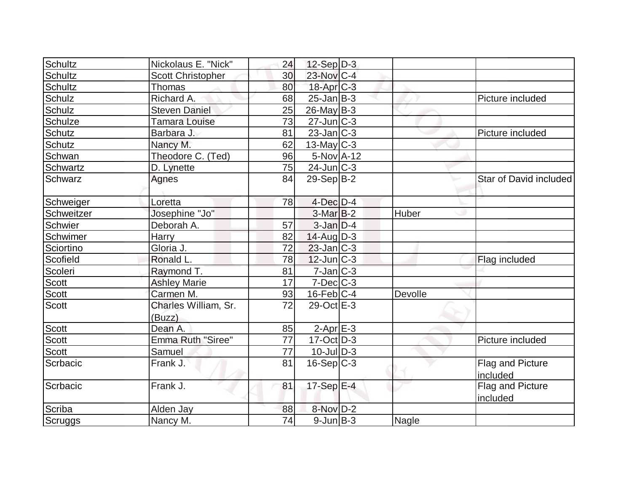| Schultz        | Nickolaus E. "Nick"            | 24 | $12-Sep D-3$      |              |                              |
|----------------|--------------------------------|----|-------------------|--------------|------------------------------|
| <b>Schultz</b> | <b>Scott Christopher</b>       | 30 | $23$ -Nov $ C-4 $ |              |                              |
| <b>Schultz</b> | Thomas                         | 80 | $18$ -Apr $C-3$   |              |                              |
| Schulz         | Richard A.                     | 68 | $25$ -Jan $ B-3 $ |              | Picture included             |
| Schulz         | <b>Steven Daniel</b>           | 25 | $26$ -May B-3     |              |                              |
| Schulze        | <b>Tamara Louise</b>           | 73 | $27$ -Jun $ C-3 $ |              |                              |
| Schutz         | Barbara J.                     | 81 | $23$ -Jan $ C-3 $ |              | Picture included             |
| <b>Schutz</b>  | Nancy M.                       | 62 | $13$ -May C-3     |              |                              |
| Schwan         | Theodore C. (Ted)              | 96 | 5-Nov A-12        |              |                              |
| Schwartz       | D. Lynette                     | 75 | $24$ -Jun $C-3$   |              |                              |
| Schwarz        | Agnes                          | 84 | $29-Sep B-2$      |              | Star of David included       |
| Schweiger      | Loretta                        | 78 | $4$ -Dec $D$ -4   |              |                              |
| Schweitzer     | Josephine "Jo"                 |    | $3-MarB-2$        | Huber        |                              |
| Schwier        | Deborah A.                     | 57 | $3$ -Jan $D-4$    |              |                              |
| Schwimer       | Harry                          | 82 | $14$ -Aug D-3     |              |                              |
| Sciortino      | Gloria J.                      | 72 | $23$ -Jan C-3     |              |                              |
| Scofield       | Ronald L.                      | 78 | $12$ -Jun $ C-3 $ |              | Flag included                |
| Scoleri        | Raymond T.                     | 81 | $7$ -Jan $C-3$    |              |                              |
| <b>Scott</b>   | <b>Ashley Marie</b>            | 17 | $7$ -Dec $ C-3 $  |              |                              |
| <b>Scott</b>   | Carmen M.                      | 93 | $16$ -Feb $ C-4$  | Devolle      |                              |
| <b>Scott</b>   | Charles William, Sr.<br>(Buzz) | 72 | 29-Oct E-3        |              |                              |
| <b>Scott</b>   | Dean A.                        | 85 | $2$ -Apr $E-3$    |              |                              |
| Scott          | Emma Ruth "Siree"              | 77 | $17-Oct$ D-3      |              | Picture included             |
| <b>Scott</b>   | Samuel                         | 77 | $10$ -Jul $D-3$   |              |                              |
| Scrbacic       | Frank J.                       | 81 | $16-Sep C-3$      |              | Flag and Picture<br>included |
| Scrbacic       | Frank J.                       | 81 | 17-Sep $E-4$      |              | Flag and Picture<br>included |
| Scriba         | Alden Jay                      | 88 | 8-Nov D-2         |              |                              |
| Scruggs        | Nancy M.                       | 74 | $9$ -Jun $B$ -3   | <b>Nagle</b> |                              |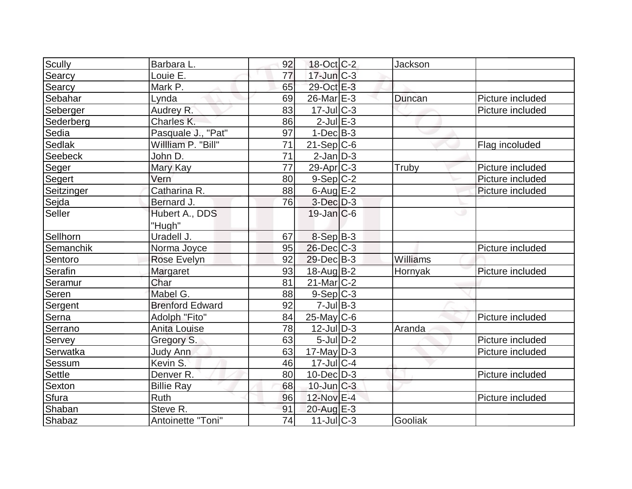| Scully        | Barbara L.             | 92 | 18-Oct C-2         | Jackson  |                  |
|---------------|------------------------|----|--------------------|----------|------------------|
| Searcy        | Louie E.               | 77 | $17$ -Jun $C-3$    |          |                  |
| Searcy        | Mark P.                | 65 | 29-Oct E-3         |          |                  |
| Sebahar       | Lynda                  | 69 | 26-Mar E-3         | Duncan   | Picture included |
| Seberger      | Audrey R.              | 83 | $17 -$ Jul $C - 3$ |          | Picture included |
| Sederberg     | Charles K.             | 86 | $2$ -Jul $E-3$     |          |                  |
| Sedia         | Pasquale J., "Pat"     | 97 | $1-Dec$ B-3        |          |                  |
| Sedlak        | Willliam P. "Bill"     | 71 | $21-Sep C-6$       |          | Flag incoluded   |
| Seebeck       | John D.                | 71 | $2$ -Jan $D-3$     |          |                  |
| Seger         | Mary Kay               | 77 | $29$ -Apr $ C-3 $  | Truby    | Picture included |
| Segert        | Vern                   | 80 | $9-Sep C-2$        |          | Picture included |
| Seitzinger    | Catharina R.           | 88 | $6$ -Aug $E-2$     |          | Picture included |
| Sejda         | Bernard J.             | 76 | $3$ -Dec $D-3$     |          |                  |
| Seller        | Hubert A., DDS         |    | $19$ -Jan $ C$ -6  |          | w                |
|               | "Hugh"                 |    |                    |          |                  |
| Sellhorn      | Uradell J.             | 67 | $8-Sep$ B-3        |          |                  |
| Semanchik     | Norma Joyce            | 95 | $26$ -Dec $C-3$    |          | Picture included |
| Sentoro       | Rose Evelyn            | 92 | 29-Dec B-3         | Williams |                  |
| Serafin       | Margaret               | 93 | $18$ -Aug $B - 2$  | Hornyak  | Picture included |
| Seramur       | Char                   | 81 | $21$ -Mar $ C-2 $  |          |                  |
| Seren         | Mabel G.               | 88 | $9-Sep C-3$        |          |                  |
| Sergent       | <b>Brenford Edward</b> | 92 | $7$ -Jul $B-3$     |          |                  |
| Serna         | Adolph "Fito"          | 84 | $25$ -May C-6      |          | Picture included |
| Serrano       | <b>Anita Louise</b>    | 78 | $12$ -Jul $D-3$    | Aranda   |                  |
| Servey        | Gregory S.             | 63 | $5$ -Jul $D-2$     |          | Picture included |
| Serwatka      | <b>Judy Ann</b>        | 63 | $17$ -May D-3      |          | Picture included |
| Sessum        | Kevin S.               | 46 | $17$ -JulC-4       |          |                  |
| <b>Settle</b> | Denver R.              | 80 | $10$ -Dec $D-3$    |          | Picture included |
| Sexton        | <b>Billie Ray</b>      | 68 | $10$ -Jun $ C-3 $  |          |                  |
| Sfura         | Ruth                   | 96 | 12-Nov E-4         |          | Picture included |
| Shaban        | Steve R.               | 91 | $20$ -Aug $E-3$    |          |                  |
| Shabaz        | Antoinette "Toni"      | 74 | $11$ -Jul $ C-3 $  | Gooliak  |                  |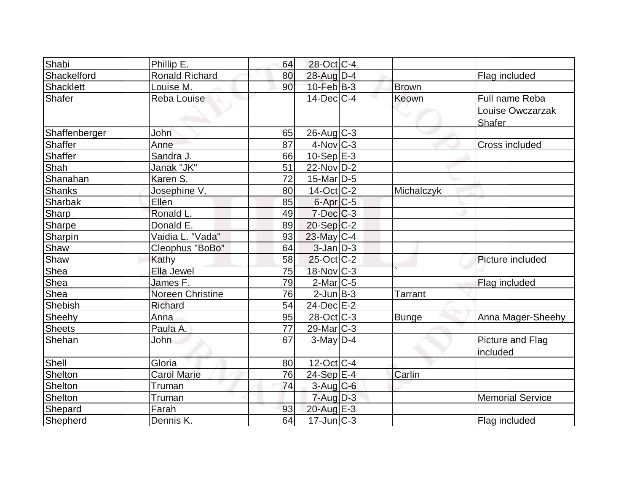| Shabi         | Phillip E.            | 64 | 28-Oct C-4           |                |                                              |
|---------------|-----------------------|----|----------------------|----------------|----------------------------------------------|
| Shackelford   | <b>Ronald Richard</b> | 80 | 28-Aug D-4           |                | Flag included                                |
| Shacklett     | Louise M.             | 90 | $10$ -Feb $B-3$      | Brown          |                                              |
| Shafer        | <b>Reba Louise</b>    |    | $14$ -Dec $C-4$      | Keown          | Full name Reba<br>Louise Owczarzak<br>Shafer |
| Shaffenberger | John                  | 65 | 26-Aug C-3           |                |                                              |
| Shaffer       | Anne                  | 87 | $4$ -Nov $ C-3 $     |                | Cross included                               |
| Shaffer       | Sandra J.             | 66 | $10-Sep$ $E-3$       |                |                                              |
| Shah          | Janak "JK"            | 51 | 22-Nov D-2           |                |                                              |
| Shanahan      | Karen S.              | 72 | $15$ -Mar $ D-5$     |                |                                              |
| <b>Shanks</b> | Josephine V.          | 80 | $14-Oct$ $C-2$       | Michalczyk     |                                              |
| Sharbak       | Ellen                 | 85 | 6-Apr <sub>C-5</sub> |                |                                              |
| <b>Sharp</b>  | Ronald L.             | 49 | $7$ -Dec $C$ -3      |                |                                              |
| <b>Sharpe</b> | Donald E.             | 89 | $20-Sep C-2$         |                |                                              |
| Sharpin       | Vaidia L. "Vada"      | 93 | 23-May C-4           |                |                                              |
| Shaw          | Cleophus "BoBo"       | 64 | $3$ -Jan $D-3$       |                |                                              |
| Shaw          | Kathy                 | 58 | $25$ -Oct $ C-2 $    |                | Picture included                             |
| Shea          | Ella Jewel            | 75 | 18-Nov C-3           |                |                                              |
| Shea          | James F.              | 79 | $2$ -Mar $ C-5 $     |                | Flag included                                |
| Shea          | Noreen Christine      | 76 | $2$ -Jun $B-3$       | <b>Tarrant</b> |                                              |
| Shebish       | Richard               | 54 | 24-Dec E-2           |                |                                              |
| Sheehy        | Anna                  | 95 | 28-Oct C-3           | <b>Bunge</b>   | Anna Mager-Sheehy                            |
| <b>Sheets</b> | Paula A.              | 77 | $29$ -Mar $ C-3 $    |                |                                              |
| Shehan        | <b>John</b>           | 67 | $3$ -May $D-4$       |                | Picture and Flag<br>included                 |
| Shell         | Gloria                | 80 | $12$ -Oct $C$ -4     |                |                                              |
| Shelton       | <b>Carol Marie</b>    | 76 | 24-Sep E-4           | Carlin         |                                              |
| Shelton       | Truman                | 74 | $3$ -Aug $C$ -6      |                |                                              |
| Shelton       | Truman                |    | $7 - Aug$ $D-3$      |                | <b>Memorial Service</b>                      |
| Shepard       | Farah                 | 93 | 20-Aug E-3           |                |                                              |
| Shepherd      | Dennis K.             | 64 | $17$ -Jun $ C-3 $    |                | Flag included                                |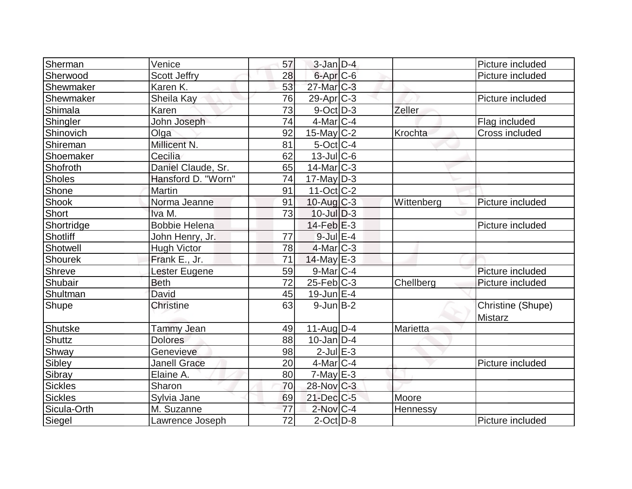| Sherman       | Venice               | 57 | $3$ -Jan $D-4$         |            | Picture included                    |
|---------------|----------------------|----|------------------------|------------|-------------------------------------|
| Sherwood      | <b>Scott Jeffry</b>  | 28 | 6-Apr <sub>C-6</sub>   |            | Picture included                    |
| Shewmaker     | Karen K.             | 53 | 27-Mar <sub>IC-3</sub> |            |                                     |
| Shewmaker     | Sheila Kay           | 76 | $29$ -Apr $C-3$        |            | Picture included                    |
| Shimala       | Karen                | 73 | $9$ -Oct $ D-3 $       | Zeller     |                                     |
| Shingler      | John Joseph          | 74 | $4$ -Mar $ C-4$        |            | Flag included                       |
| Shinovich     | Olga                 | 92 | $15$ -May C-2          | Krochta    | Cross included                      |
| Shireman      | Millicent N.         | 81 | $5$ -Oct C-4           |            |                                     |
| Shoemaker     | Cecilia              | 62 | $13$ -JulC-6           |            |                                     |
| Shofroth      | Daniel Claude, Sr.   | 65 | $14$ -Mar $ C-3 $      |            |                                     |
| <b>Sholes</b> | Hansford D. "Worn"   | 74 | $17$ -May D-3          |            |                                     |
| Shone         | <b>Martin</b>        | 91 | $11-Oct$ $C-2$         |            |                                     |
| Shook         | Norma Jeanne         | 91 | $10$ -Aug $C-3$        | Wittenberg | Picture included                    |
| Short         | Iva M.               | 73 | $10$ -Jul $D-3$        |            |                                     |
| Shortridge    | <b>Bobbie Helena</b> |    | $14$ -Feb $E-3$        |            | Picture included                    |
| Shotliff      | John Henry, Jr.      | 77 | $9$ -Jul $E-4$         |            |                                     |
| Shotwell      | <b>Hugh Victor</b>   | 78 | $4$ -Mar $ C-3 $       |            |                                     |
| Shourek       | Frank E., Jr.        | 71 | $14$ -May E-3          |            |                                     |
| Shreve        | Lester Eugene        | 59 | $9$ -Mar $ C-4 $       |            | Picture included                    |
| Shubair       | <b>Beth</b>          | 72 | $25$ -Feb $ C-3 $      | Chellberg  | Picture included                    |
| Shultman      | David                | 45 | $19$ -Jun $E-4$        |            |                                     |
| Shupe         | <b>Christine</b>     | 63 | $9$ -Jun $B-2$         |            | Christine (Shupe)<br><b>Mistarz</b> |
| Shutske       | <b>Tammy Jean</b>    | 49 | $11-Auq D-4$           | Marietta   |                                     |
| <b>Shuttz</b> | <b>Dolores</b>       | 88 | $10$ -Jan $ D-4 $      |            |                                     |
| Shway         | Genevieve            | 98 | $2$ -Jul $E-3$         |            |                                     |
| Sibley        | <b>Janell Grace</b>  | 20 | $4$ -Mar $ C-4$        |            | Picture included                    |
| Sibray        | Elaine A.            | 80 | $7$ -May $E-3$         |            |                                     |
| Sickles       | Sharon               | 70 | 28-Nov C-3             |            |                                     |
| Sickles       | Sylvia Jane          | 69 | $21$ -Dec $C$ -5       | Moore      |                                     |
| Sicula-Orth   | M. Suzanne           | 77 | $2$ -Nov $C-4$         | Hennessy   |                                     |
| Siegel        | Lawrence Joseph      | 72 | $2$ -Oct $ D-8 $       |            | Picture included                    |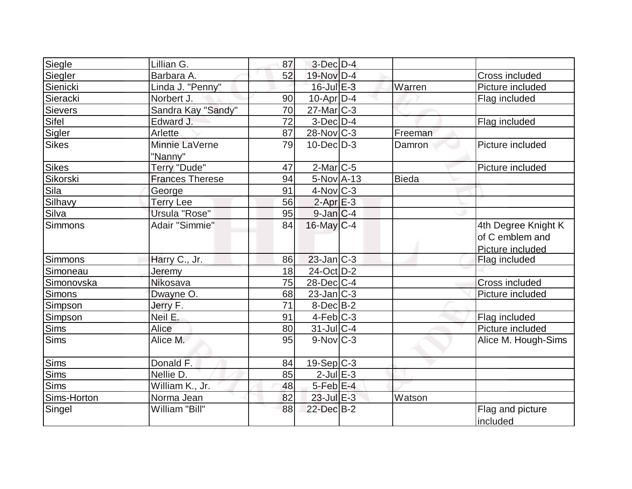| Siegle         | Lillian G.             | 87 | $3$ -Dec $D-4$         |              |                       |
|----------------|------------------------|----|------------------------|--------------|-----------------------|
| Siegler        | Barbara A.             | 52 | 19-Nov D-4             |              | Cross included        |
| Sienicki       | Linda J. "Penny"       |    | 16-Jul E-3             | Warren       | Picture included      |
| Sieracki       | Norbert J.             | 90 | $10$ -Apr $ D-4$       |              | Flag included         |
| <b>Sievers</b> | Sandra Kay "Sandy"     | 70 | $27$ -Mar $ C-3 $      |              |                       |
| Sifel          | Edward J.              | 72 | $3-Dec$ $D-4$          |              | Flag included         |
| Sigler         | Arlette                | 87 | $28-Nov$ C-3           | Freeman      |                       |
| <b>Sikes</b>   | Minnie LaVerne         | 79 | $10$ -Dec $D-3$        | Damron       | Picture included      |
|                | "Nanny"                |    |                        |              |                       |
| <b>Sikes</b>   | Terry "Dude"           | 47 | $2$ -Mar $ C-5 $       |              | Picture included      |
| Sikorski       | <b>Frances Therese</b> | 94 | $5-NovA-13$            | <b>Bieda</b> |                       |
| Sila           | George                 | 91 | $4$ -Nov $C-3$         |              |                       |
| Silhavy        | <b>Terry Lee</b>       | 56 | $2$ -Apr $E-3$         |              |                       |
| Silva          | Ursula "Rose"          | 95 | $9$ -Jan $C-4$         |              |                       |
| <b>Simmons</b> | Adair "Simmie"         | 84 | $16$ -May $C-4$        |              | 4th Degree Knight K   |
|                |                        |    |                        |              | of C emblem and       |
|                |                        |    |                        |              | Picture included      |
| Simmons        | Harry C., Jr.          | 86 | $23$ -Jan $C-3$        |              | Flag included         |
| Simoneau       | Jeremy                 | 18 | 24-Oct D-2             |              |                       |
| Simonovska     | Nikosava               | 75 | $28$ -Dec $ C-4 $      |              | <b>Cross included</b> |
| <b>Simons</b>  | Dwayne O.              | 68 | $23$ -Jan $ C-3 $      |              | Picture included      |
| Simpson        | Jerry F.               | 71 | $8$ -Dec $B$ -2        |              |                       |
| Simpson        | Neil E.                | 91 | $4-Feb C-3$            |              | Flag included         |
| <b>Sims</b>    | Alice                  | 80 | 31-Jul C-4             |              | Picture included      |
| <b>Sims</b>    | Alice M.               | 95 | $9-Nov$ <sub>C-3</sub> |              | Alice M. Hough-Sims   |
| <b>Sims</b>    | Donald F.              | 84 | $19-Sep C-3$           |              |                       |
| Sims           | Nellie D.              | 85 | $2$ -Jul $E-3$         |              |                       |
| Sims           | William K., Jr.        | 48 | $5$ -Feb $E$ -4        |              |                       |
| Sims-Horton    | Norma Jean             | 82 | $23$ -Jul $E-3$        | Watson       |                       |
| Singel         | William "Bill"         | 88 | 22-Dec B-2             |              | Flag and picture      |
|                |                        |    |                        |              | included              |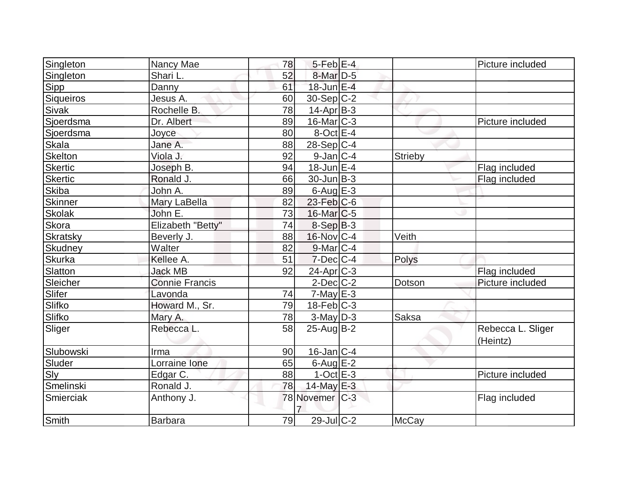| Singleton      | Nancy Mae         | 78 | $5$ -Feb $E$ -4   |                | Picture included              |
|----------------|-------------------|----|-------------------|----------------|-------------------------------|
| Singleton      | Shari L.          | 52 | 8-Mar D-5         |                |                               |
| Sipp           | Danny             | 61 | 18-Jun E-4        |                |                               |
| Siqueiros      | Jesus A.          | 60 | $30-Sep C-2$      |                |                               |
| Sivak          | Rochelle B.       | 78 | $14$ -Apr $B-3$   |                |                               |
| Sjoerdsma      | Dr. Albert        | 89 | $16$ -Mar $ C-3 $ |                | Picture included              |
| Sjoerdsma      | Joyce             | 80 | $8$ -Oct $E - 4$  |                |                               |
| Skala          | Jane A.           | 88 | $28-Sep C-4$      |                |                               |
| Skelton        | Viola J.          | 92 | $9$ -Jan $C-4$    | <b>Strieby</b> |                               |
| <b>Skertic</b> | Joseph B.         | 94 | $18$ -Jun $E-4$   |                | Flag included                 |
| <b>Skertic</b> | Ronald J.         | 66 | $30$ -Jun $ B-3 $ |                | Flag included                 |
| <b>Skiba</b>   | John A.           | 89 | $6$ -Aug $E-3$    |                |                               |
| Skinner        | Mary LaBella      | 82 | $23$ -Feb $C$ -6  |                |                               |
| <b>Skolak</b>  | John E.           | 73 | $16$ -Mar $ C$ -5 |                |                               |
| Skora          | Elizabeth "Betty" | 74 | $8-Sep B-3$       |                |                               |
| Skratsky       | Beverly J.        | 88 | 16-Nov C-4        | Veith          |                               |
| Skudney        | Walter            | 82 | $9$ -Mar $C-4$    |                |                               |
| Skurka         | Kellee A.         | 51 | $7$ -Dec $ C-4 $  | Polys          |                               |
| Slatton        | <b>Jack MB</b>    | 92 | $24$ -Apr $ C-3 $ |                | Flag included                 |
| Sleicher       | Connie Francis    |    | $2$ -Dec $C-2$    | Dotson         | Picture included              |
| Slifer         | Lavonda           | 74 | $7$ -May E-3      |                |                               |
| Slifko         | Howard M., Sr.    | 79 | $18$ -Feb $ C-3 $ |                |                               |
| Slifko         | Mary A.           | 78 | $3$ -May $D-3$    | Saksa          |                               |
| Sliger         | Rebecca L.        | 58 | $25$ -Aug $B-2$   |                | Rebecca L. Sliger<br>(Heintz) |
| Slubowski      | Irma              | 90 | $16$ -Jan $ C-4 $ |                |                               |
| Sluder         | Lorraine Ione     | 65 | $6$ -Aug $E-2$    |                |                               |
| Sly            | Edgar C.          | 88 | $1-Oct$ $E-3$     |                | Picture included              |
| Smelinski      | Ronald J.         | 78 | 14-May E-3        |                |                               |
| Smierciak      | Anthony J.        |    | 78 Novemer C-3    |                | Flag included                 |
| Smith          | <b>Barbara</b>    | 79 | $29$ -Jul C-2     | <b>McCay</b>   |                               |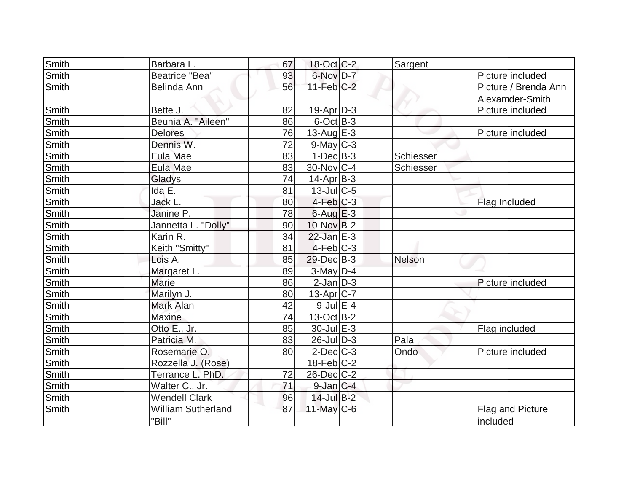| Smith        | Barbara L.                | 67 | 18-Oct C-2        | Sargent   |                      |
|--------------|---------------------------|----|-------------------|-----------|----------------------|
| Smith        | <b>Beatrice "Bea"</b>     | 93 | 6-Nov D-7         |           | Picture included     |
| Smith        | Belinda Ann               | 56 | $11-Feb$ C-2      |           | Picture / Brenda Ann |
|              |                           |    |                   |           | Alexamder-Smith      |
| Smith        | Bette J.                  | 82 | $19-Apr D-3$      |           | Picture included     |
| Smith        | Beunia A. "Aileen"        | 86 | $6$ -Oct $B-3$    |           |                      |
| <b>Smith</b> | Delores                   | 76 | $13$ -Aug $E-3$   |           | Picture included     |
| Smith        | Dennis W.                 | 72 | $9$ -May $C-3$    |           |                      |
| Smith        | Eula Mae                  | 83 | $1-Dec B-3$       | Schiesser |                      |
| Smith        | Eula Mae                  | 83 | 30-Nov C-4        | Schiesser |                      |
| Smith        | Gladys                    | 74 | $14$ -Apr $ B-3 $ |           |                      |
| Smith        | Ida E.                    | 81 | $13$ -Jul $C$ -5  |           |                      |
| Smith        | Jack L.                   | 80 | $4-Feb$ $C-3$     |           | Flag Included        |
| Smith        | Janine P.                 | 78 | $6$ -Aug $E-3$    |           |                      |
| <b>Smith</b> | Jannetta L. "Dolly"       | 90 | 10-Nov B-2        |           |                      |
| Smith        | Karin R.                  | 34 | $22$ -Jan $E-3$   |           |                      |
| Smith        | Keith "Smitty"            | 81 | $4-Feb$ C-3       |           |                      |
| Smith        | Lois A.                   | 85 | $29$ -Dec $B-3$   | Nelson    |                      |
| Smith        | Margaret L.               | 89 | 3-May D-4         |           |                      |
| Smith        | <b>Marie</b>              | 86 | $2$ -Jan $D-3$    |           | Picture included     |
| Smith        | Marilyn J.                | 80 | $13$ -Apr $ C-7$  |           |                      |
| Smith        | Mark Alan                 | 42 | $9$ -Jul $E-4$    |           |                      |
| Smith        | <b>Maxine</b>             | 74 | $13-Oct$ B-2      |           |                      |
| Smith        | Otto E., Jr.              | 85 | $30$ -Jul $E-3$   |           | Flag included        |
| Smith        | Patricia M.               | 83 | 26-Jul D-3        | Pala      |                      |
| Smith        | Rosemarie O.              | 80 | $2$ -Dec $C$ -3   | Ondo      | Picture included     |
| Smith        | Rozzella J. (Rose)        |    | $18$ -Feb $ C-2 $ |           |                      |
| Smith        | Terrance L. PhD.          | 72 | $26$ -Dec $C$ -2  |           |                      |
| Smith        | Walter C., Jr.            | 71 | $9$ -Jan $ C-4 $  |           |                      |
| Smith        | <b>Wendell Clark</b>      | 96 | $14$ -Jul B-2     |           |                      |
| Smith        | <b>William Sutherland</b> | 87 | 11-May C-6        |           | Flag and Picture     |
|              | "Bill"                    |    |                   |           | included             |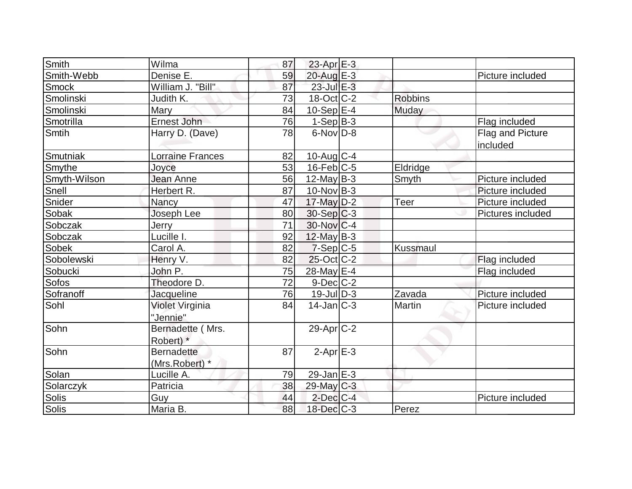| Smith        | Wilma             | 87 | $23$ -Apr $E-3$   |                 |                   |
|--------------|-------------------|----|-------------------|-----------------|-------------------|
| Smith-Webb   | Denise E.         | 59 | 20-Aug E-3        |                 | Picture included  |
| <b>Smock</b> | William J. "Bill" | 87 | $23$ -Jul $E-3$   |                 |                   |
| Smolinski    | Judith K.         | 73 | 18-Oct C-2        | <b>Robbins</b>  |                   |
| Smolinski    | Mary              | 84 | $10-Sep$ $E-4$    | Muday           |                   |
| Smotrilla    | Ernest John       | 76 | $1-Sep B-3$       |                 | Flag included     |
| Smtih        | Harry D. (Dave)   | 78 | $6$ -Nov $D-8$    |                 | Flag and Picture  |
|              |                   |    |                   |                 | included          |
| Smutniak     | Lorraine Frances  | 82 | 10-Aug C-4        |                 |                   |
| Smythe       | Joyce             | 53 | $16$ -Feb $ C-5 $ | Eldridge        |                   |
| Smyth-Wilson | Jean Anne         | 56 | $12$ -May B-3     | Smyth           | Picture included  |
| Snell        | Herbert R.        | 87 | $10$ -Nov B-3     |                 | Picture included  |
| Snider       | Nancy             | 47 | 17-May D-2        | Teer            | Picture included  |
| Sobak        | Joseph Lee        | 80 | $30-Sep C-3$      |                 | Pictures included |
| Sobczak      | Jerry             | 71 | 30-Nov C-4        |                 |                   |
| Sobczak      | Lucille I.        | 92 | $12$ -May B-3     |                 |                   |
| <b>Sobek</b> | Carol A.          | 82 | $7-Sep C-5$       | <b>Kussmaul</b> |                   |
| Sobolewski   | Henry V.          | 82 | $25$ -Oct C-2     |                 | Flag included     |
| Sobucki      | John P.           | 75 | 28-May E-4        |                 | Flag included     |
| Sofos        | Theodore D.       | 72 | $9$ -Dec $C-2$    |                 |                   |
| Sofranoff    | Jacqueline        | 76 | $19$ -JulD-3      | Zavada          | Picture included  |
| Sohl         | Violet Virginia   | 84 | $14$ -Jan $ C-3 $ | Martin          | Picture included  |
|              | "Jennie"          |    |                   |                 |                   |
| Sohn         | Bernadette (Mrs.  |    | $29$ -Apr $C-2$   |                 |                   |
|              | Robert) *         |    |                   |                 |                   |
| Sohn         | <b>Bernadette</b> | 87 | $2-Apr$ $E-3$     |                 |                   |
|              | (Mrs.Robert) *    |    |                   |                 |                   |
| Solan        | Lucille A.        | 79 | $29$ -Jan $E-3$   |                 |                   |
| Solarczyk    | Patricia          | 38 | 29-May C-3        |                 |                   |
| Solis        | Guy               | 44 | $2$ -Dec $C$ -4   |                 | Picture included  |
| Solis        | Maria B.          | 88 | 18-Dec C-3        | Perez           |                   |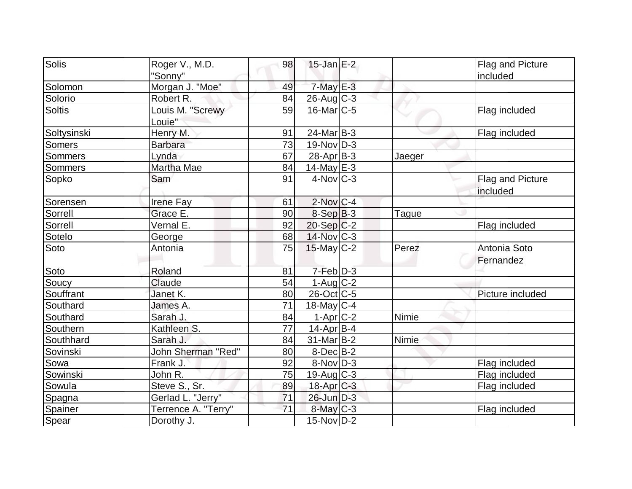| Solis         | Roger V., M.D.      | 98 | $15$ -Jan $E-2$   |              | Flag and Picture |
|---------------|---------------------|----|-------------------|--------------|------------------|
|               | "Sonny"             |    |                   |              | included         |
| Solomon       | Morgan J. "Moe"     | 49 | $7$ -May $E-3$    |              |                  |
| Solorio       | Robert R.           | 84 | $26$ -Aug C-3     |              |                  |
| <b>Soltis</b> | Louis M. "Screwy    | 59 | $16$ -Mar $ C-5 $ |              | Flag included    |
|               | Louie"              |    |                   |              |                  |
| Soltysinski   | Henry M.            | 91 | $24$ -Mar $ B-3 $ |              | Flag included    |
| <b>Somers</b> | <b>Barbara</b>      | 73 | $19-Nov D-3$      |              |                  |
| Sommers       | Lynda               | 67 | $28$ -Apr $B-3$   | Jaeger       |                  |
| Sommers       | Martha Mae          | 84 | 14-May $E-3$      |              |                  |
| Sopko         | Sam                 | 91 | $4$ -Nov $ C-3 $  |              | Flag and Picture |
|               |                     |    |                   |              | included         |
| Sorensen      | Irene Fay           | 61 | $2$ -Nov $ C-4 $  |              |                  |
| Sorrell       | Grace E.            | 90 | $8-Sep B-3$       | <b>Tague</b> |                  |
| Sorrell       | Vernal E.           | 92 | $20-Sep C-2$      |              | Flag included    |
| Sotelo        | George              | 68 | 14-Nov C-3        |              |                  |
| Soto          | Antonia             | 75 | $15$ -May C-2     | Perez        | Antonia Soto     |
|               |                     |    |                   |              | Fernandez        |
| Soto          | Roland              | 81 | $7-Feb$ $D-3$     |              |                  |
| Soucy         | Claude              | 54 | $1-Aug$ $C-2$     |              |                  |
| Souffrant     | Janet K.            | 80 | $26$ -Oct $ C$ -5 |              | Picture included |
| Southard      | James A.            | 71 | 18-May $C-4$      |              |                  |
| Southard      | Sarah J.            | 84 | $1-Apr$ C-2       | Nimie        |                  |
| Southern      | Kathleen S.         | 77 | $14$ -Apr $ B-4 $ |              |                  |
| Southhard     | Sarah J.            | 84 | $31$ -Mar $ B-2 $ | Nimie        |                  |
| Sovinski      | John Sherman "Red"  | 80 | $8$ -Dec $B$ -2   |              |                  |
| Sowa          | Frank J.            | 92 | $8-Nov D-3$       |              | Flag included    |
| Sowinski      | John R.             | 75 | $19$ -Aug C-3     |              | Flag included    |
| Sowula        | Steve S., Sr.       | 89 | $18$ -Apr $C-3$   |              | Flag included    |
| Spagna        | Gerlad L. "Jerry"   | 71 | 26-Jun D-3        |              |                  |
| Spainer       | Terrence A. "Terry" | 71 | 8-May C-3         |              | Flag included    |
| Spear         | Dorothy J.          |    | $15$ -Nov $ D-2 $ |              |                  |
|               |                     |    |                   |              |                  |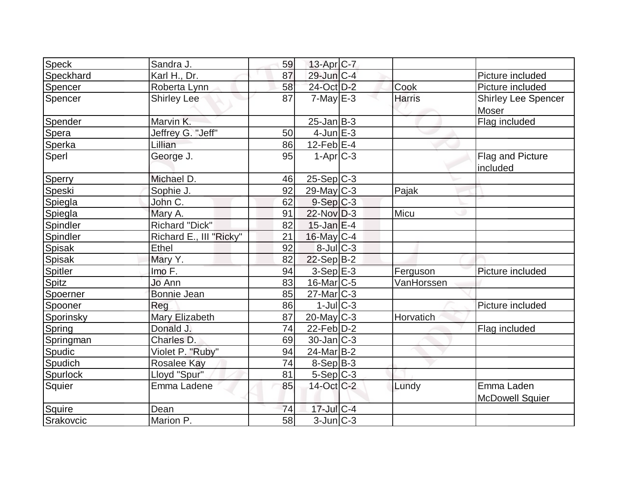| <b>Speck</b>    | Sandra J.               | 59 | 13-Apr C-7        |               |                            |
|-----------------|-------------------------|----|-------------------|---------------|----------------------------|
| Speckhard       | Karl H., Dr.            | 87 | 29-Jun C-4        |               | Picture included           |
| Spencer         | Roberta Lynn            | 58 | 24-Oct D-2        | Cook          | Picture included           |
| Spencer         | <b>Shirley Lee</b>      | 87 | $7$ -May $E-3$    | <b>Harris</b> | <b>Shirley Lee Spencer</b> |
|                 |                         |    |                   |               | Moser                      |
| Spender         | Marvin K.               |    | $25 - Jan$ B-3    |               | Flag included              |
| Spera           | Jeffrey G. "Jeff"       | 50 | $4$ -Jun $E-3$    |               |                            |
| Sperka          | Lillian                 | 86 | $12$ -Feb $E-4$   |               |                            |
| Sperl           | George J.               | 95 | $1-Apr$ $C-3$     |               | Flag and Picture           |
|                 |                         |    |                   |               | included                   |
| Sperry          | Michael D.              | 46 | $25-Sep C-3$      |               |                            |
| Speski          | Sophie J.               | 92 | $29$ -May C-3     | Pajak         |                            |
| Spiegla         | John C.                 | 62 | $9-Sep C-3$       |               |                            |
| Spiegla         | Mary A.                 | 91 | $22$ -Nov $D-3$   | Micu          |                            |
| Spindler        | <b>Richard "Dick"</b>   | 82 | $15$ -Jan $E-4$   |               |                            |
| Spindler        | Richard E., III "Ricky" | 21 | 16-May C-4        |               |                            |
| <b>Spisak</b>   | Ethel                   | 92 | $8$ -Jul $C$ -3   |               |                            |
| Spisak          | Mary Y.                 | 82 | $22-Sep B-2$      |               |                            |
| <b>Spitler</b>  | Imo F.                  | 94 | $3-Sep$ $E-3$     | Ferguson      | Picture included           |
| Spitz           | Jo Ann                  | 83 | $16$ -Mar $ C-5 $ | VanHorssen    |                            |
| Spoerner        | <b>Bonnie Jean</b>      | 85 | $27$ -Mar $ C-3 $ |               |                            |
| Spooner         | Reg                     | 86 | $1$ -Jul $ C-3 $  |               | Picture included           |
| Sporinsky       | Mary Elizabeth          | 87 | $20$ -May C-3     | Horvatich     |                            |
| Spring          | Donald J.               | 74 | $22$ -Feb $ D-2 $ |               | Flag included              |
| Springman       | Charles D.              | 69 | $30$ -Jan $ C-3 $ |               |                            |
| Spudic          | Violet P. "Ruby"        | 94 | 24-Mar B-2        |               |                            |
| Spudich         | <b>Rosalee Kay</b>      | 74 | $8-Sep B-3$       |               |                            |
| <b>Spurlock</b> | Lloyd "Spur"            | 81 | $5-Sep C-3$       |               |                            |
| Squier          | Emma Ladene             | 85 | 14-Oct C-2        | Lundy         | Emma Laden                 |
|                 |                         |    |                   |               | <b>McDowell Squier</b>     |
| Squire          | Dean                    | 74 | $17$ -Jul $C-4$   |               |                            |
| Srakovcic       | Marion P.               | 58 | $3$ -Jun $ C-3 $  |               |                            |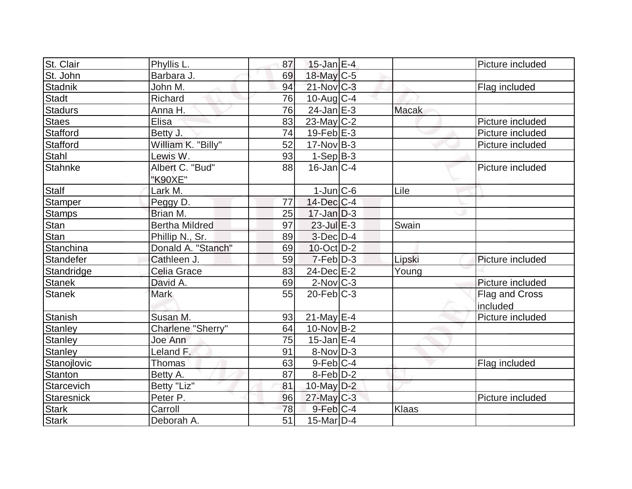| St. Clair         | Phyllis L.            | 87 | $15$ -Jan E-4     |              | Picture included |
|-------------------|-----------------------|----|-------------------|--------------|------------------|
| St. John          | Barbara J.            | 69 | 18-May C-5        |              |                  |
| <b>Stadnik</b>    | John M.               | 94 | 21-Nov C-3        |              | Flag included    |
| <b>Stadt</b>      | Richard               | 76 | $10$ -Aug $C-4$   |              |                  |
| <b>Stadurs</b>    | Anna H.               | 76 | $24$ -Jan $E-3$   | <b>Macak</b> |                  |
| <b>Staes</b>      | Elisa                 | 83 | $23$ -May C-2     |              | Picture included |
| Stafford          | Betty J.              | 74 | $19$ -Feb $E-3$   |              | Picture included |
| <b>Stafford</b>   | William K. "Billy"    | 52 | $17-Nov$ B-3      |              | Picture included |
| Stahl             | Lewis W.              | 93 | $1-Sep B-3$       |              |                  |
| <b>Stahnke</b>    | Albert C. "Bud"       | 88 | $16$ -Jan $ C-4$  |              | Picture included |
|                   | "K90XE"               |    |                   |              |                  |
| <b>Stalf</b>      | Lark M.               |    | $1$ -Jun $ C$ -6  | Lile         |                  |
| <b>Stamper</b>    | Peggy D.              | 77 | 14-Dec C-4        |              |                  |
| <b>Stamps</b>     | Brian M.              | 25 | $17$ -Jan D-3     |              |                  |
| Stan              | <b>Bertha Mildred</b> | 97 | $23$ -Jul $E-3$   | Swain        |                  |
| Stan              | Phillip N., Sr.       | 89 | $3$ -Dec $D-4$    |              |                  |
| Stanchina         | Donald A. "Stanch"    | 69 | $10$ -Oct $ D-2 $ |              |                  |
| Standefer         | Cathleen J.           | 59 | $7-Feb D-3$       | Lipski       | Picture included |
| Standridge        | Celia Grace           | 83 | 24-Dec E-2        | Young        |                  |
| <b>Stanek</b>     | David A.              | 69 | $2$ -Nov $ C-3 $  |              | Picture included |
| <b>Stanek</b>     | <b>Mark</b>           | 55 | $20$ -Feb $C-3$   |              | Flag and Cross   |
|                   |                       |    |                   |              | included         |
| <b>Stanish</b>    | Susan M.              | 93 | $21$ -May E-4     |              | Picture included |
| Stanley           | Charlene "Sherry"     | 64 | $10$ -Nov $B-2$   |              |                  |
| <b>Stanley</b>    | Joe Ann               | 75 | $15$ -Jan $ E-4 $ |              |                  |
| <b>Stanley</b>    | Leland F.             | 91 | $8-Nov D-3$       |              |                  |
| Stanojlovic       | <b>Thomas</b>         | 63 | $9$ -Feb $ C-4$   |              | Flag included    |
| Stanton           | Betty A.              | 87 | $8$ -Feb $D-2$    |              |                  |
| Starcevich        | Betty "Liz"           | 81 | 10-May $D-2$      |              |                  |
| <b>Staresnick</b> | Peter P.              | 96 | $27$ -May C-3     |              | Picture included |
| <b>Stark</b>      | Carroll               | 78 | $9$ -Feb $ C-4$   | <b>Klaas</b> |                  |
| <b>Stark</b>      | Deborah A.            | 51 | $15$ -Mar $ D-4$  |              |                  |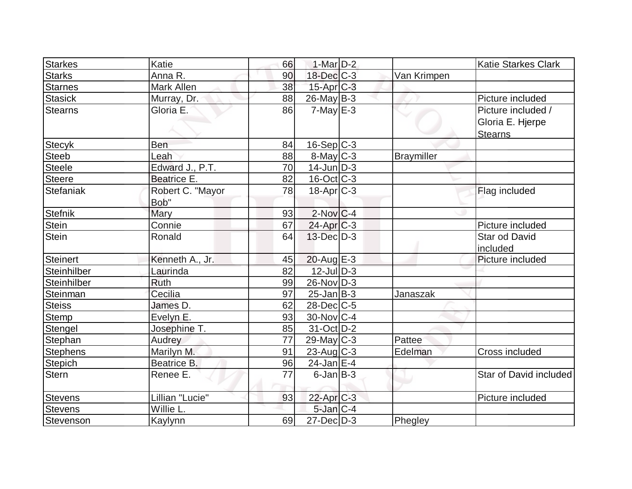| <b>Starkes</b>  | Katie            | 66 | $1-Mar$ D-2       |                   | <b>Katie Starkes Clark</b> |
|-----------------|------------------|----|-------------------|-------------------|----------------------------|
| <b>Starks</b>   | Anna R.          | 90 | 18-Dec C-3        | Van Krimpen       |                            |
| <b>Starnes</b>  | Mark Allen       | 38 | $15$ -Apr $C-3$   |                   |                            |
|                 |                  |    |                   |                   |                            |
| <b>Stasick</b>  | Murray, Dr.      | 88 | $26$ -May B-3     |                   | Picture included           |
| <b>Stearns</b>  | Gloria E.        | 86 | $7$ -May $E-3$    |                   | Picture included /         |
|                 |                  |    |                   |                   | Gloria E. Hjerpe           |
|                 |                  |    |                   |                   | <b>Stearns</b>             |
| <b>Stecyk</b>   | Ben              | 84 | $16-Sep C-3$      |                   |                            |
| <b>Steeb</b>    | Leah             | 88 | 8-May C-3         | <b>Braymiller</b> |                            |
| <b>Steele</b>   | Edward J., P.T.  | 70 | $14$ -Jun $D-3$   |                   |                            |
| <b>Steere</b>   | Beatrice E.      | 82 | $16$ -Oct $ C-3 $ |                   |                            |
| Stefaniak       | Robert C. "Mayor | 78 | $18-Apr$ $C-3$    |                   | Flag included              |
|                 | Bob"             |    |                   |                   |                            |
| <b>Stefnik</b>  | Mary             | 93 | $2$ -Nov $ C-4 $  |                   |                            |
| Stein           | Connie           | 67 | $24$ -Apr $C-3$   |                   | Picture included           |
| <b>Stein</b>    | Ronald           | 64 | $13$ -Dec $D-3$   |                   | Star od David              |
|                 |                  |    |                   |                   | included                   |
| Steinert        | Kenneth A., Jr.  | 45 | $20$ -Aug $E-3$   |                   | Picture included           |
| Steinhilber     | Laurinda         | 82 | $12$ -Jul $D-3$   |                   |                            |
| Steinhilber     | <b>Ruth</b>      | 99 | $26$ -Nov $ D-3 $ |                   |                            |
| Steinman        | Cecilia          | 97 | $25$ -Jan B-3     | Janaszak          |                            |
| <b>Steiss</b>   | James D.         | 62 | $28$ -Dec $C$ -5  |                   |                            |
| Stemp           | Evelyn E.        | 93 | $30$ -Nov $ C-4 $ |                   |                            |
| Stengel         | Josephine T.     | 85 | $31$ -Oct $ D-2 $ |                   |                            |
| Stephan         | Audrey           | 77 | $29$ -May C-3     | Pattee            |                            |
| <b>Stephens</b> | Marilyn M.       | 91 | 23-Aug C-3        | Edelman           | Cross included             |
| <b>Stepich</b>  | Beatrice B.      | 96 | $24$ -Jan E-4     |                   |                            |
| Stern           | Renee E.         | 77 | $6$ -Jan $ B-3 $  |                   | Star of David included     |
|                 |                  |    |                   |                   |                            |
| <b>Stevens</b>  | Lillian "Lucie"  | 93 | 22-Apr C-3        |                   | Picture included           |
| <b>Stevens</b>  | Willie L.        |    | $5$ -Jan $C-4$    |                   |                            |
| Stevenson       | Kaylynn          | 69 | $27 - Dec$ $D-3$  | Phegley           |                            |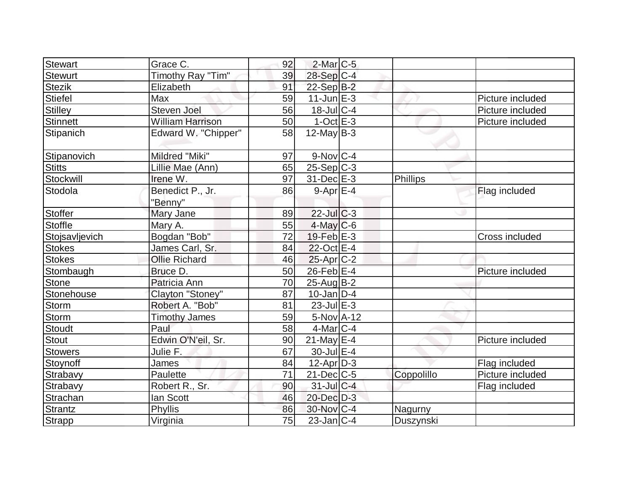| Grace C.                | 92                        |  |                                                                                                                                                                                                                                                                                                                                                                                                                                                                                                                                                             |                  |
|-------------------------|---------------------------|--|-------------------------------------------------------------------------------------------------------------------------------------------------------------------------------------------------------------------------------------------------------------------------------------------------------------------------------------------------------------------------------------------------------------------------------------------------------------------------------------------------------------------------------------------------------------|------------------|
| Timothy Ray "Tim"       | 39                        |  |                                                                                                                                                                                                                                                                                                                                                                                                                                                                                                                                                             |                  |
| Elizabeth               | 91                        |  |                                                                                                                                                                                                                                                                                                                                                                                                                                                                                                                                                             |                  |
| Max                     | 59                        |  |                                                                                                                                                                                                                                                                                                                                                                                                                                                                                                                                                             | Picture included |
| Steven Joel             | 56                        |  |                                                                                                                                                                                                                                                                                                                                                                                                                                                                                                                                                             | Picture included |
| <b>William Harrison</b> | 50                        |  |                                                                                                                                                                                                                                                                                                                                                                                                                                                                                                                                                             | Picture included |
| Edward W. "Chipper"     | 58                        |  |                                                                                                                                                                                                                                                                                                                                                                                                                                                                                                                                                             |                  |
| Mildred "Miki"          | 97                        |  |                                                                                                                                                                                                                                                                                                                                                                                                                                                                                                                                                             |                  |
| Lillie Mae (Ann)        | 65                        |  |                                                                                                                                                                                                                                                                                                                                                                                                                                                                                                                                                             |                  |
| Irene W.                | 97                        |  | Phillips                                                                                                                                                                                                                                                                                                                                                                                                                                                                                                                                                    |                  |
| Benedict P., Jr.        | 86                        |  |                                                                                                                                                                                                                                                                                                                                                                                                                                                                                                                                                             | Flag included    |
| "Benny"                 |                           |  |                                                                                                                                                                                                                                                                                                                                                                                                                                                                                                                                                             |                  |
|                         | 89                        |  |                                                                                                                                                                                                                                                                                                                                                                                                                                                                                                                                                             |                  |
| Mary A.                 | 55                        |  |                                                                                                                                                                                                                                                                                                                                                                                                                                                                                                                                                             |                  |
|                         | 72                        |  |                                                                                                                                                                                                                                                                                                                                                                                                                                                                                                                                                             | Cross included   |
| James Carl, Sr.         | 84                        |  |                                                                                                                                                                                                                                                                                                                                                                                                                                                                                                                                                             |                  |
| <b>Ollie Richard</b>    | 46                        |  |                                                                                                                                                                                                                                                                                                                                                                                                                                                                                                                                                             |                  |
| Bruce D.                | 50                        |  |                                                                                                                                                                                                                                                                                                                                                                                                                                                                                                                                                             | Picture included |
| Patricia Ann            | 70                        |  |                                                                                                                                                                                                                                                                                                                                                                                                                                                                                                                                                             |                  |
| Clayton "Stoney"        | 87                        |  |                                                                                                                                                                                                                                                                                                                                                                                                                                                                                                                                                             |                  |
| Robert A. "Bob"         | 81                        |  |                                                                                                                                                                                                                                                                                                                                                                                                                                                                                                                                                             |                  |
| <b>Timothy James</b>    | 59                        |  |                                                                                                                                                                                                                                                                                                                                                                                                                                                                                                                                                             |                  |
| Paul                    | 58                        |  |                                                                                                                                                                                                                                                                                                                                                                                                                                                                                                                                                             |                  |
| Edwin O'N'eil, Sr.      | 90                        |  |                                                                                                                                                                                                                                                                                                                                                                                                                                                                                                                                                             | Picture included |
| Julie F.                | 67                        |  |                                                                                                                                                                                                                                                                                                                                                                                                                                                                                                                                                             |                  |
| James                   | 84                        |  |                                                                                                                                                                                                                                                                                                                                                                                                                                                                                                                                                             | Flag included    |
| Paulette                | 71                        |  | Coppolillo                                                                                                                                                                                                                                                                                                                                                                                                                                                                                                                                                  | Picture included |
| Robert R., Sr.          | 90                        |  |                                                                                                                                                                                                                                                                                                                                                                                                                                                                                                                                                             | Flag included    |
| lan Scott               | 46                        |  |                                                                                                                                                                                                                                                                                                                                                                                                                                                                                                                                                             |                  |
| Phyllis                 | 86                        |  | Nagurny                                                                                                                                                                                                                                                                                                                                                                                                                                                                                                                                                     |                  |
| Virginia                | 75                        |  | Duszynski                                                                                                                                                                                                                                                                                                                                                                                                                                                                                                                                                   |                  |
|                         | Mary Jane<br>Bogdan "Bob" |  | $2$ -Mar $C$ -5<br>28-Sep C-4<br>22-Sep B-2<br>$11$ -Jun $E-3$<br>$18$ -Jul $C-4$<br>$1-Oct$ E-3<br>$12$ -May B-3<br>$9-Nov$ <sub>C-4</sub><br>$25-Sep C-3$<br>$31$ -Dec $E-3$<br>$9-Apr$ $E-4$<br>$22$ -JulC-3<br>$4$ -May C-6<br>19-Feb E-3<br>$22$ -Oct $E-4$<br>$25$ -Apr $C-2$<br>$26$ -Feb $E$ -4<br>$25$ -Aug $B-2$<br>$10$ -Jan $D-4$<br>$23$ -Jul $E-3$<br>$\overline{5}$ -Nov A-12<br>$4$ -Mar $ C-4 $<br>$21$ -May E-4<br>$30$ -Jul $E-4$<br>$12$ -Apr $D-3$<br>$21$ -Dec $C$ -5<br>$31$ -Jul C-4<br>20-Dec D-3<br>30-Nov C-4<br>$23$ -Jan $C-4$ |                  |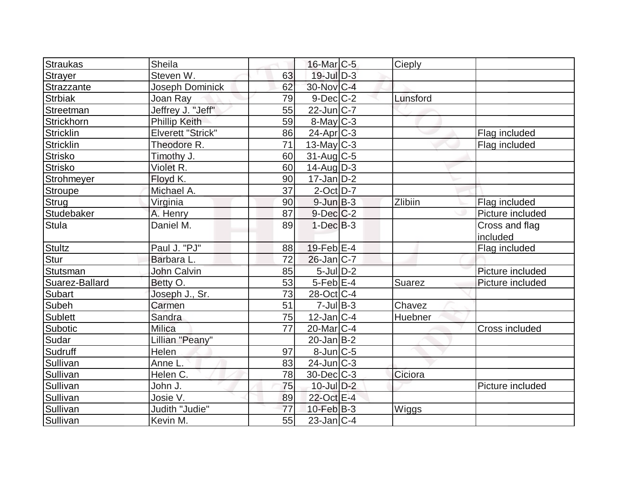| Straukas       | <b>Sheila</b>            |    | 16-Mar <sub>IC-5</sub> | Cieply   |                            |
|----------------|--------------------------|----|------------------------|----------|----------------------------|
| <b>Strayer</b> | Steven W.                | 63 | $19$ -Jul $D-3$        |          |                            |
| Strazzante     | Joseph Dominick          | 62 | 30-Nov C-4             |          |                            |
| <b>Strbiak</b> | Joan Ray                 | 79 | $9$ -Dec $C$ -2        | Lunsford |                            |
| Streetman      | Jeffrey J. "Jeff"        | 55 | $22$ -Jun $C-7$        |          |                            |
| Strickhorn     | <b>Phillip Keith</b>     | 59 | $8$ -May $C-3$         |          |                            |
| Stricklin      | <b>Elverett "Strick"</b> | 86 | $24$ -Apr $ C-3 $      |          | Flag included              |
| Stricklin      | Theodore R.              | 71 | $13$ -May C-3          |          | Flag included              |
| <b>Strisko</b> | Timothy J.               | 60 | $31$ -Aug C-5          |          |                            |
| <b>Strisko</b> | Violet R.                | 60 | $14$ -Aug $D-3$        |          |                            |
| Strohmeyer     | Floyd K.                 | 90 | $17$ -Jan $D-2$        |          |                            |
| Stroupe        | Michael A.               | 37 | $2$ -Oct $D-7$         |          |                            |
| Strug          | Virginia                 | 90 | $9$ -Jun $B-3$         | Zlibiin  | Flag included              |
| Studebaker     | A. Henry                 | 87 | $9$ -Dec $C-2$         |          | Picture included           |
| <b>Stula</b>   | Daniel M.                | 89 | $1-Dec$ B-3            |          | Cross and flag<br>included |
| <b>Stultz</b>  | Paul J. "PJ"             | 88 | $19$ -Feb $ E-4$       |          | Flag included              |
| Stur           | Barbara L.               | 72 | $26$ -Jan $C-7$        |          |                            |
| Stutsman       | John Calvin              | 85 | $5$ -Jul $D-2$         |          | Picture included           |
| Suarez-Ballard | Betty O.                 | 53 | $5$ -Feb $E$ -4        | Suarez   | Picture included           |
| Subart         | Joseph J., Sr.           | 73 | 28-Oct C-4             |          |                            |
| Subeh          | Carmen                   | 51 | $7$ -Jul B-3           | Chavez   |                            |
| Sublett        | Sandra                   | 75 | $12$ -Jan $ C-4 $      | Huebner  |                            |
| Subotic        | <b>Milica</b>            | 77 | $20$ -Mar $C-4$        |          | Cross included             |
| Sudar          | Lillian "Peany"          |    | $20$ -Jan B-2          |          |                            |
| Sudruff        | Helen                    | 97 | 8-Jun C-5              |          |                            |
| Sullivan       | Anne L.                  | 83 | $24$ -Jun $C-3$        |          |                            |
| Sullivan       | Helen C.                 | 78 | $30$ -Dec $C-3$        | Ciciora  |                            |
| Sullivan       | John J.                  | 75 | $10$ -Jul $D-2$        |          | Picture included           |
| Sullivan       | Josie V.                 | 89 | 22-Oct E-4             |          |                            |
| Sullivan       | Judith "Judie"           | 77 | $10$ -Feb $B-3$        | Wiggs    |                            |
| Sullivan       | Kevin M.                 | 55 | $23$ -Jan C-4          |          |                            |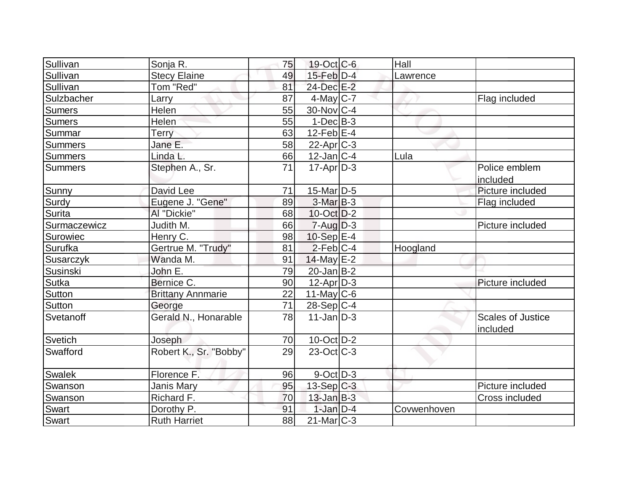| Sullivan              | Sonja R.                 | 75 | $19-Oct$ $C-6$           | Hall        |                                      |
|-----------------------|--------------------------|----|--------------------------|-------------|--------------------------------------|
| Sullivan              | <b>Stecy Elaine</b>      | 49 | $15$ -Feb $D-4$          | Lawrence    |                                      |
| Sullivan              | Tom "Red"                | 81 | 24-Dec E-2               |             |                                      |
| Sulzbacher            | Larry                    | 87 | $4$ -May C-7             |             | Flag included                        |
| <b>Sumers</b>         | Helen                    | 55 | $30$ -Nov $ C-4 $        |             |                                      |
| <b>Sumers</b>         | Helen                    | 55 | $1-Dec$ B-3              |             |                                      |
| Summar                | Terry                    | 63 | $12$ -Feb $ E-4 $        |             |                                      |
| <b>Summers</b>        | Jane E.                  | 58 | $22$ -Apr $ C-3 $        |             |                                      |
| <b>Summers</b>        | Linda L.                 | 66 | $12$ -Jan $ C-4 $        | Lula        |                                      |
| Summers               | Stephen A., Sr.          | 71 | $17$ -Apr $D-3$          |             | Police emblem<br>included            |
| Sunny                 | David Lee                | 71 | $15$ -Mar $ D-5$         |             | Picture included                     |
| Surdy                 | Eugene J. "Gene"         | 89 | $3-MarB-3$               |             | Flag included                        |
| <b>Surita</b>         | Al "Dickie"              | 68 | $10$ -Oct $D-2$          |             |                                      |
| Surmaczewicz          | Judith M.                | 66 | $7 - Aug   D-3$          |             | Picture included                     |
| Surowiec              | Henry C.                 | 98 | $10-Sep$ $E-4$           |             |                                      |
| Surufka               | Gertrue M. "Trudy"       | 81 | $2$ -Feb $ C-4 $         | Hoogland    |                                      |
| Susarczyk             | Wanda M.                 | 91 | $14$ -May E-2            |             |                                      |
| Susinski              | John E.                  | 79 | $20$ -Jan B-2            |             |                                      |
| <b>Sutka</b>          | Bernice C.               | 90 | $12$ -Apr $D-3$          |             | Picture included                     |
| Sutton                | <b>Brittany Annmarie</b> | 22 | $11$ -May C-6            |             |                                      |
| <b>Sutton</b>         | George                   | 71 | $28-Sep C-4$             |             |                                      |
| Svetanoff             | Gerald N., Honarable     | 78 | $11$ -Jan $ D-3 $        |             | <b>Scales of Justice</b><br>included |
| Svetich               | Joseph                   | 70 | $10$ -Oct $ D-2 $        |             |                                      |
| Swafford              | Robert K., Sr. "Bobby"   | 29 | $23-Oct$ <sub>C</sub> -3 |             |                                      |
| Swalek                | Florence F.              | 96 | $9$ -Oct $ D-3 $         |             |                                      |
| <b>Swanson</b>        | Janis Mary               | 95 | $13-Sep C-3$             |             | Picture included                     |
| Swanson               | Richard F.               | 70 | $13$ -Jan $B-3$          |             | <b>Cross included</b>                |
|                       |                          |    |                          |             |                                      |
| <b>Swart</b><br>Swart | Dorothy P.               | 91 | $1$ -Jan $D-4$           | Covwenhoven |                                      |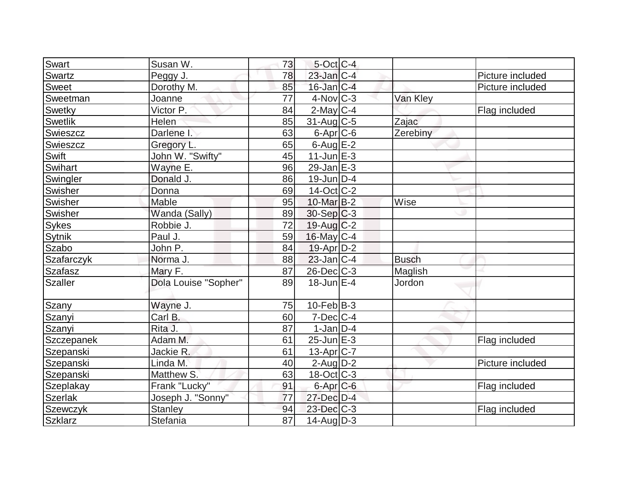| Swart          | Susan W.                | 73 | $5$ -Oct C-4          |              |                  |
|----------------|-------------------------|----|-----------------------|--------------|------------------|
| Swartz         | Peggy J.                | 78 | $23$ -Jan $ C-4 $     |              | Picture included |
| Sweet          | Dorothy M.              | 85 | $16$ -Jan $ C-4 $     |              | Picture included |
| Sweetman       | Joanne                  | 77 | $4$ -Nov $ C-3 $      | Van Kley     |                  |
| Swetky         | $\overline{V}$ ictor P. | 84 | $2$ -May C-4          |              | Flag included    |
| Swetlik        | Helen                   | 85 | $31$ -Aug C-5         | Zajac        |                  |
| Swieszcz       | Darlene I.              | 63 | $6$ -Apr $C$ -6       | Zerebiny     |                  |
| Swieszcz       | Gregory L.              | 65 | $6$ -Aug $E-2$        |              |                  |
| Swift          | John W. "Swifty"        | 45 | $11$ -Jun $E-3$       |              |                  |
| Swihart        | Wayne E.                | 96 | $29$ -Jan $E-3$       |              |                  |
| Swingler       | Donald J.               | 86 | $19$ -Jun $ D-4$      |              |                  |
| Swisher        | Donna                   | 69 | 14-Oct C-2            |              |                  |
| Swisher        | Mable                   | 95 | 10-Mar B-2            | Wise         |                  |
| Swisher        | Wanda (Sally)           | 89 | $30-Sep C-3$          |              |                  |
| <b>Sykes</b>   | Robbie J.               | 72 | $19$ -Aug C-2         |              |                  |
| Sytnik         | Paul J.                 | 59 | 16-May C-4            |              |                  |
| Szabo          | John P.                 | 84 | $19$ -Apr $D-2$       |              |                  |
| Szafarczyk     | Norma J.                | 88 | $23$ -Jan C-4         | <b>Busch</b> |                  |
| <b>Szafasz</b> | Mary F.                 | 87 | $26$ -Dec $C$ -3      | Maglish      |                  |
| Szaller        | Dola Louise "Sopher"    | 89 | $18$ -Jun $E-4$       | Jordon       |                  |
| Szany          | Wayne J.                | 75 | $10-Feb$ B-3          |              |                  |
| Szanyi         | Carl B.                 | 60 | $7$ -Dec $ C-4 $      |              |                  |
| Szanyi         | Rita J.                 | 87 | $1-Jan D-4$           |              |                  |
| Szczepanek     | Adam M.                 | 61 | $25$ -Jun $E-3$       |              | Flag included    |
| Szepanski      | Jackie R.               | 61 | 13-Apr <sub>C-7</sub> |              |                  |
| Szepanski      | Linda M.                | 40 | $2$ -Aug $D-2$        |              | Picture included |
| Szepanski      | Matthew S.              | 63 | $18-Oct$ $C-3$        |              |                  |
| Szeplakay      | Frank "Lucky"           | 91 | $6$ -Apr $C$ -6       |              | Flag included    |
| <b>Szerlak</b> | Joseph J. "Sonny"       | 77 | 27-Dec D-4            |              |                  |
| Szewczyk       | <b>Stanley</b>          | 94 | $23$ -Dec $C-3$       |              | Flag included    |
| <b>Szklarz</b> | Stefania                | 87 | $14$ -Aug $ D-3 $     |              |                  |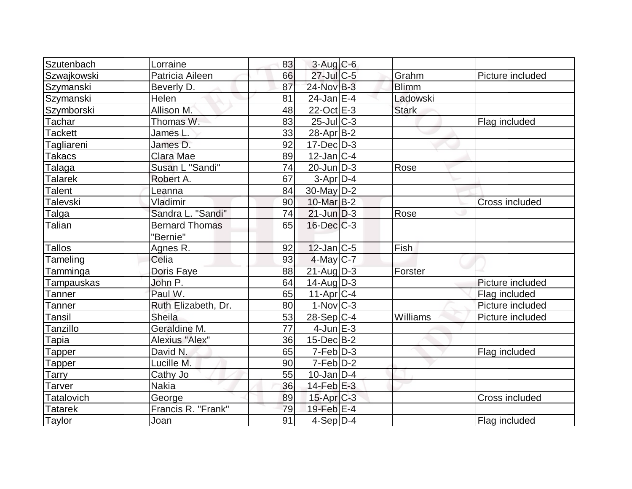| Szutenbach           | Lorraine              | 83 | $3-Auq$ $C-6$         |              |                  |
|----------------------|-----------------------|----|-----------------------|--------------|------------------|
| Szwajkowski          | Patricia Aileen       | 66 | $27$ -Jul $C$ -5      | Grahm        | Picture included |
| Szymanski            | Beverly D.            | 87 | 24-Nov B-3            | <b>Blimm</b> |                  |
| Szymanski            | Helen                 | 81 | $24$ -Jan $E-4$       | Ladowski     |                  |
|                      | Allison M.            | 48 | $22$ -Oct $E-3$       | <b>Stark</b> |                  |
| Szymborski<br>Tachar | Thomas W.             | 83 | 25-Jul C-3            |              |                  |
|                      |                       |    |                       |              | Flag included    |
| <b>Tackett</b>       | James L               | 33 | $28$ -Apr $ B-2 $     |              |                  |
| Tagliareni           | James D.              | 92 | $17 - Dec$ $D-3$      |              |                  |
| <b>Takacs</b>        | Clara Mae             | 89 | $12$ -Jan C-4         |              |                  |
| Talaga               | Susan L "Sandi"       | 74 | $20$ -Jun $D-3$       | Rose         |                  |
| <b>Talarek</b>       | Robert A.             | 67 | $3-Apr D-4$           |              |                  |
| <b>Talent</b>        | Leanna                | 84 | $30$ -May D-2         |              |                  |
| Talevski             | Vladimir              | 90 | 10-Mar B-2            |              | Cross included   |
| Talga                | Sandra L. "Sandi"     | 74 | $21$ -Jun $D-3$       | Rose         |                  |
| Talian               | <b>Bernard Thomas</b> | 65 | $16$ -Dec $C-3$       |              |                  |
|                      | "Bernie"              |    |                       |              |                  |
| <b>Tallos</b>        | Agnes R.              | 92 | $12$ -Jan $ C-5 $     | Fish         |                  |
| Tameling             | Celia                 | 93 | $4$ -May C-7          |              |                  |
| Tamminga             | Doris Faye            | 88 | $21$ -AugD-3          | Forster      |                  |
| Tampauskas           | John P.               | 64 | $14$ -Aug $D-3$       |              | Picture included |
| Tanner               | Paul W.               | 65 | $11-Apr$ $C-4$        |              | Flag included    |
| Tanner               | Ruth Elizabeth, Dr.   | 80 | $1-Nov$ $C-3$         |              | Picture included |
| Tansil               | <b>Sheila</b>         | 53 | $28-Sep C-4$          | Williams     | Picture included |
| Tanzillo             | Geraldine M.          | 77 | 4-Jun $E-3$           |              |                  |
| Tapia                | Alexius "Alex"        | 36 | $15$ -Dec $B$ -2      |              |                  |
| Tapper               | David N.              | 65 | $7-Feb D-3$           |              | Flag included    |
| Tapper               | Lucille M.            | 90 | $7-Feb$ D-2           |              |                  |
| Tarry                | Cathy Jo              | 55 | $10$ -Jan $ D-4$      |              |                  |
| <b>Tarver</b>        | <b>Nakia</b>          | 36 | $14$ -Feb $E-3$       |              |                  |
| Tatalovich           | George                | 89 | 15-Apr <sub>C-3</sub> |              | Cross included   |
| <b>Tatarek</b>       | Francis R. "Frank"    | 79 | $19$ -Feb $E-4$       |              |                  |
| Taylor               | Joan                  | 91 | $4-Sep$ $D-4$         |              | Flag included    |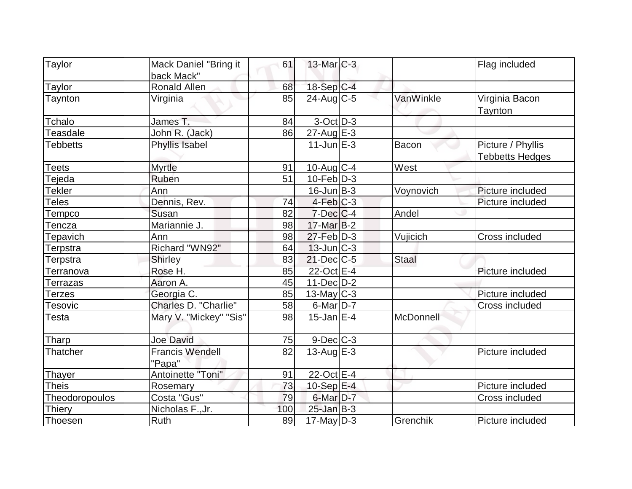| Taylor             | Mack Daniel "Bring it            | 61  | $13$ -Mar $C-3$   |              | Flag included                               |
|--------------------|----------------------------------|-----|-------------------|--------------|---------------------------------------------|
|                    | back Mack"                       |     |                   |              |                                             |
| Taylor             | Ronald Allen                     | 68  | $18-Sep C-4$      |              |                                             |
| Taynton            | Virginia                         | 85  | $24$ -Aug C-5     | VanWinkle    | Virginia Bacon<br>Taynton                   |
| Tchalo             | James T.                         | 84  | $3-Oct$ D-3       |              |                                             |
| Teasdale           | John R. (Jack)                   | 86  | 27-Aug E-3        |              |                                             |
| <b>Tebbetts</b>    | Phyllis Isabel                   |     | $11$ -Jun $E-3$   | Bacon        | Picture / Phyllis<br><b>Tebbetts Hedges</b> |
| Teets              | <b>Myrtle</b>                    | 91  | $10$ -Aug $C-4$   | West         |                                             |
| Tejeda             | Ruben                            | 51  | $10$ -Feb $ D-3 $ |              |                                             |
| <b>Tekler</b>      | Ann                              |     | $16$ -Jun $B-3$   | Voynovich    | Picture included                            |
| <b>Teles</b>       | Dennis, Rev.                     | 74  | $4-Feb$ $C-3$     |              | Picture included                            |
| Tempco             | Susan                            | 82  | $7$ -Dec $ C-4$   | Andel        |                                             |
| encza <sup>-</sup> | Mariannie J.                     | 98  | $17$ -Mar $B-2$   |              |                                             |
| Tepavich           | Ann                              | 98  | $27$ -Feb $D-3$   | Vujicich     | <b>Cross included</b>                       |
| Terpstra           | Richard "WN92"                   | 64  | $13$ -Jun $ C-3 $ |              |                                             |
| Terpstra           | <b>Shirley</b>                   | 83  | $21$ -Dec $C$ -5  | <b>Staal</b> |                                             |
| Terranova          | Rose H.                          | 85  | 22-Oct E-4        |              | Picture included                            |
| Terrazas           | Aaron A.                         | 45  | $11-Dec$ D-2      |              |                                             |
| Terzes             | Georgia C.                       | 85  | $13$ -May C-3     |              | Picture included                            |
| <b>Tesovic</b>     | Charles D. "Charlie"             | 58  | $6$ -Mar $D-7$    |              | Cross included                              |
| Testa              | Mary V. "Mickey" "Sis"           | 98  | $15$ -Jan $E-4$   | McDonnell    |                                             |
| Tharp              | <b>Joe David</b>                 | 75  | $9$ -Dec $C$ -3   |              |                                             |
| Thatcher           | <b>Francis Wendell</b><br>"Papa" | 82  | 13-Aug $E-3$      |              | Picture included                            |
| <b>Thayer</b>      | Antoinette "Toni"                | 91  | 22-Oct E-4        |              |                                             |
| <b>Theis</b>       | Rosemary                         | 73  | 10-Sep $E-4$      |              | Picture included                            |
| Theodoropoulos     | Costa "Gus"                      | 79  | $6$ -Mar $D-7$    |              | Cross included                              |
| Thiery             | Nicholas F., Jr.                 | 100 | $25$ -Jan $B-3$   |              |                                             |
| Thoesen            | Ruth                             | 89  | $17$ -May $D-3$   | Grenchik     | Picture included                            |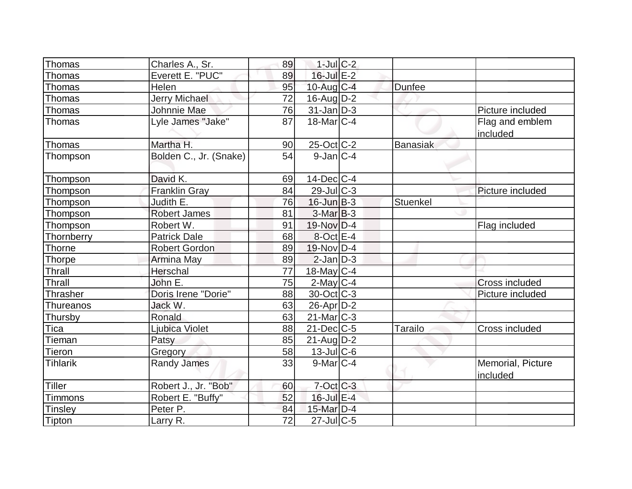| Thomas          | Charles A., Sr.        | 89 | $1$ -Jul $C-2$    |                 |                               |
|-----------------|------------------------|----|-------------------|-----------------|-------------------------------|
| Thomas          | Everett E. "PUC"       | 89 | $16$ -Jul $E-2$   |                 |                               |
| Thomas          | Helen                  | 95 | $10$ -Aug $C-4$   | <b>Dunfee</b>   |                               |
| Thomas          | <b>Jerry Michael</b>   | 72 | $16$ -Aug $D-2$   |                 |                               |
| Thomas          | Johnnie Mae            | 76 | $31$ -Jan $D-3$   |                 | Picture included              |
| Thomas          | Lyle James "Jake"      | 87 | $18$ -Mar $ C-4 $ |                 | Flag and emblem<br>included   |
| Thomas          | Martha H.              | 90 | 25-Oct C-2        | <b>Banasiak</b> |                               |
| Thompson        | Bolden C., Jr. (Snake) | 54 | $9$ -Jan $ C-4 $  |                 |                               |
| Thompson        | David K.               | 69 | $14$ -Dec $ C-4$  |                 |                               |
| Thompson        | <b>Franklin Gray</b>   | 84 | $29$ -Jul $C-3$   |                 | Picture included              |
| Thompson        | Judith E.              | 76 | $16$ -Jun $B-3$   | Stuenkel        |                               |
| Thompson        | <b>Robert James</b>    | 81 | $3-MarB-3$        |                 |                               |
| Thompson        | Robert W.              | 91 | $19-Nov$ D-4      |                 | Flag included                 |
| Thornberry      | <b>Patrick Dale</b>    | 68 | $8$ -Oct $E - 4$  |                 |                               |
| <b>Thorne</b>   | <b>Robert Gordon</b>   | 89 | 19-Nov D-4        |                 |                               |
| <b>Thorpe</b>   | Armina May             | 89 | $2$ -Jan $D-3$    |                 |                               |
| Thrall          | Herschal               | 77 | $18$ -May C-4     |                 |                               |
| Thrall          | John E.                | 75 | $2$ -May $C-4$    |                 | Cross included                |
| Thrasher        | Doris Irene "Dorie"    | 88 | $30$ -Oct $ C-3 $ |                 | Picture included              |
| Thureanos       | Jack W.                | 63 | $26$ -Apr $D-2$   |                 |                               |
| Thursby         | Ronald                 | 63 | $21$ -Mar $C-3$   |                 |                               |
| Tica            | Ljubica Violet         | 88 | $21$ -Dec $C$ -5  | Tarailo         | Cross included                |
| Tieman          | Patsy                  | 85 | $21$ -AugD-2      |                 |                               |
| <b>Tieron</b>   | Gregory                | 58 | 13-Jul C-6        |                 |                               |
| <b>Tihlarik</b> | <b>Randy James</b>     | 33 | $9$ -Mar $ C-4$   |                 | Memorial, Picture<br>included |
| <b>Tiller</b>   | Robert J., Jr. "Bob"   | 60 | $7$ -Oct C-3      |                 |                               |
| <b>Timmons</b>  | Robert E. "Buffy"      | 52 | $16$ -Jul $E-4$   |                 |                               |
| <b>Tinsley</b>  | Peter P.               | 84 | 15-Mar $D-4$      |                 |                               |
| Tipton          | Larry R.               | 72 | $27$ -Jul $C$ -5  |                 |                               |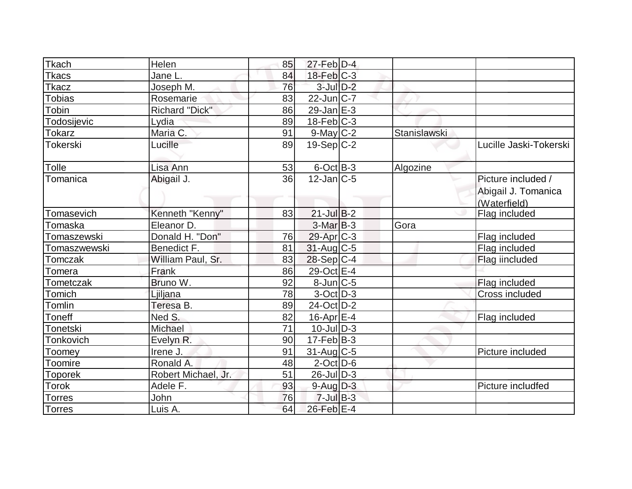| <b>Tkach</b>  | Helen               | 85 | $27$ -Feb $D-4$   |              |                        |
|---------------|---------------------|----|-------------------|--------------|------------------------|
| Tkacs         | Jane L.             | 84 | $18$ -Feb $ C-3 $ |              |                        |
| Tkacz         | Joseph M.           | 76 | $3$ -Jul $D-2$    |              |                        |
| <b>Tobias</b> | Rosemarie           | 83 | $22$ -Jun $ C-7 $ |              |                        |
| Tobin         | Richard "Dick"      | 86 | $29$ -Jan $E-3$   |              |                        |
| Todosijevic   | Lydia               | 89 | $18$ -Feb $ C-3 $ |              |                        |
| Tokarz        | Maria C.            | 91 | $9$ -May C-2      | Stanislawski |                        |
| Tokerski      | Lucille             | 89 | $19-Sep C-2$      |              | Lucille Jaski-Tokerski |
| Tolle         | Lisa Ann            | 53 | $6$ -Oct $B-3$    | Algozine     |                        |
| Tomanica      | Abigail J.          | 36 | $12$ -Jan $ C-5 $ |              | Picture included /     |
|               |                     |    |                   |              | Abigail J. Tomanica    |
|               |                     |    |                   |              | (Waterfield)           |
| Tomasevich    | Kenneth "Kenny"     | 83 | $21$ -Jul B-2     |              | Flag included          |
| Tomaska       | Eleanor D.          |    | $3-MarB-3$        | Gora         |                        |
| Tomaszewski   | Donald H. "Don"     | 76 | $29$ -Apr $C-3$   |              | Flag included          |
| Tomaszwewski  | Benedict F.         | 81 | $31$ -Aug C-5     |              | Flag included          |
| Tomczak       | William Paul, Sr.   | 83 | $28-Sep C-4$      |              | Flag iincluded         |
| Tomera        | Frank               | 86 | 29-Oct E-4        |              |                        |
| Tometczak     | Bruno W.            | 92 | $8$ -Jun $C$ -5   |              | Flag included          |
| Tomich        | Ljiljana            | 78 | $3-Oct$ D-3       |              | Cross included         |
| Tomlin        | Teresa B.           | 89 | 24-Oct D-2        |              |                        |
| Toneff        | Ned S.              | 82 | $16$ -Apr $E-4$   |              | Flag included          |
| Tonetski      | Michael             | 71 | $10$ -JulD-3      |              |                        |
| Tonkovich     | Evelyn R.           | 90 | $17-Feb B-3$      |              |                        |
| Toomey        | Irene J.            | 91 | $31$ -Aug C-5     |              | Picture included       |
| Toomire       | Ronald A.           | 48 | $2$ -Oct $D$ -6   |              |                        |
| Toporek       | Robert Michael, Jr. | 51 | $26$ -Jul $D-3$   |              |                        |
| Torok         | Adele F.            | 93 | $9$ -Aug $D-3$    |              | Picture includfed      |
| Torres        | John                | 76 | $7$ -Jul $B-3$    |              |                        |
| <b>Torres</b> | Luis A.             | 64 | 26-Feb E-4        |              |                        |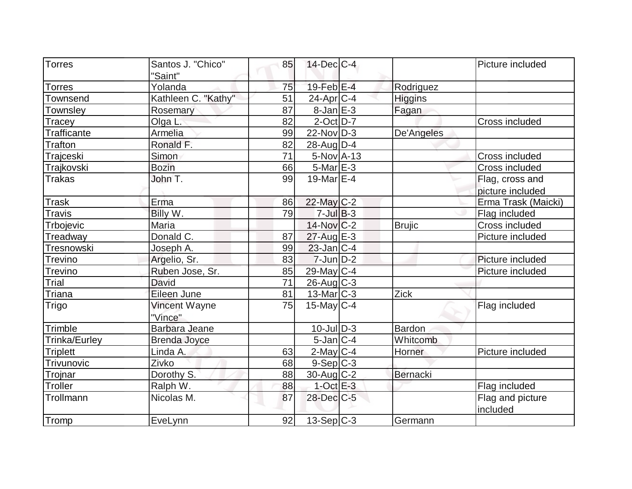| <b>Torres</b>      | Santos J. "Chico"    | 85 | $14$ -Dec $C$ -4      |                | Picture included    |
|--------------------|----------------------|----|-----------------------|----------------|---------------------|
|                    | "Saint"              |    |                       |                |                     |
| <b>Torres</b>      | Yolanda              | 75 | 19-Feb <sup>E-4</sup> | Rodriguez      |                     |
| Townsend           | Kathleen C. "Kathy"  | 51 | $24$ -Apr $ C-4 $     | <b>Higgins</b> |                     |
| Townsley           | Rosemary             | 87 | $8$ -Jan $E-3$        | Fagan          |                     |
| Tracey             | Olga L.              | 82 | $2$ -Oct $D-7$        |                | Cross included      |
| <b>Trafficante</b> | Armelia              | 99 | $22$ -Nov $ D-3 $     | De'Angeles     |                     |
| <b>Trafton</b>     | Ronald F.            | 82 | $28$ -AugD-4          |                |                     |
| Trajceski          | Simon                | 71 | $5-Nov$ A-13          |                | Cross included      |
| Trajkovski         | <b>Bozin</b>         | 66 | $5$ -Mar $E - 3$      |                | Cross included      |
| <b>Trakas</b>      | John T.              | 99 | 19-Mar $E-4$          |                | Flag, cross and     |
|                    |                      |    |                       |                | picture included    |
| <b>Trask</b>       | Erma                 | 86 | 22-May C-2            |                | Erma Trask (Maicki) |
| <b>Travis</b>      | Billy W.             | 79 | $7$ -Jul $B-3$        |                | Flag included       |
| Trbojevic          | Maria                |    | $14$ -Nov $ C-2 $     | <b>Brujic</b>  | Cross included      |
| Treadway           | Donald C.            | 87 | $27$ -Aug $E-3$       |                | Picture included    |
| Tresnowski         | Joseph A.            | 99 | $23$ -Jan $ C-4$      |                |                     |
| Trevino            | Argelio, Sr.         | 83 | $7$ -Jun $D-2$        |                | Picture included    |
| <b>Trevino</b>     | Ruben Jose, Sr.      | 85 | 29-May C-4            |                | Picture included    |
| Trial              | David                | 71 | $26$ -Aug $C-3$       |                |                     |
| Triana             | Eileen June          | 81 | $13$ -Mar $ C-3 $     | Zick           |                     |
| Trigo              | Vincent Wayne        | 75 | $15$ -May C-4         |                | Flag included       |
|                    | "Vince"              |    |                       |                |                     |
| Trimble            | <b>Barbara Jeane</b> |    | $10$ -Jul $D-3$       | Bardon         |                     |
| Trinka/Eurley      | <b>Brenda Joyce</b>  |    | $5$ -Jan $ C-4 $      | Whitcomb       |                     |
| <b>Triplett</b>    | Linda A.             | 63 | $2$ -May C-4          | Horner         | Picture included    |
| Trivunovic         | Zivko                | 68 | $9-Sep C-3$           |                |                     |
| Trojnar            | Dorothy S.           | 88 | $30$ -Aug C-2         | Bernacki       |                     |
| Troller            | Ralph W.             | 88 | $1$ -Oct $E-3$        |                | Flag included       |
| Trollmann          | Nicolas M.           | 87 | 28-Dec C-5            |                | Flag and picture    |
|                    |                      |    |                       |                | included            |
| Tromp              | EveLynn              | 92 | $13-Sep C-3$          | Germann        |                     |
|                    |                      |    |                       |                |                     |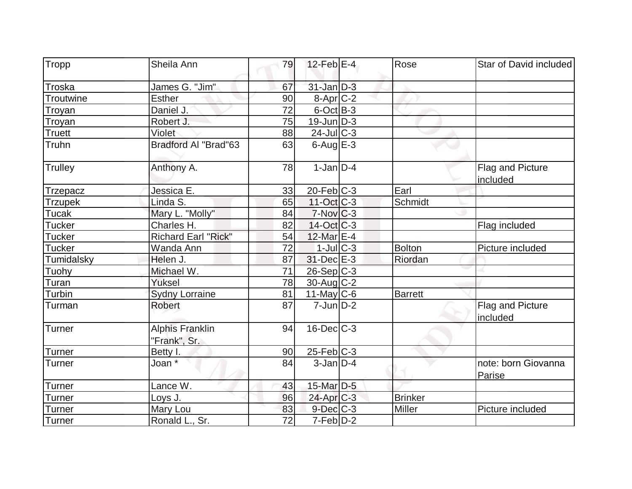| Tropp           | Sheila Ann                             | 79 | $12$ -Feb $E-4$         | Rose           | Star of David included        |
|-----------------|----------------------------------------|----|-------------------------|----------------|-------------------------------|
| Troska          | James G. "Jim"                         | 67 | $31$ -Jan $D-3$         |                |                               |
| Troutwine       | Esther                                 | 90 | 8-Apr <sub>C-2</sub>    |                |                               |
| <b>Troyan</b>   | Daniel J.                              | 72 | $6$ -Oct $B$ -3         |                |                               |
| Troyan          | Robert J.                              | 75 | $19$ -Jun $D-3$         |                |                               |
| Truett          | Violet                                 | 88 | $24$ -Jul C-3           |                |                               |
| Truhn           | <b>Bradford Al "Brad"63</b>            | 63 | $6$ -Aug $E - 3$        |                |                               |
| <b>Trulley</b>  | Anthony A.                             | 78 | $1-Jan D-4$             |                | Flag and Picture<br>included  |
| <b>Trzepacz</b> | Jessica E.                             | 33 | $20$ -Feb $ C-3 $       | Earl           |                               |
| <b>Trzupek</b>  | Linda S.                               | 65 | $11-Oct$ $C-3$          | Schmidt        |                               |
| Tucak           | Mary L. "Molly"                        | 84 | $7-Nov$ <sub>C</sub> -3 |                |                               |
| <b>Tucker</b>   | Charles H.                             | 82 | $14-Oct$ $C-3$          |                | Flag included                 |
| <b>Tucker</b>   | <b>Richard Earl "Rick"</b>             | 54 | 12-Mar E-4              |                |                               |
| <b>Tucker</b>   | Wanda Ann                              | 72 | $1$ -Jul $C-3$          | <b>Bolton</b>  | Picture included              |
| Tumidalsky      | Helen J.                               | 87 | $31$ -Dec $E-3$         | Riordan        |                               |
| Tuohy           | Michael W.                             | 71 | $26-Sep C-3$            |                |                               |
| Turan           | Yuksel                                 | 78 | $30$ -Aug C-2           |                |                               |
| Turbin          | <b>Sydny Lorraine</b>                  | 81 | 11-May $C-6$            | <b>Barrett</b> |                               |
| Turman          | <b>Robert</b>                          | 87 | $7$ -Jun $D-2$          |                | Flag and Picture<br>included  |
| <b>Turner</b>   | <b>Alphis Franklin</b><br>"Frank", Sr. | 94 | $16$ -Dec $C-3$         |                |                               |
| <b>Turner</b>   | Betty I.                               | 90 | 25-Feb C-3              |                |                               |
| <b>Turner</b>   | Joan $\overline{X}$                    | 84 | $3$ -Jan $D-4$          |                | note: born Giovanna<br>Parise |
| Turner          | Lance W.                               | 43 | 15-Mar D-5              |                |                               |
| Turner          | Loys J.                                | 96 | 24-Apr C-3              | <b>Brinker</b> |                               |
| Turner          | Mary Lou                               | 83 | $9$ -Dec $C-3$          | Miller         | Picture included              |
| Turner          | Ronald L., Sr.                         | 72 | $7-Feb$ $D-2$           |                |                               |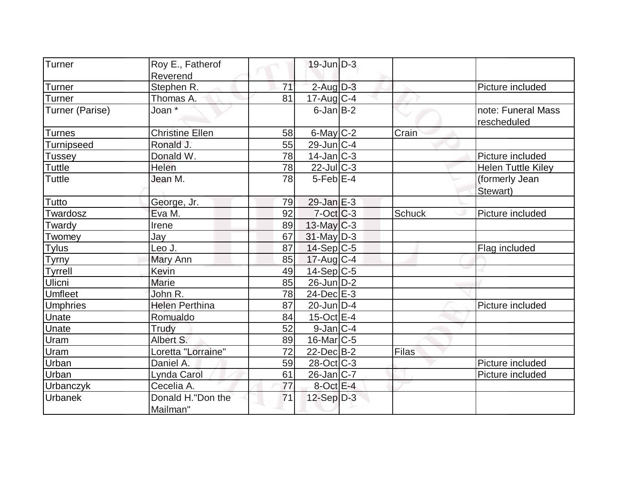| Turner            | Roy E., Fatherof       |    | $19$ -Jun $D-3$   |               |                           |
|-------------------|------------------------|----|-------------------|---------------|---------------------------|
|                   | Reverend               |    |                   |               |                           |
| <b>Turner</b>     | Stephen R.             | 71 | $2$ -Aug $D-3$    |               | Picture included          |
| Turner            | Thomas A.              | 81 | $17$ -Aug C-4     |               |                           |
| Turner (Parise)   | Joan *                 |    | $6$ -Jan $B$ -2   |               | note: Funeral Mass        |
|                   |                        |    |                   |               | rescheduled               |
| <b>Turnes</b>     | <b>Christine Ellen</b> | 58 | $6$ -May $C$ -2   | Crain         |                           |
| <b>Turnipseed</b> | Ronald J.              | 55 | 29-Jun C-4        |               |                           |
| <b>Tussey</b>     | Donald W.              | 78 | $14$ -Jan $ C-3 $ |               | Picture included          |
| Tuttle            | Helen                  | 78 | $22$ -JulC-3      |               | <b>Helen Tuttle Kiley</b> |
| <b>Tuttle</b>     | Jean M.                | 78 | $5$ -Feb $E-4$    |               | (formerly Jean            |
|                   |                        |    |                   |               | Stewart)                  |
| Tutto             | George, Jr.            | 79 | $29$ -Jan $E-3$   |               |                           |
| Twardosz          | Eva M.                 | 92 | $7$ -Oct $ C-3 $  | <b>Schuck</b> | Picture included          |
| Twardy            | Irene                  | 89 | $13$ -May C-3     |               |                           |
| Twomey            | Jay                    | 67 | $31$ -May $D-3$   |               |                           |
| <b>Tylus</b>      | Leo J.                 | 87 | $14-Sep C-5$      |               | Flag included             |
| <b>Tyrny</b>      | Mary Ann               | 85 | $17$ -Aug C-4     |               |                           |
| <b>Tyrrell</b>    | Kevin                  | 49 | $14-Sep C-5$      |               |                           |
| Ulicni            | <b>Marie</b>           | 85 | $26$ -Jun $D-2$   |               |                           |
| Umfleet           | John R.                | 78 | $24$ -Dec $E-3$   |               |                           |
| <b>Umphries</b>   | <b>Helen Perthina</b>  | 87 | $20$ -Jun $D-4$   |               | Picture included          |
| Unate             | Romualdo               | 84 | $15$ -Oct $E$ -4  |               |                           |
| Unate             | Trudy                  | 52 | $9$ -Jan $ C-4 $  |               |                           |
| <b>Uram</b>       | Albert S.              | 89 | $16$ -Mar $ C-5 $ |               |                           |
| Uram              | Loretta "Lorraine"     | 72 | $22$ -Dec $B-2$   | Filas         |                           |
| Urban             | Daniel A.              | 59 | $28-Oct$ $C-3$    |               | Picture included          |
| Urban             | Lynda Carol            | 61 | 26-Jan C-7        |               | Picture included          |
| Urbanczyk         | Cecelia A.             | 77 | $8$ -Oct E-4      |               |                           |
| Urbanek           | Donald H."Don the      | 71 | $12-Sep D-3$      |               |                           |
|                   | Mailman"               |    |                   |               |                           |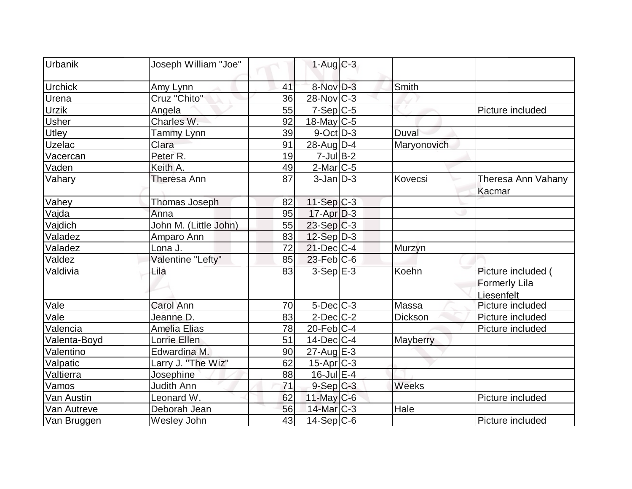| Urbanik        | Joseph William "Joe"  |    | $1-Aug$ $C-3$         |              |                      |
|----------------|-----------------------|----|-----------------------|--------------|----------------------|
| <b>Urchick</b> | Amy Lynn              | 41 | 8-Nov D-3             | Smith        |                      |
| Urena          | Cruz "Chito"          | 36 | $28-Nov$ C-3          |              |                      |
| <b>Urzik</b>   | Angela                | 55 | $7-Sep C-5$           |              | Picture included     |
| <b>Usher</b>   | Charles W.            | 92 | $18$ -May C-5         |              |                      |
| Utley          | Tammy Lynn            | 39 | $9$ -Oct $ D-3 $      | <b>Duval</b> |                      |
| <b>Uzelac</b>  | Clara                 | 91 | 28-Aug $D-4$          | Maryonovich  |                      |
| Vacercan       | Peter R.              | 19 | $7$ -Jul B-2          |              |                      |
| Vaden          | Keith A.              | 49 | $2$ -Mar $ C-5 $      |              |                      |
| Vahary         | Theresa Ann           | 87 | $3$ -Jan $D-3$        | Kovecsi      | Theresa Ann Vahany   |
|                |                       |    |                       |              | Kacmar               |
| Vahey          | <b>Thomas Joseph</b>  | 82 | $11-Sep C-3$          |              |                      |
| Vajda          | Anna                  | 95 | $17$ -Apr $D-3$       |              |                      |
| Vajdich        | John M. (Little John) | 55 | $23-Sep C-3$          |              |                      |
| Valadez        | Amparo Ann            | 83 | $12-Sep D-3$          |              |                      |
| Valadez        | Lona J.               | 72 | $21$ -Dec $C$ -4      | Murzyn       |                      |
| Valdez         | Valentine "Lefty"     | 85 | $23$ -Feb $ C$ -6     |              |                      |
| Valdivia       | Lila                  | 83 | $3-Sep$ $E-3$         | Koehn        | Picture included (   |
|                |                       |    |                       |              | <b>Formerly Lila</b> |
|                |                       |    |                       |              | Liesenfelt           |
| Vale           | <b>Carol Ann</b>      | 70 | $5$ -Dec $C$ -3       | Massa        | Picture included     |
| Vale           | Jeanne D.             | 83 | $2$ -Dec $C-2$        | Dickson      | Picture included     |
| Valencia       | Amelia Elias          | 78 | $20$ -Feb $C-4$       |              | Picture included     |
| Valenta-Boyd   | Lorrie Ellen          | 51 | $14$ -Dec $ C-4 $     | Mayberry     |                      |
| Valentino      | Edwardina M.          | 90 | $27$ -Aug $E-3$       |              |                      |
| Valpatic       | Larry J. "The Wiz"    | 62 | 15-Apr <sub>C-3</sub> |              |                      |
| Valtierra      | Josephine             | 88 | $16$ -Jul $E-4$       |              |                      |
| Vamos          | Judith Ann            | 71 | $9-Sep C-3$           | Weeks        |                      |
| Van Austin     | Leonard W.            | 62 | $11$ -May C-6         |              | Picture included     |
| Van Autreve    | Deborah Jean          | 56 | 14-Mar C-3            | Hale         |                      |
| Van Bruggen    | Wesley John           | 43 | 14-Sep C-6            |              | Picture included     |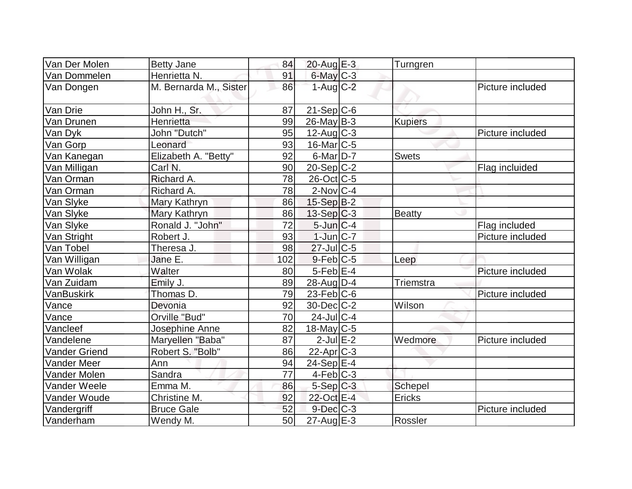| Van Der Molen        | <b>Betty Jane</b>      | 84  | 20-Aug E-3            | Turngren       |                  |
|----------------------|------------------------|-----|-----------------------|----------------|------------------|
| Van Dommelen         | Henrietta N.           | 91  | $6$ -May $C$ -3       |                |                  |
| Van Dongen           | M. Bernarda M., Sister | 86  | $1-Aug$ $C-2$         |                | Picture included |
| Van Drie             | John H., Sr.           | 87  | $21-Sep C-6$          |                |                  |
| Van Drunen           | Henrietta              | 99  | $26$ -May B-3         | <b>Kupiers</b> |                  |
| Van Dyk              | John "Dutch"           | 95  | $12$ -Aug C-3         |                | Picture included |
| Van Gorp             | Leonard                | 93  | $16$ -Mar $ C-5 $     |                |                  |
| Van Kanegan          | Elizabeth A. "Betty"   | 92  | $6$ -Mar $D-7$        | <b>Swets</b>   |                  |
| Van Milligan         | Carl N.                | 90  | $20-Sep C-2$          |                | Flag incluided   |
| Van Orman            | Richard A.             | 78  | $26$ -Oct $ C$ -5     |                |                  |
| Van Orman            | Richard A.             | 78  | $2$ -Nov $ C-4 $      |                |                  |
| Van Slyke            | Mary Kathryn           | 86  | $15-Sep$ B-2          |                |                  |
| Van Slyke            | Mary Kathryn           | 86  | $13-Sep C-3$          | Beatty         |                  |
| Van Slyke            | Ronald J. "John"       | 72  | $5$ -Jun $C-4$        |                | Flag included    |
| Van Stright          | Robert J.              | 93  | $1$ -Jun $ C-7 $      |                | Picture included |
| Van Tobel            | Theresa J.             | 98  | $27$ -Jul $C$ -5      |                |                  |
| Van Willigan         | Jane E.                | 102 | $9$ -Feb $ C$ -5      | Leep           |                  |
| Van Wolak            | Walter                 | 80  | $5$ -Feb $E$ -4       |                | Picture included |
| Van Zuidam           | Emily J.               | 89  | $28$ -Aug $D-4$       | Triemstra      |                  |
| <b>VanBuskirk</b>    | Thomas D.              | 79  | $23$ -Feb $ C$ -6     |                | Picture included |
| Vance                | Devonia                | 92  | $30$ -Dec $C-2$       | Wilson         |                  |
| Vance                | Orville "Bud"          | 70  | $24$ -JulC-4          |                |                  |
| Vancleef             | Josephine Anne         | 82  | $18$ -May C-5         |                |                  |
| Vandelene            | Maryellen "Baba"       | 87  | $2$ -Jul $E-2$        | Wedmore        | Picture included |
| <b>Vander Griend</b> | Robert S. "Bolb"       | 86  | 22-Apr <sub>C-3</sub> |                |                  |
| <b>Vander Meer</b>   | Ann                    | 94  | $24-Sep$ $E-4$        |                |                  |
| Vander Molen         | Sandra                 | 77  | $4$ -Feb $ C-3$       |                |                  |
| Vander Weele         | Emma M.                | 86  | $5-Sep$ $C-3$         | <b>Schepel</b> |                  |
| Vander Woude         | Christine M.           | 92  | 22-Oct E-4            | Ericks         |                  |
| Vandergriff          | <b>Bruce Gale</b>      | 52  | $9$ -Dec $C-3$        |                | Picture included |
| Vanderham            | Wendy M.               | 50  | $27$ -Aug $E-3$       | Rossler        |                  |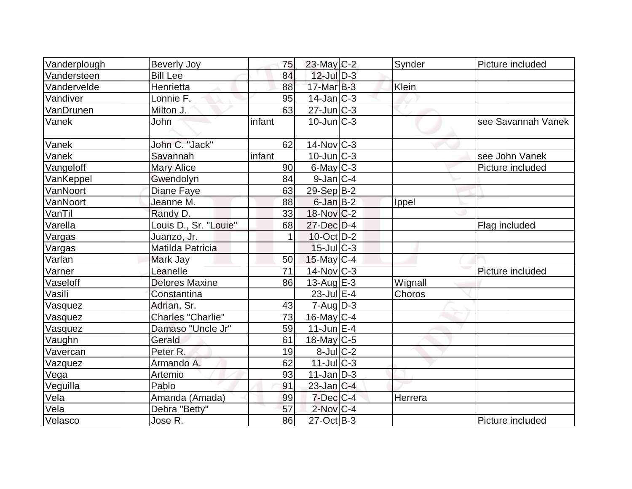| Vanderplough  | <b>Beverly Joy</b>       | 75     | $23$ -May C-2            | Synder  | Picture included   |
|---------------|--------------------------|--------|--------------------------|---------|--------------------|
| Vandersteen   | <b>Bill Lee</b>          | 84     | $12$ -Jul $D-3$          |         |                    |
| Vandervelde   | Henrietta                | 88     | $17$ -Mar $B-3$          | Klein   |                    |
| Vandiver      | Lonnie F.                | 95     | $14$ -Jan $ C-3 $        |         |                    |
| VanDrunen     | Milton J.                | 63     | $27$ -Jun $C-3$          |         |                    |
| Vanek         | John                     | infant | $10$ -Jun $ C-3 $        |         | see Savannah Vanek |
| Vanek         | John C. "Jack"           | 62     | $14$ -Nov $ C-3 $        |         |                    |
| Vanek         | Savannah                 | infant | $10$ -Jun $C-3$          |         | see John Vanek     |
| Vangeloff     | <b>Mary Alice</b>        | 90     | $6$ -May $C$ -3          |         | Picture included   |
| VanKeppel     | Gwendolyn                | 84     | $9$ -Jan $ C-4 $         |         |                    |
| VanNoort      | Diane Faye               | 63     | $29-Sep B-2$             |         |                    |
| VanNoort      | Jeanne M.                | 88     | $6$ -Jan $B-2$           | Ippel   |                    |
| VanTil        | Randy D.                 | 33     | $18-Nov$ <sub>C</sub> -2 |         |                    |
| Varella       | Louis D., Sr. "Louie"    | 68     | 27-Dec D-4               |         | Flag included      |
| Vargas        | Juanzo, Jr.              | 1      | 10-Oct D-2               |         |                    |
| <b>Vargas</b> | Matilda Patricia         |        | $15$ -JulC-3             |         |                    |
| Varlan        | Mark Jay                 | 50     | $15$ -May C-4            |         |                    |
| Varner        | Leanelle                 | 71     | $14$ -Nov $ C-3 $        |         | Picture included   |
| Vaseloff      | <b>Delores Maxine</b>    | 86     | 13-Aug $E-3$             | Wignall |                    |
| Vasili        | Constantina              |        | $23$ -Jul $E-4$          | Choros  |                    |
| Vasquez       | Adrian, Sr.              | 43     | $7 - Aug   D-3$          |         |                    |
| Vasquez       | <b>Charles "Charlie"</b> | 73     | $16$ -May C-4            |         |                    |
| Vasquez       | Damaso "Uncle Jr"        | 59     | $11$ -Jun $E-4$          |         |                    |
| Vaughn        | Gerald                   | 61     | $18$ -May C-5            |         |                    |
| Vavercan      | Peter R.                 | 19     | $8$ -Jul $C$ -2          |         |                    |
| Vazquez       | Armando A.               | 62     | $11$ -Jul $C-3$          |         |                    |
| Vega          | Artemio                  | 93     | $11$ -Jan $ D-3 $        |         |                    |
| Veguilla      | Pablo                    | 91     | $23$ -Jan $ C-4 $        |         |                    |
| Vela          | Amanda (Amada)           | 99     | $7$ -Dec $ C-4 $         | Herrera |                    |
| Vela          | Debra "Betty"            | 57     | $2$ -Nov $ C-4 $         |         |                    |
| Velasco       | Jose R.                  | 86     | $27-Oct$ B-3             |         | Picture included   |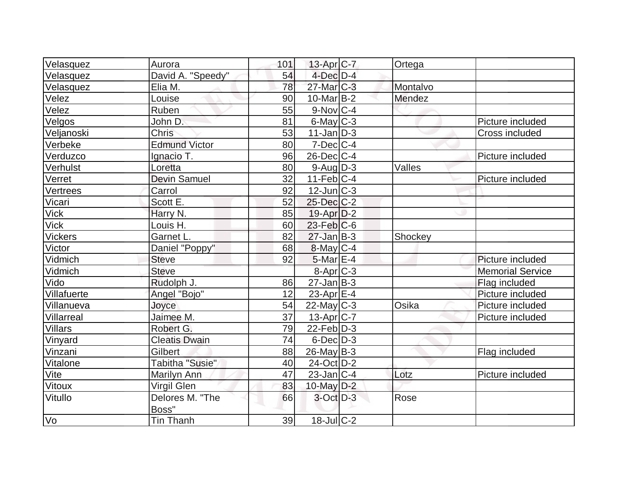| Velasquez      | Aurora                 | 101 | $13$ -Apr $ C-7 $      | Ortega   |                         |
|----------------|------------------------|-----|------------------------|----------|-------------------------|
| Velasquez      | David A. "Speedy"      | 54  | $4$ -Dec $D-4$         |          |                         |
| Velasquez      | Elia M.                | 78  | $27$ -Mar $ C-3 $      | Montalvo |                         |
| Velez          | Louise                 | 90  | $10$ -Mar $IB-2$       | Mendez   |                         |
| Velez          | Ruben                  | 55  | $9-Nov$ <sub>C-4</sub> |          |                         |
| Velgos         | John D.                | 81  | $6$ -May $C$ -3        |          | Picture included        |
| Veljanoski     | <b>Chris</b>           | 53  | $11$ -Jan $ D-3 $      |          | Cross included          |
| Verbeke        | <b>Edmund Victor</b>   | 80  | $7$ -Dec $ C-4 $       |          |                         |
| Verduzco       | Ignacio T.             | 96  | $26$ -Dec $ C-4 $      |          | Picture included        |
| Verhulst       | Loretta                | 80  | $9$ -Aug $D-3$         | Valles   |                         |
| Verret         | <b>Devin Samuel</b>    | 32  | $11$ -Feb $ C-4 $      |          | Picture included        |
| Vertrees       | Carrol                 | 92  | $12$ -Jun $ C-3 $      |          |                         |
| Vicari         | Scott E.               | 52  | 25-Dec C-2             |          |                         |
| <b>Vick</b>    | Harry N.               | 85  | $19-Apr D-2$           |          |                         |
| Vick           | Louis H.               | 60  | $23$ -Feb $ C$ -6      |          |                         |
| <b>Vickers</b> | Garnet L.              | 82  | $27 - Jan$ $B-3$       | Shockey  |                         |
| Victor         | Daniel "Poppy"         | 68  | $8$ -May $C$ -4        |          |                         |
| Vidmich        | <b>Steve</b>           | 92  | $5$ -Mar $E-4$         |          | Picture included        |
| Vidmich        | <b>Steve</b>           |     | 8-Apr <sub>IC-3</sub>  |          | <b>Memorial Service</b> |
| Vido           | Rudolph J.             | 86  | $27$ -Jan $ B-3 $      |          | Flag included           |
| Villafuerte    | Angel "Bojo"           | 12  | 23-Apr $E-4$           |          | Picture included        |
| Villanueva     | Joyce                  | 54  | $22$ -May C-3          | Osika    | Picture included        |
| Villarreal     | Jaimee M.              | 37  | 13-Apr <sub>IC-7</sub> |          | Picture included        |
| Villars        | Robert G.              | 79  | $22$ -Feb $ D-3 $      |          |                         |
| Vinyard        | <b>Cleatis Dwain</b>   | 74  | $6$ -Dec $D-3$         |          |                         |
| Vinzani        | <b>Gilbert</b>         | 88  | $26$ -May B-3          |          | Flag included           |
| Vitalone       | <b>Tabitha "Susie"</b> | 40  | $24$ -Oct $ D-2 $      |          |                         |
| Vite           | Marilyn Ann            | 47  | $23$ -Jan $ C-4 $      | Lotz     | Picture included        |
| Vitoux         | <b>Virgil Glen</b>     | 83  | 10-May $D-2$           |          |                         |
| Vitullo        | Delores M. "The        | 66  | $3$ -Oct $D-3$         | Rose     |                         |
|                | Boss"                  |     |                        |          |                         |
| Vo             | <b>Tin Thanh</b>       | 39  | $18 -$ Jul $C - 2$     |          |                         |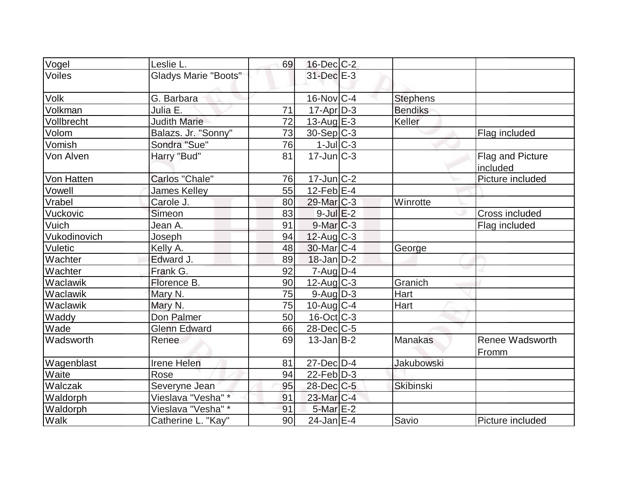| Vogel        | Leslie L.                   | 69 | $16$ -Dec $C$ -2            |                  |                              |
|--------------|-----------------------------|----|-----------------------------|------------------|------------------------------|
| Voiles       | <b>Gladys Marie "Boots"</b> |    | 31-Dec E-3                  |                  |                              |
| <b>Volk</b>  | G. Barbara                  |    | 16-Nov C-4                  | <b>Stephens</b>  |                              |
| Volkman      | Julia E.                    | 71 | $17$ -Apr $D-3$             | <b>Bendiks</b>   |                              |
| Vollbrecht   | <b>Judith Marie</b>         | 72 | 13-Aug $E-3$                | Keller           |                              |
| Volom        | Balazs. Jr. "Sonny"         | 73 | 30-Sep C-3                  |                  | Flag included                |
| Vomish       | Sondra "Sue"                | 76 | $1$ -Jul $C-3$              |                  |                              |
| Von Alven    | Harry "Bud"                 | 81 | $17$ -Jun $\overline{C}$ -3 |                  | Flag and Picture<br>included |
| Von Hatten   | Carlos "Chale"              | 76 | $17$ -Jun $ C-2 $           |                  | Picture included             |
| Vowell       | James Kelley                | 55 | $12$ -Feb $E-4$             |                  |                              |
| Vrabel       | Carole J.                   | 80 | 29-Mar C-3                  | Winrotte         |                              |
| Vuckovic     | Simeon                      | 83 | $9$ -Jul $E-2$              |                  | Cross included               |
| Vuich        | Jean A.                     | 91 | $9$ -Mar $ C-3 $            |                  | Flag included                |
| Vukodinovich | Joseph                      | 94 | $12$ -Aug C-3               |                  |                              |
| Vuletic      | Kelly A.                    | 48 | 30-Mar C-4                  | George           |                              |
| Wachter      | Edward J.                   | 89 | $18$ -Jan $D-2$             |                  |                              |
| Wachter      | Frank G.                    | 92 | $7 - Aug   D-4$             |                  |                              |
| Waclawik     | Florence B.                 | 90 | $12$ -Aug C-3               | Granich          |                              |
| Waclawik     | Mary N.                     | 75 | $9$ -Aug $D-3$              | Hart             |                              |
| Waclawik     | Mary N.                     | 75 | $10$ -Aug $C-4$             | Hart             |                              |
| Waddy        | Don Palmer                  | 50 | $16$ -Oct $ C-3 $           |                  |                              |
| Wade         | <b>Glenn Edward</b>         | 66 | $28$ -Dec $C$ -5            |                  |                              |
| Wadsworth    | Renee                       | 69 | $13$ -Jan $ B-2 $           | <b>Manakas</b>   | Renee Wadsworth<br>Fromm     |
| Wagenblast   | <b>Irene Helen</b>          | 81 | $27$ -Dec $D-4$             | Jakubowski       |                              |
| Waite        | Rose                        | 94 | $22$ -Feb $ D-3$            |                  |                              |
| Walczak      | Severyne Jean               | 95 | $28$ -Dec $C$ -5            | <b>Skibinski</b> |                              |
| Waldorph     | Vieslava "Vesha" *          | 91 | 23-Mar C-4                  |                  |                              |
| Waldorph     | Vieslava "Vesha" *          | 91 | $5$ -Mar $E-2$              |                  |                              |
| Walk         | Catherine L. "Kay"          | 90 | $24$ -Jan E-4               | Savio            | Picture included             |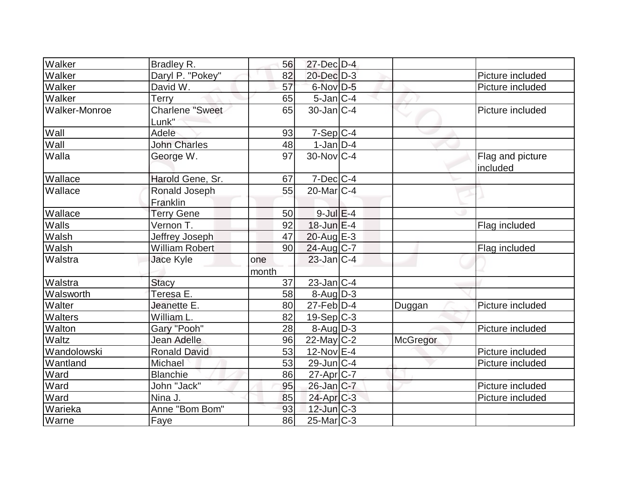| Walker               | Bradley R.             | 56    | $27 - Dec$ $D-4$     |                 |                  |
|----------------------|------------------------|-------|----------------------|-----------------|------------------|
| Walker               | Daryl P. "Pokey"       | 82    | 20-Dec D-3           |                 | Picture included |
| Walker               | David W.               | 57    | 6-Nov D-5            |                 | Picture included |
| Walker               | Terry                  | 65    | $5$ -Jan $ C-4 $     |                 |                  |
| <b>Walker-Monroe</b> | <b>Charlene "Sweet</b> | 65    | $30$ -Jan $ C-4 $    |                 | Picture included |
|                      | Lunk"                  |       |                      |                 |                  |
| Wall                 | Adele                  | 93    | $7-Sep$ C-4          |                 |                  |
| Wall                 | <b>John Charles</b>    | 48    | $1$ -Jan $D-4$       |                 |                  |
| Walla                | George W.              | 97    | $30$ -Nov $ C-4 $    |                 | Flag and picture |
|                      |                        |       |                      |                 | included         |
| Wallace              | Harold Gene, Sr.       | 67    | $7$ -Dec $ C-4 $     |                 |                  |
| Wallace              | Ronald Joseph          | 55    | $20$ -Mar $ C-4 $    |                 |                  |
|                      | Franklin               |       |                      |                 |                  |
| Wallace              | <b>Terry Gene</b>      | 50    | $9$ -Jul $E-4$       |                 |                  |
| Walls                | Vernon T.              | 92    | $18$ -Jun $E-4$      |                 | Flag included    |
| <b>Walsh</b>         | Jeffrey Joseph         | 47    | $20$ -Aug $E-3$      |                 |                  |
| Walsh                | <b>William Robert</b>  | 90    | $24$ -Aug C-7        |                 | Flag included    |
| Walstra              | Jace Kyle              | one   | $23$ -Jan $ C-4 $    |                 |                  |
|                      |                        | month |                      |                 |                  |
| Walstra              | <b>Stacy</b>           | 37    | $23$ -Jan $C-4$      |                 |                  |
| Walsworth            | Teresa E.              | 58    | $8 - Aug$ $D-3$      |                 |                  |
| Walter               | Jeanette E.            | 80    | $27$ -Feb $ D-4 $    | Duggan          | Picture included |
| Walters              | William L.             | 82    | $19-Sep C-3$         |                 |                  |
| Walton               | Gary "Pooh"            | 28    | $8 - \text{Aug}$ D-3 |                 | Picture included |
| Waltz                | <b>Jean Adelle</b>     | 96    | $22$ -May C-2        | <b>McGregor</b> |                  |
| Wandolowski          | <b>Ronald David</b>    | 53    | $12$ -Nov $E-4$      |                 | Picture included |
| Wantland             | Michael                | 53    | $29$ -Jun $C-4$      |                 | Picture included |
| Ward                 | <b>Blanchie</b>        | 86    | 27-Apr C-7           |                 |                  |
| Ward                 | John "Jack"            | 95    | $26$ -Jan $C-7$      |                 | Picture included |
| Ward                 | Nina J.                | 85    | $24$ -Apr $C-3$      |                 | Picture included |
| Warieka              | Anne "Bom Bom"         | 93    | $12$ -Jun $C-3$      |                 |                  |
| Warne                | Faye                   | 86    | $25$ -Mar $ C-3 $    |                 |                  |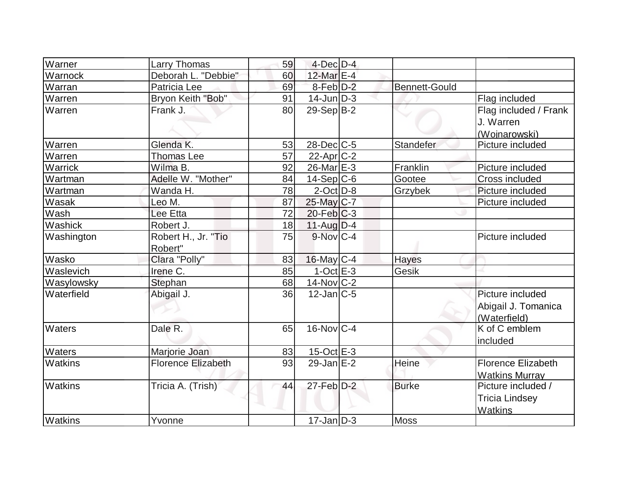| Warner         | Larry Thomas              | 59 | $4$ -Dec $D-4$             |                      |                           |
|----------------|---------------------------|----|----------------------------|----------------------|---------------------------|
| Warnock        | Deborah L. "Debbie"       | 60 | 12-Mar $E-4$               |                      |                           |
| Warran         | Patricia Lee              | 69 | $8$ -Feb $D-2$             | <b>Bennett-Gould</b> |                           |
| Warren         | Bryon Keith "Bob"         | 91 | $14$ -Jun $D-3$            |                      | Flag included             |
| Warren         | Frank J.                  | 80 | $29-Sep B-2$               |                      | Flag included / Frank     |
|                |                           |    |                            |                      | J. Warren                 |
|                |                           |    |                            |                      | (Wojnarowski)             |
| Warren         | Glenda K.                 | 53 | $28$ -Dec $C$ -5           | Standefer            | Picture included          |
| Warren         | <b>Thomas Lee</b>         | 57 | $22$ -Apr $C-2$            |                      |                           |
| Warrick        | Wilma B.                  | 92 | $26$ -Mar $E-3$            | Franklin             | Picture included          |
| Wartman        | Adelle W. "Mother"        | 84 | $14-Sep C-6$               | Gootee               | Cross included            |
| Wartman        | Wanda H.                  | 78 | $2$ -Oct $ D-8 $           | Grzybek              | Picture included          |
| Wasak          | Leo M.                    | 87 | 25-May C-7                 |                      | Picture included          |
| Wash           | Lee Etta                  | 72 | $20$ -Feb $C-3$            |                      |                           |
| Washick        | Robert J.                 | 18 | 11-Aug D-4                 |                      |                           |
| Washington     | Robert H., Jr. "Tio       | 75 | $9-Nov$ <sub>C-4</sub>     |                      | Picture included          |
|                | Robert"                   |    |                            |                      |                           |
| Wasko          | Clara "Polly"             | 83 | $16$ -May C-4              | Hayes                |                           |
| Waslevich      | Irene C.                  | 85 | $1-Oct$ $E-3$              | Gesik                |                           |
| Wasylowsky     | Stephan                   | 68 | $14$ -Nov $ C-2 $          |                      |                           |
| Waterfield     | Abigail J.                | 36 | $12$ -Jan $ C-5 $          |                      | Picture included          |
|                |                           |    |                            |                      | Abigail J. Tomanica       |
|                |                           |    |                            |                      | (Waterfield)              |
| <b>Waters</b>  | Dale R.                   | 65 | $16$ -Nov $ C-4 $          |                      | K of C emblem             |
|                |                           |    |                            |                      | included                  |
| Waters         | Marjorie Joan             | 83 | $15$ -Oct $E$ -3           |                      |                           |
| Watkins        | <b>Florence Elizabeth</b> | 93 | $29$ -Jan $E-2$            | Heine                | <b>Florence Elizabeth</b> |
|                |                           |    |                            |                      | <b>Watkins Murray</b>     |
| <b>Watkins</b> | Tricia A. (Trish)         | 44 | $27$ -Feb $\overline{D-2}$ | <b>Burke</b>         | Picture included /        |
|                |                           |    |                            |                      | <b>Tricia Lindsey</b>     |
|                |                           |    |                            |                      | Watkins                   |
| Watkins        | Yvonne                    |    | $17$ -Jan $D-3$            | Moss                 |                           |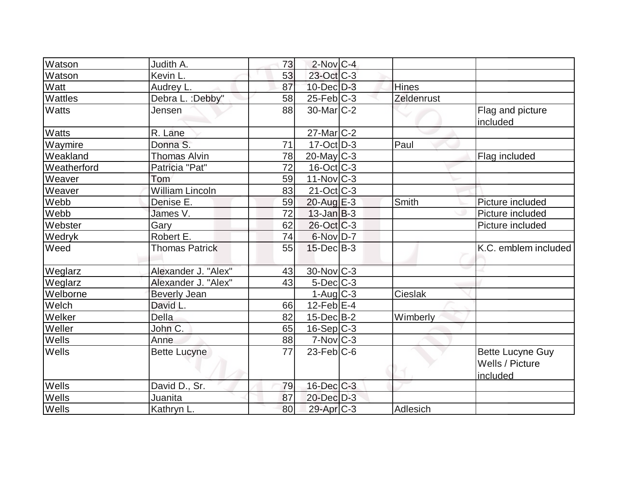| <b>Watson</b> | Judith A.              | 73 | $2$ -Nov $ C-4 $      |              |                                                        |
|---------------|------------------------|----|-----------------------|--------------|--------------------------------------------------------|
| Watson        | Kevin L.               | 53 | 23-Oct C-3            |              |                                                        |
| Watt          | Audrey L.              | 87 | $10$ -Dec $D-3$       | <b>Hines</b> |                                                        |
| Wattles       | Debra L.: Debby"       | 58 | 25-Feb C-3            | Zeldenrust   |                                                        |
| <b>Watts</b>  | Jensen                 | 88 | $30$ -Mar $ C-2 $     |              | Flag and picture<br>included                           |
| <b>Watts</b>  | R. Lane                |    | $27$ -Mar $ C-2 $     |              |                                                        |
| Waymire       | Donna S.               | 71 | $17-Oct$ D-3          | Paul         |                                                        |
| Weakland      | <b>Thomas Alvin</b>    | 78 | $20$ -May C-3         |              | Flag included                                          |
| Weatherford   | Patricia "Pat"         | 72 | $16$ -Oct $ C-3 $     |              |                                                        |
| Weaver        | Tom                    | 59 | $11$ -Nov $ C-3 $     |              |                                                        |
| Weaver        | <b>William Lincoln</b> | 83 | $21-Oct$ $C-3$        |              |                                                        |
| Webb          | Denise E.              | 59 | 20-Aug E-3            | Smith        | Picture included                                       |
| Webb          | James V.               | 72 | $13$ -Jan $ B-3 $     |              | Picture included                                       |
| Webster       | Gary                   | 62 | $26$ -Oct $ C-3 $     |              | Picture included                                       |
| Wedryk        | Robert E.              | 74 | $6$ -Nov $D-7$        |              |                                                        |
| Weed          | <b>Thomas Patrick</b>  | 55 | $15$ -Dec $B$ -3      |              | K.C. emblem included                                   |
| Weglarz       | Alexander J. "Alex"    | 43 | $30$ -Nov $ C-3 $     |              |                                                        |
| Weglarz       | Alexander J. "Alex"    | 43 | $5$ -Dec $C$ -3       |              |                                                        |
| Welborne      | <b>Beverly Jean</b>    |    | $1-Aug C-3$           | Cieslak      |                                                        |
| Welch         | David L.               | 66 | $12$ -Feb $E-4$       |              |                                                        |
| Welker        | <b>Della</b>           | 82 | $15$ -Dec $B$ -2      | Wimberly     |                                                        |
| Weller        | John C.                | 65 | $16-Sep C-3$          |              |                                                        |
| Wells         | Anne                   | 88 | $7-Nov$ $C-3$         |              |                                                        |
| <b>Wells</b>  | <b>Bette Lucyne</b>    | 77 | $23$ -Feb $ C$ -6     |              | <b>Bette Lucyne Guy</b><br>Wells / Picture<br>included |
| <b>Wells</b>  | David D., Sr.          | 79 | $16$ -Dec $C$ -3      |              |                                                        |
| Wells         | Juanita                | 87 | $20$ -Dec $D-3$       |              |                                                        |
| Wells         | Kathryn L.             | 80 | 29-Apr <sub>C-3</sub> | Adlesich     |                                                        |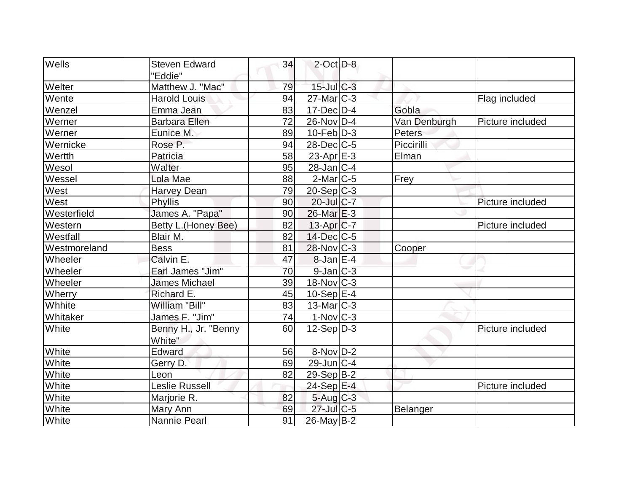| <b>Wells</b> | <b>Steven Edward</b> | 34 | $2$ -Oct $D-8$          |              |                  |
|--------------|----------------------|----|-------------------------|--------------|------------------|
|              | "Eddie"              |    |                         |              |                  |
| Welter       | Matthew J. "Mac"     | 79 | $15$ -Jul $C-3$         |              |                  |
| Wente        | <b>Harold Louis</b>  | 94 | $27$ -Mar $ C-3 $       |              | Flag included    |
| Wenzel       | Emma Jean            | 83 | $17$ -Dec $D-4$         | Gobla        |                  |
| Werner       | <b>Barbara Ellen</b> | 72 | 26-Nov D-4              | Van Denburgh | Picture included |
| Werner       | Eunice M.            | 89 | $10$ -Feb $ D-3 $       | Peters       |                  |
| Wernicke     | Rose P.              | 94 | $28$ -Dec $C$ -5        | Piccirilli   |                  |
| Wertth       | Patricia             | 58 | $23$ -Apr $E-3$         | Elman        |                  |
| Wesol        | Walter               | 95 | $28$ -Jan $ C-4 $       |              |                  |
| Wessel       | Lola Mae             | 88 | $2$ -Mar $ C-5 $        | Frey         |                  |
| West         | <b>Harvey Dean</b>   | 79 | $20-Sep C-3$            |              |                  |
| West         | Phyllis              | 90 | $20$ -Jul $C-7$         |              | Picture included |
| Westerfield  | James A. "Papa"      | 90 | $26$ -Mar $E-3$         |              |                  |
| Western      | Betty L. (Honey Bee) | 82 | $13-Apr$ $C-7$          |              | Picture included |
| Westfall     | Blair M.             | 82 | $14$ -Dec $ C-5$        |              |                  |
| Westmoreland | <b>Bess</b>          | 81 | $28$ -Nov $ C-3 $       | Cooper       |                  |
| Wheeler      | Calvin E.            | 47 | $8$ -Jan $E-4$          |              |                  |
| Wheeler      | Earl James "Jim"     | 70 | $9$ -Jan $C-3$          |              |                  |
| Wheeler      | <b>James Michael</b> | 39 | $18$ -Nov $ C-3 $       |              |                  |
| Wherry       | Richard E.           | 45 | $10-Sep$ $E-4$          |              |                  |
| Whhite       | William "Bill"       | 83 | $13$ -Mar $ C-3 $       |              |                  |
| Whitaker     | James F. "Jim"       | 74 | $1-Nov$ <sub>C</sub> -3 |              |                  |
| White        | Benny H., Jr. "Benny | 60 | $12-Sep D-3$            |              | Picture included |
|              | White"               |    |                         |              |                  |
| White        | Edward               | 56 | 8-Nov D-2               |              |                  |
| White        | Gerry D.             | 69 | $29$ -Jun $C-4$         |              |                  |
| White        | Leon                 | 82 | $29-Sep B-2$            |              |                  |
| White        | Leslie Russell       |    | 24-Sep E-4              |              | Picture included |
| White        | Marjorie R.          | 82 | $5$ -Aug $C-3$          |              |                  |
| White        | Mary Ann             | 69 | 27-Jul C-5              | Belanger     |                  |
| White        | Nannie Pearl         | 91 | $26$ -May B-2           |              |                  |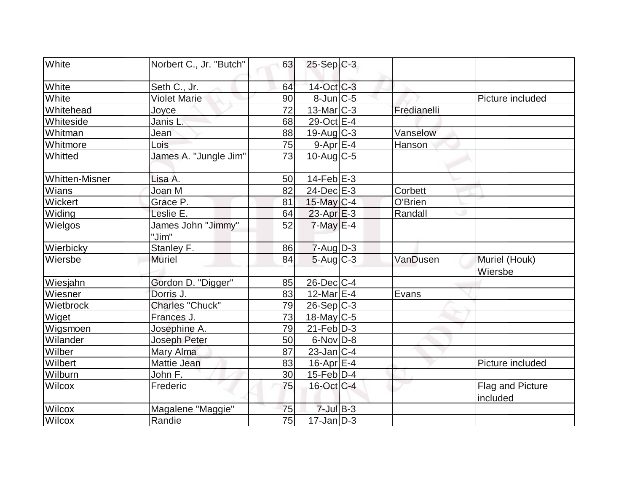| White                 | Norbert C., Jr. "Butch"     | 63 | $25-Sep C-3$              |             |                              |
|-----------------------|-----------------------------|----|---------------------------|-------------|------------------------------|
| White                 | Seth C., Jr.                | 64 | 14-Oct C-3                |             |                              |
| White                 | <b>Violet Marie</b>         | 90 | $8$ -Jun $C$ -5           |             | Picture included             |
| Whitehead             | Joyce                       | 72 | $13$ -Mar $ C-3 $         | Fredianelli |                              |
| Whiteside             | Janis L.                    | 68 | 29-Oct E-4                |             |                              |
| Whitman               | Jean                        | 88 | $19$ -Aug C-3             | Vanselow    |                              |
| Whitmore              | Lois                        | 75 | $9-Apr$ $E-4$             | Hanson      |                              |
| Whitted               | James A. "Jungle Jim"       | 73 | $10$ -Aug $C$ -5          |             |                              |
| <b>Whitten-Misner</b> | Lisa A.                     | 50 | $14$ -Feb $E-3$           |             |                              |
| Wians                 | Joan M                      | 82 | $24$ -Dec $E-3$           | Corbett     |                              |
| Wickert               | Grace P.                    | 81 | $15$ -May C-4             | O'Brien     |                              |
| Widing                | Leslie E.                   | 64 | $23$ -Apr $E-3$           | Randall     |                              |
| Wielgos               | James John "Jimmy"<br>"Jim" | 52 | $7$ -May $E-4$            |             |                              |
| Wierbicky             | Stanley F.                  | 86 | $7 - Aug$ $D-3$           |             |                              |
| Wiersbe               | <b>Muriel</b>               | 84 | $5 - Aug$ <sub>C</sub> -3 | VanDusen    | Muriel (Houk)<br>Wiersbe     |
| Wiesjahn              | Gordon D. "Digger"          | 85 | $26$ -Dec $C$ -4          |             |                              |
| Wiesner               | Dorris J.                   | 83 | 12-Mar $E-4$              | Evans       |                              |
| Wietbrock             | Charles "Chuck"             | 79 | $26-Sep C-3$              |             |                              |
| Wiget                 | Frances J.                  | 73 | $18$ -May C-5             |             |                              |
| Wigsmoen              | Josephine A.                | 79 | $21$ -Feb $ D-3 $         |             |                              |
| Wilander              | Joseph Peter                | 50 | $6$ -Nov $D-8$            |             |                              |
| Wilber                | Mary Alma                   | 87 | $23$ -Jan $C-4$           |             |                              |
| Wilbert               | Mattie Jean                 | 83 | 16-Apr E-4                |             | Picture included             |
| Wilburn               | John F.                     | 30 | $15$ -Feb $ D-4 $         |             |                              |
| Wilcox                | Frederic                    | 75 | $16$ -Oct C-4             |             | Flag and Picture<br>included |
| Wilcox                | Magalene "Maggie"           | 75 | $7$ -Jul $B-3$            |             |                              |
| Wilcox                | Randie                      | 75 | $17$ -Jan $ D-3 $         |             |                              |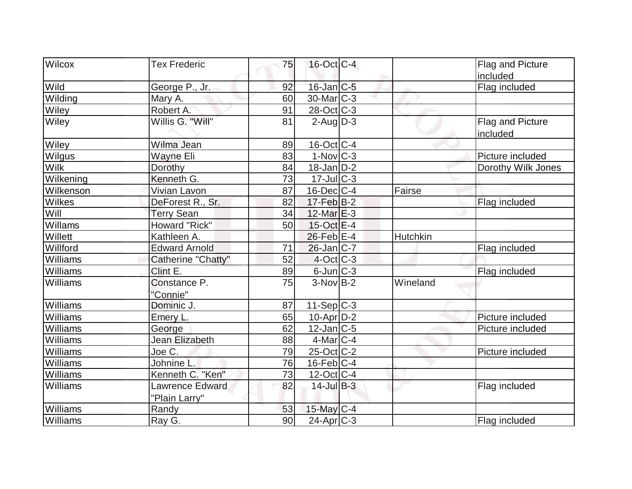| Wilcox        | <b>Tex Frederic</b>    | 75 | $16$ -Oct $ C-4 $         |          | Flag and Picture             |
|---------------|------------------------|----|---------------------------|----------|------------------------------|
|               |                        |    |                           |          | included                     |
| Wild          | George P., Jr.         | 92 | $16$ -Jan $ C-5 $         |          | Flag included                |
| Wilding       | Mary A.                | 60 | $30$ -Mar $ C-3 $         |          |                              |
| Wiley         | Robert A.              | 91 | 28-Oct C-3                |          |                              |
| Wiley         | Willis G. "Will"       | 81 | $2$ -Aug $\overline{D-3}$ |          | Flag and Picture<br>included |
| Wiley         | Wilma Jean             | 89 | $16$ -Oct $ C-4 $         |          |                              |
| <b>Wilgus</b> | Wayne Eli              | 83 | $1-Nov$ C-3               |          | Picture included             |
| <b>Wilk</b>   | Dorothy                | 84 | $18$ -Jan D-2             |          | Dorothy Wilk Jones           |
| Wilkening     | Kenneth G.             | 73 | $17$ -Jul $C-3$           |          |                              |
| Wilkenson     | Vivian Lavon           | 87 | $16$ -Dec $ C-4 $         | Fairse   |                              |
| <b>Wilkes</b> | DeForest R., Sr.       | 82 | $17-Feb$ B-2              |          | Flag included                |
| Will          | <b>Terry Sean</b>      | 34 | $12$ -Mar $E-3$           |          |                              |
| Willams       | Howard "Rick"          | 50 | $15$ -Oct $E-4$           |          |                              |
| Willett       | Kathleen A.            |    | $26$ -Feb $E-4$           | Hutchkin |                              |
| Willford      | <b>Edward Arnold</b>   | 71 | $26$ -Jan $ C-7 $         |          | Flag included                |
| Williams      | Catherine "Chatty"     | 52 | $4$ -Oct C-3              |          |                              |
| Williams      | Clint E.               | 89 | $6$ -Jun $C-3$            |          | Flag included                |
| Williams      | Constance P.           | 75 | $3-NovB-2$                | Wineland |                              |
|               | "Connie"               |    |                           |          |                              |
| Williams      | Dominic J.             | 87 | $11-Sep C-3$              |          |                              |
| Williams      | Emery L.               | 65 | $10$ -Apr $D-2$           |          | Picture included             |
| Williams      | George                 | 62 | $12$ -Jan $ C-5 $         |          | Picture included             |
| Williams      | <b>Jean Elizabeth</b>  | 88 | $4$ -Mar $C-4$            |          |                              |
| Williams      | Joe C.                 | 79 | 25-Oct C-2                |          | Picture included             |
| Williams      | Johnine L.             | 76 | $16$ -Feb $C-4$           |          |                              |
| Williams      | Kenneth C. "Ken"       | 73 | $12$ -Oct $ C-4$          |          |                              |
| Williams      | <b>Lawrence Edward</b> | 82 | $14$ -Jul B-3             |          | Flag included                |
| Williams      | "Plain Larry"          | 53 |                           |          |                              |
| Williams      | Randy                  | 90 | 15-May C-4                |          |                              |
|               | Ray G.                 |    | $24$ -Apr $ C-3 $         |          | Flag included                |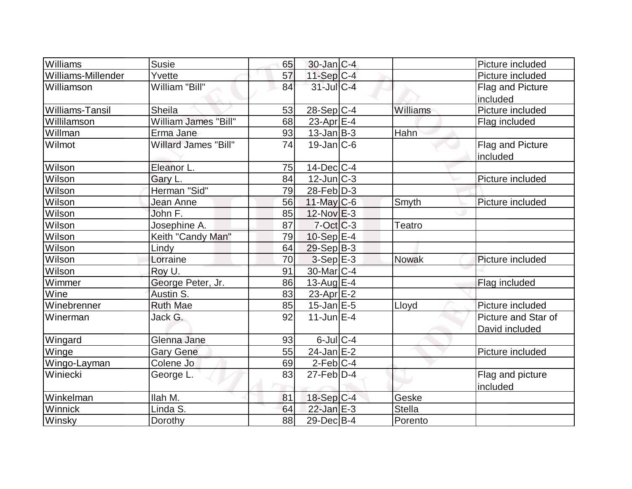| Williams               | Susie                       | 65 | $30$ -Jan $ C-4 $ |               | Picture included    |
|------------------------|-----------------------------|----|-------------------|---------------|---------------------|
| Williams-Millender     | Yvette                      | 57 | $11-Sep$ C-4      |               | Picture included    |
| Williamson             | William "Bill"              | 84 | $31$ -JulC-4      |               | Flag and Picture    |
|                        |                             |    |                   |               | included            |
| <b>Williams-Tansil</b> | <b>Sheila</b>               | 53 | 28-Sep C-4        | Williams      | Picture included    |
| Willilamson            | William James "Bill"        | 68 | 23-Apr $E-4$      |               | Flag included       |
| Willman                | Erma Jane                   | 93 | $13$ -Jan $ B-3 $ | Hahn          |                     |
| Wilmot                 | <b>Willard James "Bill"</b> | 74 | $19$ -Jan $ C$ -6 |               | Flag and Picture    |
|                        |                             |    |                   |               | included            |
| Wilson                 | Eleanor L.                  | 75 | $14$ -Dec $ C-4$  |               |                     |
| Wilson                 | Gary L.                     | 84 | $12$ -Jun $ C-3 $ |               | Picture included    |
| Wilson                 | Herman "Sid"                | 79 | $28$ -Feb $D-3$   |               |                     |
| Wilson                 | Jean Anne                   | 56 | $11$ -May C-6     | Smyth         | Picture included    |
| Wilson                 | John F.                     | 85 | $12$ -Nov $E-3$   |               |                     |
| Wilson                 | Josephine A.                | 87 | $7-Oct$ $C-3$     | <b>Teatro</b> |                     |
| Wilson                 | Keith "Candy Man"           | 79 | $10-Sep$ $E-4$    |               |                     |
| Wilson                 | Lindy                       | 64 | $29-Sep B-3$      |               |                     |
| Wilson                 | Lorraine                    | 70 | $3-Sep$ $E-3$     | <b>Nowak</b>  | Picture included    |
| Wilson                 | Roy U.                      | 91 | 30-Mar C-4        |               |                     |
| Wimmer                 | George Peter, Jr.           | 86 | 13-Aug $E-4$      |               | Flag included       |
| Wine                   | Austin S.                   | 83 | 23-Apr $E-2$      |               |                     |
| Winebrenner            | <b>Ruth Mae</b>             | 85 | $15$ -Jan $E$ -5  | Lloyd         | Picture included    |
| Winerman               | Jack G.                     | 92 | $11$ -Jun $E-4$   |               | Picture and Star of |
|                        |                             |    |                   |               | David included      |
| Wingard                | Glenna Jane                 | 93 | $6$ -Jul $C-4$    |               |                     |
| Winge                  | <b>Gary Gene</b>            | 55 | $24$ -Jan E-2     |               | Picture included    |
| Wingo-Layman           | Colene Jo                   | 69 | $2-Feb$ C-4       |               |                     |
| Winiecki               | George L.                   | 83 | $27$ -Feb $ D-4 $ |               | Flag and picture    |
|                        |                             |    |                   |               | included            |
| Winkelman              | Ilah M.                     | 81 | $18-Sep C-4$      | Geske         |                     |
| Winnick                | Linda S.                    | 64 | $22$ -Jan $E-3$   | <b>Stella</b> |                     |
| Winsky                 | Dorothy                     | 88 | $29$ -Dec $B$ -4  | Porento       |                     |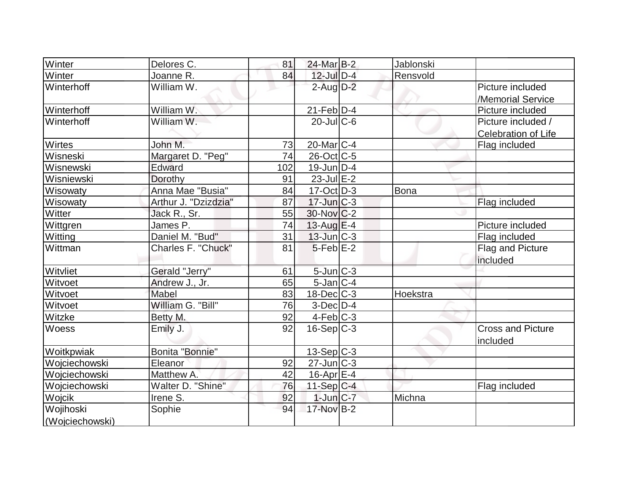| Winter          | Delores C.           | 81  | 24-Mar B-2        | Jablonski |                          |
|-----------------|----------------------|-----|-------------------|-----------|--------------------------|
| Winter          | Joanne R.            | 84  | $12$ -Jul $D-4$   | Rensvold  |                          |
| Winterhoff      | William W.           |     | $2$ -Aug $D-2$    |           | Picture included         |
|                 |                      |     |                   |           | /Memorial Service        |
| Winterhoff      | William W.           |     | $21$ -Feb $ D-4 $ |           | Picture included         |
| Winterhoff      | William W.           |     | $20$ -JulC-6      |           | Picture included /       |
|                 |                      |     |                   |           | Celebration of Life      |
| Wirtes          | John M.              | 73  | $20$ -Mar $ C-4 $ |           | Flag included            |
| Wisneski        | Margaret D. "Peg"    | 74  | 26-Oct C-5        |           |                          |
| Wisnewski       | Edward               | 102 | $19$ -Jun $D-4$   |           |                          |
| Wisniewski      | Dorothy              | 91  | $23$ -Jul $E-2$   |           |                          |
| Wisowaty        | Anna Mae "Busia"     | 84  | $17$ -Oct $D-3$   | Bona      |                          |
| Wisowaty        | Arthur J. "Dzizdzia" | 87  | $17$ -Jun $C-3$   |           | Flag included            |
| Witter          | Jack R., Sr.         | 55  | $30$ -Nov $ C-2 $ |           |                          |
| Wittgren        | James P.             | 74  | 13-Aug $E-4$      |           | Picture included         |
| Witting         | Daniel M. "Bud"      | 31  | $13$ -Jun $C-3$   |           | Flag included            |
| Wittman         | Charles F. "Chuck"   | 81  | $5$ -Feb $E-2$    |           | <b>Flag and Picture</b>  |
|                 |                      |     |                   |           | included                 |
| Witvliet        | Gerald "Jerry"       | 61  | 5-Jun C-3         |           |                          |
| Witvoet         | Andrew J., Jr.       | 65  | $5$ -Jan $ C-4 $  |           |                          |
| Witvoet         | Mabel                | 83  | $18$ -Dec $C-3$   | Hoekstra  |                          |
| Witvoet         | William G. "Bill"    | 76  | $3-Dec$ $D-4$     |           |                          |
| Witzke          | Betty M.             | 92  | $4-Feb$ $C-3$     |           |                          |
| Woess           | Emily J.             | 92  | $16-Sep C-3$      |           | <b>Cross and Picture</b> |
|                 |                      |     |                   |           | included                 |
| Woitkpwiak      | Bonita "Bonnie"      |     | 13-Sep C-3        |           |                          |
| Wojciechowski   | Eleanor              | 92  | $27$ -Jun $C-3$   |           |                          |
| Woiciechowski   | Matthew A.           | 42  | $16$ -Apr $E-4$   |           |                          |
| Wojciechowski   | Walter D. "Shine"    | 76  | 11-Sep C-4        |           | Flag included            |
| Wojcik          | Irene S.             | 92  | $1$ -Jun $C-7$    | Michna    |                          |
| Wojihoski       | Sophie               | 94  | 17-Nov B-2        |           |                          |
| (Wojciechowski) |                      |     |                   |           |                          |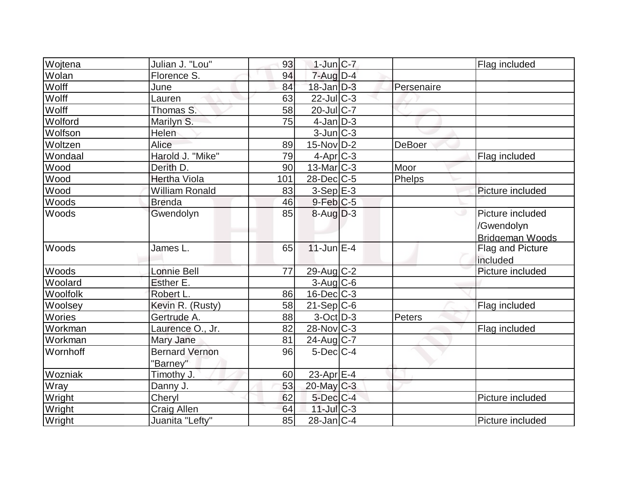| Wojtena      | Julian J. "Lou"                   | 93  | $1$ -Jun $ C-7 $      |               | Flag included                                            |
|--------------|-----------------------------------|-----|-----------------------|---------------|----------------------------------------------------------|
| <b>Wolan</b> | Florence S.                       | 94  | 7-Aug D-4             |               |                                                          |
| Wolff        | June                              | 84  | $18$ -Jan $D-3$       | Persenaire    |                                                          |
| Wolff        | Lauren                            | 63  | $22$ -Jul C-3         |               |                                                          |
| Wolff        | Thomas S.                         | 58  | 20-Jul C-7            |               |                                                          |
| Wolford      | Marilyn S.                        | 75  | $4$ -Jan $ D-3 $      |               |                                                          |
| Wolfson      | Helen                             |     | $3$ -Jun $ C-3 $      |               |                                                          |
| Woltzen      | Alice                             | 89  | $15$ -Nov $ D-2 $     | <b>DeBoer</b> |                                                          |
| Wondaal      | Harold J. "Mike"                  | 79  | $4$ -Apr $C-3$        |               | Flag included                                            |
| Wood         | Derith D.                         | 90  | $13$ -Mar $ C-3 $     | Moor          |                                                          |
| Wood         | <b>Hertha Viola</b>               | 101 | $28$ -Dec $C$ -5      | Phelps        |                                                          |
| Wood         | <b>William Ronald</b>             | 83  | $3-Sep$ $E-3$         |               | Picture included                                         |
| Woods        | <b>Brenda</b>                     | 46  | $9$ -Feb $C$ -5       |               |                                                          |
| Woods        | Gwendolyn                         | 85  | $8 - \text{Aug}$ D-3  |               | Picture included<br>/Gwendolyn<br><b>Bridgeman Woods</b> |
| Woods        | James L.                          | 65  | $11$ -Jun $E-4$       |               | Flag and Picture<br>included                             |
| Woods        | Lonnie Bell                       | 77  | 29-Aug C-2            |               | Picture included                                         |
| Woolard      | Esther E.                         |     | $3$ -Aug $C$ -6       |               |                                                          |
| Woolfolk     | Robert L.                         | 86  | $16$ -Dec $C$ -3      |               |                                                          |
| Woolsey      | Kevin R. (Rusty)                  | 58  | $21-Sep C-6$          |               | Flag included                                            |
| Wories       | Gertrude A.                       | 88  | $3-Oct$ $D-3$         | Peters        |                                                          |
| Workman      | Laurence O., Jr.                  | 82  | $28$ -Nov $ C-3 $     |               | Flag included                                            |
| Workman      | Mary Jane                         | 81  | $24$ -Aug C-7         |               |                                                          |
| Wornhoff     | <b>Bernard Vernon</b><br>"Barney" | 96  | $5$ -Dec $C$ -4       |               |                                                          |
| Wozniak      | Timothy J.                        | 60  | 23-Apr <sub>E-4</sub> |               |                                                          |
| <b>Wray</b>  | Danny J.                          | 53  | $20$ -May C-3         |               |                                                          |
| Wright       | Cheryl                            | 62  | $5$ -Dec $C$ -4       |               | Picture included                                         |
| Wright       | <b>Craig Allen</b>                | 64  | $11$ -Jul $C-3$       |               |                                                          |
| Wright       | Juanita "Lefty"                   | 85  | $28$ -Jan $ C-4 $     |               | Picture included                                         |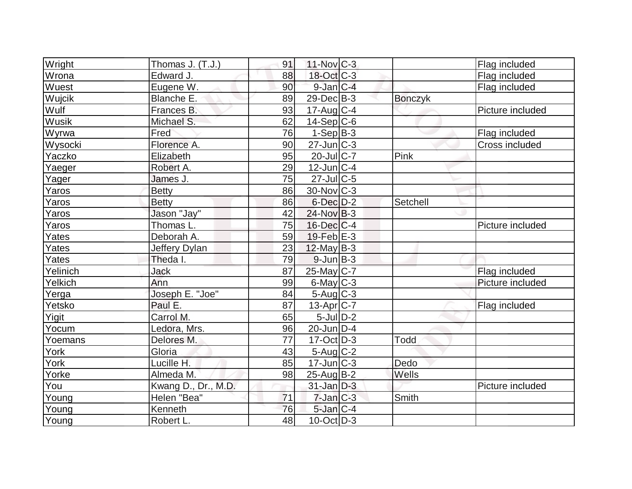| Wright        | Thomas J. (T.J.)    | 91 | $11$ -Nov $ C-3 $           |                | Flag included    |
|---------------|---------------------|----|-----------------------------|----------------|------------------|
| Wrona         | Edward J.           | 88 | 18-Oct C-3                  |                | Flag included    |
| Wuest         | Eugene W.           | 90 | $9$ -Jan $C-4$              |                | Flag included    |
| <b>Wujcik</b> | Blanche E.          | 89 | $29$ -Dec $B$ -3            | <b>Bonczyk</b> |                  |
| Wulf          | Frances B.          | 93 | $17$ -Aug C-4               |                | Picture included |
| Wusik         | Michael S.          | 62 | $14-Sep C-6$                |                |                  |
| Wyrwa         | Fred                | 76 | $1-Sep B-3$                 |                | Flag included    |
| Wysocki       | Florence A.         | 90 | $27$ -Jun $C-3$             |                | Cross included   |
| Yaczko        | Elizabeth           | 95 | $20$ -Jul C-7               | Pink           |                  |
| Yaeger        | Robert A.           | 29 | $12$ -Jun $ C-4$            |                |                  |
| Yager         | James J.            | 75 | $27$ -Jul $C$ -5            |                |                  |
| Yaros         | <b>Betty</b>        | 86 | $30$ -Nov $ C-3 $           |                |                  |
| Yaros         | <b>Betty</b>        | 86 | $6$ -Dec $D-2$              | Setchell       |                  |
| Yaros         | Jason "Jay"         | 42 | $24$ -Nov $ B-3 $           |                |                  |
| Yaros         | Thomas L.           | 75 | $16$ -Dec $C$ -4            |                | Picture included |
| Yates         | Deborah A.          | 59 | $19$ -Feb $E-3$             |                |                  |
| Yates         | Jeffery Dylan       | 23 | $12$ -May B-3               |                |                  |
| Yates         | Theda I.            | 79 | $9$ -Jun $B-3$              |                |                  |
| Yelinich      | Jack                | 87 | 25-May C-7                  |                | Flag included    |
| Yelkich       | Ann                 | 99 | $6$ -May $C-3$              |                | Picture included |
| Yerga         | Joseph E. "Joe"     | 84 | $5$ -Aug $C$ -3             |                |                  |
| Yetsko        | Paul E.             | 87 | $13$ -Apr $ C-7 $           |                | Flag included    |
| Yigit         | Carrol M.           | 65 | $5$ -Jul $D-2$              |                |                  |
| Yocum         | Ledora, Mrs.        | 96 | $20$ -Jun $\overline{D}$ -4 |                |                  |
| Yoemans       | Delores M.          | 77 | $17-Oct$ D-3                | Todd           |                  |
| York          | Gloria              | 43 | 5-Aug C-2                   |                |                  |
| York          | Lucille H.          | 85 | $17$ -Jun $ C-3 $           | Dedo           |                  |
| Yorke         | Almeda M.           | 98 | $25$ -Aug $ B-2 $           | Wells          |                  |
| You           | Kwang D., Dr., M.D. |    | $31$ -Jan $D-3$             |                | Picture included |
| Young         | Helen "Bea"         | 71 | $7$ -Jan $ C-3 $            | Smith          |                  |
| Young         | Kenneth             | 76 | 5-Jan C-4                   |                |                  |
| Young         | Robert L.           | 48 | $10$ -Oct $ D-3 $           |                |                  |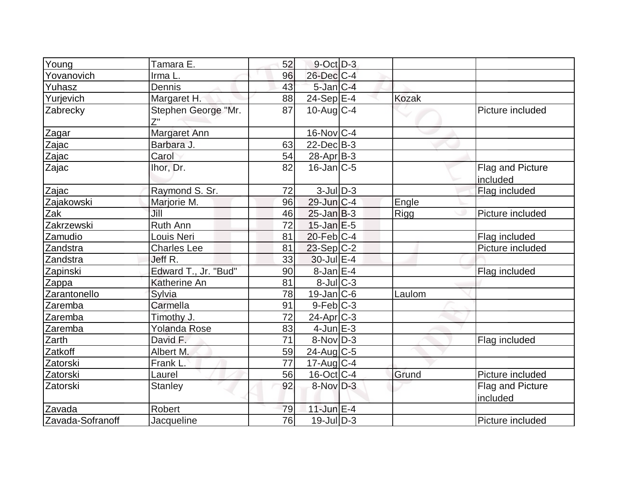| Young            | Tamara E.            | 52 | $9$ -Oct $D-3$    |              |                              |
|------------------|----------------------|----|-------------------|--------------|------------------------------|
| Yovanovich       | Irma L.              | 96 | $26$ -Dec $C-4$   |              |                              |
| Yuhasz           | <b>Dennis</b>        | 43 | $5$ -Jan $C-4$    |              |                              |
| Yurjevich        | Margaret H.          | 88 | $24-Sep$ $E-4$    | <b>Kozak</b> |                              |
| Zabrecky         | Stephen George "Mr.  | 87 | $10$ -Aug $C-4$   |              | Picture included             |
| Zagar            | Margaret Ann         |    | $16$ -Nov $ C-4 $ |              |                              |
| Zajac            | Barbara J.           | 63 | $22$ -Dec $B-3$   |              |                              |
| Zajac            | Carol                | 54 | $28-Apr B-3$      |              |                              |
| Zajac            | Ihor, Dr.            | 82 | $16$ -Jan $ C-5 $ |              | Flag and Picture<br>included |
| Zajac            | Raymond S. Sr.       | 72 | $3$ -Jul $D-3$    |              | Flag included                |
| Zajakowski       | Marjorie M.          | 96 | $29$ -Jun $ C-4 $ | Engle        |                              |
| Zak              | Jill                 | 46 | $25$ -Jan B-3     | Rigg         | Picture included             |
| Zakrzewski       | <b>Ruth Ann</b>      | 72 | $15$ -Jan $E-5$   |              |                              |
| Zamudio          | Louis Neri           | 81 | $20$ -Feb $C-4$   |              | Flag included                |
| Zandstra         | <b>Charles Lee</b>   | 81 | $23-Sep C-2$      |              | Picture included             |
| Zandstra         | Jeff R.              | 33 | $30$ -Jul $E-4$   |              |                              |
| Zapinski         | Edward T., Jr. "Bud" | 90 | $8$ -Jan $E-4$    |              | Flag included                |
| Zappa            | Katherine An         | 81 | $8$ -Jul $C-3$    |              |                              |
| Zarantonello     | Sylvia               | 78 | $19$ -Jan $ C$ -6 | Laulom       |                              |
| Zaremba          | Carmella             | 91 | $9-Feb C-3$       |              |                              |
| Zaremba          | Timothy J.           | 72 | $24$ -Apr $C-3$   |              |                              |
| Zaremba          | <b>Yolanda Rose</b>  | 83 | $4$ -Jun $E-3$    |              |                              |
| Zarth            | David F.             | 71 | $8-Nov D-3$       |              | Flag included                |
| Zatkoff          | Albert M.            | 59 | $24$ -Aug C-5     |              |                              |
| Zatorski         | Frank L.             | 77 | 17-Aug C-4        |              |                              |
| Zatorski         | Laurel               | 56 | $16$ -Oct $ C-4$  | Grund        | Picture included             |
| Zatorski         | <b>Stanley</b>       | 92 | $8-Nov$ D-3       |              | Flag and Picture<br>included |
| Zavada           | Robert               | 79 | $11$ -Jun $E-4$   |              |                              |
| Zavada-Sofranoff | Jacqueline           | 76 | $19$ -Jul $ D-3 $ |              | Picture included             |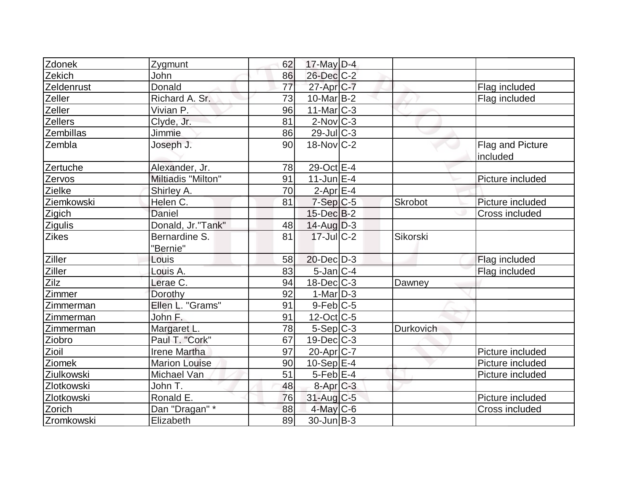| Zdonek         | Zygmunt                   | 62 | $17$ -May D-4     |           |                              |
|----------------|---------------------------|----|-------------------|-----------|------------------------------|
| Zekich         | John                      | 86 | $26$ -Dec $C-2$   |           |                              |
| Zeldenrust     | Donald                    | 77 | $27$ -Apr $C$ -7  |           | Flag included                |
| Zeller         | Richard A. Sr.            | 73 | $10$ -Mar $ B-2 $ |           | Flag included                |
| Zeller         | Vivian P.                 | 96 | $11$ -Mar $C-3$   |           |                              |
| Zellers        | Clyde, Jr.                | 81 | $2$ -Nov $ C-3 $  |           |                              |
| Zembillas      | Jimmie                    | 86 | $29$ -Jul C-3     |           |                              |
| Zembla         | Joseph J.                 | 90 | $18-Nov$ C-2      |           | Flag and Picture<br>included |
| Zertuche       | Alexander, Jr.            | 78 | 29-Oct E-4        |           |                              |
| Zervos         | Miltiadis "Milton"        | 91 | $11$ -Jun $E-4$   |           | Picture included             |
| Zielke         | Shirley A.                | 70 | $2$ -Apr $E-4$    |           |                              |
| Ziemkowski     | Helen C.                  | 81 | $7-Sep$ $C-5$     | Skrobot   | Picture included             |
| Zigich         | Daniel                    |    | $15$ -Dec $B-2$   |           | Cross included               |
| Zigulis        | Donald, Jr."Tank"         | 48 | $14$ -AugD-3      |           |                              |
| <b>Zikes</b>   | Bernardine S.<br>"Bernie" | 81 | $17 -$ JulC-2     | Sikorski  |                              |
| <b>Ziller</b>  | Louis                     | 58 | $20$ -Dec $D-3$   |           | Flag included                |
| Ziller<br>Zilz | Louis A.                  | 83 | $5$ -Jan $ C-4 $  |           | Flag included                |
|                | Lerae C.                  | 94 | $18$ -Dec $ C-3 $ | Dawney    |                              |
| Zimmer         | Dorothy                   | 92 | $1-Mar$ D-3       |           |                              |
| Zimmerman      | Ellen L. "Grams"          | 91 | $9$ -Feb $ C$ -5  |           |                              |
| Zimmerman      | John F.                   | 91 | $12$ -Oct $ C-5 $ |           |                              |
| Zimmerman      | Margaret L.               | 78 | $5-Sep C-3$       | Durkovich |                              |
| Ziobro         | Paul T. "Cork"            | 67 | $19$ -Dec $ C-3 $ |           |                              |
| Zioil          | <b>Irene Martha</b>       | 97 | $20$ -Apr $ C-7 $ |           | Picture included             |
| Ziomek         | <b>Marion Louise</b>      | 90 | 10-Sep $ E-4 $    |           | Picture included             |
| Ziulkowski     | Michael Van               | 51 | $5$ -Feb $E$ -4   |           | Picture included             |
| Zlotkowski     | John T.                   | 48 | $8-Apr$ $C-3$     |           |                              |
| Zlotkowski     | Ronald E.                 | 76 | $31$ -Aug C-5     |           | Picture included             |
| Zorich         | Dan "Dragan" *            | 88 | $4$ -May C-6      |           | Cross included               |
| Zromkowski     | Elizabeth                 | 89 | $30$ -Jun $ B-3 $ |           |                              |